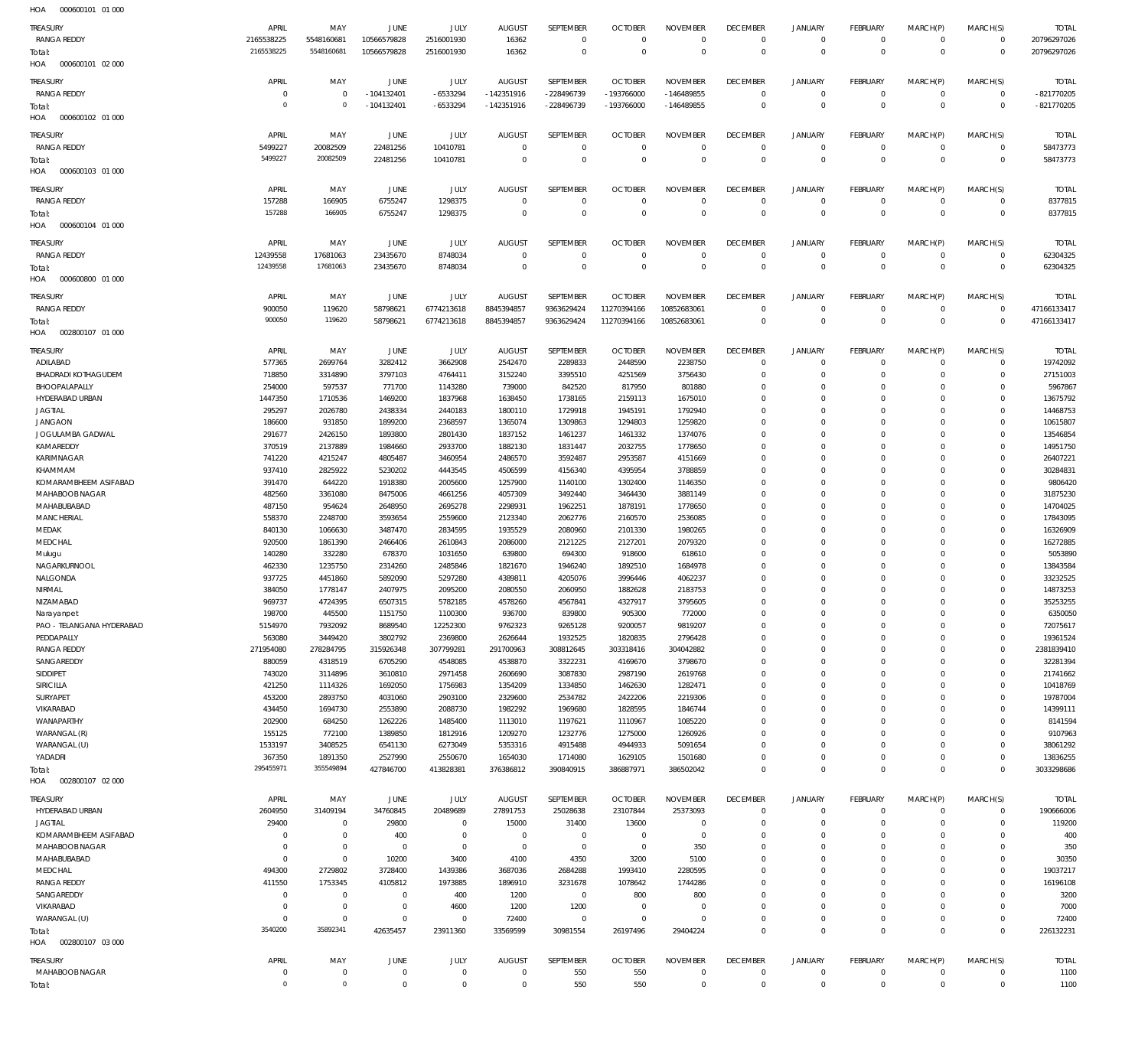| <b>TREASURY</b>                   | <b>APRIL</b>                   | MAY                        | <b>JUNE</b>                  | JULY                     | <b>AUGUST</b>                | SEPTEMBER                  | <b>OCTOBER</b><br>$\Omega$ | <b>NOVEMBER</b><br>$\Omega$ | <b>DECEMBER</b>                | JANUARY                    | <b>FEBRUARY</b>              | MARCH(P)                  | MARCH(S)                   | <b>TOTAL</b>               |
|-----------------------------------|--------------------------------|----------------------------|------------------------------|--------------------------|------------------------------|----------------------------|----------------------------|-----------------------------|--------------------------------|----------------------------|------------------------------|---------------------------|----------------------------|----------------------------|
| <b>RANGA REDDY</b><br>Total:      | 2165538225<br>2165538225       | 5548160681<br>5548160681   | 10566579828<br>10566579828   | 2516001930<br>2516001930 | 16362<br>16362               | $\mathbf 0$<br>$\mathbf 0$ | $\Omega$                   | $\Omega$                    | $\mathbf{0}$<br>$\mathbf 0$    | $\mathbf 0$<br>$\Omega$    | $\mathbf 0$<br>$\Omega$      | $\Omega$<br>$\Omega$      | $\mathbf 0$<br>$\mathbf 0$ | 20796297026<br>20796297026 |
| HOA<br>000600101 02 000           |                                |                            |                              |                          |                              |                            |                            |                             |                                |                            |                              |                           |                            |                            |
|                                   |                                |                            |                              |                          |                              |                            |                            |                             |                                |                            |                              |                           |                            |                            |
| TREASURY                          | <b>APRIL</b><br>$\overline{0}$ | MAY                        | <b>JUNE</b>                  | JULY                     | <b>AUGUST</b>                | SEPTEMBER                  | <b>OCTOBER</b>             | <b>NOVEMBER</b>             | <b>DECEMBER</b><br>$\mathbf 0$ | <b>JANUARY</b>             | <b>FEBRUARY</b>              | MARCH(P)                  | MARCH(S)                   | <b>TOTAL</b>               |
| <b>RANGA REDDY</b>                | $\overline{0}$                 | $\mathbf 0$<br>$\mathbf 0$ | $-104132401$<br>$-104132401$ | $-6533294$<br>$-6533294$ | $-142351916$<br>$-142351916$ | -228496739<br>-228496739   | -193766000<br>-193766000   | -146489855<br>-146489855    | $\mathbf 0$                    | 0<br>$\mathbf 0$           | $^{\circ}$<br>$\overline{0}$ | $^{\circ}$<br>$\mathbf 0$ | $\mathbf 0$<br>$\mathbf 0$ | -821770205<br>-821770205   |
| Total:<br>000600102 01 000<br>HOA |                                |                            |                              |                          |                              |                            |                            |                             |                                |                            |                              |                           |                            |                            |
|                                   |                                |                            |                              |                          |                              |                            |                            |                             |                                |                            |                              |                           |                            |                            |
| <b>TREASURY</b>                   | APRIL                          | MAY                        | <b>JUNE</b>                  | JULY                     | <b>AUGUST</b>                | SEPTEMBER                  | <b>OCTOBER</b>             | <b>NOVEMBER</b>             | <b>DECEMBER</b>                | <b>JANUARY</b>             | <b>FEBRUARY</b>              | MARCH(P)                  | MARCH(S)                   | <b>TOTAL</b>               |
| <b>RANGA REDDY</b>                | 5499227                        | 20082509                   | 22481256                     | 10410781                 | $\mathbf 0$                  | $\mathbf 0$                | $\overline{0}$             | $\mathbf 0$                 | $\overline{0}$                 | $\mathbf 0$                | $\overline{0}$               | $\mathbf 0$               | $\mathbf 0$                | 58473773                   |
| Total:<br>000600103 01 000        | 5499227                        | 20082509                   | 22481256                     | 10410781                 | $\Omega$                     | $\Omega$                   | $\Omega$                   | $\Omega$                    | $\mathbf 0$                    | $\Omega$                   | $\Omega$                     | $\Omega$                  | $\mathbf 0$                | 58473773                   |
| HOA                               |                                |                            |                              |                          |                              |                            |                            |                             |                                |                            |                              |                           |                            |                            |
| Treasury                          | APRIL                          | MAY                        | JUNE                         | JULY                     | <b>AUGUST</b>                | SEPTEMBER                  | <b>OCTOBER</b>             | <b>NOVEMBER</b>             | <b>DECEMBER</b>                | <b>JANUARY</b>             | <b>FEBRUARY</b>              | MARCH(P)                  | MARCH(S)                   | <b>TOTAL</b>               |
| RANGA REDDY                       | 157288                         | 166905                     | 6755247                      | 1298375                  | $\Omega$                     | $\mathbf 0$                | $\overline{0}$             | $\mathbf 0$                 | $\overline{0}$                 | $\mathbf 0$                | $\overline{0}$               | $\mathbf 0$               | $\mathbf 0$                | 8377815                    |
| Total:                            | 157288                         | 166905                     | 6755247                      | 1298375                  | $\Omega$                     | $\mathbf 0$                | $\overline{0}$             | $\mathbf 0$                 | $\mathbf 0$                    | $\mathbf 0$                | $\overline{0}$               | $\mathbf 0$               | $\mathbf 0$                | 8377815                    |
| 000600104 01 000<br>HOA           |                                |                            |                              |                          |                              |                            |                            |                             |                                |                            |                              |                           |                            |                            |
| TREASURY                          | APRIL                          | MAY                        | <b>JUNE</b>                  | JULY                     | <b>AUGUST</b>                | SEPTEMBER                  | <b>OCTOBER</b>             | <b>NOVEMBER</b>             | <b>DECEMBER</b>                | <b>JANUARY</b>             | <b>FEBRUARY</b>              | MARCH(P)                  | MARCH(S)                   | <b>TOTAL</b>               |
| RANGA REDDY                       | 12439558                       | 17681063                   | 23435670                     | 8748034                  | $\Omega$                     | $\mathbf 0$                | $\Omega$                   | $\mathbf 0$                 | $\mathbf 0$                    | $\mathbf 0$                | $^{\circ}$                   | $^{\circ}$                | $\mathbf 0$                | 62304325                   |
| Total:                            | 12439558                       | 17681063                   | 23435670                     | 8748034                  | $\mathbf 0$                  | $\mathbf 0$                | $\overline{0}$             | $\Omega$                    | $\mathbf 0$                    | $\mathbf 0$                | $\overline{0}$               | $\Omega$                  | $\mathbf 0$                | 62304325                   |
| HOA<br>000600800 01 000           |                                |                            |                              |                          |                              |                            |                            |                             |                                |                            |                              |                           |                            |                            |
| <b>TREASURY</b>                   | APRIL                          | MAY                        | <b>JUNE</b>                  | JULY                     | <b>AUGUST</b>                | SEPTEMBER                  | <b>OCTOBER</b>             | <b>NOVEMBER</b>             | <b>DECEMBER</b>                | <b>JANUARY</b>             | <b>FEBRUARY</b>              | MARCH(P)                  | MARCH(S)                   | <b>TOTAL</b>               |
| <b>RANGA REDDY</b>                | 900050                         | 119620                     | 58798621                     | 6774213618               | 8845394857                   | 9363629424                 | 11270394166                | 10852683061                 | $\mathbf 0$                    | 0                          | $\overline{0}$               | $^{\circ}$                | $\mathbf 0$                | 47166133417                |
| Total:                            | 900050                         | 119620                     | 58798621                     | 6774213618               | 8845394857                   | 9363629424                 | 11270394166                | 10852683061                 | $\mathbf 0$                    | $\mathbf 0$                | $\overline{0}$               | $\mathbf 0$               | $\mathbf 0$                | 47166133417                |
| 002800107 01 000<br>HOA           |                                |                            |                              |                          |                              |                            |                            |                             |                                |                            |                              |                           |                            |                            |
| TREASURY                          | APRIL                          | MAY                        | JUNE                         | JULY                     | <b>AUGUST</b>                | SEPTEMBER                  | <b>OCTOBER</b>             | <b>NOVEMBER</b>             | <b>DECEMBER</b>                | <b>JANUARY</b>             | FEBRUARY                     | MARCH(P)                  | MARCH(S)                   | <b>TOTAL</b>               |
| ADILABAD                          | 577365                         | 2699764                    | 3282412                      | 3662908                  | 2542470                      | 2289833                    | 2448590                    | 2238750                     | $\mathbf 0$                    | $\mathbf 0$                | $\Omega$                     | $\Omega$                  | $\mathbf 0$                | 19742092                   |
| <b>BHADRADI KOTHAGUDEM</b>        | 718850                         | 3314890                    | 3797103                      | 4764411                  | 3152240                      | 3395510                    | 4251569                    | 3756430                     | $\mathbf 0$                    | $\mathbf 0$                | $\Omega$                     | $\Omega$                  | $\mathbf 0$                | 27151003                   |
| BHOOPALAPALLY                     | 254000                         | 597537                     | 771700                       | 1143280                  | 739000                       | 842520                     | 817950                     | 801880                      | $\Omega$                       | $\Omega$                   | $\Omega$                     | $\Omega$                  | $\Omega$                   | 5967867                    |
| HYDERABAD URBAN                   | 1447350                        | 1710536                    | 1469200                      | 1837968                  | 1638450                      | 1738165                    | 2159113                    | 1675010                     | $\Omega$                       | $\Omega$                   | $\Omega$                     | $\Omega$                  | $\Omega$                   | 13675792                   |
| <b>JAGTIAL</b>                    | 295297                         | 2026780                    | 2438334                      | 2440183                  | 1800110                      | 1729918                    | 1945191                    | 1792940                     | $\Omega$                       | $\Omega$                   | $\Omega$                     | $\Omega$                  | $\Omega$                   | 14468753                   |
| <b>JANGAON</b>                    | 186600                         | 931850                     | 1899200                      | 2368597                  | 1365074                      | 1309863                    | 1294803                    | 1259820                     | $\Omega$                       | $\Omega$                   | $\Omega$                     | $\Omega$                  | $\Omega$                   | 10615807                   |
| JOGULAMBA GADWAL<br>KAMAREDDY     | 291677                         | 2426150                    | 1893800                      | 2801430                  | 1837152                      | 1461237                    | 1461332                    | 1374076                     | $\Omega$<br>$\Omega$           | $\Omega$<br>$\Omega$       | $\Omega$<br>$\Omega$         | $\Omega$<br>$\Omega$      | $\Omega$<br>$\Omega$       | 13546854                   |
| KARIMNAGAR                        | 370519<br>741220               | 2137889<br>4215247         | 1984660<br>4805487           | 2933700<br>3460954       | 1882130<br>2486570           | 1831447<br>3592487         | 2032755<br>2953587         | 1778650<br>4151669          | $\Omega$                       | $\Omega$                   | $\Omega$                     | $\Omega$                  | $\Omega$                   | 14951750<br>26407221       |
| KHAMMAM                           | 937410                         | 2825922                    | 5230202                      | 4443545                  | 4506599                      | 4156340                    | 4395954                    | 3788859                     | $\Omega$                       | $\Omega$                   | $\Omega$                     | $\Omega$                  | $\Omega$                   | 30284831                   |
| KOMARAMBHEEM ASIFABAD             | 391470                         | 644220                     | 1918380                      | 2005600                  | 1257900                      | 1140100                    | 1302400                    | 1146350                     | $\Omega$                       | $\Omega$                   | $\Omega$                     | $\Omega$                  | $\Omega$                   | 9806420                    |
| MAHABOOB NAGAR                    | 482560                         | 3361080                    | 8475006                      | 4661256                  | 4057309                      | 3492440                    | 3464430                    | 3881149                     | $\Omega$                       | $\Omega$                   | $\Omega$                     | $\Omega$                  | $\Omega$                   | 31875230                   |
| MAHABUBABAD                       | 487150                         | 954624                     | 2648950                      | 2695278                  | 2298931                      | 1962251                    | 1878191                    | 1778650                     | $\Omega$                       | $\Omega$                   | $\Omega$                     | $\Omega$                  | $\Omega$                   | 14704025                   |
| <b>MANCHERIAL</b>                 | 558370                         | 2248700                    | 3593654                      | 2559600                  | 2123340                      | 2062776                    | 2160570                    | 2536085                     | $\Omega$                       | $\Omega$                   | $\Omega$                     | $\Omega$                  | $\Omega$                   | 17843095                   |
| MEDAK                             | 840130                         | 1066630                    | 3487470                      | 2834595                  | 1935529                      | 2080960                    | 2101330                    | 1980265                     | $\Omega$                       | $\Omega$                   | $\Omega$                     | $\Omega$                  | $\Omega$                   | 16326909                   |
| MEDCHAL                           | 920500                         | 1861390                    | 2466406                      | 2610843                  | 2086000                      | 2121225                    | 2127201                    | 2079320                     | $\Omega$                       | $\Omega$                   | $\Omega$                     | $\Omega$                  | $\Omega$                   | 16272885                   |
| Mulugu                            | 140280                         | 332280                     | 678370                       | 1031650                  | 639800                       | 694300                     | 918600                     | 618610                      | $\Omega$                       | $\Omega$                   | $\Omega$                     | $\Omega$                  | $\Omega$                   | 5053890                    |
| NAGARKURNOOL                      | 462330                         | 1235750                    | 2314260                      | 2485846                  | 1821670                      | 1946240                    | 1892510                    | 1684978                     | $\Omega$                       | $\Omega$                   | $\Omega$                     | $\Omega$                  | $\Omega$                   | 13843584                   |
| NALGONDA                          | 937725                         | 4451860                    | 5892090                      | 5297280                  | 4389811                      | 4205076                    | 3996446                    | 4062237                     | $\Omega$<br>$\Omega$           | $\Omega$<br>$\Omega$       | $\Omega$<br>$\Omega$         | $\Omega$<br>$\Omega$      | $\Omega$<br>$\Omega$       | 33232525                   |
| NIRMAL<br>NIZAMABAD               | 384050<br>969737               | 1778147<br>4724395         | 2407975<br>6507315           | 2095200<br>5782185       | 2080550<br>4578260           | 2060950<br>4567841         | 1882628<br>4327917         | 2183753<br>3795605          | $\Omega$                       | $\Omega$                   | $\Omega$                     | $\Omega$                  | $\Omega$                   | 14873253<br>35253255       |
| Narayanpet                        | 198700                         | 445500                     | 1151750                      | 1100300                  | 936700                       | 839800                     | 905300                     | 772000                      | $\mathbf 0$                    | $\mathbf 0$                | $\mathbf 0$                  | $\Omega$                  | $\mathbf 0$                | 6350050                    |
| PAO - TELANGANA HYDERABAD         | 5154970                        | 7932092                    | 8689540                      | 12252300                 | 9762323                      | 9265128                    | 9200057                    | 9819207                     | $\mathbf 0$                    | $\mathbf 0$                | $^{\circ}$                   | $\Omega$                  | $\Omega$                   | 72075617                   |
| PEDDAPALLY                        | 563080                         | 3449420                    | 3802792                      | 2369800                  | 2626644                      | 1932525                    | 1820835                    | 2796428                     | $\Omega$                       | $\Omega$                   | $\Omega$                     | $\Omega$                  | $\Omega$                   | 19361524                   |
| <b>RANGA REDDY</b>                | 271954080                      | 278284795                  | 315926348                    | 307799281                | 291700963                    | 308812645                  | 303318416                  | 304042882                   | $\Omega$                       | $\Omega$                   | $\Omega$                     | $\Omega$                  | $\Omega$                   | 2381839410                 |
| SANGAREDDY                        | 880059                         | 4318519                    | 6705290                      | 4548085                  | 4538870                      | 3322231                    | 4169670                    | 3798670                     | $\mathbf 0$                    | $\Omega$                   | $\Omega$                     | $\Omega$                  | $\Omega$                   | 32281394                   |
| SIDDIPET                          | 743020                         | 3114896                    | 3610810                      | 2971458                  | 2606690                      | 3087830                    | 2987190                    | 2619768                     | $\Omega$                       | $\Omega$                   | $\Omega$                     | $\Omega$                  | $\Omega$                   | 21741662                   |
| SIRICILLA                         | 421250                         | 1114326                    | 1692050                      | 1756983                  | 1354209                      | 1334850                    | 1462630                    | 1282471                     | $\mathbf 0$                    | $\Omega$                   | $\Omega$                     | $\Omega$                  | $\Omega$                   | 10418769                   |
| SURYAPET                          | 453200                         | 2893750                    | 4031060                      | 2903100                  | 2329600                      | 2534782                    | 2422206                    | 2219306                     | $\Omega$                       | $\Omega$                   | $\Omega$                     | $\Omega$                  | $\Omega$                   | 19787004                   |
| VIKARABAD<br>WANAPARTHY           | 434450<br>202900               | 1694730<br>684250          | 2553890<br>1262226           | 2088730<br>1485400       | 1982292<br>1113010           | 1969680<br>1197621         | 1828595<br>1110967         | 1846744<br>1085220          | $\Omega$<br>$\mathbf 0$        | $\Omega$<br>$\Omega$       | $\Omega$<br>$\Omega$         | $\Omega$<br>$\Omega$      | $\Omega$<br>$\Omega$       | 14399111<br>8141594        |
| WARANGAL (R)                      | 155125                         | 772100                     | 1389850                      | 1812916                  | 1209270                      | 1232776                    | 1275000                    | 1260926                     | $\Omega$                       | $\Omega$                   | $\Omega$                     | $\Omega$                  | $\Omega$                   | 9107963                    |
| WARANGAL (U)                      | 1533197                        | 3408525                    | 6541130                      | 6273049                  | 5353316                      | 4915488                    | 4944933                    | 5091654                     | $\Omega$                       | $\Omega$                   | $\Omega$                     | $\Omega$                  | $\Omega$                   | 38061292                   |
| YADADRI                           | 367350                         | 1891350                    | 2527990                      | 2550670                  | 1654030                      | 1714080                    | 1629105                    | 1501680                     | $\mathbf 0$                    | $\mathbf 0$                | $\Omega$                     | $\Omega$                  | $\Omega$                   | 13836255                   |
| Total:                            | 295455971                      | 355549894                  | 427846700                    | 413828381                | 376386812                    | 390840915                  | 386887971                  | 386502042                   | $\mathbf 0$                    | $\Omega$                   | $\Omega$                     | $\Omega$                  | $\Omega$                   | 3033298686                 |
| HOA<br>002800107 02 000           |                                |                            |                              |                          |                              |                            |                            |                             |                                |                            |                              |                           |                            |                            |
| <b>TREASURY</b>                   | APRIL                          | MAY                        | JUNE                         | JULY                     | <b>AUGUST</b>                | SEPTEMBER                  | <b>OCTOBER</b>             | <b>NOVEMBER</b>             | <b>DECEMBER</b>                | <b>JANUARY</b>             | <b>FEBRUARY</b>              | MARCH(P)                  | MARCH(S)                   | <b>TOTAL</b>               |
| HYDERABAD URBAN                   | 2604950                        | 31409194                   | 34760845                     | 20489689                 | 27891753                     | 25028638                   | 23107844                   | 25373093                    | $\mathbf 0$                    | $\mathbf 0$                | $\overline{0}$               | $^{\circ}$                | $\mathbf 0$                | 190666006                  |
| <b>JAGTIAL</b>                    | 29400                          | $\mathbf 0$                | 29800                        | $\overline{0}$           | 15000                        | 31400                      | 13600                      | 0                           | $\mathbf 0$                    | $\mathbf 0$                | $^{\circ}$                   | $^{\circ}$                | $^{\circ}$                 | 119200                     |
| KOMARAMBHEEM ASIFABAD             | $\overline{0}$                 | $\mathbf{0}$               | 400                          | $^{\circ}$               | $\overline{0}$               | $^{\circ}$                 | $\overline{0}$             | $\mathbf 0$                 | $\mathbf 0$                    | $\mathbf 0$                | $\Omega$                     | $\Omega$                  | $\Omega$                   | 400                        |
| MAHABOOB NAGAR                    | $\overline{0}$                 | $\mathbf 0$                | $\overline{0}$               | $\mathbf 0$              | $\overline{0}$               | $\,0\,$                    | $\overline{0}$             | 350                         | $\mathbf 0$                    | $\mathbf 0$                | $\Omega$                     | $\Omega$                  | $\Omega$                   | 350                        |
| MAHABUBABAD                       | $\overline{0}$                 | $\mathbf 0$                | 10200                        | 3400                     | 4100                         | 4350                       | 3200                       | 5100                        | $\mathbf 0$                    | $\mathbf 0$                | $\Omega$                     | $\Omega$                  | $\Omega$                   | 30350                      |
| MEDCHAL                           | 494300                         | 2729802                    | 3728400                      | 1439386                  | 3687036                      | 2684288                    | 1993410                    | 2280595                     | $\mathbf 0$                    | $\Omega$                   | $\Omega$                     | $\Omega$                  | $\Omega$                   | 19037217                   |
| <b>RANGA REDDY</b>                | 411550                         | 1753345                    | 4105812                      | 1973885                  | 1896910                      | 3231678                    | 1078642                    | 1744286                     | $\mathbf 0$                    | $\mathbf 0$                | $\Omega$                     | $\Omega$                  | $\Omega$                   | 16196108                   |
| SANGAREDDY                        | $\overline{0}$                 | $\mathbf{0}$               | $\overline{0}$               | 400                      | 1200                         | $\overline{0}$             | 800                        | 800                         | $\mathbf 0$                    | $\Omega$                   | $\Omega$                     | $\Omega$                  | $\Omega$                   | 3200                       |
| VIKARABAD                         | $\overline{0}$                 | $\mathbf 0$                | $\overline{0}$               | 4600                     | 1200                         | 1200                       | $\overline{0}$             | $\mathbf 0$                 | $\mathbf 0$                    | $\mathbf 0$                | $\Omega$                     | $\Omega$                  | $\Omega$                   | 7000                       |
| WARANGAL (U)                      | $\overline{0}$<br>3540200      | $\mathbf{0}$<br>35892341   | $\mathbf 0$<br>42635457      | $\mathbf 0$              | 72400                        | $\mathbf 0$<br>30981554    | $\overline{0}$<br>26197496 | $\mathbf 0$                 | $\mathbf 0$<br>$\mathbf 0$     | $\mathbf 0$<br>$\mathbf 0$ | $^{\circ}$<br>$\Omega$       | $\mathbf 0$<br>$\Omega$   | $\Omega$<br>$\Omega$       | 72400                      |
| Total:<br>002800107 03 000<br>HOA |                                |                            |                              | 23911360                 | 33569599                     |                            |                            | 29404224                    |                                |                            |                              |                           |                            | 226132231                  |
|                                   |                                |                            |                              |                          |                              |                            |                            |                             |                                |                            |                              |                           |                            |                            |
| TREASURY                          | <b>APRIL</b>                   | MAY                        | <b>JUNE</b>                  | JULY                     | <b>AUGUST</b>                | SEPTEMBER                  | <b>OCTOBER</b>             | <b>NOVEMBER</b>             | <b>DECEMBER</b>                | <b>JANUARY</b>             | <b>FEBRUARY</b>              | MARCH(P)                  | MARCH(S)                   | <b>TOTAL</b>               |
| MAHABOOB NAGAR<br>Total:          | 0<br>$\overline{0}$            | $\mathbf 0$                | $\overline{0}$               | $\mathbf 0$              | $\mathbf 0$                  | 550                        | 550                        | $\mathbf 0$                 | $\bf 0$                        | $\mathbf 0$                | $\mathbf 0$                  | $^{\circ}$                | $\mathbf 0$                | 1100                       |
|                                   |                                | $\mathbf 0$                | $\overline{0}$               | $\mathbf 0$              | $\mathbf 0$                  | 550                        | 550                        | $\mathbf 0$                 | $\mathbf 0$                    | $\mathbf 0$                | $\mathbf 0$                  | $\mathbf 0$               | $\mathbf 0$                | 1100                       |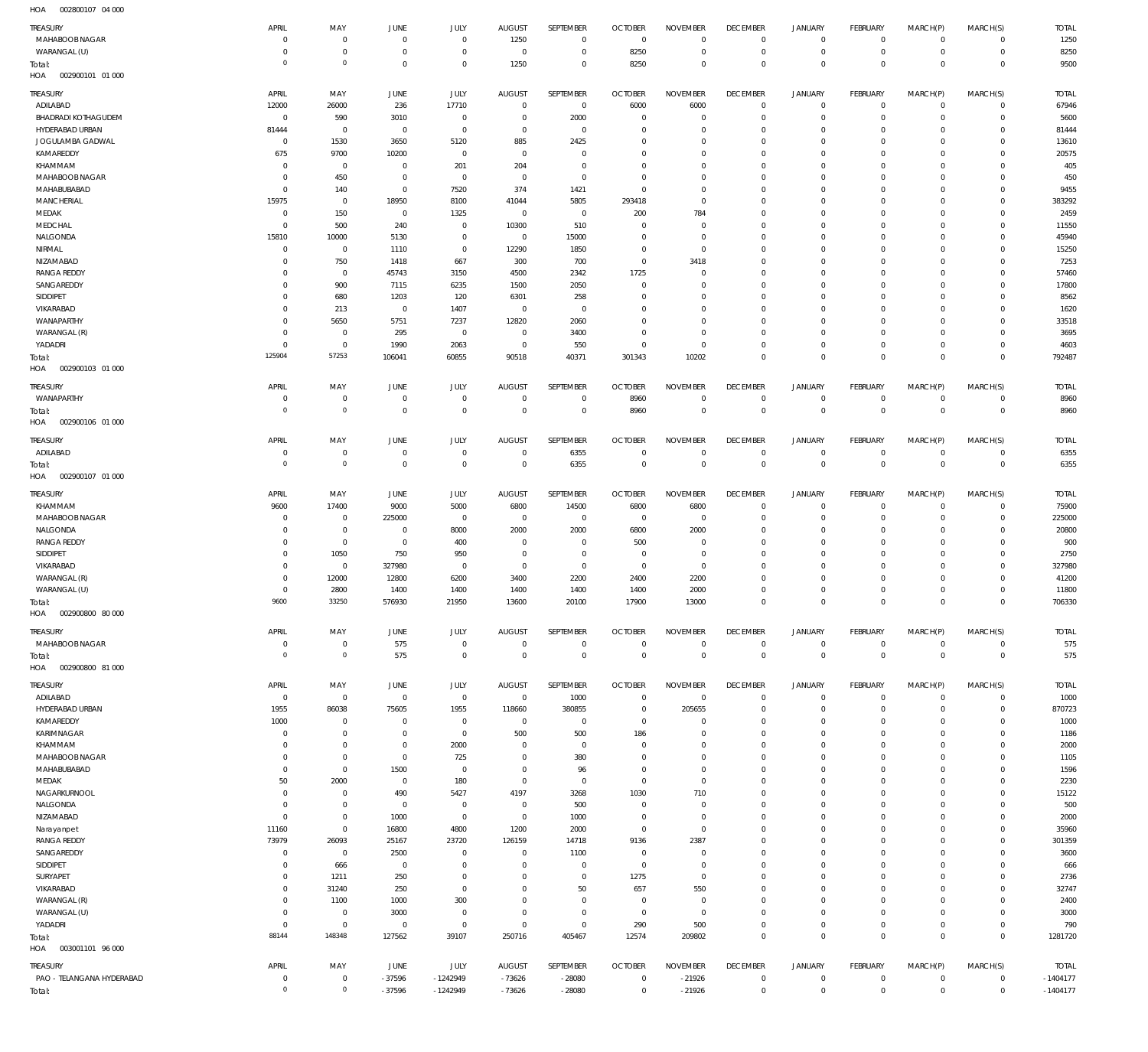002800107 04 000 HOA

| <b>TREASURY</b><br>MAHABOOB NAGAR     | APRIL                 | MAY                              | JUNE<br>$\Omega$       | JULY<br>$\mathbf 0$              | <b>AUGUST</b><br>1250     | SEPTEMBER                     | <b>OCTOBER</b><br>$\mathbf{0}$ | <b>NOVEMBER</b><br>$^{\circ}$ | <b>DECEMBER</b>                | <b>JANUARY</b>              | FEBRUARY                      | MARCH(P)<br>$\mathbf 0$    | MARCH(S)<br>$\circ$        | <b>TOTAL</b>               |
|---------------------------------------|-----------------------|----------------------------------|------------------------|----------------------------------|---------------------------|-------------------------------|--------------------------------|-------------------------------|--------------------------------|-----------------------------|-------------------------------|----------------------------|----------------------------|----------------------------|
| WARANGAL (U)                          | $\circ$<br>$^{\circ}$ | $\overline{0}$<br>$\overline{0}$ | $\Omega$               | $\mathbf 0$                      | $^{\circ}$                | $\,0\,$<br>$\,0\,$            | 8250                           | $\mathbf 0$                   | $\mathbf 0$<br>$\mathbf 0$     | 0<br>$\mathsf{O}$           | $\mathbf 0$<br>$\overline{0}$ | $\mathbf 0$                | $\overline{0}$             | 1250<br>8250               |
| Total:<br>HOA<br>002900101 01 000     | $\Omega$              | $\circ$                          | $\Omega$               | $\mathbf 0$                      | 1250                      | $\mathbf 0$                   | 8250                           | $\mathbf 0$                   | $\mathbf 0$                    | $\mathbb O$                 | $\overline{0}$                | $\mathbf 0$                | $\overline{0}$             | 9500                       |
| TREASURY                              | APRIL                 | MAY                              | JUNE                   | JULY                             | <b>AUGUST</b>             | SEPTEMBER                     | <b>OCTOBER</b>                 | <b>NOVEMBER</b>               | <b>DECEMBER</b>                | <b>JANUARY</b>              | FEBRUARY                      | MARCH(P)                   | MARCH(S)                   | <b>TOTAL</b>               |
| ADILABAD                              | 12000                 | 26000                            | 236                    | 17710                            | $\mathbf 0$               | $\mathbf 0$                   | 6000                           | 6000                          | $\mathbf 0$                    | $\mathbf 0$                 | $\mathbf 0$                   | $\mathbf 0$                | $\mathbf{0}$               | 67946                      |
| <b>BHADRADI KOTHAGUDEM</b>            | $\circ$               | 590                              | 3010                   | $\overline{0}$                   | $\Omega$                  | 2000                          | $\overline{0}$                 | - 0                           | 0                              | $\mathbf 0$                 | $^{\circ}$                    | $\Omega$                   | $\mathbf 0$                | 5600                       |
| HYDERABAD URBAN                       | 81444                 | $\overline{0}$                   | $\Omega$               | $\overline{0}$                   | $^{\circ}$                | $\overline{0}$                | $\overline{0}$                 | $^{\circ}$                    | $\mathbf 0$                    | $\mathbf 0$                 | $^{\circ}$                    | $\Omega$                   | $\mathbf 0$                | 81444                      |
| JOGULAMBA GADWAL                      | $^{\circ}$            | 1530                             | 3650                   | 5120                             | 885                       | 2425                          | 0                              | $^{\circ}$                    | 0                              | $\mathbf 0$                 | $^{\circ}$                    | $\Omega$                   | $\mathbf 0$                | 13610                      |
| KAMAREDDY                             | 675                   | 9700                             | 10200                  | $\Omega$                         | $^{\circ}$                | $\overline{0}$                | $\Omega$                       | $^{\circ}$                    | 0                              | $\mathbf 0$                 | $^{\circ}$                    | $\Omega$                   | $\mathbf 0$                | 20575                      |
| KHAMMAM<br>MAHABOOB NAGAR             | $\circ$<br>$\Omega$   | $\overline{0}$<br>450            | $\Omega$<br>$\Omega$   | 201<br>$\Omega$                  | 204<br>$\Omega$           | $\overline{0}$<br>$\mathbf 0$ | $\Omega$<br>0                  | $^{\circ}$<br>$^{\circ}$      | 0<br>0                         | $\mathbf 0$<br>$\mathbf 0$  | $^{\circ}$<br>$^{\circ}$      | $\Omega$<br>$\Omega$       | $\mathbf 0$<br>$\mathbf 0$ | 405<br>450                 |
| MAHABUBABAD                           | $^{\circ}$            | 140                              | $\Omega$               | 7520                             | 374                       | 1421                          | $^{\circ}$                     | $^{\circ}$                    | 0                              | $\mathbf 0$                 | $^{\circ}$                    | $\Omega$                   | $\mathbf 0$                | 9455                       |
| MANCHERIAL                            | 15975                 | $\overline{0}$                   | 18950                  | 8100                             | 41044                     | 5805                          | 293418                         | $^{\circ}$                    | $\Omega$                       | $\mathbf 0$                 | $^{\circ}$                    | $\Omega$                   | $\mathbf 0$                | 383292                     |
| MEDAK                                 | $^{\circ}$            | 150                              | $\overline{0}$         | 1325                             | $\overline{0}$            | $\mathbf 0$                   | 200                            | 784                           | 0                              | $\mathbf 0$                 | $^{\circ}$                    | $\Omega$                   | $\mathbf 0$                | 2459                       |
| MEDCHAL                               | $\Omega$              | 500                              | 240                    | $\overline{0}$                   | 10300                     | 510                           | $\overline{0}$                 | 0                             | 0                              | $\mathbf 0$                 | 0                             | $\Omega$                   | $\mathbf 0$                | 11550                      |
| NALGONDA                              | 15810                 | 10000                            | 5130                   | $\overline{0}$                   | $\overline{0}$            | 15000                         | $^{\circ}$                     | $^{\circ}$                    | 0                              | $\mathbf 0$                 | $^{\circ}$                    | $\Omega$                   | $\mathbf 0$                | 45940                      |
| NIRMAL                                | $\circ$               | $\overline{0}$                   | 1110                   | $\overline{0}$                   | 12290                     | 1850                          | $^{\circ}$                     | $^{\circ}$                    | 0                              | $\mathbf 0$                 | $^{\circ}$                    | $\Omega$                   | $\mathbf 0$                | 15250                      |
| NIZAMABAD                             | $\Omega$              | 750                              | 1418                   | 667                              | 300                       | 700                           | $^{\circ}$                     | 3418                          | 0                              | $\mathbf 0$                 | $^{\circ}$                    | $\Omega$                   | $\mathbf 0$                | 7253                       |
| <b>RANGA REDDY</b><br>SANGAREDDY      | $\Omega$<br>$\Omega$  | $\overline{0}$<br>900            | 45743<br>7115          | 3150<br>6235                     | 4500<br>1500              | 2342<br>2050                  | 1725<br>$\Omega$               | 0<br>$\overline{0}$           | $\mathbf{0}$<br>$\Omega$       | $\mathbf 0$<br>$^{\circ}$   | $^{\circ}$<br>$^{\circ}$      | $\Omega$<br>$\Omega$       | $\mathbf 0$<br>$\mathbf 0$ | 57460<br>17800             |
| SIDDIPET                              | $\mathbf{0}$          | 680                              | 1203                   | 120                              | 6301                      | 258                           | $^{\circ}$                     | $^{\circ}$                    | $\mathbf 0$                    | $\mathbf 0$                 | $^{\circ}$                    | $\Omega$                   | $\mathbf 0$                | 8562                       |
| VIKARABAD                             | $\Omega$              | 213                              | $\overline{0}$         | 1407                             | $\overline{0}$            | $\overline{0}$                | $\Omega$                       | $^{\circ}$                    | 0                              | $\mathbf 0$                 | 0                             | $\Omega$                   | $\mathbf 0$                | 1620                       |
| WANAPARTHY                            | $\Omega$              | 5650                             | 5751                   | 7237                             | 12820                     | 2060                          | $\circ$                        | $\mathbf{0}$                  | $\mathbf 0$                    | $\mathbf 0$                 | $^{\circ}$                    | $\Omega$                   | $\mathbf 0$                | 33518                      |
| WARANGAL (R)                          | $\Omega$              | $\overline{0}$                   | 295                    | $\mathbf{0}$                     | $\mathbf 0$               | 3400                          | $^{\circ}$                     | $^{\circ}$                    | 0                              | $\mathbf 0$                 | $^{\circ}$                    | $\Omega$                   | $\mathbf 0$                | 3695                       |
| YADADRI                               | $\Omega$              | $\overline{0}$                   | 1990                   | 2063                             | $\overline{0}$            | 550                           | $\Omega$                       | $^{\circ}$                    | $\mathbf 0$                    | $\mathbf 0$                 | $^{\circ}$                    | $\Omega$                   | $\mathbf 0$                | 4603                       |
| Total:                                | 125904                | 57253                            | 106041                 | 60855                            | 90518                     | 40371                         | 301343                         | 10202                         | $\mathbf 0$                    | $\mathbf 0$                 | $\overline{0}$                | $\Omega$                   | $\mathbf 0$                | 792487                     |
| HOA<br>002900103 01 000<br>TREASURY   | APRIL                 | MAY                              | <b>JUNE</b>            | JULY                             | <b>AUGUST</b>             | SEPTEMBER                     | <b>OCTOBER</b>                 | <b>NOVEMBER</b>               | <b>DECEMBER</b>                | <b>JANUARY</b>              | FEBRUARY                      | MARCH(P)                   | MARCH(S)                   | <b>TOTAL</b>               |
| WANAPARTHY                            | $\circ$               | $\overline{0}$                   | $\Omega$               | $\mathbf 0$                      | 0                         | $\mathbf 0$                   | 8960                           | 0                             | 0                              | 0                           | $\mathbf 0$                   | $\mathbf 0$                | $\circ$                    | 8960                       |
| Total:                                | $\circ$               | $\circ$                          | $\overline{0}$         | $\mathbf 0$                      | $^{\circ}$                | $\,0\,$                       | 8960                           | $\mathbf 0$                   | $\mathbb O$                    | $\mathbb O$                 | $\mathbf 0$                   | $\bf 0$                    | $\overline{0}$             | 8960                       |
| HOA<br>002900106 01 000               |                       |                                  |                        |                                  |                           |                               |                                |                               |                                |                             |                               |                            |                            |                            |
| TREASURY                              | APRIL                 | MAY                              | JUNE                   | JULY                             | <b>AUGUST</b>             | SEPTEMBER                     | <b>OCTOBER</b>                 | <b>NOVEMBER</b>               | <b>DECEMBER</b>                | <b>JANUARY</b>              | FEBRUARY                      | MARCH(P)                   | MARCH(S)                   | <b>TOTAL</b>               |
| ADILABAD                              | $\circ$<br>$\Omega$   | $\overline{0}$<br>$\circ$        | $\Omega$               | $\overline{0}$                   | $\Omega$                  | 6355                          | $^{\circ}$                     | $\overline{0}$                | $\mathbf 0$                    | $\mathbf 0$                 | $\mathbf 0$                   | $\mathbf 0$                | $\mathbf 0$                | 6355                       |
| Total:<br>HOA<br>002900107 01 000     |                       |                                  | $\overline{0}$         | $\mathbf 0$                      | $\overline{0}$            | 6355                          | $\mathbf 0$                    | $\mathbf 0$                   | $\mathbf 0$                    | $\mathbf 0$                 | $\overline{0}$                | $\mathbf 0$                | $\overline{0}$             | 6355                       |
| <b>TREASURY</b>                       | APRIL                 | MAY                              | JUNE                   | JULY                             | <b>AUGUST</b>             | SEPTEMBER                     | <b>OCTOBER</b>                 | <b>NOVEMBER</b>               | <b>DECEMBER</b>                | <b>JANUARY</b>              | FEBRUARY                      | MARCH(P)                   | MARCH(S)                   | <b>TOTAL</b>               |
| KHAMMAM                               | 9600                  | 17400                            | 9000                   | 5000                             | 6800                      | 14500                         | 6800                           | 6800                          | $^{\circ}$                     | 0                           | $^{\circ}$                    | $\mathbf 0$                | $\circ$                    | 75900                      |
| MAHABOOB NAGAR                        | $\circ$               | $\overline{0}$                   | 225000                 | $\overline{0}$                   | $\overline{0}$            | $\,0\,$                       | $\mathbf 0$                    | $\mathbf 0$                   | $\mathbf 0$                    | 0                           | $\mathbf 0$                   | $\mathbf 0$                | $\circ$                    | 225000                     |
| NALGONDA                              | $\Omega$              | $\overline{0}$                   | $^{\circ}$             | 8000                             | 2000                      | 2000                          | 6800                           | 2000                          | $\mathbf 0$                    | 0                           | $^{\circ}$                    | $\mathbf 0$                | $\mathbf 0$                | 20800                      |
| <b>RANGA REDDY</b>                    | $\circ$               | $\overline{0}$                   | $\overline{0}$         | 400                              | $^{\circ}$                | $\,0\,$                       | 500                            | $\overline{0}$                | $\mathbf 0$                    | 0                           | $^{\circ}$                    | $\mathbf 0$                | $\mathbf{0}$               | 900                        |
| SIDDIPET                              | $\Omega$              | 1050                             | 750                    | 950                              | 0                         | $\,0\,$                       | $^{\circ}$                     | $\mathbf 0$                   | $\mathbf 0$                    | $\mathbf 0$                 | $^{\circ}$                    | $\Omega$                   | $\mathbf 0$                | 2750                       |
| VIKARABAD<br>WARANGAL (R)             | $\circ$<br>$\Omega$   | $\overline{0}$<br>12000          | 327980<br>12800        | $\overline{0}$<br>6200           | $\overline{0}$<br>3400    | $\,0\,$<br>2200               | $\overline{0}$<br>2400         | $\mathbf 0$<br>2200           | $\mathbf 0$<br>$\mathbf 0$     | $\mathbf 0$<br>$\mathbf 0$  | $^{\circ}$<br>$^{\circ}$      | $\Omega$<br>$\mathbf 0$    | $\mathbf 0$<br>$\mathbf 0$ | 327980<br>41200            |
| WARANGAL (U)                          | $^{\circ}$            | 2800                             | 1400                   | 1400                             | 1400                      | 1400                          | 1400                           | 2000                          | $\mathbf 0$                    | $\mathbf 0$                 | $^{\circ}$                    | $\mathbf 0$                | $\mathbf 0$                | 11800                      |
| Total:                                | 9600                  | 33250                            | 576930                 | 21950                            | 13600                     | 20100                         | 17900                          | 13000                         | $\mathbf 0$                    | $\mathbf 0$                 | $\mathbf 0$                   | $\mathbf 0$                | $\mathbf 0$                | 706330                     |
| HOA<br>002900800 80 000               |                       |                                  |                        |                                  |                           |                               |                                |                               |                                |                             |                               |                            |                            |                            |
| TREASURY                              | APRIL                 | MAY                              | JUNE                   | JULY                             | <b>AUGUST</b>             | SEPTEMBER                     | <b>OCTOBER</b>                 | <b>NOVEMBER</b>               | <b>DECEMBER</b>                | <b>JANUARY</b>              | FEBRUARY                      | MARCH(P)                   | MARCH(S)                   | <b>TOTAL</b>               |
| MAHABOOB NAGAR                        | $^{\circ}$            | $\overline{0}$                   | 575                    | $\overline{0}$                   | $\overline{0}$            | $\mathbf 0$                   | $\mathbb O$                    | $^{\circ}$                    | $\mathbf 0$                    | 0                           | $\mathbf 0$                   | $\mathbf 0$                | $\circ$                    | 575                        |
| Total:<br>HOA<br>002900800 81 000     | $\circ$               | $\circ$                          | 575                    | $\mathbf 0$                      | $\mathbf 0$               | $\mathbb O$                   | $\mathbb O$                    | $\mathbf 0$                   | $\mathbf 0$                    | $\mathbf 0$                 | $\mathbb O$                   | $\mathbf 0$                | $\,0\,$                    | 575                        |
| TREASURY                              | APRIL                 | MAY                              | JUNE                   | JULY                             | <b>AUGUST</b>             | SEPTEMBER                     | <b>OCTOBER</b>                 | <b>NOVEMBER</b>               | <b>DECEMBER</b>                | <b>JANUARY</b>              | FEBRUARY                      | MARCH(P)                   | MARCH(S)                   | <b>TOTAL</b>               |
| ADILABAD                              | $\mathbf 0$           | $\overline{0}$                   | $\overline{0}$         | $\overline{0}$                   | $\overline{0}$            | 1000                          | $\mathbf{0}$                   | $\mathbf 0$                   | $\mathbf 0$                    | $\mathbf 0$                 | $\overline{0}$                | $\mathbf 0$                | $\circ$                    | 1000                       |
| HYDERABAD URBAN                       | 1955                  | 86038                            | 75605                  | 1955                             | 118660                    | 380855                        | $\overline{0}$                 | 205655                        | $\mathbf 0$                    | $\mathsf{O}$                | $\mathbf 0$                   | $\mathbf 0$                | $\circ$                    | 870723                     |
| KAMAREDDY                             | 1000                  | $\overline{0}$                   | $\Omega$               | $\overline{0}$                   | $\overline{0}$            | $\,0\,$                       | $^{\circ}$                     | $\overline{0}$                | $\mathbf 0$                    | $\mathbf 0$                 | $\mathbf 0$                   | $\mathbf 0$                | $\circ$                    | 1000                       |
| KARIMNAGAR                            | 0                     | $\overline{0}$                   | $\Omega$               | $\,0\,$                          | 500                       | 500                           | 186                            | $^{\circ}$                    | $\mathbf 0$                    | $\mathsf{O}$                | $\mathbf 0$                   | $\mathbf 0$                | $\circ$                    | 1186                       |
| KHAMMAM                               | $\circ$               | $\,0\,$                          | $^{\circ}$             | 2000                             | $^{\circ}$                | $\,0\,$                       | $\overline{0}$                 | $\mathbf 0$                   | $\mathbf 0$                    | $\mathbf 0$                 | $^{\circ}$                    | $\mathbf 0$                | $\mathbf 0$                | 2000                       |
| MAHABOOB NAGAR                        | $\circ$               | $\overline{0}$                   | $^{\circ}$             | 725                              | $\mathbf{0}$              | 380                           | 0                              | $\mathbf{0}$                  | $\mathbf 0$                    | $\mathsf{O}$                | $^{\circ}$                    | $\mathbf 0$                | $\circ$                    | 1105                       |
| MAHABUBABAD<br>MEDAK                  | $\circ$<br>50         | $\overline{0}$<br>2000           | 1500<br>$\overline{0}$ | $\mathbf 0$<br>180               | 0<br>$\overline{0}$       | 96<br>$\,0\,$                 | $^{\circ}$<br>$^{\circ}$       | $\mathbf 0$<br>$\mathbf 0$    | $\mathbf 0$<br>$\mathbf 0$     | $\mathbf 0$<br>$\mathsf{O}$ | $^{\circ}$<br>$^{\circ}$      | $\mathbf 0$<br>$\mathbf 0$ | $\mathbf 0$<br>$\mathbf 0$ | 1596<br>2230               |
| NAGARKURNOOL                          | $\circ$               | $\overline{0}$                   | 490                    | 5427                             | 4197                      | 3268                          | 1030                           | 710                           | $\mathbf 0$                    | $\mathsf{O}$                | $\mathbf 0$                   | $\mathbf 0$                | $\mathbf 0$                | 15122                      |
| NALGONDA                              | $^{\circ}$            | $\overline{0}$                   | $\overline{0}$         | $\overline{0}$                   | $\overline{0}$            | 500                           | $\overline{0}$                 | $\mathbf 0$                   | $\mathbf 0$                    | $\mathsf{O}$                | $^{\circ}$                    | $\mathbf 0$                | $\mathbf 0$                | 500                        |
| NIZAMABAD                             | $^{\circ}$            | $\overline{0}$                   | 1000                   | $\,0\,$                          | $\mathbf 0$               | 1000                          | $^{\circ}$                     | $\mathbf 0$                   | $\mathbf 0$                    | $\mathsf{O}$                | $^{\circ}$                    | $\mathbf 0$                | $\circ$                    | 2000                       |
| Narayanpet                            | 11160                 | $\overline{0}$                   | 16800                  | 4800                             | 1200                      | 2000                          | $^{\circ}$                     | $\mathbf 0$                   | $\mathbf 0$                    | $\mathbf 0$                 | $^{\circ}$                    | $\mathbf 0$                | $\mathbf 0$                | 35960                      |
| <b>RANGA REDDY</b>                    | 73979                 | 26093                            | 25167                  | 23720                            | 126159                    | 14718                         | 9136                           | 2387                          | $\mathbf 0$                    | $\mathsf{O}$                | $^{\circ}$                    | $\mathbf 0$                | $\circ$                    | 301359                     |
| SANGAREDDY                            | $\circ$               | $\overline{0}$                   | 2500                   | $\mathbf 0$                      | $\overline{0}$            | 1100                          | $\mathbf 0$                    | $\mathbf 0$                   | $\mathbf 0$                    | 0                           | $^{\circ}$                    | $\mathbf 0$                | $\mathbf 0$                | 3600                       |
| SIDDIPET                              | $\circ$               | 666                              | $\overline{0}$         | $\mathbf 0$                      | $\Omega$                  | $\,0\,$                       | $\mathbf 0$                    | $\mathbf 0$                   | $\mathbf 0$                    | $\mathbf 0$                 | $^{\circ}$                    | $\mathbf 0$                | $\mathbf{0}$               | 666                        |
| SURYAPET<br>VIKARABAD                 | $\circ$<br>$\circ$    | 1211<br>31240                    | 250<br>250             | $\overline{0}$<br>$\overline{0}$ | 0<br>$\Omega$             | $\,0\,$<br>50                 | 1275<br>657                    | $\mathbf 0$<br>550            | $\mathbf 0$<br>$\mathbf 0$     | 0<br>$\mathbf 0$            | $^{\circ}$<br>$^{\circ}$      | $\mathbf 0$<br>$\mathbf 0$ | $\mathbf 0$<br>$\mathbf 0$ | 2736<br>32747              |
| WARANGAL (R)                          | $\circ$               | 1100                             | 1000                   | 300                              | $\mathbf{0}$              | $\,0\,$                       | $\mathbf 0$                    | $\mathbf 0$                   | $\mathbf 0$                    | 0                           | $^{\circ}$                    | $\mathbf 0$                | $\mathbf 0$                | 2400                       |
| WARANGAL (U)                          | $\circ$               | $\overline{0}$                   | 3000                   | $\mathbf 0$                      | $^{\circ}$                | $\mathbf 0$                   | $\mathbf{0}$                   | $\mathbf 0$                   | $\mathbf 0$                    | $\mathsf{O}$                | $^{\circ}$                    | $\mathbf 0$                | $\mathbf{0}$               | 3000                       |
| YADADRI                               | $\overline{0}$        | $\overline{0}$                   | $\overline{0}$         | $\overline{0}$                   | $\mathbf 0$               | $\,0\,$                       | 290                            | 500                           | $\mathbf 0$                    | $\mathsf{O}$                | $\mathbf 0$                   | $\mathbf 0$                | $\circ$                    | 790                        |
| Total:                                | 88144                 | 148348                           | 127562                 | 39107                            | 250716                    | 405467                        | 12574                          | 209802                        | $\mathbb O$                    | $\mathbf 0$                 | $\overline{0}$                | $\bf 0$                    | $\mathbf 0$                | 1281720                    |
| HOA<br>003001101 96 000               |                       |                                  |                        |                                  |                           |                               |                                |                               |                                |                             |                               |                            |                            |                            |
| TREASURY<br>PAO - TELANGANA HYDERABAD | APRIL<br>$\mathbf 0$  | MAY<br>$\overline{0}$            | JUNE<br>$-37596$       | JULY<br>$-1242949$               | <b>AUGUST</b><br>$-73626$ | SEPTEMBER<br>$-28080$         | <b>OCTOBER</b><br>$^{\circ}$   | <b>NOVEMBER</b><br>$-21926$   | <b>DECEMBER</b><br>$\mathbf 0$ | JANUARY<br>0                | FEBRUARY<br>$\mathbf 0$       | MARCH(P)<br>0              | MARCH(S)<br>$\mathbf 0$    | <b>TOTAL</b><br>$-1404177$ |
| Total:                                | $\mathbf 0$           | $\circ$                          | $-37596$               | $-1242949$                       | $-73626$                  | $-28080$                      | $\overline{0}$                 | $-21926$                      | $\mathbb O$                    | $\mathbb O$                 | $\mathbf 0$                   | $\mathsf{O}\xspace$        | $\mathbf 0$                | $-1404177$                 |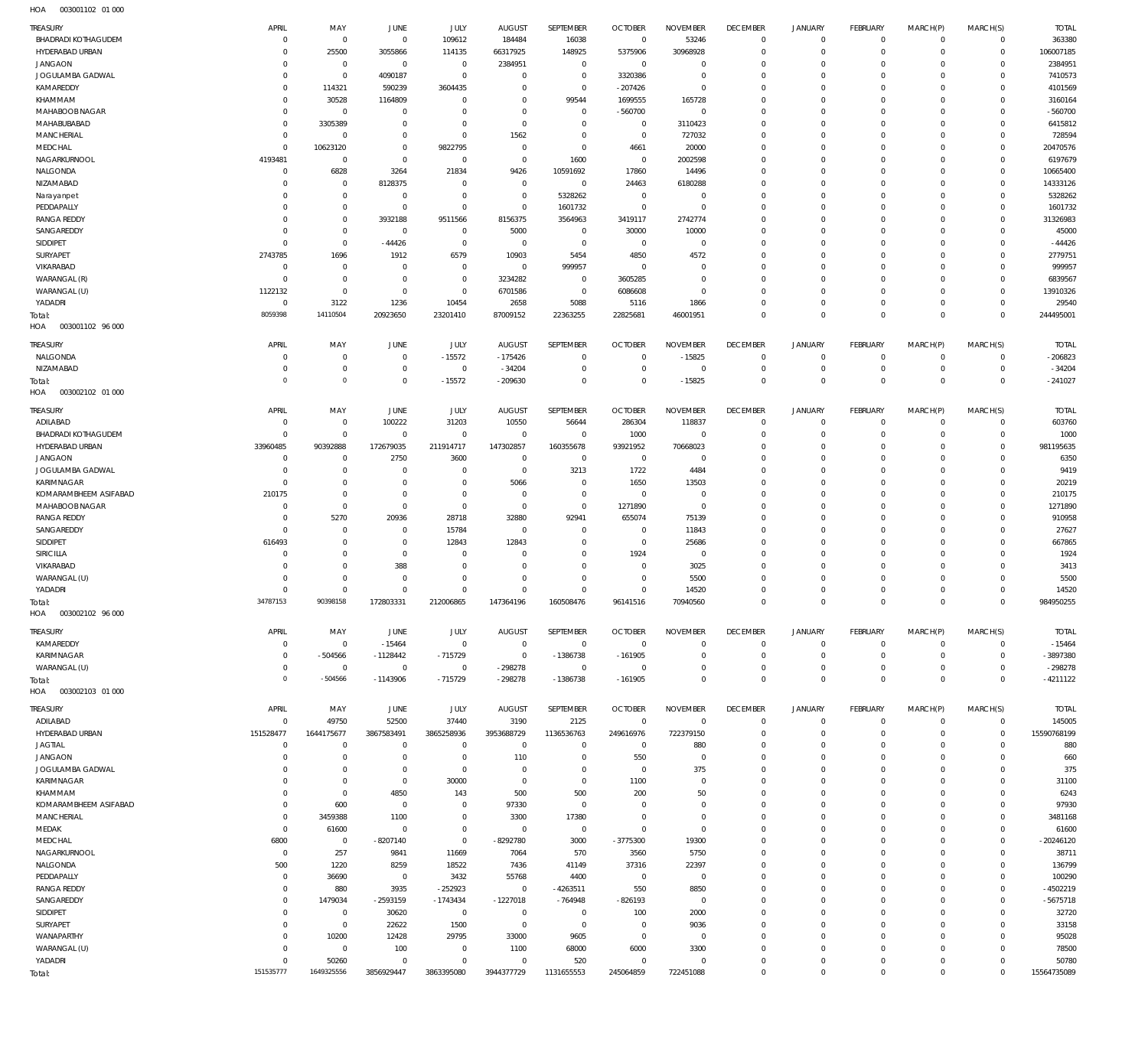| TREASURY                           | APRIL                            | MAY                           | JUNE                             | JULY                       | <b>AUGUST</b>                   | SEPTEMBER                  | <b>OCTOBER</b>                   | <b>NOVEMBER</b>                | <b>DECEMBER</b>                   | <b>JANUARY</b>                | FEBRUARY                   | MARCH(P)                   | MARCH(S)                   | <b>TOTAL</b>             |
|------------------------------------|----------------------------------|-------------------------------|----------------------------------|----------------------------|---------------------------------|----------------------------|----------------------------------|--------------------------------|-----------------------------------|-------------------------------|----------------------------|----------------------------|----------------------------|--------------------------|
| <b>BHADRADI KOTHAGUDEM</b>         | $\overline{0}$                   | $\overline{0}$                | $\overline{0}$                   | 109612                     | 184484                          | 16038                      | $\overline{0}$                   | 53246                          | $\overline{0}$                    | $\mathbf 0$                   | $\overline{0}$             | $\mathbf 0$                | $\mathbf 0$                | 363380                   |
| HYDERABAD URBAN                    | $\circ$                          | 25500                         | 3055866                          | 114135                     | 66317925                        | 148925                     | 5375906                          | 30968928                       | $\mathbf 0$                       | $\mathbf 0$                   | $\overline{0}$             | $\mathbf 0$                | $\mathbf 0$                | 106007185                |
| <b>JANGAON</b><br>JOGULAMBA GADWAL | $^{\circ}$<br>$\overline{0}$     | $\overline{0}$<br>$\mathbf 0$ | $\overline{0}$<br>4090187        | $\mathbf 0$<br>$\mathbf 0$ | 2384951<br>$\mathbf 0$          | $\mathbf 0$<br>$\mathbf 0$ | $\overline{0}$<br>3320386        | $\mathbf 0$<br>$\mathbf 0$     | $\mathbf 0$<br>$\mathbf 0$        | $\mathbf 0$<br>$\mathbf 0$    | $\mathbf 0$<br>$\mathbf 0$ | $\Omega$<br>$\Omega$       | $\mathbf 0$<br>$\mathbf 0$ | 2384951<br>7410573       |
| KAMAREDDY                          | $\overline{0}$                   | 114321                        | 590239                           | 3604435                    | $\mathbf 0$                     | $\mathbf 0$                | $-207426$                        | $\mathbf 0$                    | $\mathbf 0$                       | $\mathbf 0$                   | $\mathbf 0$                | $\Omega$                   | $\Omega$                   | 4101569                  |
| KHAMMAM                            | $\mathbf 0$                      | 30528                         | 1164809                          | 0                          | $\mathbf 0$                     | 99544                      | 1699555                          | 165728                         | $\mathbf 0$                       | $\mathbf 0$                   | $\mathbf 0$                | $\Omega$                   | $\mathbf 0$                | 3160164                  |
| MAHABOOB NAGAR                     | $\mathbf 0$                      | $\overline{0}$                | $\overline{0}$                   | $\Omega$                   | $\mathbf 0$                     | $\mathbf 0$                | $-560700$                        | $\mathbf 0$                    | $\mathbf 0$                       | $\mathbf 0$                   | $\mathbf 0$                | $\Omega$                   | $\Omega$                   | $-560700$                |
| MAHABUBABAD                        | $\overline{0}$                   | 3305389                       | $\overline{0}$                   | $\mathbf 0$                | $\overline{0}$                  | $\mathbf 0$                | $\overline{0}$                   | 3110423                        | $\mathbf 0$                       | $\mathbf 0$                   | $\mathbf 0$                | $\Omega$                   | $\mathbf 0$                | 6415812                  |
| MANCHERIAL                         | $\overline{0}$                   | $\overline{0}$                | $\overline{0}$                   | $\mathbf 0$                | 1562                            | $\mathbf 0$                | $\overline{0}$                   | 727032                         | $\mathbf 0$                       | $\mathbf 0$                   | $\mathbf 0$                | $\Omega$                   | $\mathbf 0$                | 728594                   |
| MEDCHAL                            | $\overline{0}$                   | 10623120                      | $\overline{0}$                   | 9822795                    | $\overline{0}$                  | $\mathbf 0$                | 4661                             | 20000                          | $\mathbf 0$                       | $\mathbf 0$                   | $\mathbf 0$                | $\Omega$                   | $\mathbf 0$                | 20470576                 |
| NAGARKURNOOL<br>NALGONDA           | 4193481<br>$\overline{0}$        | $\overline{0}$<br>6828        | $\overline{0}$<br>3264           | $\mathbf 0$<br>21834       | $\overline{0}$<br>9426          | 1600<br>10591692           | $\overline{0}$<br>17860          | 2002598<br>14496               | $\mathbf 0$<br>$\mathbf 0$        | $\mathbf 0$<br>$\mathbf 0$    | $\mathbf 0$<br>$\mathbf 0$ | $\Omega$<br>$\Omega$       | $\mathbf 0$<br>$\mathbf 0$ | 6197679<br>10665400      |
| NIZAMABAD                          | $^{\circ}$                       | $\mathbf 0$                   | 8128375                          | $\mathbf 0$                | $\overline{0}$                  | $\,0\,$                    | 24463                            | 6180288                        | $\mathbf 0$                       | $\mathbf 0$                   | $\mathbf 0$                | $\Omega$                   | $\mathbf 0$                | 14333126                 |
| Narayanpet                         | $^{\circ}$                       | $\mathbf 0$                   | $\overline{0}$                   | $\mathbf 0$                | $\overline{0}$                  | 5328262                    | $\overline{0}$                   | 0                              | $\mathbf 0$                       | $\mathbf 0$                   | $\mathbf 0$                | $\Omega$                   | $\mathbf 0$                | 5328262                  |
| PEDDAPALLY                         | $\Omega$                         | $\mathbf 0$                   | $\overline{0}$                   | $\mathbf 0$                | $\overline{0}$                  | 1601732                    | $\overline{0}$                   | $\mathbf 0$                    | $\mathbf 0$                       | $\mathbf 0$                   | $\mathbf 0$                | $\Omega$                   | $\mathbf 0$                | 1601732                  |
| <b>RANGA REDDY</b>                 | $^{\circ}$                       | $\mathbf 0$                   | 3932188                          | 9511566                    | 8156375                         | 3564963                    | 3419117                          | 2742774                        | $\mathbf 0$                       | $\mathbf 0$                   | $\mathbf 0$                | $\Omega$                   | $\mathbf 0$                | 31326983                 |
| SANGAREDDY                         | $\circ$                          | $\mathbf 0$                   | $\overline{0}$                   | $\mathbf 0$                | 5000                            | $\overline{0}$             | 30000                            | 10000                          | $\mathbf 0$                       | $\mathbf 0$                   | $\mathbf 0$                | $\Omega$                   | $\mathbf 0$                | 45000                    |
| SIDDIPET<br>SURYAPET               | $\overline{0}$<br>2743785        | $\mathbf 0$<br>1696           | $-44426$<br>1912                 | $\mathbf 0$<br>6579        | $\overline{0}$<br>10903         | $\mathbf 0$<br>5454        | $\overline{0}$<br>4850           | $\mathbf 0$<br>4572            | $\mathbf 0$<br>$\mathbf 0$        | $\mathbf 0$<br>$\mathbf 0$    | $\mathbf 0$<br>$\mathbf 0$ | $\Omega$<br>$\Omega$       | $\mathbf 0$<br>$\mathbf 0$ | $-44426$<br>2779751      |
| VIKARABAD                          | $\overline{0}$                   | $\mathbf 0$                   | $\overline{0}$                   | $\mathbf 0$                | $\overline{0}$                  | 999957                     | $\overline{0}$                   | $\Omega$                       | $\mathbf 0$                       | $\mathbf 0$                   | $\mathbf 0$                | $\Omega$                   | $\mathbf 0$                | 999957                   |
| WARANGAL (R)                       | $\overline{0}$                   | $\mathbf 0$                   | $\overline{0}$                   | $\mathbf 0$                | 3234282                         | $^{\circ}$                 | 3605285                          | $\mathbf 0$                    | $\mathbf 0$                       | $\mathbf 0$                   | $\mathbf 0$                | $\Omega$                   | $\mathbf 0$                | 6839567                  |
| WARANGAL (U)                       | 1122132                          | $\mathbf 0$                   | $\overline{0}$                   | $\mathbf 0$                | 6701586                         | $\mathbf 0$                | 6086608                          | $\mathbf 0$                    | $\mathbf 0$                       | $\mathbf 0$                   | $\mathbf 0$                | $\Omega$                   | $\mathbf 0$                | 13910326                 |
| YADADRI                            | $\overline{0}$                   | 3122                          | 1236                             | 10454                      | 2658                            | 5088                       | 5116                             | 1866                           | $\mathbf 0$                       | $\mathbf 0$                   | $\mathbf 0$                | $\Omega$                   | $\mathbf 0$                | 29540                    |
| Total:                             | 8059398                          | 14110504                      | 20923650                         | 23201410                   | 87009152                        | 22363255                   | 22825681                         | 46001951                       | $\overline{0}$                    | $\mathbf 0$                   | $\overline{0}$             | $\mathbf 0$                | $\mathbf 0$                | 244495001                |
| HOA<br>003001102 96 000            |                                  |                               |                                  |                            |                                 |                            |                                  |                                |                                   |                               |                            |                            |                            |                          |
| TREASURY                           | APRIL                            | MAY                           | JUNE                             | JULY                       | <b>AUGUST</b>                   | SEPTEMBER                  | <b>OCTOBER</b>                   | <b>NOVEMBER</b>                | <b>DECEMBER</b>                   | <b>JANUARY</b>                | <b>FEBRUARY</b>            | MARCH(P)                   | MARCH(S)                   | <b>TOTAL</b>             |
| NALGONDA                           | 0                                | $\mathbf 0$                   | $\overline{0}$                   | $-15572$                   | $-175426$                       | $\mathbf 0$                | $\overline{0}$                   | $-15825$                       | $\overline{0}$                    | $\mathbf 0$                   | $\overline{0}$             | $\mathbf 0$                | $\mathbf 0$                | $-206823$                |
| NIZAMABAD                          | 0                                | $\mathbf 0$                   | $\overline{0}$                   | $\mathbf 0$                | $-34204$                        | $\mathbf 0$                | $\mathbf 0$                      | $\overline{0}$                 | $\overline{0}$                    | $\mathbf 0$                   | $\overline{0}$             | $\mathbf 0$                | $\mathbf 0$                | $-34204$                 |
| Total:<br>HOA<br>003002102 01 000  | $\mathbf 0$                      | $\mathbf 0$                   | $\overline{0}$                   | $-15572$                   | $-209630$                       | $\mathbf 0$                | $\overline{0}$                   | $-15825$                       | $\overline{0}$                    | $\mathbf 0$                   | $\overline{0}$             | $\mathbf 0$                | $\mathbf 0$                | $-241027$                |
|                                    |                                  |                               |                                  |                            |                                 |                            |                                  |                                |                                   |                               |                            |                            |                            |                          |
| TREASURY<br>ADILABAD               | APRIL<br>$\overline{0}$          | MAY<br>$\mathbf 0$            | JUNE<br>100222                   | JULY<br>31203              | <b>AUGUST</b><br>10550          | SEPTEMBER<br>56644         | <b>OCTOBER</b><br>286304         | <b>NOVEMBER</b><br>118837      | <b>DECEMBER</b><br>$\overline{0}$ | <b>JANUARY</b><br>$\mathbf 0$ | FEBRUARY<br>$\mathbf 0$    | MARCH(P)<br>$\mathbf 0$    | MARCH(S)<br>$\mathbf 0$    | <b>TOTAL</b><br>603760   |
| <b>BHADRADI KOTHAGUDEM</b>         | $\overline{0}$                   | $\mathbf 0$                   | $\overline{0}$                   | $\mathbf 0$                | $\mathbf 0$                     | $\mathbf 0$                | 1000                             | $\mathbf 0$                    | $\mathbf 0$                       | $\mathbf 0$                   | $\overline{0}$             | $\mathbf 0$                | $\mathbf 0$                | 1000                     |
| HYDERABAD URBAN                    | 33960485                         | 90392888                      | 172679035                        | 211914717                  | 147302857                       | 160355678                  | 93921952                         | 70668023                       | $\mathbf 0$                       | $\mathbf 0$                   | $\mathbf 0$                | 0                          | $\mathbf 0$                | 981195635                |
| <b>JANGAON</b>                     | $\overline{0}$                   | $\mathbf 0$                   | 2750                             | 3600                       | $\mathbf 0$                     | $\mathbf 0$                | $\overline{0}$                   | $\mathbf 0$                    | $\mathbf 0$                       | $\mathbf 0$                   | $\mathbf 0$                | $\Omega$                   | $\mathbf 0$                | 6350                     |
| JOGULAMBA GADWAL                   | $\overline{0}$                   | $\mathbf 0$                   | $\overline{0}$                   | $\mathbf 0$                | $\overline{0}$                  | 3213                       | 1722                             | 4484                           | $\mathbf 0$                       | $\mathbf 0$                   | $\mathbf 0$                | $\Omega$                   | $\mathbf 0$                | 9419                     |
| KARIMNAGAR                         | $\overline{0}$                   | $\mathbf 0$                   | $\overline{0}$                   | $\mathbf 0$                | 5066                            | $\mathbf 0$                | 1650                             | 13503                          | $\mathbf 0$                       | $\mathbf 0$                   | $\mathbf 0$                | $\Omega$                   | $\mathbf 0$                | 20219                    |
| KOMARAMBHEEM ASIFABAD              | 210175                           | $\mathbf 0$                   | $\overline{0}$                   | $\mathbf 0$                | $\overline{0}$                  | $\mathbf 0$                | $\overline{0}$                   | $\mathbf 0$                    | $\mathbf 0$                       | $\mathbf 0$                   | $\mathbf 0$                | $\Omega$                   | $\mathbf 0$                | 210175                   |
| MAHABOOB NAGAR                     | $\overline{0}$                   | $\mathbf 0$                   | $\overline{0}$                   | $\mathbf 0$                | $\overline{0}$                  | $\mathbf 0$                | 1271890                          | $\mathbf 0$                    | $\mathbf 0$                       | $\mathbf 0$                   | $\mathbf 0$                | $\Omega$                   | $\mathbf 0$                | 1271890                  |
| <b>RANGA REDDY</b><br>SANGAREDDY   | $\overline{0}$<br>$\circ$        | 5270<br>$\mathbf 0$           | 20936<br>$\overline{0}$          | 28718<br>15784             | 32880<br>$\overline{0}$         | 92941<br>$\mathbf 0$       | 655074<br>$^{\circ}$             | 75139<br>11843                 | $\mathbf 0$<br>$\mathbf 0$        | $\mathbf 0$<br>$\mathbf 0$    | $\mathbf 0$<br>$\mathbf 0$ | $\Omega$<br>$\Omega$       | $\mathbf 0$<br>$\mathbf 0$ | 910958<br>27627          |
| SIDDIPET                           | 616493                           | $\mathbf 0$                   | $\overline{0}$                   | 12843                      | 12843                           | $\mathbf 0$                | $\overline{0}$                   | 25686                          | $\mathbf 0$                       | $\mathbf 0$                   | $\mathbf 0$                | $\Omega$                   | $\mathbf 0$                | 667865                   |
| SIRICILLA                          | $\mathbf 0$                      | $\mathbf 0$                   | $\overline{0}$                   | $\mathbf 0$                | $\mathbf 0$                     | $\mathbf 0$                | 1924                             | $\mathbf 0$                    | $\mathbf 0$                       | $\mathbf 0$                   | $\Omega$                   | $\Omega$                   | $\mathbf 0$                | 1924                     |
| VIKARABAD                          | $^{\circ}$                       | $\mathbf 0$                   | 388                              | $\mathbf 0$                | $\mathbf 0$                     | $\mathbf 0$                | $\overline{0}$                   | 3025                           | $\mathbf 0$                       | $\mathbf 0$                   | $\mathbf 0$                | $\Omega$                   | $\mathbf 0$                | 3413                     |
| WARANGAL (U)                       | $^{\circ}$                       | $\mathbf 0$                   | $\overline{0}$                   | $\mathbf 0$                | $\mathbf 0$                     | $\mathbf 0$                | $\overline{0}$                   | 5500                           | $\mathbf 0$                       | $\mathbf 0$                   | $\mathbf 0$                | $\Omega$                   | $\mathbf 0$                | 5500                     |
| YADADRI                            | $^{\circ}$                       | $\mathbf 0$                   | $\overline{0}$                   | $\Omega$                   | $\Omega$                        | $\Omega$                   | $\overline{0}$                   | 14520                          | $\mathbf 0$                       | $\mathbf 0$                   | $\mathbf 0$                | $\Omega$                   | $\mathbf 0$                | 14520                    |
| Total:<br>HOA<br>003002102 96 000  | 34787153                         | 90398158                      | 172803331                        | 212006865                  | 147364196                       | 160508476                  | 96141516                         | 70940560                       | $\mathbf 0$                       | $\mathbf 0$                   | $\mathbf 0$                | $\mathbf 0$                | $\mathbf 0$                | 984950255                |
|                                    |                                  |                               |                                  |                            |                                 |                            |                                  |                                |                                   |                               |                            |                            |                            |                          |
| TREASURY<br>KAMAREDDY              | APRIL<br>$\overline{0}$          | MAY<br>$\overline{0}$         | JUNE<br>$-15464$                 | JULY<br>$\mathbf 0$        | <b>AUGUST</b><br>$\overline{0}$ | SEPTEMBER<br>$\mathbf 0$   | <b>OCTOBER</b><br>$\overline{0}$ | <b>NOVEMBER</b><br>$\mathbf 0$ | <b>DECEMBER</b><br>$\overline{0}$ | <b>JANUARY</b><br>$\mathbf 0$ | FEBRUARY<br>$\overline{0}$ | MARCH(P)<br>$\mathbf 0$    | MARCH(S)<br>$\mathbf 0$    | <b>TOTAL</b><br>$-15464$ |
| KARIMNAGAR                         | $\overline{0}$                   | -504566                       | -1128442                         | $-715729$                  | $\overline{0}$                  | -1386738                   | $-161905$                        | $\mathbf 0$                    | $\mathbf 0$                       | $\mathbf 0$                   | $\overline{0}$             | $\mathbf 0$                | $\mathbf 0$                | -3897380                 |
| WARANGAL (U)                       | $\overline{0}$                   | $^{\circ}$                    | $\overline{0}$                   | $\mathbf 0$                | $-298278$                       | $\mathbf 0$                | $^{\circ}$                       | $\mathbf 0$                    | $\mathbf 0$                       | $\mathbf 0$                   | $\mathbf 0$                | $\mathbf 0$                | $\mathbf 0$                | $-298278$                |
| Total:                             | $\mathbf 0$                      | $-504566$                     | $-1143906$                       | $-715729$                  | $-298278$                       | -1386738                   | $-161905$                        | $\mathbf 0$                    | $\overline{0}$                    | $\mathbf 0$                   | $\overline{0}$             | $\mathbf 0$                | $\mathbf 0$                | $-4211122$               |
| HOA   003002103   01   000         |                                  |                               |                                  |                            |                                 |                            |                                  |                                |                                   |                               |                            |                            |                            |                          |
| TREASURY                           | APRIL                            | MAY                           | <b>JUNE</b>                      | JULY                       | <b>AUGUST</b>                   | SEPTEMBER                  | <b>OCTOBER</b>                   | <b>NOVEMBER</b>                | <b>DECEMBER</b>                   | <b>JANUARY</b>                | FEBRUARY                   | MARCH(P)                   | MARCH(S)                   | <b>TOTAL</b>             |
| ADILABAD                           | $\overline{0}$                   | 49750                         | 52500                            | 37440                      | 3190                            | 2125                       | $\overline{0}$                   | $\overline{0}$                 | $\overline{0}$                    | 0                             | $\overline{0}$             | $\mathbf 0$                | $\mathbf 0$                | 145005                   |
| HYDERABAD URBAN                    | 151528477                        | 1644175677                    | 3867583491                       | 3865258936                 | 3953688729                      | 1136536763                 | 249616976                        | 722379150                      | $\mathbf 0$                       | $\mathbf 0$                   | $\mathbf 0$                | $\mathbf 0$                | $\mathbf 0$                | 15590768199              |
| <b>JAGTIAL</b>                     | $\mathbf 0$                      | $\mathbf 0$                   | $\overline{0}$                   | $\mathbf 0$                | $\overline{0}$                  | $\mathbf 0$                | $\overline{0}$                   | 880                            | $\mathbf 0$                       | $\mathbf 0$                   | $\mathbf 0$                | $\mathbf 0$                | $\mathbf 0$                | 880                      |
| <b>JANGAON</b><br>JOGULAMBA GADWAL | 0<br>$^{\circ}$                  | $\mathbf 0$<br>$\mathbf 0$    | $\overline{0}$<br>$\overline{0}$ | $\mathbf 0$<br>$\mathbf 0$ | 110<br>$\overline{0}$           | $\mathbf 0$<br>$\mathbf 0$ | 550<br>$\overline{0}$            | $\mathbf 0$<br>375             | $\mathbf 0$<br>$\mathbf 0$        | $\mathbf 0$<br>$\mathbf 0$    | $\mathbf 0$<br>$\mathbf 0$ | 0<br>$\Omega$              | $\mathbf 0$<br>$\mathbf 0$ | 660<br>375               |
| KARIMNAGAR                         | $\mathbf 0$                      | $\mathbf 0$                   | $\overline{0}$                   | 30000                      | $^{\circ}$                      | $\mathbf 0$                | 1100                             | $\mathbf 0$                    | $\mathbf 0$                       | $\mathbf 0$                   | $\mathbf 0$                | $\Omega$                   | $\mathbf 0$                | 31100                    |
| KHAMMAM                            | $\mathbf 0$                      | $\mathbf 0$                   | 4850                             | 143                        | 500                             | 500                        | 200                              | 50                             | $\mathbf 0$                       | $\mathbf 0$                   | $\mathbf 0$                | 0                          | $\mathbf 0$                | 6243                     |
| KOMARAMBHEEM ASIFABAD              | $\mathbf 0$                      | 600                           | $\overline{0}$                   | $\mathbf 0$                | 97330                           | $\mathbf 0$                | $\overline{0}$                   | $\mathbf 0$                    | $\mathbf 0$                       | $\mathbf 0$                   | $\mathbf 0$                | $\Omega$                   | $\mathbf 0$                | 97930                    |
| MANCHERIAL                         | $\overline{0}$                   | 3459388                       | 1100                             | $\mathbf 0$                | 3300                            | 17380                      | $\overline{0}$                   | $\mathbf 0$                    | $\mathbf 0$                       | $\mathbf 0$                   | $\mathbf 0$                | 0                          | $\mathbf 0$                | 3481168                  |
| MEDAK                              | $\overline{0}$                   | 61600                         | $\overline{0}$                   | $\mathbf 0$                | $\overline{0}$                  | $\overline{0}$             | $\overline{0}$                   | $\mathbf 0$                    | $\mathbf 0$                       | $\mathbf 0$                   | $\mathbf 0$                | $\Omega$                   | $\mathbf 0$                | 61600                    |
| MEDCHAL                            | 6800                             | $\overline{0}$                | $-8207140$                       | $\mathbf 0$                | $-8292780$                      | 3000                       | $-3775300$                       | 19300                          | $\mathbf 0$                       | $\mathbf 0$                   | $\mathbf 0$                | $\Omega$                   | $\mathbf 0$                | $-20246120$              |
| NAGARKURNOOL<br>NALGONDA           | $\overline{0}$<br>500            | 257<br>1220                   | 9841<br>8259                     | 11669<br>18522             | 7064<br>7436                    | 570<br>41149               | 3560<br>37316                    | 5750<br>22397                  | $\mathbf 0$<br>$\mathbf 0$        | $\mathbf 0$<br>$\mathbf 0$    | $\mathbf 0$<br>$\mathbf 0$ | $\Omega$<br>$\Omega$       | $\mathbf 0$<br>$\mathbf 0$ | 38711<br>136799          |
| PEDDAPALLY                         | $\overline{0}$                   | 36690                         | $\overline{0}$                   | 3432                       | 55768                           | 4400                       | $\overline{0}$                   | $\mathbf 0$                    | $\mathbf 0$                       | $\mathbf 0$                   | $\mathbf 0$                | $\Omega$                   | $\mathbf 0$                | 100290                   |
| <b>RANGA REDDY</b>                 | $^{\circ}$                       | 880                           | 3935                             | $-252923$                  | $\overline{0}$                  | $-4263511$                 | 550                              | 8850                           | $\mathbf 0$                       | $\mathbf 0$                   | $\mathbf 0$                | 0                          | $\mathbf 0$                | $-4502219$               |
| SANGAREDDY                         | $\overline{0}$                   | 1479034                       | -2593159                         | $-1743434$                 | $-1227018$                      | $-764948$                  | $-826193$                        | $\mathbf 0$                    | $\mathbf 0$                       | $\mathbf 0$                   | $\mathbf 0$                | $\Omega$                   | $\mathbf 0$                | $-5675718$               |
| SIDDIPET                           | $\overline{0}$                   | $\overline{0}$                | 30620                            | $\overline{0}$             | $\overline{0}$                  | $\mathbf 0$                | 100                              | 2000                           | $\mathbf 0$                       | $\mathbf 0$                   | $\mathbf 0$                | 0                          | $\mathbf 0$                | 32720                    |
| SURYAPET                           | $\mathbf 0$                      | $\mathbf 0$                   | 22622                            | 1500                       | $\overline{0}$                  | $\mathbf 0$                | $\overline{0}$                   | 9036                           | $\mathbf 0$                       | $\mathbf 0$                   | $\mathbf 0$                | $\Omega$                   | $\mathbf 0$                | 33158                    |
| WANAPARTHY                         | $\mathbf 0$                      | 10200                         | 12428                            | 29795                      | 33000                           | 9605                       | $\overline{0}$                   | $\mathbf 0$                    | $\mathbf 0$                       | $\mathbf 0$                   | $\mathbf 0$                | $\Omega$                   | $\mathbf 0$                | 95028                    |
| WARANGAL (U)<br>YADADRI            | $\overline{0}$<br>$\overline{0}$ | $\overline{0}$<br>50260       | 100<br>$\overline{0}$            | $\mathbf 0$<br>$\mathbf 0$ | 1100<br>$\mathbf 0$             | 68000<br>520               | 6000<br>$\overline{0}$           | 3300<br>$\Omega$               | $\mathbf 0$<br>$\mathbf 0$        | $\mathbf 0$<br>$\mathbf 0$    | $\mathbf 0$<br>$\mathbf 0$ | $\mathbf 0$<br>$\mathbf 0$ | $\mathbf 0$<br>$\mathbf 0$ | 78500<br>50780           |
| Total:                             | 151535777                        | 1649325556                    | 3856929447                       | 3863395080                 | 3944377729                      | 1131655553                 | 245064859                        | 722451088                      | $\mathbf{0}$                      | $\mathbf 0$                   | $\mathbf 0$                | $\mathbf 0$                | $\mathbf 0$                | 15564735089              |
|                                    |                                  |                               |                                  |                            |                                 |                            |                                  |                                |                                   |                               |                            |                            |                            |                          |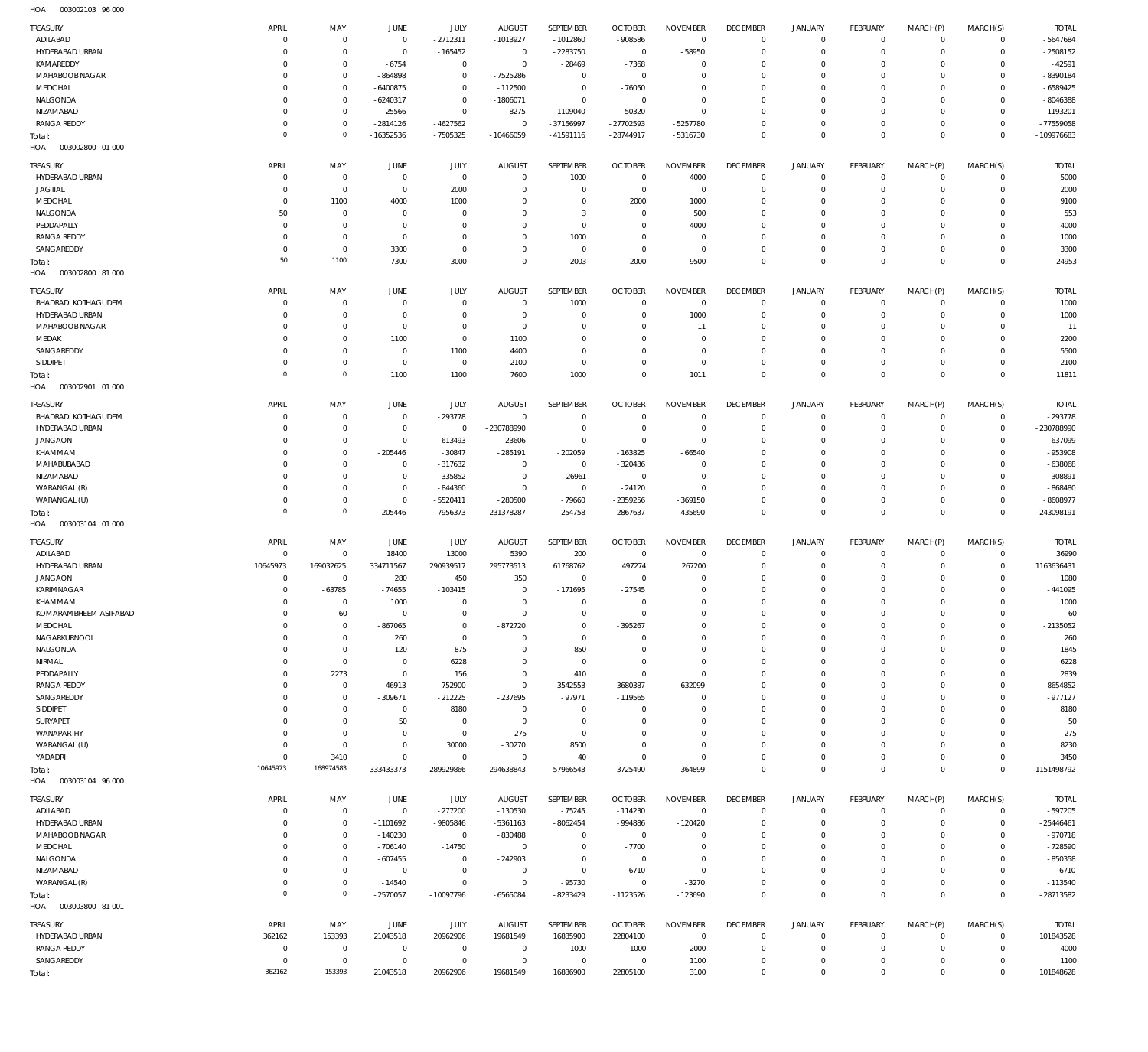003002103 96 000 HOA

| TREASURY                              | APRIL                | MAY                                | <b>JUNE</b>                 | JULY                     | <b>AUGUST</b>                    | SEPTEMBER                  | <b>OCTOBER</b>              | <b>NOVEMBER</b>                   | <b>DECEMBER</b>                   | <b>JANUARY</b>               | <b>FEBRUARY</b>                | MARCH(P)                     | MARCH(S)                | <b>TOTAL</b>              |
|---------------------------------------|----------------------|------------------------------------|-----------------------------|--------------------------|----------------------------------|----------------------------|-----------------------------|-----------------------------------|-----------------------------------|------------------------------|--------------------------------|------------------------------|-------------------------|---------------------------|
| ADILABAD                              | $^{\circ}$           | $\mathbb O$                        | $\overline{0}$              | $-2712311$               | $-1013927$                       | $-1012860$                 | -908586                     | $\overline{0}$                    | $\overline{0}$                    | 0                            | $^{\circ}$                     | $\circ$                      | $\Omega$                | $-5647684$                |
| HYDERABAD URBAN                       | 0                    | $\mathbb O$                        | $\overline{0}$              | $-165452$                | $\overline{0}$                   | $-2283750$                 | $\overline{0}$              | $-58950$                          | $\overline{0}$                    | $\mathbf 0$                  | $\mathbf{0}$                   | $\Omega$                     | $\mathbf 0$             | $-2508152$                |
| KAMAREDDY                             | 0                    | $\mathbb O$                        | $-6754$                     | $\mathbf 0$              | $\overline{0}$                   | $-28469$                   | $-7368$                     | 0                                 | $\mathbf 0$                       | $\circ$                      | $\mathbf{0}$                   | $\Omega$                     | $\Omega$                | $-42591$                  |
| MAHABOOB NAGAR                        | 0                    | $\mathbb O$                        | $-864898$                   | $\mathbf 0$              | $-7525286$                       | $\mathbf 0$                | $\overline{0}$              | 0                                 | $\overline{0}$                    | $\mathbf 0$                  | $^{\circ}$                     |                              | $\Omega$                | -8390184                  |
| MEDCHAL                               | 0                    | $\mathbb O$                        | $-6400875$                  | $\mathbf 0$              | $-112500$                        | $\mathbf 0$                | $-76050$                    | 0                                 | $\overline{0}$                    | $\mathbf 0$                  | $\mathbf{0}$                   | $\Omega$                     | $\Omega$                | $-6589425$                |
| NALGONDA                              | 0                    | $\mathbb O$                        | $-6240317$                  | $\mathbf 0$              | $-1806071$                       | $\mathbf 0$                | $\overline{0}$              | 0                                 | $\overline{0}$                    | $\mathbf 0$                  | $^{\circ}$                     | $\Omega$                     | $\Omega$                | $-8046388$                |
| NIZAMABAD                             | $\mathbf 0$          | $\mathbb O$                        | $-25566$                    | $\mathbf 0$              | $-8275$                          | $-1109040$                 | $-50320$                    | $\Omega$                          | $\overline{0}$                    | $\mathbf 0$                  | $\mathbf{0}$                   | $\Omega$                     | $\Omega$                | $-1193201$                |
| <b>RANGA REDDY</b>                    | 0<br>$\overline{0}$  | $\mathbb O$<br>$\mathbb O$         | $-2814126$                  | $-4627562$               | $\overline{0}$                   | $-37156997$                | $-27702593$                 | $-5257780$                        | $\overline{0}$<br>$\overline{0}$  | $\mathbf 0$<br>$\mathbf 0$   | $\mathbf{0}$<br>$\overline{0}$ | $\Omega$                     | $\Omega$                | -77559058                 |
| Total:<br>003002800 01 000<br>HOA     |                      |                                    | $-16352536$                 | $-7505325$               | $-10466059$                      | $-41591116$                | $-28744917$                 | $-5316730$                        |                                   |                              |                                | $\Omega$                     | $\mathbb O$             | $-109976683$              |
|                                       |                      |                                    |                             |                          |                                  |                            |                             |                                   |                                   |                              |                                |                              |                         |                           |
| TREASURY                              | APRIL                | MAY                                | JUNE                        | JULY                     | <b>AUGUST</b>                    | SEPTEMBER                  | <b>OCTOBER</b>              | <b>NOVEMBER</b>                   | <b>DECEMBER</b>                   | <b>JANUARY</b>               | <b>FEBRUARY</b>                | MARCH(P)                     | MARCH(S)                | <b>TOTAL</b>              |
| HYDERABAD URBAN                       | 0                    | $\mathbf 0$                        | $\mathbf 0$                 | $\mathbf 0$              | $\overline{0}$                   | 1000                       | $\overline{0}$              | 4000                              | $\overline{0}$                    | $\circ$                      | $^{\circ}$                     | $^{\circ}$                   | $\mathbf 0$             | 5000                      |
| <b>JAGTIAL</b>                        | 0                    | $\mathbb O$                        | $\overline{0}$              | 2000                     | $\mathbf 0$<br>$\Omega$          | $\mathbf 0$<br>$\mathbf 0$ | $\overline{0}$              | $\mathbf 0$                       | $\mathbf 0$<br>$\mathbf 0$        | $\mathbf 0$                  | $\mathbf{0}$<br>$\mathbf{0}$   | $\Omega$                     | $\mathbf 0$<br>$\Omega$ | 2000                      |
| MEDCHAL<br>NALGONDA                   | 0<br>50              | 1100<br>$\mathbf 0$                | 4000<br>$\overline{0}$      | 1000<br>$\mathbf 0$      | $\mathbf 0$                      | 3                          | 2000<br>$\overline{0}$      | 1000<br>500                       | $\mathbf 0$                       | $\circ$<br>$\mathbf 0$       | $\mathbf{0}$                   | $\Omega$<br>$\Omega$         | $\mathbf 0$             | 9100<br>553               |
| PEDDAPALLY                            | $\mathbf 0$          | $\mathbf 0$                        | $\overline{0}$              | $\mathbf 0$              | $\mathbf 0$                      | $\mathbf 0$                | $\overline{0}$              | 4000                              | $\mathbf 0$                       | $\mathbf 0$                  | $\mathbf{0}$                   | $\Omega$                     | $\Omega$                | 4000                      |
| <b>RANGA REDDY</b>                    | 0                    | $\mathbf 0$                        | $\overline{0}$              | $\mathbf 0$              | $\mathbf 0$                      | 1000                       | $\overline{0}$              | $\overline{0}$                    | $\overline{0}$                    | $\mathbf 0$                  | $\mathbf{0}$                   | $\Omega$                     | $\mathbf 0$             | 1000                      |
| SANGAREDDY                            | $\mathbf 0$          | $\mathbf 0$                        | 3300                        | $\mathbf 0$              | $\mathbf 0$                      | $\mathbf 0$                | $\overline{0}$              | $\mathbf{0}$                      | $\overline{0}$                    | $\mathbf 0$                  | $\mathbf{0}$                   | $\Omega$                     | $\Omega$                | 3300                      |
| Total:                                | 50                   | 1100                               | 7300                        | 3000                     | $\overline{0}$                   | 2003                       | 2000                        | 9500                              | $\overline{0}$                    | $\mathbf 0$                  | $\mathbb O$                    | $\Omega$                     | $\mathbf 0$             | 24953                     |
| HOA<br>003002800 81 000               |                      |                                    |                             |                          |                                  |                            |                             |                                   |                                   |                              |                                |                              |                         |                           |
| TREASURY                              | APRIL                | MAY                                | JUNE                        | JULY                     | <b>AUGUST</b>                    | SEPTEMBER                  | <b>OCTOBER</b>              | <b>NOVEMBER</b>                   | <b>DECEMBER</b>                   | JANUARY                      | <b>FEBRUARY</b>                | MARCH(P)                     | MARCH(S)                | <b>TOTAL</b>              |
| BHADRADI KOTHAGUDEM                   | 0                    | $\mathbf 0$                        | 0                           | $\mathbf 0$              | $\overline{0}$                   | 1000                       | $\overline{0}$              | $\mathbf{0}$                      | $\mathbf{0}$                      | $\mathbf 0$                  | $^{\circ}$                     | $\circ$                      | $\Omega$                | 1000                      |
| HYDERABAD URBAN                       | 0                    | $\mathbf 0$                        | $\overline{0}$              | $\mathbf 0$              | $^{\circ}$                       | $\mathbf 0$                | $\overline{0}$              | 1000                              | $\overline{0}$                    | $\circ$                      | $\mathbf{0}$                   | $\circ$                      | $\mathbf 0$             | 1000                      |
| MAHABOOB NAGAR                        | 0                    | $\mathbb O$                        | $\overline{0}$              | $\mathbf 0$              | $\overline{0}$                   | $\mathbf 0$                | $\overline{0}$              | -11                               | $\overline{0}$                    | $\mathbf 0$                  | $\mathbf{0}$                   | $\Omega$                     | $\Omega$                | 11                        |
| MEDAK                                 | 0                    | $\mathbf 0$                        | 1100                        | $\mathbf 0$              | 1100                             | $\mathbf 0$                | $\overline{0}$              | $\mathbf 0$                       | $\overline{0}$                    | $\mathbf 0$                  | $^{\circ}$                     | $\Omega$                     | $\Omega$                | 2200                      |
| SANGAREDDY                            | 0                    | $\mathbb O$                        | $\mathbf 0$                 | 1100                     | 4400                             | $\mathbf 0$                | $\overline{0}$              | 0                                 | $\mathbf 0$                       | $\mathbf 0$                  | $\mathbf{0}$                   | $\Omega$                     | $\Omega$                | 5500                      |
| SIDDIPET                              | $\mathbf 0$          | $\mathbf 0$                        | $\overline{0}$              | $\mathbf 0$              | 2100                             | $\mathbf 0$                | $\overline{0}$              | $\mathbf 0$                       | $\overline{0}$                    | $\mathbf 0$                  | $\mathbf{0}$                   | $\Omega$                     | $\Omega$                | 2100                      |
| Total:                                | $\overline{0}$       | $\mathbb O$                        | 1100                        | 1100                     | 7600                             | 1000                       | $\overline{0}$              | 1011                              | $\overline{0}$                    | $\mathbf 0$                  | $\overline{0}$                 | $\Omega$                     | $\mathbf 0$             | 11811                     |
| HOA<br>003002901 01 000               |                      |                                    |                             |                          |                                  |                            |                             |                                   |                                   |                              |                                |                              |                         |                           |
| TREASURY                              | APRIL                | MAY                                | JUNE                        | JULY                     | AUGUST                           | SEPTEMBER                  | <b>OCTOBER</b>              | <b>NOVEMBER</b>                   | <b>DECEMBER</b>                   | <b>JANUARY</b>               | <b>FEBRUARY</b>                | MARCH(P)                     | MARCH(S)                | <b>TOTAL</b>              |
| <b>BHADRADI KOTHAGUDEM</b>            | 0                    | $\mathbf 0$                        | $\mathbf 0$                 | $-293778$                | $\overline{0}$                   | $\mathbf 0$                | $\overline{0}$              | $\mathbf 0$                       | $\overline{0}$                    | $\circ$                      | $^{\circ}$                     | $^{\circ}$                   | $\mathbf 0$             | $-293778$                 |
| HYDERABAD URBAN                       | 0                    | $\mathbb O$                        | $\mathbf 0$                 | $\mathbf 0$              | -230788990                       | $\mathbf 0$                | $\overline{0}$              | $\mathbf 0$                       | $\overline{0}$                    | $^{\circ}$                   | $\mathbf{0}$                   | $\Omega$                     | $\mathbf 0$             | -230788990                |
| <b>JANGAON</b>                        | 0                    | $\mathbf 0$                        | $\overline{0}$              | $-613493$                | $-23606$                         | $\mathbf 0$                | $\overline{0}$              | $\mathbf 0$                       | $\mathbf{0}$                      | $\circ$                      | $\mathbf{0}$                   | $\Omega$                     | $\Omega$                | $-637099$                 |
| KHAMMAM                               | 0                    | $\mathbb O$                        | $-205446$                   | $-30847$                 | $-285191$                        | $-202059$                  | $-163825$                   | $-66540$                          | $\overline{0}$                    | $\mathbf 0$                  | $\mathbf{0}$                   | $\Omega$                     | $\mathbf 0$             | -953908                   |
| MAHABUBABAD<br>NIZAMABAD              | 0                    | $\mathbf 0$<br>$\mathbf 0$         | $\mathbf 0$<br>$\mathbf 0$  | $-317632$<br>$-335852$   | $\overline{0}$<br>$\overline{0}$ | $\mathbf 0$                | $-320436$<br>$\overline{0}$ | $\mathbf 0$<br>$\mathbf 0$        | $\overline{0}$<br>$\overline{0}$  | $\mathbf 0$<br>$\mathbf 0$   | $\mathbf{0}$<br>$\mathbf{0}$   | $\Omega$<br>$\Omega$         | $\Omega$<br>$\mathbf 0$ | $-638068$<br>$-308891$    |
| WARANGAL (R)                          | 0<br>0               | $\mathbf 0$                        | $\overline{0}$              | $-844360$                | $\overline{0}$                   | 26961<br>$^{\circ}$        | $-24120$                    | $\mathbf 0$                       | $\mathbf{0}$                      | $\mathbf 0$                  | $\mathbf{0}$                   | $\Omega$                     | $\Omega$                | $-868480$                 |
|                                       |                      |                                    |                             |                          |                                  |                            |                             |                                   |                                   |                              | $\mathbf{0}$                   |                              | $\mathbf 0$             | $-8608977$                |
|                                       |                      |                                    |                             |                          |                                  |                            |                             |                                   |                                   |                              |                                |                              |                         |                           |
| WARANGAL (U)                          | 0<br>$\Omega$        | $\mathbb O$<br>$\mathbf 0$         | $\mathbf{0}$<br>$-205446$   | $-5520411$<br>$-7956373$ | $-280500$<br>-231378287          | $-79660$<br>$-254758$      | -2359256<br>-2867637        | $-369150$<br>-435690              | $\mathbf{0}$<br>$\overline{0}$    | $\mathbf 0$<br>$\mathbf 0$   | $\mathbb O$                    | $^{\circ}$<br>$\overline{0}$ | $\mathbb O$             | -243098191                |
| Total:<br>HOA<br>003003104 01 000     |                      |                                    |                             |                          |                                  |                            |                             |                                   |                                   |                              |                                |                              |                         |                           |
|                                       |                      |                                    |                             |                          |                                  |                            |                             |                                   |                                   |                              |                                |                              |                         |                           |
| TREASURY                              | APRIL<br>$\mathbf 0$ | MAY                                | JUNE                        | JULY                     | <b>AUGUST</b>                    | SEPTEMBER                  | <b>OCTOBER</b>              | <b>NOVEMBER</b><br>$\mathbf{0}$   | <b>DECEMBER</b><br>$\mathbf{0}$   | <b>JANUARY</b><br>$^{\circ}$ | <b>FEBRUARY</b><br>$^{\circ}$  | MARCH(P)<br>$\circ$          | MARCH(S)<br>$\mathbf 0$ | <b>TOTAL</b>              |
| ADILABAD<br>HYDERABAD URBAN           | 10645973             | $\mathbb O$<br>169032625           | 18400<br>334711567          | 13000<br>290939517       | 5390<br>295773513                | 200<br>61768762            | $\overline{0}$<br>497274    | 267200                            | $\overline{0}$                    | $\circ$                      | $^{\circ}$                     | $\circ$                      | $\mathbf 0$             | 36990<br>1163636431       |
| <b>JANGAON</b>                        | $\mathbf 0$          | $\mathbf 0$                        | 280                         | 450                      | 350                              | $^{\circ}$                 | $\overline{0}$              | $\mathbf 0$                       | $\overline{0}$                    | $\mathbf 0$                  | $^{\circ}$                     | $\Omega$                     | $\Omega$                | 1080                      |
| KARIMNAGAR                            | $\mathbf 0$          | $-63785$                           | $-74655$                    | $-103415$                | $\overline{0}$                   | $-171695$                  | $-27545$                    | 0                                 | $\overline{0}$                    | $\mathbf 0$                  | $^{\circ}$                     | $\Omega$                     | $\Omega$                | $-441095$                 |
| KHAMMAM                               | $\mathbf 0$          | $\mathbf 0$                        | 1000                        | $\mathbf 0$              | $\mathbf 0$                      | $\mathbf 0$                | $\overline{0}$              | $\mathbf 0$                       | $\overline{0}$                    | $\mathbf 0$                  | $\mathbf 0$                    | $\Omega$                     | $\Omega$                | 1000                      |
| KOMARAMBHEEM ASIFABAD                 | 0                    | 60                                 | $\circ$                     | 0                        | 0                                | 0                          | $\overline{0}$              | 0                                 | $\circ$                           | 0                            | $\circ$                        | 0                            | $\circ$                 | 60                        |
| MEDCHAL                               | 0                    | $\mathbf 0$                        | $-867065$                   | $\mathbf 0$              | $-872720$                        | $\mathbf 0$                | $-395267$                   | $\mathbf 0$                       | $\overline{0}$                    | $\mathbf 0$                  | $\mathbf{0}$                   | $\Omega$                     | $\mathbf 0$             | $-2135052$                |
| NAGARKURNOOL                          | $^{\circ}$           | $\mathbf 0$                        | 260                         | $\mathbf 0$              | $\overline{0}$                   | $\mathbf 0$                | $^{\circ}$                  | $\mathbf 0$                       | $\mathbf{0}$                      | $\circ$                      | $\mathbf{0}$                   | $\Omega$                     | $\Omega$                | 260                       |
| NALGONDA                              | $^{\circ}$           | $\mathbb O$                        | 120                         | 875                      | $\overline{0}$                   | 850                        | $\overline{0}$              | $\mathbf 0$                       | $\overline{0}$                    | $\mathbf 0$                  | $\mathbf{0}$                   | $\Omega$                     | $\Omega$                | 1845                      |
| NIRMAL                                | $\mathbf 0$          | $\mathbf 0$                        | $\overline{0}$              | 6228                     | $\overline{0}$                   | $\overline{0}$             | $\overline{0}$              | $\mathbf 0$                       | $\mathbf{0}$                      | $\mathbf 0$                  | $\mathbf{0}$                   | $\Omega$                     | $\Omega$                | 6228                      |
| PEDDAPALLY                            | 0<br>$^{\circ}$      | 2273<br>$\mathbb O$                | $\overline{0}$              | 156                      | $\overline{0}$<br>$\mathbb O$    | 410                        | $\overline{0}$              | $\mathbf 0$                       | $\overline{0}$<br>$\mathbf{0}$    | $\mathbf 0$<br>$\mathbf 0$   | $\mathbf{0}$<br>$\mathbf{0}$   | $\Omega$<br>$\Omega$         | $\Omega$<br>$\Omega$    | 2839                      |
| <b>RANGA REDDY</b><br>SANGAREDDY      | 0                    | $\mathbb O$                        | $-46913$<br>$-309671$       | $-752900$<br>$-212225$   | $-237695$                        | $-3542553$<br>$-97971$     | -3680387<br>$-119565$       | $-632099$<br>0                    | $\overline{0}$                    | $\mathbf 0$                  | $^{\circ}$                     |                              | $\Omega$                | $-8654852$<br>$-977127$   |
| SIDDIPET                              | $^{\circ}$           | $\mathbb O$                        | $\mathbf 0$                 | 8180                     | $\overline{0}$                   | $^{\circ}$                 | $\overline{0}$              | 0                                 | $\mathbf{0}$                      | $\mathbf 0$                  | $\mathbf{0}$                   | $\Omega$                     | $\Omega$                | 8180                      |
| SURYAPET                              | $^{\circ}$           | $\mathbb O$                        | 50                          | $\mathbf 0$              | $\overline{0}$                   | $\mathbf 0$                | $\overline{0}$              | 0                                 | $\overline{0}$                    | $\mathbf 0$                  | $^{\circ}$                     | $\Omega$                     | $\Omega$                | 50                        |
| WANAPARTHY                            | $^{\circ}$           | $\mathbf 0$                        | $\overline{0}$              | $\mathbf 0$              | 275                              | $\mathbf 0$                | $\overline{0}$              | 0                                 | $\mathbf{0}$                      | $\mathbf 0$                  | $\mathbf{0}$                   | $\Omega$                     | $\Omega$                | 275                       |
| WARANGAL (U)                          | $^{\circ}$           | $\mathbf 0$                        | $\mathbf{0}$                | 30000                    | $-30270$                         | 8500                       | $\overline{0}$              | $\mathbf 0$                       | $\mathbf{0}$                      | $\mathbf 0$                  | $\mathbf{0}$                   | $\Omega$                     | $\Omega$                | 8230                      |
| YADADRI                               | $^{\circ}$           | 3410                               | $\mathbf 0$                 | $\mathbf 0$              | $\overline{0}$                   | 40                         | $\overline{0}$              | $\mathbf 0$                       | $\mathbf{0}$                      | $\mathbb O$                  | $\mathbf 0$                    | 0                            | $\mathbf 0$             | 3450                      |
| Total:                                | 10645973             | 168974583                          | 333433373                   | 289929866                | 294638843                        | 57966543                   | $-3725490$                  | -364899                           | $\mathbb O$                       | $\overline{0}$               | $\mathbb O$                    | $^{\circ}$                   | $\mathbb O$             | 1151498792                |
| HOA<br>003003104 96 000               |                      |                                    |                             |                          |                                  |                            |                             |                                   |                                   |                              |                                |                              |                         |                           |
| TREASURY                              | APRIL                | MAY                                | JUNE                        | JULY                     | <b>AUGUST</b>                    | SEPTEMBER                  | <b>OCTOBER</b>              | <b>NOVEMBER</b>                   | <b>DECEMBER</b>                   | <b>JANUARY</b>               | <b>FEBRUARY</b>                | MARCH(P)                     | MARCH(S)                | <b>TOTAL</b>              |
| ADILABAD                              | 0                    | $\mathbf 0$                        | $\overline{0}$              | $-277200$                | $-130530$                        | $-75245$                   | $-114230$                   | $\overline{0}$                    | $\mathbf{0}$                      | $\circ$                      | $\mathbf{0}$                   | $^{\circ}$                   | $\mathbf 0$             | $-597205$                 |
| HYDERABAD URBAN                       | 0                    | $\mathbf 0$                        | $-1101692$                  | -9805846                 | $-5361163$                       | $-8062454$                 | -994886                     | $-120420$                         | $\mathbf{0}$                      | $\mathbf 0$                  | $\mathbf{0}$                   | $^{\circ}$                   | $\mathbf 0$             | $-25446461$               |
| MAHABOOB NAGAR                        | 0                    | $\mathbb O$                        | $-140230$                   | $\mathbf 0$              | $-830488$                        | $\mathbf 0$                | $\overline{0}$              | 0                                 | $\mathbf{0}$                      | $\mathbf 0$                  | $^{\circ}$                     | $\Omega$                     | $\mathbf 0$             | $-970718$                 |
| MEDCHAL                               | 0<br>0               | $\mathbb O$                        | $-706140$                   | $-14750$<br>$\mathbf 0$  | $\mathbf 0$                      | $\mathbf 0$<br>$\mathbf 0$ | $-7700$                     | $\mathbf 0$<br>$\mathbf 0$        | $\mathbf{0}$<br>$\mathbf{0}$      | $\mathbf 0$<br>$\mathbf 0$   | $\mathbf{0}$<br>$^{\circ}$     | $\Omega$<br>$\Omega$         | $\Omega$<br>$\mathbf 0$ | $-728590$                 |
| NALGONDA<br>NIZAMABAD                 | $\mathbf 0$          | $\mathbb O$<br>$\mathsf{O}\xspace$ | $-607455$<br>$\overline{0}$ | $\mathbf 0$              | $-242903$<br>$\overline{0}$      | $\mathbf 0$                | $\overline{0}$<br>$-6710$   | $\mathbf 0$                       | $\mathbf{0}$                      | $\mathbf 0$                  | $\mathbf{0}$                   | $\Omega$                     | $\Omega$                | $-850358$<br>$-6710$      |
| WARANGAL (R)                          | $\mathbf 0$          | $\mathbf 0$                        | $-14540$                    | $\mathbf 0$              | $\overline{0}$                   | $-95730$                   | $\overline{0}$              | $-3270$                           | $\mathbf{0}$                      | $\mathbf 0$                  | $\mathbf 0$                    | $^{\circ}$                   | $\mathbf 0$             | $-113540$                 |
| Total:                                | $\mathbf 0$          | $\mathbf 0$                        | $-2570057$                  | $-10097796$              | $-6565084$                       | $-8233429$                 | $-1123526$                  | $-123690$                         | $\mathbb O$                       | $\overline{0}$               | $\mathbb O$                    | $\mathbf 0$                  | $\mathbb O$             | -28713582                 |
| 003003800 81 001<br>HOA               |                      |                                    |                             |                          |                                  |                            |                             |                                   |                                   |                              |                                |                              |                         |                           |
|                                       |                      |                                    |                             |                          |                                  |                            |                             |                                   |                                   |                              |                                |                              |                         |                           |
| TREASURY                              | APRIL<br>362162      | MAY<br>153393                      | JUNE<br>21043518            | JULY<br>20962906         | AUGUST<br>19681549               | SEPTEMBER<br>16835900      | <b>OCTOBER</b><br>22804100  | <b>NOVEMBER</b><br>$\overline{0}$ | <b>DECEMBER</b><br>$\overline{0}$ | <b>JANUARY</b><br>$\circ$    | <b>FEBRUARY</b><br>$^{\circ}$  | MARCH(P)<br>$^{\circ}$       | MARCH(S)<br>$\mathbf 0$ | <b>TOTAL</b><br>101843528 |
| HYDERABAD URBAN<br><b>RANGA REDDY</b> | $\mathbf 0$          | $\overline{0}$                     | $\mathbf 0$                 | 0                        | $\overline{0}$                   | 1000                       | 1000                        | 2000                              | $\mathbf{0}$                      | $\mathbf 0$                  | $\mathbf{0}$                   | $\circ$                      | $\mathbf 0$             | 4000                      |
| SANGAREDDY                            | $\mathbf 0$          | $\mathbb O$                        | $\overline{0}$              | $\mathbf 0$              | $\overline{0}$                   | $\overline{0}$             | $\overline{0}$              | 1100                              | $\mathbf{0}$                      | $\circ$                      | $^{\circ}$                     | $\circ$                      | $\mathbf 0$             | 1100                      |
| Total:                                | 362162               | 153393                             | 21043518                    | 20962906                 | 19681549                         | 16836900                   | 22805100                    | 3100                              | $\mathbb O$                       | $\overline{0}$               | $\mathbb O$                    | $\mathbf 0$                  | $\mathbb O$             | 101848628                 |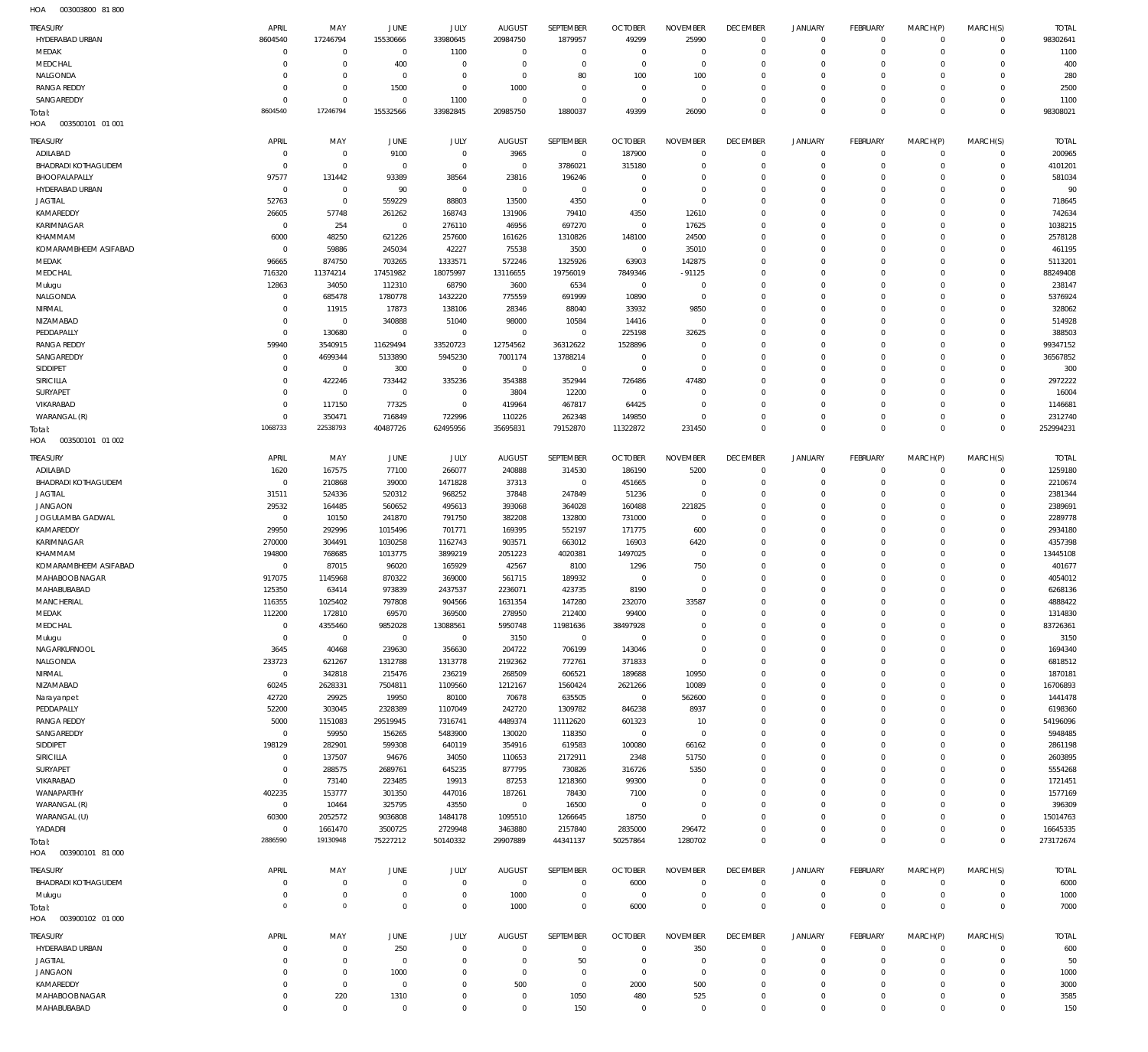003003800 81 800 HOA

| <b>TREASURY</b>                              | APRIL                        | MAY                              | JUNE                   | JULY                             | <b>AUGUST</b>            | SEPTEMBER                  | <b>OCTOBER</b>            | <b>NOVEMBER</b>            | <b>DECEMBER</b>            | <b>JANUARY</b>             | <b>FEBRUARY</b>            | MARCH(P)                   | MARCH(S)                   | <b>TOTAL</b>         |
|----------------------------------------------|------------------------------|----------------------------------|------------------------|----------------------------------|--------------------------|----------------------------|---------------------------|----------------------------|----------------------------|----------------------------|----------------------------|----------------------------|----------------------------|----------------------|
| HYDERABAD URBAN                              | 8604540                      | 17246794                         | 15530666               | 33980645                         | 20984750                 | 1879957                    | 49299                     | 25990                      | $^{\circ}$                 | $\circ$                    | $\mathbf 0$                | $\mathbf 0$                | $\mathbf 0$                | 98302641             |
| MEDAK<br>MEDCHAL                             | $\mathbf{0}$<br>$\mathbf 0$  | $\overline{0}$<br>$\overline{0}$ | $\overline{0}$<br>400  | 1100<br>$^{\circ}$               | $^{\circ}$<br>$^{\circ}$ | $^{\circ}$<br>$\mathbf{0}$ | $^{\circ}$<br>$\Omega$    | $\mathbf 0$<br>$\mathbf 0$ | $\mathbf 0$<br>$\mathbf 0$ | $\mathbf 0$<br>$\mathbf 0$ | $\mathbf 0$<br>$\mathbf 0$ | $\mathbf 0$<br>$\circ$     | $\mathbf 0$<br>$\mathbf 0$ | 1100<br>400          |
| NALGONDA                                     | $\mathbf 0$                  | $\mathbb O$                      | $\overline{0}$         | $\overline{0}$                   | $^{\circ}$               | 80                         | 100                       | 100                        | $\mathbf 0$                | $\mathbf 0$                | $\mathbf 0$                | $\mathbf 0$                | $\mathbf 0$                | 280                  |
| <b>RANGA REDDY</b>                           | $\mathbf 0$                  | $\mathbb O$                      | 1500                   | $\overline{0}$                   | 1000                     | $\mathbf{0}$               | $\Omega$                  | $\mathbf 0$                | $\Omega$                   | $\mathbf 0$                | $\Omega$                   | $\mathbf 0$                | $\mathbf 0$                | 2500                 |
| SANGAREDDY                                   | 0                            | $\overline{0}$                   | $\overline{0}$         | 1100                             | $^{\circ}$               | $^{\circ}$                 | $^{\circ}$                | $\mathbf 0$                | $\Omega$                   | $\mathbf 0$                | $\mathbf 0$                | $\mathbf 0$                | $\mathbf 0$                | 1100                 |
| Total:                                       | 8604540                      | 17246794                         | 15532566               | 33982845                         | 20985750                 | 1880037                    | 49399                     | 26090                      | $\mathbf 0$                | $\mathbb O$                | $\Omega$                   | $\mathbf 0$                | $\mathbf 0$                | 98308021             |
| 003500101 01 001<br>HOA                      |                              |                                  |                        |                                  |                          |                            |                           |                            |                            |                            |                            |                            |                            |                      |
| TREASURY                                     | APRIL                        | MAY                              | JUNE                   | <b>JULY</b>                      | <b>AUGUST</b>            | SEPTEMBER                  | <b>OCTOBER</b>            | <b>NOVEMBER</b>            | <b>DECEMBER</b>            | <b>JANUARY</b>             | FEBRUARY                   | MARCH(P)                   | MARCH(S)                   | <b>TOTAL</b>         |
| ADILABAD<br><b>BHADRADI KOTHAGUDEM</b>       | $\mathbf{0}$<br>$\mathbf{0}$ | $\overline{0}$<br>$\overline{0}$ | 9100<br>$^{\circ}$     | $\overline{0}$<br>$\overline{0}$ | 3965                     | $^{\circ}$                 | 187900<br>315180          | $\mathbf 0$<br>$\Omega$    | $\overline{0}$<br>$\Omega$ | $\circ$<br>$\mathbf 0$     | $\mathbf 0$<br>$\circ$     | $^{\circ}$<br>$\mathbf 0$  | $\mathbf 0$<br>$\mathbf 0$ | 200965               |
| BHOOPALAPALLY                                | 97577                        | 131442                           | 93389                  | 38564                            | $\overline{0}$<br>23816  | 3786021<br>196246          | $\Omega$                  | $\mathbf 0$                | $\Omega$                   | 0                          | $\Omega$                   | $\mathbf 0$                | $\mathbf 0$                | 4101201<br>581034    |
| HYDERABAD URBAN                              | $^{\circ}$                   | $\overline{0}$                   | 90                     | $\overline{0}$                   | $\overline{0}$           | $^{\circ}$                 | $^{\circ}$                | $\mathbf 0$                | $\Omega$                   | 0                          | $\Omega$                   | $\mathbf 0$                | $^{\circ}$                 | 90                   |
| <b>JAGTIAL</b>                               | 52763                        | $\mathbb O$                      | 559229                 | 88803                            | 13500                    | 4350                       | $\Omega$                  | $\mathbf 0$                | $\Omega$                   | 0                          | $\Omega$                   | $\Omega$                   | $\mathbf 0$                | 718645               |
| KAMAREDDY                                    | 26605                        | 57748                            | 261262                 | 168743                           | 131906                   | 79410                      | 4350                      | 12610                      | $\Omega$                   | 0                          | $\Omega$                   | $\Omega$                   | $^{\circ}$                 | 742634               |
| KARIMNAGAR<br>KHAMMAM                        | $\mathbf{0}$<br>6000         | 254<br>48250                     | $\mathbf{0}$<br>621226 | 276110<br>257600                 | 46956                    | 697270<br>1310826          | $\Omega$<br>148100        | 17625                      | $\Omega$<br>$\Omega$       | 0<br>0                     | $\Omega$<br>$\Omega$       | $\Omega$<br>$\Omega$       | $\mathbf 0$<br>$^{\circ}$  | 1038215<br>2578128   |
| KOMARAMBHEEM ASIFABAD                        | $\mathbf{0}$                 | 59886                            | 245034                 | 42227                            | 161626<br>75538          | 3500                       | $\overline{0}$            | 24500<br>35010             | $\Omega$                   | 0                          | $\Omega$                   | $\Omega$                   | $\mathbf 0$                | 461195               |
| MEDAK                                        | 96665                        | 874750                           | 703265                 | 1333571                          | 572246                   | 1325926                    | 63903                     | 142875                     | $\Omega$                   | 0                          | $\Omega$                   | $\Omega$                   | $^{\circ}$                 | 5113201              |
| MEDCHAL                                      | 716320                       | 11374214                         | 17451982               | 18075997                         | 13116655                 | 19756019                   | 7849346                   | $-91125$                   | $\Omega$                   | 0                          | $\Omega$                   | $\mathbf 0$                | $\mathbf 0$                | 88249408             |
| Mulugu                                       | 12863                        | 34050                            | 112310                 | 68790                            | 3600                     | 6534                       | $\overline{0}$            | $^{\circ}$                 | $\Omega$                   | $\Omega$                   | $\Omega$                   | $\Omega$                   | $^{\circ}$                 | 238147               |
| <b>NALGONDA</b><br>NIRMAL                    | $\mathbf{0}$<br>$\mathbf 0$  | 685478<br>11915                  | 1780778<br>17873       | 1432220                          | 775559                   | 691999                     | 10890<br>33932            | $\overline{0}$<br>9850     | $\Omega$<br>$\Omega$       | 0<br>$\Omega$              | $\Omega$<br>$\Omega$       | $\mathbf 0$<br>$\Omega$    | $\mathbf 0$<br>0           | 5376924              |
| NIZAMABAD                                    | $\mathbf 0$                  | $\overline{0}$                   | 340888                 | 138106<br>51040                  | 28346<br>98000           | 88040<br>10584             | 14416                     | $\Omega$                   | $\Omega$                   | 0                          | $\Omega$                   | $\mathbf 0$                | $\mathbf 0$                | 328062<br>514928     |
| PEDDAPALLY                                   | $\mathbf 0$                  | 130680                           | $\overline{0}$         | $\overline{0}$                   | $^{\circ}$               | $^{\circ}$                 | 225198                    | 32625                      | $\Omega$                   | $\Omega$                   | $\Omega$                   | $\Omega$                   | $^{\circ}$                 | 388503               |
| <b>RANGA REDDY</b>                           | 59940                        | 3540915                          | 11629494               | 33520723                         | 12754562                 | 36312622                   | 1528896                   | $^{\circ}$                 | $\Omega$                   | 0                          | $\Omega$                   | $\mathbf 0$                | $\mathbf 0$                | 99347152             |
| SANGAREDDY                                   | $\mathbf{0}$                 | 4699344                          | 5133890                | 5945230                          | 7001174                  | 13788214                   | $^{\circ}$                | $^{\circ}$                 | $\Omega$                   | 0                          | $\Omega$                   | $\Omega$                   | $^{\circ}$                 | 36567852             |
| SIDDIPET                                     | $\mathbf 0$                  | $\overline{0}$                   | 300                    | $\mathbf 0$<br>335236            | $\overline{0}$           | $^{\circ}$                 | $\Omega$                  | $\Omega$                   | $\Omega$                   | 0                          | $\Omega$                   | $\Omega$                   | $\mathbf 0$                | 300                  |
| <b>SIRICILLA</b><br>SURYAPET                 | $\mathbf 0$<br>$\mathbf 0$   | 422246<br>$\overline{0}$         | 733442<br>$\mathbf{0}$ | $\overline{0}$                   | 354388<br>3804           | 352944<br>12200            | 726486<br>$^{\circ}$      | 47480<br>$\Omega$          | $\Omega$<br>$\Omega$       | 0<br>0                     | $\Omega$<br>$\Omega$       | $\mathbf 0$<br>$\Omega$    | $^{\circ}$<br>$^{\circ}$   | 2972222<br>16004     |
| VIKARABAD                                    | $\mathbf 0$                  | 117150                           | 77325                  | $\mathbf 0$                      | 419964                   | 467817                     | 64425                     | $\mathbf 0$                | $\Omega$                   | 0                          | $\mathbf 0$                | $\circ$                    | $^{\circ}$                 | 1146681              |
| WARANGAL (R)                                 | $\mathbf 0$                  | 350471                           | 716849                 | 722996                           | 110226                   | 262348                     | 149850                    | $\Omega$                   | $\Omega$                   | $\mathbf 0$                | $\mathbf 0$                | $\circ$                    | $^{\circ}$                 | 2312740              |
| Total:                                       | 1068733                      | 22538793                         | 40487726               | 62495956                         | 35695831                 | 79152870                   | 11322872                  | 231450                     | $\Omega$                   | $\mathbf 0$                | $\mathbf 0$                | $\mathbf 0$                | $\mathbf 0$                | 252994231            |
| 003500101 01 002<br>HOA                      |                              |                                  |                        |                                  |                          |                            |                           |                            |                            |                            |                            |                            |                            |                      |
| <b>TREASURY</b>                              | APRIL                        | MAY                              | <b>JUNE</b>            | JULY                             | <b>AUGUST</b>            | SEPTEMBER                  | <b>OCTOBER</b>            | <b>NOVEMBER</b>            | <b>DECEMBER</b>            | <b>JANUARY</b>             | FEBRUARY                   | MARCH(P)                   | MARCH(S)                   | <b>TOTAL</b>         |
| ADILABAD                                     | 1620                         | 167575                           | 77100                  | 266077                           | 240888                   | 314530                     | 186190                    | 5200                       | $\mathbf 0$                | $\mathbf 0$                | $\circ$                    | $^{\circ}$                 | $^{\circ}$                 | 1259180              |
| <b>BHADRADI KOTHAGUDEM</b><br><b>JAGTIAL</b> | $^{\circ}$<br>31511          | 210868<br>524336                 | 39000<br>520312        | 1471828<br>968252                | 37313<br>37848           | $^{\circ}$<br>247849       | 451665<br>51236           | $\mathbf 0$<br>$\mathbf 0$ | $\mathbf 0$<br>$\mathbf 0$ | $\mathbf 0$<br>$\mathbf 0$ | $^{\circ}$<br>$\mathbf 0$  | $\mathbf 0$<br>$\circ$     | $^{\circ}$<br>$^{\circ}$   | 2210674<br>2381344   |
| <b>JANGAON</b>                               | 29532                        | 164485                           | 560652                 | 495613                           | 393068                   | 364028                     | 160488                    | 221825                     | $\Omega$                   | $\mathbf 0$                | $\Omega$                   | $\mathbf 0$                | $^{\circ}$                 | 2389691              |
| JOGULAMBA GADWAL                             | $\overline{0}$               | 10150                            | 241870                 | 791750                           | 382208                   | 132800                     | 731000                    | $\mathbf 0$                | $\mathbf 0$                | $\mathbf 0$                | $\Omega$                   | $\circ$                    | $^{\circ}$                 | 2289778              |
| KAMAREDDY                                    | 29950                        | 292996                           | 1015496                | 701771                           | 169395                   | 552197                     | 171775                    | 600                        | $\Omega$                   | $\mathbf 0$                | $\Omega$                   | $\mathbf 0$                | $^{\circ}$                 | 2934180              |
| KARIMNAGAR                                   | 270000                       | 304491                           | 1030258                | 1162743                          | 903571                   | 663012                     | 16903                     | 6420                       | $\mathbf 0$<br>$\Omega$    | $\mathbf 0$                | $\Omega$<br>$\Omega$       | $\mathbf 0$                | $^{\circ}$                 | 4357398              |
| KHAMMAM<br>KOMARAMBHEEM ASIFABAD             | 194800<br>$\overline{0}$     | 768685<br>87015                  | 1013775<br>96020       | 3899219<br>165929                | 2051223<br>42567         | 4020381<br>8100            | 1497025<br>1296           | $\mathbf 0$<br>750         | $\mathbf 0$                | $\mathbf 0$<br>$\mathbf 0$ | $\Omega$                   | $\mathbf 0$<br>$\mathbf 0$ | $^{\circ}$<br>$^{\circ}$   | 13445108<br>401677   |
| MAHABOOB NAGAR                               | 917075                       | 1145968                          | 870322                 | 369000                           | 561715                   | 189932                     | $\overline{0}$            | $\mathbf 0$                | $\Omega$                   | 0                          | $\Omega$                   | $\circ$                    | $^{\circ}$                 | 4054012              |
| MAHABUBABAD                                  | 125350                       | 63414                            | 973839                 | 2437537                          | 2236071                  | 423735                     | 8190                      | $\mathbf 0$                | $\Omega$                   | $\mathbf 0$                | $\Omega$                   | $\mathbf 0$                | $^{\circ}$                 | 6268136              |
| <b>MANCHERIAL</b>                            | 116355                       | 1025402                          | 797808                 | 904566                           | 1631354                  | 147280                     | 232070                    | 33587                      | $\Omega$                   | $\mathbf 0$                | $\Omega$                   | $\mathbf{0}$               | $\mathbf 0$                | 4888422              |
| MEDAK<br>MEDCHAL                             | 112200<br>$\mathbf{0}$       | 172810<br>4355460                | 69570<br>9852028       | 369500<br>13088561               | 278950<br>5950748        | 212400<br>11981636         | 99400<br>38497928         | $\Omega$<br>$\mathbf 0$    | $\mathbf 0$                | 0<br>$\mathbf 0$           | $\Omega$<br>$\mathbf 0$    | $\Omega$<br>$\mathbf 0$    | 0<br>$\mathbf 0$           | 1314830<br>83726361  |
| Mulugu                                       | $\overline{0}$               | $\mathbf 0$                      | $\,0\,$                | $\mathbf 0$                      | 3150                     | $\overline{0}$             | $\mathbf 0$               | $\mathbf 0$                | $\mathbf 0$                | $\mathbf 0$                | $\mathbf 0$                | $\mathbf 0$                | $\mathbf 0$                | 3150                 |
| NAGARKURNOOL                                 | 3645                         | 40468                            | 239630                 | 356630                           | 204722                   | 706199                     | 143046                    | $\mathbf 0$                | $\mathbf 0$                | $\mathbf 0$                | $\mathbf 0$                | $\mathbf 0$                | $\mathbf 0$                | 1694340              |
| NALGONDA                                     | 233723                       | 621267                           | 1312788                | 1313778                          | 2192362                  | 772761                     | 371833                    | $\mathbf 0$                | $\Omega$                   | $\mathbf 0$                | $\Omega$                   | $\mathbf 0$                | $^{\circ}$                 | 6818512              |
| NIRMAL                                       | $\overline{0}$               | 342818                           | 215476                 | 236219                           | 268509                   | 606521                     | 189688                    | 10950                      | $\Omega$                   | $\mathbf 0$                | $\Omega$                   | $\mathbf 0$                | $\mathbf 0$                | 1870181              |
| NIZAMABAD<br>Narayanpet                      | 60245<br>42720               | 2628331<br>29925                 | 7504811<br>19950       | 1109560<br>80100                 | 1212167<br>70678         | 1560424<br>635505          | 2621266<br>$\overline{0}$ | 10089<br>562600            | $\mathbf 0$<br>$\Omega$    | 0<br>$\mathbf 0$           | $\Omega$<br>$\Omega$       | $\mathbf 0$<br>$\mathbf 0$ | $\mathbf 0$<br>$^{\circ}$  | 16706893<br>1441478  |
| PEDDAPALLY                                   | 52200                        | 303045                           | 2328389                | 1107049                          | 242720                   | 1309782                    | 846238                    | 8937                       | $\mathbf 0$                | 0                          | $\mathbf 0$                | $\mathbf 0$                | $^{\circ}$                 | 6198360              |
| <b>RANGA REDDY</b>                           | 5000                         | 1151083                          | 29519945               | 7316741                          | 4489374                  | 11112620                   | 601323                    | 10                         | $\Omega$                   | $\mathbf 0$                | $\Omega$                   | $\mathbf 0$                | $\mathbf 0$                | 54196096             |
| SANGAREDDY                                   | $\mathbf 0$                  | 59950                            | 156265                 | 5483900                          | 130020                   | 118350                     | $\overline{0}$            | $\mathbf 0$                | $\mathbf 0$                | $\mathbf 0$                | $\Omega$                   | $\mathbf 0$                | $^{\circ}$                 | 5948485              |
| SIDDIPET                                     | 198129                       | 282901                           | 599308                 | 640119                           | 354916                   | 619583                     | 100080                    | 66162                      | $\Omega$                   | $\mathbf 0$                | $\Omega$<br>$\Omega$       | $\mathbf 0$                | $^{\circ}$                 | 2861198              |
| SIRICILLA<br>SURYAPET                        | $^{\circ}$<br>$\mathbf 0$    | 137507<br>288575                 | 94676<br>2689761       | 34050<br>645235                  | 110653<br>877795         | 2172911<br>730826          | 2348<br>316726            | 51750<br>5350              | $\mathbf 0$<br>$\Omega$    | $\mathbf 0$<br>$\mathbf 0$ | $\Omega$                   | $\mathbf 0$<br>$\mathbf 0$ | $^{\circ}$<br>$^{\circ}$   | 2603895<br>5554268   |
| VIKARABAD                                    | $\mathbf 0$                  | 73140                            | 223485                 | 19913                            | 87253                    | 1218360                    | 99300                     | $\mathbf 0$                | $\Omega$                   | $\mathbf 0$                | $\Omega$                   | $\mathbf 0$                | $^{\circ}$                 | 1721451              |
| WANAPARTHY                                   | 402235                       | 153777                           | 301350                 | 447016                           | 187261                   | 78430                      | 7100                      | $\mathbf 0$                | $\Omega$                   | $\mathbf 0$                | $\Omega$                   | $\mathbf 0$                | $^{\circ}$                 | 1577169              |
| WARANGAL (R)                                 | $\overline{0}$               | 10464                            | 325795                 | 43550                            | $\overline{0}$           | 16500                      | $\overline{0}$            | $\mathbf 0$                | $\Omega$                   | $\mathbf 0$                | $\Omega$                   | $\mathbf 0$                | $\mathbf 0$                | 396309               |
| WARANGAL (U)                                 | 60300<br>$\mathbf 0$         | 2052572<br>1661470               | 9036808<br>3500725     | 1484178<br>2729948               | 1095510<br>3463880       | 1266645<br>2157840         | 18750<br>2835000          | $\mathbf 0$<br>296472      | $\mathbf 0$<br>$\mathbf 0$ | $\mathbf 0$<br>$\mathbf 0$ | $\mathbf 0$<br>$\mathbf 0$ | $\mathbf 0$<br>$\mathbf 0$ | $\mathbf 0$<br>$\mathbf 0$ | 15014763<br>16645335 |
| YADADRI<br>Total:                            | 2886590                      | 19130948                         | 75227212               | 50140332                         | 29907889                 | 44341137                   | 50257864                  | 1280702                    | $\mathbf 0$                | $\mathbb O$                | $\Omega$                   | $\mathbf 0$                | $\mathbf 0$                | 273172674            |
| 003900101 81 000<br>HOA                      |                              |                                  |                        |                                  |                          |                            |                           |                            |                            |                            |                            |                            |                            |                      |
| <b>TREASURY</b>                              | APRIL                        | MAY                              | <b>JUNE</b>            | JULY                             | <b>AUGUST</b>            | SEPTEMBER                  | <b>OCTOBER</b>            | <b>NOVEMBER</b>            | <b>DECEMBER</b>            | <b>JANUARY</b>             | FEBRUARY                   | MARCH(P)                   | MARCH(S)                   | <b>TOTAL</b>         |
| <b>BHADRADI KOTHAGUDEM</b>                   | $\mathbf{0}$                 | $\overline{0}$                   | $\mathbf 0$            | $\overline{0}$                   | $^{\circ}$               | $^{\circ}$                 | 6000                      | $\mathbf 0$                | $^{\circ}$                 | $\mathbf 0$                | $\mathbf 0$                | $\mathbf 0$                | $\mathbf 0$                | 6000                 |
| Mulugu                                       | $\mathbf 0$                  | $\overline{0}$                   | $\mathbf 0$            | $\overline{0}$                   | 1000                     | $\mathbf 0$                | $\overline{0}$            | $\mathbf 0$                | $\overline{0}$             | $\mathbf 0$                | $\mathbf 0$                | $\mathbf 0$                | $\mathbf 0$                | 1000                 |
| Total:                                       | $\mathbf 0$                  | $\,0\,$                          | $\mathbf 0$            | $\overline{0}$                   | 1000                     | $\mathbf 0$                | 6000                      | $\Omega$                   | $\mathbf 0$                | $\mathbb O$                | $\mathbf 0$                | $\mathbf 0$                | $^{\circ}$                 | 7000                 |
| 003900102 01 000<br>HOA                      |                              |                                  |                        |                                  |                          |                            |                           |                            |                            |                            |                            |                            |                            |                      |
| <b>TREASURY</b>                              | APRIL                        | MAY                              | <b>JUNE</b>            | JULY                             | <b>AUGUST</b>            | SEPTEMBER                  | <b>OCTOBER</b>            | <b>NOVEMBER</b>            | <b>DECEMBER</b>            | <b>JANUARY</b>             | FEBRUARY                   | MARCH(P)                   | MARCH(S)                   | <b>TOTAL</b>         |
| HYDERABAD URBAN                              | $\mathbf 0$                  | $\overline{0}$                   | 250                    | $\overline{0}$                   | $^{\circ}$               | $^{\circ}$                 | $\Omega$                  | 350                        | $^{\circ}$                 | $\circ$                    | $^{\circ}$                 | $\mathbf 0$                | $\mathbf 0$                | 600                  |
| <b>JAGTIAL</b><br><b>JANGAON</b>             | $\mathbf 0$<br>$\mathbf 0$   | $\mathbf 0$<br>$\mathbb O$       | $\mathbf 0$<br>1000    | $\overline{0}$<br>$\overline{0}$ | $^{\circ}$<br>$^{\circ}$ | 50<br>$\mathbf 0$          | $^{\circ}$<br>$^{\circ}$  | $\mathbf 0$<br>$\mathbf 0$ | $\mathbf 0$<br>$^{\circ}$  | $\mathbf 0$<br>$\circ$     | $^{\circ}$<br>$^{\circ}$   | $\mathbf 0$<br>$\mathbf 0$ | $\mathbf 0$<br>$\mathbf 0$ | 50<br>1000           |
| KAMAREDDY                                    | $\mathbf 0$                  | $\mathbf 0$                      | $\mathbf 0$            | $\Omega$                         | 500                      | $\mathbf 0$                | 2000                      | 500                        | $^{\circ}$                 | $\mathbf 0$                | $\mathbf 0$                | $\mathbf 0$                | $\mathbf 0$                | 3000                 |
| MAHABOOB NAGAR                               | $\mathbf 0$                  | 220                              | 1310                   | $\overline{0}$                   | $\overline{0}$           | 1050                       | 480                       | 525                        | $\mathbf 0$                | $\circ$                    | $\mathbf 0$                | $\mathbf 0$                | $\mathbf 0$                | 3585                 |
| MAHABUBABAD                                  | $\overline{0}$               | $\mathbb O$                      | $\overline{0}$         | $\mathbb O$                      | $\mathbf 0$              | 150                        | $^{\circ}$                | $\mathbf 0$                | $\mathbf 0$                | $\mathbf 0$                | $\mathbf 0$                | $\mathbf 0$                | $\mathbf 0$                | 150                  |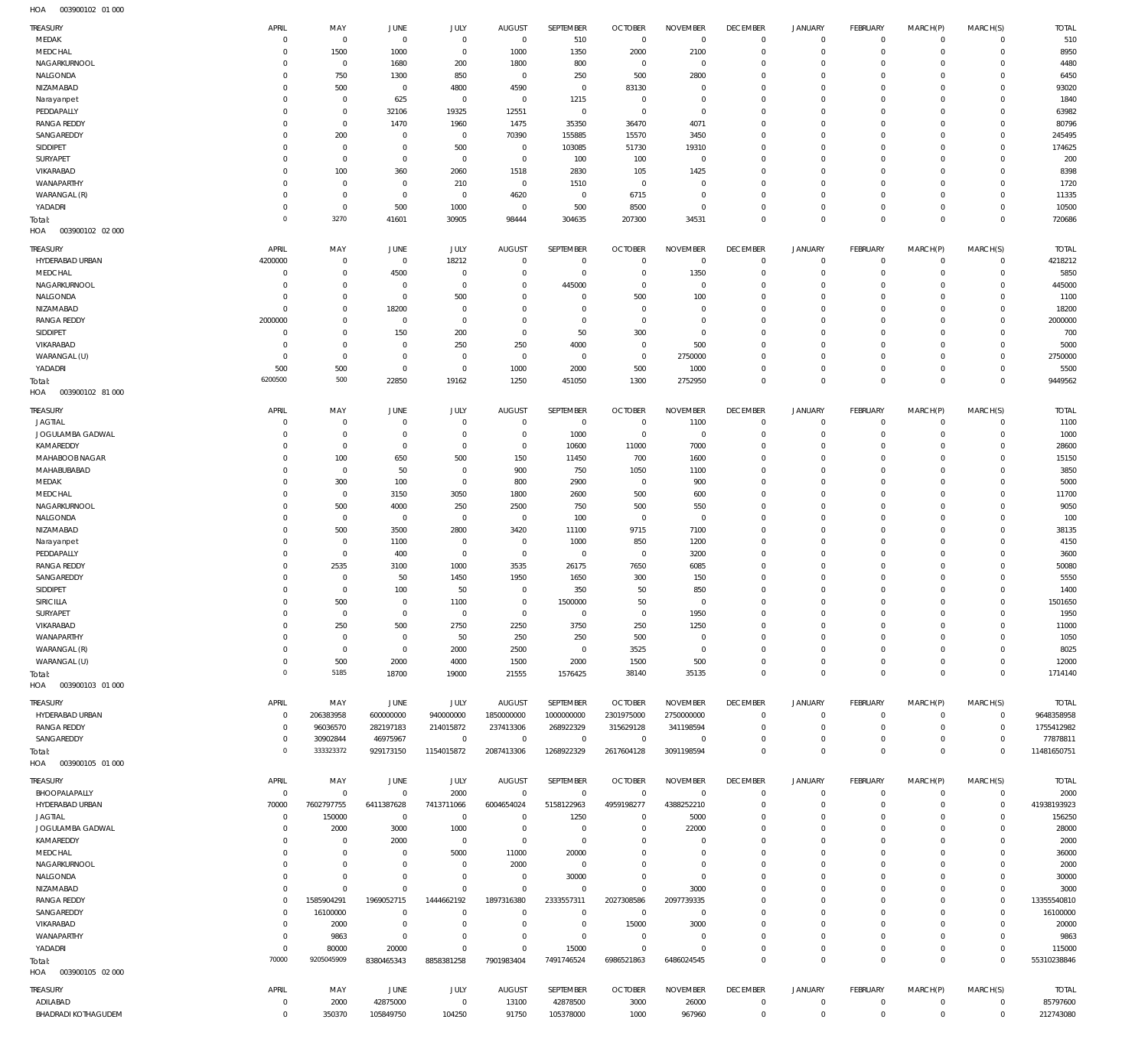| TREASURY                         | APRIL                      | MAY                              | JUNE                    | JULY                      | <b>AUGUST</b>          | SEPTEMBER                | <b>OCTOBER</b>                | <b>NOVEMBER</b>            | <b>DECEMBER</b>          | <b>JANUARY</b>                 | FEBRUARY             | MARCH(P)                | MARCH(S)                   | <b>TOTAL</b>     |
|----------------------------------|----------------------------|----------------------------------|-------------------------|---------------------------|------------------------|--------------------------|-------------------------------|----------------------------|--------------------------|--------------------------------|----------------------|-------------------------|----------------------------|------------------|
| MEDAK                            | $\mathbf 0$                | $\overline{0}$                   | $\mathbf 0$             | $\mathbf 0$               | $\overline{0}$         | 510                      | $\overline{0}$                | $\mathbf 0$                | $\mathbf 0$              | $\mathbf 0$                    | $\mathbf 0$          | $\mathbf 0$             | $\mathbf 0$                | 510              |
| MEDCHAL                          | $\mathbf 0$                | 1500                             | 1000                    | $\mathbf 0$               | 1000                   | 1350                     | 2000                          | 2100                       | $\mathbf 0$              | $\mathbf 0$                    | $\mathbf 0$          | $\mathbf 0$             | $\mathbf 0$                | 8950             |
| NAGARKURNOOL                     | $^{\circ}$                 | $\overline{0}$                   | 1680                    | 200                       | 1800                   | 800                      | $\Omega$                      | $\Omega$                   | $\Omega$                 | $\mathbf 0$                    | $\Omega$             | $\Omega$                | $\Omega$                   | 4480             |
| NALGONDA                         | $\mathbf 0$                | 750                              | 1300                    | 850                       | $\mathbf{0}$           | 250                      | 500                           | 2800                       | $^{\circ}$               | $\mathbf 0$                    | $\Omega$             | $\Omega$                | $\Omega$                   | 6450             |
| NIZAMABAD                        | $\Omega$                   | 500                              | $\overline{0}$          | 4800                      | 4590                   | $\overline{0}$           | 83130                         | $\Omega$                   | $\Omega$                 | $\mathbf 0$                    | $\Omega$             | $\Omega$                | $\Omega$                   | 93020            |
| Narayanpet                       | $\Omega$                   | $\overline{0}$                   | 625                     | $\mathbf 0$               | $\Omega$               | 1215                     | $\overline{0}$                | $\mathbf 0$                | $\Omega$                 | $\mathbf 0$                    | $\Omega$             | $\Omega$                | $\Omega$                   | 1840             |
| PEDDAPALLY                       | $^{\circ}$<br>$\Omega$     | $\mathbf 0$                      | 32106                   | 19325                     | 12551                  | $\overline{0}$           | $\overline{0}$                | $\mathbf 0$                | $\Omega$                 | $\mathbf 0$                    | $\Omega$             | $\Omega$                | $\mathbf 0$                | 63982            |
| <b>RANGA REDDY</b><br>SANGAREDDY | $\mathbf 0$                | $\overline{0}$<br>200            | 1470<br>$\overline{0}$  | 1960<br>$\overline{0}$    | 1475<br>70390          | 35350<br>155885          | 36470<br>15570                | 4071<br>3450               | $\Omega$<br>$\Omega$     | $\mathbf 0$<br>$\mathbf 0$     | $\Omega$<br>$\Omega$ | $\Omega$<br>$\Omega$    | $\Omega$<br>$\Omega$       | 80796<br>245495  |
| SIDDIPET                         | $\Omega$                   | $\mathbf 0$                      | $\Omega$                | 500                       | $^{\circ}$             | 103085                   | 51730                         | 19310                      | $\Omega$                 | $\mathbf 0$                    | $\Omega$             | $\Omega$                | $\Omega$                   | 174625           |
| SURYAPET                         | $\mathbf 0$                | $\overline{0}$                   | $\overline{0}$          | $\mathbf 0$               | $\mathbf{0}$           | 100                      | 100                           | $\overline{0}$             | $\Omega$                 | $\mathbf 0$                    | $\Omega$             | $\Omega$                | $\Omega$                   | 200              |
| VIKARABAD                        | $\Omega$                   | 100                              | 360                     | 2060                      | 1518                   | 2830                     | 105                           | 1425                       | $\Omega$                 | $\mathbf 0$                    | $\Omega$             | $\Omega$                | $\Omega$                   | 8398             |
| WANAPARTHY                       | $\mathbf 0$                | $\mathbf 0$                      | $\Omega$                | 210                       | $\mathbf{0}$           | 1510                     | $\overline{0}$                | $\overline{0}$             | $\Omega$                 | $\mathbf 0$                    | $\Omega$             | $\Omega$                | $\Omega$                   | 1720             |
| WARANGAL (R)                     | $\mathbf 0$                | $\overline{0}$                   | $\overline{0}$          | $^{\circ}$                | 4620                   | $\overline{0}$           | 6715                          | $\mathbf 0$                | $\Omega$                 | $\mathbf 0$                    | $\Omega$             | $\Omega$                | $\mathbf 0$                | 11335            |
| YADADRI                          | $\mathbf 0$                | $\overline{0}$                   | 500                     | 1000                      | $^{\circ}$             | 500                      | 8500                          | $\overline{0}$             | $\Omega$                 | $\mathbf 0$                    | $\Omega$             | $\Omega$                | $\mathbf 0$                | 10500            |
| Total:                           | $\mathbf 0$                | 3270                             | 41601                   | 30905                     | 98444                  | 304635                   | 207300                        | 34531                      | $\overline{0}$           | $\mathbb O$                    | $\overline{0}$       | $\overline{0}$          | $\mathbf 0$                | 720686           |
| HOA<br>003900102 02 000          |                            |                                  |                         |                           |                        |                          |                               |                            |                          |                                |                      |                         |                            |                  |
| TREASURY                         | APRIL                      | MAY                              | JUNE                    | <b>JULY</b>               | <b>AUGUST</b>          | SEPTEMBER                | <b>OCTOBER</b>                | <b>NOVEMBER</b>            | <b>DECEMBER</b>          | JANUARY                        | FEBRUARY             | MARCH(P)                | MARCH(S)                   | <b>TOTAL</b>     |
| HYDERABAD URBAN                  | 4200000                    | $\overline{0}$                   | $\,0\,$                 | 18212                     | $\Omega$               | $\mathbf 0$              | $\overline{0}$                | $\mathbf 0$                | $\overline{0}$           | $\mathsf{O}\xspace$            | $\mathbf 0$          | $\mathbf 0$             | $\mathbf 0$                | 4218212          |
| MEDCHAL                          | $\mathbf 0$                | $\overline{0}$                   | 4500                    | $^{\circ}$                | $^{\circ}$             | $\mathbf 0$              | $\Omega$                      | 1350                       | $^{\circ}$               | $\mathsf{O}\xspace$            | $\mathbf 0$          | $\mathbf 0$             | $\mathbf 0$                | 5850             |
| NAGARKURNOOL                     | $^{\circ}$                 | $\overline{0}$                   | $\overline{0}$          | $\mathbf 0$               | $\Omega$               | 445000                   | $\overline{0}$                | $\mathbf 0$                | $\mathbf 0$              | $\mathbf 0$                    | $\Omega$             | $\mathbf 0$             | $\mathbf 0$                | 445000           |
| NALGONDA                         | $\overline{0}$             | $\overline{0}$                   | $\overline{0}$          | 500                       | $\Omega$               | $^{\circ}$               | 500                           | 100                        | $\mathbf 0$              | $\mathbf 0$                    | $\Omega$             | $\Omega$                | $\mathbf 0$                | 1100             |
| NIZAMABAD<br><b>RANGA REDDY</b>  | $\mathbf 0$<br>2000000     | $\overline{0}$<br>$\mathbf 0$    | 18200<br>$\overline{0}$ | $^{\circ}$<br>$\mathbf 0$ | $\Omega$<br>$\Omega$   | $\mathbf{0}$<br>$\Omega$ | $\mathbf 0$<br>$\overline{0}$ | $\mathbf 0$<br>$\mathbf 0$ | $\Omega$<br>$\Omega$     | $\mathbf 0$<br>$\mathbf 0$     | $\Omega$<br>$\Omega$ | $\mathbf 0$<br>$\Omega$ | $\mathbf 0$<br>$\mathbf 0$ | 18200<br>2000000 |
| SIDDIPET                         | $\overline{0}$             | $\mathbf 0$                      | 150                     | 200                       | $\Omega$               | 50                       | 300                           | $\mathbf 0$                | $\Omega$                 | $\mathbf 0$                    | $\Omega$             | $\mathbf 0$             | $\mathbf 0$                | 700              |
| VIKARABAD                        | $\mathbf 0$                | $\overline{0}$                   | $\overline{0}$          | 250                       | 250                    | 4000                     | $\mathbf 0$                   | 500                        | $\mathbf 0$              | $\mathbf 0$                    | $\Omega$             | $\Omega$                | $\mathbf 0$                | 5000             |
| WARANGAL (U)                     | $\mathbf 0$                | $\overline{0}$                   | $\overline{0}$          | $\mathbf 0$               | $^{\circ}$             | $\mathbf 0$              | $\mathbf 0$                   | 2750000                    | $\Omega$                 | $\mathbf 0$                    | $\Omega$             | $\mathbf 0$             | $\mathbf 0$                | 2750000          |
| YADADRI                          | 500                        | 500                              | $\overline{0}$          | $\mathbb O$               | 1000                   | 2000                     | 500                           | 1000                       | $\mathbf 0$              | $\mathsf{O}\xspace$            | $\Omega$             | $\mathbf 0$             | $\mathbf 0$                | 5500             |
| Total:                           | 6200500                    | 500                              | 22850                   | 19162                     | 1250                   | 451050                   | 1300                          | 2752950                    | $\mathbf 0$              | $\mathbb O$                    | $\Omega$             | $\mathbb O$             | $\mathbf 0$                | 9449562          |
| HOA<br>003900102 81 000          |                            |                                  |                         |                           |                        |                          |                               |                            |                          |                                |                      |                         |                            |                  |
| TREASURY                         | APRIL                      | MAY                              | JUNE                    | JULY                      | <b>AUGUST</b>          | SEPTEMBER                | <b>OCTOBER</b>                | <b>NOVEMBER</b>            | <b>DECEMBER</b>          | JANUARY                        | FEBRUARY             | MARCH(P)                | MARCH(S)                   | <b>TOTAL</b>     |
| <b>JAGTIAL</b>                   | $^{\circ}$                 | $\overline{0}$                   | $\overline{0}$          | $^{\circ}$                | $^{\circ}$             | $\overline{0}$           | $\overline{0}$                | 1100                       | $\overline{0}$           | $\mathsf{O}\xspace$            | $\mathbf 0$          | $\mathbf 0$             | $\mathbf 0$                | 1100             |
| JOGULAMBA GADWAL                 | $\Omega$                   | $\mathbf 0$                      | $\Omega$                | $\Omega$                  | $\Omega$               | 1000                     | $^{\circ}$                    | $^{\circ}$                 | $\mathbf 0$              | $\mathbf 0$                    | $\Omega$             | $\Omega$                | $\mathbf 0$                | 1000             |
| KAMAREDDY                        | $\overline{0}$             | $\overline{0}$                   | $\overline{0}$          | $\mathbf 0$               | $\mathbf{0}$           | 10600                    | 11000                         | 7000                       | $\overline{0}$           | $\mathbf 0$                    | $\mathbf 0$          | $\Omega$                | $\mathbf 0$                | 28600            |
| MAHABOOB NAGAR                   | $\Omega$                   | 100                              | 650                     | 500                       | 150                    | 11450                    | 700                           | 1600                       | $\Omega$                 | $\mathbf 0$                    | $\Omega$             | $\Omega$                | $\Omega$                   | 15150            |
| MAHABUBABAD                      | $\mathbf 0$                | $\overline{0}$                   | 50                      | $\Omega$                  | 900                    | 750                      | 1050                          | 1100                       | $\Omega$                 | $\mathbf 0$                    | $\Omega$             | $\Omega$                | $\Omega$                   | 3850             |
| MEDAK                            | $\Omega$                   | 300                              | 100                     | $\overline{0}$            | 800                    | 2900                     | $\overline{0}$                | 900                        | $\Omega$                 | $\mathbf 0$                    | $\Omega$             | $\Omega$                | $\mathbf 0$                | 5000             |
| MEDCHAL<br>NAGARKURNOOL          | $\mathbf 0$<br>$\mathbf 0$ | $\overline{0}$<br>500            | 3150                    | 3050                      | 1800                   | 2600                     | 500                           | 600                        | $\Omega$<br>$\Omega$     | $\mathbf 0$<br>$\mathbf 0$     | $\Omega$<br>$\Omega$ | $\Omega$<br>$\Omega$    | $\Omega$<br>$\mathbf 0$    | 11700<br>9050    |
| NALGONDA                         | $\mathbf 0$                | $\mathbf 0$                      | 4000<br>$\overline{0}$  | 250<br>$^{\circ}$         | 2500<br>$^{\circ}$     | 750<br>100               | 500<br>$\overline{0}$         | 550<br>$\overline{0}$      | $\Omega$                 | $\mathbf 0$                    | $\Omega$             | $\Omega$                | $\Omega$                   | 100              |
| NIZAMABAD                        | $\mathbf 0$                | 500                              | 3500                    | 2800                      | 3420                   | 11100                    | 9715                          | 7100                       | $\Omega$                 | $\mathbf 0$                    | $\Omega$             | $\Omega$                | $\mathbf 0$                | 38135            |
| Narayanpet                       | $^{\circ}$                 | $\mathbf 0$                      | 1100                    | $\Omega$                  | $\circ$                | 1000                     | 850                           | 1200                       | $\Omega$                 | $\mathbf 0$                    | $\Omega$             | $\Omega$                | $\Omega$                   | 4150             |
| PEDDAPALLY                       | $\Omega$                   | $\overline{0}$                   | 400                     | $\overline{0}$            | $\mathbf{0}$           | $\overline{0}$           | $\overline{0}$                | 3200                       | $\Omega$                 | $\mathbf 0$                    | $\Omega$             | $\Omega$                | $\Omega$                   | 3600             |
| <b>RANGA REDDY</b>               | $^{\circ}$                 | 2535                             | 3100                    | 1000                      | 3535                   | 26175                    | 7650                          | 6085                       | $\Omega$                 | $\mathbf 0$                    | $\Omega$             | $\Omega$                | $\mathbf 0$                | 50080            |
| SANGAREDDY                       | $\Omega$                   | $\mathbf 0$                      | 50                      | 1450                      | 1950                   | 1650                     | 300                           | 150                        | $\Omega$                 | $\mathbf 0$                    | $\Omega$             | $\Omega$                | $\Omega$                   | 5550             |
| SIDDIPET                         | $\Omega$                   | $\mathbf 0$                      | 100                     | 50                        | $\Omega$               | 350                      | 50                            | 850                        | $\Omega$                 | $\mathbf 0$                    | $\Omega$             | $\Omega$                | 0                          | 1400             |
| SIRICILLA                        | $\Omega$                   | 500                              | $\Omega$                | 1100                      | $\mathbf{0}$           | 1500000                  | 50                            | $\Omega$                   | $\Omega$                 | $\circ$                        | $\Omega$             | $\circ$                 | $\Omega$                   | 1501650          |
| <b>SURYAPE</b>                   |                            |                                  |                         | 0                         | 0                      | 0                        |                               | 1950                       |                          |                                |                      |                         |                            | 1950             |
| VIKARABAD<br>WANAPARTHY          | $\mathbb O$<br>$\mathbf 0$ | 250<br>$\overline{0}$            | 500<br>$\overline{0}$   | 2750<br>50                | 2250<br>250            | 3750<br>250              | 250<br>500                    | 1250<br>$\overline{0}$     | $\mathbf{0}$<br>$\Omega$ | $\mathsf{O}\xspace$<br>$\circ$ | $\mathbf 0$<br>0     | 0<br>$\mathbf 0$        | $\circ$<br>$\circ$         | 11000<br>1050    |
| WARANGAL (R)                     | $\mathbf 0$                | $\overline{0}$                   | $\overline{0}$          | 2000                      | 2500                   | $\overline{0}$           | 3525                          | $\mathbf 0$                | $\mathbf 0$              | $\circ$                        | $\Omega$             | 0                       | $\circ$                    | 8025             |
| WARANGAL (U)                     | $\mathbf 0$                | 500                              | 2000                    | 4000                      | 1500                   | 2000                     | 1500                          | 500                        | $\mathbf 0$              | $\mathsf{O}\xspace$            | 0                    | 0                       | 0                          | 12000            |
| Total:                           | $\mathbf 0$                | 5185                             | 18700                   | 19000                     | 21555                  | 1576425                  | 38140                         | 35135                      | $\overline{0}$           | $\mathbb O$                    | $\mathbf{0}$         | $\mathbb O$             | $\mathbf 0$                | 1714140          |
| HOA<br>003900103 01 000          |                            |                                  |                         |                           |                        |                          |                               |                            |                          |                                |                      |                         |                            |                  |
| TREASURY                         | APRIL                      | MAY                              | JUNE                    | <b>JULY</b>               | <b>AUGUST</b>          | SEPTEMBER                | <b>OCTOBER</b>                | <b>NOVEMBER</b>            | <b>DECEMBER</b>          | JANUARY                        | FEBRUARY             | MARCH(P)                | MARCH(S)                   | <b>TOTAL</b>     |
| HYDERABAD URBAN                  | $\mathbf 0$                | 206383958                        | 600000000               | 940000000                 | 1850000000             | 1000000000               | 2301975000                    | 2750000000                 | $\overline{0}$           | $\mathsf{O}\xspace$            | $\mathbf 0$          | $\mathbf 0$             | $\mathbf 0$                | 9648358958       |
| <b>RANGA REDDY</b>               | $\overline{0}$             | 96036570                         | 282197183               | 214015872                 | 237413306              | 268922329                | 315629128                     | 341198594                  | $\mathbf 0$              | $\mathsf{O}\xspace$            | 0                    | $\mathbf 0$             | $\mathbf 0$                | 1755412982       |
| SANGAREDDY                       | $^{\circ}$                 | 30902844                         | 46975967                | $\overline{0}$            | $\overline{0}$         | $\mathbf 0$              | $\,0\,$                       | $\mathbf 0$                | $\mathbf 0$              | $\mathsf{O}\xspace$            | $\mathbf 0$          | $\mathbf 0$             | $\mathbf 0$                | 77878811         |
| Total:                           | $^{\circ}$                 | 333323372                        | 929173150               | 1154015872                | 2087413306             | 1268922329               | 2617604128                    | 3091198594                 | $\mathbf 0$              | $\mathbb O$                    | $\Omega$             | $\mathbb O$             | $\mathbf 0$                | 11481650751      |
| 003900105 01 000<br>HOA          |                            |                                  |                         |                           |                        |                          |                               |                            |                          |                                |                      |                         |                            |                  |
| <b>TREASURY</b>                  | APRIL                      | MAY                              | JUNE                    | JULY                      | <b>AUGUST</b>          | SEPTEMBER                | <b>OCTOBER</b>                | <b>NOVEMBER</b>            | <b>DECEMBER</b>          | <b>JANUARY</b>                 | FEBRUARY             | MARCH(P)                | MARCH(S)                   | <b>TOTAL</b>     |
| BHOOPALAPALLY                    | $\overline{0}$             | $\overline{0}$                   | $\overline{0}$          | 2000                      | $\Omega$               | $\overline{0}$           | $\overline{0}$                | $\Omega$                   | $\mathbf 0$              | 0                              | $\mathbf 0$          | $\mathbf 0$             | $\circ$                    | 2000             |
| HYDERABAD URBAN                  | 70000                      | 7602797755                       | 6411387628              | 7413711066                | 6004654024             | 5158122963               | 4959198277                    | 4388252210                 | $^{\circ}$               | $\mathsf{O}\xspace$            | $\mathbf 0$          | 0                       | $\mathbf 0$                | 41938193923      |
| <b>JAGTIAL</b>                   | $\overline{0}$             | 150000                           | $\overline{0}$          | $\mathbb O$               | $^{\circ}$             | 1250                     | $\Omega$                      | 5000                       | $\mathbf 0$              | $\mathbf 0$                    | $\circ$              | $\mathbf 0$             | $\mathbf 0$                | 156250           |
| JOGULAMBA GADWAL                 | $\mathbf 0$                | 2000                             | 3000                    | 1000                      | $\circ$                | $\overline{0}$           | $\Omega$                      | 22000                      | $\mathbf{0}$             | $\circ$                        | $\Omega$             | $\Omega$                | 0                          | 28000            |
| KAMAREDDY                        | $\overline{0}$             | $\overline{0}$                   | 2000                    | $\circ$                   | $^{\circ}$             | $\mathbf 0$              | $\Omega$                      | $\Omega$                   | $\Omega$                 | $\circ$                        | $\Omega$             | $\Omega$                | $\Omega$                   | 2000             |
| MEDCHAL                          | $\mathbf 0$                | $\overline{0}$                   | $\Omega$                | 5000                      | 11000                  | 20000                    | $\Omega$                      | $\mathbf 0$                | $\Omega$                 | $\mathbf 0$                    | $\Omega$             | $\Omega$                | 0                          | 36000            |
| NAGARKURNOOL                     | $\mathbf 0$                | $\mathbf 0$                      | $\Omega$                | $\Omega$                  | 2000                   | $\overline{0}$           | $\Omega$                      | $\mathbf 0$                | $\Omega$                 | $\mathbf 0$                    | $\Omega$             | $\Omega$                | $\Omega$                   | 2000             |
| NALGONDA<br>NIZAMABAD            | $\mathbf 0$<br>$\mathbf 0$ | $\overline{0}$<br>$\overline{0}$ | $\Omega$<br>$\Omega$    | $^{\circ}$<br>$\Omega$    | $^{\circ}$<br>$\Omega$ | 30000<br>$\Omega$        | $\Omega$<br>$\Omega$          | $\mathbf 0$<br>3000        | $\Omega$<br>$\Omega$     | $\mathbf 0$<br>$\mathbf 0$     | $\Omega$<br>$\Omega$ | $\Omega$<br>$\Omega$    | 0<br>$\mathbf 0$           | 30000<br>3000    |
| <b>RANGA REDDY</b>               | $\overline{0}$             | 1585904291                       | 1969052715              | 1444662192                | 1897316380             | 2333557311               | 2027308586                    | 2097739335                 | $\Omega$                 | $\circ$                        | $\Omega$             | $\Omega$                | $\mathbf 0$                | 13355540810      |
| SANGAREDDY                       | $\mathbf 0$                | 16100000                         | $\overline{0}$          | $\Omega$                  | $\Omega$               | $\Omega$                 | $\overline{0}$                | $\mathbf 0$                | $\Omega$                 | $\circ$                        | $\Omega$             | $\Omega$                | $\Omega$                   | 16100000         |
| VIKARABAD                        | $\overline{0}$             | 2000                             | $\overline{0}$          | $\Omega$                  | $\Omega$               | $\overline{0}$           | 15000                         | 3000                       | $\Omega$                 | $\mathbf 0$                    | $\Omega$             | $\Omega$                | $\Omega$                   | 20000            |
| WANAPARTHY                       | $\overline{0}$             | 9863                             | $\overline{0}$          | $\Omega$                  | $^{\circ}$             | $\overline{0}$           | $\overline{0}$                | 0                          | $\mathbf 0$              | $\circ$                        | $\Omega$             | 0                       | 0                          | 9863             |
| YADADRI                          | $\overline{0}$             | 80000                            | 20000                   | $\overline{0}$            | $\Omega$               | 15000                    | $\Omega$                      | $\Omega$                   | $\Omega$                 | $\mathbf 0$                    | 0                    | $\mathbf 0$             | $\mathbf 0$                | 115000           |
| Total:                           | 70000                      | 9205045909                       | 8380465343              | 8858381258                | 7901983404             | 7491746524               | 6986521863                    | 6486024545                 | $\overline{0}$           | $\mathbf 0$                    | $\overline{0}$       | $\mathbf 0$             | $\mathbf 0$                | 55310238846      |
| HOA<br>003900105 02 000          |                            |                                  |                         |                           |                        |                          |                               |                            |                          |                                |                      |                         |                            |                  |
| TREASURY                         | APRIL                      | MAY                              | JUNE                    | <b>JULY</b>               | <b>AUGUST</b>          | SEPTEMBER                | <b>OCTOBER</b>                | <b>NOVEMBER</b>            | <b>DECEMBER</b>          | JANUARY                        | FEBRUARY             | MARCH(P)                | MARCH(S)                   | <b>TOTAL</b>     |
| ADILABAD                         | $\mathbf 0$                | 2000                             | 42875000                | $\overline{0}$            | 13100                  | 42878500                 | 3000                          | 26000                      | $\overline{0}$           | $\mathsf{O}\xspace$            | $\mathbf 0$          | $\mathbf 0$             | $\mathbf 0$                | 85797600         |
| <b>BHADRADI KOTHAGUDEM</b>       | $\overline{0}$             | 350370                           | 105849750               | 104250                    | 91750                  | 105378000                | 1000                          | 967960                     | $\mathbf 0$              | $\mathsf{O}\xspace$            | $\mathbf 0$          | $\mathbf 0$             | $\mathbf 0$                | 212743080        |
|                                  |                            |                                  |                         |                           |                        |                          |                               |                            |                          |                                |                      |                         |                            |                  |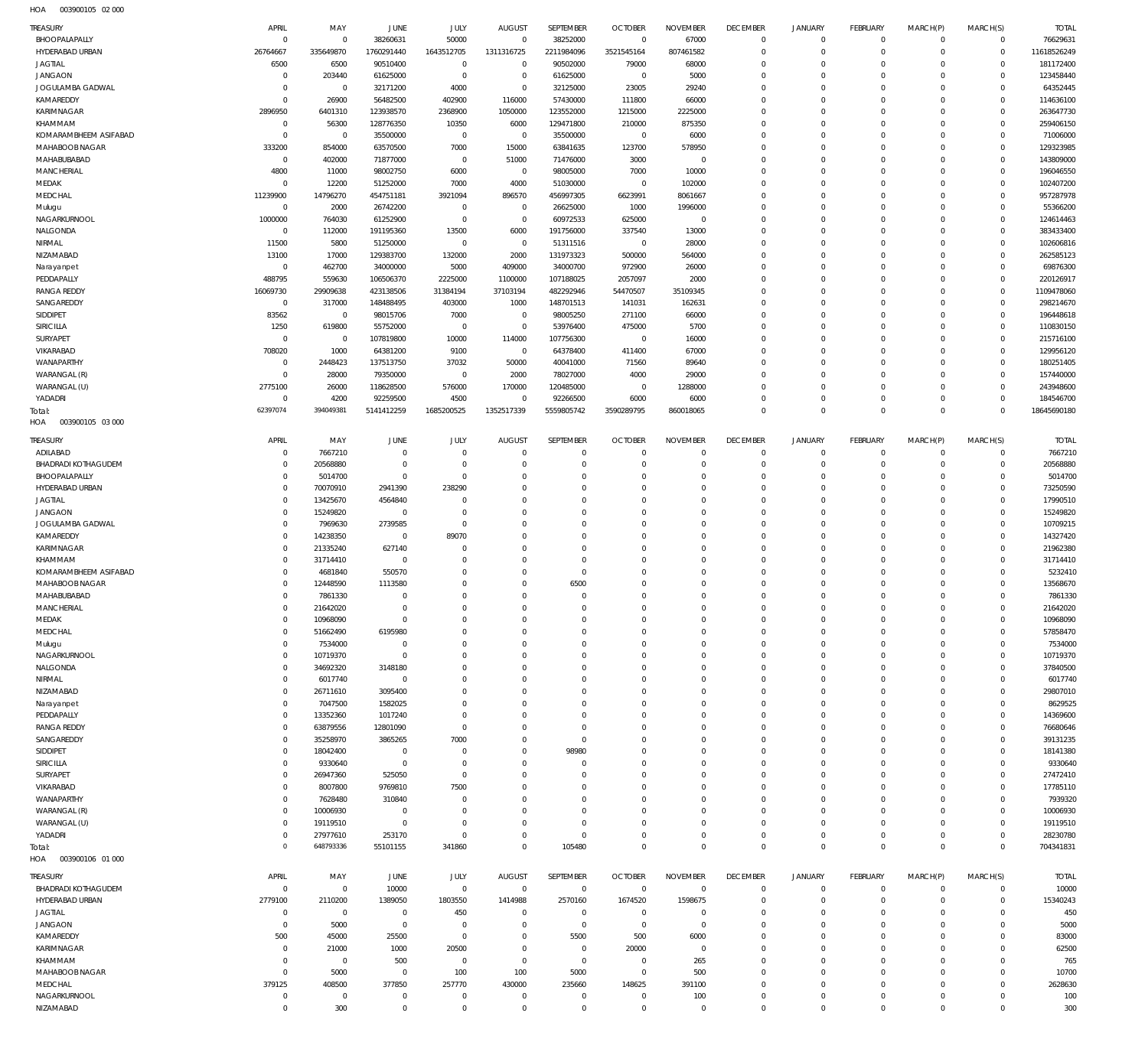003900105 02 000 HOA

| TREASURY                                | APRIL                      | MAY                     | <b>JUNE</b>                   | JULY                       | <b>AUGUST</b>                | SEPTEMBER                  | <b>OCTOBER</b>                   | <b>NOVEMBER</b>                | <b>DECEMBER</b>                   | <b>JANUARY</b>                | FEBRUARY                        | MARCH(P)                   | MARCH(S)                       | <b>TOTAL</b>             |
|-----------------------------------------|----------------------------|-------------------------|-------------------------------|----------------------------|------------------------------|----------------------------|----------------------------------|--------------------------------|-----------------------------------|-------------------------------|---------------------------------|----------------------------|--------------------------------|--------------------------|
| BHOOPALAPALLY                           | $\mathbf 0$                | $\bf 0$                 | 38260631                      | 50000                      | $\overline{0}$               | 38252000                   | $\overline{0}$                   | 67000                          | $\overline{0}$                    | $\mathbf 0$                   | $\mathbf{0}$                    | $\mathbf 0$                | $\overline{0}$                 | 76629631                 |
| HYDERABAD URBAN<br><b>JAGTIAL</b>       | 26764667<br>6500           | 335649870<br>6500       | 1760291440<br>90510400        | 1643512705<br>$\mathbf 0$  | 1311316725<br>$\mathbf 0$    | 2211984096<br>90502000     | 3521545164<br>79000              | 807461582<br>68000             | $\overline{0}$<br>$\mathbf 0$     | $\mathbf 0$<br>$\circ$        | $\mathbf{0}$<br>$\mathbf 0$     | $\circ$<br>$\Omega$        | $\overline{0}$<br>$\mathbf{0}$ | 11618526249<br>181172400 |
| <b>JANGAON</b>                          | $\mathbf 0$                | 203440                  | 61625000                      | $\mathbf 0$                | $\overline{0}$               | 61625000                   | $\overline{0}$                   | 5000                           | $\mathbf 0$                       | $\mathbf 0$                   | $\Omega$                        | $\Omega$                   | $\circ$                        | 123458440                |
| JOGULAMBA GADWAL                        | $\mathbf 0$                | $\mathbf 0$             | 32171200                      | 4000                       | $\overline{0}$               | 32125000                   | 23005                            | 29240                          | $\mathbf 0$                       | $\circ$                       | $\mathbf 0$                     | $\Omega$                   | $\mathbf{0}$                   | 64352445                 |
| KAMAREDDY                               | $\mathbf 0$                | 26900                   | 56482500                      | 402900                     | 116000                       | 57430000                   | 111800                           | 66000                          | $\mathbf 0$                       | $\circ$                       | $\mathbf 0$                     | $\Omega$                   | $\circ$                        | 114636100                |
| KARIMNAGAR                              | 2896950                    | 6401310                 | 123938570                     | 2368900                    | 1050000                      | 123552000                  | 1215000                          | 2225000                        | $\mathbf 0$                       | $\Omega$                      | $\Omega$                        | $\Omega$                   | $\circ$                        | 263647730                |
| KHAMMAM<br>KOMARAMBHEEM ASIFABAD        | $\mathbf 0$<br>$\mathbf 0$ | 56300<br>$\overline{0}$ | 128776350<br>35500000         | 10350<br>$\mathbf 0$       | 6000<br>$\overline{0}$       | 129471800<br>35500000      | 210000<br>$\overline{0}$         | 875350<br>6000                 | $\mathbf 0$<br>$\mathbf 0$        | $\mathbf 0$<br>$\Omega$       | $\mathbf 0$<br>$\Omega$         | $\Omega$<br>$\Omega$       | $\circ$<br>$\circ$             | 259406150<br>71006000    |
| MAHABOOB NAGAR                          | 333200                     | 854000                  | 63570500                      | 7000                       | 15000                        | 63841635                   | 123700                           | 578950                         | $\mathbf 0$                       | $\mathbf 0$                   | $\mathbf 0$                     | $\Omega$                   | $\circ$                        | 129323985                |
| MAHABUBABAD                             | $\mathbf 0$                | 402000                  | 71877000                      | $\mathbf 0$                | 51000                        | 71476000                   | 3000                             | $\mathbf 0$                    | $\mathbf 0$                       | 0                             | $\Omega$                        | $\Omega$                   | $\circ$                        | 143809000                |
| MANCHERIAL                              | 4800                       | 11000                   | 98002750                      | 6000                       | $\overline{0}$               | 98005000                   | 7000                             | 10000                          | $\mathbf 0$                       | $\mathbf 0$                   | $\Omega$                        | $\Omega$                   | $\circ$                        | 196046550                |
| MEDAK                                   | $\mathbf 0$                | 12200                   | 51252000                      | 7000                       | 4000                         | 51030000                   | $\overline{0}$                   | 102000                         | $\mathbf 0$                       | $\mathbf 0$                   | $\mathbf 0$                     | $\Omega$                   | $\mathbf{0}$                   | 102407200                |
| MEDCHAL<br>Mulugu                       | 11239900<br>$\mathbf 0$    | 14796270<br>2000        | 454751181<br>26742200         | 3921094<br>$\mathbf 0$     | 896570<br>$\overline{0}$     | 456997305<br>26625000      | 6623991<br>1000                  | 8061667<br>1996000             | $\mathbf 0$<br>$\mathbf 0$        | $\mathbf 0$<br>$\mathbf 0$    | $\Omega$<br>$\mathbf 0$         | $\Omega$<br>$\Omega$       | $\circ$<br>$\mathbf{0}$        | 957287978<br>55366200    |
| NAGARKURNOOL                            | 1000000                    | 764030                  | 61252900                      | $\mathbf 0$                | $\overline{0}$               | 60972533                   | 625000                           | $\mathbf 0$                    | $\mathbf 0$                       | $\mathbf 0$                   | $\mathbf 0$                     | $\Omega$                   | $\circ$                        | 124614463                |
| NALGONDA                                | $\overline{0}$             | 112000                  | 191195360                     | 13500                      | 6000                         | 191756000                  | 337540                           | 13000                          | $\mathbf 0$                       | $\mathbf 0$                   | $\Omega$                        | $\Omega$                   | $\mathbf{0}$                   | 383433400                |
| NIRMAL                                  | 11500                      | 5800                    | 51250000                      | $\mathbf 0$                | $\overline{0}$               | 51311516                   | $\overline{0}$                   | 28000                          | $\mathbf 0$                       | $\mathbf 0$                   | $\mathbf 0$                     | $\Omega$                   | $\circ$                        | 102606816                |
| NIZAMABAD                               | 13100                      | 17000                   | 129383700                     | 132000                     | 2000                         | 131973323                  | 500000                           | 564000                         | $\mathbf 0$                       | $\Omega$                      | $\Omega$                        | $\Omega$                   | $\circ$                        | 262585123                |
| Narayanpet<br>PEDDAPALLY                | $\mathbf 0$<br>488795      | 462700<br>559630        | 34000000<br>106506370         | 5000<br>2225000            | 409000<br>1100000            | 34000700<br>107188025      | 972900<br>2057097                | 26000<br>2000                  | $\mathbf 0$<br>$\mathbf 0$        | $\circ$<br>0                  | $\mathbf 0$<br>$\mathbf 0$      | $\Omega$<br>$\Omega$       | $\circ$<br>$\mathbf{0}$        | 69876300<br>220126917    |
| <b>RANGA REDDY</b>                      | 16069730                   | 29909638                | 423138506                     | 31384194                   | 37103194                     | 482292946                  | 54470507                         | 35109345                       | $\mathbf 0$                       | $\circ$                       | $\mathbf 0$                     | $\Omega$                   | $\circ$                        | 1109478060               |
| SANGAREDDY                              | $\overline{0}$             | 317000                  | 148488495                     | 403000                     | 1000                         | 148701513                  | 141031                           | 162631                         | $\mathbf 0$                       | $\circ$                       | $\mathbf 0$                     | $\Omega$                   | $\circ$                        | 298214670                |
| SIDDIPET                                | 83562                      | $\mathbf 0$             | 98015706                      | 7000                       | $\overline{0}$               | 98005250                   | 271100                           | 66000                          | $\mathbf 0$                       | $\mathbf 0$                   | $\Omega$                        | $\Omega$                   | $\circ$                        | 196448618                |
| SIRICILLA                               | 1250                       | 619800                  | 55752000                      | $\mathbf 0$                | $\overline{0}$               | 53976400                   | 475000                           | 5700                           | $\mathbf 0$                       | $\circ$                       | $\mathbf 0$                     | $\Omega$                   | $\mathbf{0}$<br>$\circ$        | 110830150                |
| SURYAPET<br>VIKARABAD                   | $\mathbf 0$<br>708020      | $\mathbf 0$<br>1000     | 107819800<br>64381200         | 10000<br>9100              | 114000<br>$\overline{0}$     | 107756300<br>64378400      | $\overline{0}$<br>411400         | 16000<br>67000                 | $\mathbf 0$<br>$\mathbf 0$        | $\circ$<br>$\Omega$           | $\mathbf 0$<br>$\Omega$         | $\Omega$<br>$\Omega$       | $\circ$                        | 215716100<br>129956120   |
| WANAPARTHY                              | $\mathbf 0$                | 2448423                 | 137513750                     | 37032                      | 50000                        | 40041000                   | 71560                            | 89640                          | $\mathbf 0$                       | $\mathbf 0$                   | $\mathbf 0$                     | $\Omega$                   | $\circ$                        | 180251405                |
| WARANGAL (R)                            | $\overline{0}$             | 28000                   | 79350000                      | $\mathbf 0$                | 2000                         | 78027000                   | 4000                             | 29000                          | $\mathbf 0$                       | $\mathbf 0$                   | $\Omega$                        | $\Omega$                   | $\circ$                        | 157440000                |
| WARANGAL (U)                            | 2775100                    | 26000                   | 118628500                     | 576000                     | 170000                       | 120485000                  | $\overline{0}$                   | 1288000                        | $\mathbf 0$                       | $\mathbf 0$                   | $\mathbf 0$                     | $\Omega$                   | $\circ$                        | 243948600                |
| YADADRI                                 | $\mathbf 0$<br>62397074    | 4200                    | 92259500                      | 4500                       | $\mathbf 0$                  | 92266500                   | 6000                             | 6000                           | $\mathbf 0$                       | $\mathbf 0$                   | $\mathbf 0$<br>$\Omega$         | $\Omega$                   | $\circ$                        | 184546700                |
| Total:<br>HOA<br>003900105 03 000       |                            | 394049381               | 5141412259                    | 1685200525                 | 1352517339                   | 5559805742                 | 3590289795                       | 860018065                      | $\overline{0}$                    | $\mathbf 0$                   |                                 | $\Omega$                   | $\overline{0}$                 | 18645690180              |
|                                         |                            |                         |                               |                            |                              |                            |                                  |                                |                                   |                               |                                 |                            |                                |                          |
| TREASURY<br>ADILABAD                    | APRIL<br>$\mathbf 0$       | MAY<br>7667210          | JUNE<br>$\overline{0}$        | JULY<br>$\mathbf 0$        | <b>AUGUST</b><br>$\mathbf 0$ | SEPTEMBER<br>$\mathbf 0$   | <b>OCTOBER</b><br>$\overline{0}$ | <b>NOVEMBER</b><br>$\mathbf 0$ | <b>DECEMBER</b><br>$\overline{0}$ | <b>JANUARY</b><br>$\mathbf 0$ | <b>FEBRUARY</b><br>$\mathbf{0}$ | MARCH(P)<br>$\mathbf 0$    | MARCH(S)<br>$\overline{0}$     | <b>TOTAL</b><br>7667210  |
| <b>BHADRADI KOTHAGUDEM</b>              | $\mathbf 0$                | 20568880                | $\overline{0}$                | $\mathbf 0$                | $\mathbf 0$                  | $\mathbf 0$                | $\mathbf 0$                      | $\Omega$                       | $\mathbf 0$                       | $\mathbf 0$                   | $\overline{0}$                  | $\Omega$                   | $\mathbf{0}$                   | 20568880                 |
| BHOOPALAPALLY                           | $\mathbf 0$                | 5014700                 | $\overline{0}$                | $\mathbf 0$                | $\Omega$                     | $\mathbf 0$                | $\mathbf 0$                      | $\mathbf 0$                    | $\mathbf 0$                       | $\mathbf 0$                   | $\mathbf{0}$                    | $\Omega$                   | $\mathbf{0}$                   | 5014700                  |
| HYDERABAD URBAN                         | $\mathbf 0$                | 70070910                | 2941390                       | 238290                     | $\mathbf 0$                  | $\mathbf 0$                | $\mathbf 0$                      | $\mathbf 0$                    | $\mathbf 0$                       | $\mathbf 0$                   | $\mathbf 0$                     | $\Omega$                   | $\mathbf 0$                    | 73250590                 |
| <b>JAGTIAL</b><br><b>JANGAON</b>        | $\mathbf 0$<br>$\mathbf 0$ | 13425670<br>15249820    | 4564840<br>$\mathbf 0$        | $\mathbf 0$<br>$\mathbf 0$ | $\Omega$<br>$\mathbf 0$      | $\mathbf 0$<br>$\mathbf 0$ | $\Omega$<br>$\mathbf 0$          | $\Omega$<br>$\mathbf 0$        | $\mathbf 0$<br>$\mathbf 0$        | $\mathbf 0$<br>$\mathbf 0$    | $\Omega$<br>$\mathbf 0$         | $\Omega$<br>$\Omega$       | $\mathbf{0}$<br>$\mathbf 0$    | 17990510<br>15249820     |
| JOGULAMBA GADWAL                        | $\mathbf 0$                | 7969630                 | 2739585                       | $\mathbf 0$                | $\Omega$                     | $\mathbf 0$                | $\Omega$                         | $\Omega$                       | $\mathbf 0$                       | $\Omega$                      | $\Omega$                        | $\Omega$                   | $\mathbf 0$                    | 10709215                 |
| KAMAREDDY                               | $\mathbf 0$                | 14238350                | $\overline{0}$                | 89070                      | $\mathbf 0$                  | $\mathbf 0$                | $\mathbf 0$                      | $\mathbf 0$                    | $\mathbf 0$                       | $\mathbf 0$                   | $\mathbf 0$                     | $\Omega$                   | $\mathbf 0$                    | 14327420                 |
| KARIMNAGAR                              | $\mathbf 0$                | 21335240                | 627140                        | $\mathbf 0$                | $\Omega$                     | $\mathbf 0$                | $\mathbf 0$                      | $\mathbf 0$                    | $\mathbf 0$                       | $\mathbf 0$                   | $\Omega$                        | $\Omega$                   | $\mathbf 0$                    | 21962380                 |
| KHAMMAM                                 | $\mathbf 0$                | 31714410                | $\overline{0}$                | $\Omega$                   | $\Omega$                     | $\mathbf 0$                | $\mathbf 0$                      | $\Omega$                       | $\mathbf 0$                       | $\mathbf 0$                   | $\Omega$                        | $\Omega$                   | $\mathbf 0$                    | 31714410                 |
| KOMARAMBHEEM ASIFABAD<br>MAHABOOB NAGAR | $\mathbf 0$<br>$\mathbf 0$ | 4681840<br>12448590     | 550570<br>1113580             | $\mathbf 0$<br>$\Omega$    | $\mathbf 0$<br>$\mathbf 0$   | $\mathbf 0$<br>6500        | $\mathbf 0$<br>$\mathbf 0$       | $\mathbf 0$<br>$\Omega$        | $\mathbf 0$<br>$\mathbf 0$        | $\mathbf 0$<br>$\mathbf 0$    | $^{\circ}$<br>$\Omega$          | $\Omega$<br>$\Omega$       | $\mathbf 0$<br>$\mathbf 0$     | 5232410<br>13568670      |
| MAHABUBABAD                             | $\mathbf 0$                | 7861330                 | $\Omega$                      | $\Omega$                   | $\Omega$                     | $\mathbf 0$                | $\mathbf 0$                      | $\mathbf 0$                    | $\Omega$                          | $\Omega$                      | $\Omega$                        | $\Omega$                   | $\Omega$                       | 7861330                  |
| MANCHERIAL                              | $\mathbf 0$                | 21642020                | $\Omega$                      | $\Omega$                   | $\Omega$                     | $\Omega$                   | $\Omega$                         | $\Omega$                       | $\Omega$                          | $\Omega$                      | $\Omega$                        | $\Omega$                   | $\circ$                        | 21642020                 |
| MEDAK                                   | $\mathbf 0$                | 10968090                | $\mathbf 0$                   | $\mathbf 0$                | $\mathbf 0$                  | $\mathbf 0$                | $\mathbf 0$                      | $\mathbf 0$                    | $\mathbf 0$                       | $\mathbf 0$                   | $^{\circ}$                      | $\mathbf 0$                | $^{\circ}$                     | 10968090                 |
| MEDCHAL                                 | $\mathbf 0$                | 51662490                | 6195980                       | 0<br>$\Omega$              | $\mathbf 0$<br>$\Omega$      | $\mathbf 0$<br>$\mathbf 0$ | $\mathbf 0$                      | $\mathbf 0$<br>$\mathbf 0$     | $\mathbf 0$<br>$\mathbf 0$        | $\mathbf 0$<br>$\mathbf 0$    | $\mathbf 0$                     | $\mathbf 0$<br>$\Omega$    | $\mathbf 0$<br>$\mathbf 0$     | 57858470                 |
| Mulugu<br>NAGARKURNOOL                  | $\mathbf 0$<br>$\mathbf 0$ | 7534000<br>10719370     | $\mathbf 0$<br>$\overline{0}$ | $\Omega$                   | $\Omega$                     | $\mathbf 0$                | $\mathbf 0$<br>$\mathbf 0$       | $\mathbf 0$                    | $\mathbf 0$                       | $\mathbf 0$                   | $\mathbf 0$<br>$^{\circ}$       | $\Omega$                   | $\mathbf 0$                    | 7534000<br>10719370      |
| NALGONDA                                | $\mathbf 0$                | 34692320                | 3148180                       | $\Omega$                   | $\mathbf 0$                  | $\mathbf 0$                | $\mathbf 0$                      | $\mathbf 0$                    | $\mathbf 0$                       | $\mathbf 0$                   | $^{\circ}$                      | $\Omega$                   | $\mathbf 0$                    | 37840500                 |
| NIRMAL                                  | $\mathbf 0$                | 6017740                 | $\overline{0}$                | $\Omega$                   | $\Omega$                     | $\mathbf 0$                | $\mathbf 0$                      | $\Omega$                       | $\mathbf 0$                       | $\mathbf 0$                   | $^{\circ}$                      | $\Omega$                   | $\mathbf 0$                    | 6017740                  |
| NIZAMABAD                               | $\mathbf 0$                | 26711610                | 3095400                       | $\mathbf 0$                | $\mathbf 0$                  | $\mathbf 0$                | $\mathbf 0$                      | $\mathbf 0$                    | $\mathbf 0$                       | $\mathbf 0$                   | $^{\circ}$                      | $\Omega$                   | $\mathbf 0$                    | 29807010                 |
| Narayanpet<br>PEDDAPALLY                | $\mathbf 0$<br>$\mathbf 0$ | 7047500<br>13352360     | 1582025<br>1017240            | $\Omega$<br>$\mathbf 0$    | $\Omega$<br>$\Omega$         | $\mathbf 0$<br>$\mathbf 0$ | $\mathbf 0$<br>$\mathbf 0$       | 0<br>$\mathbf 0$               | $\mathbf 0$<br>$\mathbf 0$        | $\mathbf 0$<br>$\mathbf 0$    | $\mathbf 0$<br>$^{\circ}$       | $\Omega$<br>$\Omega$       | $\mathbf 0$<br>$\mathbf 0$     | 8629525<br>14369600      |
| <b>RANGA REDDY</b>                      | $\mathbf 0$                | 63879556                | 12801090                      | $\mathbf 0$                | $\mathbf 0$                  | $\mathbf 0$                | $\mathbf 0$                      | 0                              | $\mathbf 0$                       | $\mathbf 0$                   | $\mathbf 0$                     | 0                          | $\mathbf 0$                    | 76680646                 |
| SANGAREDDY                              | $\mathbf 0$                | 35258970                | 3865265                       | 7000                       | $\Omega$                     | $\mathbf 0$                | $\mathbf 0$                      | $\mathbf 0$                    | $\mathbf 0$                       | $\mathbf 0$                   | $\Omega$                        | $\Omega$                   | $\mathbf 0$                    | 39131235                 |
| SIDDIPET                                | $\mathbf 0$                | 18042400                | $\overline{0}$                | $\mathbf 0$                | $\mathbf 0$                  | 98980                      | $\mathbf 0$                      | 0                              | $\mathbf 0$                       | $\mathbf 0$                   | $^{\circ}$                      | 0                          | $\mathbf 0$                    | 18141380                 |
| SIRICILLA                               | $\mathbf 0$                | 9330640                 | $\overline{0}$                | $\mathbf 0$                | $\mathbf 0$                  | $\mathbf 0$                | $\mathbf 0$                      | $\mathbf 0$                    | $\mathbf 0$                       | $\mathbf 0$                   | $\Omega$                        | $\Omega$                   | $\mathbf 0$                    | 9330640                  |
| SURYAPET<br>VIKARABAD                   | $\mathbf 0$<br>$\mathbf 0$ | 26947360<br>8007800     | 525050<br>9769810             | $\mathbf 0$<br>7500        | $\mathbf 0$<br>$\mathbf 0$   | $\mathbf 0$<br>$\mathbf 0$ | $\mathbf 0$<br>$\mathbf 0$       | $\mathbf 0$<br>$\mathbf 0$     | $\mathbf 0$<br>$\mathbf 0$        | $\mathbf 0$<br>$\mathbf 0$    | $^{\circ}$<br>$\Omega$          | $\Omega$<br>$\Omega$       | $\mathbf 0$<br>$\mathbf 0$     | 27472410<br>17785110     |
| WANAPARTHY                              | $\mathbf 0$                | 7628480                 | 310840                        | $\mathbf 0$                | $\Omega$                     | $\mathbf 0$                | $\mathbf 0$                      | $\mathbf 0$                    | $\mathbf 0$                       | $\mathbf 0$                   | $^{\circ}$                      | $\Omega$                   | $\mathbf 0$                    | 7939320                  |
| WARANGAL (R)                            | $\mathbf 0$                | 10006930                | $\mathbf 0$                   | $\mathbf 0$                | $\mathbf 0$                  | $\mathbf 0$                | $\mathbf 0$                      | $\mathbf 0$                    | $\mathbf 0$                       | $\mathbf 0$                   | $^{\circ}$                      | $\Omega$                   | $\mathbf 0$                    | 10006930                 |
| WARANGAL (U)                            | $\mathbf 0$                | 19119510                | $\overline{0}$                | $\mathbf 0$                | $\mathbf 0$                  | $\mathbf 0$                | $\mathbf 0$                      | 0                              | $\mathbf 0$                       | $\mathbf 0$                   | $^{\circ}$                      | $\Omega$                   | $\mathbf 0$                    | 19119510                 |
| YADADRI                                 | $\mathbf 0$<br>$\mathbf 0$ | 27977610<br>648793336   | 253170                        | $\mathbf 0$                | $\mathbf 0$<br>$\mathbf 0$   | $\mathbf 0$<br>105480      | $\mathbf 0$<br>$\overline{0}$    | $\mathbf 0$<br>$\mathbf 0$     | $\overline{0}$<br>$\mathbf 0$     | $\mathbf 0$<br>$\mathbf 0$    | $\mathbf{0}$<br>$\overline{0}$  | $\mathbf 0$<br>$\mathbf 0$ | $\mathbf{0}$<br>$\mathbf 0$    | 28230780                 |
| Total:<br>003900106 01 000<br>HOA       |                            |                         | 55101155                      | 341860                     |                              |                            |                                  |                                |                                   |                               |                                 |                            |                                | 704341831                |
| TREASURY                                | APRIL                      | MAY                     | JUNE                          | JULY                       | AUGUST                       | SEPTEMBER                  | <b>OCTOBER</b>                   | <b>NOVEMBER</b>                | <b>DECEMBER</b>                   | <b>JANUARY</b>                | FEBRUARY                        | MARCH(P)                   | MARCH(S)                       | <b>TOTAL</b>             |
| <b>BHADRADI KOTHAGUDEM</b>              | $\mathbf 0$                | $\mathbf 0$             | 10000                         | $\mathbf 0$                | $\mathbf{0}$                 | $\mathbf 0$                | $\overline{0}$                   | $\mathbf 0$                    | $\overline{0}$                    | $\mathbf 0$                   | $\mathbf{0}$                    | $\mathbf 0$                | $\mathbf{0}$                   | 10000                    |
| HYDERABAD URBAN                         | 2779100                    | 2110200                 | 1389050                       | 1803550                    | 1414988                      | 2570160                    | 1674520                          | 1598675                        | $\overline{0}$                    | $\mathbf 0$                   | $\mathbf{0}$                    | $\mathbf 0$                | $\mathbf{0}$                   | 15340243                 |
| <b>JAGTIAL</b>                          | $\mathbf 0$                | $\mathbf 0$             | $\overline{0}$                | 450                        | $\mathbf 0$                  | $\mathbf 0$                | $\overline{0}$                   | 0                              | $\mathbf 0$                       | $\mathbf 0$                   | $^{\circ}$                      | $\Omega$                   | $\mathbf 0$                    | 450                      |
| <b>JANGAON</b><br>KAMAREDDY             | $^{\circ}$<br>500          | 5000<br>45000           | $\overline{0}$<br>25500       | $\mathbf 0$<br>$\mathbf 0$ | $\mathbf 0$<br>$\mathbf 0$   | $\mathbf 0$<br>5500        | $\overline{0}$<br>500            | $\mathbf 0$<br>6000            | $\mathbf 0$<br>$\mathbf 0$        | $\mathbf 0$<br>$\mathbf 0$    | $^{\circ}$<br>$^{\circ}$        | $\Omega$<br>0              | $^{\circ}$<br>$\mathbf 0$      | 5000<br>83000            |
| KARIMNAGAR                              | $\mathbf 0$                | 21000                   | 1000                          | 20500                      | $\mathbf 0$                  | $\mathbf 0$                | 20000                            | $\mathbf 0$                    | $\mathbf 0$                       | $\mathbf 0$                   | $^{\circ}$                      | 0                          | $^{\circ}$                     | 62500                    |
| KHAMMAM                                 | $\mathbf 0$                | $\bf 0$                 | 500                           | $\mathbf 0$                | $^{\circ}$                   | $\mathbf 0$                | $\overline{0}$                   | 265                            | $\mathbf 0$                       | $\mathbf 0$                   | $^{\circ}$                      | 0                          | $\mathbf 0$                    | 765                      |
| MAHABOOB NAGAR                          | $\mathbf 0$                | 5000                    | $\overline{0}$                | 100                        | 100                          | 5000                       | $\overline{0}$                   | 500                            | $\mathbf 0$                       | $\mathbf 0$                   | $\Omega$                        | 0                          | $\mathbf 0$                    | 10700                    |
| MEDCHAL                                 | 379125                     | 408500                  | 377850                        | 257770                     | 430000                       | 235660                     | 148625                           | 391100                         | $\mathbf 0$                       | $\mathbf 0$                   | $^{\circ}$                      | 0                          | $\mathbf 0$                    | 2628630                  |
| NAGARKURNOOL<br>NIZAMABAD               | 0<br>$\mathbf 0$           | 0<br>300                | 0<br>$\mathbf{0}$             | 0<br>$\mathbf 0$           | 0<br>$\mathbf{0}$            | 0<br>$\mathbf 0$           | $\mathbf 0$<br>$\,0\,$           | 100<br>$\mathbf 0$             | $\mathbf 0$<br>$\overline{0}$     | $\mathbf 0$<br>$\mathbf 0$    | $\mathbf 0$<br>$\mathbf 0$      | 0<br>$\mathbf 0$           | $\mathbf 0$<br>$\mathbf 0$     | 100<br>300               |
|                                         |                            |                         |                               |                            |                              |                            |                                  |                                |                                   |                               |                                 |                            |                                |                          |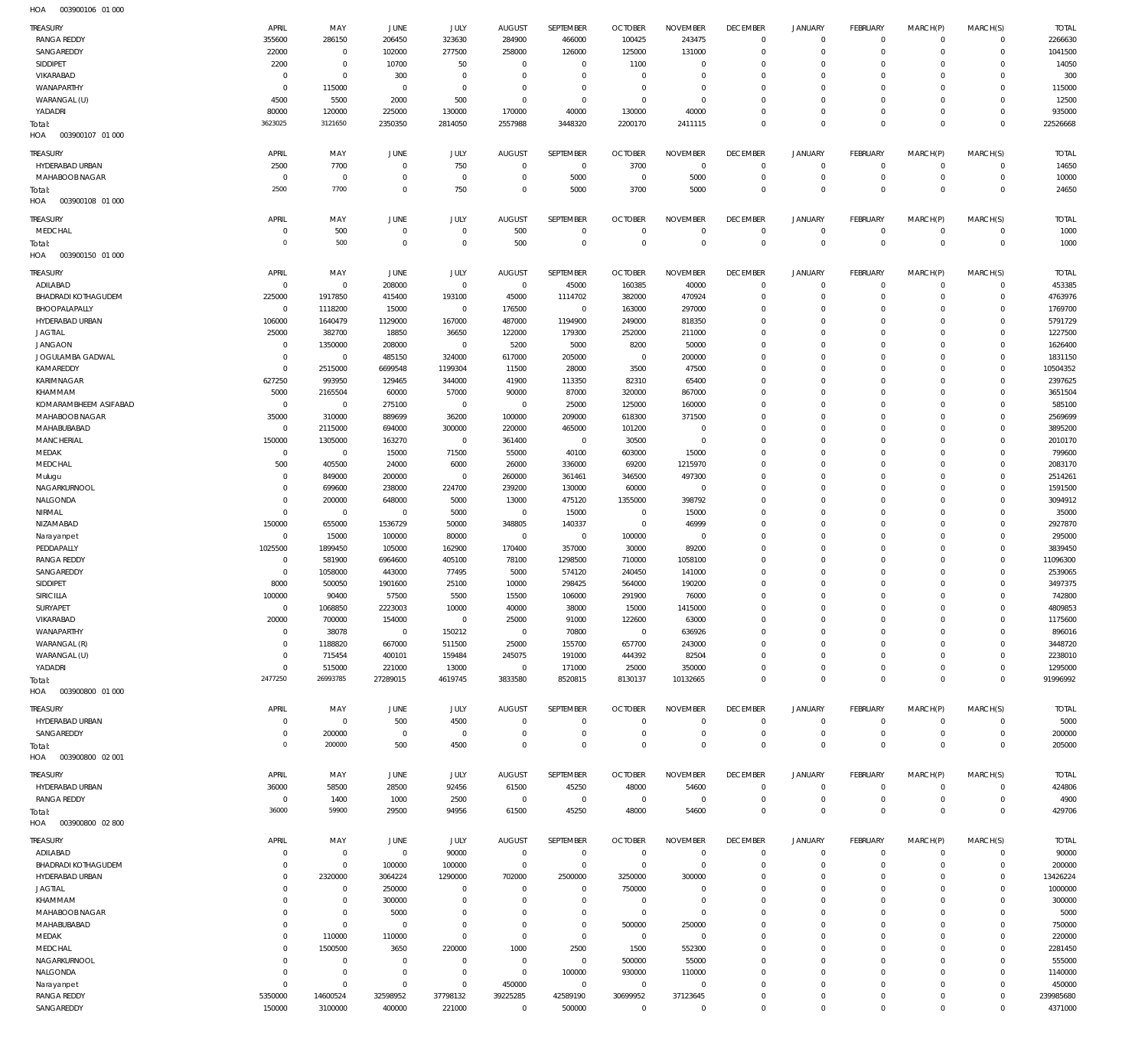| <b>TREASURY</b><br><b>RANGA REDDY</b>  | APRIL<br>355600            | MAY<br>286150              | JUNE<br>206450             | JULY<br>323630               | <b>AUGUST</b><br>284900  | SEPTEMBER<br>466000         | <b>OCTOBER</b><br>100425         | <b>NOVEMBER</b><br>243475      | <b>DECEMBER</b><br>$\mathbf 0$    | <b>JANUARY</b><br>$\mathbf 0$ | <b>FEBRUARY</b><br>$\overline{0}$ | MARCH(P)<br>$\mathbf 0$ | MARCH(S)<br>$\mathbf{0}$    | <b>TOTAL</b><br>2266630 |
|----------------------------------------|----------------------------|----------------------------|----------------------------|------------------------------|--------------------------|-----------------------------|----------------------------------|--------------------------------|-----------------------------------|-------------------------------|-----------------------------------|-------------------------|-----------------------------|-------------------------|
| SANGAREDDY                             | 22000                      | $\,0\,$                    | 102000                     | 277500                       | 258000                   | 126000                      | 125000                           | 131000                         | $\overline{0}$                    | $\mathbf 0$                   | $\mathbf 0$                       | $\Omega$                | $\mathbf 0$                 | 1041500                 |
| SIDDIPET                               | 2200                       | $\mathbf 0$                | 10700                      | 50                           | $^{\circ}$               | $\mathbf{0}$                | 1100                             | $\mathbf 0$                    | $^{\circ}$                        | $\mathbf 0$                   | $\Omega$                          | $\Omega$                | $\mathbf{0}$                | 14050                   |
| VIKARABAD<br>WANAPARTHY                | $\overline{0}$<br>$\Omega$ | $\mathbf 0$<br>115000      | 300<br>$\mathbf{0}$        | $\mathbf 0$<br>$\mathbf 0$   | $\Omega$<br>$\Omega$     | $\mathbf 0$<br>$\mathbf 0$  | $\overline{0}$<br>$\overline{0}$ | $\mathbf 0$<br>$\mathbf 0$     | $^{\circ}$<br>$\Omega$            | $\mathbf 0$<br>$\Omega$       | $\mathbf 0$<br>$\Omega$           | $\Omega$<br>$\Omega$    | $\mathbf 0$<br>$\Omega$     | 300<br>115000           |
| WARANGAL (U)                           | 4500                       | 5500                       | 2000                       | 500                          | $^{\circ}$               | $\mathbf 0$                 | $\overline{0}$                   | $\mathbf 0$                    | $^{\circ}$                        | $\mathbf 0$                   | $\Omega$                          | $\Omega$                | $\Omega$                    | 12500                   |
| YADADRI                                | 80000                      | 120000                     | 225000                     | 130000                       | 170000                   | 40000                       | 130000                           | 40000                          | $\overline{0}$                    | $\mathbf 0$                   | $\Omega$                          | $\Omega$                | $\circ$                     | 935000                  |
| Total:<br>HOA<br>003900107 01 000      | 3623025                    | 3121650                    | 2350350                    | 2814050                      | 2557988                  | 3448320                     | 2200170                          | 2411115                        | $\Omega$                          | $\mathbf 0$                   | $\Omega$                          | $\Omega$                | $\overline{0}$              | 22526668                |
| <b>TREASURY</b>                        | APRIL                      | MAY                        | JUNE                       | JULY                         | <b>AUGUST</b>            | SEPTEMBER                   | <b>OCTOBER</b>                   | <b>NOVEMBER</b>                | <b>DECEMBER</b>                   | <b>JANUARY</b>                | <b>FEBRUARY</b>                   | MARCH(P)                | MARCH(S)                    | <b>TOTAL</b>            |
| <b>HYDERABAD URBAN</b>                 | 2500                       | 7700                       | $\mathbf 0$                | 750                          | $\Omega$                 | $\mathbf 0$                 | 3700                             | $\mathbf 0$                    | $\mathbf 0$                       | $\mathbf 0$                   | $\mathbf 0$                       | $\Omega$                | $\mathbf{0}$                | 14650                   |
| MAHABOOB NAGAR<br>Total:               | $\Omega$<br>2500           | $\mathbf 0$<br>7700        | $\Omega$<br>$\mathbf 0$    | $\mathbf 0$<br>750           | $\Omega$<br>$\Omega$     | 5000<br>5000                | $\circ$<br>3700                  | 5000<br>5000                   | $\overline{0}$<br>$\overline{0}$  | $\mathbf 0$<br>$\mathbf 0$    | $\mathbf 0$<br>$\mathbf 0$        | $\Omega$<br>$\Omega$    | $\mathbf{0}$<br>$\mathbf 0$ | 10000<br>24650          |
| HOA<br>003900108 01 000                |                            |                            |                            |                              |                          |                             |                                  |                                |                                   |                               |                                   |                         |                             |                         |
| TREASURY                               | APRIL<br>0                 | MAY                        | JUNE<br>$\overline{0}$     | JULY<br>$\mathbf 0$          | <b>AUGUST</b>            | SEPTEMBER<br>$\mathbf 0$    | <b>OCTOBER</b><br>$\circ$        | <b>NOVEMBER</b><br>$\mathbf 0$ | <b>DECEMBER</b><br>$\overline{0}$ | <b>JANUARY</b><br>$\mathbf 0$ | <b>FEBRUARY</b><br>$\overline{0}$ | MARCH(P)<br>$\Omega$    | MARCH(S)<br>$\mathbf{0}$    | <b>TOTAL</b><br>1000    |
| MEDCHAL<br>Total:                      | $\circ$                    | 500<br>500                 | $\mathbf 0$                | $\mathbf 0$                  | 500<br>500               | $\mathbf 0$                 | $\mathbf 0$                      | $\mathbf 0$                    | $\overline{0}$                    | $\mathbf 0$                   | $\overline{0}$                    | $\mathbf 0$             | $\overline{0}$              | 1000                    |
| HOA<br>003900150 01 000                |                            |                            |                            |                              |                          |                             |                                  |                                |                                   |                               |                                   |                         |                             |                         |
| TREASURY                               | APRIL                      | MAY                        | JUNE                       | JULY                         | <b>AUGUST</b>            | SEPTEMBER                   | <b>OCTOBER</b>                   | <b>NOVEMBER</b>                | <b>DECEMBER</b>                   | <b>JANUARY</b>                | <b>FEBRUARY</b>                   | MARCH(P)                | MARCH(S)                    | <b>TOTAL</b>            |
| ADILABAD<br><b>BHADRADI KOTHAGUDEM</b> | $\Omega$<br>225000         | $\mathbf 0$<br>1917850     | 208000<br>415400           | $\mathbf 0$<br>193100        | $\mathbf 0$<br>45000     | 45000<br>1114702            | 160385<br>382000                 | 40000<br>470924                | $\overline{0}$<br>$\mathbf 0$     | $\mathbf 0$<br>$\mathbf 0$    | $\mathbf 0$<br>$\mathbf 0$        | $\Omega$<br>$\Omega$    | $\mathbf 0$<br>$\mathbf{0}$ | 453385<br>4763976       |
| BHOOPALAPALLY                          | $\mathbf 0$                | 1118200                    | 15000                      | $\mathbf 0$                  | 176500                   | $\mathbf 0$                 | 163000                           | 297000                         | $\Omega$                          | $\mathbf 0$                   | $\Omega$                          | $\Omega$                | $\Omega$                    | 1769700                 |
| HYDERABAD URBAN                        | 106000                     | 1640479                    | 1129000                    | 167000                       | 487000                   | 1194900                     | 249000                           | 818350                         | $\Omega$                          | $\Omega$                      | $\Omega$                          | $\Omega$                | $\Omega$                    | 5791729                 |
| <b>JAGTIAL</b>                         | 25000                      | 382700                     | 18850                      | 36650                        | 122000                   | 179300                      | 252000                           | 211000                         | $\Omega$                          | $\Omega$                      | $\Omega$                          | $\Omega$                | $\Omega$                    | 1227500                 |
| <b>JANGAON</b><br>JOGULAMBA GADWAL     | $\mathbf 0$<br>$\mathbf 0$ | 1350000<br>$\mathbf 0$     | 208000<br>485150           | $\mathbf 0$<br>324000        | 5200<br>617000           | 5000<br>205000              | 8200<br>$\mathbf 0$              | 50000<br>200000                | $\Omega$<br>$\Omega$              | $\Omega$<br>$\Omega$          | $\Omega$<br>$\Omega$              | $\Omega$<br>$\Omega$    | $\Omega$<br>$\Omega$        | 1626400<br>1831150      |
| KAMAREDDY                              | $\Omega$                   | 2515000                    | 6699548                    | 1199304                      | 11500                    | 28000                       | 3500                             | 47500                          | $\Omega$                          | $\Omega$                      | $\Omega$                          | $\Omega$                | $\Omega$                    | 10504352                |
| KARIMNAGAR                             | 627250                     | 993950                     | 129465                     | 344000                       | 41900                    | 113350                      | 82310                            | 65400                          | $\Omega$                          | $\Omega$                      | $\Omega$                          | $\Omega$                | $\Omega$                    | 2397625                 |
| KHAMMAM                                | 5000                       | 2165504                    | 60000                      | 57000                        | 90000                    | 87000                       | 320000                           | 867000                         | $\Omega$                          | $\Omega$                      | $\Omega$                          | $\Omega$                | $\Omega$                    | 3651504                 |
| KOMARAMBHEEM ASIFABAD                  | $\mathbf 0$                | $\mathbf 0$                | 275100                     | $\mathbf 0$                  | $\mathbf{0}$             | 25000                       | 125000                           | 160000                         | $\Omega$<br>$\Omega$              | $\Omega$<br>$\Omega$          | $\Omega$<br>$\Omega$              | $\Omega$<br>$\Omega$    | $\Omega$<br>$\Omega$        | 585100                  |
| MAHABOOB NAGAR<br>MAHABUBABAD          | 35000<br>$\overline{0}$    | 310000<br>2115000          | 889699<br>694000           | 36200<br>300000              | 100000<br>220000         | 209000<br>465000            | 618300<br>101200                 | 371500<br>$\Omega$             | $\Omega$                          | $\Omega$                      | $\Omega$                          | $\Omega$                | $\Omega$                    | 2569699<br>3895200      |
| <b>MANCHERIAL</b>                      | 150000                     | 1305000                    | 163270                     | $\mathbf 0$                  | 361400                   | $\mathbf{0}$                | 30500                            | $^{\circ}$                     | $\Omega$                          | $\Omega$                      | $\Omega$                          | $\Omega$                | $\Omega$                    | 2010170                 |
| MEDAK                                  | $\mathbf 0$                | $\mathbf 0$                | 15000                      | 71500                        | 55000                    | 40100                       | 603000                           | 15000                          | $\Omega$                          | $\Omega$                      | $\Omega$                          | $\Omega$                | $\Omega$                    | 799600                  |
| MEDCHAL                                | 500                        | 405500                     | 24000                      | 6000                         | 26000                    | 336000                      | 69200                            | 1215970                        | $\Omega$                          | $\Omega$                      | $\Omega$                          | $\Omega$                | $\Omega$                    | 2083170                 |
| Mulugu<br>NAGARKURNOOL                 | $\Omega$<br>$\Omega$       | 849000<br>699600           | 200000<br>238000           | $\mathbf 0$<br>224700        | 260000<br>239200         | 361461<br>130000            | 346500<br>60000                  | 497300<br>$^{\circ}$           | $\Omega$<br>$\Omega$              | $\Omega$<br>$\Omega$          | $\Omega$<br>$\Omega$              | $\Omega$<br>$\Omega$    | $\Omega$<br>$\Omega$        | 2514261<br>1591500      |
| NALGONDA                               | $\Omega$                   | 200000                     | 648000                     | 5000                         | 13000                    | 475120                      | 1355000                          | 398792                         | $\Omega$                          | $\Omega$                      | $\Omega$                          | $\Omega$                | $\Omega$                    | 3094912                 |
| NIRMAL                                 | $\Omega$                   | $\mathbf 0$                | $^{\circ}$                 | 5000                         | $^{\circ}$               | 15000                       | $^{\circ}$                       | 15000                          | $\Omega$                          | $\Omega$                      | $\Omega$                          | $\Omega$                | $\Omega$                    | 35000                   |
| NIZAMABAD                              | 150000                     | 655000                     | 1536729                    | 50000                        | 348805                   | 140337                      | $\mathbf 0$                      | 46999                          | $\Omega$                          | $\Omega$                      | $\Omega$                          | $\Omega$                | $\Omega$                    | 2927870                 |
| Narayanpet<br>PEDDAPALLY               | $\overline{0}$<br>1025500  | 15000<br>1899450           | 100000<br>105000           | 80000<br>162900              | $\mathbf 0$<br>170400    | $\mathbf{0}$<br>357000      | 100000<br>30000                  | $^{\circ}$<br>89200            | $\Omega$<br>$\Omega$              | $\Omega$<br>$\Omega$          | $\Omega$<br>$\Omega$              | $\Omega$<br>$\Omega$    | $\Omega$<br>$\Omega$        | 295000<br>3839450       |
| <b>RANGA REDDY</b>                     | $^{\circ}$                 | 581900                     | 6964600                    | 405100                       | 78100                    | 1298500                     | 710000                           | 1058100                        | $\Omega$                          | $\Omega$                      | $\Omega$                          | $\Omega$                | $\mathbf 0$                 | 11096300                |
| SANGAREDDY                             | $\Omega$                   | 1058000                    | 443000                     | 77495                        | 5000                     | 574120                      | 240450                           | 141000                         | $\Omega$                          | $\Omega$                      | $\Omega$                          | $\Omega$                | $\Omega$                    | 2539065                 |
| SIDDIPET                               | 8000                       | 500050                     | 1901600                    | 25100                        | 10000                    | 298425                      | 564000                           | 190200                         | $\Omega$                          | $\Omega$                      | $\Omega$                          | $\Omega$                | $\Omega$                    | 3497375                 |
| <b>SIRICILLA</b>                       | 100000                     | 90400                      | 57500                      | 5500                         | 15500                    | 106000                      | 291900                           | 76000                          | $\Omega$                          | $\Omega$                      | $\Omega$                          | $\Omega$                | $\Omega$                    | 742800                  |
| <b>SURYAPET</b><br>VIKARABAD           | $\Omega$<br>20000          | 1068850<br>700000          | 2223003<br>154000          | 10000<br>$\mathbf 0$         | 40000<br>25000           | 38000<br>91000              | 15000<br>122600                  | 1415000<br>63000               | $\Omega$<br>$^{\circ}$            | $\Omega$<br>$\mathbf 0$       | $\Omega$<br>$\Omega$              | $\Omega$<br>$\Omega$    | $\Omega$<br>$\mathbf 0$     | 4809853<br>1175600      |
| WANAPARTHY                             | $^{\circ}$                 | 38078                      | $\mathbb O$                | 150212                       | $^{\circ}$               | 70800                       | $^{\circ}$                       | 636926                         | $\Omega$                          | $\Omega$                      | $\Omega$                          | $\Omega$                | $\Omega$                    | 896016                  |
| WARANGAL (R)                           | $\Omega$                   | 1188820                    | 667000                     | 511500                       | 25000                    | 155700                      | 657700                           | 243000                         | $\Omega$                          | $\Omega$                      | $\Omega$                          | $\Omega$                | $\Omega$                    | 3448720                 |
| WARANGAL (U)                           | $\Omega$                   | 715454                     | 400101                     | 159484                       | 245075                   | 191000                      | 444392                           | 82504                          | $\Omega$                          | $\Omega$                      | $\Omega$                          | $\Omega$                | $\Omega$                    | 2238010                 |
| YADADRI                                | $^{\circ}$                 | 515000                     | 221000                     | 13000                        | $\mathbf{0}$             | 171000                      | 25000                            | 350000                         | $\Omega$                          | $\mathbf 0$                   | $\mathbf 0$                       | $\Omega$                | $\mathbf 0$                 | 1295000                 |
| Total:<br>003900800 01 000<br>HOA      | 2477250                    | 26993785                   | 27289015                   | 4619745                      | 3833580                  | 8520815                     | 8130137                          | 10132665                       | $\Omega$                          | $\mathbf 0$                   | $\Omega$                          | $\Omega$                | $\Omega$                    | 91996992                |
| TREASURY                               | APRIL                      | MAY                        |                            | <b>JULY</b>                  | <b>AUGUST</b>            | SEPTEMBER                   | <b>OCTOBER</b>                   | <b>NOVEMBER</b>                | <b>DECEMBER</b>                   | <b>JANUARY</b>                | <b>FEBRUARY</b>                   | MARCH(P)                | MARCH(S)                    | <b>TOTAL</b>            |
| HYDERABAD URBAN                        | $\Omega$                   | $\mathbb O$                | JUNE<br>500                | 4500                         | $\overline{0}$           | $\mathbf{0}$                | $^{\circ}$                       | $\mathbf 0$                    | $\overline{0}$                    | $\mathbf 0$                   | $\overline{0}$                    | $^{\circ}$              | $\overline{0}$              | 5000                    |
| SANGAREDDY                             | $\Omega$                   | 200000                     | $\mathbf 0$                | $\mathbf 0$                  | - 0                      | $\mathbf 0$                 | $^{\circ}$                       | $\mathbf 0$                    | $\mathbf 0$                       | $\mathsf{O}\xspace$           | $\overline{0}$                    | $\mathbf 0$             | $\circ$                     | 200000                  |
| Total:<br>003900800 02 001<br>HOA      | $\circ$                    | 200000                     | 500                        | 4500                         | $\Omega$                 | $\mathbf 0$                 | $\mathbf 0$                      | $\mathbf 0$                    | $\overline{0}$                    | $\mathbf 0$                   | $\overline{0}$                    | $\mathbf 0$             | $\overline{0}$              | 205000                  |
| TREASURY                               | APRIL                      | MAY                        | JUNE                       | JULY                         | <b>AUGUST</b>            | SEPTEMBER                   | <b>OCTOBER</b>                   | <b>NOVEMBER</b>                | <b>DECEMBER</b>                   | <b>JANUARY</b>                | <b>FEBRUARY</b>                   | MARCH(P)                | MARCH(S)                    | <b>TOTAL</b>            |
| HYDERABAD URBAN                        | 36000                      | 58500                      | 28500                      | 92456                        | 61500                    | 45250                       | 48000                            | 54600                          | $^{\circ}$                        | $\mathbf 0$                   | $\mathbf 0$                       | $\mathbf 0$             | $^{\circ}$                  | 424806                  |
| <b>RANGA REDDY</b>                     | $\Omega$                   | 1400                       | 1000                       | 2500                         | $\mathbf{0}$             | $\mathbf{0}$                | $^{\circ}$                       | $\circ$                        | $^{\circ}$                        | $\mathbf 0$                   | $\mathbf 0$                       | $\Omega$                | $\mathbf{0}$                | 4900                    |
| Total:<br>003900800 02800<br>HOA       | 36000                      | 59900                      | 29500                      | 94956                        | 61500                    | 45250                       | 48000                            | 54600                          | $\mathbf 0$                       | $\mathbf 0$                   | $\overline{0}$                    | $\Omega$                | $\mathbf 0$                 | 429706                  |
| <b>TREASURY</b>                        | APRIL                      | MAY                        | JUNE                       | JULY                         | <b>AUGUST</b>            | SEPTEMBER                   | <b>OCTOBER</b>                   | <b>NOVEMBER</b>                | <b>DECEMBER</b>                   | <b>JANUARY</b>                | <b>FEBRUARY</b>                   | MARCH(P)                | MARCH(S)                    | <b>TOTAL</b>            |
| ADILABAD                               | $\Omega$                   | $\,0\,$                    | $\,0\,$                    | 90000                        | $\overline{0}$           | $\mathbf 0$                 | 0                                | $^{\circ}$                     | $\overline{0}$                    | 0                             | $\mathbf 0$                       | $\Omega$                | $^{\circ}$                  | 90000                   |
| <b>BHADRADI KOTHAGUDEM</b>             | $\Omega$                   | $\mathbb O$                | 100000                     | 100000                       | $^{\circ}$               | $\mathbf 0$                 | $\overline{0}$                   | $\mathbf 0$                    | $^{\circ}$                        | $\mathbf 0$                   | $\overline{0}$                    | $\mathbf 0$             | $\overline{0}$              | 200000                  |
| HYDERABAD URBAN                        | $\Omega$                   | 2320000                    | 3064224                    | 1290000                      | 702000                   | 2500000                     | 3250000                          | 300000                         | $^{\circ}$                        | $\mathbf 0$                   | $\mathbf 0$                       | $\Omega$                | $\mathbf 0$                 | 13426224                |
| <b>JAGTIAL</b><br>KHAMMAM              | $\Omega$<br>$\Omega$       | $\mathbb O$<br>$\mathbb O$ | 250000<br>300000           | $\mathbf{0}$<br>$\mathbf{0}$ | $\Omega$<br>$\Omega$     | $\mathbf{0}$<br>$\mathbf 0$ | 750000<br>0                      | $\mathbf 0$<br>$^{\circ}$      | $\Omega$<br>$^{\circ}$            | $\Omega$<br>$\mathbf 0$       | $\mathbf 0$<br>$\mathbf 0$        | $\Omega$<br>$\Omega$    | $\Omega$<br>$\mathbf{0}$    | 1000000<br>300000       |
| MAHABOOB NAGAR                         | $\Omega$                   | $\mathbb O$                | 5000                       | $\mathbf 0$                  | $\Omega$                 | $\mathbf 0$                 | $\overline{0}$                   | $\mathbf 0$                    | $\Omega$                          | $\Omega$                      | $\Omega$                          | $\Omega$                | $\Omega$                    | 5000                    |
| MAHABUBABAD                            | $\Omega$                   | $\mathbf 0$                | $^{\circ}$                 | $\mathbf 0$                  | $\Omega$                 | $\mathbf 0$                 | 500000                           | 250000                         | $^{\circ}$                        | $\mathbf 0$                   | $\Omega$                          | $\Omega$                | $\mathbf{0}$                | 750000                  |
| MEDAK                                  | $\Omega$                   | 110000                     | 110000                     | $\mathbf 0$                  | $\Omega$                 | $\mathbf 0$                 | $\overline{0}$                   | $\mathbf 0$                    | $^{\circ}$                        | $\Omega$                      | $\Omega$                          | $\Omega$                | $\mathbf 0$                 | 220000                  |
| MEDCHAL                                | $\Omega$                   | 1500500                    | 3650                       | 220000                       | 1000                     | 2500                        | 1500                             | 552300                         | $\Omega$                          | $\Omega$                      | $\Omega$<br>$\Omega$              | $\Omega$                | $\mathbf 0$                 | 2281450                 |
| NAGARKURNOOL<br>NALGONDA               | $\Omega$<br>$\Omega$       | $\mathbf 0$<br>$\mathbf 0$ | $^{\circ}$<br>$\mathbf{0}$ | $\mathbf{0}$<br>$\mathbf 0$  | $^{\circ}$<br>$^{\circ}$ | $\mathbf 0$<br>100000       | 500000<br>930000                 | 55000<br>110000                | $^{\circ}$<br>$^{\circ}$          | $\mathbf 0$<br>$\Omega$       | $\Omega$                          | $\Omega$<br>$\Omega$    | $\mathbf 0$<br>$\mathbf{0}$ | 555000<br>1140000       |
| Narayanpet                             | $\overline{0}$             | $\,0\,$                    | $\mathbf{0}$               | $\mathbf 0$                  | 450000                   | $\mathbf{0}$                | $\overline{0}$                   | $^{\circ}$                     | $^{\circ}$                        | $\mathbf 0$                   | $^{\circ}$                        | $\Omega$                | $\mathbf{0}$                | 450000                  |
| <b>RANGA REDDY</b>                     | 5350000                    | 14600524                   | 32598952                   | 37798132                     | 39225285                 | 42589190                    | 30699952                         | 37123645                       | $\mathbf 0$                       | $\mathbf 0$                   | $\mathbf 0$                       | $\mathbf 0$             | $\mathbf{0}$                | 239985680               |
| SANGAREDDY                             | 150000                     | 3100000                    | 400000                     | 221000                       | $^{\circ}$               | 500000                      | $\mathbf 0$                      | $\mathbf 0$                    | $\mathbf 0$                       | $\mathbf 0$                   | $\mathbf 0$                       | $\mathbf 0$             | $\mathbf{0}$                | 4371000                 |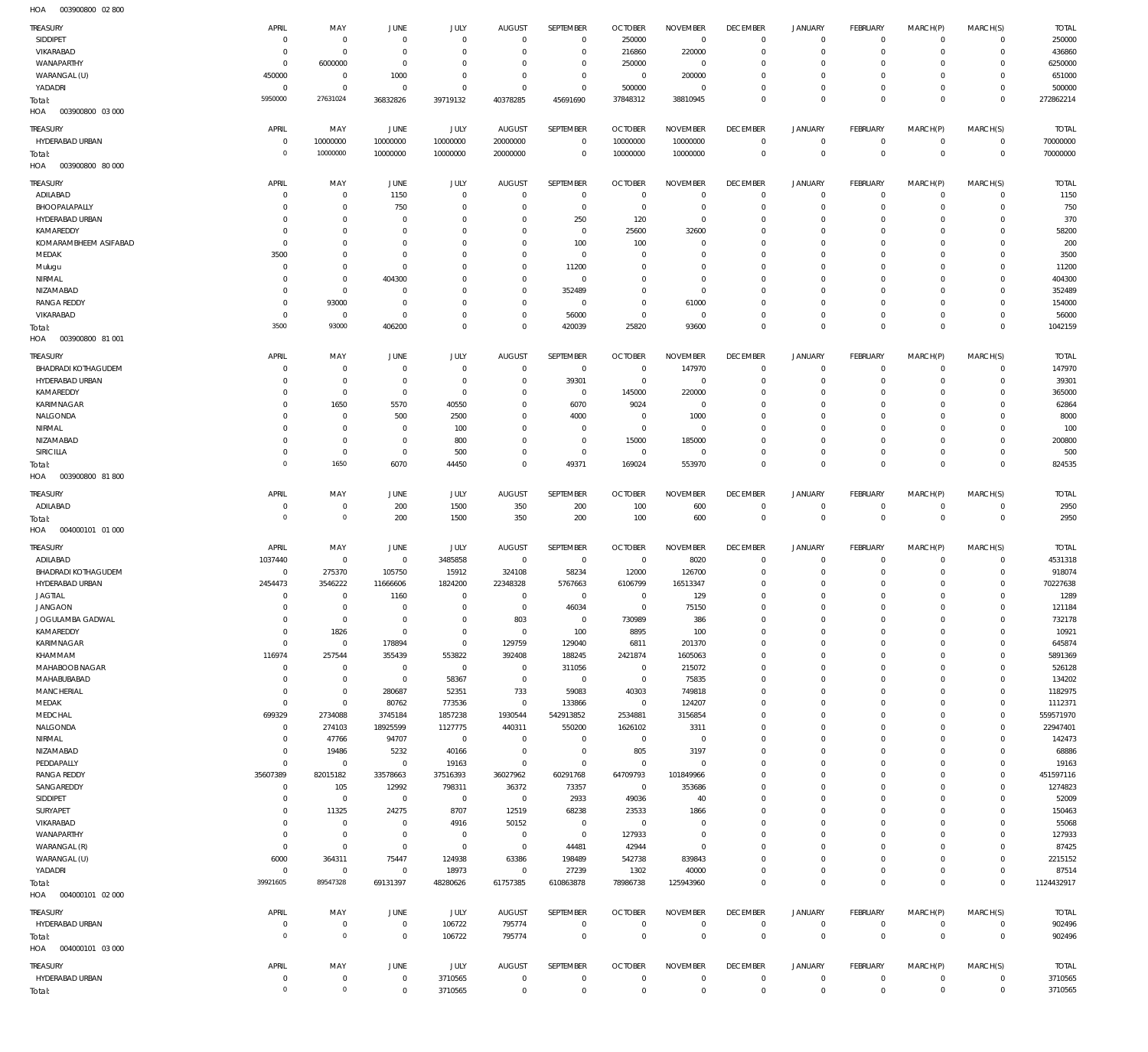003900800 02 800 HOA

| <b>TREASURY</b><br><b>SIDDIPET</b><br>VIKARABAD<br>WANAPARTHY | APRIL<br>$^{\circ}$<br>$\Omega$<br>$\mathbf 0$ | MAY<br>$\overline{0}$<br>$\mathbf 0$<br>6000000 | JUNE<br>$\overline{0}$<br>$^{\circ}$<br>$^{\circ}$ | JULY<br>$^{\circ}$<br>$\mathbf{0}$<br>$\mathbf 0$ | <b>AUGUST</b><br>$\overline{0}$<br>$\overline{0}$<br>0 | SEPTEMBER<br>$\mathbf{0}$<br>$\mathbf{0}$<br>$\mathbf{0}$ | <b>OCTOBER</b><br>250000<br>216860<br>250000 | <b>NOVEMBER</b><br>$\mathbf 0$<br>220000<br>$\mathbf 0$ | <b>DECEMBER</b><br>$^{\circ}$<br>$^{\circ}$<br>$^{\circ}$ | <b>JANUARY</b><br>$\mathbf 0$<br>$\mathbf 0$<br>0 | <b>FEBRUARY</b><br>$\mathbf 0$<br>$\mathbf 0$<br>$\mathbf 0$ | MARCH(P)<br>$\mathbf 0$<br>$\mathbf 0$<br>$\Omega$ | MARCH(S)<br>$^{\circ}$<br>$\mathbf{0}$<br>$\mathbf 0$ | <b>TOTAL</b><br>250000<br>436860<br>6250000 |
|---------------------------------------------------------------|------------------------------------------------|-------------------------------------------------|----------------------------------------------------|---------------------------------------------------|--------------------------------------------------------|-----------------------------------------------------------|----------------------------------------------|---------------------------------------------------------|-----------------------------------------------------------|---------------------------------------------------|--------------------------------------------------------------|----------------------------------------------------|-------------------------------------------------------|---------------------------------------------|
| WARANGAL (U)<br>YADADRI<br>Total:<br>HOA<br>003900800 03 000  | 450000<br>$\overline{0}$<br>5950000            | $\overline{0}$<br>$\mathbf 0$<br>27631024       | 1000<br>$\overline{0}$<br>36832826                 | $\mathbf{0}$<br>$\mathbf 0$<br>39719132           | $\overline{0}$<br>$^{\circ}$<br>40378285               | $\mathbf{0}$<br>$\mathbf{0}$<br>45691690                  | $\overline{0}$<br>500000<br>37848312         | 200000<br>$\mathbf 0$<br>38810945                       | $^{\circ}$<br>$^{\circ}$<br>$\mathbf 0$                   | 0<br>$\mathbf 0$<br>$\mathbf 0$                   | $\mathbf 0$<br>$\mathbf 0$<br>$\mathbf 0$                    | $\Omega$<br>$\mathbf 0$<br>$\mathbf 0$             | $\mathbf 0$<br>$\mathbf 0$<br>$\overline{0}$          | 651000<br>500000<br>272862214               |
| TREASURY<br>HYDERABAD URBAN                                   | APRIL<br>$^{\circ}$<br>0                       | MAY<br>10000000<br>10000000                     | JUNE<br>10000000<br>10000000                       | JULY<br>10000000<br>10000000                      | <b>AUGUST</b><br>20000000<br>20000000                  | SEPTEMBER<br>$\mathbf{0}$<br>$\mathbf 0$                  | <b>OCTOBER</b><br>10000000<br>10000000       | <b>NOVEMBER</b><br>10000000<br>10000000                 | <b>DECEMBER</b><br>$^{\circ}$<br>$\overline{0}$           | <b>JANUARY</b><br>$\mathbf 0$<br>$\mathbf 0$      | <b>FEBRUARY</b><br>$\mathbf 0$<br>$\overline{0}$             | MARCH(P)<br>$\mathbf 0$<br>$\mathbf 0$             | MARCH(S)<br>$^{\circ}$<br>$\overline{0}$              | <b>TOTAL</b><br>70000000<br>70000000        |
| Total:<br>HOA<br>003900800 80 000                             |                                                |                                                 |                                                    |                                                   |                                                        |                                                           |                                              |                                                         |                                                           |                                                   |                                                              |                                                    |                                                       |                                             |
| TREASURY                                                      | APRIL                                          | MAY                                             | JUNE                                               | JULY                                              | <b>AUGUST</b>                                          | SEPTEMBER                                                 | <b>OCTOBER</b>                               | <b>NOVEMBER</b>                                         | <b>DECEMBER</b>                                           | <b>JANUARY</b>                                    | <b>FEBRUARY</b>                                              | MARCH(P)                                           | MARCH(S)                                              | <b>TOTAL</b>                                |
| ADILABAD<br>BHOOPALAPALLY                                     | $^{\circ}$<br>-C                               | $\overline{0}$<br>$\overline{0}$                | 1150<br>750                                        | $\mathbf{0}$<br>$\mathbf 0$                       | $\overline{0}$<br>0                                    | $\mathbf{0}$<br>$\mathbf{0}$                              | 0<br>0                                       | $\mathbf 0$<br>$^{\circ}$                               | $^{\circ}$<br>$^{\circ}$                                  | $\mathbf 0$<br>$\mathbf 0$                        | $^{\circ}$<br>$^{\circ}$                                     | $\mathbf 0$<br>$\mathbf 0$                         | $\mathbf{0}$<br>$\mathbf 0$                           | 1150<br>750                                 |
| HYDERABAD URBAN                                               | $\Omega$                                       | $\overline{0}$                                  | $\overline{0}$                                     | $\mathbf 0$                                       | 0                                                      | 250                                                       | 120                                          | $\mathbf 0$                                             | $^{\circ}$                                                | 0                                                 | $^{\circ}$                                                   | $\Omega$                                           | $\mathbf 0$                                           | 370                                         |
| KAMAREDDY<br>KOMARAMBHEEM ASIFABAD                            | $\Omega$<br>$\Omega$                           | $\overline{0}$<br>$\mathbb O$                   | $\overline{0}$<br>$\overline{0}$                   | $\mathbf 0$<br>$\mathbf 0$                        | $\Omega$<br>$\Omega$                                   | $\mathbf{0}$<br>100                                       | 25600<br>100                                 | 32600<br>$\mathbf 0$                                    | $^{\circ}$<br>$^{\circ}$                                  | 0<br>0                                            | $\mathbf 0$<br>O                                             | $\Omega$<br>$\Omega$                               | $\mathbf 0$<br>$\mathbf 0$                            | 58200<br>200                                |
| MEDAK                                                         | 3500                                           | $\overline{0}$                                  | $\overline{0}$                                     | $\mathbf 0$                                       | 0                                                      | $\mathbf{0}$                                              | $^{\circ}$                                   | $^{\circ}$                                              | $^{\circ}$                                                | 0                                                 | $\mathbf 0$                                                  | $\Omega$                                           | $\mathbf 0$                                           | 3500                                        |
| Mulugu<br>NIRMAL                                              | $\Omega$<br>$\Omega$                           | $\mathbb O$<br>$\overline{0}$                   | $\overline{0}$<br>404300                           | $\mathbf 0$<br>$\mathbf 0$                        | $\Omega$<br>0                                          | 11200<br>$\mathbf{0}$                                     | $^{\circ}$<br>$^{\circ}$                     | $\mathbf 0$<br>$\mathbf 0$                              | $^{\circ}$<br>$^{\circ}$                                  | $\mathbf 0$<br>0                                  | $\mathbf 0$<br>$\mathbf 0$                                   | $\Omega$<br>$\Omega$                               | $\mathbf 0$<br>$\mathbf 0$                            | 11200<br>404300                             |
| NIZAMABAD                                                     | $\Omega$                                       | $\mathbb O$                                     | $\overline{0}$                                     | $\mathbf 0$                                       | $\mathbf 0$                                            | 352489                                                    | $^{\circ}$                                   | $\mathbf 0$                                             | $^{\circ}$                                                | $\mathbf 0$                                       | O                                                            | $\Omega$                                           | $\mathbf 0$                                           | 352489                                      |
| <b>RANGA REDDY</b><br>VIKARABAD                               | $\Omega$<br>$\Omega$                           | 93000<br>$\mathbb O$                            | $\overline{0}$<br>$\overline{0}$                   | $\mathbf 0$<br>$\mathbf 0$                        | $\overline{0}$<br>$\overline{0}$                       | $\mathbf{0}$<br>56000                                     | $^{\circ}$<br>0                              | 61000<br>$\mathbf 0$                                    | $^{\circ}$<br>$^{\circ}$                                  | 0<br>$\mathbf 0$                                  | $\mathbf 0$<br>$\mathbf 0$                                   | $\Omega$<br>$\mathbf 0$                            | $\mathbf 0$<br>$\mathbf 0$                            | 154000<br>56000                             |
| Total:<br>HOA<br>003900800 81 001                             | 3500                                           | 93000                                           | 406200                                             | $\mathbf 0$                                       | $\mathbf 0$                                            | 420039                                                    | 25820                                        | 93600                                                   | $\mathbf 0$                                               | $\mathbf 0$                                       | $\mathbf 0$                                                  | $\Omega$                                           | $\overline{0}$                                        | 1042159                                     |
| TREASURY<br><b>BHADRADI KOTHAGUDEM</b>                        | APRIL<br>0                                     | MAY<br>$\overline{0}$                           | JUNE<br>$^{\circ}$                                 | JULY<br>$^{\circ}$                                | <b>AUGUST</b><br>$^{\circ}$                            | SEPTEMBER<br>$\mathbf{0}$                                 | <b>OCTOBER</b><br>$^{\circ}$                 | <b>NOVEMBER</b><br>147970                               | <b>DECEMBER</b><br>$^{\circ}$                             | JANUARY<br>$\mathbf 0$                            | <b>FEBRUARY</b><br>$\mathbf 0$                               | MARCH(P)<br>0                                      | MARCH(S)<br>$\mathbf 0$                               | <b>TOTAL</b><br>147970                      |
| HYDERABAD URBAN                                               |                                                | $\overline{0}$                                  | $\overline{0}$                                     | $\mathbf 0$                                       | 0                                                      | 39301                                                     | $^{\circ}$                                   | $^{\circ}$                                              | $^{\circ}$                                                | $\mathbf 0$                                       | O                                                            | $\Omega$                                           | $\mathbf 0$                                           | 39301                                       |
| KAMAREDDY<br>KARIMNAGAR                                       | $\Omega$                                       | $\overline{0}$<br>1650                          | $^{\circ}$<br>5570                                 | $^{\circ}$<br>40550                               | 0<br>$\Omega$                                          | $\mathbf{0}$<br>6070                                      | 145000<br>9024                               | 220000<br>$^{\circ}$                                    | 0<br>0                                                    | $\mathbf 0$<br>$\mathbf 0$                        | $\mathbf 0$<br>O                                             | 0                                                  | $\mathbf 0$<br>$\mathbf 0$                            | 365000<br>62864                             |
| NALGONDA                                                      | $\Omega$                                       | $\overline{0}$                                  | 500                                                | 2500                                              | $\Omega$                                               | 4000                                                      | $^{\circ}$                                   | 1000                                                    | $^{\circ}$                                                | $\mathbf 0$                                       | O                                                            | 0                                                  | $\mathbf 0$                                           | 8000                                        |
| NIRMAL<br>NIZAMABAD                                           | $\Omega$<br>$\Omega$                           | $\overline{0}$<br>$\overline{0}$                | $\overline{0}$<br>$^{\circ}$                       | 100<br>800                                        | $\Omega$<br>$\Omega$                                   | $\mathbf 0$<br>$\mathbf{0}$                               | $\overline{0}$<br>15000                      | $^{\circ}$<br>185000                                    | 0<br>$^{\circ}$                                           | $\mathbf 0$<br>$\mathbf 0$                        | O<br>O                                                       | 0<br>$\Omega$                                      | $\mathbf 0$<br>$\mathbf 0$                            | 100<br>200800                               |
| SIRICILLA                                                     | $\Omega$                                       | $\overline{0}$                                  | $^{\circ}$                                         | 500                                               | 0                                                      | $\mathbf{0}$                                              | $\overline{0}$                               | $\mathbf 0$                                             | $^{\circ}$                                                | 0                                                 | $\mathbf 0$                                                  | $\mathbf 0$                                        | $\mathbf 0$                                           | 500                                         |
| Total:<br>003900800 81800<br>HOA                              | $\Omega$                                       | 1650                                            | 6070                                               | 44450                                             | $\Omega$                                               | 49371                                                     | 169024                                       | 553970                                                  | $\mathbf 0$                                               | $\mathbf 0$                                       | $\mathbf 0$                                                  | $\Omega$                                           | $\mathbf 0$                                           | 824535                                      |
| TREASURY                                                      | APRIL                                          | MAY                                             | JUNE                                               | JULY                                              | <b>AUGUST</b>                                          | SEPTEMBER                                                 | <b>OCTOBER</b>                               | <b>NOVEMBER</b>                                         | <b>DECEMBER</b>                                           | <b>JANUARY</b>                                    | <b>FEBRUARY</b>                                              | MARCH(P)                                           | MARCH(S)                                              | <b>TOTAL</b>                                |
| ADILABAD                                                      | $\Omega$                                       | $\overline{0}$                                  | 200                                                | 1500                                              | 350                                                    | 200                                                       | 100                                          | 600                                                     | $^{\circ}$                                                | 0                                                 | $\mathbf 0$                                                  | $\mathbf 0$                                        | $\mathbf{0}$                                          | 2950                                        |
| Total:<br>004000101 01 000<br>HOA                             | $\circ$                                        | $\mathbb O$                                     | 200                                                | 1500                                              | 350                                                    | 200                                                       | 100                                          | 600                                                     | $\overline{0}$                                            | $\mathbf 0$                                       | $\overline{0}$                                               | $\mathbf 0$                                        | $\overline{0}$                                        | 2950                                        |
| TREASURY                                                      | APRIL                                          | MAY                                             | JUNE                                               | JULY                                              | <b>AUGUST</b>                                          | SEPTEMBER                                                 | <b>OCTOBER</b>                               | <b>NOVEMBER</b>                                         | <b>DECEMBER</b>                                           | JANUARY                                           | <b>FEBRUARY</b>                                              | MARCH(P)                                           | MARCH(S)                                              | <b>TOTAL</b>                                |
| ADILABAD                                                      | 1037440                                        | $\mathbf 0$                                     | $^{\circ}$                                         | 3485858                                           | $^{\circ}$                                             | $\mathbf{0}$                                              | $^{\circ}$                                   | 8020                                                    | $\mathbf 0$                                               | $\mathbf 0$                                       | $\mathbf 0$                                                  | 0                                                  | $\mathbf 0$                                           | 4531318                                     |
| <b>BHADRADI KOTHAGUDEM</b><br>HYDERABAD URBAN                 | $^{\circ}$<br>2454473                          | 275370<br>3546222                               | 105750<br>11666606                                 | 15912<br>1824200                                  | 324108<br>22348328                                     | 58234                                                     | 12000                                        | 126700<br>16513347                                      | $^{\circ}$<br>$^{\circ}$                                  | $\mathbf 0$<br>$\mathbf 0$                        | $\mathbf 0$                                                  | $\Omega$<br>0                                      | $\mathbf 0$<br>$\mathbf 0$                            | 918074<br>70227638                          |
| <b>JAGTIAL</b>                                                |                                                |                                                 |                                                    |                                                   |                                                        |                                                           |                                              |                                                         |                                                           |                                                   |                                                              |                                                    |                                                       |                                             |
|                                                               | $\overline{0}$                                 | $\overline{0}$                                  | 1160                                               | $\mathbf{0}$                                      | $^{\circ}$                                             | 5767663<br>$\mathbf{0}$                                   | 6106799<br>$\mathbf 0$                       | 129                                                     | $^{\circ}$                                                | 0                                                 | O<br>$\Omega$                                                | $\Omega$                                           | $\mathbf 0$                                           | 1289                                        |
| <b>JANGAON</b>                                                | $\Omega$                                       | $\overline{0}$                                  | $\Omega$                                           | $\Omega$                                          | $\Omega$                                               | 46034                                                     | $\Omega$                                     | 75150                                                   | $\Omega$                                                  | $\Omega$                                          | $\Omega$                                                     | $\Omega$                                           | $\Omega$                                              | 121184                                      |
| JOGULAMBA GADWAL<br>KAMAREDDY                                 | $\Omega$<br>$\mathbf 0$                        | $\overline{0}$<br>1826                          | $^{\circ}$<br>$\overline{0}$                       | $^{\circ}$<br>$\mathbf 0$                         | 803<br>$^{\circ}$                                      | $\mathbf{0}$<br>100                                       | 730989<br>8895                               | 386<br>100                                              | $\mathbf 0$<br>$^{\circ}$                                 | 0<br>$\mathbf 0$                                  | $\mathbf 0$<br>$\mathbf 0$                                   | $\Omega$<br>0                                      | $\mathbf 0$<br>$\mathbf 0$                            | 732178<br>10921                             |
| KARIMNAGAR                                                    | $\mathbf 0$                                    | $\mathbf 0$                                     | 178894                                             | $\mathbf 0$                                       | 129759                                                 | 129040                                                    | 6811                                         | 201370                                                  | $^{\circ}$                                                | 0                                                 | $\mathbf 0$                                                  | $\Omega$                                           | $\mathbf 0$                                           | 645874                                      |
| KHAMMAM<br>MAHABOOB NAGAR                                     | 116974<br>$^{\circ}$                           | 257544<br>$\overline{0}$                        | 355439<br>$^{\circ}$                               | 553822<br>$\mathbf 0$                             | 392408<br>$^{\circ}$                                   | 188245<br>311056                                          | 2421874<br>$^{\circ}$                        | 1605063<br>215072                                       | $^{\circ}$<br>$^{\circ}$                                  | $\mathbf 0$<br>0                                  | $\mathbf 0$<br>O                                             | $\Omega$<br>0                                      | $\mathbf 0$<br>$\mathbf 0$                            | 5891369<br>526128                           |
| MAHABUBABAD                                                   | $^{\circ}$                                     | $\overline{0}$                                  | $^{\circ}$                                         | 58367                                             | $\mathbf{0}$                                           | $\mathbf{0}$                                              | $\overline{0}$                               | 75835                                                   | $^{\circ}$                                                | $\mathbf 0$                                       | $\mathbf 0$                                                  | $\Omega$                                           | $\mathbf 0$                                           | 134202                                      |
| <b>MANCHERIAL</b><br>MEDAK                                    | $^{\circ}$<br>$\overline{0}$                   | $\mathbf 0$<br>$\mathbf 0$                      | 280687<br>80762                                    | 52351<br>773536                                   | 733<br>$\mathbf 0$                                     | 59083<br>133866                                           | 40303<br>$^{\circ}$                          | 749818<br>124207                                        | $^{\circ}$<br>$^{\circ}$                                  | 0<br>$\mathbf 0$                                  | O<br>$\mathbf 0$                                             | $\Omega$                                           | $\mathbf 0$<br>$\mathbf 0$                            | 1182975<br>1112371                          |
| MEDCHAL                                                       | 699329                                         | 2734088                                         | 3745184                                            | 1857238                                           | 1930544                                                | 542913852                                                 | 2534881                                      | 3156854                                                 | $^{\circ}$                                                | $\mathbf 0$                                       | $\mathbf 0$                                                  | 0                                                  | $\mathbf 0$                                           | 559571970                                   |
| NALGONDA<br>NIRMAL                                            | $^{\circ}$<br>$^{\circ}$                       | 274103<br>47766                                 | 18925599<br>94707                                  | 1127775<br>$\mathbf 0$                            | 440311<br>$^{\circ}$                                   | 550200<br>$\mathbf{0}$                                    | 1626102<br>$^{\circ}$                        | 3311<br>$^{\circ}$                                      | $^{\circ}$<br>$^{\circ}$                                  | $\mathbf 0$<br>$\mathbf 0$                        | $\mathbf 0$<br>$\mathbf 0$                                   | $\Omega$<br>0                                      | $\mathbf 0$<br>$\mathbf 0$                            | 22947401<br>142473                          |
| NIZAMABAD                                                     | $^{\circ}$                                     | 19486                                           | 5232                                               | 40166                                             | $\overline{0}$                                         | $\mathbf 0$                                               | 805                                          | 3197                                                    | $^{\circ}$                                                | $\mathbf 0$                                       | O                                                            | $\Omega$                                           | $\mathbf 0$                                           | 68886                                       |
| PEDDAPALLY                                                    | $\mathbf 0$                                    | $\mathbf 0$                                     | $\mathbf 0$                                        | 19163                                             | $^{\circ}$                                             | $\mathbf 0$                                               | $\overline{0}$<br>64709793                   | $^{\circ}$                                              | $^{\circ}$<br>$\mathbf 0$                                 | $\mathbf 0$<br>$\mathbf 0$                        | $\mathbf 0$<br>O                                             | $\Omega$<br>0                                      | $\mathbf 0$<br>$\mathbf 0$                            | 19163<br>451597116                          |
| <b>RANGA REDDY</b><br>SANGAREDDY                              | 35607389<br>$\overline{0}$                     | 82015182<br>105                                 | 33578663<br>12992                                  | 37516393<br>798311                                | 36027962<br>36372                                      | 60291768<br>73357                                         | $\overline{0}$                               | 101849966<br>353686                                     | $^{\circ}$                                                | $\mathbf 0$                                       | $\mathbf 0$                                                  | $\Omega$                                           | $\mathbf 0$                                           | 1274823                                     |
| SIDDIPET                                                      | $\mathbf 0$<br>$\Omega$                        | $\mathbf 0$                                     | $\mathbf 0$                                        | $\mathbf 0$                                       | $\mathbf{0}$                                           | 2933                                                      | 49036                                        | 40                                                      | $\mathbf 0$<br>$^{\circ}$                                 | $\mathbf 0$<br>0                                  | $\mathbf 0$<br>O                                             | $\Omega$<br>$\Omega$                               | $\mathbf 0$<br>$\mathbf 0$                            | 52009                                       |
| SURYAPET<br>VIKARABAD                                         | 0                                              | 11325<br>$\overline{0}$                         | 24275<br>$\overline{0}$                            | 8707<br>4916                                      | 12519<br>50152                                         | 68238<br>$\mathbf{0}$                                     | 23533<br>$^{\circ}$                          | 1866<br>$^{\circ}$                                      | $\mathbf 0$                                               | $\mathbf 0$                                       | $\mathbf 0$                                                  | 0                                                  | $\mathbf 0$                                           | 150463<br>55068                             |
| WANAPARTHY                                                    | $\Omega$                                       | $\mathbb O$                                     | $^{\circ}$                                         | $^{\circ}$                                        | $^{\circ}$                                             | $\mathbf 0$                                               | 127933                                       | $\mathbf 0$                                             | $^{\circ}$                                                | 0                                                 | O                                                            |                                                    | $\mathbf 0$                                           | 127933                                      |
| WARANGAL (R)<br>WARANGAL (U)                                  | $\overline{0}$<br>6000                         | $\mathbb O$<br>364311                           | $^{\circ}$<br>75447                                | $\mathbf 0$<br>124938                             | $^{\circ}$<br>63386                                    | 44481<br>198489                                           | 42944<br>542738                              | $\mathbf 0$<br>839843                                   | $\mathbf 0$<br>$\mathbf 0$                                | $\mathbf 0$<br>$\mathbf 0$                        | $\mathbf 0$<br>$\mathbf 0$                                   | $\Omega$<br>$\Omega$                               | $\mathbf 0$<br>$\mathbf 0$                            | 87425<br>2215152                            |
| YADADRI<br>Total:<br>HOA<br>004000101 02 000                  | $^{\circ}$<br>39921605                         | $\mathbb O$<br>89547328                         | $^{\circ}$<br>69131397                             | 18973<br>48280626                                 | $^{\circ}$<br>61757385                                 | 27239<br>610863878                                        | 1302<br>78986738                             | 40000<br>125943960                                      | $^{\circ}$<br>$^{\circ}$                                  | 0<br>$\mathbf 0$                                  | $\mathbf 0$<br>$\mathbf 0$                                   | $\mathbf 0$<br>$\mathbf 0$                         | $\mathbf 0$<br>$\mathbf 0$                            | 87514<br>1124432917                         |
| TREASURY                                                      | APRIL                                          | MAY                                             | JUNE                                               | JULY                                              | <b>AUGUST</b>                                          | SEPTEMBER                                                 | <b>OCTOBER</b>                               | <b>NOVEMBER</b>                                         | <b>DECEMBER</b>                                           | <b>JANUARY</b>                                    | <b>FEBRUARY</b>                                              | MARCH(P)                                           | MARCH(S)                                              | <b>TOTAL</b>                                |
| HYDERABAD URBAN<br>Total:<br>004000101 03 000<br>HOA          | $^{\circ}$<br>$\circ$                          | $\,0\,$<br>$\mathbb O$                          | $\mathbb O$<br>$\mathbb O$                         | 106722<br>106722                                  | 795774<br>795774                                       | $\mathbf 0$<br>$\mathbf 0$                                | $\overline{0}$<br>$\overline{0}$             | $\mathbf 0$<br>$\mathbf 0$                              | $^{\circ}$<br>$\mathbf 0$                                 | $\mathbf 0$<br>$\mathbf 0$                        | $\overline{0}$<br>$\overline{0}$                             | $\mathbf 0$<br>$\mathbf 0$                         | $\mathbf{0}$<br>$\overline{0}$                        | 902496<br>902496                            |
| TREASURY<br>HYDERABAD URBAN                                   | APRIL<br>$^{\circ}$<br>$\mathbf 0$             | MAY<br>$\mathbb O$<br>$\mathbb O$               | JUNE<br>$\mathbb O$                                | JULY<br>3710565<br>3710565                        | <b>AUGUST</b><br>$\overline{0}$                        | SEPTEMBER<br>$\mathbf{0}$<br>$\mathbf 0$                  | <b>OCTOBER</b><br>$^{\circ}$<br>$\mathbf 0$  | <b>NOVEMBER</b><br>$\mathbf 0$<br>$\mathbf 0$           | <b>DECEMBER</b><br>$^{\circ}$<br>$\mathbf 0$              | <b>JANUARY</b><br>$\mathbf 0$<br>$\mathbf 0$      | FEBRUARY<br>$\mathbf 0$<br>$\mathbf{0}$                      | MARCH(P)<br>$\mathbf 0$<br>$\mathbf 0$             | MARCH(S)<br>$^{\circ}$<br>$\mathbf 0$                 | <b>TOTAL</b><br>3710565<br>3710565          |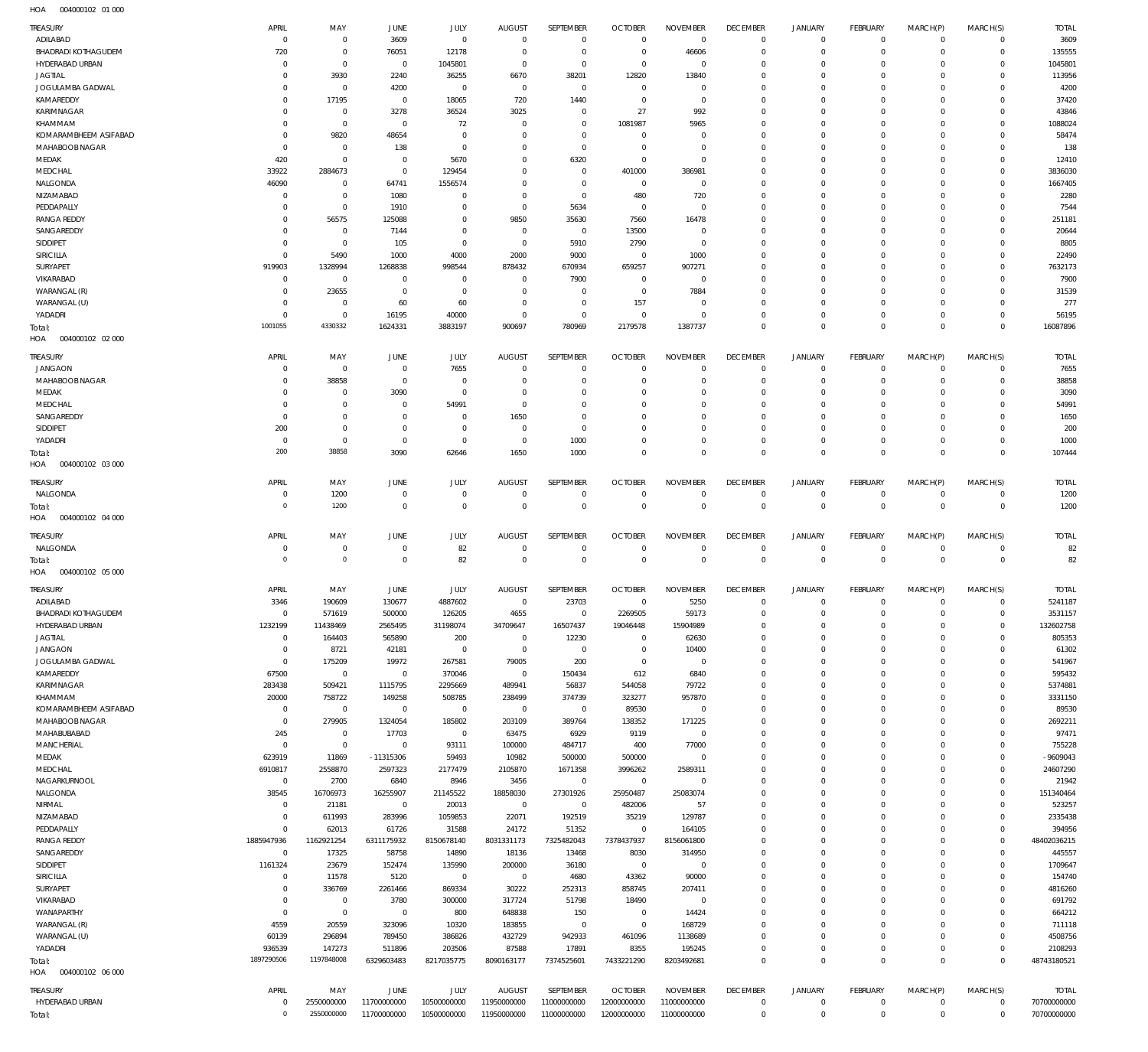| <b>TREASURY</b>                        | APRIL                            | MAY                        | <b>JUNE</b>                | JULY                       | <b>AUGUST</b>                | SEPTEMBER                  | <b>OCTOBER</b>                   | <b>NOVEMBER</b>                | <b>DECEMBER</b>                 | JANUARY                    | <b>FEBRUARY</b>          | MARCH(P)                   | MARCH(S)                   | <b>TOTAL</b>                |
|----------------------------------------|----------------------------------|----------------------------|----------------------------|----------------------------|------------------------------|----------------------------|----------------------------------|--------------------------------|---------------------------------|----------------------------|--------------------------|----------------------------|----------------------------|-----------------------------|
| ADILABAD<br><b>BHADRADI KOTHAGUDEM</b> | $\mathbf 0$<br>720               | $\bf 0$<br>$\bf 0$         | 3609<br>76051              | $\mathbb O$<br>12178       | $^{\circ}$<br>$^{\circ}$     | $\mathbf 0$<br>$\mathbf 0$ | $\overline{0}$<br>$\overline{0}$ | $\mathbf 0$<br>46606           | $^{\circ}$<br>0                 | 0<br>0                     | $^{\circ}$<br>$^{\circ}$ | $\mathbf 0$<br>$\mathbf 0$ | $\mathbf 0$<br>$\mathbf 0$ | 3609<br>135555              |
| HYDERABAD URBAN                        | $\mathbf 0$                      | $\mathbf 0$                | $\overline{0}$             | 1045801                    | $^{\circ}$                   | $\mathbf 0$                | $\overline{0}$                   | $^{\circ}$                     | $^{\circ}$                      | $\mathbf 0$                | $^{\circ}$               | $\mathbf 0$                | $\mathbf 0$                | 1045801                     |
| <b>JAGTIAL</b>                         | $\mathbf 0$                      | 3930                       | 2240                       | 36255                      | 6670                         | 38201                      | 12820                            | 13840                          | $^{\circ}$                      | $\mathbf 0$                | $^{\circ}$               | $\mathbf 0$                | $\mathbf 0$                | 113956                      |
| JOGULAMBA GADWAL<br>KAMAREDDY          | 0<br>$\mathbf 0$                 | 0<br>17195                 | 4200<br>$\overline{0}$     | 0<br>18065                 | $\overline{0}$<br>720        | $\mathbf 0$<br>1440        | $^{\circ}$<br>$\overline{0}$     | $\mathbf 0$<br>$\mathbf 0$     | $^{\circ}$<br>$^{\circ}$        | $\mathbf 0$<br>$\mathbf 0$ | $^{\circ}$<br>$\Omega$   | $\mathbf 0$<br>$\mathbf 0$ | $^{\circ}$<br>$^{\circ}$   | 4200<br>37420               |
| KARIMNAGAR                             | $\mathbf 0$                      | 0                          | 3278                       | 36524                      | 3025                         | $\mathbf{0}$               | 27                               | 992                            | $^{\circ}$                      | $^{\circ}$                 | $^{\circ}$               | $^{\circ}$                 | $^{\circ}$                 | 43846                       |
| KHAMMAM                                | $\mathbf 0$                      | $\bf 0$                    | $\overline{0}$             | 72                         | $^{\circ}$                   | $\mathbf 0$                | 1081987                          | 5965                           | $^{\circ}$                      | $^{\circ}$                 | $\Omega$                 | $^{\circ}$                 | $^{\circ}$                 | 1088024                     |
| KOMARAMBHEEM ASIFABAD                  | $\mathbf 0$                      | 9820                       | 48654                      | $\mathbf 0$                | $\Omega$                     | $\mathbf 0$                | $^{\circ}$                       | $^{\circ}$                     | $^{\circ}$                      | $^{\circ}$                 | $^{\circ}$               | $^{\circ}$                 | 0                          | 58474                       |
| MAHABOOB NAGAR<br>MEDAK                | $\overline{0}$<br>420            | 0<br>$\bf 0$               | 138<br>$\overline{0}$      | 0<br>5670                  | 0<br>$\Omega$                | $\mathbb O$<br>6320        | $^{\circ}$<br>$\overline{0}$     | $^{\circ}$<br>$\mathbf 0$      | $^{\circ}$<br>$^{\circ}$        | $^{\circ}$<br>$\mathbf 0$  | 0<br>$\Omega$            | $^{\circ}$<br>$^{\circ}$   | $^{\circ}$<br>$^{\circ}$   | 138<br>12410                |
| MEDCHAL                                | 33922                            | 2884673                    | $\mathbf 0$                | 129454                     | 0                            | $\mathbf 0$                | 401000                           | 386981                         | 0                               | $^{\circ}$                 | 0                        | $^{\circ}$                 | $^{\circ}$                 | 3836030                     |
| NALGONDA                               | 46090                            | $\bf 0$                    | 64741                      | 1556574                    | $\Omega$                     | $\mathbf{0}$               | $\mathbf 0$                      | $\mathbf 0$                    | $^{\circ}$                      | $\mathbf 0$                | $^{\circ}$               | $\mathbf 0$                | $\Omega$                   | 1667405                     |
| NIZAMABAD                              | $\mathbf 0$                      | $\mathbf 0$                | 1080                       | $\mathbf 0$                | $^{\circ}$                   | $\mathbf 0$                | 480                              | 720                            | $^{\circ}$                      | $\mathbf 0$                | 0                        | $\mathbf 0$                | $\mathbf 0$                | 2280                        |
| PEDDAPALLY<br><b>RANGA REDDY</b>       | $\mathbf 0$<br>$\mathbf 0$       | $\bf 0$<br>56575           | 1910<br>125088             | $\mathbf 0$<br>$\mathbf 0$ | $\mathbf{0}$<br>9850         | 5634<br>35630              | $\overline{0}$<br>7560           | $^{\circ}$<br>16478            | $^{\circ}$<br>$^{\circ}$        | $\mathbf 0$<br>$\mathbf 0$ | $^{\circ}$<br>$\Omega$   | $\mathbf 0$<br>$\mathbf 0$ | $^{\circ}$<br>$\mathbf 0$  | 7544<br>251181              |
| SANGAREDDY                             | 0                                | 0                          | 7144                       | $\mathbf 0$                | $^{\circ}$                   | $\mathbf 0$                | 13500                            | $^{\circ}$                     | $^{\circ}$                      | $\mathbf 0$                | $^{\circ}$               | $\mathbf 0$                | 0                          | 20644                       |
| SIDDIPET                               | $\mathbf 0$                      | $\bf 0$                    | 105                        | $\mathbf 0$                | $\mathbf 0$                  | 5910                       | 2790                             | $^{\circ}$                     | $^{\circ}$                      | $\mathbf 0$                | 0                        | $\mathbf 0$                | $^{\circ}$                 | 8805                        |
| SIRICILLA                              | $\mathbf 0$                      | 5490                       | 1000                       | 4000                       | 2000                         | 9000                       | $^{\circ}$                       | 1000                           | $^{\circ}$                      | $\mathbf 0$                | $\Omega$                 | $\mathbf 0$                | $\mathbf 0$                | 22490                       |
| SURYAPET<br>VIKARABAD                  | 919903<br>$\mathbf 0$            | 1328994<br>$\mathbf 0$     | 1268838<br>$\mathbf 0$     | 998544<br>0                | 878432<br>$^{\circ}$         | 670934<br>7900             | 659257<br>$\mathbf 0$            | 907271<br>$\mathbf 0$          | 0<br>$^{\circ}$                 | $\mathbf 0$<br>$\mathbf 0$ | 0<br>$^{\circ}$          | $\mathbf 0$<br>$\mathbf 0$ | $\mathbf 0$<br>$\Omega$    | 7632173<br>7900             |
| WARANGAL (R)                           | $\mathbf 0$                      | 23655                      | $\overline{0}$             | $\mathbf 0$                | $^{\circ}$                   | $\mathbf 0$                | $\overline{0}$                   | 7884                           | $^{\circ}$                      | $\mathbf 0$                | 0                        | $\mathbf 0$                | $\mathbf 0$                | 31539                       |
| WARANGAL (U)                           | $\mathbf 0$                      | 0                          | 60                         | 60                         | $^{\circ}$                   | $\mathbf 0$                | 157                              | $^{\circ}$                     | $^{\circ}$                      | $\mathbf 0$                | $^{\circ}$               | $\mathbf 0$                | $\mathbf 0$                | 277                         |
| YADADRI                                | $\overline{0}$<br>1001055        | $\bf 0$<br>4330332         | 16195                      | 40000                      | $\mathbf{0}$                 | $\mathbf 0$                | $\overline{0}$                   | $\mathbf 0$                    | $^{\circ}$                      | $\mathbf 0$                | $^{\circ}$               | $\mathbf 0$                | $\mathbf 0$                | 56195                       |
| Total:<br>HOA<br>004000102 02 000      |                                  |                            | 1624331                    | 3883197                    | 900697                       | 780969                     | 2179578                          | 1387737                        | $\mathbf 0$                     | $\mathbf 0$                | $^{\circ}$               | $\mathbf 0$                | $\mathbf 0$                | 16087896                    |
|                                        |                                  |                            |                            |                            |                              |                            |                                  |                                |                                 |                            |                          |                            |                            |                             |
| <b>TREASURY</b><br><b>JANGAON</b>      | APRIL<br>0                       | MAY<br>0                   | <b>JUNE</b><br>$\mathbf 0$ | JULY<br>7655               | <b>AUGUST</b><br>$^{\circ}$  | SEPTEMBER<br>0             | <b>OCTOBER</b><br>$^{\circ}$     | <b>NOVEMBER</b><br>$\Omega$    | <b>DECEMBER</b><br>0            | JANUARY<br>$^{\circ}$      | <b>FEBRUARY</b><br>0     | MARCH(P)<br>$^{\circ}$     | MARCH(S)<br>$\mathbf 0$    | <b>TOTAL</b><br>7655        |
| MAHABOOB NAGAR                         | $\Omega$                         | 38858                      | $\overline{0}$             | $\mathbf 0$                | 0                            | $\mathbf{0}$               | $^{\circ}$                       | $^{\circ}$                     | $\mathbf 0$                     | $\mathbf 0$                | $^{\circ}$               | $\mathbf 0$                | $\mathbf 0$                | 38858                       |
| MEDAK                                  | $\Omega$                         | $\mathbf 0$                | 3090                       | $\mathbf 0$                | 0                            | $\mathbf{0}$               | 0                                | $\Omega$                       | 0                               | $\mathbf 0$                | 0                        | $\Omega$                   | 0                          | 3090                        |
| MEDCHAL                                | 0                                | $\mathbf 0$                | $\mathbf 0$                | 54991                      | 0                            | $^{\circ}$                 | $\Omega$                         | $\Omega$                       | $^{\circ}$                      | $^{\circ}$                 | $\Omega$                 | $\Omega$                   | $\Omega$                   | 54991                       |
| SANGAREDDY<br>SIDDIPET                 | $\mathbf 0$<br>200               | $\mathbf 0$<br>$\mathbf 0$ | $\mathbf 0$<br>$\mathbf 0$ | $\mathbf 0$<br>$\mathbf 0$ | 1650<br>0                    | $\Omega$<br>$\mathbf{0}$   | $\Omega$<br>0                    | $\Omega$<br>$^{\circ}$         | $\Omega$<br>$^{\circ}$          | $^{\circ}$<br>$\mathbf 0$  | $\Omega$<br>$\Omega$     | $\Omega$<br>$^{\circ}$     | $\Omega$<br>$^{\circ}$     | 1650<br>200                 |
| YADADRI                                | $\mathbf 0$                      | $\mathbf 0$                | $\mathbf 0$                | $\mathbf 0$                | $\mathbf{0}$                 | 1000                       | $^{\circ}$                       | $\Omega$                       | $^{\circ}$                      | $\mathbf 0$                | $^{\circ}$               | $^{\circ}$                 | $^{\circ}$                 | 1000                        |
| Total:                                 | 200                              | 38858                      | 3090                       | 62646                      | 1650                         | 1000                       | $\Omega$                         | $\Omega$                       | $\Omega$                        | $\mathbf 0$                | $\Omega$                 | $\mathbf 0$                | $\mathbf 0$                | 107444                      |
| 004000102 03 000<br>HOA                |                                  |                            |                            |                            |                              |                            |                                  |                                |                                 |                            |                          |                            |                            |                             |
| <b>TREASURY</b>                        | APRIL                            | MAY                        | <b>JUNE</b>                | JULY                       | <b>AUGUST</b>                | SEPTEMBER                  | <b>OCTOBER</b>                   | <b>NOVEMBER</b>                | <b>DECEMBER</b>                 | JANUARY                    | <b>FEBRUARY</b>          | MARCH(P)                   | MARCH(S)                   | <b>TOTAL</b>                |
| NALGONDA                               | $\mathbf 0$<br>$\overline{0}$    | 1200<br>1200               | $\overline{0}$             | 0<br>$\mathbf 0$           | $^{\circ}$                   | $\mathbf 0$                | $^{\circ}$                       | $\mathbf 0$                    | 0                               | 0                          | $^{\circ}$               | 0                          | 0                          | 1200                        |
|                                        |                                  |                            | $\overline{0}$             |                            | $\overline{0}$               | $\mathbf 0$                | $\overline{0}$                   | $\mathbf 0$                    | $\mathbf 0$                     | $\mathbb O$                | $\overline{0}$           | $\mathbf 0$                | $\mathbf 0$                | 1200                        |
| Total:<br>004000102 04 000<br>HOA      |                                  |                            |                            |                            |                              |                            |                                  |                                |                                 |                            |                          |                            |                            |                             |
|                                        |                                  |                            |                            |                            |                              |                            |                                  |                                |                                 |                            |                          |                            |                            |                             |
| <b>TREASURY</b><br>NALGONDA            | APRIL<br>0                       | MAY<br>$\mathbf 0$         | <b>JUNE</b><br>$\mathbf 0$ | JULY<br>82                 | <b>AUGUST</b><br>$^{\circ}$  | SEPTEMBER<br>$\mathbf{0}$  | <b>OCTOBER</b><br>$^{\circ}$     | <b>NOVEMBER</b><br>$^{\circ}$  | <b>DECEMBER</b><br>0            | JANUARY<br>$\mathbf 0$     | FEBRUARY<br>0            | MARCH(P)<br>0              | MARCH(S)<br>$\mathbf 0$    | <b>TOTAL</b><br>82          |
| Total:                                 | $\mathbf 0$                      | $\mathbf 0$                | $\overline{0}$             | 82                         | $^{\circ}$                   | $\mathbf 0$                | $\mathbf 0$                      | $\mathbf 0$                    | $\mathbf 0$                     | $\mathbf 0$                | $\mathbf 0$              | $\mathbf 0$                | $\mathbf 0$                | 82                          |
| HOA<br>004000102 05 000                |                                  |                            |                            |                            |                              |                            |                                  |                                |                                 |                            |                          |                            |                            |                             |
| <b>TREASURY</b>                        | <b>APRIL</b>                     | MAY                        | <b>JUNE</b>                | JULY                       | <b>AUGUST</b>                | SEPTEMBER                  | <b>OCTOBER</b>                   | <b>NOVEMBER</b>                | <b>DECEMBER</b>                 | JANUARY                    | <b>FEBRUARY</b>          | MARCH(P)                   | MARCH(S)                   | <b>TOTAL</b>                |
| ADILABAD                               | 3346                             | 190609                     | 130677                     | 4887602                    | $\mathbf 0$                  | 23703                      | $\overline{0}$                   | 5250                           | $\mathbf 0$                     | $\mathsf{O}$               | $\mathbf{0}$             | $\mathbf 0$                | $\circ$                    | 5241187                     |
| <b>BHADRADI KOTHAGUDEM</b>             | $\Omega$                         | 571619                     | 500000                     | 126205                     | 4655                         | $\cap$                     | 2269505                          | 59173                          | $\Omega$<br>0                   | $\cap$<br>$\mathsf{O}$     | $\cap$<br>$^{\circ}$     | $\cap$<br>$\mathbf 0$      | $\cap$<br>0                | 3531157                     |
| HYDERABAD URBAN<br><b>JAGTIAL</b>      | 1232199<br>$\overline{0}$        | 11438469<br>164403         | 2565495<br>565890          | 31198074<br>200            | 34709647<br>$\mathbf 0$      | 16507437<br>12230          | 19046448<br>$\overline{0}$       | 15904989<br>62630              | $^{\circ}$                      | $\mathsf{O}$               | $\mathbf 0$              | $\mathbf 0$                | $\mathbf 0$                | 132602758<br>805353         |
| <b>JANGAON</b>                         | $\overline{0}$                   | 8721                       | 42181                      | $\mathbb O$                | $\mathbf 0$                  | $\mathbb O$                | $\overline{0}$                   | 10400                          | 0                               | $\mathsf{O}$               | $^{\circ}$               | $\mathbf 0$                | $\mathbf 0$                | 61302                       |
| JOGULAMBA GADWAL                       | $\overline{0}$                   | 175209                     | 19972                      | 267581                     | 79005                        | 200                        | $\overline{0}$                   | $\mathbf 0$                    | $^{\circ}$                      | $\mathbf 0$                | $^{\circ}$               | $\mathbf 0$                | $\mathbf 0$                | 541967                      |
| KAMAREDDY<br>KARIMNAGAR                | 67500<br>283438                  | $\overline{0}$<br>509421   | $\overline{0}$<br>1115795  | 370046                     | $\mathbb O$<br>489941        | 150434<br>56837            | 612<br>544058                    | 6840<br>79722                  | 0<br>$\mathbf 0$                | $\mathbf 0$<br>$\mathbf 0$ | $^{\circ}$<br>$^{\circ}$ | $\mathbf 0$<br>$\mathbf 0$ | $\mathbf 0$<br>$^{\circ}$  | 595432<br>5374881           |
| KHAMMAM                                | 20000                            | 758722                     | 149258                     | 2295669<br>508785          | 238499                       | 374739                     | 323277                           | 957870                         | $\mathbf 0$                     | $\mathbf 0$                | $^{\circ}$               | $\mathbf 0$                | $\mathbf 0$                | 3331150                     |
| KOMARAMBHEEM ASIFABAD                  | $\mathbf 0$                      | $\overline{0}$             | $\overline{0}$             | $\mathbf 0$                | $\overline{0}$               | $\overline{0}$             | 89530                            | $\mathbf 0$                    | $\mathbf 0$                     | $\mathbf 0$                | $^{\circ}$               | $\mathbf 0$                | $\mathbf 0$                | 89530                       |
| MAHABOOB NAGAR                         | $\overline{0}$                   | 279905                     | 1324054                    | 185802                     | 203109                       | 389764                     | 138352                           | 171225                         | 0<br>$\mathbf 0$                | $\mathbf 0$<br>$\mathbf 0$ | $^{\circ}$<br>$^{\circ}$ | $\mathbf 0$<br>$\mathbf 0$ | $\mathbf 0$<br>$\mathbf 0$ | 2692211                     |
| MAHABUBABAD<br><b>MANCHERIAL</b>       | 245<br>$\overline{0}$            | $\mathbf 0$<br>$\mathbb O$ | 17703<br>$\overline{0}$    | $\mathbf 0$<br>93111       | 63475<br>100000              | 6929<br>484717             | 9119<br>400                      | $\mathbf 0$<br>77000           | 0                               | 0                          | $^{\circ}$               | $\mathbf 0$                | $\mathbf 0$                | 97471<br>755228             |
| MEDAK                                  | 623919                           | 11869                      | $-11315306$                | 59493                      | 10982                        | 500000                     | 500000                           | $\mathbf 0$                    | $\mathbf 0$                     | $\mathbf 0$                | $^{\circ}$               | $\mathbf 0$                | $\mathbf 0$                | -9609043                    |
| MEDCHAL                                | 6910817                          | 2558870                    | 2597323                    | 2177479                    | 2105870                      | 1671358                    | 3996262                          | 2589311                        | 0                               | $\mathbf 0$                | $^{\circ}$               | $\mathbf 0$                | $\mathbf 0$                | 24607290                    |
| NAGARKURNOOL                           | $\overline{0}$                   | 2700                       | 6840                       | 8946                       | 3456                         | $\mathbb O$                | $\overline{0}$                   | $\mathbf 0$                    | $^{\circ}$<br>$\mathbf 0$       | $\mathbf 0$<br>$\mathbf 0$ | $^{\circ}$<br>$^{\circ}$ | $\mathbf 0$<br>$\mathbf 0$ | $^{\circ}$<br>$\mathbf 0$  | 21942                       |
| NALGONDA<br>NIRMAL                     | 38545<br>$\overline{0}$          | 16706973<br>21181          | 16255907<br>$\overline{0}$ | 21145522<br>20013          | 18858030<br>$\overline{0}$   | 27301926<br>$\mathbf 0$    | 25950487<br>482006               | 25083074<br>57                 | $\mathbf 0$                     | $\mathbf 0$                | $^{\circ}$               | $\mathbf 0$                | $\mathbf 0$                | 151340464<br>523257         |
| NIZAMABAD                              | $\mathbf 0$                      | 611993                     | 283996                     | 1059853                    | 22071                        | 192519                     | 35219                            | 129787                         | 0                               | $\mathbf 0$                | $^{\circ}$               | $\mathbf 0$                | $\mathbf 0$                | 2335438                     |
| PEDDAPALLY                             | $\mathbf 0$                      | 62013                      | 61726                      | 31588                      | 24172                        | 51352                      | $\overline{0}$                   | 164105                         | $\mathbf 0$                     | $\mathbf 0$                | $^{\circ}$               | $\mathbf 0$                | $\mathbf 0$                | 394956                      |
| <b>RANGA REDDY</b>                     | 1885947936<br>$\mathbf 0$        | 1162921254                 | 6311175932                 | 8150678140                 | 8031331173                   | 7325482043                 | 7378437937                       | 8156061800                     | 0<br>$\mathbf 0$                | 0<br>$\mathbf 0$           | $^{\circ}$<br>$^{\circ}$ | $\mathbf 0$<br>$\mathbf 0$ | $\mathbf 0$<br>$\mathbf 0$ | 48402036215                 |
| SANGAREDDY<br>SIDDIPET                 | 1161324                          | 17325<br>23679             | 58758<br>152474            | 14890<br>135990            | 18136<br>200000              | 13468<br>36180             | 8030<br>$\overline{0}$           | 314950<br>0                    | 0                               | 0                          | $^{\circ}$               | $\mathbf 0$                | $\mathbf 0$                | 445557<br>1709647           |
| SIRICILLA                              | $\overline{0}$                   | 11578                      | 5120                       | $\mathbb O$                | $\overline{0}$               | 4680                       | 43362                            | 90000                          | $\mathbf 0$                     | $\mathbf 0$                | $^{\circ}$               | $\mathbf 0$                | $^{\circ}$                 | 154740                      |
| SURYAPET                               | $\mathbf 0$                      | 336769                     | 2261466                    | 869334                     | 30222                        | 252313                     | 858745                           | 207411                         | $\mathbf 0$                     | $\mathbf 0$                | $^{\circ}$               | $\mathbf 0$                | $\mathbf 0$                | 4816260                     |
| VIKARABAD<br>WANAPARTHY                | $\overline{0}$<br>$\overline{0}$ | $\mathbf 0$<br>$\mathbb O$ | 3780<br>$\overline{0}$     | 300000<br>800              | 317724<br>648838             | 51798<br>150               | 18490<br>$\overline{0}$          | $\mathbf 0$<br>14424           | $\mathbf 0$<br>0                | $\mathbf 0$<br>$\mathbf 0$ | $^{\circ}$<br>$^{\circ}$ | $\mathbf 0$<br>$\mathbf 0$ | $^{\circ}$<br>$\mathbf 0$  | 691792<br>664212            |
| WARANGAL (R)                           | 4559                             | 20559                      | 323096                     | 10320                      | 183855                       | $\mathbb O$                | $\overline{0}$                   | 168729                         | $\mathbf 0$                     | $\mathbf 0$                | $^{\circ}$               | $\mathbf 0$                | $\mathbf 0$                | 711118                      |
| WARANGAL (U)                           | 60139                            | 296894                     | 789450                     | 386826                     | 432729                       | 942933                     | 461096                           | 1138689                        | 0                               | 0                          | $^{\circ}$               | $\mathbf 0$                | $\mathbf 0$                | 4508756                     |
| YADADRI                                | 936539                           | 147273                     | 511896                     | 203506                     | 87588                        | 17891                      | 8355                             | 195245                         | $\mathbf 0$                     | $\mathbf 0$                | $\mathbf 0$              | $\mathbf 0$                | $\mathbf 0$                | 2108293                     |
| Total:<br>HOA<br>004000102 06 000      | 1897290506                       | 1197848008                 | 6329603483                 | 8217035775                 | 8090163177                   | 7374525601                 | 7433221290                       | 8203492681                     | $\mathbf 0$                     | $\mathbf 0$                | $\mathbf 0$              | $\mathbf 0$                | $\mathbf 0$                | 48743180521                 |
|                                        |                                  |                            |                            |                            |                              |                            |                                  |                                |                                 |                            |                          |                            |                            |                             |
| TREASURY<br>HYDERABAD URBAN            | APRIL<br>$\mathbf 0$             | MAY<br>2550000000          | JUNE<br>11700000000        | JULY<br>10500000000        | <b>AUGUST</b><br>11950000000 | SEPTEMBER<br>11000000000   | <b>OCTOBER</b><br>12000000000    | <b>NOVEMBER</b><br>11000000000 | <b>DECEMBER</b><br>$\mathsf{O}$ | JANUARY<br>0               | <b>FEBRUARY</b><br>0     | MARCH(P)<br>0              | MARCH(S)<br>$\mathbf 0$    | <b>TOTAL</b><br>70700000000 |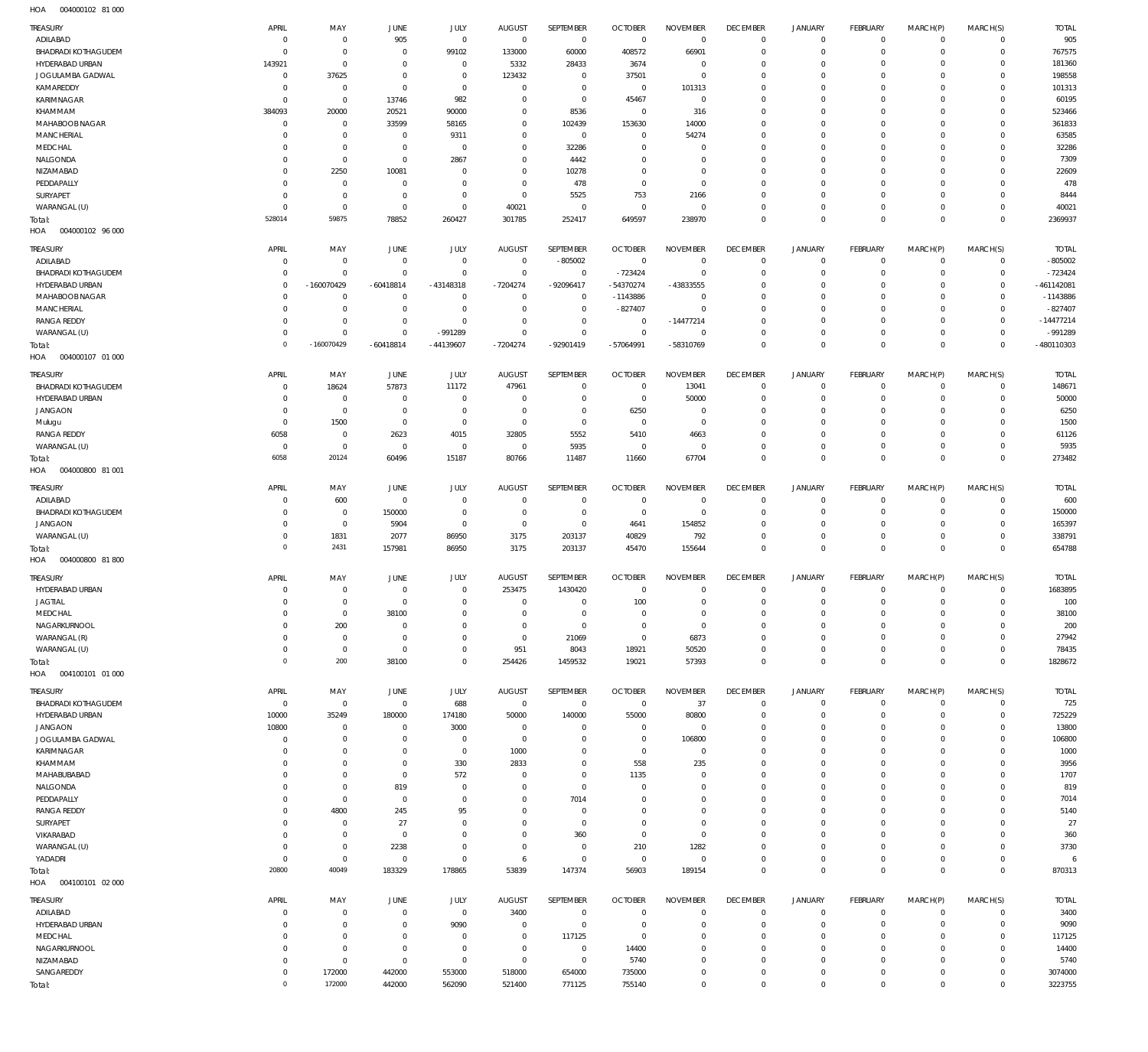004000102 81 000 HOA

| TREASURY<br>ADILABAD                         | APRIL<br>0            | MAY<br>$\overline{0}$         | <b>JUNE</b><br>905               | JULY<br>$\mathbb O$           | <b>AUGUST</b><br>$\mathbf 0$ | SEPTEMBER<br>0             | <b>OCTOBER</b><br>$\overline{0}$ | <b>NOVEMBER</b><br>$\mathbf 0$ | <b>DECEMBER</b><br>$\mathbf 0$ | <b>JANUARY</b><br>$\mathbf 0$ | FEBRUARY<br>$\overline{0}$   | MARCH(P)<br>$\mathbf{0}$ | MARCH(S)<br>$\mathbf 0$    | <b>TOTAL</b><br>905      |
|----------------------------------------------|-----------------------|-------------------------------|----------------------------------|-------------------------------|------------------------------|----------------------------|----------------------------------|--------------------------------|--------------------------------|-------------------------------|------------------------------|--------------------------|----------------------------|--------------------------|
| <b>BHADRADI KOTHAGUDEM</b>                   | $\Omega$              | $\mathbf 0$                   | $\overline{0}$                   | 99102                         | 133000                       | 60000                      | 408572                           | 66901                          | $\mathbf 0$                    | $\mathbf 0$                   | $\mathbf{0}$                 | $\mathbf 0$              | $\mathbf 0$<br>$\mathbf 0$ | 767575                   |
| HYDERABAD URBAN<br>JOGULAMBA GADWAL          | 143921<br>$\mathbf 0$ | $\mathbf 0$<br>37625          | $\overline{0}$<br>$\overline{0}$ | $\overline{0}$<br>$\mathbb O$ | 5332<br>123432               | 28433<br>$\mathbf{0}$      | 3674<br>37501                    | 0<br>$^{\circ}$                | 0<br>$\mathbf 0$               | $\mathbf 0$<br>$\mathbf 0$    | $^{\circ}$<br>$\mathbf 0$    | 0<br>$\Omega$            | $\mathbf 0$                | 181360<br>198558         |
| KAMAREDDY                                    | $\mathbf{0}$          | $\mathbf 0$                   | $\overline{0}$                   | $\mathbb O$                   | $^{\circ}$                   | $\mathbf{0}$               | $\overline{0}$                   | 101313                         | 0                              | $\mathbf 0$                   | $\mathbf 0$                  | $\Omega$                 | $\mathbf 0$                | 101313                   |
| KARIMNAGAR                                   | $\Omega$              | $\mathbf 0$                   | 13746                            | 982                           | 0                            | $\mathbf 0$                | 45467                            | $\mathbf 0$                    | $\mathbf 0$                    | $\mathbf 0$                   | $^{\circ}$                   | $\Omega$                 | $\mathbf 0$                | 60195                    |
| KHAMMAM                                      | 384093                | 20000                         | 20521                            | 90000                         | 0                            | 8536                       | $^{\circ}$                       | 316                            | $\mathbf 0$                    | $\mathbf 0$                   | $\mathbf 0$                  | $\Omega$                 | $\mathbf 0$                | 523466                   |
| MAHABOOB NAGAR                               | $\Omega$              | $\overline{0}$                | 33599                            | 58165                         | 0                            | 102439                     | 153630                           | 14000                          | $\mathbf 0$                    | $\mathbf 0$                   | $^{\circ}$                   | 0                        | $\mathbf 0$                | 361833                   |
| MANCHERIAL                                   | $\Omega$              | $\mathbf 0$                   | $\overline{0}$                   | 9311                          | 0                            | $\mathbf{0}$               | $\mathbf 0$                      | 54274                          | $\mathbf 0$                    | $\mathbf 0$                   | $^{\circ}$                   | $\Omega$                 | $\mathbf 0$                | 63585                    |
| MEDCHAL                                      | $\Omega$              | $\mathbf 0$                   | $\overline{0}$                   | $^{\circ}$                    | 0                            | 32286                      | $^{\circ}$                       | $^{\circ}$                     | $\mathbf 0$                    | $\mathbf 0$                   | $^{\circ}$                   | 0                        | $\mathbf 0$                | 32286                    |
| NALGONDA                                     | $\Omega$              | $\mathbf 0$                   | $\overline{0}$                   | 2867                          | 0                            | 4442                       | $^{\circ}$                       | $^{\circ}$                     | $\mathbf 0$                    | $\mathbf 0$<br>$\mathbf 0$    | $^{\circ}$                   | $\Omega$                 | $\mathbf 0$<br>$\mathbf 0$ | 7309                     |
| NIZAMABAD<br>PEDDAPALLY                      | $\Omega$<br>$\Omega$  | 2250<br>$\overline{0}$        | 10081<br>$\overline{0}$          | $^{\circ}$<br>$\overline{0}$  | 0<br>$\circ$                 | 10278<br>478               | $\mathbf 0$<br>$\mathbf 0$       | $\mathbf 0$<br>$\mathbf 0$     | $\mathbf 0$<br>$\mathbf 0$     | $\mathbf 0$                   | $\mathbf 0$<br>$^{\circ}$    | 0<br>$\Omega$            | $\mathbf 0$                | 22609<br>478             |
| SURYAPET                                     | $\Omega$              | $\mathbf 0$                   | $\overline{0}$                   | $\mathbb O$                   | $^{\circ}$                   | 5525                       | 753                              | 2166                           | $\mathbf 0$                    | $\mathbf 0$                   | $^{\circ}$                   | 0                        | $\mathbf 0$                | 8444                     |
| WARANGAL (U)                                 | $\Omega$              | $\mathbf 0$                   | $\overline{0}$                   | $\mathbb O$                   | 40021                        | $\mathbf 0$                | $^{\circ}$                       | $\mathbf 0$                    | $\mathbf 0$                    | $\mathbf 0$                   | $\mathbf{0}$                 | 0                        | $\mathbf 0$                | 40021                    |
| Total:                                       | 528014                | 59875                         | 78852                            | 260427                        | 301785                       | 252417                     | 649597                           | 238970                         | $\mathbf 0$                    | $\mathbf 0$                   | $\overline{0}$               | $\mathbf 0$              | $\overline{0}$             | 2369937                  |
| HOA<br>004000102 96 000                      |                       |                               |                                  |                               |                              |                            |                                  |                                |                                |                               |                              |                          |                            |                          |
| TREASURY                                     | APRIL                 | MAY                           | JUNE                             | JULY                          | <b>AUGUST</b>                | SEPTEMBER                  | <b>OCTOBER</b>                   | <b>NOVEMBER</b>                | <b>DECEMBER</b>                | JANUARY                       | FEBRUARY                     | MARCH(P)                 | MARCH(S)                   | <b>TOTAL</b>             |
| ADILABAD                                     | $\Omega$              | $\mathbf 0$                   | $\overline{0}$                   | $\,0\,$                       | $^{\circ}$                   | $-805002$                  | $\overline{0}$                   | $\overline{0}$                 | 0                              | $\mathbf 0$                   | $\mathbf{0}$                 | $\mathbf 0$              | $\mathbf 0$                | $-805002$                |
| <b>BHADRADI KOTHAGUDEM</b>                   | $\Omega$              | $\mathbf 0$                   | $\overline{0}$                   | $\mathbb O$                   | $\overline{0}$               | $\mathbf 0$                | $-723424$                        | $^{\circ}$                     | $\mathbf 0$                    | $\mathbf 0$                   | $\mathbf{0}$                 | 0                        | $\mathbf 0$                | $-723424$                |
| HYDERABAD URBAN                              |                       | -160070429                    | $-60418814$                      | -43148318                     | $-7204274$                   | -92096417                  | $-54370274$                      | -43833555                      | 0                              | $\mathbf 0$                   | $^{\circ}$                   | 0                        | $\mathbf 0$                | -461142081               |
| MAHABOOB NAGAR                               | $\Omega$              | $\overline{0}$                | $\overline{0}$                   | $\overline{0}$                | $^{\circ}$                   | $\mathbf 0$                | $-1143886$                       | 0                              | $\mathbf 0$                    | $\mathbf 0$                   | $\mathbf 0$                  | $\Omega$                 | $\mathbf 0$                | $-1143886$               |
| MANCHERIAL<br><b>RANGA REDDY</b>             | $\Omega$<br>$\Omega$  | $\mathbf 0$<br>$\mathbf 0$    | $\overline{0}$<br>$\overline{0}$ | $\mathbb O$<br>$\mathbb O$    | 0<br>0                       | 0<br>$\mathbb O$           | $-827407$<br>0                   | $^{\circ}$<br>$-14477214$      | 0<br>$\mathbf 0$               | $\mathbf 0$<br>$\mathbf 0$    | $^{\circ}$<br>$\mathbf 0$    | 0<br>0                   | $\mathbf 0$<br>$\mathbf 0$ | $-827407$<br>$-14477214$ |
| WARANGAL (U)                                 | $\Omega$              | $\mathbf 0$                   | $\overline{0}$                   | -991289                       | $^{\circ}$                   | $\mathbf 0$                | $\overline{0}$                   | $^{\circ}$                     | $\mathbf 0$                    | $\mathbf 0$                   | $\mathbf{0}$                 | 0                        | $\mathbf 0$                | $-991289$                |
| Total:                                       | $\Omega$              | -160070429                    | $-60418814$                      | $-44139607$                   | $-7204274$                   | -92901419                  | -57064991                        | -58310769                      | $\mathbf 0$                    | $\mathbf 0$                   | $\overline{0}$               | $\mathbf 0$              | $\overline{0}$             | -480110303               |
| 004000107 01 000<br>HOA                      |                       |                               |                                  |                               |                              |                            |                                  |                                |                                |                               |                              |                          |                            |                          |
| TREASURY                                     | APRIL                 | MAY                           | JUNE                             | JULY                          | <b>AUGUST</b>                | SEPTEMBER                  | <b>OCTOBER</b>                   | <b>NOVEMBER</b>                | <b>DECEMBER</b>                | JANUARY                       | FEBRUARY                     | MARCH(P)                 | MARCH(S)                   | <b>TOTAL</b>             |
| <b>BHADRADI KOTHAGUDEM</b>                   | $\mathbf{0}$          | 18624                         | 57873                            | 11172                         | 47961                        | $\mathbf{0}$               | $^{\circ}$                       | 13041                          | $\mathbf 0$                    | $\mathbf 0$                   | $^{\circ}$                   | $^{\circ}$               | $\mathbf 0$                | 148671                   |
| HYDERABAD URBAN                              | $\Omega$              | $\overline{0}$                | $\overline{0}$                   | $\overline{0}$                | 0                            | $\mathbf 0$                | $^{\circ}$                       | 50000                          | $\mathbf 0$                    | $\mathbf 0$                   | $^{\circ}$                   | 0                        | $\mathbf 0$                | 50000                    |
| <b>JANGAON</b>                               | $\Omega$              | $\mathbf 0$                   | $\overline{0}$                   | $\mathbb O$                   | $\circ$                      | $\mathbf 0$                | 6250                             | $^{\circ}$                     | $\mathbf 0$                    | $\mathbf 0$                   | $^{\circ}$                   | $\mathbf 0$              | $\mathbf 0$                | 6250                     |
| Mulugu                                       | $\mathbf{0}$          | 1500                          | $\overline{0}$                   | $\mathbb O$                   | $^{\circ}$                   | $\mathbf{0}$               | $^{\circ}$                       | $^{\circ}$                     | $\mathbf 0$                    | $\mathbf 0$                   | $^{\circ}$                   | 0                        | $\mathbf 0$                | 1500                     |
| <b>RANGA REDDY</b>                           | 6058                  | $\mathbf 0$                   | 2623                             | 4015                          | 32805                        | 5552                       | 5410                             | 4663                           | $\mathbf 0$                    | $\mathbf 0$                   | $\mathbf 0$                  | $\Omega$                 | $\mathbf 0$                | 61126                    |
| WARANGAL (U)                                 | 0                     | $\mathbf 0$                   | $\overline{0}$                   | $\mathbf 0$                   | $^{\circ}$                   | 5935                       | $^{\circ}$                       | $^{\circ}$                     | $\mathbf 0$                    | $\mathbf 0$                   | $\mathbf{0}$                 | 0                        | $\mathbf 0$                | 5935                     |
| Total:<br>004000800 81 001                   | 6058                  | 20124                         | 60496                            | 15187                         | 80766                        | 11487                      | 11660                            | 67704                          | $\mathbf 0$                    | $\mathbf 0$                   | $\overline{0}$               | $\mathbf 0$              | $\overline{0}$             | 273482                   |
| HOA                                          |                       |                               |                                  |                               |                              |                            |                                  |                                |                                |                               |                              |                          |                            |                          |
| TREASURY                                     | APRIL                 | MAY                           | <b>JUNE</b>                      | JULY                          | <b>AUGUST</b>                | SEPTEMBER                  | <b>OCTOBER</b>                   | <b>NOVEMBER</b>                | <b>DECEMBER</b>                | JANUARY                       | FEBRUARY                     | MARCH(P)                 | MARCH(S)                   | <b>TOTAL</b>             |
| ADILABAD                                     | $\Omega$              | 600                           | $\overline{0}$                   | $\mathbb O$                   | $\overline{0}$               | $\mathbf 0$                | $^{\circ}$                       | $^{\circ}$                     | $\mathbf 0$                    | 0                             | $\mathbf{0}$                 | $\mathbf 0$              | $\mathbf 0$                | 600                      |
| <b>BHADRADI KOTHAGUDEM</b><br><b>JANGAON</b> | $\Omega$              | $\mathbf 0$<br>$\mathbf 0$    | 150000<br>5904                   | $\mathbb O$<br>$\mathbb O$    | 0<br>$\circ$                 | $\mathbb O$                | - 0                              | $^{\circ}$<br>154852           | $\mathbf 0$<br>$\mathbf 0$     | $\mathbf 0$<br>$\mathbf 0$    | $^{\circ}$<br>$\mathbf{0}$   | 0<br>0                   | $\mathbf 0$<br>$\mathbf 0$ | 150000<br>165397         |
| WARANGAL (U)                                 | $\Omega$              | 1831                          | 2077                             | 86950                         | 3175                         | 0<br>203137                | 4641<br>40829                    | 792                            | $\mathbf 0$                    | $\mathbf 0$                   | $\mathbf{0}$                 | 0                        | $\mathbf 0$                | 338791                   |
| Total:                                       | $\Omega$              | 2431                          | 157981                           | 86950                         | 3175                         | 203137                     | 45470                            | 155644                         | $\mathbf 0$                    | $\mathbf 0$                   | $\overline{0}$               | $\mathbf 0$              | $\overline{0}$             | 654788                   |
| HOA<br>004000800 81 800                      |                       |                               |                                  |                               |                              |                            |                                  |                                |                                |                               |                              |                          |                            |                          |
| TREASURY                                     | APRIL                 | MAY                           | <b>JUNE</b>                      | JULY                          | <b>AUGUST</b>                | SEPTEMBER                  | <b>OCTOBER</b>                   | <b>NOVEMBER</b>                | <b>DECEMBER</b>                | <b>JANUARY</b>                | FEBRUARY                     | MARCH(P)                 | MARCH(S)                   | <b>TOTAL</b>             |
| HYDERABAD URBAN                              | $\Omega$              | $^{\circ}$                    | $\overline{0}$                   | $\overline{0}$                | 253475                       | 1430420                    | 0                                | $^{\circ}$                     | $\mathbf 0$                    | $\mathbf 0$                   | $^{\circ}$                   | $\mathbf 0$              | $\mathbf 0$                | 1683895                  |
| <b>JAGTIAL</b>                               | $\Omega$              | $\mathbb O$                   | $\mathbb O$                      | $\mathbb O$                   | $\mathbf{0}$                 | $\mathbf{0}$               | 100                              | $\mathbf 0$                    | $\mathbf 0$                    | $\mathbf 0$                   | $\mathbf{0}$                 | $\mathbf 0$              | $\mathbf 0$                | 100                      |
| MEDCHAL                                      |                       | 0                             | 38100                            |                               |                              | 0                          | 0                                | 0                              | C                              |                               |                              |                          | 0                          | 38100                    |
| NAGARKURNOOL                                 | $\mathbf 0$           | 200                           | $\overline{0}$                   | $\overline{0}$                | $\circ$                      | $\mathbf 0$                | $\overline{0}$                   | $\mathbf 0$                    | $\mathbf 0$                    | $\mathbf 0$                   | $\mathbf{0}$                 | $\mathbf 0$              | $\mathbf 0$                | 200                      |
| WARANGAL (R)                                 | $\mathbf 0$           | $\overline{0}$                | $\overline{0}$                   | $\mathbf 0$                   | $\mathbf{0}$                 | 21069                      | $\overline{0}$                   | 6873                           | $\mathbf 0$                    | $\mathbf 0$                   | $\mathbf{0}$                 | $\mathbf 0$              | $\mathbf 0$                | 27942                    |
| WARANGAL (U)                                 | $\Omega$              | $\mathbb O$                   | $\mathbf 0$                      | $\mathbf 0$                   | 951                          | 8043                       | 18921                            | 50520                          | $\mathbf 0$                    | $\mathbf 0$                   | $\mathbf{0}$                 | $\mathbf 0$              | $\mathbf 0$                | 78435                    |
| Total:                                       | $\Omega$              | 200                           | 38100                            | $\mathbf 0$                   | 254426                       | 1459532                    | 19021                            | 57393                          | $\mathbf 0$                    | $\mathbf 0$                   | $\overline{0}$               | $\mathbf 0$              | $\overline{0}$             | 1828672                  |
| HOA<br>004100101 01 000                      |                       |                               |                                  |                               |                              |                            |                                  |                                |                                |                               |                              |                          |                            |                          |
| TREASURY                                     | APRIL                 | MAY                           | <b>JUNE</b>                      | JULY                          | <b>AUGUST</b>                | SEPTEMBER                  | <b>OCTOBER</b>                   | <b>NOVEMBER</b>                | <b>DECEMBER</b>                | <b>JANUARY</b>                | FEBRUARY                     | MARCH(P)                 | MARCH(S)                   | <b>TOTAL</b>             |
| <b>BHADRADI KOTHAGUDEM</b>                   | $^{\circ}$            | $\,0\,$                       | $\overline{0}$                   | 688                           | $\mathbf 0$                  | $\overline{0}$             | $\overline{0}$                   | 37                             | $\bf 0$                        | $\overline{0}$                | $\overline{0}$               | $\mathbf 0$              | $\mathbf 0$                | 725                      |
| HYDERABAD URBAN                              | 10000                 | 35249                         | 180000                           | 174180                        | 50000                        | 140000                     | 55000                            | 80800                          | $\mathbf 0$                    | $\mathbf 0$                   | $\mathbf{0}$                 | $\mathbf 0$              | $\mathbf 0$                | 725229                   |
| JANGAON<br>JOGULAMBA GADWAL                  | 10800<br>$\mathbf 0$  | $\overline{0}$<br>$\mathbf 0$ | $\overline{0}$<br>$\overline{0}$ | 3000<br>$\,0\,$               | $^{\circ}$<br>$^{\circ}$     | $\mathbf 0$<br>$\mathbf 0$ | $\overline{0}$<br>$\overline{0}$ | $\overline{0}$<br>106800       | $\mathbf 0$<br>$\mathbf 0$     | $\mathbf 0$<br>$\mathbf 0$    | $\mathbf{0}$<br>$\mathbf{0}$ | 0<br>0                   | $\mathbf 0$<br>$\mathbf 0$ | 13800<br>106800          |
| KARIMNAGAR                                   |                       | $\mathbf 0$                   | 0                                | $\,0\,$                       | 1000                         | $\mathbf 0$                | $^{\circ}$                       | $\mathbf 0$                    | $\mathbf 0$                    | $\mathbf 0$                   | $\mathbf 0$                  | 0                        | $\mathbf 0$                | 1000                     |
| KHAMMAM                                      | $\Omega$              | $\mathbf 0$                   | $\overline{0}$                   | 330                           | 2833                         | $\mathbf 0$                | 558                              | 235                            | $\mathbf 0$                    | $\mathbf 0$                   | $\mathbf 0$                  | 0                        | $\mathbf 0$                | 3956                     |
| MAHABUBABAD                                  | $\Omega$              | $\mathbf 0$                   | $\overline{0}$                   | 572                           | 0                            | $\mathbf 0$                | 1135                             | $^{\circ}$                     | $\mathbf 0$                    | $\mathbf 0$                   | $\mathbf 0$                  | 0                        | $\mathbf 0$                | 1707                     |
| NALGONDA                                     | $\Omega$              | $\mathbf 0$                   | 819                              | $\mathbf 0$                   | 0                            | $\mathbf 0$                | $\mathbf 0$                      | $\mathbf 0$                    | $\mathbf 0$                    | $\mathbf 0$                   | $\mathbf 0$                  | $\Omega$                 | $\mathbf 0$                | 819                      |
| PEDDAPALLY                                   | $\Omega$              | $\mathbb O$                   | $\overline{0}$                   | $\mathbf 0$                   | 0                            | 7014                       | $^{\circ}$                       | $\mathbf 0$                    | $\mathbf 0$                    | $\mathbf 0$                   | $\mathbf{0}$                 | 0                        | $\mathbf 0$                | 7014                     |
| <b>RANGA REDDY</b>                           |                       | 4800                          | 245                              | 95                            | $\Omega$                     | $\mathbf 0$                | $\mathbf 0$                      | $\mathbf 0$                    | $\mathbf 0$                    | $\mathbf 0$                   | $\mathbf 0$                  | 0                        | $\mathbf 0$                | 5140                     |
| SURYAPET                                     | $\Omega$              | $\overline{0}$                | 27                               | $\overline{0}$                | 0                            | $\mathbf 0$                | $\mathbf 0$                      | $\mathbf 0$                    | $\mathbf 0$                    | $\mathbf 0$                   | $^{\circ}$                   | 0                        | $\mathbf 0$                | 27                       |
| VIKARABAD<br>WARANGAL (U)                    | $\Omega$              | $\mathbf 0$<br>$\overline{0}$ | $\overline{0}$<br>2238           | $\mathbf 0$<br>$\mathbf 0$    | 0<br>$^{\circ}$              | 360<br>$\mathbf 0$         | $\overline{0}$<br>210            | $\mathbf 0$<br>1282            | $\mathbf 0$<br>$\mathbf 0$     | $\mathbf 0$<br>$\mathbf 0$    | $\mathbf 0$<br>$\mathbf{0}$  | 0<br>0                   | $\mathbf 0$<br>$\mathbf 0$ | 360<br>3730              |
| YADADRI                                      | $\mathbf{0}$          | $\,0\,$                       | $\overline{0}$                   | $\mathbf 0$                   | 6                            | $\mathbf 0$                | $\overline{0}$                   | $\mathbf 0$                    | 0                              | $\mathbf 0$                   | $\mathbf{0}$                 | 0                        | $\mathbf 0$                | 6                        |
| Total:                                       | 20800                 | 40049                         | 183329                           | 178865                        | 53839                        | 147374                     | 56903                            | 189154                         | $\mathbf 0$                    | $\mathbf 0$                   | $\overline{0}$               | $\mathbf 0$              | $\overline{0}$             | 870313                   |
| 004100101 02 000<br>HOA                      |                       |                               |                                  |                               |                              |                            |                                  |                                |                                |                               |                              |                          |                            |                          |
| TREASURY                                     | APRIL                 | MAY                           | <b>JUNE</b>                      | JULY                          | <b>AUGUST</b>                | SEPTEMBER                  | <b>OCTOBER</b>                   | <b>NOVEMBER</b>                | <b>DECEMBER</b>                | <b>JANUARY</b>                | FEBRUARY                     | MARCH(P)                 | MARCH(S)                   | <b>TOTAL</b>             |
| ADILABAD                                     | $\Omega$              | $\overline{0}$                | $\overline{0}$                   | $\,0\,$                       | 3400                         | $\mathbf{0}$               | $^{\circ}$                       | $\mathbf 0$                    | $\mathbf 0$                    | $\mathbf 0$                   | $\mathbf{0}$                 | $\mathbf 0$              | $\mathbf 0$                | 3400                     |
| HYDERABAD URBAN                              | $\Omega$              | $\mathbf 0$                   | $\overline{0}$                   | 9090                          | $\circ$                      | $\mathbf 0$                | - 0                              | $\overline{0}$                 | $\mathbf 0$                    | $\mathbf 0$                   | $\mathbf{0}$                 | $\mathbf 0$              | $\mathbf 0$                | 9090                     |
| MEDCHAL                                      | $\Omega$              | $\mathbf 0$                   | $\overline{0}$                   | $\overline{0}$                | $^{\circ}$                   | 117125                     | $\overline{0}$                   | $\mathbf 0$                    | $\mathbf 0$                    | $\mathbf 0$                   | $^{\circ}$                   | 0                        | $\mathbf 0$                | 117125                   |
| NAGARKURNOOL                                 | $\mathbf 0$           | $\mathbf 0$                   | $\overline{0}$                   | $\mathbf 0$                   | $^{\circ}$                   | $\mathbf 0$                | 14400                            | $\mathbf 0$                    | $\mathbf 0$                    | $\mathbf 0$                   | $\mathbf 0$                  | $\Omega$                 | $\mathbf 0$                | 14400                    |
| NIZAMABAD                                    | $\mathbf 0$           | $\mathbf 0$                   | $\overline{0}$                   | $\,0\,$                       | $\mathbf{0}$                 | $\mathbf 0$                | 5740                             | $\mathbf 0$                    | $\mathbf 0$                    | $\mathbf 0$                   | $^{\circ}$                   | 0                        | $\mathbf 0$                | 5740                     |
| SANGAREDDY                                   | $\mathbf 0$           | 172000                        | 442000                           | 553000                        | 518000                       | 654000                     | 735000                           | $^{\circ}$                     | $\mathbf 0$                    | $\mathsf{O}\xspace$           | $\mathbf{0}$                 | 0                        | $\mathbf 0$                | 3074000                  |
| Total:                                       | $\Omega$              | 172000                        | 442000                           | 562090                        | 521400                       | 771125                     | 755140                           | $\mathbf 0$                    | $\mathbf 0$                    | $\mathbf 0$                   | $\mathbf 0$                  | $\mathbf 0$              | $\mathbf 0$                | 3223755                  |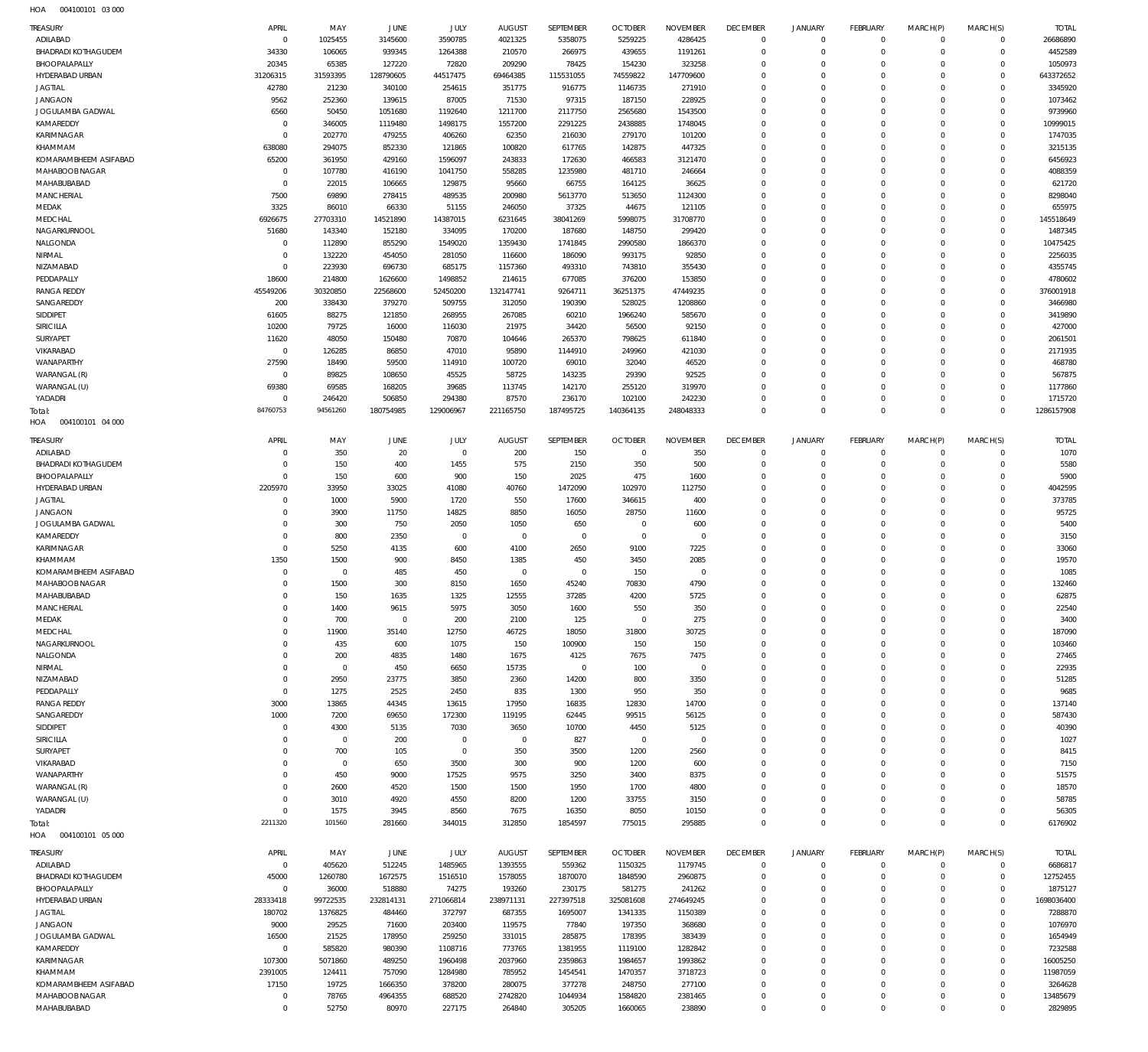004100101 03 000 HOA

| <b>TREASURY</b>                  | APRIL                      | MAY             | JUNE               | JULY               | <b>AUGUST</b>      | SEPTEMBER          | <b>OCTOBER</b>     | <b>NOVEMBER</b>    | <b>DECEMBER</b>             | <b>JANUARY</b>          | <b>FEBRUARY</b>          | MARCH(P)               | MARCH(S)                   | <b>TOTAL</b>        |
|----------------------------------|----------------------------|-----------------|--------------------|--------------------|--------------------|--------------------|--------------------|--------------------|-----------------------------|-------------------------|--------------------------|------------------------|----------------------------|---------------------|
| ADILABAD                         | $\mathbf 0$                | 1025455         | 3145600            | 3590785            | 4021325            | 5358075            | 5259225            | 4286425            | $\overline{0}$              | $\circ$                 | $\mathbf{0}$             | $\Omega$               | $\Omega$                   | 26686890            |
| <b>BHADRADI KOTHAGUDEM</b>       | 34330                      | 106065          | 939345             | 1264388            | 210570             | 266975             | 439655             | 1191261            | $\overline{0}$              | $\mathbf 0$             | $\mathbf{0}$             | $\Omega$               | $\circ$                    | 4452589             |
| BHOOPALAPALLY                    | 20345                      | 65385           | 127220             | 72820              | 209290             | 78425              | 154230             | 323258             | $\overline{0}$              | $\circ$                 | $\Omega$                 | $\Omega$               | $\Omega$                   | 1050973             |
| HYDERABAD URBAN                  | 31206315                   | 31593395        | 128790605          | 44517475           | 69464385           | 115531055          | 74559822           | 147709600          | $\Omega$                    | $\Omega$                | $\Omega$                 | $\Omega$               | $\Omega$                   | 643372652           |
| <b>JAGTIAL</b>                   | 42780                      | 21230           | 340100             | 254615             | 351775             | 916775             | 1146735            | 271910             | $\Omega$                    | $\Omega$                | $\Omega$                 | $\Omega$               | $\circ$                    | 3345920             |
| <b>JANGAON</b>                   | 9562                       | 252360          | 139615             | 87005              | 71530              | 97315              | 187150             | 228925             | $\mathbf 0$<br>$\Omega$     | $\Omega$<br>$\Omega$    | $\mathbf{0}$<br>$\Omega$ | $\Omega$<br>$\Omega$   | $\Omega$<br>$\Omega$       | 1073462<br>9739960  |
| JOGULAMBA GADWAL<br>KAMAREDDY    | 6560<br>$\mathbf 0$        | 50450<br>346005 | 1051680<br>1119480 | 1192640<br>1498175 | 1211700<br>1557200 | 2117750<br>2291225 | 2565680<br>2438885 | 1543500<br>1748045 | $\Omega$                    | $\Omega$                | $\Omega$                 | $\Omega$               | $\Omega$                   | 10999015            |
| KARIMNAGAR                       | $\Omega$                   | 202770          | 479255             | 406260             | 62350              | 216030             | 279170             | 101200             | $\mathbf 0$                 | $\Omega$                | $\Omega$                 | $\Omega$               | $\Omega$                   | 1747035             |
| KHAMMAM                          | 638080                     | 294075          | 852330             | 121865             | 100820             | 617765             | 142875             | 447325             | $\Omega$                    | $\Omega$                | $\Omega$                 | $\Omega$               | $\Omega$                   | 3215135             |
| KOMARAMBHEEM ASIFABAD            | 65200                      | 361950          | 429160             | 1596097            | 243833             | 172630             | 466583             | 3121470            | $\mathbf 0$                 | $\Omega$                | $\Omega$                 | $\Omega$               | $\Omega$                   | 6456923             |
| MAHABOOB NAGAR                   | $\mathbf 0$                | 107780          | 416190             | 1041750            | 558285             | 1235980            | 481710             | 246664             | $\Omega$                    | $\Omega$                | $\Omega$                 | $\Omega$               | $\Omega$                   | 4088359             |
| MAHABUBABAD                      | $\circ$                    | 22015           | 106665             | 129875             | 95660              | 66755              | 164125             | 36625              | $\mathbf 0$                 | $\Omega$                | $\Omega$                 | $\Omega$               | $\Omega$                   | 621720              |
| MANCHERIAL                       | 7500                       | 69890           | 278415             | 489535             | 200980             | 5613770            | 513650             | 1124300            | $\Omega$                    | $\Omega$                | $\Omega$                 | $\Omega$               | $\Omega$                   | 8298040             |
| MEDAK                            | 3325                       | 86010           | 66330              | 51155              | 246050             | 37325              | 44675              | 121105             | $\mathbf 0$                 | $\Omega$                | $\Omega$                 | $\Omega$               | $\Omega$                   | 655975              |
| MEDCHAL                          | 6926675                    | 27703310        | 14521890           | 14387015           | 6231645            | 38041269           | 5998075            | 31708770           | $\Omega$                    | $\Omega$                | $\Omega$                 | $\Omega$               | $\Omega$                   | 145518649           |
| NAGARKURNOOL                     | 51680                      | 143340          | 152180             | 334095             | 170200             | 187680             | 148750             | 299420             | $\mathbf 0$                 | $\Omega$                | $\Omega$                 | $\Omega$               | $\Omega$                   | 1487345             |
| NALGONDA                         | $\mathbf 0$                | 112890          | 855290             | 1549020            | 1359430            | 1741845            | 2990580            | 1866370            | $\Omega$                    | $\Omega$                | $\Omega$                 | $\Omega$               | $\Omega$                   | 10475425            |
| NIRMAL                           | $\circ$                    | 132220          | 454050             | 281050             | 116600             | 186090             | 993175             | 92850              | $\mathbf 0$                 | $\Omega$                | $\Omega$                 | $\Omega$               | $\Omega$                   | 2256035             |
| NIZAMABAD                        | $\Omega$                   | 223930          | 696730             | 685175             | 1157360            | 493310             | 743810             | 355430             | $\Omega$                    | $\Omega$                | $\Omega$                 | $\Omega$               | $\Omega$                   | 4355745             |
| PEDDAPALLY                       | 18600                      | 214800          | 1626600            | 1498852            | 214615             | 677085             | 376200             | 153850             | $\Omega$                    | $\Omega$                | $\Omega$                 | $\Omega$               | $\Omega$                   | 4780602             |
| <b>RANGA REDDY</b><br>SANGAREDDY | 45549206                   | 30320850        | 22568600           | 52450200           | 132147741          | 9264711            | 36251375           | 47449235           | $\Omega$<br>$\Omega$        | $\Omega$<br>$\Omega$    | $\Omega$<br>$\Omega$     | $\Omega$<br>$\Omega$   | $\Omega$<br>$\Omega$       | 376001918           |
| SIDDIPET                         | 200<br>61605               | 338430<br>88275 | 379270<br>121850   | 509755<br>268955   | 312050<br>267085   | 190390<br>60210    | 528025<br>1966240  | 1208860<br>585670  | $\Omega$                    | $\Omega$                | $\Omega$                 | $\Omega$               | $\Omega$                   | 3466980<br>3419890  |
| SIRICILLA                        | 10200                      | 79725           | 16000              | 116030             | 21975              | 34420              | 56500              | 92150              | $\mathbf 0$                 | $\Omega$                | $\Omega$                 | $\Omega$               | $\Omega$                   | 427000              |
| SURYAPET                         | 11620                      | 48050           | 150480             | 70870              | 104646             | 265370             | 798625             | 611840             | $\Omega$                    | $\Omega$                | $\Omega$                 | $\Omega$               | $\Omega$                   | 2061501             |
| VIKARABAD                        | $\mathbf 0$                | 126285          | 86850              | 47010              | 95890              | 1144910            | 249960             | 421030             | $\mathbf 0$                 | $\Omega$                | $\Omega$                 | $\Omega$               | $\Omega$                   | 2171935             |
| WANAPARTHY                       | 27590                      | 18490           | 59500              | 114910             | 100720             | 69010              | 32040              | 46520              | $\Omega$                    | $\Omega$                | $\Omega$                 | $\Omega$               | $\Omega$                   | 468780              |
| WARANGAL (R)                     | $\mathbf 0$                | 89825           | 108650             | 45525              | 58725              | 143235             | 29390              | 92525              | $\mathbf 0$                 | $\Omega$                | $\Omega$                 | $\Omega$               | $\Omega$                   | 567875              |
| WARANGAL (U)                     | 69380                      | 69585           | 168205             | 39685              | 113745             | 142170             | 255120             | 319970             | $\Omega$                    | $\Omega$                | $\Omega$                 | $\Omega$               | $\Omega$                   | 1177860             |
| YADADRI                          | $^{\circ}$                 | 246420          | 506850             | 294380             | 87570              | 236170             | 102100             | 242230             | $\overline{0}$              | $\mathbf 0$             | $\mathbf{0}$             | $\Omega$               | $\Omega$                   | 1715720             |
| Total:                           | 84760753                   | 94561260        | 180754985          | 129006967          | 221165750          | 187495725          | 140364135          | 248048333          | $\Omega$                    | $\Omega$                | $\Omega$                 | $\Omega$               | $\Omega$                   | 1286157908          |
| 004100101 04 000<br>HOA          |                            |                 |                    |                    |                    |                    |                    |                    |                             |                         |                          |                        |                            |                     |
| <b>TREASURY</b>                  | APRIL                      | MAY             | <b>JUNE</b>        | JULY               | <b>AUGUST</b>      | SEPTEMBER          | <b>OCTOBER</b>     | <b>NOVEMBER</b>    | <b>DECEMBER</b>             | <b>JANUARY</b>          | <b>FEBRUARY</b>          | MARCH(P)               | MARCH(S)                   | <b>TOTAL</b>        |
| ADILABAD                         | $\Omega$                   | 350             | 20                 | $\mathbf 0$        | 200                | 150                | $\overline{0}$     | 350                | $^{\circ}$                  | $^{\circ}$              | $^{\circ}$               | $\Omega$               | $\Omega$                   | 1070                |
| <b>BHADRADI KOTHAGUDEM</b>       | $\Omega$                   | 150             | 400                | 1455               | 575                | 2150               | 350                | 500                | $\mathbf{0}$                | $\circ$                 | $\Omega$                 | $\Omega$               | $\Omega$                   | 5580                |
| BHOOPALAPALLY                    | $\Omega$                   | 150             | 600                | 900                | 150                | 2025               | 475                | 1600               | $\Omega$                    | $\Omega$                | $\Omega$                 | $\Omega$               | $\Omega$                   | 5900                |
| HYDERABAD URBAN                  | 2205970                    | 33950           | 33025              | 41080              | 40760              | 1472090            | 102970             | 112750             | $\Omega$                    | $\Omega$                | $\Omega$                 | $\Omega$               | $\Omega$                   | 4042595             |
| <b>JAGTIAL</b>                   | $\Omega$                   | 1000            | 5900               | 1720               | 550                | 17600              | 346615             | 400                | $\Omega$                    | $\Omega$                | $\Omega$                 | $\Omega$               | $\Omega$                   | 373785              |
| <b>JANGAON</b>                   | $\Omega$                   | 3900            | 11750              | 14825              | 8850               | 16050              | 28750              | 11600              | $\Omega$                    | $\Omega$                | $\Omega$                 | $\Omega$               | $\Omega$                   | 95725               |
|                                  |                            | 300             | 750                | 2050               | 1050               | 650                | $\overline{0}$     | 600                | $\Omega$                    | $\Omega$                | $\Omega$                 | $\Omega$               | $\Omega$                   | 5400                |
| JOGULAMBA GADWAL                 | $\Omega$                   |                 |                    |                    |                    |                    |                    |                    |                             |                         |                          |                        |                            |                     |
| KAMAREDDY                        | $\Omega$                   | 800             | 2350               | $\mathbf 0$        | $^{\circ}$         | $\mathbf 0$        | $\overline{0}$     | $\Omega$           | $\Omega$                    | $\Omega$                | $\Omega$                 | $\Omega$               | $\Omega$                   | 3150                |
| KARIMNAGAR                       | $\Omega$                   | 5250            | 4135               | 600                | 4100               | 2650               | 9100               | 7225               | $\Omega$                    | $\Omega$                | $\Omega$                 | $\Omega$               | $\Omega$                   | 33060               |
| KHAMMAM                          | 1350                       | 1500            | 900                | 8450               | 1385               | 450                | 3450               | 2085               | $\Omega$                    | $\Omega$                | $\Omega$                 | $\Omega$<br>$\Omega$   | $\Omega$                   | 19570               |
| KOMARAMBHEEM ASIFABAD            | $\Omega$<br>$\Omega$       | $^{\circ}$      | 485                | 450                | $\overline{0}$     | $\mathbf 0$        | 150                | $\Omega$           | $\Omega$<br>$\Omega$        | $\Omega$<br>$\Omega$    | $\Omega$<br>$\Omega$     | $\Omega$               | $\Omega$<br>$\Omega$       | 1085                |
| MAHABOOB NAGAR<br>MAHABUBABAD    | $\Omega$                   | 1500<br>150     | 300<br>1635        | 8150               | 1650<br>12555      | 45240<br>37285     | 70830<br>4200      | 4790<br>5725       | $\Omega$                    | $\Omega$                | $\Omega$                 | $\Omega$               | $\Omega$                   | 132460              |
| <b>MANCHERIAL</b>                | $\Omega$                   | 1400            | 9615               | 1325<br>5975       | 3050               | 1600               | 550                | 350                | $\Omega$                    | $\Omega$                | $\Omega$                 | $\Omega$               | $\Omega$                   | 62875<br>22540      |
| MEDAK                            | $\mathbf 0$                | 700             | $\mathbf 0$        | 200                | 2100               | 125                | $\overline{0}$     | 275                | 0                           | $\mathbf 0$             | $^{\circ}$               | $\Omega$               | $\Omega$                   | 3400                |
| MEDCHAL                          | $\Omega$                   | 11900           | 35140              | 12750              | 46725              | 18050              | 31800              | 30725              | $\mathbf 0$                 | $\mathbf 0$             | $^{\circ}$               | $\Omega$               | $\Omega$                   | 187090              |
| NAGARKURNOOL                     | $\Omega$                   | 435             | 600                | 1075               | 150                | 100900             | 150                | 150                | $\mathbf 0$                 | $\mathbf 0$             | $^{\circ}$               | $\Omega$               | $\Omega$                   | 103460              |
| NALGONDA                         | $\Omega$                   | 200             | 4835               | 1480               | 1675               | 4125               | 7675               | 7475               | $\mathbf 0$                 | $\mathbf 0$             | $\Omega$                 | $\Omega$               | $\Omega$                   | 27465               |
| NIRMAL                           | $\Omega$                   | $\mathbf 0$     | 450                | 6650               | 15735              | $^{\circ}$         | 100                | $\overline{0}$     | $\mathbf 0$                 | $\mathbf 0$             | $^{\circ}$               | $\Omega$               | $\Omega$                   | 22935               |
| NIZAMABAD                        | $\Omega$                   | 2950            | 23775              | 3850               | 2360               | 14200              | 800                | 3350               | $\mathbf 0$                 | $\mathbf 0$             | $\Omega$                 | $\Omega$               | $\Omega$                   | 51285               |
| PEDDAPALLY                       | $\Omega$                   | 1275            | 2525               | 2450               | 835                | 1300               | 950                | 350                | $\mathbf 0$                 | $\Omega$                | $^{\circ}$               | $\Omega$               | $\Omega$                   | 9685                |
| <b>RANGA REDDY</b>               | 3000                       | 13865           | 44345              | 13615              | 17950              | 16835              | 12830              | 14700              | $\mathbf 0$                 | $\mathbf 0$             | $\Omega$                 | $\Omega$               | $\Omega$                   | 137140              |
| SANGAREDDY                       | 1000                       | 7200            | 69650              | 172300             | 119195             | 62445              | 99515              | 56125              | $\mathbf 0$                 | $\mathbf 0$             | $^{\circ}$               | $\Omega$               | $\Omega$                   | 587430              |
| SIDDIPET                         | $^{\circ}$                 | 4300            | 5135               | 7030               | 3650               | 10700              | 4450               | 5125               | $\mathbf 0$                 | $\mathbf 0$             | $^{\circ}$               | $\Omega$               | $\Omega$                   | 40390               |
| <b>SIRICILLA</b>                 | $\Omega$                   | $\mathbf 0$     | 200                | $\mathbf 0$        | $\overline{0}$     | 827                | $\overline{0}$     | $\Omega$           | $\mathbf 0$                 | $\Omega$                | $^{\circ}$               | $\Omega$               | $\Omega$                   | 1027                |
| SURYAPET                         | $\Omega$                   | 700             | 105                | $\mathbf 0$        | 350                | 3500               | 1200               | 2560               | $\mathbf 0$                 | $\mathbf 0$             | $^{\circ}$               | $\Omega$<br>$\Omega$   | $\Omega$                   | 8415                |
| VIKARABAD                        | $\Omega$<br>$\Omega$       | $\mathbf 0$     | 650                | 3500               | 300                | 900                | 1200               | 600                | $\mathbf 0$                 | $\Omega$                | $^{\circ}$               | $\Omega$               | $\Omega$<br>$\Omega$       | 7150                |
| WANAPARTHY                       | $\Omega$                   | 450             | 9000               | 17525              | 9575               | 3250<br>1950       | 3400<br>1700       | 8375<br>4800       | $\mathbf 0$<br>0            | $\mathbf 0$<br>$\Omega$ | $^{\circ}$<br>$\Omega$   |                        | $\Omega$                   | 51575               |
| WARANGAL (R)                     | $\Omega$                   | 2600<br>3010    | 4520<br>4920       | 1500<br>4550       | 1500<br>8200       | 1200               | 33755              | 3150               | $\mathbf 0$                 | $\mathbf 0$             | $^{\circ}$               | $\Omega$               | $\Omega$                   | 18570<br>58785      |
| WARANGAL (U)<br>YADADRI          | $\mathbf 0$                | 1575            | 3945               | 8560               | 7675               | 16350              | 8050               | 10150              | $\mathbf 0$                 | $\mathbf 0$             | $\mathbf{0}$             | $\Omega$               | $\Omega$                   | 56305               |
| Total:                           | 2211320                    | 101560          | 281660             | 344015             | 312850             | 1854597            | 775015             | 295885             | $\mathbf 0$                 | $\mathbf 0$             | $\overline{0}$           | $\Omega$               | $\Omega$                   | 6176902             |
| 004100101 05 000<br>HOA          |                            |                 |                    |                    |                    |                    |                    |                    |                             |                         |                          |                        |                            |                     |
| TREASURY                         | APRIL                      | MAY             | JUNE               | JULY               | <b>AUGUST</b>      | SEPTEMBER          | <b>OCTOBER</b>     | <b>NOVEMBER</b>    | <b>DECEMBER</b>             | <b>JANUARY</b>          | <b>FEBRUARY</b>          |                        | MARCH(S)                   | <b>TOTAL</b>        |
| ADILABAD                         | $\mathbf 0$                | 405620          | 512245             | 1485965            | 1393555            | 559362             | 1150325            | 1179745            | $\mathbf 0$                 | 0                       | $\circ$                  | MARCH(P)<br>$^{\circ}$ | $\mathbf 0$                | 6686817             |
| BHADRADI KOTHAGUDEM              | 45000                      | 1260780         | 1672575            | 1516510            | 1578055            | 1870070            | 1848590            | 2960875            | $\mathbf 0$                 | $\circ$                 | $\mathbf{0}$             | $\Omega$               | $\mathbf 0$                | 12752455            |
| BHOOPALAPALLY                    | $\mathbf 0$                | 36000           | 518880             | 74275              | 193260             | 230175             | 581275             | 241262             | $\mathbf 0$                 | $\mathbf 0$             | $\mathbf{0}$             | $\Omega$               | $\Omega$                   | 1875127             |
| HYDERABAD URBAN                  | 28333418                   | 99722535        | 232814131          | 271066814          | 238971131          | 227397518          | 325081608          | 274649245          | $\mathbf 0$                 | $\mathbf 0$             | $\mathbf{0}$             | $\Omega$               | $\Omega$                   | 1698036400          |
| <b>JAGTIAL</b>                   | 180702                     | 1376825         | 484460             | 372797             | 687355             | 1695007            | 1341335            | 1150389            | $^{\circ}$                  | $\mathbf 0$             | $\mathbf{0}$             | $\Omega$               | $\Omega$                   | 7288870             |
| <b>JANGAON</b>                   | 9000                       | 29525           | 71600              | 203400             | 119575             | 77840              | 197350             | 368680             | $\mathbf 0$                 | $\mathbf 0$             | $\mathbf{0}$             | $\Omega$               | $\Omega$                   | 1076970             |
| JOGULAMBA GADWAL                 | 16500                      | 21525           | 178950             | 259250             | 331015             | 285875             | 178395             | 383439             | $^{\circ}$                  | $\mathbf 0$             | $\mathbf{0}$             | $\Omega$               | $\Omega$                   | 1654949             |
| KAMAREDDY                        | $\mathbf 0$                | 585820          | 980390             | 1108716            | 773765             | 1381955            | 1119100            | 1282842            | $\bf 0$                     | $\mathbf 0$             | $\mathbf{0}$             | $\Omega$               | $\Omega$                   | 7232588             |
| KARIMNAGAR                       | 107300                     | 5071860         | 489250             | 1960498            | 2037960            | 2359863            | 1984657            | 1993862            | $\mathbf{0}$                | $\mathbf 0$             | $\mathbf{0}$             | $\Omega$               | $\Omega$                   | 16005250            |
| KHAMMAM                          | 2391005                    | 124411          | 757090             | 1284980            | 785952             | 1454541            | 1470357            | 3718723            | $\bf 0$                     | $\mathbf 0$             | $\mathbf{0}$             | $\Omega$               | $\Omega$                   | 11987059            |
| KOMARAMBHEEM ASIFABAD            | 17150                      | 19725           | 1666350            | 378200             | 280075             | 377278             | 248750             | 277100             | $\mathbf{0}$                | $\mathbf 0$             | $\mathbf{0}$             | $\Omega$               | $\Omega$                   | 3264628             |
| MAHABOOB NAGAR<br>MAHABUBABAD    | $\mathbf 0$<br>$\mathbf 0$ | 78765<br>52750  | 4964355<br>80970   | 688520<br>227175   | 2742820<br>264840  | 1044934<br>305205  | 1584820<br>1660065 | 2381465<br>238890  | $\mathbf 0$<br>$\mathbf{0}$ | 0<br>$\mathbf 0$        | $\circ$<br>$\mathbf{0}$  | $\Omega$<br>$^{\circ}$ | $\mathbf 0$<br>$\mathbf 0$ | 13485679<br>2829895 |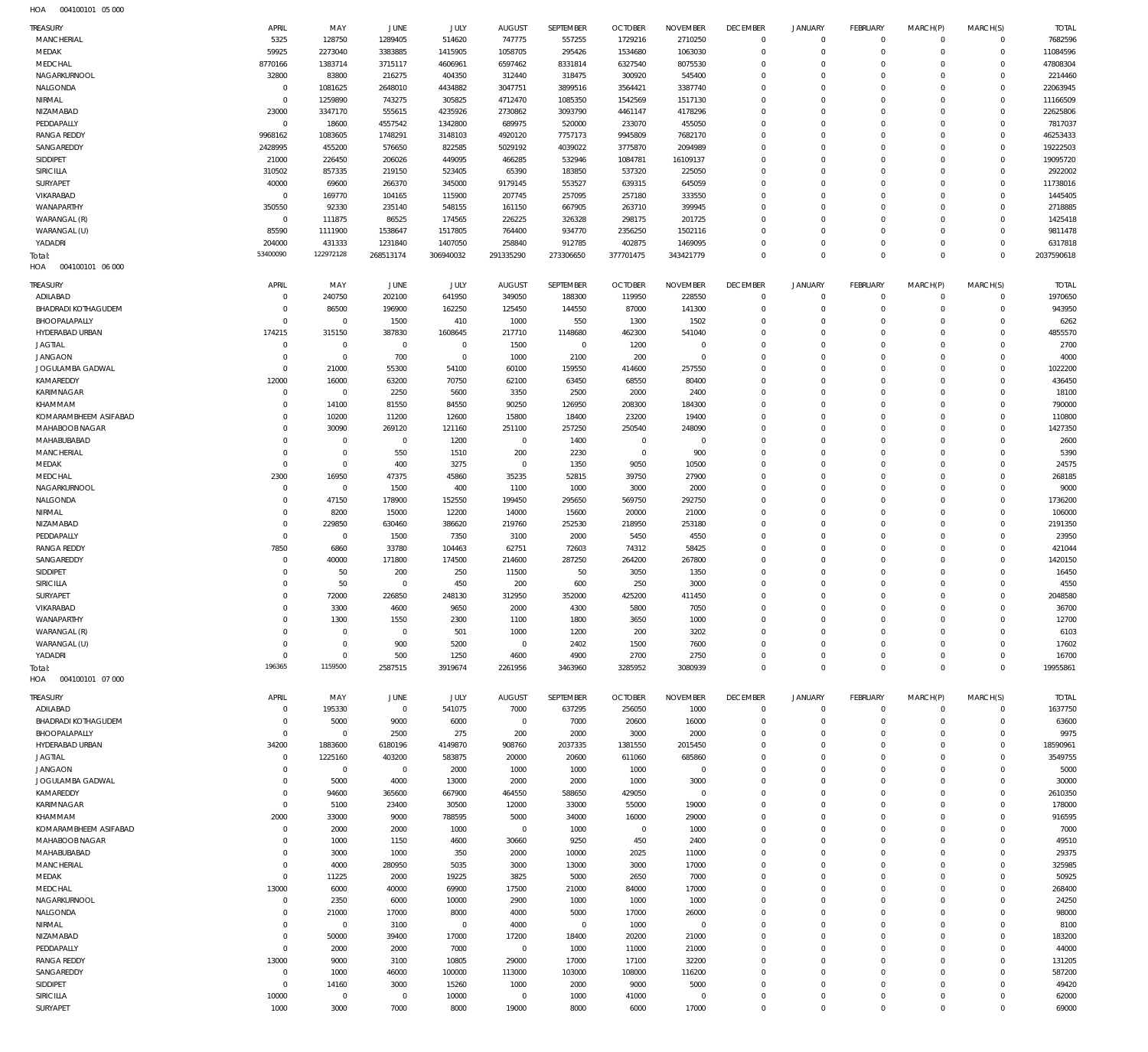| HOA | 004100101 05 000 |  |
|-----|------------------|--|

| <b>TREASURY</b>            | APRIL        | MAY            | JUNE           | JULY        | <b>AUGUST</b>  | SEPTEMBER        | <b>OCTOBER</b> | <b>NOVEMBER</b> | <b>DECEMBER</b> | <b>JANUARY</b> | <b>FEBRUARY</b> | MARCH(P)   | MARCH(S)    | <b>TOTAL</b> |
|----------------------------|--------------|----------------|----------------|-------------|----------------|------------------|----------------|-----------------|-----------------|----------------|-----------------|------------|-------------|--------------|
| <b>MANCHERIAL</b>          | 5325         | 128750         | 1289405        | 514620      | 747775         | 557255           | 1729216        | 2710250         | $\overline{0}$  | $\mathbf 0$    | $\circ$         | $^{\circ}$ | 0           | 7682596      |
| MEDAK                      | 59925        | 2273040        | 3383885        | 1415905     | 1058705        | 295426           | 1534680        | 1063030         | $\overline{0}$  | $\Omega$       | $\mathbf 0$     | $^{\circ}$ | $\mathbf 0$ | 11084596     |
| MEDCHAL                    | 8770166      | 1383714        | 3715117        | 4606961     | 6597462        | 8331814          | 6327540        | 8075530         | $\overline{0}$  | $\Omega$       | $\mathbf 0$     | $\Omega$   | $\mathbf 0$ | 47808304     |
| NAGARKURNOOL               | 32800        | 83800          | 216275         | 404350      | 312440         | 318475           | 300920         | 545400          | $\Omega$        | $\Omega$       | $\Omega$        | $\Omega$   | $\mathbf 0$ | 2214460      |
| NALGONDA                   | $\mathbf{0}$ | 1081625        | 2648010        | 4434882     | 3047751        | 3899516          | 3564421        | 3387740         | $\overline{0}$  | $\Omega$       | $\mathbf 0$     | $\Omega$   | $\mathbf 0$ | 22063945     |
| NIRMAL                     | $\mathbf{0}$ | 1259890        | 743275         | 305825      | 4712470        | 1085350          | 1542569        | 1517130         | $\Omega$        | $\Omega$       | $\Omega$        | $\Omega$   | $\mathbf 0$ | 11166509     |
| NIZAMABAD                  | 23000        | 3347170        | 555615         | 4235926     | 2730862        | 3093790          | 4461147        | 4178296         | $^{\circ}$      | $\Omega$       | $\mathbf 0$     | $\Omega$   | $\mathbf 0$ | 22625806     |
| PEDDAPALLY                 | $\mathbf{0}$ | 18600          | 4557542        |             | 689975         |                  |                | 455050          | $\Omega$        |                | $\Omega$        | $\Omega$   | $\mathbf 0$ | 7817037      |
|                            |              |                |                | 1342800     |                | 520000           | 233070         |                 |                 |                |                 |            |             |              |
| <b>RANGA REDDY</b>         | 9968162      | 1083605        | 1748291        | 3148103     | 4920120        | 7757173          | 9945809        | 7682170         | $^{\circ}$      | $\Omega$       | $\mathbf 0$     | $\Omega$   | $\mathbf 0$ | 46253433     |
| SANGAREDDY                 | 2428995      | 455200         | 576650         | 822585      | 5029192        | 4039022          | 3775870        | 2094989         | $\Omega$        |                | $\Omega$        | $\Omega$   | $\mathbf 0$ | 19222503     |
| SIDDIPET                   | 21000        | 226450         | 206026         | 449095      | 466285         | 532946           | 1084781        | 16109137        | $^{\circ}$      | $\Omega$       | $\mathbf 0$     | $\Omega$   | $\mathbf 0$ | 19095720     |
| <b>SIRICILLA</b>           | 310502       | 857335         | 219150         | 523405      | 65390          | 183850           | 537320         | 225050          | $\Omega$        |                | $\Omega$        | $\Omega$   | $\mathbf 0$ | 2922002      |
| <b>SURYAPET</b>            | 40000        | 69600          | 266370         | 345000      | 9179145        | 553527           | 639315         | 645059          | $\overline{0}$  | $\Omega$       | $\mathbf 0$     | $\Omega$   | $\mathbf 0$ | 11738016     |
| VIKARABAD                  | $\mathbf 0$  | 169770         | 104165         | 115900      | 207745         | 257095           | 257180         | 333550          | $\Omega$        | $\Omega$       | $\Omega$        | $\Omega$   | $\Omega$    | 1445405      |
| WANAPARTHY                 | 350550       | 92330          | 235140         | 548155      | 161150         | 667905           | 263710         | 399945          | $\Omega$        | $\Omega$       | $\mathbf 0$     | $\Omega$   | $\mathbf 0$ | 2718885      |
| WARANGAL (R)               | $\mathbf{0}$ | 111875         | 86525          | 174565      | 226225         | 326328           | 298175         | 201725          | $\Omega$        |                | $\Omega$        | $\Omega$   | $\Omega$    | 1425418      |
|                            | 85590        | 1111900        | 1538647        | 1517805     | 764400         | 934770           | 2356250        | 1502116         | $\Omega$        | $\Omega$       | $\mathbf 0$     | $\Omega$   | $\Omega$    | 9811478      |
| WARANGAL (U)               |              |                |                |             |                |                  |                |                 |                 |                |                 |            |             |              |
| YADADRI                    | 204000       | 431333         | 1231840        | 1407050     | 258840         | 912785           | 402875         | 1469095         | $\overline{0}$  | $\Omega$       | $\mathbf 0$     | $\Omega$   | $\mathbf 0$ | 6317818      |
| Total:                     | 53400090     | 122972128      | 268513174      | 306940032   | 291335290      | 273306650        | 377701475      | 343421779       | $\Omega$        | $\Omega$       | $\Omega$        | $\Omega$   | $\mathbf 0$ | 2037590618   |
| HOA<br>004100101 06 000    |              |                |                |             |                |                  |                |                 |                 |                |                 |            |             |              |
| <b>TREASURY</b>            | APRIL        | MAY            | JUNE           | JULY        | <b>AUGUST</b>  | <b>SEPTEMBER</b> | <b>OCTOBER</b> | <b>NOVEMBER</b> | <b>DECEMBER</b> | <b>JANUARY</b> | <b>FEBRUARY</b> | MARCH(P)   | MARCH(S)    | <b>TOTAL</b> |
|                            |              |                |                |             |                |                  |                |                 |                 |                |                 |            |             |              |
| ADILABAD                   | $^{\circ}$   | 240750         | 202100         | 641950      | 349050         | 188300           | 119950         | 228550          | $\overline{0}$  | $\mathbf 0$    | $\mathbf 0$     | $^{\circ}$ | $\mathbf 0$ | 1970650      |
| <b>BHADRADI KOTHAGUDEM</b> | $^{\circ}$   | 86500          | 196900         | 162250      | 125450         | 144550           | 87000          | 141300          | $\overline{0}$  | $\Omega$       | $\mathbf 0$     | $^{\circ}$ | $\mathbf 0$ | 943950       |
| BHOOPALAPALLY              | $\mathbf 0$  | $\mathbf 0$    | 1500           | 410         | 1000           | 550              | 1300           | 1502            | $\overline{0}$  | $\Omega$       | $\mathbf 0$     | $\Omega$   | $\mathbf 0$ | 6262         |
| HYDERABAD URBAN            | 174215       | 315150         | 387830         | 1608645     | 217710         | 1148680          | 462300         | 541040          | $\overline{0}$  | $\Omega$       | $\mathbf 0$     | $\Omega$   | $\mathbf 0$ | 4855570      |
| <b>JAGTIAL</b>             | $\mathbf{0}$ | $\mathbf{0}$   | $\mathbf{0}$   | $\mathbf 0$ | 1500           | $\overline{0}$   | 1200           | $\overline{0}$  | $\overline{0}$  | $\Omega$       | $\mathbf 0$     | $\Omega$   | $\mathbf 0$ | 2700         |
| <b>JANGAON</b>             | $\mathbf 0$  | $\mathbf 0$    | 700            | $\mathbf 0$ | 1000           | 2100             | 200            | $\overline{0}$  | $\overline{0}$  | $\Omega$       | $\mathbf 0$     | $\Omega$   | $\mathbf 0$ | 4000         |
| <b>JOGULAMBA GADWAL</b>    | $\mathbf 0$  | 21000          | 55300          | 54100       | 60100          | 159550           | 414600         | 257550          | $\overline{0}$  | $\Omega$       | $\mathbf 0$     | $\Omega$   | $\mathbf 0$ | 1022200      |
| KAMAREDDY                  | 12000        | 16000          | 63200          | 70750       | 62100          | 63450            | 68550          | 80400           | $\overline{0}$  | $\Omega$       | $\mathbf 0$     | $\Omega$   | $\mathbf 0$ | 436450       |
| KARIMNAGAR                 | $\mathbf{0}$ | $\mathbf 0$    | 2250           | 5600        | 3350           | 2500             | 2000           | 2400            | $\Omega$        | $\Omega$       | $\mathbf 0$     | $\Omega$   | $\mathbf 0$ | 18100        |
|                            |              |                |                |             |                |                  |                |                 |                 |                |                 |            |             |              |
| KHAMMAM                    | 0            | 14100          | 81550          | 84550       | 90250          | 126950           | 208300         | 184300          | $\overline{0}$  | $\Omega$       | $\mathbf 0$     | $\Omega$   | $\mathbf 0$ | 790000       |
| KOMARAMBHEEM ASIFABAD      | $\Omega$     | 10200          | 11200          | 12600       | 15800          | 18400            | 23200          | 19400           | $\Omega$        | $\Omega$       | $\mathbf 0$     | $\Omega$   | $\mathbf 0$ | 110800       |
| MAHABOOB NAGAR             | 0            | 30090          | 269120         | 121160      | 251100         | 257250           | 250540         | 248090          | $\overline{0}$  | $\Omega$       | $\mathbf 0$     | $\Omega$   | $\mathbf 0$ | 1427350      |
| MAHABUBABAD                | $\Omega$     | $\mathbf 0$    | $\mathbf 0$    | 1200        | $\overline{0}$ | 1400             | $\overline{0}$ | $^{\circ}$      | $\Omega$        | $\Omega$       | $\mathbf 0$     | $\Omega$   | $\mathbf 0$ | 2600         |
| <b>MANCHERIAL</b>          | $\mathbf 0$  | $\mathbf 0$    | 550            | 1510        | 200            | 2230             | $\overline{0}$ | 900             | $\overline{0}$  | $\Omega$       | $\mathbf 0$     | $\Omega$   | $\mathbf 0$ | 5390         |
| MEDAK                      | $\mathbf 0$  | $\mathbf 0$    | 400            | 3275        | $\overline{0}$ | 1350             | 9050           | 10500           | $\Omega$        | $\Omega$       | $\mathbf 0$     | $\Omega$   | $\mathbf 0$ | 24575        |
| MEDCHAL                    | 2300         | 16950          | 47375          | 45860       | 35235          | 52815            | 39750          | 27900           | $\overline{0}$  | $\Omega$       | $\mathbf 0$     | $\Omega$   | $\mathbf 0$ | 268185       |
| NAGARKURNOOL               | $\mathbf 0$  | $\mathbf 0$    | 1500           | 400         | 1100           | 1000             | 3000           | 2000            | $\Omega$        | $\Omega$       | $\mathbf 0$     | $\Omega$   | $\mathbf 0$ | 9000         |
| NALGONDA                   | $\mathbf 0$  | 47150          | 178900         | 152550      | 199450         | 295650           | 569750         | 292750          | $\overline{0}$  | $\Omega$       | $\mathbf 0$     | $\Omega$   | $\mathbf 0$ | 1736200      |
|                            |              |                |                |             |                |                  |                |                 | $\overline{0}$  | $\Omega$       | $\mathbf 0$     | $\Omega$   | $\mathbf 0$ | 106000       |
| NIRMAL                     | 0            | 8200           | 15000          | 12200       | 14000          | 15600            | 20000          | 21000           |                 |                |                 |            |             |              |
| NIZAMABAD                  | $^{\circ}$   | 229850         | 630460         | 386620      | 219760         | 252530           | 218950         | 253180          | $\overline{0}$  | $\Omega$       | $\mathbf 0$     | $\Omega$   | $\mathbf 0$ | 2191350      |
| PEDDAPALLY                 | $^{\circ}$   | $\mathbf 0$    | 1500           | 7350        | 3100           | 2000             | 5450           | 4550            | $\overline{0}$  | $\Omega$       | $\mathbf 0$     | $\Omega$   | $\mathbf 0$ | 23950        |
| <b>RANGA REDDY</b>         | 7850         | 6860           | 33780          | 104463      | 62751          | 72603            | 74312          | 58425           | $\overline{0}$  | $\Omega$       | $\mathbf 0$     | $\Omega$   | $\mathbf 0$ | 421044       |
| SANGAREDDY                 | $\mathbf 0$  | 40000          | 171800         | 174500      | 214600         | 287250           | 264200         | 267800          | $\overline{0}$  | $\Omega$       | $\mathbf 0$     | $\Omega$   | $\mathbf 0$ | 1420150      |
| <b>SIDDIPET</b>            | $\Omega$     | 50             | 200            | 250         | 11500          | 50               | 3050           | 1350            | $\overline{0}$  | $\Omega$       | $\mathbf 0$     | $\Omega$   | $\mathbf 0$ | 16450        |
| <b>SIRICILLA</b>           | $\Omega$     | 50             | $\overline{0}$ | 450         | 200            | 600              | 250            | 3000            | $\Omega$        | $\Omega$       | $\Omega$        | $\Omega$   | $\mathbf 0$ | 4550         |
| SURYAPET                   | $\Omega$     | 72000          | 226850         | 248130      | 312950         | 352000           | 425200         | 411450          | $\Omega$        | $\Omega$       | $\Omega$        | $\Omega$   | $\mathbf 0$ | 2048580      |
| VIKARABAD                  | $\Omega$     | 3300           | 4600           | 9650        | 2000           | 4300             | 5800           | 7050            | $\overline{0}$  | $\Omega$       | $\Omega$        | $\Omega$   | $\Omega$    | 36700        |
| WANAPARTHY                 | 0            | 1300           |                |             |                |                  |                |                 | $^{\circ}$      | $\Omega$       | $\mathbf 0$     | $\Omega$   | 0           | 12700        |
|                            |              |                | 1550           | 2300        | 1100           | 1800             | 3650           | 1000            |                 |                |                 |            |             |              |
| WARANGAL (R)               | $\mathbf 0$  | $\mathbf 0$    | $\overline{0}$ | 501         | 1000           | 1200             | 200            | 3202            | $\overline{0}$  | $\Omega$       | $\mathbf 0$     | $^{\circ}$ | $\mathbf 0$ | 6103         |
| WARANGAL (U)               | $\mathbf 0$  | $\mathbf 0$    | 900            | 5200        | $\overline{0}$ | 2402             | 1500           | 7600            | $\overline{0}$  | $\Omega$       | $\mathbf 0$     | $\Omega$   | $\mathbf 0$ | 17602        |
| YADADRI                    | $\mathbf 0$  | $\mathbf 0$    | 500            | 1250        | 4600           | 4900             | 2700           | 2750            | $\overline{0}$  | $\Omega$       | $\mathbf 0$     | $^{\circ}$ | $\mathbf 0$ | 16700        |
| Total:                     | 196365       | 1159500        | 2587515        | 3919674     | 2261956        | 3463960          | 3285952        | 3080939         | $\mathbb O$     | $\mathbf 0$    | $\overline{0}$  | $\Omega$   | $\mathbf 0$ | 19955861     |
| HOA<br>004100101 07 000    |              |                |                |             |                |                  |                |                 |                 |                |                 |            |             |              |
|                            |              |                |                |             |                |                  |                |                 |                 |                |                 |            |             |              |
| <b>TREASURY</b>            | APRIL        | MAY            | <b>JUNE</b>    | JULY        | <b>AUGUST</b>  | SEPTEMBER        | <b>OCTOBER</b> | <b>NOVEMBER</b> | <b>DECEMBER</b> | <b>JANUARY</b> | <b>FEBRUARY</b> | MARCH(P)   | MARCH(S)    | <b>TOTAL</b> |
| ADILABAD                   | $\mathbf{0}$ | 195330         | $\overline{0}$ | 541075      | 7000           | 637295           | 256050         | 1000            | $^{\circ}$      | $\mathbf 0$    | $\circ$         | $^{\circ}$ | $\mathbf 0$ | 1637750      |
| <b>BHADRADI KOTHAGUDEM</b> | $\mathbf 0$  | 5000           | 9000           | 6000        | $^{\circ}$     | 7000             | 20600          | 16000           | $\overline{0}$  | $\Omega$       | $\mathbf 0$     | $\Omega$   | $\mathbf 0$ | 63600        |
| BHOOPALAPALLY              | $\mathbf{0}$ | $\overline{0}$ | 2500           | 275         | 200            | 2000             | 3000           | 2000            | $^{\circ}$      | $\Omega$       | $\mathbf 0$     | $\Omega$   | $\mathbf 0$ | 9975         |
| HYDERABAD URBAN            | 34200        | 1883600        | 6180196        | 4149870     | 908760         | 2037335          | 1381550        | 2015450         | $\overline{0}$  | $\Omega$       | $\Omega$        | $\Omega$   | $\mathbf 0$ | 18590961     |
| <b>JAGTIAL</b>             | $\mathbf{0}$ | 1225160        | 403200         | 583875      | 20000          | 20600            | 611060         | 685860          | $^{\circ}$      | $\Omega$       | $\mathbf 0$     | $\Omega$   | $\mathbf 0$ | 3549755      |
| <b>JANGAON</b>             | $\mathbf 0$  | $\mathbf 0$    | $\overline{0}$ | 2000        | 1000           | 1000             | 1000           | $\mathbf 0$     | $\Omega$        |                | $\Omega$        | $\Omega$   | $\Omega$    | 5000         |
| JOGULAMBA GADWAL           | $\mathbf 0$  | 5000           | 4000           | 13000       | 2000           | 2000             | 1000           | 3000            | $^{\circ}$      | $\Omega$       | $\mathbf 0$     | $\Omega$   | $\mathbf 0$ | 30000        |
| KAMAREDDY                  | $\mathbf 0$  | 94600          | 365600         | 667900      | 464550         | 588650           | 429050         | $^{\circ}$      | $\overline{0}$  | $\Omega$       | $\Omega$        | $\Omega$   | $\Omega$    | 2610350      |
|                            |              |                |                |             |                |                  |                |                 |                 |                |                 |            |             |              |
| KARIMNAGAR                 | $\mathbf{0}$ | 5100           | 23400          | 30500       | 12000          | 33000            | 55000          | 19000           | $\overline{0}$  | $\Omega$       | $\mathbf 0$     | $\Omega$   | $\mathbf 0$ | 178000       |
| KHAMMAM                    | 2000         | 33000          | 9000           | 788595      | 5000           | 34000            | 16000          | 29000           | $\overline{0}$  | $\Omega$       | $\Omega$        | $\Omega$   | $\Omega$    | 916595       |
| KOMARAMBHEEM ASIFABAD      | $\mathbf{0}$ | 2000           | 2000           | 1000        | $\overline{0}$ | 1000             | $\overline{0}$ | 1000            | $\overline{0}$  | $\Omega$       | $\mathbf 0$     | $\Omega$   | $\Omega$    | 7000         |
| MAHABOOB NAGAR             | 0            | 1000           | 1150           | 4600        | 30660          | 9250             | 450            | 2400            | $\overline{0}$  | $\Omega$       | $\Omega$        | $\Omega$   | $\Omega$    | 49510        |
| MAHABUBABAD                | 0            | 3000           | 1000           | 350         | 2000           | 10000            | 2025           | 11000           | $\overline{0}$  | $\Omega$       | $\Omega$        | $\Omega$   | $\Omega$    | 29375        |
| <b>MANCHERIAL</b>          | $\mathbf 0$  | 4000           | 280950         | 5035        | 3000           | 13000            | 3000           | 17000           | $\overline{0}$  | $\Omega$       | $\Omega$        | $\Omega$   | $\mathbf 0$ | 325985       |
| MEDAK                      | $\mathbf 0$  | 11225          | 2000           | 19225       | 3825           | 5000             | 2650           | 7000            | $\overline{0}$  | $\Omega$       | $\Omega$        | $\Omega$   | $\Omega$    | 50925        |
| MEDCHAL                    | 13000        | 6000           | 40000          | 69900       | 17500          | 21000            | 84000          | 17000           | $\overline{0}$  | $\Omega$       | $\mathbf 0$     | $\Omega$   | $\Omega$    | 268400       |
| NAGARKURNOOL               | $\mathbf{0}$ | 2350           | 6000           | 10000       |                | 1000             | 1000           | 1000            | $\overline{0}$  | $\Omega$       | $\Omega$        | $\Omega$   | $\Omega$    | 24250        |
|                            |              |                |                |             | 2900           |                  |                |                 |                 |                |                 |            |             |              |
| NALGONDA                   | $\mathbf 0$  | 21000          | 17000          | 8000        | 4000           | 5000             | 17000          | 26000           | $^{\circ}$      | $\Omega$       | $\Omega$        | $\Omega$   | $\mathbf 0$ | 98000        |
| NIRMAL                     | $\mathbf 0$  | $\mathbf 0$    | 3100           | $\mathbf 0$ | 4000           | $\overline{0}$   | 1000           | $^{\circ}$      | $\overline{0}$  | $\Omega$       | $\mathbf 0$     | $\Omega$   | $\Omega$    | 8100         |
| NIZAMABAD                  | $\mathbf 0$  | 50000          | 39400          | 17000       | 17200          | 18400            | 20200          | 21000           | $\overline{0}$  | $\Omega$       | $\Omega$        | $\Omega$   | $\Omega$    | 183200       |
| PEDDAPALLY                 | $\mathbf 0$  | 2000           | 2000           | 7000        | $\overline{0}$ | 1000             | 11000          | 21000           | $\overline{0}$  | $\Omega$       | $\mathbf 0$     | $\Omega$   | $\Omega$    | 44000        |
| <b>RANGA REDDY</b>         | 13000        | 9000           | 3100           | 10805       | 29000          | 17000            | 17100          | 32200           | $\Omega$        | $\Omega$       | $\Omega$        | $\Omega$   | $\Omega$    | 131205       |
| SANGAREDDY                 | $\mathbf{0}$ | 1000           | 46000          | 100000      | 113000         | 103000           | 108000         | 116200          | $\overline{0}$  | $\Omega$       | $\mathbf 0$     | $\Omega$   | $\mathbf 0$ | 587200       |
| SIDDIPET                   | $\mathbf 0$  | 14160          | 3000           | 15260       | 1000           | 2000             | 9000           | 5000            | $\overline{0}$  | $\Omega$       | $\Omega$        | $\Omega$   | $\Omega$    | 49420        |
| <b>SIRICILLA</b>           | 10000        | $\mathbf 0$    | $\overline{0}$ | 10000       | $^{\circ}$     | 1000             | 41000          | $^{\circ}$      | $\mathbf 0$     | $\mathbf 0$    | $\mathbf 0$     | 0          | 0           | 62000        |
|                            | 1000         | 3000           | 7000           | 8000        | 19000          | 8000             | 6000           | 17000           | $\mathbb O$     | $\Omega$       | $\mathbf 0$     | $^{\circ}$ | $\mathbf 0$ | 69000        |
| SURYAPET                   |              |                |                |             |                |                  |                |                 |                 |                |                 |            |             |              |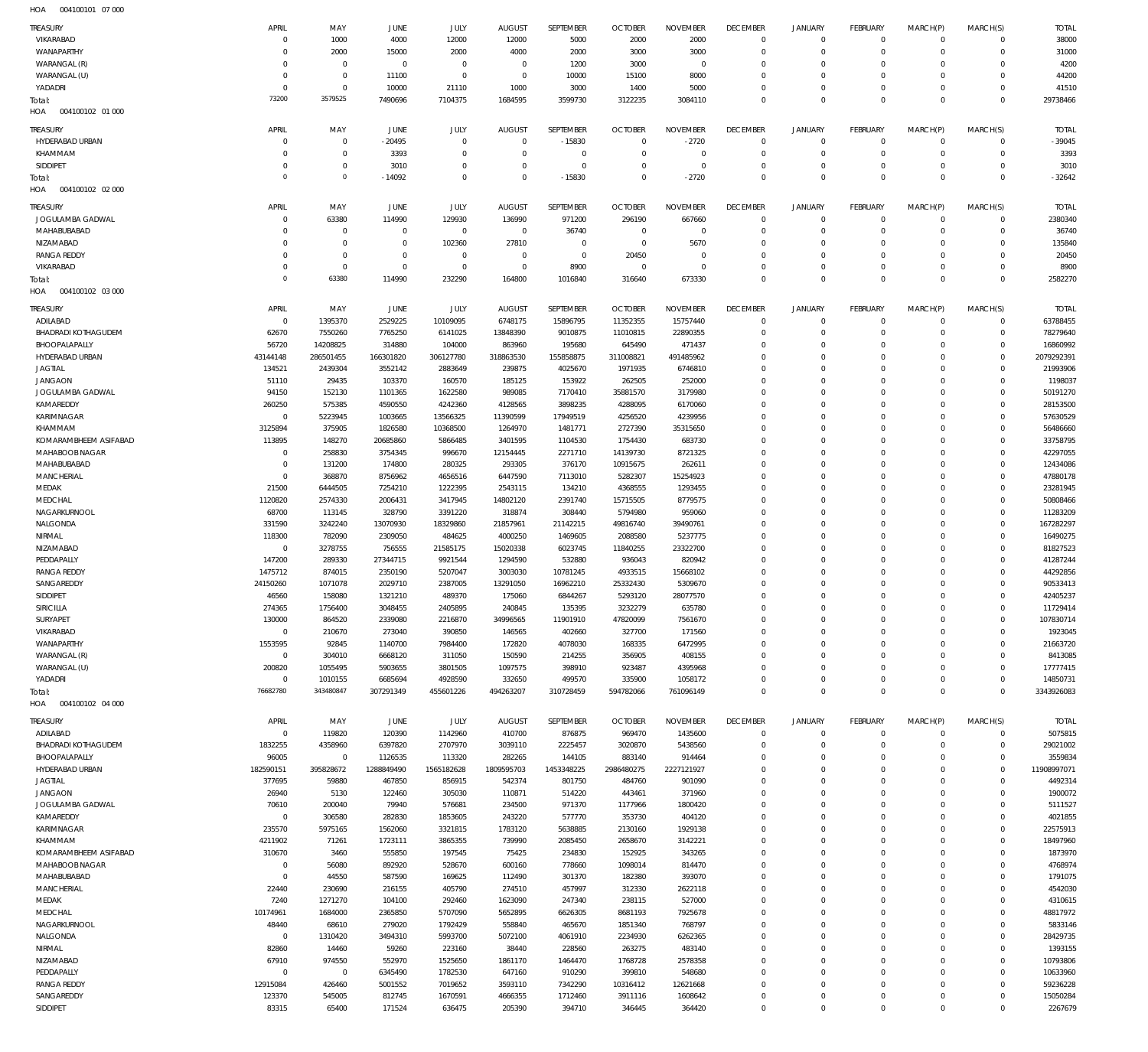004100101 07 000 HOA

| <b>TREASURY</b>                             | APRIL                | MAY                           | <b>JUNE</b>         | JULY                  | <b>AUGUST</b>         | SEPTEMBER           | <b>OCTOBER</b>       | <b>NOVEMBER</b>       | <b>DECEMBER</b>            | <b>JANUARY</b>             | <b>FEBRUARY</b>            | MARCH(P)                | MARCH(S)                       | <b>TOTAL</b>         |
|---------------------------------------------|----------------------|-------------------------------|---------------------|-----------------------|-----------------------|---------------------|----------------------|-----------------------|----------------------------|----------------------------|----------------------------|-------------------------|--------------------------------|----------------------|
| VIKARABAD                                   | $\Omega$             | 1000                          | 4000                | 12000                 | 12000                 | 5000                | 2000                 | 2000                  | $\mathbf 0$                | $\mathbf 0$                | $\overline{0}$             | $\Omega$                | $\mathbf{0}$                   | 38000                |
| WANAPARTHY                                  | $\Omega$             | 2000                          | 15000               | 2000                  | 4000                  | 2000                | 3000                 | 3000                  | $\circ$                    | $\mathbf 0$                | $\mathbf 0$                | $\Omega$                | $\mathbf{0}$                   | 31000                |
| WARANGAL (R)                                | $\Omega$             | $\overline{0}$                | $\overline{0}$      | $\overline{0}$        | $^{\circ}$            | 1200                | 3000                 | $\mathbf 0$           | $\Omega$                   | $\Omega$                   | $\Omega$                   | $\Omega$                | $\Omega$                       | 4200                 |
| WARANGAL (U)<br>YADADRI                     | $\Omega$<br>$\Omega$ | $\mathbf 0$<br>$\overline{0}$ | 11100<br>10000      | $\mathbf 0$<br>21110  | $^{\circ}$<br>1000    | 10000<br>3000       | 15100<br>1400        | 8000<br>5000          | $\Omega$<br>$\Omega$       | $\mathbf 0$<br>$\mathbf 0$ | $\Omega$<br>$\Omega$       | $\Omega$<br>$\Omega$    | $\Omega$<br>$\Omega$           | 44200<br>41510       |
| Total:                                      | 73200                | 3579525                       | 7490696             | 7104375               | 1684595               | 3599730             | 3122235              | 3084110               | $\mathbf 0$                | $\mathbf 0$                | $\Omega$                   | $\Omega$                | $\Omega$                       | 29738466             |
| 004100102 01 000<br>HOA                     |                      |                               |                     |                       |                       |                     |                      |                       |                            |                            |                            |                         |                                |                      |
| TREASURY                                    | APRIL                | MAY                           | JUNE                | <b>JULY</b>           | <b>AUGUST</b>         | SEPTEMBER           | <b>OCTOBER</b>       | <b>NOVEMBER</b>       | <b>DECEMBER</b>            | <b>JANUARY</b>             | FEBRUARY                   | MARCH(P)                | MARCH(S)                       | <b>TOTAL</b>         |
| HYDERABAD URBAN                             | $\Omega$             | $\Omega$                      | $-20495$            | $\Omega$              | $\Omega$              | $-15830$            | $\Omega$             | $-2720$               | $\mathbf 0$                | $\Omega$                   | $\Omega$                   | $\Omega$                | $^{\circ}$                     | $-39045$             |
| KHAMMAM                                     | $\Omega$             | $\mathbf 0$                   | 3393                | $\Omega$              | $\Omega$              | $\mathbf{0}$        | $\overline{0}$       | $^{\circ}$            | $\mathbf 0$                | $\mathbf 0$                | $^{\circ}$                 | $\Omega$                | $\mathbf 0$                    | 3393                 |
| SIDDIPET                                    | $\Omega$             | $\mathbf 0$                   | 3010                | $\Omega$              | $\Omega$              | $\mathbf 0$         | $\Omega$             | $\mathbf 0$           | $\mathbf 0$                | $\mathbf 0$                | $\mathbf 0$                | $\Omega$                | $\Omega$                       | 3010                 |
| Total:                                      | $\Omega$             | $\mathbf 0$                   | $-14092$            | $\Omega$              | $\Omega$              | $-15830$            | $\Omega$             | $-2720$               | $\mathbf 0$                | $\Omega$                   | $\Omega$                   | $\Omega$                | $\Omega$                       | $-32642$             |
| 004100102 02 000<br>HOA                     |                      |                               |                     |                       |                       |                     |                      |                       |                            |                            |                            |                         |                                |                      |
| <b>TREASURY</b>                             | APRIL                | MAY                           | JUNE                | <b>JULY</b>           | <b>AUGUST</b>         | SEPTEMBER           | <b>OCTOBER</b>       | <b>NOVEMBER</b>       | <b>DECEMBER</b>            | <b>JANUARY</b>             | <b>FEBRUARY</b>            | MARCH(P)                | MARCH(S)                       | <b>TOTAL</b>         |
| JOGULAMBA GADWAL<br>MAHABUBABAD             | $\Omega$<br>$\Omega$ | 63380<br>$\mathbf 0$          | 114990<br>$\Omega$  | 129930<br>$\mathbf 0$ | 136990<br>$\mathbf 0$ | 971200<br>36740     | 296190<br>$^{\circ}$ | 667660<br>$\mathbf 0$ | $\mathbf 0$<br>$^{\circ}$  | $\mathbf 0$<br>$\mathbf 0$ | $\mathbf 0$<br>$\mathbf 0$ | $\Omega$<br>$\Omega$    | $\mathbf{0}$<br>$\mathbf{0}$   | 2380340<br>36740     |
| NIZAMABAD                                   | $\Omega$             | $\Omega$                      | $\Omega$            | 102360                | 27810                 | $\mathbf 0$         | $^{\circ}$           | 5670                  | $^{\circ}$                 | $\mathbf 0$                | $\Omega$                   | $\Omega$                | $\Omega$                       | 135840               |
| <b>RANGA REDDY</b>                          | $\Omega$             | $\overline{0}$                | $\Omega$            | $\mathbf 0$           | $^{\circ}$            | $\mathbf 0$         | 20450                | $^{\circ}$            | $\Omega$                   | $\Omega$                   | $\Omega$                   | $\Omega$                | $\Omega$                       | 20450                |
| VIKARABAD                                   | $\Omega$             | $\mathbf 0$                   | $\Omega$            | $\mathbf 0$           | $^{\circ}$            | 8900                | $\overline{0}$       | $\mathbf 0$           | $\Omega$                   | $\mathbf 0$                | $\mathbf 0$                | $\Omega$                | $\Omega$                       | 8900                 |
| Total:                                      | $\Omega$             | 63380                         | 114990              | 232290                | 164800                | 1016840             | 316640               | 673330                | $\Omega$                   | $\Omega$                   | $\Omega$                   | $\Omega$                | $\Omega$                       | 2582270              |
| 004100102 03 000<br>HOA                     |                      |                               |                     |                       |                       |                     |                      |                       |                            |                            |                            |                         |                                |                      |
| <b>TREASURY</b>                             | <b>APRIL</b>         | MAY                           | JUNE                | <b>JULY</b>           | <b>AUGUST</b>         | SEPTEMBER           | <b>OCTOBER</b>       | <b>NOVEMBER</b>       | <b>DECEMBER</b>            | <b>JANUARY</b>             | <b>FEBRUARY</b>            | MARCH(P)                | MARCH(S)                       | <b>TOTAL</b>         |
| ADILABAD                                    | $\Omega$             | 1395370                       | 2529225             | 10109095              | 6748175               | 15896795            | 11352355             | 15757440              | $\mathbf 0$                | $^{\circ}$                 | $\mathbf 0$                | $\Omega$                | $\mathbf 0$                    | 63788455             |
| <b>BHADRADI KOTHAGUDEM</b><br>BHOOPALAPALLY | 62670<br>56720       | 7550260<br>14208825           | 7765250<br>314880   | 6141025<br>104000     | 13848390<br>863960    | 9010875<br>195680   | 11010815<br>645490   | 22890355<br>471437    | $\Omega$<br>$\Omega$       | $\Omega$<br>$\Omega$       | $\mathbf 0$<br>$\Omega$    | $\Omega$<br>$\Omega$    | $\mathbf{0}$<br>$\mathbf 0$    | 78279640<br>16860992 |
| <b>HYDERABAD URBAN</b>                      | 43144148             | 286501455                     | 166301820           | 306127780             | 318863530             | 155858875           | 311008821            | 491485962             | $\Omega$                   | $\Omega$                   | $\Omega$                   | $\Omega$                | $\Omega$                       | 2079292391           |
| <b>JAGTIAL</b>                              | 134521               | 2439304                       | 3552142             | 2883649               | 239875                | 4025670             | 1971935              | 6746810               | $\Omega$                   | $\Omega$                   | $\Omega$                   | $\Omega$                | $\Omega$                       | 21993906             |
| <b>JANGAON</b>                              | 51110                | 29435                         | 103370              | 160570                | 185125                | 153922              | 262505               | 252000                | $\Omega$                   | $\Omega$                   | $\Omega$                   | $\Omega$                | $\Omega$                       | 1198037              |
| JOGULAMBA GADWAL                            | 94150                | 152130                        | 1101365             | 1622580               | 989085                | 7170410             | 35881570             | 3179980               | $\Omega$                   | $\Omega$                   | $\Omega$                   | $\Omega$                | $\Omega$                       | 50191270             |
| KAMAREDDY<br>KARIMNAGAR                     | 260250<br>$\Omega$   | 575385                        | 4590550             | 4242360               | 4128565               | 3898235             | 4288095              | 6170060<br>4239956    | $\Omega$<br>$\Omega$       | $\Omega$<br>$\Omega$       | $\Omega$<br>$\Omega$       | $\Omega$<br>$\Omega$    | $\Omega$<br>$\Omega$           | 28153500             |
| KHAMMAM                                     | 3125894              | 5223945<br>375905             | 1003665<br>1826580  | 13566325<br>10368500  | 11390599<br>1264970   | 17949519<br>1481771 | 4256520<br>2727390   | 35315650              | $\Omega$                   | $\Omega$                   | $\Omega$                   | $\Omega$                | $\Omega$                       | 57630529<br>56486660 |
| KOMARAMBHEEM ASIFABAD                       | 113895               | 148270                        | 20685860            | 5866485               | 3401595               | 1104530             | 1754430              | 683730                | $\Omega$                   | $\Omega$                   | $\Omega$                   | $\Omega$                | $\Omega$                       | 33758795             |
| MAHABOOB NAGAR                              | $\Omega$             | 258830                        | 3754345             | 996670                | 12154445              | 2271710             | 14139730             | 8721325               | $\Omega$                   | $\Omega$                   | $\Omega$                   | $\Omega$                | $\Omega$                       | 42297055             |
| MAHABUBABAD                                 | $\Omega$             | 131200                        | 174800              | 280325                | 293305                | 376170              | 10915675             | 262611                | $\Omega$                   | $\Omega$                   | $\Omega$                   | $\Omega$                | $\Omega$                       | 12434086             |
| <b>MANCHERIAL</b>                           | $\Omega$             | 368870                        | 8756962             | 4656516               | 6447590               | 7113010             | 5282307              | 15254923              | $\Omega$                   | $\Omega$                   | $\Omega$                   | $\Omega$                | $\Omega$                       | 47880178             |
| MEDAK<br>MEDCHAL                            | 21500<br>1120820     | 6444505<br>2574330            | 7254210<br>2006431  | 1222395<br>3417945    | 2543115<br>14802120   | 134210<br>2391740   | 4368555<br>15715505  | 1293455<br>8779575    | $\Omega$<br>$\Omega$       | $\Omega$<br>$\Omega$       | $\Omega$<br>$\Omega$       | $\Omega$<br>$\Omega$    | $\Omega$<br>$\Omega$           | 23281945<br>50808466 |
| NAGARKURNOOL                                | 68700                | 113145                        | 328790              | 3391220               | 318874                | 308440              | 5794980              | 959060                | $\Omega$                   | $\Omega$                   | $\Omega$                   | $\Omega$                | $\Omega$                       | 11283209             |
| NALGONDA                                    | 331590               | 3242240                       | 13070930            | 18329860              | 21857961              | 21142215            | 49816740             | 39490761              | $\Omega$                   | $\Omega$                   | $\Omega$                   | $\Omega$                | $\Omega$                       | 167282297            |
| NIRMAL                                      | 118300               | 782090                        | 2309050             | 484625                | 4000250               | 1469605             | 2088580              | 5237775               | $\Omega$                   | $\Omega$                   | $\Omega$                   | $\Omega$                | $\Omega$                       | 16490275             |
| NIZAMABAD                                   | $\Omega$             | 3278755                       | 756555              | 21585175              | 15020338              | 6023745             | 11840255             | 23322700              | $\Omega$                   | $\Omega$                   | $\Omega$                   | $\Omega$                | $\Omega$                       | 81827523             |
| PEDDAPALLY<br><b>RANGA REDDY</b>            | 147200<br>1475712    | 289330<br>874015              | 27344715<br>2350190 | 9921544<br>5207047    | 1294590<br>3003030    | 532880<br>10781245  | 936043<br>4933515    | 820942<br>15668102    | $\Omega$<br>$\Omega$       | $\Omega$<br>$\Omega$       | $\Omega$<br>$\Omega$       | $\Omega$<br>$\Omega$    | $\Omega$<br>$\Omega$           | 41287244<br>44292856 |
| SANGAREDDY                                  | 24150260             | 1071078                       | 2029710             | 2387005               | 13291050              | 16962210            | 25332430             | 5309670               | $\Omega$                   | $\Omega$                   | $\Omega$                   | $\Omega$                | $\Omega$                       | 90533413             |
| SIDDIPET                                    | 46560                | 158080                        | 1321210             | 489370                | 175060                | 6844267             | 5293120              | 28077570              | $\Omega$                   | $\Omega$                   | $\Omega$                   | $\Omega$                | $\Omega$                       | 42405237             |
| <b>SIRICILLA</b>                            | 274365               | 1756400                       | 3048455             | 2405895               | 240845                | 135395              | 3232279              | 635780                | $\mathbf{0}$               | $\Omega$                   | $\Omega$                   | $\Omega$                | $\Omega$                       | 11729414             |
| SURYAPET                                    | 130000               | 864520                        | 2339080             | 2216870               | 34996565              | 11901910            | 47820099             | 7561670               | $\mathbf 0$                | $^{\circ}$                 | $\mathbf 0$                | $\Omega$                | $\mathbf 0$                    | 107830714            |
| VIKARABAD                                   | $\Omega$             | 210670                        | 273040              | 390850                | 146565                | 402660              | 327700               | 171560                | $\mathbf 0$                | $\Omega$                   | $\Omega$<br>$\Omega$       | $\Omega$<br>$\Omega$    | $\Omega$<br>$\Omega$           | 1923045              |
| WANAPARTHY<br>WARANGAL (R)                  | 1553595<br>$\Omega$  | 92845<br>304010               | 1140700<br>6668120  | 7984400<br>311050     | 172820<br>150590      | 4078030<br>214255   | 168335<br>356905     | 6472995<br>408155     | $\mathbf 0$<br>$\Omega$    | $^{\circ}$<br>$\Omega$     | $\Omega$                   | $\Omega$                | $\Omega$                       | 21663720<br>8413085  |
| WARANGAL (U)                                | 200820               | 1055495                       | 5903655             | 3801505               | 1097575               | 398910              | 923487               | 4395968               | $\Omega$                   | $\Omega$                   | $\Omega$                   | $\Omega$                | $\Omega$                       | 17777415             |
| YADADRI                                     | $\Omega$             | 1010155                       | 6685694             | 4928590               | 332650                | 499570              | 335900               | 1058172               | $\Omega$                   | $\mathbf 0$                | $\Omega$                   | $\Omega$                | $\mathbf 0$                    | 14850731             |
| Total:                                      | 76682780             | 343480847                     | 307291349           | 455601226             | 494263207             | 310728459           | 594782066            | 761096149             | $\mathbf 0$                | $\mathbf 0$                | $\mathbf 0$                | $\Omega$                | $\Omega$                       | 3343926083           |
| HOA   004100102   04   000                  |                      |                               |                     |                       |                       |                     |                      |                       |                            |                            |                            |                         |                                |                      |
| <b>TREASURY</b>                             | APRIL                | MAY                           | JUNE                | JULY                  | AUGUST                | SEPTEMBER           | <b>OCTOBER</b>       | <b>NOVEMBER</b>       | <b>DECEMBER</b>            | <b>JANUARY</b>             | <b>FEBRUARY</b>            | MARCH(P)                | MARCH(S)                       | <b>TOTAL</b>         |
| ADILABAD                                    | $\Omega$             | 119820                        | 120390              | 1142960               | 410700                | 876875              | 969470               | 1435600               | $\mathbf 0$                | $\mathbf 0$                | $\mathbf 0$                | $\Omega$                | $\mathbf{0}$                   | 5075815              |
| <b>BHADRADI KOTHAGUDEM</b><br>BHOOPALAPALLY | 1832255<br>96005     | 4358960<br>$\mathbf 0$        | 6397820<br>1126535  | 2707970<br>113320     | 3039110<br>282265     | 2225457<br>144105   | 3020870<br>883140    | 5438560<br>914464     | $\mathbf 0$<br>$\mathbf 0$ | $\mathbf 0$<br>$\mathbf 0$ | $\mathbf 0$<br>$\mathbf 0$ | $\mathbf 0$<br>$\Omega$ | $\overline{0}$<br>$\mathbf{0}$ | 29021002<br>3559834  |
| HYDERABAD URBAN                             | 182590151            | 395828672                     | 1288849490          | 1565182628            | 1809595703            | 1453348225          | 2986480275           | 2227121927            | $^{\circ}$                 | $\Omega$                   | $\Omega$                   | $\Omega$                | $\mathbf{0}$                   | 11908997071          |
| <b>JAGTIAL</b>                              | 377695               | 59880                         | 467850              | 856915                | 542374                | 801750              | 484760               | 901090                | $^{\circ}$                 | $\mathbf 0$                | $\mathbf 0$                | $\Omega$                | $\circ$                        | 4492314              |
| <b>JANGAON</b>                              | 26940                | 5130                          | 122460              | 305030                | 110871                | 514220              | 443461               | 371960                | $\Omega$                   | $\Omega$                   | $\Omega$                   | $\Omega$                | $\Omega$                       | 1900072              |
| JOGULAMBA GADWAL                            | 70610                | 200040                        | 79940               | 576681                | 234500                | 971370              | 1177966              | 1800420               | $^{\circ}$                 | $\mathbf 0$                | $\Omega$                   | $\Omega$                | $\mathbf 0$                    | 5111527              |
| KAMAREDDY<br>KARIMNAGAR                     | $\Omega$<br>235570   | 306580<br>5975165             | 282830<br>1562060   | 1853605<br>3321815    | 243220<br>1783120     | 577770<br>5638885   | 353730<br>2130160    | 404120<br>1929138     | $^{\circ}$<br>$^{\circ}$   | $\Omega$<br>$\mathbf 0$    | $\Omega$<br>$\Omega$       | $\Omega$<br>$\Omega$    | $\Omega$<br>$\mathbf{0}$       | 4021855<br>22575913  |
| KHAMMAM                                     | 4211902              | 71261                         | 1723111             | 3865355               | 739990                | 2085450             | 2658670              | 3142221               | $^{\circ}$                 | $\mathbf 0$                | $\Omega$                   | $\Omega$                | $\Omega$                       | 18497960             |
| KOMARAMBHEEM ASIFABAD                       | 310670               | 3460                          | 555850              | 197545                | 75425                 | 234830              | 152925               | 343265                | $^{\circ}$                 | $\Omega$                   | $\Omega$                   | $\Omega$                | $\Omega$                       | 1873970              |
| MAHABOOB NAGAR                              | $\mathbf 0$          | 56080                         | 892920              | 528670                | 600160                | 778660              | 1098014              | 814470                | $^{\circ}$                 | $\mathbf 0$                | $\Omega$                   | $\Omega$                | $\Omega$                       | 4768974              |
| MAHABUBABAD                                 | $\Omega$             | 44550                         | 587590              | 169625                | 112490                | 301370              | 182380               | 393070                | $^{\circ}$                 | $\mathbf 0$                | $\Omega$                   | $\Omega$                | $\Omega$                       | 1791075              |
| <b>MANCHERIAL</b>                           | 22440                | 230690                        | 216155              | 405790                | 274510                | 457997              | 312330               | 2622118               | $^{\circ}$                 | $\mathbf 0$<br>$\Omega$    | $\mathbf 0$<br>$\Omega$    | $\Omega$<br>$\Omega$    | $\mathbf 0$<br>$\Omega$        | 4542030              |
| MEDAK<br>MEDCHAL                            | 7240<br>10174961     | 1271270<br>1684000            | 104100<br>2365850   | 292460<br>5707090     | 1623090<br>5652895    | 247340<br>6626305   | 238115<br>8681193    | 527000<br>7925678     | $\mathbf 0$<br>$\mathbf 0$ | $\mathbf 0$                | $\Omega$                   | $\Omega$                | $\mathbf{0}$                   | 4310615<br>48817972  |
| NAGARKURNOOL                                | 48440                | 68610                         | 279020              | 1792429               | 558840                | 465670              | 1851340              | 768797                | $\mathbf 0$                | $\mathbf 0$                | $\Omega$                   | $\Omega$                | $\Omega$                       | 5833146              |
| NALGONDA                                    | $\overline{0}$       | 1310420                       | 3494310             | 5993700               | 5072100               | 4061910             | 2234930              | 6262365               | $\mathbf 0$                | $\mathbf 0$                | $\Omega$                   | $\Omega$                | $\mathbf{0}$                   | 28429735             |
| NIRMAL                                      | 82860                | 14460                         | 59260               | 223160                | 38440                 | 228560              | 263275               | 483140                | $\mathbf 0$                | $\mathbf 0$                | $\Omega$                   | $\Omega$                | $\mathbf{0}$                   | 1393155              |
| NIZAMABAD                                   | 67910                | 974550                        | 552970              | 1525650               | 1861170               | 1464470             | 1768728              | 2578358               | $\mathbf 0$                | $\Omega$                   | $\Omega$                   | $\Omega$                | $\mathbf{0}$                   | 10793806             |
| PEDDAPALLY<br><b>RANGA REDDY</b>            | $\Omega$<br>12915084 | $\mathbf 0$<br>426460         | 6345490<br>5001552  | 1782530<br>7019652    | 647160<br>3593110     | 910290<br>7342290   | 399810<br>10316412   | 548680<br>12621668    | $\mathbf 0$<br>$\mathbf 0$ | $\mathbf 0$<br>$\Omega$    | $\Omega$<br>$\Omega$       | $\Omega$<br>$\Omega$    | $\mathbf{0}$<br>$\Omega$       | 10633960<br>59236228 |
| SANGAREDDY                                  | 123370               | 545005                        | 812745              | 1670591               | 4666355               | 1712460             | 3911116              | 1608642               | $\mathbf 0$                | $\mathsf{O}$               | $\mathbf 0$                | $\mathbf 0$             | $\mathbf{0}$                   | 15050284             |
| SIDDIPET                                    | 83315                | 65400                         | 171524              | 636475                | 205390                | 394710              | 346445               | 364420                | $\mathbf 0$                | $\mathbf 0$                | $\mathbf 0$                | $\mathbf 0$             | $\circ$                        | 2267679              |
|                                             |                      |                               |                     |                       |                       |                     |                      |                       |                            |                            |                            |                         |                                |                      |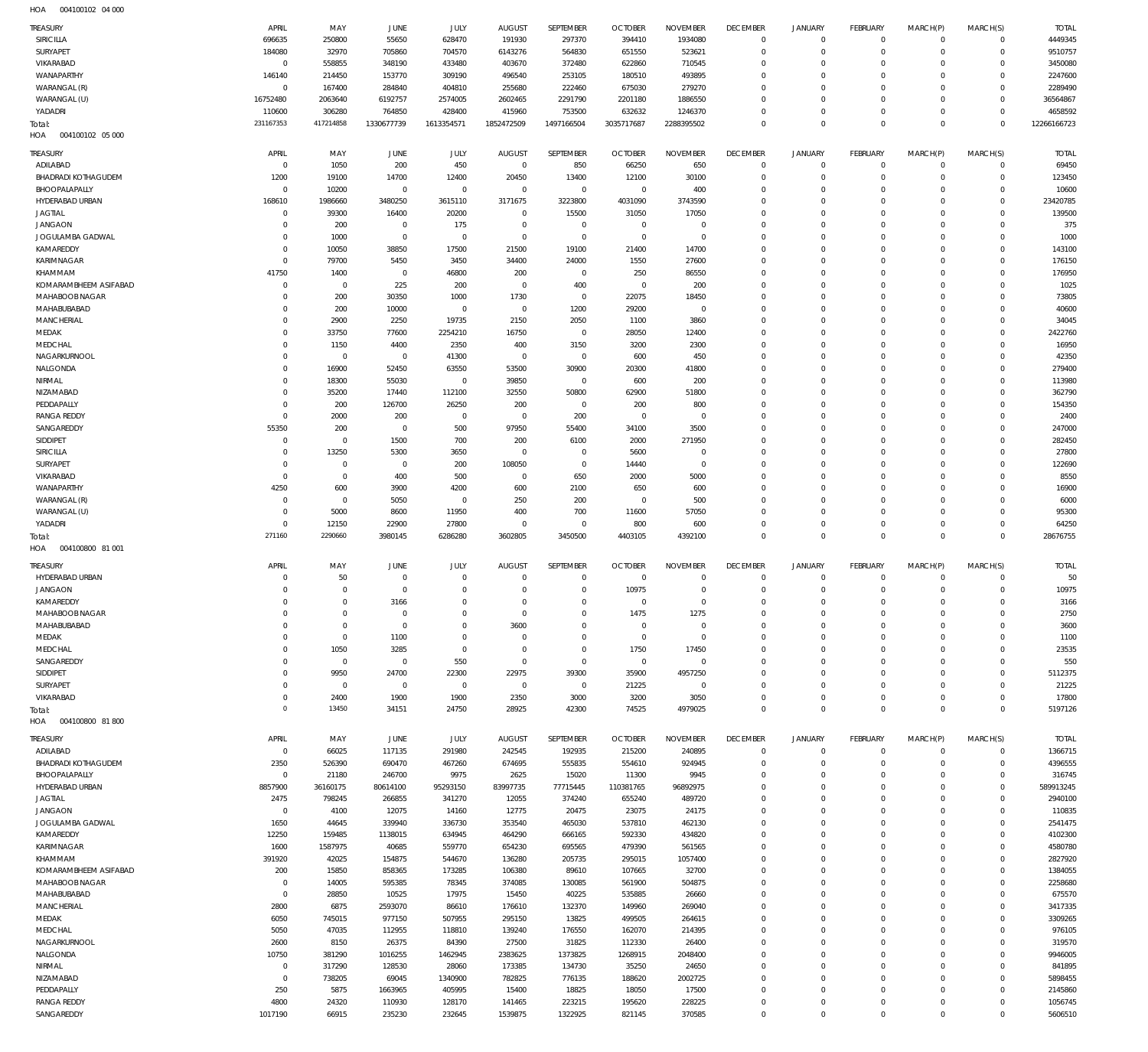004100102 04 000 HOA

| <b>TREASURY</b>                         | APRIL                 | MAY                    | JUNE                  | JULY                   | AUGUST                       | SEPTEMBER                  | <b>OCTOBER</b>                | <b>NOVEMBER</b>                | <b>DECEMBER</b>                | <b>JANUARY</b>             | <b>FEBRUARY</b>                | MARCH(P)                   | MARCH(S)                   | <b>TOTAL</b>           |
|-----------------------------------------|-----------------------|------------------------|-----------------------|------------------------|------------------------------|----------------------------|-------------------------------|--------------------------------|--------------------------------|----------------------------|--------------------------------|----------------------------|----------------------------|------------------------|
| <b>SIRICILLA</b>                        | 696635                | 250800                 | 55650                 | 628470                 | 191930                       | 297370                     | 394410                        | 1934080                        | $\mathbf 0$                    | $\mathbf 0$                | $\mathbf 0$                    | $\mathbf 0$                | $\mathbf 0$                | 4449345                |
| SURYAPET                                | 184080                | 32970<br>558855        | 705860                | 704570                 | 6143276                      | 564830                     | 651550                        | 523621                         | $\mathbf 0$                    | $\mathbf 0$                | $\mathbf 0$                    | $\mathbf 0$<br>$\Omega$    | $\mathbf 0$                | 9510757                |
| VIKARABAD<br>WANAPARTHY                 | $\mathbf 0$<br>146140 | 214450                 | 348190<br>153770      | 433480<br>309190       | 403670<br>496540             | 372480<br>253105           | 622860<br>180510              | 710545<br>493895               | 0<br>O                         | 0<br>$\mathbf 0$           | $\Omega$<br>$\Omega$           | $\Omega$                   | 0<br>$\Omega$              | 3450080<br>2247600     |
| WARANGAL (R)                            | $\mathbf 0$           | 167400                 | 284840                | 404810                 | 255680                       | 222460                     | 675030                        | 279270                         | 0                              | 0                          | $\Omega$                       | $\Omega$                   | $\mathbf 0$                | 2289490                |
| WARANGAL (U)                            | 16752480              | 2063640                | 6192757               | 2574005                | 2602465                      | 2291790                    | 2201180                       | 1886550                        | O                              | 0                          | $\Omega$                       | $\Omega$                   | $\Omega$                   | 36564867               |
| YADADRI                                 | 110600<br>231167353   | 306280<br>417214858    | 764850                | 428400                 | 415960                       | 753500                     | 632632                        | 1246370                        | $\Omega$<br>0                  | 0<br>$\mathbf 0$           | $\Omega$<br>$\mathbf 0$        | $\mathbf 0$<br>0           | $\mathbf 0$<br>0           | 4658592<br>12266166723 |
| Total:<br>HOA<br>004100102 05 000       |                       |                        | 1330677739            | 1613354571             | 1852472509                   | 1497166504                 | 3035717687                    | 2288395502                     |                                |                            |                                |                            |                            |                        |
| <b>TREASURY</b>                         | APRIL                 | MAY                    | JUNE                  | JULY                   | <b>AUGUST</b>                | <b>SEPTEMBER</b>           | <b>OCTOBER</b>                | <b>NOVEMBER</b>                | <b>DECEMBER</b>                | JANUARY                    | FEBRUARY                       | MARCH(P)                   | MARCH(S)                   | <b>TOTAL</b>           |
| ADILABAD                                | $\mathbf 0$           | 1050                   | 200                   | 450                    | $\mathbf 0$                  | 850                        | 66250                         | 650                            | $\mathbf 0$                    | $\mathbf 0$                | $\circ$                        | 0                          | $\mathbf 0$                | 69450                  |
| <b>BHADRADI KOTHAGUDEM</b>              | 1200                  | 19100                  | 14700                 | 12400                  | 20450                        | 13400                      | 12100                         | 30100                          | $\mathbf 0$                    | $\mathbf 0$                | $\circ$                        | 0                          | $\mathbf 0$                | 123450                 |
| BHOOPALAPALLY<br>HYDERABAD URBAN        | $\Omega$<br>168610    | 10200<br>1986660       | $^{\circ}$<br>3480250 | $\mathbf 0$<br>3615110 | $\mathbf 0$<br>3171675       | $\circ$<br>3223800         | $\mathbf 0$<br>4031090        | 400<br>3743590                 | 0<br>$\mathbf 0$               | $\mathbf 0$<br>$\mathbf 0$ | $\mathbf 0$<br>$\mathbf 0$     | $\mathbf 0$<br>0           | $\mathbf 0$<br>$\mathbf 0$ | 10600<br>23420785      |
| <b>JAGTIAL</b>                          | $\mathbf 0$           | 39300                  | 16400                 | 20200                  | $\mathbf 0$                  | 15500                      | 31050                         | 17050                          | 0                              | 0                          | $\Omega$                       | 0                          | $\mathbf 0$                | 139500                 |
| <b>JANGAON</b>                          | $\Omega$              | 200                    | $^{\circ}$            | 175                    | $^{\circ}$                   | $\circ$                    | $\mathbf 0$                   | $\mathbf 0$                    | 0                              | 0                          | $\Omega$                       | 0                          | $\mathbf 0$                | 375                    |
| JOGULAMBA GADWAL                        | $\Omega$              | 1000                   | $^{\circ}$            | $\mathbf 0$            | $^{\circ}$                   | $\mathbf 0$                | $\mathbf 0$                   | $\mathbf 0$                    | 0                              | 0                          | $\Omega$                       | 0                          | $\mathbf 0$                | 1000                   |
| KAMAREDDY                               | $\Omega$              | 10050                  | 38850                 | 17500                  | 21500                        | 19100                      | 21400                         | 14700                          | $\Omega$                       | $\mathbf 0$                | $\Omega$                       | 0                          | $\Omega$                   | 143100                 |
| KARIMNAGAR<br>KHAMMAM                   | $\mathbf 0$<br>41750  | 79700<br>1400          | 5450<br>$^{\circ}$    | 3450<br>46800          | 34400<br>200                 | 24000<br>$\mathbf 0$       | 1550<br>250                   | 27600<br>86550                 | 0<br>$\Omega$                  | 0<br>0                     | $\Omega$<br>$\Omega$           | 0<br>$\mathbf 0$           | $\mathbf 0$<br>$\mathbf 0$ | 176150<br>176950       |
| KOMARAMBHEEM ASIFABAD                   | $\mathbf 0$           | $\circ$                | 225                   | 200                    | $^{\circ}$                   | 400                        | $\mathbf 0$                   | 200                            | 0                              | 0                          | $\Omega$                       | 0                          | $\mathbf 0$                | 1025                   |
| MAHABOOB NAGAR                          | $\Omega$              | 200                    | 30350                 | 1000                   | 1730                         | $\circ$                    | 22075                         | 18450                          | 0                              | 0                          | $\Omega$                       | 0                          | $\mathbf 0$                | 73805                  |
| MAHABUBABAD                             | $\Omega$              | 200                    | 10000                 | $\mathbf 0$            | $^{\circ}$                   | 1200                       | 29200                         | $\mathbf 0$                    | 0                              | 0                          | $\Omega$                       | $\Omega$                   | $\mathbf 0$                | 40600                  |
| <b>MANCHERIAL</b><br>MEDAK              | $\Omega$<br>$\Omega$  | 2900<br>33750          | 2250<br>77600         | 19735<br>2254210       | 2150<br>16750                | 2050<br>$\circ$            | 1100<br>28050                 | 3860<br>12400                  | 0<br>0                         | 0<br>0                     | $\Omega$<br>$\Omega$           | 0<br>0                     | $\mathbf 0$<br>$\mathbf 0$ | 34045<br>2422760       |
| MEDCHAL                                 | $\Omega$              | 1150                   | 4400                  | 2350                   | 400                          | 3150                       | 3200                          | 2300                           | 0                              | 0                          | $\Omega$                       | 0                          | $\mathbf 0$                | 16950                  |
| NAGARKURNOOL                            | $\Omega$              | $\circ$                | $^{\circ}$            | 41300                  | $^{\circ}$                   | $\circ$                    | 600                           | 450                            | 0                              | 0                          | $\Omega$                       | 0                          | $\mathbf 0$                | 42350                  |
| NALGONDA                                | $\Omega$              | 16900                  | 52450                 | 63550                  | 53500                        | 30900                      | 20300                         | 41800                          | $\mathbf 0$                    | 0                          | $\Omega$                       | 0                          | $\mathbf 0$                | 279400                 |
| NIRMAL                                  | $\Omega$              | 18300                  | 55030                 | $\mathbf 0$            | 39850                        | $\circ$                    | 600                           | 200                            | 0                              | 0                          | $\Omega$                       | 0                          | $\mathbf 0$                | 113980                 |
| NIZAMABAD<br>PEDDAPALLY                 | $\Omega$<br>$\Omega$  | 35200<br>200           | 17440<br>126700       | 112100                 | 32550                        | 50800<br>$\circ$           | 62900                         | 51800                          | $\Omega$<br>0                  | 0<br>0                     | $\Omega$<br>$\Omega$           | 0<br>0                     | $\mathbf 0$<br>$\mathbf 0$ | 362790<br>154350       |
| <b>RANGA REDDY</b>                      | $\Omega$              | 2000                   | 200                   | 26250<br>$\mathbf 0$   | 200<br>$^{\circ}$            | 200                        | 200<br>$\mathbf 0$            | 800<br>$\mathbf 0$             | $\Omega$                       | 0                          | $\Omega$                       | $\mathbf 0$                | $\mathbf 0$                | 2400                   |
| SANGAREDDY                              | 55350                 | 200                    | $^{\circ}$            | 500                    | 97950                        | 55400                      | 34100                         | 3500                           | 0                              | 0                          | $\Omega$                       | 0                          | $\mathbf 0$                | 247000                 |
| SIDDIPET                                | $\Omega$              | $\circ$                | 1500                  | 700                    | 200                          | 6100                       | 2000                          | 271950                         | $\Omega$                       | 0                          | $\Omega$                       | 0                          | $\mathbf 0$                | 282450                 |
| <b>SIRICILLA</b>                        | $\Omega$              | 13250                  | 5300                  | 3650                   | $^{\circ}$                   | $\circ$                    | 5600                          | 0                              | 0                              | 0                          | $\Omega$                       | $\Omega$                   | $\mathbf 0$                | 27800                  |
| <b>SURYAPET</b><br>VIKARABAD            | $\Omega$<br>$\Omega$  | $\circ$<br>$\mathbf 0$ | $^{\circ}$<br>400     | 200<br>500             | 108050<br>$\mathbf 0$        | $\circ$<br>650             | 14440<br>2000                 | $\mathbf 0$<br>5000            | 0<br>0                         | 0<br>0                     | $\Omega$<br>$\Omega$           | 0<br>0                     | $\mathbf 0$<br>$\mathbf 0$ | 122690<br>8550         |
| WANAPARTHY                              | 4250                  | 600                    | 3900                  | 4200                   | 600                          | 2100                       | 650                           | 600                            | 0                              | 0                          | $\Omega$                       | 0                          | $\mathbf 0$                | 16900                  |
| WARANGAL (R)                            | $\Omega$              | $\circ$                | 5050                  | $\mathbf 0$            | 250                          | 200                        | $\mathbf 0$                   | 500                            | 0                              | 0                          | $\Omega$                       | 0                          | $\mathbf 0$                | 6000                   |
| WARANGAL (U)                            | $\Omega$              | 5000                   | 8600                  | 11950                  | 400                          | 700                        | 11600                         | 57050                          | $\mathbf 0$                    | $\mathbf 0$                | $\mathbf 0$                    | 0                          | $\mathbf 0$                | 95300                  |
| YADADRI                                 | $\Omega$              | 12150                  | 22900                 | 27800                  | $^{\circ}$                   | $\circ$                    | 800                           | 600                            | $\mathbf 0$                    | $\mathbf 0$                | $\mathbf 0$                    | 0                          | $\mathbf 0$                | 64250                  |
| Total:<br>004100800 81 001<br>HOA       | 271160                | 2290660                | 3980145               | 6286280                | 3602805                      | 3450500                    | 4403105                       | 4392100                        | $\Omega$                       | $\mathsf{O}\xspace$        | $\Omega$                       | $\mathbf 0$                | $\mathbf 0$                | 28676755               |
|                                         |                       |                        |                       |                        |                              |                            |                               |                                |                                |                            |                                |                            |                            |                        |
| TREASURY<br>HYDERABAD URBAN             | APRIL<br>$\Omega$     | MAY<br>50              | JUNE<br>$^{\circ}$    | JULY<br>$\mathbf 0$    | <b>AUGUST</b><br>$\mathbf 0$ | SEPTEMBER<br>$\circ$       | <b>OCTOBER</b><br>$\mathbf 0$ | <b>NOVEMBER</b><br>$\mathbf 0$ | <b>DECEMBER</b><br>$\mathbf 0$ | JANUARY<br>$\mathbf 0$     | <b>FEBRUARY</b><br>$\mathbf 0$ | MARCH(P)<br>$\mathbf 0$    | MARCH(S)<br>$\mathbf 0$    | <b>TOTAL</b><br>50     |
| <b>JANGAON</b>                          |                       | $\mathbf 0$            | $\Omega$              | $\Omega$               | $\Omega$                     | $\mathbf 0$                | 10975                         | $\mathbf 0$                    | O                              | $\mathbf 0$                | 0                              |                            |                            | 10975                  |
| KAMAREDDY                               | $\Omega$              | $\mathbf 0$            | 3166                  |                        | $\Omega$                     |                            | $\mathbf 0$                   | $\mathbf 0$                    |                                |                            |                                |                            |                            |                        |
| MAHABOOB NAGAR                          |                       |                        |                       | $\Omega$               |                              | $\mathbf 0$                |                               |                                | 0                              | $\mathbf 0$                | 0                              | $\mathbf 0$<br>0           | $\mathbf 0$<br>$\mathbf 0$ | 3166                   |
| MAHABUBABAD                             | $\Omega$              | $\circ$                | $\Omega$              | $\circ$                | 0                            | $\mathbf 0$                | 1475                          | 1275                           | 0                              | 0                          | 0                              | 0                          | 0                          | 2750                   |
|                                         | $\Omega$              | $\mathbf 0$            | $^{\circ}$            | $\mathbf 0$            | 3600                         | $\mathbf 0$                | $\mathbf 0$                   | $\mathbf 0$                    | 0                              | 0                          | $\mathbf 0$                    | $\mathbf 0$                | $\mathbf 0$                | 3600                   |
| MEDAK                                   | $\Omega$              | $\mathbf 0$            | 1100                  | $\mathbf 0$            | $\mathbf 0$                  | $\mathbf 0$                | $\mathbf 0$                   | $\mathbf 0$                    | 0                              | $\mathbf 0$                | $\mathbf 0$                    | $\mathbf 0$                | $\mathbf 0$                | 1100                   |
| MEDCHAL<br>SANGAREDDY                   | $\Omega$<br>$\Omega$  | 1050<br>$\mathbf 0$    | 3285<br>$\mathbf{0}$  | $\mathbf 0$<br>550     | $\Omega$<br>$^{\circ}$       | $\mathbf 0$<br>$\mathbf 0$ | 1750<br>$\mathbf 0$           | 17450<br>0                     | 0<br>0                         | 0<br>0                     | $\Omega$<br>$\Omega$           | $\Omega$<br>$\mathbf 0$    | $\mathbf 0$<br>$\mathbf 0$ | 23535<br>550           |
| SIDDIPET                                | $\Omega$              | 9950                   | 24700                 | 22300                  | 22975                        | 39300                      | 35900                         | 4957250                        | 0                              | 0                          | $\Omega$                       | $\Omega$                   | $\mathbf 0$                | 5112375                |
| SURYAPET                                | $\Omega$              | $\circ$                | $\mathbf 0$           | $\mathbf 0$            | $\mathbf 0$                  | $\mathbf 0$                | 21225                         | 0                              | 0                              | $\mathbf 0$                | 0                              | 0                          | $\mathbf 0$                | 21225                  |
| VIKARABAD                               | $\Omega$              | 2400                   | 1900                  | 1900                   | 2350                         | 3000                       | 3200                          | 3050                           | 0                              | $\mathbf 0$                | $\mathbf 0$                    | $\mathbf 0$                | $\mathbf 0$                | 17800                  |
| Total:<br>004100800 81800<br>HOA        | $\Omega$              | 13450                  | 34151                 | 24750                  | 28925                        | 42300                      | 74525                         | 4979025                        | $\mathbf 0$                    | $\mathsf{O}\xspace$        | $\mathbf 0$                    | $\mathbf 0$                | $\mathbf 0$                | 5197126                |
|                                         |                       |                        |                       |                        |                              |                            |                               |                                |                                |                            |                                |                            |                            |                        |
| <b>TREASURY</b><br>ADILABAD             | APRIL<br>$\circ$      | MAY<br>66025           | JUNE<br>117135        | JULY<br>291980         | <b>AUGUST</b><br>242545      | SEPTEMBER<br>192935        | <b>OCTOBER</b><br>215200      | <b>NOVEMBER</b><br>240895      | <b>DECEMBER</b><br>$\mathbf 0$ | <b>JANUARY</b><br>$\circ$  | FEBRUARY<br>$^{\circ}$         | MARCH(P)<br>$\mathbf 0$    | MARCH(S)<br>$\mathbf 0$    | TOTAL<br>1366715       |
| <b>BHADRADI KOTHAGUDEM</b>              | 2350                  | 526390                 | 690470                | 467260                 | 674695                       | 555835                     | 554610                        | 924945                         | $\mathbf 0$                    | $\mathbf 0$                | $^{\circ}$                     | 0                          | $\mathbf 0$                | 4396555                |
| BHOOPALAPALLY                           | $\circ$               | 21180                  | 246700                | 9975                   | 2625                         | 15020                      | 11300                         | 9945                           | $\mathbf 0$                    | $\circ$                    | $^{\circ}$                     | 0                          | $\mathbf 0$                | 316745                 |
| HYDERABAD URBAN                         | 8857900               | 36160175               | 80614100              | 95293150               | 83997735                     | 77715445                   | 110381765                     | 96892975                       | 0                              | 0                          | $\mathbf 0$                    | 0                          | $\mathbf 0$                | 589913245              |
| <b>JAGTIAL</b>                          | 2475                  | 798245                 | 266855                | 341270                 | 12055                        | 374240                     | 655240                        | 489720                         | 0<br>0                         | $\mathbf 0$<br>0           | $\mathbf 0$<br>$\Omega$        | 0<br>0                     | $\mathbf 0$<br>$\mathbf 0$ | 2940100                |
| <b>JANGAON</b><br>JOGULAMBA GADWAL      | $\mathbf 0$<br>1650   | 4100<br>44645          | 12075<br>339940       | 14160<br>336730        | 12775<br>353540              | 20475<br>465030            | 23075<br>537810               | 24175<br>462130                | 0                              | $\mathbf 0$                | $\mathbf 0$                    | 0                          | $\mathbf 0$                | 110835<br>2541475      |
| KAMAREDDY                               | 12250                 | 159485                 | 1138015               | 634945                 | 464290                       | 666165                     | 592330                        | 434820                         | 0                              | $\mathbf 0$                | $\mathbf 0$                    | 0                          | $\mathbf 0$                | 4102300                |
| KARIMNAGAR                              | 1600                  | 1587975                | 40685                 | 559770                 | 654230                       | 695565                     | 479390                        | 561565                         | 0                              | $\mathbf 0$                | $\Omega$                       | 0                          | $\mathbf 0$                | 4580780                |
| KHAMMAM                                 | 391920                | 42025                  | 154875                | 544670                 | 136280                       | 205735                     | 295015                        | 1057400                        | 0                              | $\mathbf 0$                | $\mathbf 0$                    | 0                          | $\mathbf 0$                | 2827920                |
| KOMARAMBHEEM ASIFABAD<br>MAHABOOB NAGAR | 200<br>$^{\circ}$     | 15850<br>14005         | 858365<br>595385      | 173285<br>78345        | 106380<br>374085             | 89610<br>130085            | 107665<br>561900              | 32700<br>504875                | 0<br>0                         | $\mathbf 0$<br>$\mathbf 0$ | $\mathbf 0$<br>$\mathbf 0$     | 0<br>0                     | $\mathbf 0$<br>$\mathbf 0$ | 1384055<br>2258680     |
| MAHABUBABAD                             | $^{\circ}$            | 28850                  | 10525                 | 17975                  | 15450                        | 40225                      | 535885                        | 26660                          | 0                              | $\mathbf 0$                | $\mathbf 0$                    | 0                          | $\mathbf 0$                | 675570                 |
| <b>MANCHERIAL</b>                       | 2800                  | 6875                   | 2593070               | 86610                  | 176610                       | 132370                     | 149960                        | 269040                         | 0                              | $\mathbf 0$                | $\Omega$                       | 0                          | $\mathbf 0$                | 3417335                |
| MEDAK                                   | 6050                  | 745015                 | 977150                | 507955                 | 295150                       | 13825                      | 499505                        | 264615                         | 0                              | $\mathbf 0$                | $\mathbf 0$                    | 0                          | $\mathbf 0$                | 3309265                |
| MEDCHAL                                 | 5050                  | 47035                  | 112955                | 118810                 | 139240                       | 176550                     | 162070                        | 214395                         | 0                              | $\mathbf 0$                | $\mathbf 0$                    | 0                          | $\mathbf 0$                | 976105                 |
| NAGARKURNOOL                            | 2600                  | 8150                   | 26375                 | 84390                  | 27500                        | 31825                      | 112330                        | 26400                          | 0<br>0                         | $\mathbf 0$<br>0           | $\mathbf 0$<br>$\Omega$        | 0<br>0                     | $\mathbf 0$<br>$\mathbf 0$ | 319570                 |
| NALGONDA<br>NIRMAL                      | 10750<br>$\circ$      | 381290<br>317290       | 1016255<br>128530     | 1462945<br>28060       | 2383625<br>173385            | 1373825<br>134730          | 1268915<br>35250              | 2048400<br>24650               | 0                              | $\mathbf 0$                | $\mathbf 0$                    | 0                          | $\mathbf 0$                | 9946005<br>841895      |
| NIZAMABAD                               | $^{\circ}$            | 738205                 | 69045                 | 1340900                | 782825                       | 776135                     | 188620                        | 2002725                        | 0                              | $\mathbf 0$                | $\Omega$                       | 0                          | $\mathbf 0$                | 5898455                |
| PEDDAPALLY                              | 250                   | 5875                   | 1663965               | 405995                 | 15400                        | 18825                      | 18050                         | 17500                          | 0                              | $\mathbf 0$                | $\mathbf 0$                    | 0                          | $\mathbf 0$                | 2145860                |
| <b>RANGA REDDY</b><br>SANGAREDDY        | 4800<br>1017190       | 24320<br>66915         | 110930<br>235230      | 128170<br>232645       | 141465<br>1539875            | 223215<br>1322925          | 195620<br>821145              | 228225<br>370585               | $\mathbf 0$<br>$\mathbf 0$     | $\circ$<br>$\mathbf 0$     | $\mathbf 0$<br>0               | $\mathbf 0$<br>$\mathbf 0$ | $\mathbf 0$<br>$\Omega$    | 1056745<br>5606510     |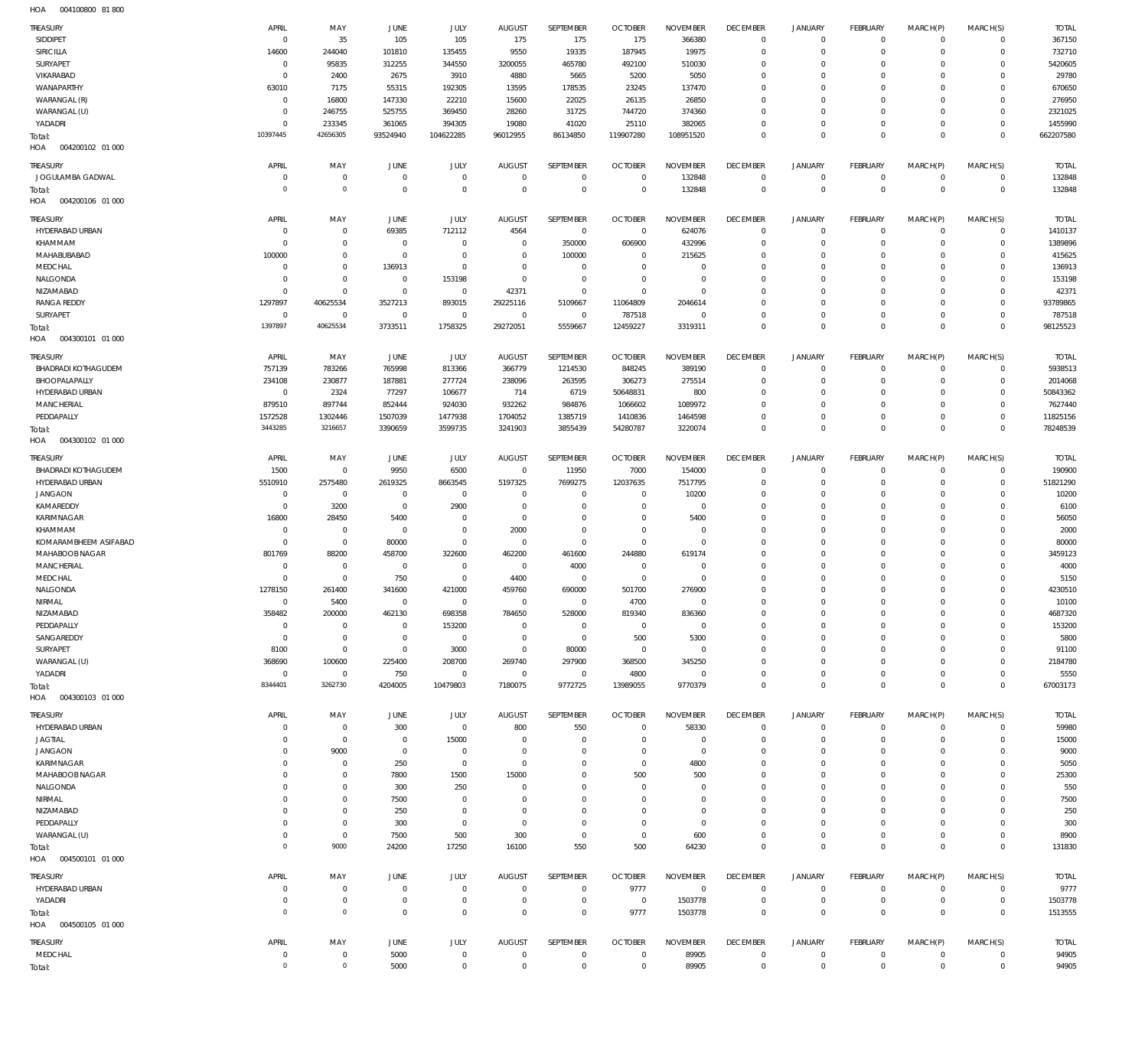004100800 81 800 HOA

| השו<br>OUT IUUUUU UI UUU   |                |                |                |                |                |                |                |                 |                 |                |                 |                |              |              |
|----------------------------|----------------|----------------|----------------|----------------|----------------|----------------|----------------|-----------------|-----------------|----------------|-----------------|----------------|--------------|--------------|
| TREASURY                   | APRIL          | MAY            | <b>JUNE</b>    | JULY           | <b>AUGUST</b>  | SEPTEMBER      | <b>OCTOBER</b> | <b>NOVEMBER</b> | <b>DECEMBER</b> | <b>JANUARY</b> | <b>FEBRUARY</b> | MARCH(P)       | MARCH(S)     | <b>TOTAL</b> |
| SIDDIPET                   | $\overline{0}$ | 35             | 105            | 105            | 175            | 175            | 175            | 366380          | $\mathbf 0$     | $\mathbf 0$    | $^{\circ}$      | $\mathbf 0$    | $\mathbf 0$  | 367150       |
| SIRICILLA                  | 14600          | 244040         | 101810         | 135455         | 9550           | 19335          | 187945         | 19975           | $\mathbf 0$     | $^{\circ}$     | $\mathbf{0}$    | $\mathbf 0$    | $\mathbf 0$  | 732710       |
|                            |                |                |                |                |                |                |                |                 |                 |                |                 |                | $\Omega$     |              |
| SURYAPET                   | $\overline{0}$ | 95835          | 312255         | 344550         | 3200055        | 465780         | 492100         | 510030          | $\overline{0}$  | $^{\circ}$     | $^{\circ}$      | $\Omega$       |              | 5420605      |
| VIKARABAD                  | $\overline{0}$ | 2400           | 2675           | 3910           | 4880           | 5665           | 5200           | 5050            | $\overline{0}$  | $^{\circ}$     | $^{\circ}$      | $\Omega$       | $\Omega$     | 29780        |
| WANAPARTHY                 | 63010          | 7175           | 55315          | 192305         | 13595          | 178535         | 23245          | 137470          | $\overline{0}$  | $^{\circ}$     | $^{\circ}$      | $\Omega$       | $\Omega$     | 670650       |
| WARANGAL (R)               | $\overline{0}$ | 16800          | 147330         | 22210          | 15600          | 22025          | 26135          | 26850           | $\overline{0}$  | $^{\circ}$     | $\mathbf{0}$    | $\Omega$       | $\Omega$     | 276950       |
| WARANGAL (U)               | $\mathbf 0$    | 246755         | 525755         | 369450         | 28260          | 31725          | 744720         | 374360          | $\overline{0}$  | $^{\circ}$     | $\mathbf{0}$    | $\Omega$       | $\Omega$     | 2321025      |
| YADADRI                    | $\mathbf 0$    | 233345         | 361065         | 394305         | 19080          | 41020          | 25110          | 382065          | $\overline{0}$  | $\mathbf 0$    | $\mathbf{0}$    | $\Omega$       | $\mathbf 0$  | 1455990      |
| Total:                     | 10397445       | 42656305       | 93524940       | 104622285      | 96012955       | 86134850       | 119907280      | 108951520       | $\mathbb O$     | $\mathbf 0$    | $\overline{0}$  | $\Omega$       | $\mathbb O$  | 662207580    |
|                            |                |                |                |                |                |                |                |                 |                 |                |                 |                |              |              |
| HOA<br>004200102 01 000    |                |                |                |                |                |                |                |                 |                 |                |                 |                |              |              |
| TREASURY                   | APRIL          | MAY            | <b>JUNE</b>    | JULY           | <b>AUGUST</b>  | SEPTEMBER      | <b>OCTOBER</b> | <b>NOVEMBER</b> | <b>DECEMBER</b> | <b>JANUARY</b> | FEBRUARY        | MARCH(P)       | MARCH(S)     | <b>TOTAL</b> |
| JOGULAMBA GADWAL           | $^{\circ}$     | $\mathbf 0$    | $\mathbf 0$    | $\overline{0}$ | $\overline{0}$ | $\mathbf 0$    | $\overline{0}$ | 132848          | $\overline{0}$  | $\mathbf 0$    | $\mathbf{0}$    | $\mathbf 0$    | $\mathbf 0$  | 132848       |
|                            | $\mathbf 0$    | $\bf 0$        | $\overline{0}$ | $\overline{0}$ | $\overline{0}$ | $\overline{0}$ | $\overline{0}$ | 132848          | $\overline{0}$  | $\mathbb O$    | $\overline{0}$  | $^{\circ}$     | $\mathbf{0}$ | 132848       |
| Total:                     |                |                |                |                |                |                |                |                 |                 |                |                 |                |              |              |
| HOA<br>004200106 01 000    |                |                |                |                |                |                |                |                 |                 |                |                 |                |              |              |
| TREASURY                   | APRIL          | MAY            | JUNE           | JULY           | <b>AUGUST</b>  | SEPTEMBER      | <b>OCTOBER</b> | <b>NOVEMBER</b> | <b>DECEMBER</b> | <b>JANUARY</b> | <b>FEBRUARY</b> | MARCH(P)       | MARCH(S)     | <b>TOTAL</b> |
| HYDERABAD URBAN            | $\mathbf 0$    | $\mathbf 0$    | 69385          | 712112         | 4564           | $\overline{0}$ | $\overline{0}$ | 624076          | $\mathbf 0$     | $\mathbf 0$    | $^{\circ}$      | $\mathbf 0$    | $\mathbf 0$  | 1410137      |
|                            |                |                |                |                |                |                |                |                 |                 |                |                 |                |              |              |
| KHAMMAM                    | $\mathbf 0$    | $\mathbf 0$    | $\overline{0}$ | $\overline{0}$ | $\overline{0}$ | 350000         | 606900         | 432996          | $\overline{0}$  | $\mathbf 0$    | $\mathbf{0}$    | $\Omega$       | $\mathbf 0$  | 1389896      |
| MAHABUBABAD                | 100000         | $\mathbf 0$    | $\overline{0}$ | $\overline{0}$ | $\overline{0}$ | 100000         | $\overline{0}$ | 215625          | $\overline{0}$  | $^{\circ}$     | $^{\circ}$      | $\Omega$       | $\Omega$     | 415625       |
| MEDCHAL                    | $\mathbf 0$    | $\mathbf 0$    | 136913         | $\mathbf 0$    | $\overline{0}$ | $^{\circ}$     | $\overline{0}$ | $\Omega$        | $\overline{0}$  | $^{\circ}$     | $\mathbf{0}$    | $\Omega$       | $\Omega$     | 136913       |
| NALGONDA                   | $\overline{0}$ | $\mathbf 0$    | $\overline{0}$ | 153198         | $\overline{0}$ | $\mathbf{0}$   | $\overline{0}$ | $^{\circ}$      | $\overline{0}$  | $^{\circ}$     | $^{\circ}$      | $\Omega$       | $\Omega$     | 153198       |
| NIZAMABAD                  | $\overline{0}$ | $\mathbf 0$    | $\overline{0}$ | $\overline{0}$ | 42371          | $\mathbf 0$    | $\overline{0}$ | $\mathbf 0$     | $\overline{0}$  | $^{\circ}$     | $\mathbf{0}$    | $\Omega$       | $\mathbf 0$  | 42371        |
| <b>RANGA REDDY</b>         | 1297897        | 40625534       | 3527213        | 893015         | 29225116       | 5109667        | 11064809       | 2046614         | $\mathbf 0$     | $\mathbf 0$    | $\mathbf{0}$    | $\Omega$       | $\Omega$     | 93789865     |
|                            | $\overline{0}$ | $\mathbf 0$    | $\overline{0}$ | $\overline{0}$ |                | $\overline{0}$ |                | $\mathbf 0$     | $\mathbf 0$     |                | $\mathbf{0}$    | $\Omega$       | $\mathbf 0$  | 787518       |
| SURYAPET                   |                |                |                |                | $\overline{0}$ |                | 787518         |                 |                 | $\mathbf 0$    |                 |                |              |              |
| Total:                     | 1397897        | 40625534       | 3733511        | 1758325        | 29272051       | 5559667        | 12459227       | 3319311         | $\,0\,$         | $\mathbb O$    | $\Omega$        | $\Omega$       | $\mathbb O$  | 98125523     |
| 004300101 01 000<br>HOA    |                |                |                |                |                |                |                |                 |                 |                |                 |                |              |              |
| TREASURY                   | APRIL          | MAY            | JUNE           | JULY           | <b>AUGUST</b>  | SEPTEMBER      | <b>OCTOBER</b> | <b>NOVEMBER</b> | <b>DECEMBER</b> | <b>JANUARY</b> | FEBRUARY        | MARCH(P)       | MARCH(S)     | <b>TOTAL</b> |
|                            |                |                |                |                |                |                |                |                 |                 |                |                 |                |              |              |
| <b>BHADRADI KOTHAGUDEM</b> | 757139         | 783266         | 765998         | 813366         | 366779         | 1214530        | 848245         | 389190          | $\overline{0}$  | $^{\circ}$     | $^{\circ}$      | $\mathbf 0$    | $\mathbf 0$  | 5938513      |
| BHOOPALAPALLY              | 234108         | 230877         | 187881         | 277724         | 238096         | 263595         | 306273         | 275514          | $\overline{0}$  | $^{\circ}$     | $^{\circ}$      | $\Omega$       | $\mathbf 0$  | 2014068      |
| HYDERABAD URBAN            | $\overline{0}$ | 2324           | 77297          | 106677         | 714            | 6719           | 50648831       | 800             | $\overline{0}$  | $\circ$        | $^{\circ}$      | $\Omega$       | $\mathbf 0$  | 50843362     |
| <b>MANCHERIAL</b>          | 879510         | 897744         | 852444         | 924030         | 932262         | 984876         | 1066602        | 1089972         | $\overline{0}$  | $^{\circ}$     | $\mathbf{0}$    | $\Omega$       | $\Omega$     | 7627440      |
| PEDDAPALLY                 | 1572528        | 1302446        | 1507039        | 1477938        | 1704052        | 1385719        | 1410836        | 1464598         | $\overline{0}$  | $\mathbf 0$    | $\mathbf{0}$    | $\Omega$       | $\Omega$     | 11825156     |
| Total:                     | 3443285        | 3216657        | 3390659        | 3599735        | 3241903        | 3855439        | 54280787       | 3220074         | $\,0\,$         | $\mathbb O$    | $\overline{0}$  | $\Omega$       | $\mathbf{0}$ | 78248539     |
|                            |                |                |                |                |                |                |                |                 |                 |                |                 |                |              |              |
| HOA<br>004300102 01 000    |                |                |                |                |                |                |                |                 |                 |                |                 |                |              |              |
| TREASURY                   | APRIL          | MAY            | <b>JUNE</b>    | JULY           | <b>AUGUST</b>  | SEPTEMBER      | <b>OCTOBER</b> | <b>NOVEMBER</b> | <b>DECEMBER</b> | <b>JANUARY</b> | <b>FEBRUARY</b> | MARCH(P)       | MARCH(S)     | <b>TOTAL</b> |
| BHADRADI KOTHAGUDEM        | 1500           | $\mathbf 0$    | 9950           | 6500           | $\overline{0}$ | 11950          | 7000           | 154000          | $\mathbf 0$     | $\mathbf 0$    | $^{\circ}$      | $\mathbf 0$    | $\mathbf 0$  | 190900       |
|                            |                |                |                |                |                |                |                |                 |                 |                |                 |                |              |              |
| HYDERABAD URBAN            | 5510910        | 2575480        | 2619325        | 8663545        | 5197325        | 7699275        | 12037635       | 7517795         | $\mathbf 0$     | $^{\circ}$     | $^{\circ}$      | $\mathbf 0$    | $\mathbf 0$  | 51821290     |
| <b>JANGAON</b>             | $\overline{0}$ | $\overline{0}$ | $\overline{0}$ | $\overline{0}$ | $\overline{0}$ | $\mathbf{0}$   | $\overline{0}$ | 10200           | $\overline{0}$  | $^{\circ}$     | $\mathbf{0}$    | $\Omega$       | $\Omega$     | 10200        |
| KAMAREDDY                  | $\overline{0}$ | 3200           | $\overline{0}$ | 2900           | $\overline{0}$ | $\mathbf 0$    | $\overline{0}$ | $\overline{0}$  | $\overline{0}$  | $^{\circ}$     | $\mathbf{0}$    | $\Omega$       | $\Omega$     | 6100         |
| KARIMNAGAR                 | 16800          | 28450          | 5400           | $\mathbf 0$    | $\overline{0}$ | $\mathbf 0$    | $\overline{0}$ | 5400            | $\overline{0}$  | $^{\circ}$     | $\mathbf{0}$    | $\Omega$       | $\Omega$     | 56050        |
| KHAMMAM                    | $\overline{0}$ | $\overline{0}$ | $\overline{0}$ | $\overline{0}$ | 2000           | $\mathbf 0$    | $\overline{0}$ | $\mathbf 0$     | $\mathbf 0$     | $^{\circ}$     | $\mathbf{0}$    | $\Omega$       | $\Omega$     | 2000         |
| KOMARAMBHEEM ASIFABAD      | $\mathbf 0$    | $\overline{0}$ | 80000          | $\mathbf 0$    | $\overline{0}$ | $\mathbf{0}$   | $\overline{0}$ | $^{\circ}$      | $\overline{0}$  | $^{\circ}$     | $\mathbf{0}$    | $\Omega$       | $\Omega$     | 80000        |
| MAHABOOB NAGAR             | 801769         | 88200          | 458700         | 322600         | 462200         | 461600         | 244880         | 619174          | $\overline{0}$  | $^{\circ}$     | $\mathbf{0}$    | $\Omega$       | $\Omega$     | 3459123      |
|                            |                |                |                |                |                |                |                |                 |                 |                |                 |                |              |              |
| MANCHERIAL                 | $\mathbf 0$    | $\mathbf 0$    | $\overline{0}$ | $\overline{0}$ | $\overline{0}$ | 4000           | $\overline{0}$ | $\overline{0}$  | $\mathbf 0$     | $^{\circ}$     | $^{\circ}$      | $\Omega$       | $\Omega$     | 4000         |
| MEDCHAL                    | $\mathbf 0$    | $\mathbf 0$    | 750            | $\overline{0}$ | 4400           | $\overline{0}$ | $\overline{0}$ | $\mathbf 0$     | $\overline{0}$  | $^{\circ}$     | $^{\circ}$      | $\Omega$       | $\Omega$     | 5150         |
| NALGONDA                   | 1278150        | 261400         | 341600         | 421000         | 459760         | 690000         | 501700         | 276900          | $\Omega$        | $\Omega$       | $\Omega$        | $\Omega$       | $\Omega$     | 4230510      |
| NIRMAL                     | $\overline{0}$ | 5400           | $\overline{0}$ | $\Omega$       | $\overline{0}$ | $\mathbf{0}$   | 4700           | $\overline{0}$  | $\mathbf{0}$    | $\circ$        | $\mathbf 0$     | $\circ$        | $\Omega$     | 10100        |
| NIZAMABAD                  | 358482         | 200000         | 462130         | 698358         | 784650         | 528000         | 819340         | 836360          | $\overline{0}$  | $\mathbf 0$    | $^{\circ}$      | $\Omega$       | $\mathbf 0$  | 4687320      |
| PEDDAPALLY                 | $^{\circ}$     | $\mathbf 0$    | $\overline{0}$ | 153200         | $\overline{0}$ | $\overline{0}$ | $\overline{0}$ | $^{\circ}$      | $^{\circ}$      | $^{\circ}$     | $\mathbf{0}$    | $\Omega$       | $\mathbf 0$  | 153200       |
| SANGAREDDY                 | $\overline{0}$ | $\overline{0}$ | $\overline{0}$ | $\overline{0}$ | $\overline{0}$ | $\mathbf{0}$   | 500            | 5300            | $\overline{0}$  | $^{\circ}$     | $^{\circ}$      | $\Omega$       | $\Omega$     | 5800         |
|                            |                |                |                |                |                |                |                |                 |                 |                |                 |                |              |              |
| SURYAPET                   | 8100           | $\mathbf 0$    | $\overline{0}$ | 3000           | $\overline{0}$ | 80000          | $\overline{0}$ | 0               | $^{\circ}$      | $\mathbf 0$    | $^{\circ}$      | $\Omega$       | $\Omega$     | 91100        |
| WARANGAL (U)               | 368690         | 100600         | 225400         | 208700         | 269740         | 297900         | 368500         | 345250          | $\overline{0}$  | $^{\circ}$     | $^{\circ}$      | $\Omega$       | $\Omega$     | 2184780      |
| YADADRI                    | $^{\circ}$     | $\overline{0}$ | 750            | $\overline{0}$ | $\overline{0}$ | $\overline{0}$ | 4800           | $^{\circ}$      | $\mathbf 0$     | $\mathbf 0$    | $\mathbf{0}$    | $\Omega$       | $\mathbf 0$  | 5550         |
| Total:                     | 8344401        | 3262730        | 4204005        | 10479803       | 7180075        | 9772725        | 13989055       | 9770379         | $\,0\,$         | $\mathbf 0$    | $\overline{0}$  | $\Omega$       | $\mathbf 0$  | 67003173     |
| HOA   004300103   01   000 |                |                |                |                |                |                |                |                 |                 |                |                 |                |              |              |
|                            |                |                |                |                |                |                |                |                 |                 |                |                 |                |              |              |
| TREASURY                   | APRIL          | MAY            | JUNE           | JULY           | AUGUST         | SEPTEMBER      | <b>OCTOBER</b> | <b>NOVEMBER</b> | <b>DECEMBER</b> | <b>JANUARY</b> | FEBRUARY        | MARCH(P)       | MARCH(S)     | <b>TOTAL</b> |
| HYDERABAD URBAN            | $\mathbf 0$    | $\mathbf 0$    | 300            | $\overline{0}$ | 800            | 550            | $\overline{0}$ | 58330           | $\overline{0}$  | $^{\circ}$     | $^{\circ}$      | $\mathbf 0$    | $\Omega$     | 59980        |
| <b>JAGTIAL</b>             | 0              | $\mathbf 0$    | $\overline{0}$ | 15000          | $\overline{0}$ | $^{\circ}$     | $\overline{0}$ | $^{\circ}$      | $\overline{0}$  | $\circ$        | $^{\circ}$      |                | $\mathbf 0$  | 15000        |
| <b>JANGAON</b>             | 0              | 9000           | $\overline{0}$ | $\overline{0}$ | $\overline{0}$ | 0              | $\overline{0}$ | $\overline{0}$  | $\overline{0}$  | 0              | $^{\circ}$      |                | $\Omega$     | 9000         |
| KARIMNAGAR                 | $\mathbf 0$    | $\mathbf 0$    | 250            | $\overline{0}$ | $\overline{0}$ | 0              | $\overline{0}$ | 4800            | $^{\circ}$      | $\circ$        | $^{\circ}$      |                | $\Omega$     | 5050         |
|                            |                |                |                |                |                |                |                |                 |                 |                |                 |                |              |              |
| MAHABOOB NAGAR             | $\mathbf 0$    | $\mathbf 0$    | 7800           | 1500           | 15000          | 0              | 500            | 500             | $^{\circ}$      | 0              | $\Omega$        |                | $\Omega$     | 25300        |
| NALGONDA                   | $\mathbf 0$    | $\mathbf 0$    | 300            | 250            | $\mathbf 0$    | 0              | $^{\circ}$     | 0               | $\overline{0}$  | 0              | $^{\circ}$      |                | $\Omega$     | 550          |
| NIRMAL                     | $\mathbf 0$    | $\mathbf 0$    | 7500           | $\mathbf 0$    | $\overline{0}$ | 0              | $\overline{0}$ | 0               | $\overline{0}$  | 0              | $^{\circ}$      |                | $\Omega$     | 7500         |
| NIZAMABAD                  | $\mathbf 0$    | $\mathbf 0$    | 250            | $\mathbf 0$    | $\overline{0}$ | 0              | $\overline{0}$ | $\mathbf 0$     | $\overline{0}$  | 0              | $^{\circ}$      |                | $\Omega$     | 250          |
| PEDDAPALLY                 | $\mathbf 0$    | $\mathbf 0$    | 300            | $\mathbf 0$    | $^{\circ}$     | 0              | $^{\circ}$     | $\mathbf{0}$    | $^{\circ}$      | 0              | $^{\circ}$      |                | $\Omega$     | 300          |
| WARANGAL (U)               | $\mathbf 0$    | $\mathbf 0$    | 7500           | 500            | 300            | $\mathbf 0$    | $\overline{0}$ | 600             | $\overline{0}$  | $\mathbf 0$    | $\mathbf{0}$    | $\Omega$       | $\mathbf 0$  | 8900         |
|                            | $\mathbf 0$    | 9000           | 24200          | 17250          | 16100          | 550            | 500            | 64230           | $\mathbf 0$     | $\mathbf 0$    | $\overline{0}$  | $^{\circ}$     | $\mathbf{0}$ | 131830       |
| Total:                     |                |                |                |                |                |                |                |                 |                 |                |                 |                |              |              |
| HOA   004500101   01   000 |                |                |                |                |                |                |                |                 |                 |                |                 |                |              |              |
| <b>TREASURY</b>            | APRIL          | MAY            | JUNE           | JULY           | <b>AUGUST</b>  | SEPTEMBER      | <b>OCTOBER</b> | <b>NOVEMBER</b> | <b>DECEMBER</b> | <b>JANUARY</b> | FEBRUARY        | MARCH(P)       | MARCH(S)     | <b>TOTAL</b> |
| HYDERABAD URBAN            | $^{\circ}$     | $\mathbf 0$    | $\overline{0}$ | $\overline{0}$ | $\mathbf{0}$   | $\mathbf{0}$   | 9777           | $\mathbf 0$     | $\overline{0}$  | $^{\circ}$     | $^{\circ}$      | $\Omega$       | $\mathbf 0$  | 9777         |
|                            |                |                |                |                |                |                |                |                 |                 |                |                 |                |              |              |
| YADADRI                    | $^{\circ}$     | $\mathbf 0$    | $\overline{0}$ | $\overline{0}$ | $\overline{0}$ | $\mathbf{0}$   | $^{\circ}$     | 1503778         | $\overline{0}$  | $\mathbf 0$    | $\mathbf{0}$    | $\mathbf 0$    | $\mathbf 0$  | 1503778      |
| Total:                     | $\mathbf 0$    | $\mathbf 0$    | $\overline{0}$ | $\overline{0}$ | $\overline{0}$ | $\mathbf 0$    | 9777           | 1503778         | $\mathbf 0$     | $\mathbf 0$    | $\overline{0}$  | $^{\circ}$     | $\mathbf{0}$ | 1513555      |
| HOA   004500105   01   000 |                |                |                |                |                |                |                |                 |                 |                |                 |                |              |              |
|                            |                |                |                |                |                |                |                |                 |                 |                |                 |                |              |              |
| <b>TREASURY</b>            | APRIL          | MAY            | JUNE           | JULY           | <b>AUGUST</b>  | SEPTEMBER      | <b>OCTOBER</b> | <b>NOVEMBER</b> | <b>DECEMBER</b> | <b>JANUARY</b> | FEBRUARY        | MARCH(P)       | MARCH(S)     | <b>TOTAL</b> |
| MEDCHAL                    | $^{\circ}$     | $\mathbf 0$    | 5000           | $\mathbf 0$    | $\mathbf{0}$   | $^{\circ}$     | $\overline{0}$ | 89905           | $\overline{0}$  | $^{\circ}$     | $^{\circ}$      | $\circ$        | $\mathbf 0$  | 94905        |
|                            |                |                |                |                |                |                |                |                 |                 |                |                 |                |              |              |
| Total:                     | $\mathbf 0$    | $\mathbb O$    | 5000           | $\mathbf 0$    | $\mathbf{0}$   | $\mathbf{0}$   | $\overline{0}$ | 89905           | $\,0\,$         | $\mathbf 0$    | $\mathbf 0$     | $\overline{0}$ | $\mathbf 0$  | 94905        |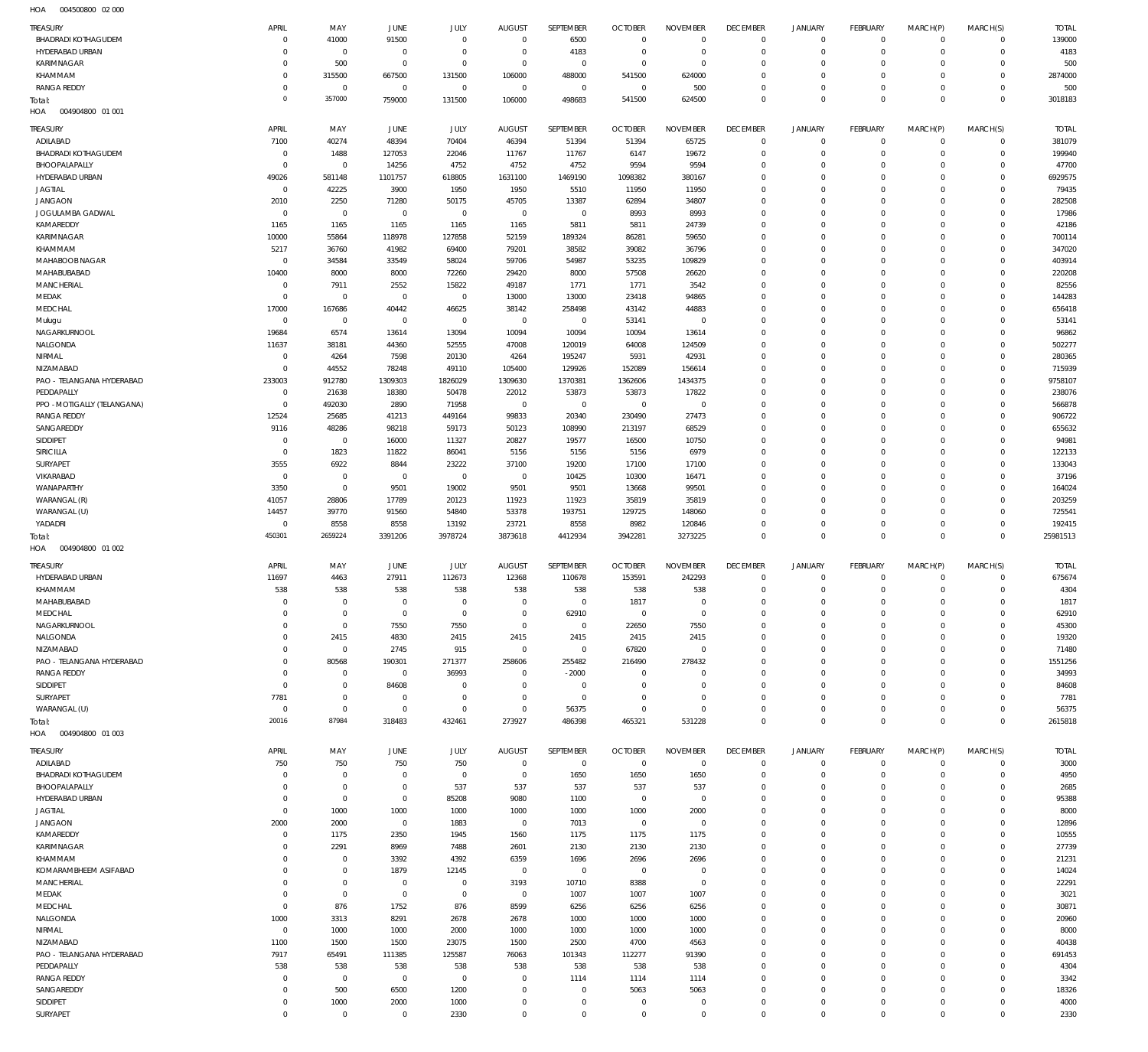004500800 02 000 HOA

| <b>TREASURY</b>                   | APRIL                        | MAY                            | JUNE                             | <b>JULY</b>                | <b>AUGUST</b>             | SEPTEMBER                  | <b>OCTOBER</b>               | <b>NOVEMBER</b>            | <b>DECEMBER</b>               | <b>JANUARY</b>             | <b>FEBRUARY</b>                  | MARCH(P)               | MARCH(S)                   | <b>TOTAL</b>     |
|-----------------------------------|------------------------------|--------------------------------|----------------------------------|----------------------------|---------------------------|----------------------------|------------------------------|----------------------------|-------------------------------|----------------------------|----------------------------------|------------------------|----------------------------|------------------|
| <b>BHADRADI KOTHAGUDEM</b>        | $^{\circ}$                   | 41000                          | 91500                            | $\mathbf 0$                | $\mathbf{0}$              | 6500                       | $\overline{0}$               | $\mathbf 0$                | $\overline{0}$                | $\mathbf 0$                | $\overline{0}$                   | $\mathbf{0}$           | $\mathbf{0}$               | 139000           |
| HYDERABAD URBAN                   | $\Omega$                     | $\overline{0}$                 | $\overline{0}$                   | $\mathbf 0$                | $^{\circ}$                | 4183                       | $\overline{0}$               | $\mathbf 0$                | $\overline{0}$                | $\mathbf 0$                | $\overline{0}$                   | $^{\circ}$             | $\mathbf 0$                | 4183             |
| <b>KARIMNAGAR</b>                 | $^{\circ}$                   | 500                            | $\overline{0}$                   | $\mathbf 0$                | $^{\circ}$                | $\mathbf{0}$               | $\overline{0}$               | $\mathbf 0$                | $\mathbf 0$                   | $\mathbf 0$                | $\overline{0}$                   | $\Omega$               | $\mathbf{0}$               | 500              |
| KHAMMAM<br><b>RANGA REDDY</b>     | $\mathbf 0$<br>$\mathbf 0$   | 315500<br>$\overline{0}$       | 667500<br>$\mathbf 0$            | 131500<br>$\mathbf 0$      | 106000<br>$\mathbf{0}$    | 488000<br>$\mathbf 0$      | 541500<br>$\overline{0}$     | 624000<br>500              | $\mathbf 0$<br>$\mathbf 0$    | $\mathbf 0$<br>$\mathbf 0$ | $\overline{0}$<br>$\overline{0}$ | $\Omega$<br>$^{\circ}$ | $\mathbf 0$<br>$\mathbf 0$ | 2874000<br>500   |
| Total:                            | $\Omega$                     | 357000                         | 759000                           | 131500                     | 106000                    | 498683                     | 541500                       | 624500                     | $\overline{0}$                | $\mathbf 0$                | $\mathbb O$                      | $\Omega$               | $\mathbb O$                | 3018183          |
| 004904800 01 001<br>HOA           |                              |                                |                                  |                            |                           |                            |                              |                            |                               |                            |                                  |                        |                            |                  |
| TREASURY                          | APRIL                        | MAY                            | JUNE                             | JULY                       | <b>AUGUST</b>             | SEPTEMBER                  | <b>OCTOBER</b>               | <b>NOVEMBER</b>            | <b>DECEMBER</b>               | <b>JANUARY</b>             | <b>FEBRUARY</b>                  | MARCH(P)               | MARCH(S)                   | <b>TOTAL</b>     |
| ADILABAD                          | 7100                         | 40274                          | 48394                            | 70404                      | 46394                     | 51394                      | 51394                        | 65725                      | $\overline{0}$                | $\circ$                    | $\overline{0}$                   | $\mathbf{0}$           | $^{\circ}$                 | 381079           |
| <b>BHADRADI KOTHAGUDEM</b>        | $^{\circ}$                   | 1488                           | 127053                           | 22046                      | 11767                     | 11767                      | 6147                         | 19672                      | $\mathbf 0$                   | $\mathbf 0$                | $\overline{0}$                   | $^{\circ}$             | $\mathbf{0}$               | 199940           |
| BHOOPALAPALLY                     | $\overline{0}$               | $\overline{0}$                 | 14256                            | 4752                       | 4752                      | 4752                       | 9594                         | 9594                       | $\mathbf 0$                   | $\mathbf 0$                | $\overline{0}$                   | $\mathbf 0$            | $\mathbf{0}$               | 47700            |
| HYDERABAD URBAN                   | 49026                        | 581148                         | 1101757                          | 618805                     | 1631100                   | 1469190                    | 1098382                      | 380167                     | $\mathbf 0$                   | 0                          | $\overline{0}$                   | $\Omega$               | $\Omega$                   | 6929575          |
| <b>JAGTIAL</b><br><b>JANGAON</b>  | $\overline{0}$<br>2010       | 42225<br>2250                  | 3900<br>71280                    | 1950<br>50175              | 1950<br>45705             | 5510<br>13387              | 11950<br>62894               | 11950<br>34807             | $\mathbf 0$<br>$\mathbf 0$    | 0<br>0                     | $\overline{0}$<br>$\overline{0}$ | $\Omega$<br>$\Omega$   | $\Omega$<br>$\mathbf{0}$   | 79435<br>282508  |
| JOGULAMBA GADWAL                  | $^{\circ}$                   | $\overline{0}$                 | $\mathbf 0$                      | $\mathbf 0$                | $^{\circ}$                | 0                          | 8993                         | 8993                       | $\mathbf 0$                   | 0                          | $\overline{0}$                   | $\Omega$               | $\Omega$                   | 17986            |
| KAMAREDDY                         | 1165                         | 1165                           | 1165                             | 1165                       | 1165                      | 5811                       | 5811                         | 24739                      | $\mathbf 0$                   | 0                          | $\overline{0}$                   | $\Omega$               | $\mathbf{0}$               | 42186            |
| KARIMNAGAR                        | 10000                        | 55864                          | 118978                           | 127858                     | 52159                     | 189324                     | 86281                        | 59650                      | $\mathbf 0$                   | 0                          | $\overline{0}$                   | $\Omega$               | $\Omega$                   | 700114           |
| KHAMMAM                           | 5217                         | 36760                          | 41982                            | 69400                      | 79201                     | 38582                      | 39082                        | 36796                      | $\mathbf 0$                   | 0                          | $\overline{0}$                   | $\Omega$               | $\mathbf{0}$               | 347020           |
| MAHABOOB NAGAR<br>MAHABUBABAD     | $^{\circ}$<br>10400          | 34584<br>8000                  | 33549<br>8000                    | 58024<br>72260             | 59706<br>29420            | 54987<br>8000              | 53235<br>57508               | 109829<br>26620            | $\mathbf 0$<br>$\mathbf 0$    | $\mathbf 0$<br>0           | $\overline{0}$<br>$\overline{0}$ | $\Omega$<br>$\Omega$   | $\Omega$<br>$\mathbf{0}$   | 403914<br>220208 |
| MANCHERIAL                        | $^{\circ}$                   | 7911                           | 2552                             | 15822                      | 49187                     | 1771                       | 1771                         | 3542                       | $\mathbf 0$                   | $\mathbf 0$                | $\overline{0}$                   | $\Omega$               | $\Omega$                   | 82556            |
| MEDAK                             | $^{\circ}$                   | $\overline{0}$                 | $\overline{0}$                   | $\,0\,$                    | 13000                     | 13000                      | 23418                        | 94865                      | $\mathbf 0$                   | 0                          | $\overline{0}$                   | $\Omega$               | $\mathbf{0}$               | 144283           |
| MEDCHAL                           | 17000                        | 167686                         | 40442                            | 46625                      | 38142                     | 258498                     | 43142                        | 44883                      | $\mathbf 0$                   | $\mathbf 0$                | $\overline{0}$                   | $\Omega$               | $\Omega$                   | 656418           |
| Mulugu                            | $^{\circ}$                   | $\overline{0}$                 | $\overline{0}$                   | $\,0\,$                    | $^{\circ}$                | $\mathbf 0$                | 53141                        | $\mathbf 0$                | $\mathbf 0$                   | 0                          | $\overline{0}$                   | $\Omega$               | $\mathbf{0}$               | 53141            |
| NAGARKURNOOL                      | 19684                        | 6574                           | 13614                            | 13094                      | 10094                     | 10094                      | 10094                        | 13614                      | $\mathbf 0$                   | $\mathbf 0$                | $\overline{0}$                   | $\Omega$               | $\Omega$                   | 96862            |
| NALGONDA<br>NIRMAL                | 11637<br>$^{\circ}$          | 38181<br>4264                  | 44360<br>7598                    | 52555<br>20130             | 47008<br>4264             | 120019<br>195247           | 64008<br>5931                | 124509<br>42931            | $\mathbf 0$<br>$\mathbf 0$    | 0<br>$\mathbf 0$           | $\overline{0}$<br>$\overline{0}$ | $\Omega$<br>$\Omega$   | $\mathbf{0}$<br>$\Omega$   | 502277<br>280365 |
| NIZAMABAD                         | $^{\circ}$                   | 44552                          | 78248                            | 49110                      | 105400                    | 129926                     | 152089                       | 156614                     | $\mathbf 0$                   | 0                          | $\overline{0}$                   | $\Omega$               | $\mathbf{0}$               | 715939           |
| PAO - TELANGANA HYDERABAD         | 233003                       | 912780                         | 1309303                          | 1826029                    | 1309630                   | 1370381                    | 1362606                      | 1434375                    | $\mathbf 0$                   | 0                          | $\overline{0}$                   | $\Omega$               | $\Omega$                   | 9758107          |
| PEDDAPALLY                        | $^{\circ}$                   | 21638                          | 18380                            | 50478                      | 22012                     | 53873                      | 53873                        | 17822                      | $\mathbf 0$                   | 0                          | $\overline{0}$                   | $\Omega$               | $\mathbf{0}$               | 238076           |
| PPO - MOTIGALLY (TELANGANA)       | $^{\circ}$                   | 492030                         | 2890                             | 71958                      | $\mathbf 0$               | $\mathbf 0$                | $\overline{0}$               | $\overline{0}$             | $\mathbf 0$                   | 0                          | $\overline{0}$                   | $\Omega$               | $\Omega$                   | 566878           |
| <b>RANGA REDDY</b>                | 12524                        | 25685                          | 41213                            | 449164                     | 99833                     | 20340                      | 230490                       | 27473                      | $\mathbf 0$                   | 0                          | $\overline{0}$                   | $\Omega$               | $\Omega$<br>$\Omega$       | 906722           |
| SANGAREDDY<br>SIDDIPET            | 9116<br>$^{\circ}$           | 48286<br>$\overline{0}$        | 98218<br>16000                   | 59173<br>11327             | 50123<br>20827            | 108990<br>19577            | 213197<br>16500              | 68529<br>10750             | $\mathbf 0$<br>$\mathbf 0$    | 0<br>0                     | $\overline{0}$<br>$\overline{0}$ | $\Omega$<br>$\Omega$   | $\Omega$                   | 655632<br>94981  |
| <b>SIRICILLA</b>                  | $\overline{0}$               | 1823                           | 11822                            | 86041                      | 5156                      | 5156                       | 5156                         | 6979                       | $\mathbf 0$                   | 0                          | $\overline{0}$                   | $\Omega$               | $\Omega$                   | 122133           |
| SURYAPET                          | 3555                         | 6922                           | 8844                             | 23222                      | 37100                     | 19200                      | 17100                        | 17100                      | $\mathbf 0$                   | 0                          | $\overline{0}$                   | $\Omega$               | $\Omega$                   | 133043           |
| VIKARABAD                         | $^{\circ}$                   | $\overline{0}$                 | $\overline{0}$                   | $\mathbf 0$                | $^{\circ}$                | 10425                      | 10300                        | 16471                      | $\mathbf 0$                   | 0                          | $\overline{0}$                   | $\Omega$               | $\Omega$                   | 37196            |
| WANAPARTHY                        | 3350                         | $\overline{0}$                 | 9501                             | 19002                      | 9501                      | 9501                       | 13668                        | 99501                      | $\mathbf 0$                   | 0                          | $\overline{0}$                   | $\Omega$               | $\Omega$                   | 164024           |
| WARANGAL (R)                      | 41057<br>14457               | 28806<br>39770                 | 17789<br>91560                   | 20123<br>54840             | 11923<br>53378            | 11923<br>193751            | 35819<br>129725              | 35819<br>148060            | $\mathbf 0$<br>$\mathbf 0$    | 0<br>0                     | $\overline{0}$<br>$\overline{0}$ | $\Omega$<br>$\Omega$   | $\Omega$<br>$\mathbf{0}$   | 203259<br>725541 |
| WARANGAL (U)<br>YADADRI           | $^{\circ}$                   | 8558                           | 8558                             | 13192                      | 23721                     | 8558                       | 8982                         | 120846                     | $\mathbf 0$                   | $\mathbf 0$                | $\mathbb O$                      | $^{\circ}$             | $\mathbf{0}$               | 192415           |
| Total:                            | 450301                       | 2659224                        | 3391206                          | 3978724                    | 3873618                   | 4412934                    | 3942281                      | 3273225                    | $\overline{0}$                | $\overline{0}$             | $\mathbb O$                      | $\Omega$               | $\mathbb O$                | 25981513         |
| 004904800 01 002<br>HOA           |                              |                                |                                  |                            |                           |                            |                              |                            |                               |                            |                                  |                        |                            |                  |
| TREASURY                          | APRIL                        | MAY                            | JUNE                             | JULY                       | <b>AUGUST</b>             | SEPTEMBER                  | <b>OCTOBER</b>               | <b>NOVEMBER</b>            | <b>DECEMBER</b>               | <b>JANUARY</b>             | <b>FEBRUARY</b>                  | MARCH(P)               | MARCH(S)                   | <b>TOTAL</b>     |
| HYDERABAD URBAN                   | 11697                        | 4463                           | 27911                            | 112673                     | 12368                     | 110678                     | 153591                       | 242293                     | $\overline{0}$                | $\mathbf 0$                | $\overline{0}$                   | $^{\circ}$             | $\mathbf{0}$               | 675674           |
| KHAMMAM                           | 538                          | 538                            | 538                              | 538                        | 538                       | 538                        | 538                          | 538                        | $\mathbf 0$                   | $\mathbf 0$                | $\overline{0}$                   | $^{\circ}$             | $^{\circ}$                 | 4304             |
| MAHABUBABAD                       | $\mathbf 0$                  | $\mathbf 0$                    | $\overline{0}$                   | $\mathbf 0$                | $\mathbf 0$               | $\mathbf 0$                | 1817                         | $\mathbf 0$                | $\overline{0}$                | $\mathbf 0$                | $\mathbb O$                      | $\circ$                | $\mathbf 0$                | 1817             |
| MEDCHAL<br>NAGARKURNOOL           | $\overline{0}$               | $\overline{0}$                 | 7550                             | 0<br>7550                  | $\mathbf{0}$              | 62910<br>$\mathbf{0}$      | - 0<br>22650                 | 0<br>7550                  | $^{\circ}$                    | $\mathbf 0$                | $\overline{0}$                   | $\mathbf 0$            | $\mathbf{0}$               | 62910<br>45300   |
| NALGONDA                          | $\overline{0}$               | 2415                           | 4830                             | 2415                       | 2415                      | 2415                       | 2415                         | 2415                       | $^{\circ}$                    | $\mathbf 0$                | $\overline{0}$                   | $\mathbf 0$            | $\mathbf{0}$               | 19320            |
| NIZAMABAD                         | $^{\circ}$                   | $\overline{0}$                 | 2745                             | 915                        | $\mathbf{0}$              | $\mathbf 0$                | 67820                        | $\mathbf 0$                | $\mathbf 0$                   | $\mathbf 0$                | $\overline{0}$                   | $\Omega$               | $\Omega$                   | 71480            |
| PAO - TELANGANA HYDERABAD         | $\mathbf{0}$                 | 80568                          | 190301                           | 271377                     | 258606                    | 255482                     | 216490                       | 278432                     | $^{\circ}$                    | $\mathbf 0$                | $\overline{0}$                   | $\Omega$               | $\mathbf{0}$               | 1551256          |
| <b>RANGA REDDY</b>                | $^{\circ}$                   | $\mathbf 0$                    | $\mathbf 0$                      | 36993                      | 0                         | $-2000$                    | $\overline{0}$               | $\mathbf 0$                | $\mathbf 0$                   | $\mathbf 0$                | $\overline{0}$                   | $\Omega$               | $\Omega$                   | 34993            |
| SIDDIPET                          | $\overline{0}$               | $\mathbf 0$<br>$\mathbf 0$     | 84608                            | $\overline{0}$             | 0                         | $\mathbf 0$<br>$\mathbf 0$ | $\overline{0}$               | $\mathbf 0$<br>$\mathbf 0$ | $\mathbf 0$<br>$\mathbf 0$    | $\mathbf 0$<br>$\mathbf 0$ | $\overline{0}$<br>$\overline{0}$ | $\Omega$<br>$\Omega$   | $\mathbf{0}$<br>$\Omega$   | 84608            |
| SURYAPET<br>WARANGAL (U)          | 7781<br>$^{\circ}$           | $\overline{0}$                 | $\mathbf 0$<br>$\overline{0}$    | $\mathbf 0$<br>$\mathbf 0$ | $\mathbf 0$<br>$^{\circ}$ | 56375                      | $^{\circ}$<br>$\overline{0}$ | $\mathbf 0$                | $\mathbf 0$                   | $\mathbf 0$                | $\overline{0}$                   | $^{\circ}$             | $\mathbf{0}$               | 7781<br>56375    |
| Total:                            | 20016                        | 87984                          | 318483                           | 432461                     | 273927                    | 486398                     | 465321                       | 531228                     | $\overline{0}$                | $\overline{0}$             | $\mathbb O$                      | $\Omega$               | $\mathbb O$                | 2615818          |
| 004904800 01 003<br>HOA           |                              |                                |                                  |                            |                           |                            |                              |                            |                               |                            |                                  |                        |                            |                  |
| TREASURY                          | APRIL                        | MAY                            | JUNE                             | JULY                       | <b>AUGUST</b>             | SEPTEMBER                  | <b>OCTOBER</b>               | <b>NOVEMBER</b>            | <b>DECEMBER</b>               | <b>JANUARY</b>             | <b>FEBRUARY</b>                  | MARCH(P)               | MARCH(S)                   | <b>TOTAL</b>     |
| ADILABAD                          | 750                          | 750                            | 750                              | 750                        | $^{\circ}$                | $\overline{0}$             | $\overline{0}$               | $\mathbf 0$                | $\overline{0}$                | $\mathbf 0$                | $\overline{0}$                   | $^{\circ}$             | $^{\circ}$                 | 3000             |
| <b>BHADRADI KOTHAGUDEM</b>        | $\circ$                      | $\overline{0}$                 | $\mathbf 0$                      | $\mathbb O$                | $^{\circ}$                | 1650                       | 1650                         | 1650                       | $\mathbf 0$                   | 0                          | $\overline{0}$                   | $\mathbf 0$            | $\mathbf{0}$               | 4950             |
| BHOOPALAPALLY                     | $\circ$                      | $\overline{0}$                 | $\overline{0}$                   | 537                        | 537                       | 537                        | 537                          | 537                        | $\mathbf 0$                   | 0                          | $\overline{0}$                   | 0                      | $^{\circ}$                 | 2685             |
| HYDERABAD URBAN<br><b>JAGTIAL</b> | $^{\circ}$<br>$\overline{0}$ | $\overline{0}$<br>1000         | $\mathbf 0$<br>1000              | 85208<br>1000              | 9080<br>1000              | 1100<br>1000               | $\overline{0}$<br>1000       | $\mathbf 0$<br>2000        | $\mathbf 0$<br>$\mathbf 0$    | 0<br>0                     | $\overline{0}$<br>$\overline{0}$ | $\Omega$<br>$\Omega$   | $\mathbf{0}$<br>$\Omega$   | 95388<br>8000    |
| <b>JANGAON</b>                    | 2000                         | 2000                           | $\mathbf 0$                      | 1883                       | $^{\circ}$                | 7013                       | $\overline{0}$               | $\mathbf 0$                | $\mathbf 0$                   | 0                          | $\overline{0}$                   | $\Omega$               | $\mathbf{0}$               | 12896            |
| KAMAREDDY                         | $^{\circ}$                   | 1175                           | 2350                             | 1945                       | 1560                      | 1175                       | 1175                         | 1175                       | $\mathbf 0$                   | 0                          | $\overline{0}$                   | $\Omega$               | $\Omega$                   | 10555            |
| KARIMNAGAR                        | $^{\circ}$                   | 2291                           | 8969                             | 7488                       | 2601                      | 2130                       | 2130                         | 2130                       | $\mathbf 0$                   | 0                          | $\overline{0}$                   | $\Omega$               | $\mathbf{0}$               | 27739            |
| KHAMMAM                           | $^{\circ}$                   | $^{\circ}$                     | 3392                             | 4392                       | 6359                      | 1696                       | 2696                         | 2696                       | $\mathbf 0$                   | 0                          | $\overline{0}$                   | $\Omega$               | $\Omega$                   | 21231            |
| KOMARAMBHEEM ASIFABAD             | $^{\circ}$                   | $\mathbf{0}$                   | 1879                             | 12145                      | $\mathbf 0$               | $\overline{0}$             | $\overline{0}$               | $\mathbf 0$                | $\mathbf 0$                   | 0                          | $\overline{0}$                   | 0                      | $^{\circ}$                 | 14024            |
| MANCHERIAL<br>MEDAK               | $\mathbf{0}$<br>$^{\circ}$   | $\mathbf{0}$<br>$\overline{0}$ | $\overline{0}$<br>$\overline{0}$ | $\mathbb O$<br>$\mathbb O$ | 3193<br>$^{\circ}$        | 10710<br>1007              | 8388<br>1007                 | $\mathbf 0$<br>1007        | $\mathbf 0$<br>$\mathbf 0$    | $\mathbf 0$<br>0           | $\overline{0}$<br>$\overline{0}$ | $\Omega$<br>$\Omega$   | $\Omega$<br>$\mathbf{0}$   | 22291<br>3021    |
| MEDCHAL                           | $^{\circ}$                   | 876                            | 1752                             | 876                        | 8599                      | 6256                       | 6256                         | 6256                       | $\mathbf 0$                   | $\mathbf 0$                | $\overline{0}$                   | $\Omega$               | $\Omega$                   | 30871            |
| NALGONDA                          | 1000                         | 3313                           | 8291                             | 2678                       | 2678                      | 1000                       | 1000                         | 1000                       | $\mathbf 0$                   | 0                          | $\overline{0}$                   | 0                      | $^{\circ}$                 | 20960            |
| NIRMAL                            | $^{\circ}$                   | 1000                           | 1000                             | 2000                       | 1000                      | 1000                       | 1000                         | 1000                       | $\mathbf 0$                   | $\mathbf 0$                | $\overline{0}$                   | $\Omega$               | $\Omega$                   | 8000             |
| NIZAMABAD                         | 1100                         | 1500                           | 1500                             | 23075                      | 1500                      | 2500                       | 4700                         | 4563                       | $\mathbf 0$                   | 0                          | $\overline{0}$                   | $\Omega$               | $\mathbf{0}$               | 40438            |
| PAO - TELANGANA HYDERABAD         |                              |                                |                                  |                            |                           |                            |                              |                            | $\mathbf 0$                   | 0                          | $\mathbf 0$                      | $\Omega$               |                            | 691453           |
|                                   | 7917                         | 65491                          | 111385                           | 125587                     | 76063                     | 101343                     | 112277                       | 91390                      |                               |                            |                                  |                        | $\Omega$                   |                  |
| PEDDAPALLY                        | 538<br>$^{\circ}$            | 538<br>$\overline{0}$          | 538<br>$\overline{0}$            | 538<br>$\mathbb O$         | 538<br>$^{\circ}$         | 538<br>1114                | 538                          | 538<br>1114                | $\mathbf 0$<br>$\mathbf 0$    | 0<br>0                     | $\overline{0}$<br>$\overline{0}$ | $\Omega$<br>$\Omega$   | $^{\circ}$<br>$\mathbf{0}$ | 4304             |
| <b>RANGA REDDY</b><br>SANGAREDDY  | $\overline{0}$               | 500                            | 6500                             | 1200                       | 0                         | $\mathbf{0}$               | 1114<br>5063                 | 5063                       | $\mathbf 0$                   | 0                          | $\overline{0}$                   | $\Omega$               | $\mathbf{0}$               | 3342<br>18326    |
| SIDDIPET<br>SURYAPET              | $^{\circ}$                   | 1000<br>$\mathbb O$            | 2000                             | 1000<br>2330               | 0                         | $\mathbf 0$                | $\mathbf 0$                  | $\mathbf 0$                | $\mathbf 0$<br>$\overline{0}$ | 0<br>$\mathbf 0$           | $\overline{0}$<br>$\mathbb O$    | $^{\circ}$             | $^{\circ}$                 | 4000<br>2330     |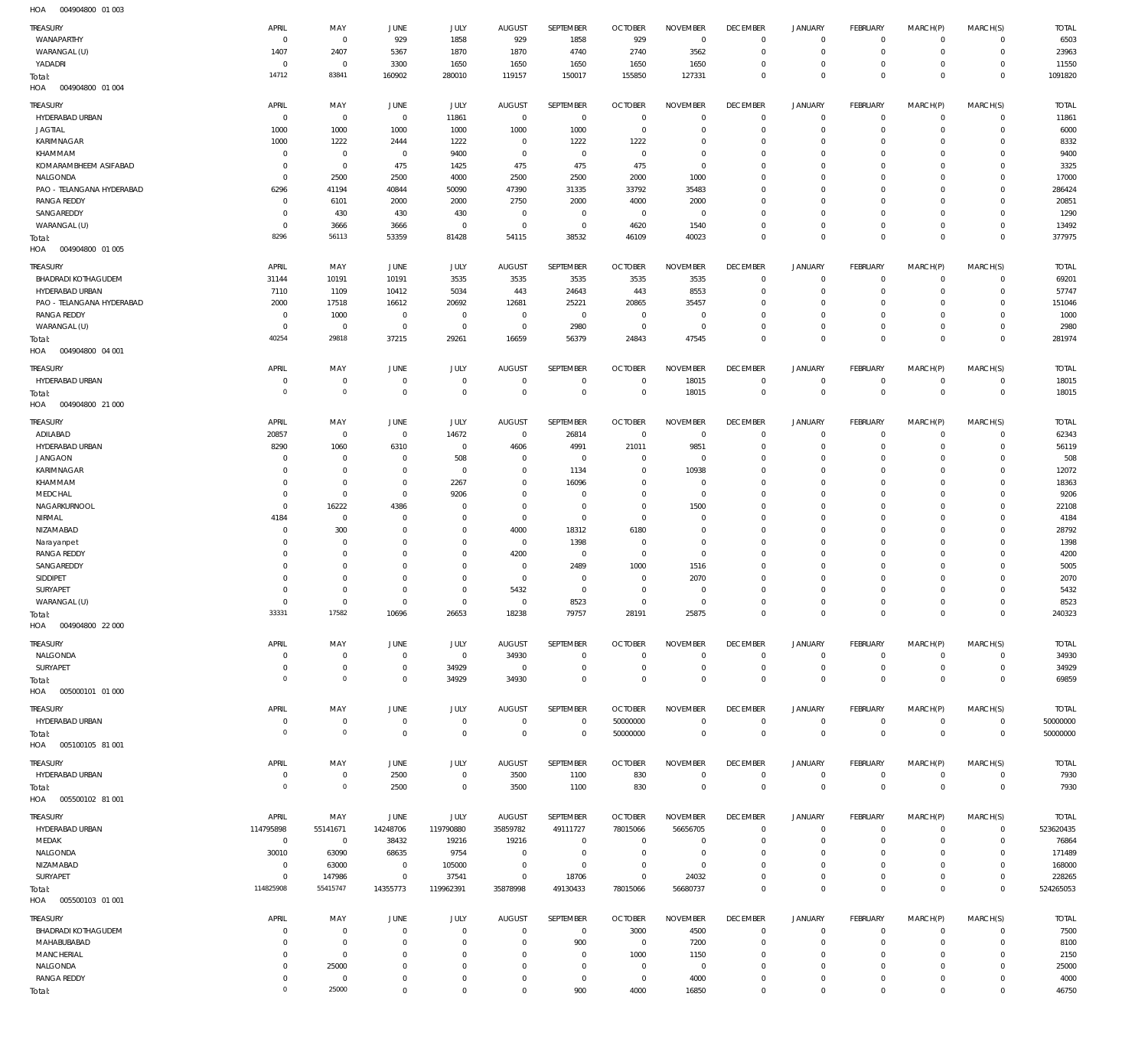| HOA | 004904800 01 003 |  |
|-----|------------------|--|

| ПОМ<br>UU47U40UU UIUUJ     |                |                |                |                |                |                  |                |                 |                 |                |                 |              |              |              |
|----------------------------|----------------|----------------|----------------|----------------|----------------|------------------|----------------|-----------------|-----------------|----------------|-----------------|--------------|--------------|--------------|
| <b>TREASURY</b>            | APRIL          | MAY            | JUNE           | JULY           | <b>AUGUST</b>  | SEPTEMBER        | <b>OCTOBER</b> | <b>NOVEMBER</b> | <b>DECEMBER</b> | JANUARY        | FEBRUARY        | MARCH(P)     | MARCH(S)     | <b>TOTAL</b> |
| WANAPARTHY                 | $\overline{0}$ | $\overline{0}$ | 929            | 1858           | 929            | 1858             | 929            | $\overline{0}$  | $\overline{0}$  | $^{\circ}$     | $\circ$         | $\mathbf 0$  | $\circ$      | 6503         |
|                            |                |                |                |                |                |                  |                |                 |                 |                |                 |              |              |              |
| WARANGAL (U)               | 1407           | 2407           | 5367           | 1870           | 1870           | 4740             | 2740           | 3562            | $\mathbf 0$     | $^{\circ}$     | $\circ$         | $^{\circ}$   | $\mathbf 0$  | 23963        |
| YADADRI                    | $\overline{0}$ | $\overline{0}$ | 3300           | 1650           | 1650           | 1650             | 1650           | 1650            | $\mathbf 0$     | $^{\circ}$     | $\circ$         | $^{\circ}$   | $\mathbf 0$  | 11550        |
| Total:                     | 14712          | 83841          | 160902         | 280010         | 119157         | 150017           | 155850         | 127331          | $\mathbf 0$     | $\mathbf 0$    | $\mathbb O$     | $\Omega$     | $\mathbf 0$  | 1091820      |
| 004904800 01 004<br>HOA    |                |                |                |                |                |                  |                |                 |                 |                |                 |              |              |              |
|                            |                |                |                |                |                |                  |                |                 |                 |                |                 |              |              |              |
| TREASURY                   | APRIL          | MAY            | <b>JUNE</b>    | JULY           | <b>AUGUST</b>  | <b>SEPTEMBER</b> | <b>OCTOBER</b> | <b>NOVEMBER</b> | <b>DECEMBER</b> | <b>JANUARY</b> | <b>FEBRUARY</b> | MARCH(P)     | MARCH(S)     | <b>TOTAL</b> |
| HYDERABAD URBAN            | $^{\circ}$     | $\overline{0}$ | $\mathbf 0$    | 11861          | $\overline{0}$ | $\overline{0}$   | $^{\circ}$     | $\Omega$        | $\mathbf 0$     | $\mathbf 0$    | $\circ$         | $\mathbf 0$  | $\mathbf 0$  | 11861        |
| <b>JAGTIAL</b>             | 1000           | 1000           | 1000           | 1000           | 1000           | 1000             | $^{\circ}$     | $\Omega$        | $\Omega$        | $\Omega$       | $\mathbf 0$     | O            | $\mathbf 0$  | 6000         |
| KARIMNAGAR                 | 1000           | 1222           | 2444           | 1222           | $^{\circ}$     | 1222             | 1222           | $\Omega$        | $\mathbf 0$     | $\mathbf 0$    | $\circ$         | $\Omega$     | $\mathbf 0$  | 8332         |
| KHAMMAM                    | $\overline{0}$ | $^{\circ}$     | $\overline{0}$ | 9400           | $^{\circ}$     | $^{\circ}$       | $^{\circ}$     | $\Omega$        | $\Omega$        | $\Omega$       | $\mathbf 0$     | O            | $\mathbf 0$  | 9400         |
|                            |                |                |                |                |                |                  |                |                 |                 |                |                 |              |              |              |
| KOMARAMBHEEM ASIFABAD      | $\overline{0}$ | $\mathbf{0}$   | 475            | 1425           | 475            | 475              | 475            | $\Omega$        | $\Omega$        | $\Omega$       | $\mathbf 0$     | O            | $\mathbf 0$  | 3325         |
| NALGONDA                   | $\mathbf{0}$   | 2500           | 2500           | 4000           | 2500           | 2500             | 2000           | 1000            | $\Omega$        | $\Omega$       | $\mathbf 0$     | O            | $\mathbf 0$  | 17000        |
| PAO - TELANGANA HYDERABAD  | 6296           | 41194          | 40844          | 50090          | 47390          | 31335            | 33792          | 35483           | $\Omega$        | $\Omega$       | $\mathbf 0$     | O            | $\mathbf 0$  | 286424       |
| <b>RANGA REDDY</b>         | $\overline{0}$ | 6101           | 2000           | 2000           | 2750           | 2000             | 4000           | 2000            | $\Omega$        | $\Omega$       | $\mathbf 0$     | O            | $\mathbf 0$  | 20851        |
| SANGAREDDY                 | $\mathbf 0$    | 430            | 430            | 430            | $^{\circ}$     | $^{\circ}$       | $\overline{0}$ | $\Omega$        | $\Omega$        | $\Omega$       | $\mathbf 0$     | O            | $\mathbf 0$  | 1290         |
| WARANGAL (U)               | $\overline{0}$ | 3666           | 3666           | $^{\circ}$     | $^{\circ}$     | $^{\circ}$       | 4620           | 1540            | $\mathbf 0$     | $\mathbf 0$    | $\mathbf 0$     | 0            | $\mathbf 0$  | 13492        |
|                            | 8296           | 56113          | 53359          | 81428          | 54115          | 38532            | 46109          | 40023           | $\Omega$        | $\Omega$       | $\mathbb O$     | $\Omega$     | $\mathbf 0$  | 377975       |
| Total:                     |                |                |                |                |                |                  |                |                 |                 |                |                 |              |              |              |
| 004904800 01 005<br>HOA    |                |                |                |                |                |                  |                |                 |                 |                |                 |              |              |              |
| <b>TREASURY</b>            | APRIL          | MAY            | JUNE           | JULY           | <b>AUGUST</b>  | SEPTEMBER        | <b>OCTOBER</b> | <b>NOVEMBER</b> | <b>DECEMBER</b> | <b>JANUARY</b> | <b>FEBRUARY</b> | MARCH(P)     | MARCH(S)     | <b>TOTAL</b> |
|                            |                |                |                |                |                |                  |                |                 |                 |                |                 |              |              |              |
| <b>BHADRADI KOTHAGUDEM</b> | 31144          | 10191          | 10191          | 3535           | 3535           | 3535             | 3535           | 3535            | $\mathbf 0$     | $^{\circ}$     | $\circ$         | $\mathbf 0$  | $\mathbf 0$  | 69201        |
| HYDERABAD URBAN            | 7110           | 1109           | 10412          | 5034           | 443            | 24643            | 443            | 8553            | $\mathbf 0$     | $^{\circ}$     | $\circ$         | O            | $\mathbf 0$  | 57747        |
| PAO - TELANGANA HYDERABAD  | 2000           | 17518          | 16612          | 20692          | 12681          | 25221            | 20865          | 35457           | $\mathbf 0$     | $\mathbf 0$    | $\circ$         | 0            | $\mathbf 0$  | 151046       |
| <b>RANGA REDDY</b>         | $\overline{0}$ | 1000           | $^{\circ}$     | $^{\circ}$     | $^{\circ}$     | $\overline{0}$   | $^{\circ}$     | $\overline{0}$  | $\mathbf 0$     | $\mathbf 0$    | $\circ$         | O            | $\mathbf 0$  | 1000         |
| WARANGAL (U)               | $\overline{0}$ | $^{\circ}$     | $\overline{0}$ | $\overline{0}$ | $\mathbf 0$    | 2980             | $\mathbf{0}$   | $\overline{0}$  | $\Omega$        | $\mathbf 0$    | $\mathbf 0$     | $\mathbf 0$  | $\mathbf 0$  | 2980         |
|                            | 40254          | 29818          | 37215          | 29261          | 16659          | 56379            | 24843          | 47545           | $\mathbf 0$     | $\Omega$       | $\mathbb O$     | $\Omega$     | $\mathbf 0$  | 281974       |
| Total:                     |                |                |                |                |                |                  |                |                 |                 |                |                 |              |              |              |
| 004904800 04 001<br>HOA    |                |                |                |                |                |                  |                |                 |                 |                |                 |              |              |              |
| TREASURY                   | APRIL          | MAY            | <b>JUNE</b>    | <b>JULY</b>    | <b>AUGUST</b>  | SEPTEMBER        | <b>OCTOBER</b> | <b>NOVEMBER</b> | <b>DECEMBER</b> | JANUARY        | <b>FEBRUARY</b> | MARCH(P)     | MARCH(S)     | <b>TOTAL</b> |
|                            | $\mathbf 0$    | 0              |                | $^{\circ}$     | $^{\circ}$     | $^{\circ}$       |                |                 | $\mathbf 0$     | $^{\circ}$     | $\mathbf 0$     | $\mathbf 0$  | $\mathbf 0$  | 18015        |
| HYDERABAD URBAN            |                |                | $\overline{0}$ |                |                |                  | $\circ$        | 18015           |                 |                |                 |              |              |              |
| Total:                     | $\overline{0}$ | $\,0\,$        | $\,0\,$        | $\mathbf 0$    | $\overline{0}$ | $\mathbf{0}$     | $\mathbf{0}$   | 18015           | $\mathbf 0$     | $\mathbf 0$    | $\mathbb O$     | $\mathbf{0}$ | $\mathbf 0$  | 18015        |
| HOA<br>004904800 21 000    |                |                |                |                |                |                  |                |                 |                 |                |                 |              |              |              |
|                            |                |                |                |                |                |                  |                |                 |                 |                |                 |              |              |              |
| <b>TREASURY</b>            | APRIL          | MAY            | JUNE           | JULY           | <b>AUGUST</b>  | SEPTEMBER        | <b>OCTOBER</b> | <b>NOVEMBER</b> | <b>DECEMBER</b> | <b>JANUARY</b> | <b>FEBRUARY</b> | MARCH(P)     | MARCH(S)     | <b>TOTAL</b> |
| ADILABAD                   | 20857          | $\overline{0}$ | $\mathbf 0$    | 14672          | $\overline{0}$ | 26814            | $\mathbf{0}$   | $\overline{0}$  | $\Omega$        | $\mathbf 0$    | $\circ$         | O            | 0            | 62343        |
| HYDERABAD URBAN            | 8290           | 1060           | 6310           | $\overline{0}$ | 4606           | 4991             | 21011          | 9851            | $\mathbf 0$     | $\mathbf 0$    | $\circ$         | $\mathbf 0$  | $\mathbf 0$  | 56119        |
| <b>JANGAON</b>             | $\mathbf 0$    | $^{\circ}$     | $\,0\,$        | 508            | $^{\circ}$     | $^{\circ}$       | $^{\circ}$     | $\overline{0}$  | $\mathbf 0$     | $^{\circ}$     | $\circ$         | O            | $\mathbf 0$  | 508          |
| KARIMNAGAR                 | $\overline{0}$ | $\mathbf{0}$   | $\mathbf 0$    | $^{\circ}$     | $\overline{0}$ | 1134             | $^{\circ}$     | 10938           | $\mathbf 0$     | $\mathbf 0$    | $\circ$         | $\mathbf 0$  | $\mathbf 0$  | 12072        |
| KHAMMAM                    | $\mathbf 0$    | $\mathbf 0$    | $\mathbf 0$    | 2267           | $\overline{0}$ | 16096            | $^{\circ}$     | $\overline{0}$  | $\mathbf 0$     | $\mathbf 0$    | $\circ$         | O            | 0            | 18363        |
|                            |                |                |                |                |                |                  |                |                 |                 |                |                 |              |              |              |
| MEDCHAL                    | $\overline{0}$ | $\mathbf{0}$   | $\,0\,$        | 9206           | $\overline{0}$ | $^{\circ}$       | $\mathbf{0}$   | $\overline{0}$  | $\mathbf 0$     | $\Omega$       | $\mathbf 0$     | 0            | $\mathbf 0$  | 9206         |
| NAGARKURNOOL               | $\mathbf{0}$   | 16222          | 4386           | $\Omega$       | $\overline{0}$ | $^{\circ}$       | $\mathbf{0}$   | 1500            | $\mathbf 0$     | $^{\circ}$     | $\circ$         | O            | $\mathbf 0$  | 22108        |
| NIRMAL                     | 4184           | $^{\circ}$     | $\overline{0}$ | $^{\circ}$     | $\mathbf 0$    | $^{\circ}$       | $\mathbf{0}$   | $\Omega$        | $\Omega$        | $\Omega$       | $\mathbf 0$     | $\Omega$     | 0            | 4184         |
| NIZAMABAD                  | $\mathbf 0$    | 300            | $\overline{0}$ | $\mathbf 0$    | 4000           | 18312            | 6180           | $\Omega$        | $\mathbf 0$     | $\mathbf 0$    | $\circ$         | O            | $\mathbf 0$  | 28792        |
| Narayanpet                 | $\mathbf 0$    | $\mathbf 0$    | $\overline{0}$ | $\mathbf 0$    | $^{\circ}$     | 1398             | $^{\circ}$     | $\Omega$        | $\mathbf 0$     | $\Omega$       | $\mathbf 0$     | O            | 0            | 1398         |
|                            | $\mathbf 0$    | $^{\circ}$     | $\overline{0}$ | $\mathbf 0$    | 4200           | $^{\circ}$       | $\mathbf{0}$   | $\Omega$        | $\mathbf 0$     | $\Omega$       |                 |              | $\mathbf 0$  | 4200         |
| <b>RANGA REDDY</b>         |                |                |                |                |                |                  |                |                 |                 |                | $\circ$         | O            |              |              |
| SANGAREDDY                 | $\mathbf 0$    | $\mathbf 0$    | $\overline{0}$ | $^{\circ}$     | $^{\circ}$     | 2489             | 1000           | 1516            | $\Omega$        | $\Omega$       | $\mathbf 0$     | O            | 0            | 5005         |
| SIDDIPET                   | $\mathbf 0$    | $\mathbf 0$    | $\overline{0}$ | $\Omega$       | $\overline{0}$ | $^{\circ}$       | $^{\circ}$     | 2070            | $\mathbf 0$     | $\mathbf 0$    | $\circ$         | $\Omega$     | 0            | 2070         |
| SURYAPET                   | $\mathbf 0$    | 0              | $\overline{0}$ | $^{\circ}$     | 5432           | $^{\circ}$       | $^{\circ}$     | $\Omega$        | $\Omega$        | $\Omega$       | $\mathbf 0$     | $\Omega$     | 0            | 5432         |
| WARANGAL (U)               | $\Omega$       | $\Omega$       | $\mathbf{0}$   | $\overline{0}$ | $\overline{0}$ | 8523             | $\mathbf{0}$   | $\Omega$        | $\mathbf{0}$    | $\Omega$       | $\circ$         | $\Omega$     | $\circ$      | 8523         |
| Total:                     | 33331          | 17582          | 10696          | 26653          | 18238          | 79757            | 28191          | 25875           | $\mathbf 0$     | $\mathbf 0$    | $\mathbf 0$     | $\mathbf 0$  | $\mathbf 0$  | 240323       |
| HOA<br>004904800 22 000    |                |                |                |                |                |                  |                |                 |                 |                |                 |              |              |              |
|                            |                |                |                |                |                |                  |                |                 |                 |                |                 |              |              |              |
| TREASURY                   | APRIL          | MAY            | <b>JUNE</b>    | JULY           | <b>AUGUST</b>  | SEPTEMBER        | <b>OCTOBER</b> | <b>NOVEMBER</b> | <b>DECEMBER</b> | <b>JANUARY</b> | FEBRUARY        | MARCH(P)     | MARCH(S)     | <b>TOTAL</b> |
| NALGONDA                   | $^{\circ}$     | $^{\circ}$     | $\,0\,$        | $\mathbf 0$    | 34930          | $^{\circ}$       | $^{\circ}$     | $\Omega$        | $\mathbf 0$     | $\mathbf 0$    | $\circ$         | $\mathbf 0$  | 0            | 34930        |
| SURYAPET                   | $\overline{0}$ | $\mathbf 0$    | $\,0\,$        | 34929          | $\overline{0}$ | $\overline{0}$   | $^{\circ}$     | $^{\circ}$      | $\mathbf 0$     | $^{\circ}$     | $\mathbf 0$     | $\mathbf 0$  | $\mathbf 0$  | 34929        |
|                            |                |                |                |                |                |                  |                |                 |                 |                |                 |              |              |              |
| Total:                     | $\overline{0}$ | $\mathbb O$    | $\,0\,$        | 34929          | 34930          | $\mathbf 0$      | $\mathbf{0}$   | $\Omega$        | $\mathbf 0$     | $\Omega$       | $\mathbf 0$     | $\mathbf 0$  | $\mathbf 0$  | 69859        |
| HOA   005000101   01 000   |                |                |                |                |                |                  |                |                 |                 |                |                 |              |              |              |
| TREASURY                   | APRIL          | MAY            | <b>JUNE</b>    | JULY           | <b>AUGUST</b>  | <b>SEPTEMBER</b> | <b>OCTOBER</b> | <b>NOVEMBER</b> | <b>DECEMBER</b> | <b>JANUARY</b> | <b>FEBRUARY</b> | MARCH(P)     | MARCH(S)     | <b>TOTAL</b> |
|                            |                |                |                |                |                |                  |                |                 |                 |                |                 |              |              |              |
| HYDERABAD URBAN            | $\overline{0}$ | $\mathbf 0$    | $\,0\,$        | $\mathbf 0$    | $\overline{0}$ | $\overline{0}$   | 50000000       | $\Omega$        | $\mathbf 0$     | $^{\circ}$     | $\circ$         | $\mathbf 0$  | $\mathbf 0$  | 50000000     |
| Total:                     | $\circ$        | $\,0\,$        | $\,0\,$        | $\mathbf 0$    | $\overline{0}$ | $\mathbf{0}$     | 50000000       | $\mathbf 0$     | $\,0\,$         | $\mathbf 0$    | $\mathbb O$     | $\mathbf{0}$ | $\mathbf 0$  | 50000000     |
| HOA   005100105   81   001 |                |                |                |                |                |                  |                |                 |                 |                |                 |              |              |              |
|                            |                |                |                |                |                |                  |                |                 |                 |                |                 |              |              |              |
| <b>TREASURY</b>            | APRIL          | MAY            | <b>JUNE</b>    | JULY           | <b>AUGUST</b>  | SEPTEMBER        | <b>OCTOBER</b> | <b>NOVEMBER</b> | <b>DECEMBER</b> | <b>JANUARY</b> | FEBRUARY        | MARCH(P)     | MARCH(S)     | <b>TOTAL</b> |
| HYDERABAD URBAN            | $^{\circ}$     | $\mathbf 0$    | 2500           | $\mathbf 0$    | 3500           | 1100             | 830            | $\mathbf{0}$    | $\mathbf 0$     | $\mathbf 0$    | $\mathbf 0$     | $\mathbf 0$  | $\mathbf 0$  | 7930         |
| Total:                     | $\circ$        | $\,0\,$        | 2500           | $\mathbf 0$    | 3500           | 1100             | 830            | $\mathbf{0}$    | $\mathbf 0$     | $\mathbf 0$    | $\mathbb O$     | $\mathbf{0}$ | $\mathbf 0$  | 7930         |
| HOA   005500102   81   001 |                |                |                |                |                |                  |                |                 |                 |                |                 |              |              |              |
|                            |                |                |                |                |                |                  |                |                 |                 |                |                 |              |              |              |
| <b>TREASURY</b>            | APRIL          | MAY            | JUNE           | <b>JULY</b>    | <b>AUGUST</b>  | SEPTEMBER        | <b>OCTOBER</b> | <b>NOVEMBER</b> | <b>DECEMBER</b> | <b>JANUARY</b> | <b>FEBRUARY</b> | MARCH(P)     | MARCH(S)     | <b>TOTAL</b> |
| HYDERABAD URBAN            | 114795898      | 55141671       | 14248706       | 119790880      | 35859782       | 49111727         | 78015066       | 56656705        | $\mathbf 0$     | $^{\circ}$     | $\circ$         | $\mathbf 0$  | $\circ$      | 523620435    |
| MEDAK                      | $\overline{0}$ | $\,0\,$        | 38432          | 19216          | 19216          | $^{\circ}$       | $^{\circ}$     | $\Omega$        | $\mathbf 0$     | $\mathbf 0$    | $\circ$         | $\mathbf 0$  | $\mathsf{O}$ | 76864        |
| NALGONDA                   | 30010          | 63090          | 68635          | 9754           | $^{\circ}$     | $^{\circ}$       | $^{\circ}$     | $\overline{0}$  | $\mathbf 0$     | $\mathbf 0$    | $\mathbf 0$     | 0            | 0            | 171489       |
| NIZAMABAD                  | $^{\circ}$     | 63000          | $\overline{0}$ | 105000         | $\overline{0}$ | $^{\circ}$       | $^{\circ}$     | $\overline{0}$  | $\Omega$        | $\mathbf 0$    | $\mathbf 0$     | O            | 0            | 168000       |
|                            |                |                |                |                |                |                  |                |                 |                 |                |                 |              |              |              |
| SURYAPET                   | $\mathbf{0}$   | 147986         | $\overline{0}$ | 37541          | $\mathbb O$    | 18706            | $^{\circ}$     | 24032           | $\mathbf 0$     | $\mathbf 0$    | $\mathbf 0$     | $\mathbf 0$  | $\circ$      | 228265       |
| Total:                     | 114825908      | 55415747       | 14355773       | 119962391      | 35878998       | 49130433         | 78015066       | 56680737        | $\mathbf 0$     | $\mathbf 0$    | $\mathbb O$     | $\mathbf 0$  | $\mathbb O$  | 524265053    |
|                            |                |                |                |                |                |                  |                |                 |                 |                |                 |              |              |              |
|                            |                |                |                |                |                |                  |                |                 |                 |                |                 |              |              |              |
| TREASURY                   | APRIL          | MAY            | <b>JUNE</b>    | JULY           | <b>AUGUST</b>  | SEPTEMBER        | <b>OCTOBER</b> | <b>NOVEMBER</b> | <b>DECEMBER</b> | <b>JANUARY</b> | FEBRUARY        | MARCH(P)     | MARCH(S)     | <b>TOTAL</b> |
| <b>BHADRADI KOTHAGUDEM</b> | 0              | $^{\circ}$     | $\overline{0}$ | $\overline{0}$ | $^{\circ}$     | $\overline{0}$   | 3000           | 4500            | $\mathbf 0$     | $^{\circ}$     | $\circ$         | $\mathbf 0$  | $\mathbf 0$  | 7500         |
| MAHABUBABAD                | $\Omega$       | $\mathbf 0$    | $\mathbf 0$    | $\mathbf 0$    | $^{\circ}$     | 900              | $^{\circ}$     | 7200            | $\mathbf 0$     | $\Omega$       | $\mathbf 0$     | 0            | $\mathbf 0$  | 8100         |
| MANCHERIAL                 | $\mathbf 0$    | $^{\circ}$     | $\mathbf 0$    | $\mathbf 0$    | $^{\circ}$     | $^{\circ}$       | 1000           | 1150            | $\mathbf 0$     | 0              | $\mathbf 0$     | $\Omega$     | $\mathbf 0$  | 2150         |
| NALGONDA                   | $\mathbf 0$    | 25000          | $^{\circ}$     | $\Omega$       | $^{\circ}$     | $\circ$          | $^{\circ}$     | $\overline{0}$  | $\mathbf 0$     | $\mathbf 0$    | $\mathbf 0$     | 0            | $\mathbf 0$  | 25000        |
|                            |                |                |                |                |                |                  |                |                 |                 |                |                 |              |              |              |
| <b>RANGA REDDY</b>         | $\mathbf 0$    | $^{\circ}$     | $\overline{0}$ | 0              | $^{\circ}$     | $^{\circ}$       | $^{\circ}$     | 4000            | $\mathbf 0$     | $\mathbf 0$    | $\mathbf 0$     | 0            | $\mathbf 0$  | 4000         |
| Total:                     | $\mathbf{0}$   | 25000          | $\,0\,$        | $\mathbf 0$    | $\mathbf 0$    | 900              | 4000           | 16850           | $\mathbf 0$     | $\Omega$       | $\mathbf 0$     | $\mathbf 0$  | $\mathbf 0$  | 46750        |
|                            |                |                |                |                |                |                  |                |                 |                 |                |                 |              |              |              |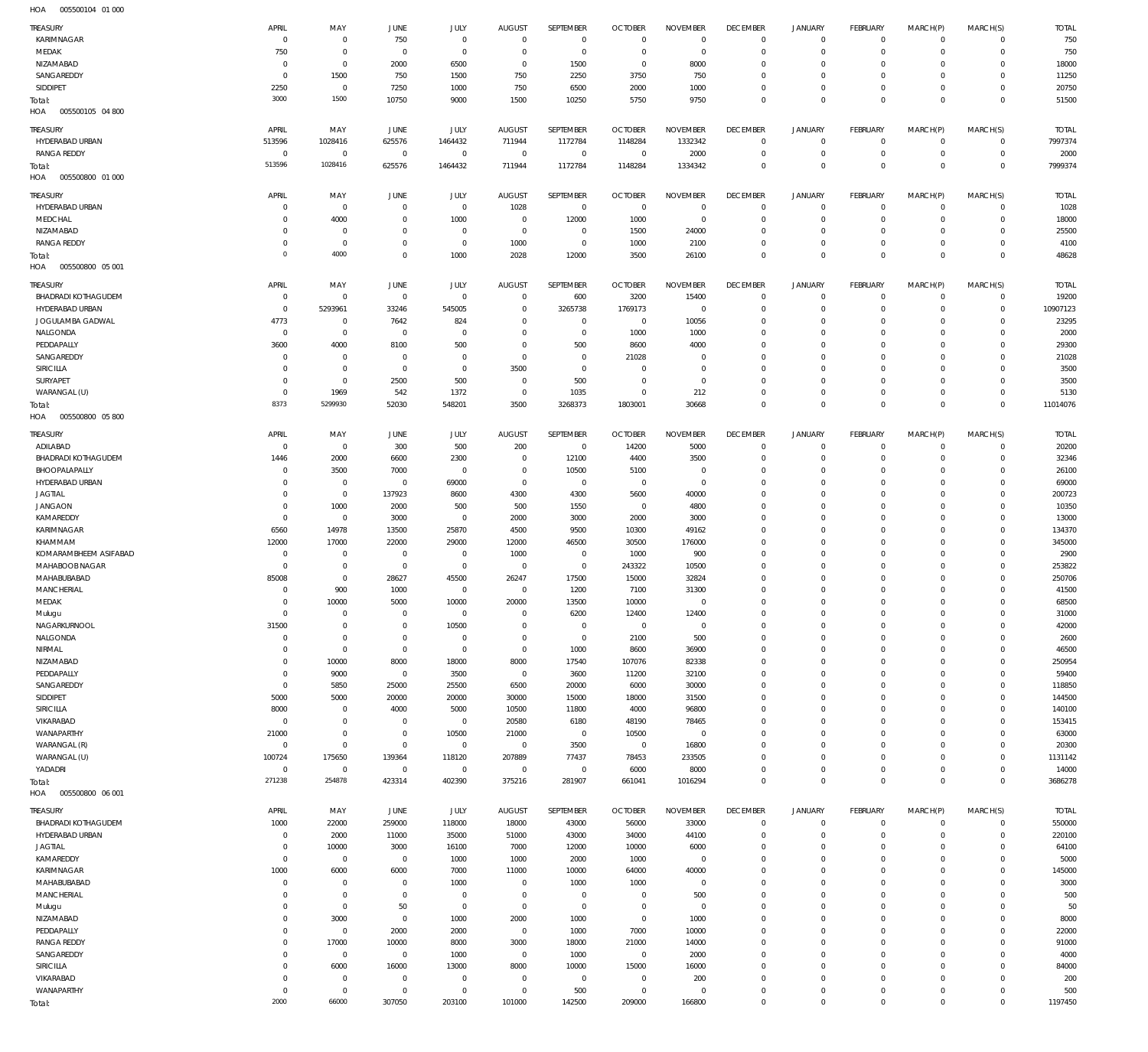| TREASURY                   |                    |                      |                      |                       |                       |                  |                          |                    |                               |                            |                        |                           |                            |                |
|----------------------------|--------------------|----------------------|----------------------|-----------------------|-----------------------|------------------|--------------------------|--------------------|-------------------------------|----------------------------|------------------------|---------------------------|----------------------------|----------------|
|                            | APRIL              | MAY                  | JUNE                 | JULY                  | <b>AUGUST</b>         | SEPTEMBER        | <b>OCTOBER</b>           | <b>NOVEMBER</b>    | <b>DECEMBER</b>               | <b>JANUARY</b>             | <b>FEBRUARY</b>        | MARCH(P)                  | MARCH(S)                   | <b>TOTAL</b>   |
| KARIMNAGAR                 | $\overline{0}$     | $\mathbf 0$          | 750                  | $\mathbf 0$           | $\overline{0}$        | $\mathbf{0}$     | $\overline{0}$           | $\overline{0}$     | $\overline{0}$                | $\overline{0}$             | $^{\circ}$             | $\circ$                   | $\Omega$                   | 750            |
| MEDAK                      | 750                | $\mathbf 0$          | $\overline{0}$       | $\mathbf 0$           | $\mathbf 0$           | $\mathbf 0$      | $\overline{0}$           | $\mathbf 0$        | $\overline{0}$                | $\mathbf 0$                | $\mathbf{0}$           | $\Omega$                  | $\mathbf 0$                | 750            |
| NIZAMABAD                  | C                  | $\mathbf 0$          | 2000                 | 6500                  | $\mathbf 0$           | 1500             | $\overline{0}$           | 8000               | $^{\circ}$                    | $\mathbf 0$                | $^{\circ}$             | $\Omega$                  | $\Omega$                   | 18000          |
|                            |                    |                      |                      |                       |                       |                  |                          |                    |                               |                            |                        |                           | $\Omega$                   |                |
| SANGAREDDY                 | 0                  | 1500                 | 750                  | 1500                  | 750                   | 2250             | 3750                     | 750                | $\overline{0}$                | $\mathbf 0$                | $^{\circ}$             | $\Omega$                  |                            | 11250          |
| SIDDIPET                   | 2250               | $\mathbf 0$          | 7250                 | 1000                  | 750                   | 6500             | 2000                     | 1000               | $\mathbf{0}$                  | $\mathbf 0$                | $\mathbf 0$            | $\Omega$                  | $\mathbf 0$                | 20750          |
| Total:                     | 3000               | 1500                 | 10750                | 9000                  | 1500                  | 10250            | 5750                     | 9750               | $\mathbf{0}$                  | $\mathbf 0$                | $\overline{0}$         | $^{\circ}$                | $\mathbf{0}$               | 51500          |
| HOA<br>005500105 04 800    |                    |                      |                      |                       |                       |                  |                          |                    |                               |                            |                        |                           |                            |                |
|                            |                    |                      |                      |                       |                       |                  |                          |                    |                               |                            |                        |                           |                            |                |
| TREASURY                   | APRIL              | MAY                  | JUNE                 | JULY                  | <b>AUGUST</b>         | SEPTEMBER        | <b>OCTOBER</b>           | <b>NOVEMBER</b>    | <b>DECEMBER</b>               | JANUARY                    | <b>FEBRUARY</b>        | MARCH(P)                  | MARCH(S)                   | <b>TOTAL</b>   |
| HYDERABAD URBAN            | 513596             | 1028416              | 625576               | 1464432               | 711944                | 1172784          | 1148284                  | 1332342            | $\mathbf{0}$                  | $\circ$                    | $^{\circ}$             | $^{\circ}$                | $\mathbf 0$                | 7997374        |
| <b>RANGA REDDY</b>         | $^{\circ}$         | $\mathbf{0}$         | $^{\circ}$           | $\mathbf 0$           | $\overline{0}$        | $\mathbf 0$      | $\overline{0}$           | 2000               | $\overline{0}$                | $\overline{0}$             | $\mathbf{0}$           | $^{\circ}$                | $\mathbf 0$                | 2000           |
| Total:                     | 513596             | 1028416              | 625576               | 1464432               | 711944                | 1172784          | 1148284                  | 1334342            | $\overline{0}$                | $\overline{0}$             | $\,0\,$                | $\overline{0}$            | $\mathbf 0$                | 7999374        |
| 005500800 01 000<br>HOA    |                    |                      |                      |                       |                       |                  |                          |                    |                               |                            |                        |                           |                            |                |
|                            |                    |                      |                      |                       |                       |                  |                          |                    |                               |                            |                        |                           |                            |                |
| TREASURY                   | APRIL              | MAY                  | JUNE                 | <b>JULY</b>           | <b>AUGUST</b>         | <b>SEPTEMBER</b> | <b>OCTOBER</b>           | <b>NOVEMBER</b>    | <b>DECEMBER</b>               | <b>JANUARY</b>             | FEBRUARY               | MARCH(P)                  | MARCH(S)                   | <b>TOTAL</b>   |
| HYDERABAD URBAN            | C                  | $\mathbf 0$          | 0                    | $\mathbf 0$           | 1028                  | $\overline{0}$   | $\overline{0}$           | $^{\circ}$         | $\mathbf 0$                   | $\overline{0}$             | $^{\circ}$             | $\circ$                   | $\circ$                    | 1028           |
| MEDCHAL                    | C                  | 4000                 | $^{\circ}$           | 1000                  | $\overline{0}$        | 12000            | 1000                     | $\overline{0}$     | $\mathbf{0}$                  | $\mathbf 0$                | $\mathbf{0}$           | $\Omega$                  | $\mathbf 0$                | 18000          |
| NIZAMABAD                  | 0                  | $\mathbf 0$          | $^{\circ}$           | $^{\circ}$            | $\overline{0}$        | $\mathbf 0$      | 1500                     | 24000              | $\overline{0}$                | $\mathbf 0$                | $^{\circ}$             | $\Omega$                  | $\mathbf 0$                | 25500          |
| <b>RANGA REDDY</b>         | C                  | $\mathbf 0$          | $^{\circ}$           | $\mathbf 0$           | 1000                  | $\mathbf 0$      | 1000                     | 2100               | $\overline{0}$                | $\mathbf 0$                | $\mathbf{0}$           | 0                         | $\mathbf 0$                | 4100           |
|                            |                    |                      |                      |                       |                       |                  |                          |                    |                               |                            |                        |                           |                            |                |
| Total:                     | $\Omega$           | 4000                 | $\mathbf 0$          | 1000                  | 2028                  | 12000            | 3500                     | 26100              | $\mathbf{0}$                  | $\overline{0}$             | $\,0\,$                | $\Omega$                  | $\mathbf{0}$               | 48628          |
| HOA<br>005500800 05 001    |                    |                      |                      |                       |                       |                  |                          |                    |                               |                            |                        |                           |                            |                |
| TREASURY                   | APRIL              | MAY                  | JUNE                 | JULY                  | <b>AUGUST</b>         | SEPTEMBER        | <b>OCTOBER</b>           | <b>NOVEMBER</b>    | <b>DECEMBER</b>               | <b>JANUARY</b>             | <b>FEBRUARY</b>        | MARCH(P)                  | MARCH(S)                   | <b>TOTAL</b>   |
|                            |                    |                      |                      |                       |                       |                  |                          |                    |                               |                            |                        |                           |                            |                |
| BHADRADI KOTHAGUDEM        | 0                  | $^{\circ}$           | $^{\circ}$           | $\mathbf 0$           | $\mathbf 0$           | 600              | 3200                     | 15400              | $\mathbf{0}$                  | $\circ$                    | $^{\circ}$             | $^{\circ}$                | $\mathbf 0$                | 19200          |
| HYDERABAD URBAN            | $^{\circ}$         | 5293961              | 33246                | 545005                | $\mathbf 0$           | 3265738          | 1769173                  | $\overline{0}$     | $\mathbf{0}$                  | $\mathbf 0$                | $\mathbf{0}$           | $^{\circ}$                | $\mathbf 0$                | 10907123       |
| JOGULAMBA GADWAL           | 4773               | $^{\circ}$           | 7642                 | 824                   | $\mathbf 0$           | $\mathbf 0$      | $\overline{0}$           | 10056              | $\mathbf{0}$                  | $\mathbf 0$                | $^{\circ}$             | $\Omega$                  | $\mathbf 0$                | 23295          |
| NALGONDA                   | $^{\circ}$         | $\mathbf 0$          | $\mathbf 0$          | $^{\circ}$            | $\mathbf 0$           | $\mathbf 0$      | 1000                     | 1000               | $\mathbf 0$                   | $\mathbf 0$                | $^{\circ}$             | $\Omega$                  | $\Omega$                   | 2000           |
| PEDDAPALLY                 | 3600               | 4000                 | 8100                 | 500                   | $\mathbf 0$           | 500              | 8600                     | 4000               | $^{\circ}$                    | $\mathbf 0$                | $^{\circ}$             | $\Omega$                  | $\Omega$                   | 29300          |
| SANGAREDDY                 | 0                  | $\mathbf{0}$         | $^{\circ}$           | $\mathbf 0$           | $\mathbf 0$           | $^{\circ}$       | 21028                    | $^{\circ}$         | $\mathbf 0$                   | 0                          | $^{\circ}$             | $\Omega$                  | $\Omega$                   | 21028          |
| SIRICILLA                  | 0                  | $\mathbf 0$          | $\overline{0}$       | $\mathbf 0$           | 3500                  | $\mathbf{0}$     | $\overline{0}$           | $\mathbf 0$        | $^{\circ}$                    | $\mathbf 0$                | $^{\circ}$             | $\Omega$                  | $\Omega$                   | 3500           |
|                            |                    |                      |                      |                       |                       |                  |                          |                    |                               |                            |                        |                           |                            |                |
| SURYAPET                   | 0                  | $\mathbf 0$          | 2500                 | 500                   | $\mathbf 0$           | 500              | $^{\circ}$               | $\mathbf 0$        | $\mathbf 0$                   | $\mathbf 0$                | $\mathbf{0}$           | $\Omega$                  | $\mathbf 0$                | 3500           |
| WARANGAL (U)               | $\circ$            | 1969                 | 542                  | 1372                  | $^{\circ}$            | 1035             | $\overline{0}$           | 212                | $\mathbf{0}$                  | $\mathbf 0$                | $\mathbf 0$            | $\circ$                   | $\mathbf 0$                | 5130           |
| Total:                     | 8373               | 5299930              | 52030                | 548201                | 3500                  | 3268373          | 1803001                  | 30668              | $\overline{0}$                | $\overline{0}$             | $\,0\,$                | $\Omega$                  | $\mathbb O$                | 11014076       |
| HOA<br>005500800 05800     |                    |                      |                      |                       |                       |                  |                          |                    |                               |                            |                        |                           |                            |                |
|                            |                    |                      |                      |                       |                       |                  |                          |                    |                               |                            |                        |                           |                            |                |
| TREASURY                   | APRIL              | MAY                  | JUNE                 | <b>JULY</b>           | <b>AUGUST</b>         | SEPTEMBER        | <b>OCTOBER</b>           | <b>NOVEMBER</b>    | <b>DECEMBER</b>               | JANUARY                    | <b>FEBRUARY</b>        | MARCH(P)                  | MARCH(S)                   | <b>TOTAL</b>   |
| ADILABAD                   | $\overline{0}$     | $\mathbf 0$          | 300                  | 500                   | 200                   | $\overline{0}$   | 14200                    | 5000               | $^{\circ}$                    | $\overline{0}$             | $^{\circ}$             | $\circ$                   | $\Omega$                   | 20200          |
| <b>BHADRADI KOTHAGUDEM</b> | 1446               | 2000                 | 6600                 | 2300                  | $\mathbf 0$           | 12100            | 4400                     | 3500               | $\overline{0}$                | $\mathbf 0$                | $\mathbf{0}$           | $\Omega$                  | $\mathbf 0$                | 32346          |
| BHOOPALAPALLY              | C                  | 3500                 | 7000                 | $\mathbf 0$           | $\mathbf 0$           | 10500            | 5100                     | $^{\circ}$         | $\overline{0}$                | $\mathbf 0$                | $^{\circ}$             | $\Omega$                  | $\Omega$                   | 26100          |
| HYDERABAD URBAN            | C                  | $\mathbf 0$          | 0                    | 69000                 | $\mathbf 0$           | $\overline{0}$   | $\overline{0}$           | $^{\circ}$         | $\overline{0}$                | $\mathbf 0$                | $^{\circ}$             | $\Omega$                  | $\Omega$                   | 69000          |
|                            |                    |                      |                      |                       |                       |                  |                          |                    |                               |                            |                        |                           | $\Omega$                   |                |
| <b>JAGTIAL</b>             | 0                  | $\mathbf 0$          | 137923               | 8600                  | 4300                  | 4300             | 5600                     | 40000              | $\mathbf 0$                   | 0                          | $^{\circ}$             | $\Omega$                  |                            | 200723         |
| <b>JANGAON</b>             | C                  | 1000                 | 2000                 | 500                   | 500                   | 1550             | $\overline{0}$           | 4800               | $\mathbf 0$                   | $\mathbf 0$                | $^{\circ}$             | $\Omega$                  | $\Omega$                   | 10350          |
| KAMAREDDY                  | 0                  | $\mathbf 0$          | 3000                 | $\mathbf 0$           | 2000                  | 3000             | 2000                     | 3000               | $\mathbf 0$                   | 0                          | $\mathbf{0}$           | $\Omega$                  | $\Omega$                   | 13000          |
| <b>KARIMNAGAR</b>          | 6560               | 14978                | 13500                | 25870                 | 4500                  | 9500             | 10300                    | 49162              | $\mathbf 0$                   | $\mathbf 0$                | $^{\circ}$             | $\Omega$                  | $\Omega$                   | 134370         |
| KHAMMAM                    | 12000              | 17000                | 22000                | 29000                 | 12000                 | 46500            | 30500                    | 176000             | $\mathbf 0$                   | 0                          | $\mathbf{0}$           | $\Omega$                  | $\Omega$                   | 345000         |
| KOMARAMBHEEM ASIFABAD      | $\overline{0}$     | $^{\circ}$           | $^{\circ}$           | $^{\circ}$            | 1000                  | $\overline{0}$   | 1000                     | 900                | $\mathbf 0$                   | $\mathbf 0$                | $^{\circ}$             | $\Omega$                  | $\Omega$                   | 2900           |
| MAHABOOB NAGAR             | 0                  | $\mathbf 0$          | $\overline{0}$       | $\mathbf 0$           | $\mathbf 0$           | $\mathbf 0$      | 243322                   | 10500              | $\mathbf 0$                   | 0                          | $^{\circ}$             | 0                         | $\mathbf 0$                | 253822         |
|                            |                    | $\mathbf 0$          | 28627                | 45500                 |                       |                  |                          |                    | $\mathbf 0$                   | $\mathbf 0$                | $^{\circ}$             | $\Omega$                  | $\Omega$                   | 250706         |
| MAHABUBABAD                | 85008              |                      |                      |                       | 26247                 | 17500            | 15000                    | 32824              |                               |                            |                        |                           |                            |                |
| <b>MANCHERIAL</b>          |                    | 900                  | 1000                 | $^{\circ}$            | $\mathbf 0$           | 1200             | 7100                     | 31300              | $\mathbf 0$                   | 0                          | $^{\circ}$             | $\Omega$                  | $\Omega$                   | 41500          |
|                            | 0                  |                      |                      |                       |                       |                  | 10000                    | $\mathbf 0$        | $\mathbf 0$                   | $\Omega$                   | $\circ$                | $\Omega$                  | $\Omega$                   | 68500          |
| MEDAK                      | $\Omega$           | 10000                | 5000                 | 10000                 | 20000                 | 13500            |                          |                    |                               |                            |                        |                           |                            |                |
| Mulugu                     | $\circ$            | $\overline{0}$       | $\mathbf{0}$         | 0                     | 0                     | 6200             | 12400                    | 12400              | 0                             | $\circ$                    | $\circ$                | 0                         | $\circ$                    | 31000          |
| NAGARKURNOOL               | 31500              | $\mathbf 0$          | $\mathbf 0$          | 10500                 | $\mathbf 0$           | $\mathbf 0$      | $\overline{0}$           | $\overline{0}$     | $\mathbf{0}$                  | $\mathbf 0$                | $\mathbf{0}$           | $\Omega$                  | $\Omega$                   | 42000          |
| NALGONDA                   | $^{\circ}$         | $\mathbf 0$          | $\mathbf 0$          | $\mathbf 0$           | $\mathbf 0$           | $\mathbf 0$      | 2100                     | 500                | $\mathbf{0}$                  | $\mathbf 0$                | $\mathbf 0$            | $^{\circ}$                | $\mathbf 0$                | 2600           |
|                            |                    |                      |                      |                       |                       |                  |                          |                    |                               |                            |                        | $\Omega$                  | $\Omega$                   |                |
| NIRMAL                     | $\mathbf 0$        | $\mathbf 0$          | $\mathbb O$          | $\mathbb O$           | $\mathbf 0$           | 1000             | 8600                     | 36900              | $\mathbf{0}$                  | $\mathbf 0$                | $\mathbf{0}$           |                           |                            | 46500          |
| NIZAMABAD                  | 0                  | 10000                | 8000                 | 18000                 | 8000                  | 17540            | 107076                   | 82338              | $\mathbf{0}$                  | $\mathbf 0$                | $\mathbf{0}$           | $\Omega$                  | $\Omega$                   | 250954         |
| PEDDAPALLY                 | 0                  | 9000                 | $\mathbf 0$          | 3500                  | $\mathbf 0$           | 3600             | 11200                    | 32100              | $\mathbf{0}$                  | 0                          | $\mathbf{0}$           | $\Omega$                  | $\Omega$                   | 59400          |
| SANGAREDDY                 | $^{\circ}$         | 5850                 | 25000                | 25500                 | 6500                  | 20000            | 6000                     | 30000              | $\mathbf{0}$                  | $\mathbf 0$                | $\mathbf{0}$           | $\Omega$                  | $\Omega$                   | 118850         |
| SIDDIPET                   | 5000               | 5000                 | 20000                | 20000                 | 30000                 | 15000            | 18000                    | 31500              | $\mathbf{0}$                  | 0                          | $\mathbf{0}$           | $\Omega$                  | $\Omega$                   | 144500         |
| SIRICILLA                  | 8000               | $\mathbf 0$          | 4000                 | 5000                  | 10500                 | 11800            | 4000                     | 96800              | $\mathbf{0}$                  | $\mathbf 0$                | $\mathbf{0}$           | $\Omega$                  | $\Omega$                   | 140100         |
| VIKARABAD                  | $\mathbf{0}$       | $\mathbf 0$          | $\mathbf 0$          | $\mathbf 0$           | 20580                 | 6180             | 48190                    | 78465              | $\mathbf{0}$                  | 0                          | $\mathbf{0}$           | $\Omega$                  | $\Omega$                   | 153415         |
| WANAPARTHY                 | 21000              | $\mathbf 0$          | $\mathbf 0$          | 10500                 | 21000                 | $\,0\,$          | 10500                    | $\overline{0}$     | $\mathbf{0}$                  | $\mathbf 0$                | $\mathbf{0}$           | $\Omega$                  | $\Omega$                   | 63000          |
|                            | $\mathbf{0}$       |                      |                      |                       |                       |                  |                          |                    | $\mathbf{0}$                  | 0                          | $\mathbf{0}$           | $\Omega$                  | $\Omega$                   |                |
| WARANGAL (R)               |                    | $\mathbf 0$          | $\overline{0}$       | $\mathbf 0$           | $\overline{0}$        | 3500             | $\overline{0}$           | 16800              |                               |                            |                        | $\Omega$                  |                            | 20300          |
| WARANGAL (U)               | 100724             | 175650               | 139364               | 118120                | 207889                | 77437            | 78453                    | 233505             | $\mathbf{0}$                  | $\mathbf 0$                | $\mathbf{0}$           |                           | $\mathbf 0$                | 1131142        |
| YADADRI                    | $^{\circ}$         | $\mathbf 0$          | $\mathbb O$          | $\mathbf 0$           | $\overline{0}$        | $\,0\,$          | 6000                     | 8000               | $\overline{0}$                | $\mathbf 0$                | $\mathbf 0$            | $^{\circ}$                | $\mathbf 0$                | 14000          |
| Total:                     | 271238             | 254878               | 423314               | 402390                | 375216                | 281907           | 661041                   | 1016294            | $\overline{0}$                | $\overline{0}$             | $\,0\,$                | $\mathbf 0$               | $\mathbb O$                | 3686278        |
| 005500800 06 001<br>HOA    |                    |                      |                      |                       |                       |                  |                          |                    |                               |                            |                        |                           |                            |                |
|                            |                    |                      |                      |                       |                       |                  |                          |                    |                               |                            |                        |                           |                            |                |
| TREASURY                   | APRIL              | MAY                  | JUNE                 | JULY                  | AUGUST                | SEPTEMBER        | <b>OCTOBER</b>           | <b>NOVEMBER</b>    | <b>DECEMBER</b>               | JANUARY                    | FEBRUARY               | MARCH(P)                  | MARCH(S)                   | <b>TOTAL</b>   |
| BHADRADI KOTHAGUDEM        | 1000               | 22000                | 259000               | 118000                | 18000                 | 43000            | 56000                    | 33000              | $\mathbf 0$                   | $\mathsf 0$                | $\mathbf 0$            | $^{\circ}$                | $\mathbf 0$                | 550000         |
| HYDERABAD URBAN            | $^{\circ}$         | 2000                 | 11000                | 35000                 | 51000                 | 43000            | 34000                    | 44100              | $\mathbb O$                   | $\mathbf 0$                | $\mathbf{0}$           | $^{\circ}$                | $\mathbf 0$                | 220100         |
| <b>JAGTIAL</b>             | $^{\circ}$         | 10000                | 3000                 | 16100                 | 7000                  | 12000            | 10000                    | 6000               | $\mathbf 0$                   | $\mathbf 0$                | $\mathbf{0}$           | $\Omega$                  | $\mathbf 0$                | 64100          |
| KAMAREDDY                  | $^{\circ}$         | $\mathbf 0$          | $\overline{0}$       | 1000                  | 1000                  | 2000             | 1000                     | $\overline{0}$     | $\mathbf{0}$                  | $\mathbf 0$                | $\mathbf{0}$           | $\Omega$                  | $\mathbf 0$                | 5000           |
| KARIMNAGAR                 | 1000               | 6000                 | 6000                 | 7000                  | 11000                 | 10000            | 64000                    | 40000              | $\mathbf{0}$                  | $\mathbf 0$                | $\mathbf{0}$           | $\Omega$                  | $\Omega$                   | 145000         |
|                            | $^{\circ}$         |                      | $\mathbf 0$          |                       | $^{\circ}$            |                  |                          | $\overline{0}$     | $\mathbf{0}$                  | $\mathbf 0$                | $\mathbf{0}$           | $\Omega$                  | $\mathbf 0$                |                |
| MAHABUBABAD                |                    | $\mathbf 0$          |                      | 1000                  |                       | 1000             | 1000                     |                    |                               |                            |                        |                           |                            | 3000           |
| MANCHERIAL                 | $\mathbf 0$        | $\mathbf 0$          | $\overline{0}$       | $\mathbb O$           | $^{\circ}$            | $\mathbf 0$      | $\overline{0}$           | 500                | $\overline{0}$                | $\mathbf 0$                | $\mathbf{0}$           | $\Omega$                  | $\mathbf 0$                | 500            |
| Mulugu                     | $\mathbf 0$        | $\mathbf 0$          | 50                   | $\mathbf 0$           | $^{\circ}$            | $\mathbf 0$      | $\overline{0}$           | $\overline{0}$     | $\mathbf{0}$                  | $\mathbf 0$                | $\mathbf{0}$           | $\Omega$                  | $\mathbf 0$                | 50             |
| NIZAMABAD                  | 0                  | 3000                 | $\overline{0}$       | 1000                  | 2000                  | 1000             | $\overline{0}$           | 1000               | $\mathbf{0}$                  | $\mathbf 0$                | $\mathbf{0}$           | $\Omega$                  | $\mathbf 0$                | 8000           |
| PEDDAPALLY                 | $\mathbf 0$        | $\mathbf 0$          | 2000                 | 2000                  | $^{\circ}$            | 1000             | 7000                     | 10000              | $\mathbf{0}$                  | $\mathbf 0$                | $\mathbf{0}$           | $\Omega$                  | $\mathbf 0$                | 22000          |
| <b>RANGA REDDY</b>         | $\mathbf 0$        | 17000                | 10000                | 8000                  | 3000                  | 18000            | 21000                    | 14000              | $\mathbf{0}$                  | $\mathbf 0$                | $\mathbf{0}$           | $\Omega$                  | $\mathbf 0$                | 91000          |
| SANGAREDDY                 | 0                  | $\mathbf 0$          | $\mathbf 0$          | 1000                  | $\overline{0}$        | 1000             | $\overline{0}$           | 2000               | $\mathbf{0}$                  | $\mathbf 0$                | $\mathbf{0}$           | $\Omega$                  | $\mathbf 0$                | 4000           |
|                            | $\mathbf 0$        |                      |                      |                       |                       |                  |                          |                    | $\mathbf{0}$                  | $\mathbf 0$                | $\mathbf{0}$           | $\Omega$                  | $\mathbf 0$                |                |
| SIRICILLA                  |                    | 6000                 | 16000                | 13000                 | 8000                  | 10000            | 15000                    | 16000              |                               |                            |                        |                           |                            | 84000          |
| VIKARABAD                  | 0                  | $\mathbf 0$          | $\mathbf 0$          | $\mathbf 0$           | $^{\circ}$            | $\mathbf 0$      | $\overline{0}$           | 200                | $\mathbf 0$                   | $\mathbf 0$                | $\mathbf{0}$           | $\Omega$                  | $\mathbf 0$                | 200            |
| WANAPARTHY<br>Total:       | $^{\circ}$<br>2000 | $\mathbf 0$<br>66000 | $^{\circ}$<br>307050 | $\mathbf 0$<br>203100 | $\mathbf 0$<br>101000 | 500<br>142500    | $\overline{0}$<br>209000 | $\Omega$<br>166800 | $\mathbf 0$<br>$\overline{0}$ | $\mathbf 0$<br>$\mathbf 0$ | $\mathbf 0$<br>$\,0\,$ | $^{\circ}$<br>$\mathbf 0$ | $\mathbf 0$<br>$\mathbb O$ | 500<br>1197450 |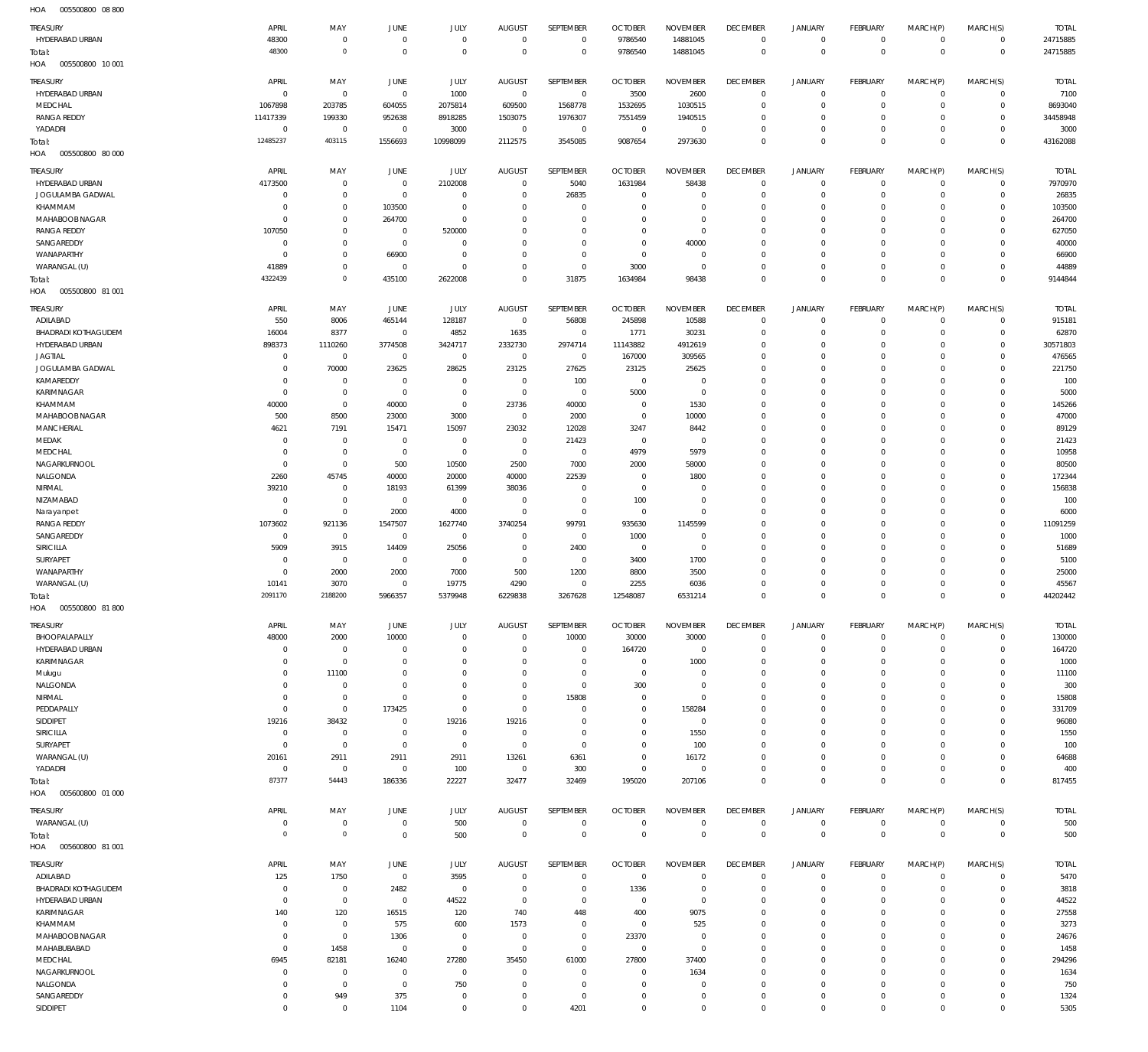| TREASURY                   | APRIL            | MAY            | JUNE           | JULY                | <b>AUGUST</b>  | SEPTEMBER      | <b>OCTOBER</b> | <b>NOVEMBER</b> | <b>DECEMBER</b> | <b>JANUARY</b> | FEBRUARY        | MARCH(P)    | MARCH(S)            | <b>TOTAL</b> |
|----------------------------|------------------|----------------|----------------|---------------------|----------------|----------------|----------------|-----------------|-----------------|----------------|-----------------|-------------|---------------------|--------------|
| HYDERABAD URBAN            | 48300            | $\mathbf{0}$   | $\overline{0}$ | $\mathbf 0$         | $\mathbf 0$    | $\overline{0}$ | 9786540        | 14881045        | $\,0\,$         | $\overline{0}$ | $\mathbf 0$     | $^{\circ}$  | $\circ$             | 24715885     |
| Total:                     | 48300            | $\mathbf 0$    | $\overline{0}$ | $\mathbf 0$         | $\Omega$       | $\mathbf 0$    | 9786540        | 14881045        | $\overline{0}$  | $\overline{0}$ | $\Omega$        | $\Omega$    | $\mathbf 0$         | 24715885     |
| HOA<br>005500800 10 001    |                  |                |                |                     |                |                |                |                 |                 |                |                 |             |                     |              |
|                            |                  |                |                |                     |                |                |                |                 |                 |                |                 |             |                     |              |
| TREASURY                   | APRIL            | MAY            | JUNE           | JULY                | <b>AUGUST</b>  | SEPTEMBER      | <b>OCTOBER</b> | <b>NOVEMBER</b> | <b>DECEMBER</b> | JANUARY        | <b>FEBRUARY</b> | MARCH(P)    | MARCH(S)            | <b>TOTAL</b> |
| HYDERABAD URBAN            | $^{\circ}$       | $\overline{0}$ | $\overline{0}$ | 1000                | $\overline{0}$ | $\,0\,$        | 3500           | 2600            | $\overline{0}$  | $\overline{0}$ | $\mathbf 0$     | $^{\circ}$  | $\circ$             | 7100         |
| MEDCHAL                    | 1067898          | 203785         | 604055         | 2075814             | 609500         | 1568778        | 1532695        | 1030515         | $\mathbf 0$     | $\overline{0}$ | $\Omega$        | $^{\circ}$  | 0                   | 8693040      |
| <b>RANGA REDDY</b>         | 11417339         | 199330         | 952638         | 8918285             | 1503075        | 1976307        | 7551459        | 1940515         | $\mathbf{0}$    | $\mathbf 0$    | $\Omega$        | $\Omega$    | $\circ$             | 34458948     |
| YADADRI                    | $^{\circ}$       | $\,0\,$        | $\overline{0}$ | 3000                | $\overline{0}$ | $\mathbf 0$    | $\overline{0}$ | $^{\circ}$      | $\mathbf 0$     | $\mathbf 0$    | $\Omega$        | $\Omega$    | 0                   | 300C         |
| Total:                     | 12485237         | 403115         | 1556693        | 10998099            | 2112575        | 3545085        | 9087654        | 2973630         | $\mathbf 0$     | $\overline{0}$ | $\mathbf 0$     | $\Omega$    | $\,0\,$             | 43162088     |
| HOA<br>005500800 80 000    |                  |                |                |                     |                |                |                |                 |                 |                |                 |             |                     |              |
|                            |                  |                |                |                     |                |                |                |                 |                 |                |                 |             |                     |              |
| TREASURY                   | APRIL            | MAY            | JUNE           | JULY                | <b>AUGUST</b>  | SEPTEMBER      | <b>OCTOBER</b> | <b>NOVEMBER</b> | <b>DECEMBER</b> | JANUARY        | <b>FEBRUARY</b> | MARCH(P)    | MARCH(S)            | <b>TOTAL</b> |
| HYDERABAD URBAN            | 4173500          | $\mathbf{0}$   | $\overline{0}$ | 2102008             | $\mathbf 0$    | 5040           | 1631984        | 58438           | $\mathbf 0$     | $\mathbf 0$    | $\Omega$        | $^{\circ}$  | $\circ$             | 7970970      |
| JOGULAMBA GADWAL           | $^{\circ}$       | $\mathbf 0$    | $\overline{0}$ | $\mathbf 0$         | $\Omega$       | 26835          | $\Omega$       | $\Omega$        | $\mathbf 0$     | $\mathbf 0$    | $\Omega$        | $\Omega$    | $\mathbf 0$         | 26835        |
| KHAMMAM                    | $\Omega$         | $\mathbf 0$    | 103500         | $\Omega$            | $\Omega$       | $\overline{0}$ | $\Omega$       | $\Omega$        | $\mathbf 0$     | $\mathbf 0$    | $\Omega$        | $\Omega$    | $\circ$             | 103500       |
| MAHABOOB NAGAR             | $\Omega$         | $\mathbf 0$    | 264700         | $\Omega$            | $\Omega$       | $\overline{0}$ | $\Omega$       | $^{\circ}$      | $\mathbf 0$     | $\mathbf 0$    | $\Omega$        | $\Omega$    | $\circ$             | 264700       |
| <b>RANGA REDDY</b>         | 107050           | $\mathbf 0$    | $\overline{0}$ | 520000              | $\Omega$       | $\Omega$       | $\Omega$       | $\mathbf 0$     | $\Omega$        | $\mathbf 0$    | $\Omega$        | $\Omega$    | $\mathbf 0$         | 627050       |
| SANGAREDDY                 | $\Omega$         | $\mathbf 0$    | $\overline{0}$ | $\Omega$            | $\Omega$       | $\mathbf 0$    | $\Omega$       | 40000           | $\Omega$        | $\Omega$       | $\Omega$        | $\Omega$    | $\mathbf 0$         | 40000        |
| WANAPARTHY                 | $\Omega$         | $\mathbf 0$    | 66900          | $\Omega$            | $\Omega$       | $\mathbf 0$    | $\Omega$       | $\Omega$        | $\Omega$        | $\mathbf 0$    | $\Omega$        | $\Omega$    | $\mathbf 0$         | 66900        |
| WARANGAL (U)               | 41889            | $\mathbf 0$    | $\overline{0}$ | $\Omega$            | $\Omega$       | $\mathbf 0$    | 3000           | $\Omega$        | $\mathbf 0$     | $\mathbf 0$    | $\Omega$        | $\Omega$    | $\mathbf 0$         | 44889        |
| Total:                     | 4322439          | $\mathbf 0$    | 435100         | 2622008             | $\Omega$       | 31875          | 1634984        | 98438           | $\mathbf 0$     | $\Omega$       | $\Omega$        | $\Omega$    | $\mathbf 0$         | 9144844      |
| HOA<br>005500800 81 001    |                  |                |                |                     |                |                |                |                 |                 |                |                 |             |                     |              |
|                            |                  |                |                |                     |                |                |                |                 |                 |                |                 |             |                     |              |
| TREASURY                   | APRIL            | MAY            | JUNE           | JULY                | <b>AUGUST</b>  | SEPTEMBER      | <b>OCTOBER</b> | <b>NOVEMBER</b> | <b>DECEMBER</b> | JANUARY        | FEBRUARY        | MARCH(P)    | MARCH(S)            | <b>TOTAL</b> |
| ADILABAD                   | 550              | 8006           | 465144         | 128187              | $\overline{0}$ | 56808          | 245898         | 10588           | $\overline{0}$  | $\circ$        | $\mathbf 0$     | $^{\circ}$  | 0                   | 915181       |
| <b>BHADRADI KOTHAGUDEM</b> | 16004            | 8377           | $\overline{0}$ | 4852                | 1635           | $\,0\,$        | 1771           | 30231           | $\mathbf 0$     | $\mathbf 0$    | $\Omega$        | $\Omega$    | $\mathbf 0$         | 62870        |
| HYDERABAD URBAN            | 898373           | 1110260        | 3774508        | 3424717             | 2332730        | 2974714        | 11143882       | 4912619         | $\mathbf{0}$    | $\mathbf 0$    | $\Omega$        | $\Omega$    | $\mathsf{O}\xspace$ | 30571803     |
| <b>JAGTIAL</b>             | $^{\circ}$       | $\,0\,$        | $\overline{0}$ | $\bf 0$             | $\overline{0}$ | $\,0\,$        | 167000         | 309565          | $\mathbf 0$     | $\mathbf 0$    | $\Omega$        | $\Omega$    | $\mathbf 0$         | 476565       |
| JOGULAMBA GADWAL           | $\mathbf 0$      | 70000          | 23625          | 28625               | 23125          | 27625          | 23125          | 25625           | $\mathbf 0$     | $\mathbf 0$    | $\Omega$        | $\Omega$    | $\mathbf 0$         | 221750       |
| KAMAREDDY                  | $\Omega$         | $\mathbf 0$    | $\overline{0}$ | $\mathbf 0$         | $^{\circ}$     | 100            | $\overline{0}$ | $^{\circ}$      | $\Omega$        | $\mathbf 0$    | $\Omega$        | $\Omega$    | $\mathbf 0$         | 100          |
| KARIMNAGAR                 | $\mathbf{0}$     | $\mathbf 0$    | $\overline{0}$ | $\mathbf 0$         | $\overline{0}$ | $\,0\,$        | 5000           | $\mathbf{0}$    | $\mathbf 0$     | $\mathbf 0$    | $\Omega$        | $\Omega$    | $\circ$             | 5000         |
|                            |                  |                |                |                     |                |                |                |                 |                 |                |                 |             |                     |              |
| KHAMMAM                    | 40000            | $\mathbf 0$    | 40000          | $\mathbf 0$         | 23736          | 40000          | $\overline{0}$ | 1530            | $\mathbf 0$     | $\mathbf 0$    | $\Omega$        | $\Omega$    | $\mathbf 0$         | 145266       |
| MAHABOOB NAGAR             | 500              | 8500           | 23000          | 3000                | $^{\circ}$     | 2000           | $\overline{0}$ | 10000           | $\mathbf 0$     | $\mathbf 0$    | $\Omega$        | $\Omega$    | $\mathbf 0$         | 47000        |
| <b>MANCHERIAL</b>          | 4621             | 7191           | 15471          | 15097               | 23032          | 12028          | 3247           | 8442            | $\mathbf 0$     | $\mathbf 0$    | $\Omega$        | $\Omega$    | $\mathbf 0$         | 89129        |
| MEDAK                      | $\Omega$         | $\overline{0}$ | $\overline{0}$ | 0                   | $\mathbf 0$    | 21423          | $\overline{0}$ | $^{\circ}$      | $\mathbf 0$     | $\mathbf 0$    | $\Omega$        | $\Omega$    | $\mathsf{O}\xspace$ | 21423        |
| MEDCHAL                    | $\Omega$         | $\mathbf 0$    | $\overline{0}$ | $\mathsf{O}\xspace$ | $^{\circ}$     | $\mathbb O$    | 4979           | 5979            | $\Omega$        | $\mathbf 0$    | $\Omega$        | $\Omega$    | $\mathbf 0$         | 10958        |
| NAGARKURNOOL               | $\Omega$         | $\mathbf 0$    | 500            | 10500               | 2500           | 7000           | 2000           | 58000           | $\mathbf 0$     | $\mathbf 0$    | $\Omega$        | $\Omega$    | $\mathbf 0$         | 80500        |
| NALGONDA                   | 2260             | 45745          | 40000          | 20000               | 40000          | 22539          | $\overline{0}$ | 1800            | $\mathbf 0$     | $\mathbf 0$    | $\Omega$        | $\Omega$    | $\mathbf 0$         | 172344       |
| NIRMAL                     | 39210            | $\mathbf 0$    | 18193          | 61399               | 38036          | $\mathbf 0$    | $\overline{0}$ | $^{\circ}$      | $\mathbf 0$     | $\mathbf 0$    | $\Omega$        | $\Omega$    | $\mathsf{O}\xspace$ | 156838       |
| NIZAMABAD                  | $\Omega$         | $\mathbf 0$    | $\overline{0}$ | $\mathbf 0$         | $^{\circ}$     | $\mathbb O$    | 100            | $\overline{0}$  | $\Omega$        | $\mathbf 0$    | $\Omega$        | $\Omega$    | $\mathbf 0$         | 100          |
| Narayanpet                 | $\Omega$         | $\mathbf 0$    | 2000           | 4000                | $^{\circ}$     | $\mathbb O$    | $\overline{0}$ | $\mathbb O$     | $\mathbf 0$     | $\mathbf 0$    | $\Omega$        | $\Omega$    | $\mathbf 0$         | 6000         |
| <b>RANGA REDDY</b>         | 1073602          | 921136         | 1547507        | 1627740             | 3740254        | 99791          | 935630         | 1145599         | $\mathbf 0$     | $\mathbf 0$    | $\Omega$        | $\Omega$    | $\mathbf 0$         | 11091259     |
| SANGAREDDY                 | $\overline{0}$   | $\,0\,$        | $\overline{0}$ | $\mathbf 0$         | $^{\circ}$     | $\,0\,$        | 1000           | $^{\circ}$      | $\mathbf 0$     | $\mathbf 0$    | $\Omega$        | $\Omega$    | $\mathbf 0$         | 1000         |
| SIRICILLA                  | 5909             | 3915           | 14409          | 25056               | $^{\circ}$     | 2400           | $\overline{0}$ | $\overline{0}$  | $\Omega$        | $\mathbf 0$    | $\Omega$        | $\Omega$    | $\mathbf 0$         | 51689        |
| SURYAPET                   | $\Omega$         | $\,0\,$        | $\overline{0}$ | $\mathbf 0$         | $^{\circ}$     | $\,0\,$        | 3400           | 1700            | $\mathbf 0$     | $\mathbf 0$    | $\Omega$        | $\Omega$    | $\circ$             | 5100         |
|                            | $\Omega$         |                |                |                     |                |                |                |                 | $\mathbf 0$     | $\mathbf 0$    | $\Omega$        | $\Omega$    | $\mathbf 0$         |              |
| WANAPARTHY                 |                  | 2000           | 2000           | 7000                | 500            | 1200           | 8800           | 3500            |                 |                |                 |             |                     | 25000        |
| WARANGAL (U)               | 10141<br>2091170 | 3070           | $\overline{0}$ | 19775               | 4290           | $\overline{0}$ | 2255           | 6036            | $\mathbf 0$     | $\mathbf 0$    | $\Omega$        | $\Omega$    | $\circ$             | 45567        |
| Total:                     |                  | 2188200        | 5966357        | 5379948             | 6229838        | 3267628        | 12548087       | 6531214         | $\Omega$        | $\Omega$       | $\Omega$        | $\Omega$    | $\mathbf 0$         | 44202442     |
| HOA<br>005500800 81800     |                  |                |                |                     |                |                |                |                 |                 |                |                 |             |                     |              |
| TREASURY                   | APRIL            | MAY            | JUNE           | JULY                | <b>AUGUST</b>  | SEPTEMBER      | <b>OCTOBER</b> | <b>NOVEMBER</b> | <b>DECEMBER</b> | <b>JANUARY</b> | FEBRUARY        | MARCH(P)    | MARCH(S)            | <b>TOTAL</b> |
| BHOOPALAPALLY              | 48000            | 2000           | 10000          | $\Omega$            | $^{\circ}$     | 10000          | 30000          | 30000           | $\mathbf 0$     | $\overline{0}$ | $\mathbf 0$     | $\mathbf 0$ | $\mathbf 0$         | 130000       |
| HYDERABAD URBAN            | $\Omega$         | $\mathbf{0}$   | $\overline{0}$ | $\Omega$            | $\Omega$       | $\overline{0}$ | 164720         | $\Omega$        | $\mathbf 0$     | $\mathbf 0$    | $\Omega$        | $\Omega$    | $\circ$             | 164720       |
| KARIMNAGAR                 | $\Omega$         | $\mathbf{0}$   | $\overline{0}$ | O                   | $\Omega$       | $\overline{0}$ | $\overline{0}$ | 1000            | $\mathbf 0$     | $\mathbf 0$    | 0               | $\Omega$    | $\Omega$            | 1000         |
|                            | $\Omega$         |                | $\overline{0}$ | $\Omega$            | $\Omega$       |                | $\overline{0}$ | $\Omega$        | $\mathbf 0$     | $\mathbf 0$    | $\Omega$        | $\Omega$    |                     |              |
| Mulugu                     |                  | 11100          |                |                     |                | $\overline{0}$ |                |                 |                 |                |                 |             | $\circ$             | 11100        |
| NALGONDA                   | $\Omega$         | $\mathbf{0}$   | $\overline{0}$ | $\Omega$            | $\Omega$       | $\overline{0}$ | 300            | $^{\circ}$      | 0               | $\mathbf 0$    | 0               | $\Omega$    | 0                   | 300          |
| NIRMAL                     | $\Omega$         | $\mathbf 0$    | $^{\circ}$     | $\Omega$            | $^{\circ}$     | 15808          | $\Omega$       | $\Omega$        | $\Omega$        | $\Omega$       | 0               | $\Omega$    | 0                   | 15808        |
| PEDDAPALLY                 | $\mathbf{0}$     | $\mathbf{0}$   | 173425         | $\Omega$            | $\Omega$       | $^{\circ}$     | $\Omega$       | 158284          | $\Omega$        | $\Omega$       | 0               | $\Omega$    | 0                   | 331709       |
| SIDDIPET                   | 19216            | 38432          | $\overline{0}$ | 19216               | 19216          | $\overline{0}$ | $\Omega$       | $\Omega$        | $\mathbf 0$     | $\mathbf 0$    | $\Omega$        | $\Omega$    | $\circ$             | 96080        |
| SIRICILLA                  | $^{\circ}$       | $\overline{0}$ | $\overline{0}$ | $\mathbf 0$         | $^{\circ}$     | $\overline{0}$ | $\Omega$       | 1550            | 0               | $\mathbf 0$    | 0               | $\Omega$    | 0                   | 1550         |
| SURYAPET                   | $\Omega$         | $\mathbf 0$    | $\overline{0}$ | $\mathbf 0$         | $^{\circ}$     | $\mathbb O$    | $\Omega$       | 100             | $\mathbf 0$     | $\Omega$       | 0               | $\Omega$    | 0                   | 100          |
| WARANGAL (U)               | 20161            | 2911           | 2911           | 2911                | 13261          | 6361           | $\Omega$       | 16172           | $\Omega$        | $\mathbf 0$    | 0               | $\Omega$    | 0                   | 64688        |
| YADADRI                    | $\Omega$         | $\overline{0}$ | $\overline{0}$ | 100                 | $\mathbf 0$    | 300            | $\overline{0}$ | $^{\circ}$      | $\mathbf 0$     | $\mathbf 0$    | $\Omega$        | $\Omega$    | $\mathsf{O}\xspace$ | 400          |
| Total:                     | 87377            | 54443          | 186336         | 22227               | 32477          | 32469          | 195020         | 207106          | $\mathbf 0$     | $\overline{0}$ | $\Omega$        | $\mathbf 0$ | $\mathbb O$         | 817455       |
| 005600800 01 000<br>HOA    |                  |                |                |                     |                |                |                |                 |                 |                |                 |             |                     |              |
|                            |                  |                |                |                     |                |                |                |                 |                 |                |                 |             |                     |              |
| TREASURY                   | APRIL            | MAY            | JUNE           | JULY                | <b>AUGUST</b>  | SEPTEMBER      | <b>OCTOBER</b> | <b>NOVEMBER</b> | <b>DECEMBER</b> | JANUARY        | <b>FEBRUARY</b> | MARCH(P)    | MARCH(S)            | <b>TOTAL</b> |
| WARANGAL (U)               | $\circ$          | $\mathbf 0$    | $\overline{0}$ | 500                 | $^{\circ}$     | $\mathbf 0$    | $\Omega$       | $^{\circ}$      | $\mathbf 0$     | $\overline{0}$ | $\mathbf 0$     | $^{\circ}$  | $\mathbf 0$         | 500          |
| Total:                     | $\circ$          | $\mathbb O$    | $\overline{0}$ | 500                 | $\mathbf 0$    | $\mathbb O$    | $\mathbf 0$    | $\mathbb O$     | $\,0\,$         | $\mathbf 0$    | $\mathbf 0$     | $\mathbf 0$ | $\mathbb O$         | 500          |
| 005600800 81 001<br>HOA    |                  |                |                |                     |                |                |                |                 |                 |                |                 |             |                     |              |
| Treasury                   | APRIL            | MAY            | JUNE           | JULY                | <b>AUGUST</b>  | SEPTEMBER      | <b>OCTOBER</b> | <b>NOVEMBER</b> | <b>DECEMBER</b> | <b>JANUARY</b> | <b>FEBRUARY</b> | MARCH(P)    | MARCH(S)            | <b>TOTAL</b> |
|                            |                  |                |                |                     |                |                |                | $\Omega$        |                 | $\mathbf 0$    | $\Omega$        |             |                     |              |
| ADILABAD                   | 125              | 1750           | $\overline{0}$ | 3595                | $\mathbf 0$    | $\overline{0}$ | $\overline{0}$ |                 | $\mathbf{0}$    |                |                 | $^{\circ}$  | 0                   | 5470         |
| <b>BHADRADI KOTHAGUDEM</b> | $\Omega$         | $\mathbf{0}$   | 2482           | $\mathbf 0$         | $\mathbf 0$    | $\overline{0}$ | 1336           | $\Omega$        | $\mathbf 0$     | $\mathbf 0$    | $\Omega$        | $\Omega$    | $\mathbf 0$         | 3818         |
| HYDERABAD URBAN            | $\Omega$         | $\mathbf 0$    | $\overline{0}$ | 44522               | $\mathbf 0$    | $\overline{0}$ | $\Omega$       | $\Omega$        | $\mathbf 0$     | $\mathbf 0$    | 0               | $\Omega$    | $\mathbf 0$         | 44522        |
| KARIMNAGAR                 | 140              | 120            | 16515          | 120                 | 740            | 448            | 400            | 9075            | $\mathbf 0$     | $\mathbf 0$    | 0               | $\Omega$    | $\mathbf 0$         | 27558        |
| KHAMMAM                    | $\Omega$         | $\mathbf{0}$   | 575            | 600                 | 1573           | $\overline{0}$ | $\overline{0}$ | 525             | $\Omega$        | $\Omega$       | 0               | $\Omega$    | $\Omega$            | 3273         |
| MAHABOOB NAGAR             | $\Omega$         | $\mathbf 0$    | 1306           | $\mathbf 0$         | $\mathbf 0$    | $\overline{0}$ | 23370          | $\Omega$        | $\mathbf 0$     | $\Omega$       | $\Omega$        | $\Omega$    | $\circ$             | 24676        |
| MAHABUBABAD                | $\Omega$         | 1458           | $\overline{0}$ | $\mathbf 0$         | $\mathbf 0$    | $\mathbb O$    | $\overline{0}$ | $\Omega$        | $\Omega$        | $\mathbf 0$    | 0               | $\Omega$    | $\mathbf 0$         | 1458         |
| MEDCHAL                    | 6945             | 82181          | 16240          | 27280               | 35450          | 61000          | 27800          | 37400           | $\mathbf 0$     | $\Omega$       | $\Omega$        | $\Omega$    | $\mathbf 0$         | 294296       |
| NAGARKURNOOL               | $\Omega$         | $\mathbf{0}$   | $\overline{0}$ | $\mathbf 0$         | $\Omega$       | $\overline{0}$ | $\Omega$       | 1634            | $\Omega$        | $\Omega$       | 0               | $\Omega$    | $\mathbf 0$         | 1634         |
| NALGONDA                   | $^{\circ}$       | $\mathbf 0$    | $\overline{0}$ | 750                 | 0              | $\overline{0}$ | $\Omega$       | $^{\circ}$      | $\mathbf 0$     | $\mathbf 0$    | $\Omega$        | $\mathbf 0$ | $\circ$             | 750          |
| SANGAREDDY                 | $^{\circ}$       | 949            | 375            | $\mathbf 0$         | $\mathbf 0$    | $\mathbb O$    | $\Omega$       | $^{\circ}$      | 0               | $\mathbf 0$    | $\mathbf 0$     | $\mathbf 0$ | $\mathbf 0$         | 1324         |
| SIDDIPET                   | $\mathbb O$      | $\mathbf 0$    | 1104           | $\Omega$            | $\mathbf{0}$   | 4201           | $\overline{0}$ | $\mathbb O$     | $\Omega$        | $\mathbf 0$    | $\Omega$        | $\circ$     | $\circ$             | 5305         |

005500800 08 800 HOA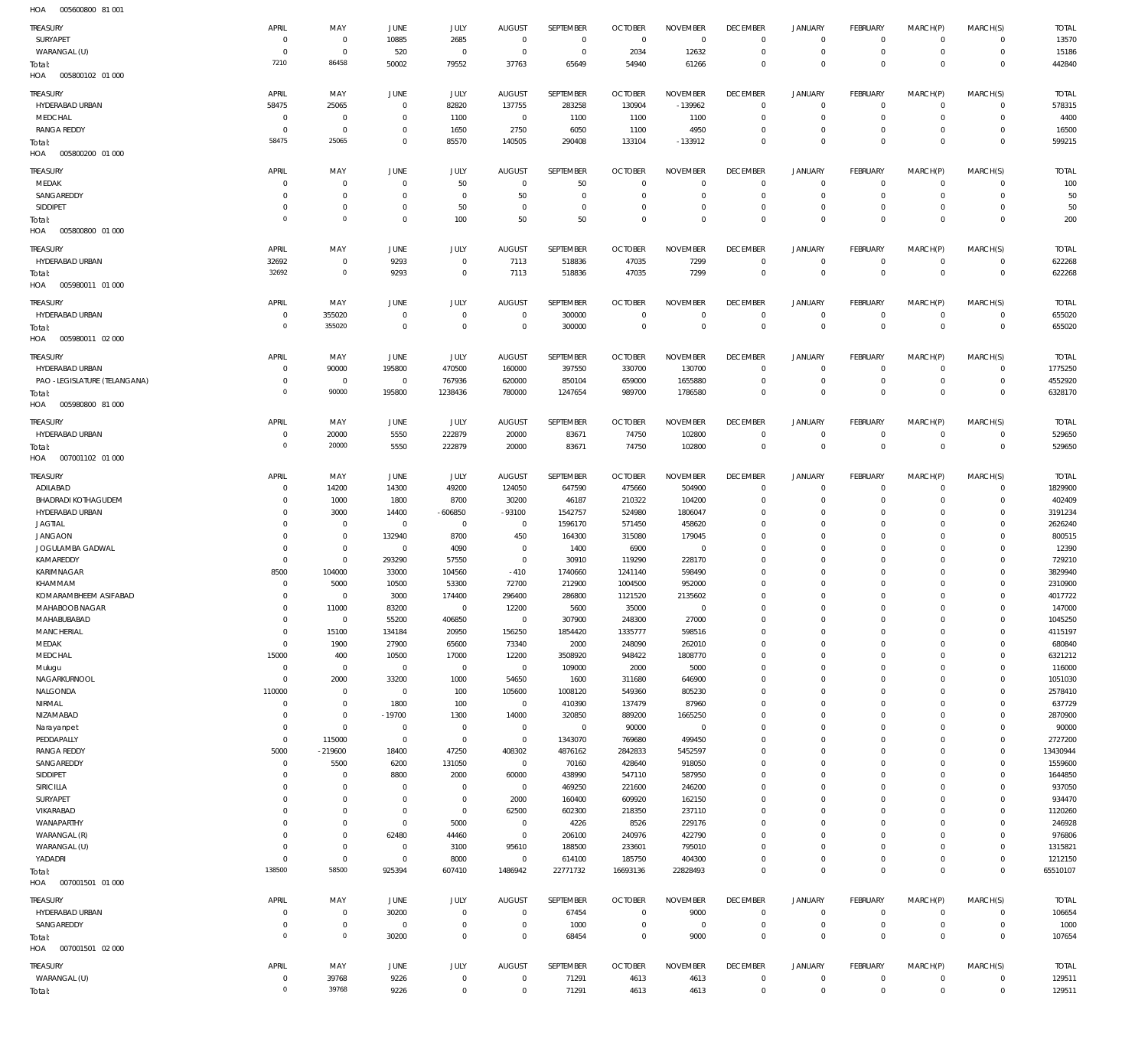| 005600800 81 001<br>HOA                 |                            |                               |                                  |                            |                             |                         |                              |                               |                                  |                               |                                   |                                  |                               |                        |
|-----------------------------------------|----------------------------|-------------------------------|----------------------------------|----------------------------|-----------------------------|-------------------------|------------------------------|-------------------------------|----------------------------------|-------------------------------|-----------------------------------|----------------------------------|-------------------------------|------------------------|
| <b>TREASURY</b>                         | APRIL                      | MAY                           | <b>JUNE</b>                      | JULY                       | <b>AUGUST</b>               | SEPTEMBER               | <b>OCTOBER</b>               | <b>NOVEMBER</b>               | <b>DECEMBER</b>                  | JANUARY                       | <b>FEBRUARY</b>                   | MARCH(P)                         | MARCH(S)                      | <b>TOTAL</b>           |
| SURYAPET                                | $^{\circ}$                 | $\mathbf 0$                   | 10885                            | 2685                       | $^{\circ}$                  | $^{\circ}$              | $^{\circ}$                   | $\overline{0}$                | $\overline{0}$                   | $^{\circ}$                    | $\mathbf 0$                       | $\mathbf 0$                      | $\mathbf 0$                   | 13570                  |
| WARANGAL (U)<br>Total:                  | $\circ$<br>7210            | $\mathbf 0$<br>86458          | 520<br>50002                     | $\mathbf 0$<br>79552       | $^{\circ}$<br>37763         | $\overline{0}$<br>65649 | 2034<br>54940                | 12632<br>61266                | $\mathbf 0$<br>$\mathbf 0$       | $\mathbf 0$<br>$\,0\,$        | $\overline{0}$<br>$\mathbf 0$     | $\overline{0}$<br>$\overline{0}$ | $\circ$<br>$\mathbf 0$        | 15186<br>442840        |
| 005800102 01 000<br>HOA                 |                            |                               |                                  |                            |                             |                         |                              |                               |                                  |                               |                                   |                                  |                               |                        |
| <b>TREASURY</b>                         | APRIL                      | MAY                           | JUNE                             | JULY                       | <b>AUGUST</b>               | SEPTEMBER               | <b>OCTOBER</b>               | <b>NOVEMBER</b>               | <b>DECEMBER</b>                  | JANUARY                       | FEBRUARY                          | MARCH(P)                         | MARCH(S)                      | <b>TOTAL</b>           |
| HYDERABAD URBAN                         | 58475                      | 25065                         | $\overline{0}$                   | 82820                      | 137755                      | 283258                  | 130904                       | $-139962$                     | $\,0\,$                          | $^{\circ}$                    | $\mathbf 0$                       | $\mathbf 0$                      | $\mathbf 0$                   | 578315                 |
| MEDCHAL                                 | $\circ$                    | $\overline{0}$<br>$\mathbf 0$ | $\overline{0}$<br>$\mathbf 0$    | 1100                       | $\overline{0}$<br>2750      | 1100                    | 1100                         | 1100<br>4950                  | $\mathbf 0$<br>$\mathbf 0$       | $\mathbf{0}$<br>$\mathbf{0}$  | $\mathbf 0$<br>$\mathbf 0$        | $\mathbf 0$<br>$\mathbf 0$       | $\mathbf 0$<br>$\mathbf 0$    | 4400                   |
| <b>RANGA REDDY</b><br>Total:            | 0<br>58475                 | 25065                         | $\overline{0}$                   | 1650<br>85570              | 140505                      | 6050<br>290408          | 1100<br>133104               | $-133912$                     | $\mathbf 0$                      | $\,0\,$                       | $\Omega$                          | $\overline{0}$                   | $\overline{0}$                | 16500<br>599215        |
| 005800200 01 000<br>HOA                 |                            |                               |                                  |                            |                             |                         |                              |                               |                                  |                               |                                   |                                  |                               |                        |
| TREASURY                                | APRIL                      | MAY                           | <b>JUNE</b>                      | JULY                       | <b>AUGUST</b>               | SEPTEMBER               | <b>OCTOBER</b>               | <b>NOVEMBER</b>               | <b>DECEMBER</b>                  | JANUARY                       | <b>FEBRUARY</b>                   | MARCH(P)                         | MARCH(S)                      | <b>TOTAL</b>           |
| MEDAK                                   | 0                          | $\overline{0}$                | $^{\circ}$                       | 50                         | $^{\circ}$                  | 50                      | $\circ$                      | - 0                           | $\overline{0}$                   | $^{\circ}$                    | 0                                 | $\mathbf 0$                      | $\mathbf 0$                   | 100                    |
| SANGAREDDY                              | 0                          | $\mathbf 0$                   | $\mathbf 0$                      | $\mathbf 0$                | 50                          | $\mathbf 0$             | $\circ$                      | $^{\circ}$                    | $\mathbf 0$                      | $\mathbf{0}$                  | $\mathbf 0$                       | $\mathbf 0$                      | $\mathbf 0$                   | 50                     |
| SIDDIPET<br>Total:                      | 0<br>$\Omega$              | $\,0\,$<br>$\mathbb O$        | $\mathbf 0$<br>$\mathbf 0$       | 50<br>100                  | $^{\circ}$<br>50            | $\mathbf 0$<br>50       | $\circ$<br>$^{\circ}$        | $^{\circ}$<br>$\overline{0}$  | $\mathbf 0$<br>$\mathbf 0$       | $\mathbf{0}$<br>$\mathbf 0$   | $^{\circ}$<br>$\mathbf 0$         | $\mathbf 0$<br>$\mathbf 0$       | $\mathbf 0$<br>$\mathbf 0$    | 50<br>200              |
| HOA<br>005800800 01 000                 |                            |                               |                                  |                            |                             |                         |                              |                               |                                  |                               |                                   |                                  |                               |                        |
| TREASURY                                | APRIL                      | MAY                           | JUNE                             | JULY                       | <b>AUGUST</b>               | SEPTEMBER               | <b>OCTOBER</b>               | <b>NOVEMBER</b>               | <b>DECEMBER</b>                  | <b>JANUARY</b>                | FEBRUARY                          | MARCH(P)                         | MARCH(S)                      | <b>TOTAL</b>           |
| HYDERABAD URBAN                         | 32692                      | $\mathbb O$                   | 9293                             | $\mathbf 0$                | 7113                        | 518836                  | 47035                        | 7299                          | $\overline{0}$                   | $^{\circ}$                    | $\mathbf 0$                       | $\overline{0}$                   | $\mathbf 0$                   | 622268                 |
| Total:                                  | 32692                      | $\mathbb O$                   | 9293                             | $\mathbf 0$                | 7113                        | 518836                  | 47035                        | 7299                          | $\mathbb O$                      | $\mathbb O$                   | $\mathbb O$                       | $\mathbb O$                      | $\overline{0}$                | 622268                 |
| 005980011 01 000<br>HOA                 |                            |                               |                                  |                            |                             |                         |                              |                               |                                  |                               |                                   |                                  |                               |                        |
| TREASURY                                | <b>APRIL</b><br>$^{\circ}$ | MAY                           | JUNE<br>$\mathbf 0$              | <b>JULY</b><br>$\mathbf 0$ | <b>AUGUST</b><br>$^{\circ}$ | SEPTEMBER               | <b>OCTOBER</b><br>$^{\circ}$ | <b>NOVEMBER</b><br>$^{\circ}$ | <b>DECEMBER</b>                  | <b>JANUARY</b><br>$\mathbf 0$ | <b>FEBRUARY</b><br>$\overline{0}$ | MARCH(P)<br>$\overline{0}$       | MARCH(S)                      | <b>TOTAL</b><br>655020 |
| HYDERABAD URBAN<br>Total:               | 0                          | 355020<br>355020              | $\mathbf 0$                      | $\mathbf 0$                | $^{\circ}$                  | 300000<br>300000        | $^{\circ}$                   | $\overline{0}$                | $\,0\,$<br>$\,0\,$               | $\,0\,$                       | $\mathbf{0}$                      | $\overline{0}$                   | $\mathbf 0$<br>$\overline{0}$ | 655020                 |
| 005980011 02 000<br>HOA                 |                            |                               |                                  |                            |                             |                         |                              |                               |                                  |                               |                                   |                                  |                               |                        |
| <b>TREASURY</b>                         | APRIL                      | MAY                           | JUNE                             | JULY                       | <b>AUGUST</b>               | SEPTEMBER               | <b>OCTOBER</b>               | <b>NOVEMBER</b>               | <b>DECEMBER</b>                  | <b>JANUARY</b>                | <b>FEBRUARY</b>                   | MARCH(P)                         | MARCH(S)                      | <b>TOTAL</b>           |
| HYDERABAD URBAN                         | $^{\circ}$                 | 90000                         | 195800                           | 470500                     | 160000                      | 397550                  | 330700                       | 130700                        | $\mathbf 0$                      | $^{\circ}$                    | $\mathbf 0$                       | $\overline{0}$                   | $\mathbf 0$                   | 1775250                |
| PAO -LEGISLATURE (TELANGANA)            | 0<br>$\mathbf 0$           | $\mathbf 0$                   | $\mathbf 0$                      | 767936                     | 620000                      | 850104                  | 659000                       | 1655880                       | $\mathbf 0$                      | $\mathbf{0}$                  | $\overline{0}$                    | $\overline{0}$                   | $\mathbf 0$                   | 4552920                |
| Total:<br>005980800 81 000<br>HOA       |                            | 90000                         | 195800                           | 1238436                    | 780000                      | 1247654                 | 989700                       | 1786580                       | $\mathbf 0$                      | $\overline{0}$                | $\mathbf 0$                       | $\overline{0}$                   | $\mathbf 0$                   | 6328170                |
| TREASURY                                | <b>APRIL</b>               | MAY                           | JUNE                             | JULY                       | <b>AUGUST</b>               | SEPTEMBER               | <b>OCTOBER</b>               | <b>NOVEMBER</b>               | <b>DECEMBER</b>                  | JANUARY                       | FEBRUARY                          | MARCH(P)                         | MARCH(S)                      | <b>TOTAL</b>           |
| HYDERABAD URBAN                         | $\overline{0}$             | 20000                         | 5550                             | 222879                     | 20000                       | 83671                   | 74750                        | 102800                        | $\mathbf 0$                      | $\mathbf{0}$                  | $\overline{0}$                    | $\mathbf 0$                      | $\mathbf 0$                   | 529650                 |
| Total:                                  | $^{\circ}$                 | 20000                         | 5550                             | 222879                     | 20000                       | 83671                   | 74750                        | 102800                        | $\mathbf 0$                      | $\,0\,$                       | $\overline{0}$                    | $\mathbb O$                      | $\overline{0}$                | 529650                 |
| 007001102 01 000<br>HOA                 |                            |                               |                                  |                            |                             |                         |                              |                               |                                  |                               |                                   |                                  |                               |                        |
| <b>TREASURY</b>                         | APRIL                      | MAY                           | JUNE                             | JULY                       | <b>AUGUST</b>               | SEPTEMBER               | <b>OCTOBER</b>               | <b>NOVEMBER</b>               | <b>DECEMBER</b>                  | <b>JANUARY</b>                | <b>FEBRUARY</b>                   | MARCH(P)                         | MARCH(S)                      | <b>TOTAL</b>           |
| ADILABAD<br><b>BHADRADI KOTHAGUDEM</b>  | 0<br>$\Omega$              | 14200                         | 14300<br>1800                    | 49200                      | 124050                      | 647590                  | 475660                       | 504900                        | $\overline{0}$                   | $^{\circ}$<br>$\mathbf{0}$    | $^{\circ}$<br>$^{\circ}$          | $^{\circ}$<br>$^{\circ}$         | $\mathbf 0$<br>0              | 1829900<br>402409      |
| HYDERABAD URBAN                         | 0                          | 1000<br>3000                  | 14400                            | 8700<br>$-606850$          | 30200<br>$-93100$           | 46187<br>1542757        | 210322<br>524980             | 104200<br>1806047             | $\overline{0}$<br>$\overline{0}$ | $^{\circ}$                    | $^{\circ}$                        | $^{\circ}$                       | $\mathbf 0$                   | 3191234                |
| <b>JAGTIAL</b>                          | 0                          | $\overline{0}$                | $\mathbf 0$                      | $\overline{0}$             | $\overline{0}$              | 1596170                 | 571450                       | 458620                        | $\mathbf{0}$                     | $^{\circ}$                    | $\Omega$                          | $^{\circ}$                       | 0                             | 2626240                |
| <b>JANGAON</b>                          | 0                          | $\mathbf 0$                   | 132940                           | 8700                       | 450                         | 164300                  | 315080                       | 179045                        | $\mathbf 0$                      | $^{\circ}$                    | $\Omega$                          | $\Omega$                         | $\mathbf 0$                   | 800515                 |
| JOGULAMBA GADWAL<br>KAMAREDDY           | 0<br>$\circ$               | $\mathbf 0$<br>$\mathbf 0$    | $\mathbf 0$<br>293290            | 4090<br>57550              | $\circ$<br>$^{\circ}$       | 1400<br>30910           | 6900<br>119290               | $^{\circ}$<br>228170          | $\mathbf 0$<br>$\mathbf 0$       | $^{\circ}$<br>$^{\circ}$      | $\Omega$<br>$\Omega$              | $^{\circ}$<br>$^{\circ}$         | 0<br>$\mathbf 0$              | 12390<br>729210        |
| KARIMNAGAR                              | 8500                       | 104000                        | 33000                            | 104560                     | $-410$                      | 1740660                 | 1241140                      | 598490                        | $\mathbf{0}$                     | $^{\circ}$                    | $\Omega$                          | $\Omega$                         | 0                             | 3829940                |
| KHAMMAM                                 | 0                          | 5000                          | 10500                            | 53300                      | 72700                       | 212900                  | 1004500                      | 952000                        | $\Omega$                         | $\Omega$                      | $\Omega$                          | $\Omega$                         | 0                             | 2310900                |
| KOMARAMBHEEM ASIFABAD<br>MAHABOOB NAGAR | $\Omega$<br>$\mathbf 0$    | $\mathbf 0$<br>11000          | 3000<br>83200                    | 174400<br>$\overline{0}$   | 296400<br>12200             | 286800<br>5600          | 1121520<br>35000             | 2135602<br>$\mathbf 0$        | $\mathbf 0$<br>$\overline{0}$    | $\circ$<br>$\mathbf 0$        | $\Omega$<br>$\mathbf 0$           | $\Omega$<br>$\mathbf 0$          | $\mathbf 0$<br>$\mathbf 0$    | 4017722<br>147000      |
| MAHABUBABAD                             | $^{\circ}$                 | $\,0\,$                       | 55200                            | 406850                     | $\overline{0}$              | 307900                  | 248300                       | 27000                         | $\mathbf 0$                      | $\mathbf 0$                   | $\mathbf 0$                       | $\mathbf 0$                      | $\mathbf 0$                   | 1045250                |
| MANCHERIAL                              | $\overline{0}$             | 15100                         | 134184                           | 20950                      | 156250                      | 1854420                 | 1335777                      | 598516                        | $\mathbf 0$                      | $\mathbf{0}$                  | $\mathbf 0$                       | $\mathbf 0$                      | $\mathbf 0$                   | 4115197                |
| MEDAK                                   | $\mathbf 0$                | 1900                          | 27900                            | 65600                      | 73340                       | 2000                    | 248090                       | 262010                        | $\overline{0}$                   | $\mathbf{0}$                  | $\Omega$                          | $\mathbf 0$                      | $\mathbf 0$                   | 680840                 |
| MEDCHAL<br>Mulugu                       | 15000<br>$\mathbf 0$       | 400<br>$\,0\,$                | 10500<br>$\mathbf 0$             | 17000<br>$\mathbf 0$       | 12200<br>$\overline{0}$     | 3508920<br>109000       | 948422<br>2000               | 1808770<br>5000               | $\mathbf 0$<br>$\mathbf 0$       | $\mathbf{0}$<br>$\mathbf{0}$  | $\Omega$<br>$\Omega$              | $\mathbf 0$<br>$\mathbf 0$       | $\mathbf 0$<br>$\mathbf 0$    | 6321212<br>116000      |
| NAGARKURNOOL                            | $^{\circ}$                 | 2000                          | 33200                            | 1000                       | 54650                       | 1600                    | 311680                       | 646900                        | $\mathbf 0$                      | $\mathbf{0}$                  | $\Omega$                          | $\Omega$                         | $\mathbf 0$                   | 1051030                |
| NALGONDA                                | 110000                     | $\,0\,$                       | $\mathbf 0$                      | 100                        | 105600                      | 1008120                 | 549360                       | 805230                        | $\mathbf 0$                      | $\mathbf{0}$                  | $\Omega$                          | $\mathbf 0$                      | $\mathbf 0$                   | 2578410                |
| NIRMAL<br>NIZAMABAD                     | $\mathbf 0$<br>$^{\circ}$  | $\mathbb O$<br>$\mathbf 0$    | 1800<br>$-19700$                 | 100<br>1300                | $\mathbf{0}$<br>14000       | 410390<br>320850        | 137479<br>889200             | 87960<br>1665250              | $\mathbf 0$<br>$\mathbf 0$       | $\mathbf{0}$<br>$\mathbf{0}$  | $\Omega$<br>$\Omega$              | $\Omega$<br>$\mathbf 0$          | $\mathbf 0$<br>$\mathbf 0$    | 637729<br>2870900      |
| Narayanpet                              | $\mathbf 0$                | $\mathbf 0$                   | $\overline{0}$                   | $\overline{0}$             | $^{\circ}$                  | $\overline{0}$          | 90000                        | $\overline{0}$                | $\mathbf 0$                      | $\mathbf{0}$                  | $\Omega$                          | $\mathbf 0$                      | $\mathbf 0$                   | 90000                  |
| PEDDAPALLY                              | $\mathbf 0$                | 115000                        | $\mathbf 0$                      | $\mathbf 0$                | $\mathbf{0}$                | 1343070                 | 769680                       | 499450                        | $\mathbf 0$                      | $\mathbf{0}$                  | $\Omega$                          | $\mathbf 0$                      | $\mathbf 0$                   | 2727200                |
| <b>RANGA REDDY</b><br>SANGAREDDY        | 5000<br>$^{\circ}$         | $-219600$<br>5500             | 18400<br>6200                    | 47250<br>131050            | 408302<br>$\overline{0}$    | 4876162<br>70160        | 2842833<br>428640            | 5452597<br>918050             | $\mathbf 0$<br>$\mathbf 0$       | $\mathbf{0}$<br>$\mathbf{0}$  | $\Omega$<br>$\Omega$              | $\mathbf 0$<br>$\mathbf 0$       | $\mathbf 0$<br>$\mathbf 0$    | 13430944<br>1559600    |
| SIDDIPET                                | $\mathbf 0$                | $\mathbf 0$                   | 8800                             | 2000                       | 60000                       | 438990                  | 547110                       | 587950                        | $\mathbf 0$                      | $\mathbf{0}$                  | $\Omega$                          | $\Omega$                         | $\mathbf 0$                   | 1644850                |
| SIRICILLA                               | 0                          | $\mathbf 0$                   | $^{\circ}$                       | $\mathbf 0$                | $\overline{0}$              | 469250                  | 221600                       | 246200                        | $\mathbf 0$                      | $\mathbf{0}$                  | $\Omega$                          | $\mathbf 0$                      | $\mathbf 0$                   | 937050                 |
| SURYAPET                                | $\mathbf 0$                | $\mathbf 0$                   | $\overline{0}$                   | $\mathbf 0$                | 2000                        | 160400                  | 609920                       | 162150                        | $\mathbf 0$                      | $\mathbf{0}$                  | $\Omega$                          | $\Omega$                         | $\mathbf 0$                   | 934470                 |
| VIKARABAD<br>WANAPARTHY                 | 0<br>0                     | $\mathbf 0$<br>$\mathbf 0$    | $\overline{0}$<br>$\overline{0}$ | $\mathbf 0$<br>5000        | 62500<br>$^{\circ}$         | 602300<br>4226          | 218350<br>8526               | 237110<br>229176              | $\mathbf 0$<br>$\mathbf 0$       | $\mathbf{0}$<br>$\mathbf{0}$  | $\Omega$<br>$\Omega$              | $\mathbf 0$<br>$\mathbf 0$       | $\mathbf 0$<br>$\mathbf 0$    | 1120260<br>246928      |
| WARANGAL (R)                            | $\mathbf 0$                | $\mathbf 0$                   | 62480                            | 44460                      | $^{\circ}$                  | 206100                  | 240976                       | 422790                        | $\mathbf 0$                      | $\mathbf{0}$                  | $\Omega$                          | $\mathbf 0$                      | $\mathbf 0$                   | 976806                 |
| WARANGAL (U)                            | $\mathbf 0$                | $\mathbf 0$                   | $\overline{0}$                   | 3100                       | 95610                       | 188500                  | 233601                       | 795010                        | $\mathbf 0$                      | $\mathbf{0}$                  | $\Omega$                          | $\mathbf 0$                      | $\mathbf 0$                   | 1315821                |
| YADADRI                                 | $^{\circ}$<br>138500       | $\mathbf 0$<br>58500          | $\overline{0}$<br>925394         | 8000<br>607410             | $\circ$<br>1486942          | 614100<br>22771732      | 185750<br>16693136           | 404300<br>22828493            | $\mathbf 0$<br>$\,0\,$           | $\mathbf{0}$<br>$\,0\,$       | 0<br>$\Omega$                     | $\mathbf 0$<br>$\Omega$          | 0<br>$\overline{0}$           | 1212150<br>65510107    |
| Total:<br>HOA<br>007001501 01 000       |                            |                               |                                  |                            |                             |                         |                              |                               |                                  |                               |                                   |                                  |                               |                        |
| <b>TREASURY</b>                         | <b>APRIL</b>               | MAY                           | JUNE                             | JULY                       | <b>AUGUST</b>               | SEPTEMBER               | <b>OCTOBER</b>               | <b>NOVEMBER</b>               | <b>DECEMBER</b>                  | <b>JANUARY</b>                | <b>FEBRUARY</b>                   | MARCH(P)                         | MARCH(S)                      | <b>TOTAL</b>           |
| HYDERABAD URBAN                         | $^{\circ}$                 | $\,0\,$                       | 30200                            | $\mathbf 0$                | $^{\circ}$                  | 67454                   | $^{\circ}$                   | 9000                          | $\,0\,$                          | $\mathbf{0}$                  | $\overline{0}$                    | $\mathbf 0$                      | $\mathbf 0$                   | 106654                 |
| SANGAREDDY                              | 0                          | $\mathbb O$                   | $^{\circ}$                       | $\mathbf 0$                | $\circ$                     | 1000                    | $\circ$                      | $^{\circ}$                    | $\,0\,$                          | $\circ$                       | $\mathbf 0$                       | $\mathbf 0$                      | $\mathbf 0$                   | 1000                   |
| Total:<br>HOA   007001501   02   000    | $\mathbf 0$                | $\mathbb O$                   | 30200                            | $\mathbf 0$                | $\Omega$                    | 68454                   | $^{\circ}$                   | 9000                          | $\mathbf 0$                      | $\mathbb O$                   | $\mathbf{0}$                      | $\overline{0}$                   | $\mathbf 0$                   | 107654                 |
|                                         |                            |                               |                                  |                            |                             |                         |                              |                               |                                  |                               |                                   |                                  |                               |                        |
| <b>TREASURY</b><br>WARANGAL (U)         | APRIL<br>$\mathbb O$       | MAY<br>39768                  | JUNE<br>9226                     | JULY<br>$\mathbf 0$        | <b>AUGUST</b><br>$^{\circ}$ | SEPTEMBER<br>71291      | <b>OCTOBER</b><br>4613       | <b>NOVEMBER</b><br>4613       | <b>DECEMBER</b><br>$\,0\,$       | <b>JANUARY</b><br>$\mathbb O$ | FEBRUARY<br>$\overline{0}$        | MARCH(P)<br>$\mathsf 0$          | MARCH(S)<br>$\overline{0}$    | <b>TOTAL</b><br>129511 |
| Total:                                  | $\mathbf 0$                | 39768                         | 9226                             | $\mathbf 0$                | $^{\circ}$                  | 71291                   | 4613                         | 4613                          | $\,0\,$                          | $\mathbb O$                   | $\mathbf 0$                       | $\overline{0}$                   | $\,0\,$                       | 129511                 |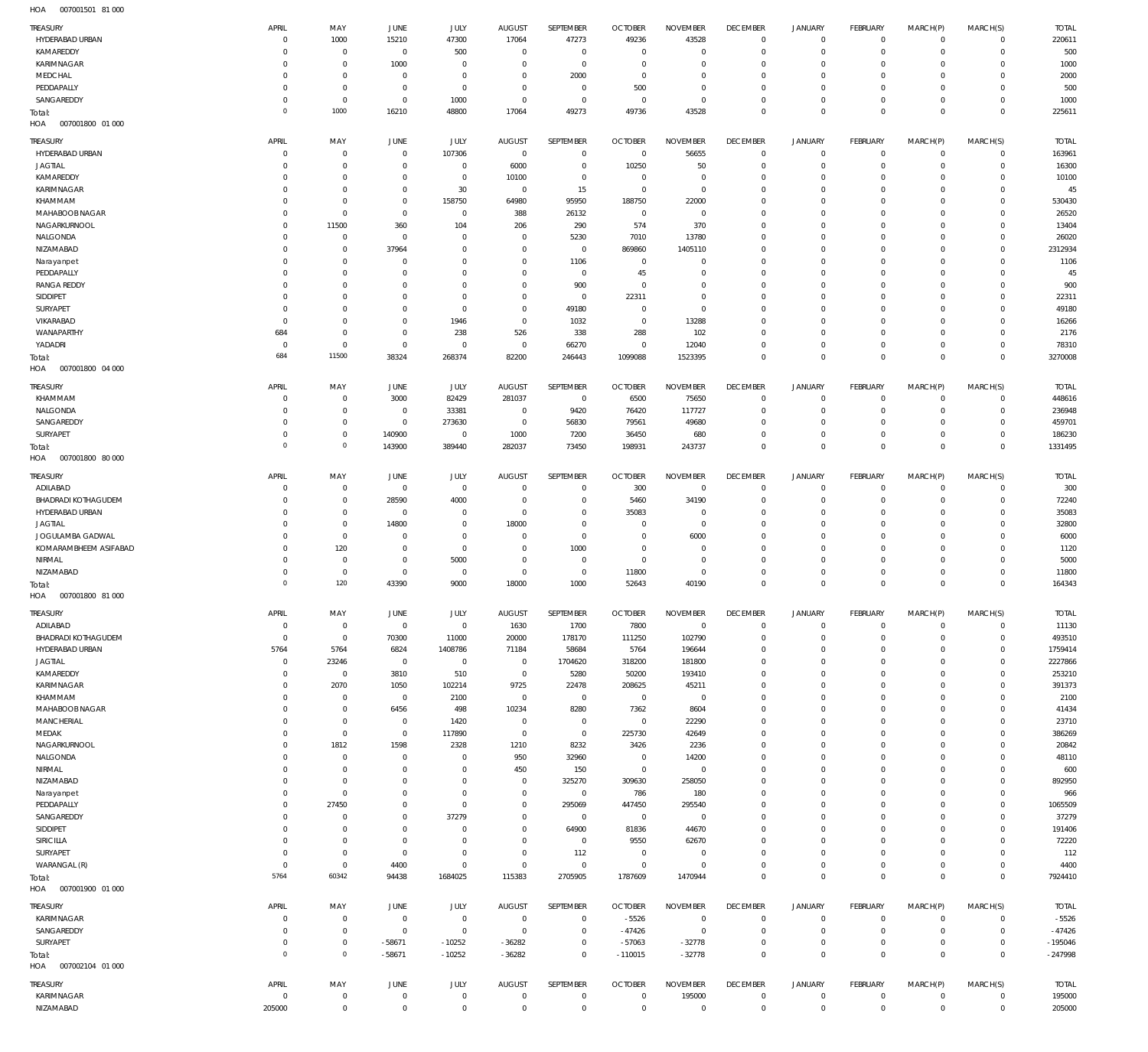007001501 81 000 HOA

| TREASURY                                      | APRIL                       | MAY                           | <b>JUNE</b>                | <b>JULY</b>                      | <b>AUGUST</b>                | SEPTEMBER                        | <b>OCTOBER</b>                | <b>NOVEMBER</b>               | <b>DECEMBER</b>             | <b>JANUARY</b>                | FEBRUARY                  | MARCH(P)                   | MARCH(S)                   | <b>TOTAL</b>           |
|-----------------------------------------------|-----------------------------|-------------------------------|----------------------------|----------------------------------|------------------------------|----------------------------------|-------------------------------|-------------------------------|-----------------------------|-------------------------------|---------------------------|----------------------------|----------------------------|------------------------|
| HYDERABAD URBAN                               | $\mathbf 0$                 | 1000                          | 15210                      | 47300                            | 17064                        | 47273                            | 49236                         | 43528                         | $^{\circ}$                  | $\mathbf 0$                   | $\mathbf 0$               | $\mathbf 0$                | $\mathbf 0$                | 220611                 |
| KAMAREDDY                                     | $\mathbf 0$                 | $\overline{0}$                | $\mathbf 0$                | 500                              | $\mathbf{0}$                 | $\overline{0}$                   | $^{\circ}$                    | $\Omega$                      | $\Omega$                    | $\mathbf 0$                   | $\mathbf 0$               | $\mathbf 0$                | $\mathbf 0$                | 500                    |
| KARIMNAGAR                                    | $\mathbf 0$                 | $^{\circ}$                    | 1000                       | $^{\circ}$                       | $\mathbf 0$                  | $\overline{0}$                   | $^{\circ}$                    | $\Omega$                      | $\Omega$                    | $\mathbf 0$                   | 0                         | $\mathbf 0$                | $^{\circ}$                 | 1000                   |
| MEDCHAL                                       | $\mathbf 0$                 | $^{\circ}$                    | $\mathbf 0$                | $\mathbf 0$                      | $\mathbf 0$                  | 2000                             | $^{\circ}$                    | $^{\circ}$                    | $\Omega$                    | $\mathbf 0$                   | O                         | $^{\circ}$                 | $^{\circ}$                 | 2000                   |
| PEDDAPALLY<br>SANGAREDDY                      | $\mathbf 0$<br>$\mathbf 0$  | $^{\circ}$<br>$\overline{0}$  | $\mathbf 0$<br>$\mathbf 0$ | $\overline{0}$<br>1000           | $\mathbf{0}$<br>$\mathbf{0}$ | $\overline{0}$<br>$\overline{0}$ | 500<br>$^{\circ}$             | $\overline{0}$<br>$^{\circ}$  | $\Omega$<br>$\Omega$        | $\mathbf 0$<br>$\mathbf 0$    | $\Omega$<br>0             | $\mathbf 0$<br>$\mathbf 0$ | $^{\circ}$<br>$^{\circ}$   | 500<br>1000            |
| Total:                                        | $\mathbf 0$                 | 1000                          | 16210                      | 48800                            | 17064                        | 49273                            | 49736                         | 43528                         | $\Omega$                    | $\mathbb O$                   | $\Omega$                  | $\mathbf 0$                | $\mathbf 0$                | 225611                 |
| HOA<br>007001800 01 000                       |                             |                               |                            |                                  |                              |                                  |                               |                               |                             |                               |                           |                            |                            |                        |
| TREASURY                                      | APRIL                       | MAY                           | <b>JUNE</b>                | JULY                             | <b>AUGUST</b>                | SEPTEMBER                        | <b>OCTOBER</b>                | <b>NOVEMBER</b>               | <b>DECEMBER</b>             | <b>JANUARY</b>                | FEBRUARY                  | MARCH(P)                   | MARCH(S)                   | <b>TOTAL</b>           |
| HYDERABAD URBAN                               | $\mathbf 0$                 | $\overline{0}$                | $\mathbf 0$                | 107306                           | $\overline{0}$               | $\overline{0}$                   | $\mathbf 0$                   | 56655                         | $^{\circ}$                  | $\mathbf 0$                   | $\mathbf 0$               | $\mathbf 0$                | $\mathbf 0$                | 163961                 |
| <b>JAGTIAL</b>                                | $\mathbf 0$                 | $\overline{0}$                | $\mathbf 0$                | $\overline{0}$                   | 6000                         | $\overline{0}$                   | 10250                         | 50                            | $^{\circ}$                  | $\mathbf 0$                   | $^{\circ}$                | $\mathbf 0$                | $\mathbf 0$                | 16300                  |
| KAMAREDDY                                     | $\mathbf 0$                 | $^{\circ}$                    | $\mathbf 0$                | $\overline{0}$                   | 10100                        | $\overline{0}$                   | $^{\circ}$                    | $^{\circ}$                    | $^{\circ}$                  | $\mathbf 0$                   | 0                         | $\mathbf 0$                | $^{\circ}$                 | 10100                  |
| KARIMNAGAR                                    | $\mathbf 0$<br>$\mathbf 0$  | $^{\circ}$                    | $\mathbf 0$<br>$\mathbf 0$ | 30                               | $\overline{0}$               | 15                               | $\overline{0}$                | $\mathbf{0}$                  | $\Omega$                    | $\mathbf 0$                   | 0                         | $\mathbf 0$                | $^{\circ}$                 | 45                     |
| KHAMMAM<br>MAHABOOB NAGAR                     | $\mathbf 0$                 | $^{\circ}$<br>$\overline{0}$  | $\mathbf 0$                | 158750<br>$\overline{0}$         | 64980<br>388                 | 95950<br>26132                   | 188750<br>$\overline{0}$      | 22000<br>$\overline{0}$       | $^{\circ}$<br>$\circ$       | $\mathbf 0$<br>$\mathbf 0$    | 0<br>$\Omega$             | $\mathbf 0$<br>$\mathbf 0$ | $^{\circ}$<br>$^{\circ}$   | 530430<br>26520        |
| NAGARKURNOOL                                  | $\mathbf 0$                 | 11500                         | 360                        | 104                              | 206                          | 290                              | 574                           | 370                           | $^{\circ}$                  | $\mathbf 0$                   | 0                         | $\mathbf 0$                | $^{\circ}$                 | 13404                  |
| NALGONDA                                      | $\mathbf 0$                 | $^{\circ}$                    | $\mathbf 0$                | $\mathbf 0$                      | $\mathbf{0}$                 | 5230                             | 7010                          | 13780                         | $\Omega$                    | $\mathbf 0$                   | $\Omega$                  | $\mathbf 0$                | $^{\circ}$                 | 26020                  |
| NIZAMABAD                                     | $\mathbf 0$                 | $^{\circ}$                    | 37964                      | $\mathbf 0$                      | $\mathbf 0$                  | $\overline{0}$                   | 869860                        | 1405110                       | $\Omega$                    | $\mathbf 0$                   | 0                         | $\mathbf 0$                | $^{\circ}$                 | 2312934                |
| Narayanpet                                    | $\mathbf 0$                 | $^{\circ}$                    | $\mathbf 0$                | $\mathbf 0$                      | $\mathbf 0$                  | 1106                             | $^{\circ}$                    | $^{\circ}$                    | $\Omega$                    | $\mathbf 0$                   | $\Omega$                  | $\mathbf 0$                | $\mathbf 0$                | 1106                   |
| PEDDAPALLY<br><b>RANGA REDDY</b>              | $\mathbf 0$<br>$\mathbf 0$  | $^{\circ}$<br>$^{\circ}$      | $\mathbf 0$<br>$\mathbf 0$ | $^{\circ}$<br>$\mathbf 0$        | $\mathbf 0$<br>$\mathbf 0$   | $\overline{0}$<br>900            | 45<br>$\overline{0}$          | $^{\circ}$<br>$^{\circ}$      | $\Omega$<br>$\Omega$        | $\mathbf 0$<br>$\mathbf 0$    | 0<br>0                    | $\mathbf 0$<br>$\mathbf 0$ | $\mathbf 0$<br>$^{\circ}$  | 45<br>900              |
| <b>SIDDIPET</b>                               | $\mathbf 0$                 | $^{\circ}$                    | $\mathbf 0$                | $\overline{0}$                   | $\mathbf 0$                  | $\overline{0}$                   | 22311                         | $\mathbf 0$                   | $\Omega$                    | $\mathbf 0$                   | 0                         | $\mathbf 0$                | $\mathbf 0$                | 22311                  |
| SURYAPET                                      | $\mathbf 0$                 | $^{\circ}$                    | $\mathbf 0$                | $\overline{0}$                   | $\mathbf 0$                  | 49180                            | $^{\circ}$                    | $\mathbf 0$                   | $\circ$                     | $\mathbf 0$                   | 0                         | $\mathbf 0$                | $\mathbf 0$                | 49180                  |
| VIKARABAD                                     | $\mathbf 0$                 | $^{\circ}$                    | $\mathbf 0$                | 1946                             | $\mathbf 0$                  | 1032                             | $\mathbf 0$                   | 13288                         | $\Omega$                    | $\mathbf 0$                   | 0                         | $\mathbf 0$                | $\mathbf 0$                | 16266                  |
| WANAPARTHY                                    | 684                         | $^{\circ}$                    | $\mathbf 0$                | 238                              | 526                          | 338                              | 288                           | 102                           | $\circ$                     | $\mathbf 0$                   | 0                         | $\mathbf 0$                | $\mathbf 0$                | 2176                   |
| YADADRI                                       | $\mathbf 0$<br>684          | $\overline{0}$<br>11500       | $\mathbf 0$<br>38324       | $\overline{0}$                   | $^{\circ}$                   | 66270                            | $\overline{0}$                | 12040                         | $\Omega$<br>$^{\circ}$      | $\mathbf 0$<br>$\mathbf 0$    | $\mathbf 0$<br>$^{\circ}$ | $\mathbf 0$<br>$\mathbf 0$ | $\mathbf 0$<br>$\mathbf 0$ | 78310<br>3270008       |
| Total:<br>HOA<br>007001800 04 000             |                             |                               |                            | 268374                           | 82200                        | 246443                           | 1099088                       | 1523395                       |                             |                               |                           |                            |                            |                        |
|                                               |                             |                               |                            |                                  |                              |                                  |                               |                               |                             |                               |                           |                            |                            |                        |
| TREASURY<br>KHAMMAM                           | APRIL<br>$\mathbf 0$        | MAY<br>$\mathbf 0$            | <b>JUNE</b><br>3000        | JULY<br>82429                    | <b>AUGUST</b><br>281037      | SEPTEMBER<br>$\overline{0}$      | <b>OCTOBER</b><br>6500        | <b>NOVEMBER</b><br>75650      | <b>DECEMBER</b><br>$\circ$  | <b>JANUARY</b><br>$\mathbf 0$ | FEBRUARY<br>0             | MARCH(P)<br>$^{\circ}$     | MARCH(S)<br>$\mathbf 0$    | <b>TOTAL</b><br>448616 |
| NALGONDA                                      | $\mathbf 0$                 | $\mathbf 0$                   | $\mathbf 0$                | 33381                            | $\mathbf 0$                  | 9420                             | 76420                         | 117727                        | $\circ$                     | $\mathbf 0$                   | 0                         | $^{\circ}$                 | $\mathbf 0$                | 236948                 |
| SANGAREDDY                                    | $\mathbf 0$                 | $\mathbf{0}$                  | $\mathbf 0$                | 273630                           | $^{\circ}$                   | 56830                            | 79561                         | 49680                         | $\Omega$                    | $\mathbf 0$                   | 0                         | $\mathbf 0$                | $\mathbf 0$                | 459701                 |
| SURYAPET                                      | $\mathbf 0$                 | $\mathbf 0$                   | 140900                     | $\overline{0}$                   | 1000                         | 7200                             | 36450                         | 680                           | $^{\circ}$                  | $\mathbf 0$                   | $\mathbf 0$               | $\mathbf 0$                | $\mathbf 0$                | 186230                 |
| Total:                                        | $\mathbb O$                 | $\circ$                       | 143900                     | 389440                           | 282037                       | 73450                            | 198931                        | 243737                        | $\Omega$                    | $\mathbb O$                   | $\Omega$                  | $\mathbf 0$                | $\mathbf 0$                | 1331495                |
| 007001800 80 000<br>HOA                       |                             |                               |                            |                                  |                              |                                  |                               |                               |                             |                               |                           |                            |                            |                        |
| TREASURY                                      | APRIL                       | MAY                           | JUNE                       | <b>JULY</b>                      | <b>AUGUST</b>                | SEPTEMBER                        | <b>OCTOBER</b>                | <b>NOVEMBER</b>               | <b>DECEMBER</b>             | <b>JANUARY</b>                | FEBRUARY                  | MARCH(P)                   | MARCH(S)                   | <b>TOTAL</b>           |
| ADILABAD                                      | $\mathbf 0$                 | $\overline{0}$                | $\mathbf 0$                | $\overline{0}$                   | $^{\circ}$                   | $^{\circ}$                       | 300                           | $\circ$                       | $\circ$                     | $\mathbf 0$                   | $\mathbf 0$               | $^{\circ}$                 | $\mathbf 0$                | 300                    |
| <b>BHADRADI KOTHAGUDEM</b><br>HYDERABAD URBAN | $\mathbf 0$<br>$\mathbf 0$  | $\overline{0}$<br>$^{\circ}$  | 28590<br>$\mathbf 0$       | 4000<br>$^{\circ}$               | $^{\circ}$<br>$\mathbf{0}$   | $\overline{0}$<br>$\overline{0}$ | 5460<br>35083                 | 34190<br>$\circ$              | $^{\circ}$<br>$^{\circ}$    | $\mathbf 0$<br>$\mathbf 0$    | $^{\circ}$<br>0           | $\mathbf 0$<br>$\mathbf 0$ | $\mathbf 0$<br>$\mathbf 0$ | 72240<br>35083         |
| <b>JAGTIAL</b>                                | $\mathbf 0$                 | $\overline{0}$                | 14800                      | $^{\circ}$                       | 18000                        | $\overline{0}$                   | $^{\circ}$                    | $\Omega$                      | $^{\circ}$                  | $\mathbf 0$                   | 0                         | $\mathbf 0$                | $\mathbf 0$                | 32800                  |
| JOGULAMBA GADWAL                              | $\mathbf 0$                 | $\overline{0}$                | $\mathbf 0$                | $^{\circ}$                       | $\mathbf{0}$                 | $\overline{0}$                   | $\overline{0}$                | 6000                          | $^{\circ}$                  | $\mathbf 0$                   | 0                         | $\mathbf 0$                | $\mathbf 0$                | 6000                   |
| KOMARAMBHEEM ASIFABAD                         | $\mathbf 0$                 | 120                           | $\mathbf 0$                | $\overline{0}$                   | $\mathbf 0$                  | 1000                             | $^{\circ}$                    | $\circ$                       | $\Omega$                    | $\mathbf 0$                   | $\Omega$                  | $\mathbf 0$                | $\mathbf 0$                | 1120                   |
| NIRMAL                                        | $\mathbf 0$                 | $^{\circ}$                    | $\mathbf 0$                | 5000                             | $\mathbf{0}$                 | $\overline{0}$                   | $\overline{0}$                | $^{\circ}$                    | $^{\circ}$                  | $\mathbf 0$                   | 0                         | $\mathbf 0$                | $\mathbf 0$                | 5000                   |
| NIZAMABAD                                     | $\mathbf 0$<br>$\mathbf 0$  | $^{\circ}$<br>120             | $\mathbf 0$                | $^{\circ}$                       | $\mathbf{0}$                 | $\overline{0}$                   | 11800                         | $^{\circ}$                    | $\Omega$<br>$\Omega$        | $\mathbf 0$                   | 0                         | $\mathbf 0$                | 0                          | 11800                  |
| Total:<br>HOA<br>007001800 81 000             |                             |                               | 43390                      | 9000                             | 18000                        | 1000                             | 52643                         | 40190                         |                             | $\mathbf 0$                   | $\Omega$                  | $\mathbf 0$                | $\mathbf 0$                | 164343                 |
|                                               |                             |                               |                            |                                  |                              |                                  |                               |                               |                             |                               |                           |                            |                            |                        |
| <b>TREASURY</b><br>ADILABAD                   | APRIL<br>$\mathbf 0$        | MAY<br>$\mathbf 0$            | JUNE<br>$\mathbf 0$        | JULY<br>$\overline{0}$           | <b>AUGUST</b><br>1630        | SEPTEMBER<br>1700                | <b>OCTOBER</b><br>7800        | <b>NOVEMBER</b><br>$^{\circ}$ | <b>DECEMBER</b><br>$\Omega$ | JANUARY<br>$\mathbf 0$        | FEBRUARY<br>$\mathbf 0$   | MARCH(P)<br>$\mathbf 0$    | MARCH(S)<br>0              | <b>TOTAL</b><br>11130  |
| <b>BHADRADI KOTHAGUDEM</b>                    | $\mathbf 0$                 | $\overline{0}$                | 70300                      | 11000                            | 20000                        | 178170                           | 111250                        | 102790                        | $\circ$                     | $\mathbf 0$                   | 0                         | $\mathbf 0$                | $\mathbf 0$                | 493510                 |
| HYDERABAD URBAN                               | 5764                        | 5764                          | 6824                       | 1408786                          | 71184                        | 58684                            | 5764                          | 196644                        | $\Omega$                    | $\mathbf 0$                   | 0                         | $\mathbf 0$                | $\mathbf 0$                | 1759414                |
| <b>JAGTIAL</b>                                | $\mathbf 0$                 | 23246                         | $\mathbf 0$                | $\overline{0}$                   | $\overline{0}$               | 1704620                          | 318200                        | 181800                        | $^{\circ}$                  | $\mathbf 0$                   | 0                         | $\mathbf 0$                | $\mathbf 0$                | 2227866                |
| KAMAREDDY                                     | $\mathbf 0$                 | $\overline{0}$                | 3810                       | 510                              | $\mathbf 0$                  | 5280                             | 50200                         | 193410                        | $\Omega$                    | $\mathbf 0$                   | 0                         | $\mathbf 0$                | $\mathbf 0$                | 253210                 |
| KARIMNAGAR<br>KHAMMAM                         | $\mathbf 0$<br>$\mathbf 0$  | 2070<br>$\overline{0}$        | 1050<br>$\bf 0$            | 102214<br>2100                   | 9725                         | 22478<br>$\overline{0}$          | 208625<br>$\overline{0}$      | 45211<br>$^{\circ}$           | $\circ$<br>$\Omega$         | $\mathbf 0$<br>$\mathbf 0$    | $\Omega$<br>0             | $\mathbf 0$<br>$\mathbf 0$ | $\mathbf 0$<br>$\mathbf 0$ | 391373<br>2100         |
| MAHABOOB NAGAR                                | $\mathbf 0$                 | $\overline{0}$                | 6456                       | 498                              | $\overline{0}$<br>10234      | 8280                             | 7362                          | 8604                          | $\Omega$                    | $\mathbf 0$                   | $\Omega$                  | $\mathbf 0$                | $\mathbf 0$                | 41434                  |
| MANCHERIAL                                    | $\mathbf 0$                 | $\mathbf 0$                   | $\bf 0$                    | 1420                             | $\mathbf 0$                  | $\overline{0}$                   | $\overline{0}$                | 22290                         | $\Omega$                    | $\mathbf 0$                   | 0                         | $\mathbf 0$                | $\mathbf 0$                | 23710                  |
| MEDAK                                         | $\mathbf 0$                 | $\mathbf{0}$                  | $\mathbf 0$                | 117890                           | $\mathbf{0}$                 | $\overline{0}$                   | 225730                        | 42649                         | $\Omega$                    | $\mathbf 0$                   | $\Omega$                  | $\mathbf 0$                | $\mathbf 0$                | 386269                 |
| NAGARKURNOOL                                  | $\mathbf 0$                 | 1812                          | 1598                       | 2328                             | 1210                         | 8232                             | 3426                          | 2236                          | $\circ$                     | $\mathbf 0$                   | 0                         | $\mathbf 0$                | $\mathbf 0$                | 20842                  |
| NALGONDA                                      | $\mathbf 0$<br>$\mathbf 0$  | $\mathbf 0$                   | $\mathbf 0$<br>$\mathbf 0$ | $\mathbf 0$<br>$\mathbf 0$       | 950                          | 32960<br>150                     | $\overline{0}$<br>$\mathbf 0$ | 14200                         | $\Omega$<br>$\Omega$        | $\mathbf 0$<br>$\mathbf 0$    | $\Omega$                  | $\mathbf 0$<br>$\mathbf 0$ | $\mathbf 0$<br>$\mathbf 0$ | 48110                  |
| NIRMAL<br>NIZAMABAD                           | $\mathbf 0$                 | $\mathbf 0$<br>$\overline{0}$ | $\mathbf 0$                | $\mathbf 0$                      | 450<br>$\mathbf 0$           | 325270                           | 309630                        | $\overline{0}$<br>258050      | $\Omega$                    | $\mathbf 0$                   | 0<br>$\Omega$             | $\mathbf 0$                | $\mathbf 0$                | 600<br>892950          |
| Narayanpet                                    | $\mathbf 0$                 | $\overline{0}$                | $\mathbf 0$                | $\overline{0}$                   | $\mathbf{0}$                 | $\overline{0}$                   | 786                           | 180                           | $\Omega$                    | $\mathbf 0$                   | 0                         | $\mathbf 0$                | $\mathbf 0$                | 966                    |
| PEDDAPALLY                                    | $\mathbf 0$                 | 27450                         | $\mathbf 0$                | $\overline{0}$                   | $\mathbf 0$                  | 295069                           | 447450                        | 295540                        | $\circ$                     | $\mathbf 0$                   | $\Omega$                  | $\mathbf 0$                | $\mathbf 0$                | 1065509                |
| SANGAREDDY                                    | $\mathbf 0$                 | $^{\circ}$                    | $\mathbf 0$                | 37279                            | $\mathbf 0$                  | $\overline{0}$                   | $\overline{0}$                | $\overline{0}$                | $\Omega$                    | $\mathbf 0$                   | 0                         | $\mathbf 0$                | $\mathbf 0$                | 37279                  |
| SIDDIPET                                      | $\mathbf 0$                 | $^{\circ}$                    | $\mathbf 0$                | $\mathbf 0$                      | 0                            | 64900                            | 81836                         | 44670                         | $\circ$                     | $\mathbf 0$                   | 0                         | $\mathbf 0$                | $\mathbf 0$                | 191406                 |
| SIRICILLA<br>SURYAPET                         | $\mathbf 0$<br>$\mathbb O$  | $^{\circ}$<br>$\overline{0}$  | $\mathbf 0$<br>$\mathbf 0$ | $\overline{0}$<br>$\overline{0}$ | $\mathbf 0$<br>$\mathbf 0$   | $\overline{0}$<br>112            | 9550<br>$^{\circ}$            | 62670<br>$\circ$              | $\Omega$<br>$\circ$         | $\mathbf 0$<br>$\mathbf 0$    | 0<br>0                    | $\mathbf 0$<br>$\mathbf 0$ | $\mathbf 0$<br>$\mathbf 0$ | 72220<br>112           |
| WARANGAL (R)                                  | $\mathbf 0$                 | $\mathbf 0$                   | 4400                       | $\overline{0}$                   | $\mathbf{0}$                 | $\mathbb O$                      | $\mathbf 0$                   | $\mathbf{0}$                  | $\Omega$                    | $\mathbf 0$                   | $\mathbf 0$               | $\mathbf 0$                | $\mathbf 0$                | 4400                   |
| Total:                                        | 5764                        | 60342                         | 94438                      | 1684025                          | 115383                       | 2705905                          | 1787609                       | 1470944                       | $\mathbf{0}$                | $\mathbb O$                   | $^{\circ}$                | $\mathbf 0$                | $\mathbf 0$                | 7924410                |
| 007001900 01 000<br>HOA                       |                             |                               |                            |                                  |                              |                                  |                               |                               |                             |                               |                           |                            |                            |                        |
| TREASURY                                      | APRIL                       | MAY                           | JUNE                       | <b>JULY</b>                      | <b>AUGUST</b>                | SEPTEMBER                        | <b>OCTOBER</b>                | <b>NOVEMBER</b>               | <b>DECEMBER</b>             | <b>JANUARY</b>                | FEBRUARY                  | MARCH(P)                   | MARCH(S)                   | <b>TOTAL</b>           |
| KARIMNAGAR                                    | $\mathbf 0$                 | $^{\circ}$                    | $\mathbf 0$                | $\overline{0}$                   | $\overline{0}$               | $\overline{0}$                   | $-5526$                       | $^{\circ}$                    | $^{\circ}$                  | $\mathbf 0$                   | $\mathbf 0$               | $\mathbf 0$                | $\mathbf 0$                | $-5526$                |
| SANGAREDDY                                    | $\mathbf 0$                 | $\mathbf 0$                   | $\mathbf{0}$               | $\overline{0}$                   | $\overline{0}$               | $\overline{0}$                   | $-47426$                      | $\mathbf{0}$                  | $^{\circ}$                  | $\mathbf 0$                   | $\mathbf 0$               | $\mathbf 0$                | $\mathbf 0$                | $-47426$               |
| SURYAPET                                      | $\mathbf{0}$<br>$\mathbf 0$ | $\mathbf 0$<br>$\circ$        | $-58671$                   | $-10252$                         | $-36282$                     | $\overline{0}$                   | $-57063$                      | $-32778$                      | $\mathbf{0}$                | $\mathbf 0$                   | $\mathbf 0$               | $\mathbf 0$                | $\mathbf 0$                | $-195046$              |
| Total:<br>HOA<br>007002104 01 000             |                             |                               | $-58671$                   | $-10252$                         | $-36282$                     | $\overline{0}$                   | $-110015$                     | $-32778$                      | $\mathbf 0$                 | $\mathbb O$                   | $\mathbf 0$               | $\mathbf 0$                | $\mathbf{0}$               | $-247998$              |
|                                               |                             |                               |                            |                                  |                              |                                  |                               |                               |                             |                               |                           |                            |                            |                        |
| TREASURY<br>KARIMNAGAR                        | APRIL<br>$\mathbf 0$        | MAY<br>$\overline{0}$         | JUNE<br>$\mathbf 0$        | <b>JULY</b><br>$\overline{0}$    | <b>AUGUST</b><br>$\mathbf 0$ | SEPTEMBER<br>$\overline{0}$      | <b>OCTOBER</b><br>$^{\circ}$  | <b>NOVEMBER</b><br>195000     | <b>DECEMBER</b><br>$\circ$  | <b>JANUARY</b><br>$\mathbf 0$ | FEBRUARY<br>$\mathbf 0$   | MARCH(P)<br>$\mathbf 0$    | MARCH(S)<br>0              | <b>TOTAL</b><br>195000 |
| NIZAMABAD                                     | 205000                      | $\mathbf 0$                   | $\mathbf 0$                | $\overline{0}$                   | $\mathbf 0$                  | $\mathbb O$                      | $\mathbf 0$                   | $\mathbf{0}$                  | $\mathbf{0}$                | $\mathbb O$                   | $\mathbf 0$               | $\mathbf 0$                | 0                          | 205000                 |
|                                               |                             |                               |                            |                                  |                              |                                  |                               |                               |                             |                               |                           |                            |                            |                        |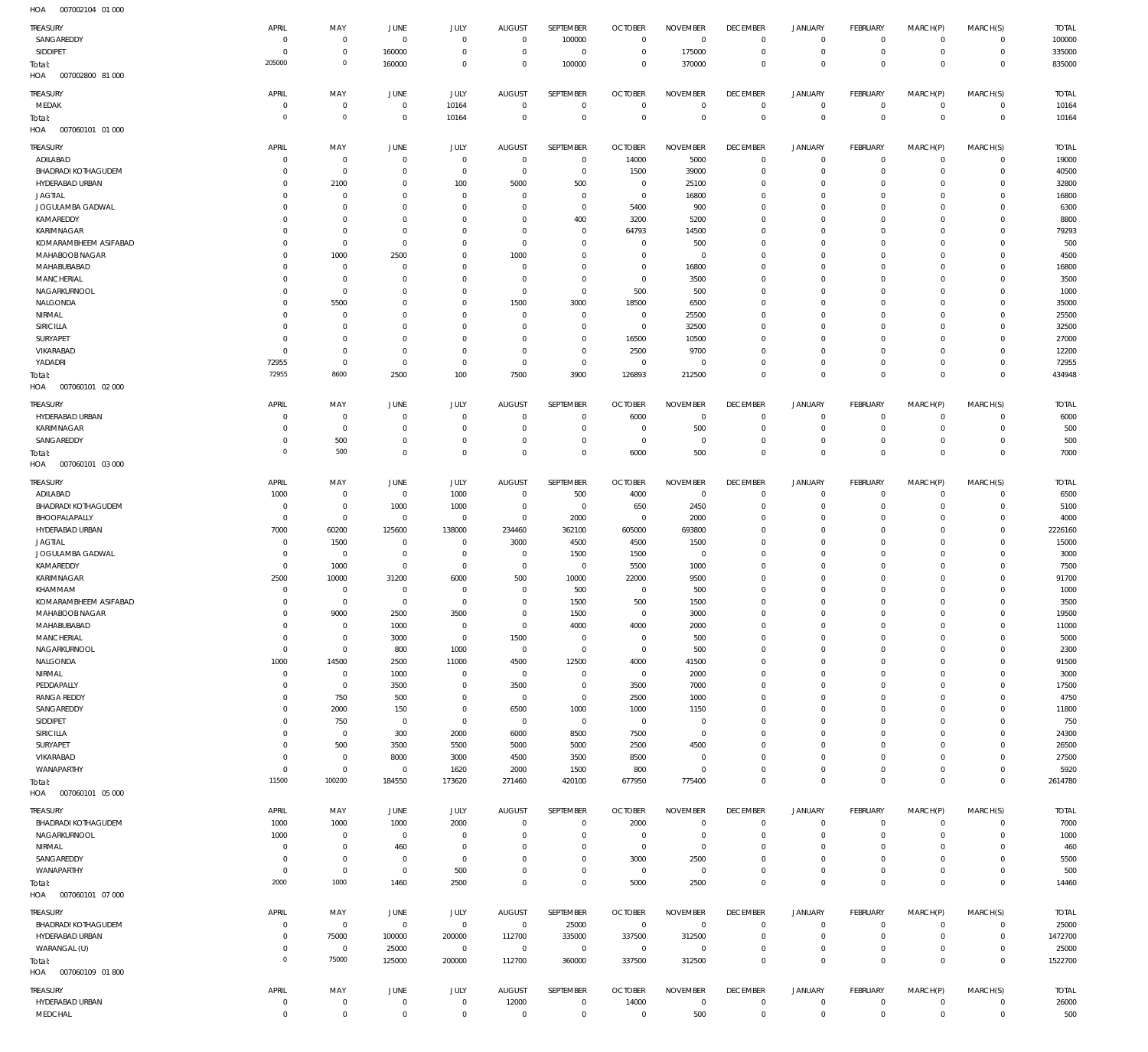| TREASURY                                    | APRIL                        | MAY                              | JUNE                       | JULY                             | <b>AUGUST</b>               | SEPTEMBER                    | <b>OCTOBER</b>                | <b>NOVEMBER</b>                | <b>DECEMBER</b>                 | <b>JANUARY</b>                | FEBRUARY                       | MARCH(P)                   | MARCH(S)                      | <b>TOTAL</b>          |
|---------------------------------------------|------------------------------|----------------------------------|----------------------------|----------------------------------|-----------------------------|------------------------------|-------------------------------|--------------------------------|---------------------------------|-------------------------------|--------------------------------|----------------------------|-------------------------------|-----------------------|
| SANGAREDDY                                  | $\circ$                      | $^{\circ}$                       | $\overline{0}$             | $\overline{0}$                   | $^{\circ}$                  | 100000                       | $^{\circ}$                    | $\mathbf 0$                    | $^{\circ}$                      | $\mathbf 0$                   | $\mathbf{0}$                   | $\mathbf 0$                | $\mathbf 0$                   | 100000                |
| SIDDIPET                                    | $\Omega$<br>205000           | $\overline{0}$<br>$\overline{0}$ | 160000<br>160000           | $\overline{0}$<br>$\overline{0}$ | $^{\circ}$<br>$\mathbf{0}$  | $\mathbf{0}$<br>100000       | $^{\circ}$<br>$^{\circ}$      | 175000<br>370000               | $^{\circ}$<br>$^{\circ}$        | $\mathbf 0$<br>$\mathbf 0$    | $\mathbf{0}$<br>$\overline{0}$ | $\mathbf 0$<br>$\mathbf 0$ | $\mathbf 0$<br>$\overline{0}$ | 335000<br>835000      |
| Total:<br>007002800 81 000<br>HOA           |                              |                                  |                            |                                  |                             |                              |                               |                                |                                 |                               |                                |                            |                               |                       |
|                                             |                              |                                  |                            |                                  |                             |                              |                               |                                |                                 |                               |                                |                            |                               |                       |
| TREASURY<br>MEDAK                           | APRIL<br>$\Omega$            | MAY<br>$\overline{0}$            | <b>JUNE</b><br>$\mathbf 0$ | <b>JULY</b><br>10164             | <b>AUGUST</b><br>$^{\circ}$ | SEPTEMBER<br>$\mathbf{0}$    | <b>OCTOBER</b><br>$\mathbf 0$ | <b>NOVEMBER</b><br>$\mathbf 0$ | <b>DECEMBER</b><br>$\mathbf{0}$ | <b>JANUARY</b><br>$\mathbf 0$ | FEBRUARY<br>$^{\circ}$         | MARCH(P)<br>$\mathbf 0$    | MARCH(S)<br>$\mathbf 0$       | <b>TOTAL</b><br>10164 |
| Total:                                      | $\Omega$                     | $\overline{0}$                   | $\mathbf 0$                | 10164                            | $\Omega$                    | $\mathbf{0}$                 | $\mathbf 0$                   | $\mathbf 0$                    | $\overline{0}$                  | $\mathbf 0$                   | $\overline{0}$                 | $\mathbf 0$                | $\overline{0}$                | 10164                 |
| 007060101 01 000<br>HOA                     |                              |                                  |                            |                                  |                             |                              |                               |                                |                                 |                               |                                |                            |                               |                       |
| TREASURY                                    | APRIL                        | MAY                              | JUNE                       | JULY                             | <b>AUGUST</b>               | SEPTEMBER                    | <b>OCTOBER</b>                | <b>NOVEMBER</b>                | <b>DECEMBER</b>                 | <b>JANUARY</b>                | FEBRUARY                       | MARCH(P)                   | MARCH(S)                      | <b>TOTAL</b>          |
| ADILABAD                                    | $\Omega$                     | $\overline{0}$                   | $^{\circ}$                 | $\overline{0}$                   | $\overline{0}$              | $\mathbf{0}$                 | 14000                         | 5000                           | $^{\circ}$                      | $\mathbf 0$                   | $^{\circ}$                     | 0                          | $\mathbf 0$                   | 19000                 |
| <b>BHADRADI KOTHAGUDEM</b>                  | $\Omega$                     | $\overline{0}$                   | $\Omega$                   | $\overline{0}$                   | $^{\circ}$                  | $\mathbf 0$                  | 1500                          | 39000                          | $^{\circ}$                      | $\mathbf 0$                   | $^{\circ}$                     | 0                          | $\mathbf 0$                   | 40500                 |
| HYDERABAD URBAN                             | $\Omega$                     | 2100                             | $\Omega$                   | 100                              | 5000                        | 500                          | $^{\circ}$                    | 25100                          | $^{\circ}$                      | $\mathbf 0$                   | $\mathbf 0$                    | $\Omega$                   | $\mathbf 0$                   | 32800                 |
| <b>JAGTIAL</b>                              | $\Omega$                     | $^{\circ}$                       | $\Omega$                   | $\mathbf 0$                      | $^{\circ}$                  | $\mathbf{0}$                 | $^{\circ}$                    | 16800                          | $^{\circ}$                      | $\mathbf 0$                   | $\circ$                        | 0                          | $\mathbf 0$                   | 16800                 |
| JOGULAMBA GADWAL<br>KAMAREDDY               | $\Omega$<br>$\Omega$         | $^{\circ}$<br>$^{\circ}$         | $\Omega$<br>$\Omega$       | $\mathbf 0$<br>$\mathbf 0$       | $\Omega$<br>$\Omega$        | $\mathbf{0}$<br>400          | 5400<br>3200                  | 900<br>5200                    | $^{\circ}$<br>$^{\circ}$        | $\mathbf 0$<br>$\mathbf 0$    | $\mathbf 0$<br>$\circ$         | $\Omega$<br>0              | $\mathbf 0$<br>$\mathbf 0$    | 6300<br>8800          |
| KARIMNAGAR                                  | $\Omega$                     | $^{\circ}$                       | $\Omega$                   | $\mathbf 0$                      | 0                           | $\mathbf{0}$                 | 64793                         | 14500                          | $^{\circ}$                      | $\mathbf 0$                   | $\circ$                        | $\Omega$                   | $\mathbf 0$                   | 79293                 |
| KOMARAMBHEEM ASIFABAD                       | $\Omega$                     | $\overline{0}$                   | $^{\circ}$                 | $\mathbf 0$                      | $^{\circ}$                  | $\mathbf{0}$                 | $^{\circ}$                    | 500                            | $^{\circ}$                      | $\mathbf 0$                   | $\circ$                        | 0                          | $\mathbf 0$                   | 500                   |
| MAHABOOB NAGAR                              | $\Omega$                     | 1000                             | 2500                       | $\Omega$                         | 1000                        | $\mathbf{0}$                 | $^{\circ}$                    | $^{\circ}$                     | $^{\circ}$                      | $\mathbf 0$                   | $\circ$                        | 0                          | $\mathbf 0$                   | 4500                  |
| MAHABUBABAD                                 | $\Omega$                     | $^{\circ}$                       | $\Omega$                   | $\mathbf 0$                      | $\overline{0}$              | $\mathbf{0}$                 | $\mathbf 0$                   | 16800                          | $^{\circ}$                      | $\mathbf 0$                   | $\circ$                        | 0                          | $\mathbf 0$                   | 16800                 |
| MANCHERIAL<br>NAGARKURNOOL                  | $\Omega$<br>$\Omega$         | $\overline{0}$<br>$\overline{0}$ | $\Omega$<br>$\Omega$       | $\mathbf 0$<br>$\mathbf 0$       | $\Omega$<br>$^{\circ}$      | $^{\circ}$<br>$\mathbf{0}$   | $\mathbf 0$<br>500            | 3500<br>500                    | $^{\circ}$<br>$^{\circ}$        | $\mathbf 0$<br>$\mathbf 0$    | $\mathbf 0$<br>$\circ$         | 0<br>$\Omega$              | $\mathbf 0$<br>$^{\circ}$     | 3500<br>1000          |
| NALGONDA                                    | $\Omega$                     | 5500                             | $\Omega$                   | $\mathbf 0$                      | 1500                        | 3000                         | 18500                         | 6500                           | $^{\circ}$                      | $\mathbf 0$                   | $\circ$                        | $\Omega$                   | $\mathbf 0$                   | 35000                 |
| NIRMAL                                      | $\Omega$                     | $^{\circ}$                       | $\Omega$                   | $\Omega$                         | $\Omega$                    | $\mathbf{0}$                 | $\mathbf 0$                   | 25500                          | $^{\circ}$                      | $\mathbf 0$                   | $\circ$                        | $\Omega$                   | $\mathbf 0$                   | 25500                 |
| SIRICILLA                                   | $\Omega$                     | $^{\circ}$                       | $\Omega$                   | $\mathbf 0$                      | $\Omega$                    | $\mathbf{0}$                 | $^{\circ}$                    | 32500                          | 0                               | $\mathbf 0$                   | $\circ$                        | $\Omega$                   | $\mathbf 0$                   | 32500                 |
| SURYAPET                                    | $\Omega$                     | $^{\circ}$                       | $\Omega$                   | $\Omega$                         | $\Omega$                    | $\mathbf{0}$                 | 16500                         | 10500                          | $^{\circ}$                      | $\mathbf 0$                   | $\mathbf 0$                    | $\Omega$                   | $^{\circ}$                    | 27000                 |
| VIKARABAD<br>YADADRI                        | $\Omega$<br>72955            | $\overline{0}$<br>$\overline{0}$ | $\Omega$<br>$\Omega$       | $\mathbf 0$<br>$\overline{0}$    | 0<br>$\mathbf{0}$           | $\mathbf{0}$<br>$\mathbf 0$  | 2500<br>$^{\circ}$            | 9700<br>$^{\circ}$             | $^{\circ}$<br>$^{\circ}$        | $\mathbf 0$<br>$\mathbf 0$    | $\mathbf 0$<br>$\mathbf 0$     | 0<br>0                     | $\mathbf 0$<br>$\mathbf 0$    | 12200<br>72955        |
| Total:                                      | 72955                        | 8600                             | 2500                       | 100                              | 7500                        | 3900                         | 126893                        | 212500                         | $\mathbf{0}$                    | $\mathbf 0$                   | $\overline{0}$                 | $\Omega$                   | $\overline{0}$                | 434948                |
| 007060101 02 000<br>HOA                     |                              |                                  |                            |                                  |                             |                              |                               |                                |                                 |                               |                                |                            |                               |                       |
| TREASURY                                    | APRIL                        | MAY                              | <b>JUNE</b>                | JULY                             | <b>AUGUST</b>               | SEPTEMBER                    | <b>OCTOBER</b>                | <b>NOVEMBER</b>                | <b>DECEMBER</b>                 | <b>JANUARY</b>                | FEBRUARY                       | MARCH(P)                   | MARCH(S)                      | <b>TOTAL</b>          |
| HYDERABAD URBAN                             | $\Omega$                     | $^{\circ}$                       | $\Omega$                   | $^{\circ}$                       | 0                           | $^{\circ}$                   | 6000                          | $^{\circ}$                     | $^{\circ}$                      | $\mathbf 0$                   | $\mathbf 0$                    | 0                          | $\mathbf 0$                   | 6000                  |
| KARIMNAGAR                                  | $\Omega$                     | $\overline{0}$                   | $\Omega$                   | $^{\circ}$                       | 0                           | $^{\circ}$                   | $^{\circ}$                    | 500                            | $^{\circ}$                      | $\mathbf 0$                   | $\mathbf 0$                    | 0                          | $\mathbf 0$                   | 500                   |
| SANGAREDDY                                  | $\Omega$                     | 500                              | $\Omega$                   | $^{\circ}$                       | 0                           | $^{\circ}$                   | $^{\circ}$                    | $^{\circ}$                     | $^{\circ}$                      | $\mathbf 0$                   | $\mathbf 0$                    | 0                          | $\mathbf 0$                   | 500                   |
| Total:                                      | $\circ$                      | 500                              | $\Omega$                   | $\mathbf 0$                      | $\Omega$                    | $\mathbf 0$                  | 6000                          | 500                            | $\mathbf{0}$                    | $\mathbf 0$                   | $\overline{0}$                 | $\mathbf 0$                | $\overline{0}$                | 7000                  |
| 007060101 03 000<br>HOA                     |                              |                                  |                            |                                  |                             |                              |                               |                                |                                 |                               |                                |                            |                               |                       |
| TREASURY                                    | APRIL                        | MAY                              | JUNE                       | JULY                             | AUGUST                      | SEPTEMBER                    | <b>OCTOBER</b>                | <b>NOVEMBER</b>                | <b>DECEMBER</b>                 | <b>JANUARY</b>                | FEBRUARY                       | MARCH(P)                   | MARCH(S)                      | <b>TOTAL</b>          |
| ADILABAD                                    | 1000<br>$\Omega$             | $\overline{0}$                   | $\overline{0}$             | 1000                             | $\overline{0}$              | 500                          | 4000                          | $^{\circ}$                     | $^{\circ}$                      | $\mathbf 0$<br>$\mathbf 0$    | $\mathbf 0$                    | 0                          | $\mathbf 0$<br>$\mathbf 0$    | 6500                  |
| <b>BHADRADI KOTHAGUDEM</b><br>BHOOPALAPALLY | $^{\circ}$                   | $\overline{0}$<br>$\overline{0}$ | 1000<br>$\overline{0}$     | 1000<br>$\overline{0}$           | $^{\circ}$<br>$^{\circ}$    | $\mathbf{0}$<br>2000         | 650<br>$^{\circ}$             | 2450<br>2000                   | $^{\circ}$<br>$^{\circ}$        | $\mathbf 0$                   | $^{\circ}$<br>$\mathbf 0$      | 0<br>$\Omega$              | $\mathbf 0$                   | 5100<br>4000          |
| HYDERABAD URBAN                             | 7000                         | 60200                            | 125600                     | 138000                           | 234460                      | 362100                       | 605000                        | 693800                         | $^{\circ}$                      | $\mathbf 0$                   | $\circ$                        | $\Omega$                   | $\mathbf 0$                   | 2226160               |
| <b>JAGTIAL</b>                              | $\circ$                      | 1500                             | $^{\circ}$                 | $\overline{0}$                   | 3000                        | 4500                         | 4500                          | 1500                           | $^{\circ}$                      | $\mathbf 0$                   | $\mathbf 0$                    | $\Omega$                   | $\mathbf 0$                   | 15000                 |
| JOGULAMBA GADWAL                            | $\Omega$                     | $^{\circ}$                       | $^{\circ}$                 | $\overline{0}$                   | $^{\circ}$                  | 1500                         | 1500                          | $^{\circ}$                     | $^{\circ}$                      | $\mathbf 0$                   | $\circ$                        | $\Omega$                   | $\mathbf 0$                   | 3000                  |
| KAMAREDDY                                   | $^{\circ}$                   | 1000                             | $\overline{0}$             | $\overline{0}$                   | $\overline{0}$              | $\mathbf{0}$                 | 5500                          | 1000                           | $^{\circ}$                      | $\mathbf 0$                   | $\mathbf 0$                    | $\Omega$                   | $\mathbf 0$                   | 7500                  |
| <b>KARIMNAGAR</b><br>KHAMMAM                | 2500<br>$\Omega$             | 10000<br>$^{\circ}$              | 31200<br>$\Omega$          | 6000<br>$^{\circ}$               | 500<br>$^{\circ}$           | 10000<br>500                 | 22000<br>$^{\circ}$           | 9500<br>500                    | $^{\circ}$<br>$^{\circ}$        | $\mathbf 0$<br>$\mathbf 0$    | $\mathbf 0$<br>$\circ$         | $\Omega$<br>$\Omega$       | $^{\circ}$<br>$\mathbf 0$     | 91700<br>1000         |
| KOMARAMBHEEM ASIFABAD                       | $\Omega$                     | $\mathbf{0}$                     | $\Omega$                   | $^{\circ}$                       | $\Omega$                    | 1500                         | 500                           | 1500                           | $\mathbf{0}$                    | $\mathbf 0$                   | $\Omega$                       | $\Omega$                   | $\mathbf 0$                   | 3500                  |
| MAHABOOB NAGAR                              | $\Omega$                     | 9000                             | 2500                       | 3500                             | $\Omega$                    | 1500                         | 0                             | 3000                           | 0                               | C                             | -0                             | $\Omega$                   | 0                             | 19500                 |
| MAHABUBABAD                                 | $^{\circ}$                   | $\overline{0}$                   | 1000                       | $\overline{0}$                   | $\overline{0}$              | 4000                         | 4000                          | 2000                           | $^{\circ}$                      | $\mathbf 0$                   | $\mathbf 0$                    | 0                          | $\mathbf 0$                   | 11000                 |
| <b>MANCHERIAL</b>                           | $^{\circ}$                   | $\overline{0}$                   | 3000                       | $\mathbf 0$                      | 1500                        | $\mathbf 0$                  | $\overline{0}$                | 500                            | $^{\circ}$                      | $\mathbf 0$                   | $\mathbf{0}$                   | 0                          | $\mathbf 0$                   | 5000                  |
| NAGARKURNOOL<br>NALGONDA                    | $^{\circ}$<br>1000           | $\overline{0}$<br>14500          | 800<br>2500                | 1000<br>11000                    | $\overline{0}$<br>4500      | $\mathbf 0$<br>12500         | $\overline{0}$<br>4000        | 500<br>41500                   | $\mathbf{0}$<br>$^{\circ}$      | $\mathbf 0$<br>$\mathbf 0$    | $\mathbf 0$<br>$\mathbf 0$     | 0<br>0                     | $\mathbf 0$<br>$\mathbf 0$    | 2300<br>91500         |
| NIRMAL                                      | $\overline{0}$               | $\overline{0}$                   | 1000                       | $\overline{0}$                   | $\overline{0}$              | $\mathbf{0}$                 | $\overline{0}$                | 2000                           | $\mathbf{0}$                    | 0                             | $\mathbf 0$                    | 0                          | $\mathbf 0$                   | 3000                  |
| PEDDAPALLY                                  | $^{\circ}$                   | $\overline{0}$                   | 3500                       | $\mathbf 0$                      | 3500                        | $\mathbf{0}$                 | 3500                          | 7000                           | $^{\circ}$                      | $\mathbf 0$                   | $\mathbf 0$                    | $\Omega$                   | $\mathbf 0$                   | 17500                 |
| <b>RANGA REDDY</b>                          | $\mathbf 0$                  | 750                              | 500                        | $\mathbf 0$                      | $\overline{0}$              | $\mathbf 0$                  | 2500                          | 1000                           | $\mathbf{0}$                    | 0                             | $\mathbf 0$                    | 0                          | $\mathbf 0$                   | 4750                  |
| SANGAREDDY                                  | 0                            | 2000                             | 150                        | $\mathbf 0$                      | 6500                        | 1000                         | 1000                          | 1150                           | $^{\circ}$                      | 0                             | $\mathbf 0$                    | 0                          | $\mathbf 0$                   | 11800                 |
| SIDDIPET<br>SIRICILLA                       | $\Omega$<br>$\circ$          | 750<br>$\overline{0}$            | $\mathbf 0$<br>300         | $\mathbf 0$<br>2000              | $^{\circ}$<br>6000          | $\mathbf 0$<br>8500          | $\overline{0}$<br>7500        | $\mathbf 0$<br>$\mathbf 0$     | $\mathbf{0}$<br>$^{\circ}$      | $\mathbf 0$<br>0              | $\mathbf 0$<br>$\mathbf 0$     | 0<br>0                     | $\mathbf 0$<br>$\mathbf 0$    | 750<br>24300          |
| SURYAPET                                    | $\Omega$                     | 500                              | 3500                       | 5500                             | 5000                        | 5000                         | 2500                          | 4500                           | $^{\circ}$                      | $\mathbf 0$                   | $\mathbf 0$                    | 0                          | $\mathbf 0$                   | 26500                 |
| VIKARABAD                                   | $^{\circ}$                   | $\overline{0}$                   | 8000                       | 3000                             | 4500                        | 3500                         | 8500                          | $\mathbf 0$                    | $\mathbf{0}$                    | 0                             | $^{\circ}$                     | 0                          | $\mathbf 0$                   | 27500                 |
| WANAPARTHY                                  | $^{\circ}$                   | $\overline{0}$                   | $\overline{0}$             | 1620                             | 2000                        | 1500                         | 800                           | $^{\circ}$                     | $\mathbf{0}$                    | $\mathbf 0$                   | $\mathbf{0}$                   | 0                          | $\mathbf 0$                   | 5920                  |
| Total:                                      | 11500                        | 100200                           | 184550                     | 173620                           | 271460                      | 420100                       | 677950                        | 775400                         | $\mathbf 0$                     | $\mathbf 0$                   | $\overline{0}$                 | $\mathbf 0$                | $\overline{0}$                | 2614780               |
| HOA   007060101   05   000                  |                              |                                  |                            |                                  |                             |                              |                               |                                |                                 |                               |                                |                            |                               |                       |
| <b>TREASURY</b>                             | APRIL                        | MAY                              | JUNE                       | JULY                             | <b>AUGUST</b>               | SEPTEMBER                    | <b>OCTOBER</b>                | <b>NOVEMBER</b>                | <b>DECEMBER</b>                 | <b>JANUARY</b>                | FEBRUARY                       | MARCH(P)                   | MARCH(S)                      | <b>TOTAL</b>          |
| <b>BHADRADI KOTHAGUDEM</b><br>NAGARKURNOOL  | 1000<br>1000                 | 1000<br>$\overline{0}$           | 1000<br>$\overline{0}$     | 2000<br>$\overline{0}$           | $^{\circ}$<br>$^{\circ}$    | $\mathbf{0}$<br>$\mathbf{0}$ | 2000<br>$^{\circ}$            | $^{\circ}$<br>$^{\circ}$       | $\mathbf{0}$<br>$\mathbf{0}$    | $\mathbf 0$<br>$\mathbf 0$    | $\mathbf 0$<br>$\mathbf 0$     | 0<br>0                     | $\mathbf 0$<br>$\mathbf 0$    | 7000<br>1000          |
| NIRMAL                                      | $\circ$                      | $\overline{0}$                   | 460                        | $^{\circ}$                       | $^{\circ}$                  | $^{\circ}$                   | $^{\circ}$                    | $^{\circ}$                     | $^{\circ}$                      | $\mathbf 0$                   | $\mathbf 0$                    | 0                          | $\mathbf 0$                   | 460                   |
| SANGAREDDY                                  | $\circ$                      | $\mathbf 0$                      | $\overline{0}$             | $\overline{0}$                   | $\Omega$                    | $^{\circ}$                   | 3000                          | 2500                           | $\mathbf{0}$                    | $\mathbf 0$                   | $\mathbf 0$                    | 0                          | $\mathbf 0$                   | 5500                  |
| WANAPARTHY                                  | $^{\circ}$                   | $\overline{0}$                   | $\overline{0}$             | 500                              | $\mathbf{0}$                | $\mathbf{0}$                 | $^{\circ}$                    | $^{\circ}$                     | $\mathbf{0}$                    | $\mathbf 0$                   | $\mathbf 0$                    | 0                          | $\mathbf 0$                   | 500                   |
| Total:                                      | 2000                         | 1000                             | 1460                       | 2500                             | $\Omega$                    | $\mathbb O$                  | 5000                          | 2500                           | $\mathbf 0$                     | $\mathbf 0$                   | $\overline{0}$                 | $\mathbf 0$                | $\overline{0}$                | 14460                 |
| HOA   007060101   07   000                  |                              |                                  |                            |                                  |                             |                              |                               |                                |                                 |                               |                                |                            |                               |                       |
| <b>TREASURY</b>                             | APRIL                        | MAY                              | JUNE                       | JULY                             | AUGUST                      | SEPTEMBER                    | <b>OCTOBER</b>                | <b>NOVEMBER</b>                | <b>DECEMBER</b>                 | <b>JANUARY</b>                | FEBRUARY                       | MARCH(P)                   | MARCH(S)                      | <b>TOTAL</b>          |
| <b>BHADRADI KOTHAGUDEM</b>                  | $^{\circ}$                   | $\overline{0}$                   | $\mathbf 0$                | $\mathbf 0$                      | $\mathbf 0$                 | 25000                        | $\overline{0}$                | $\mathbf 0$                    | $^{\circ}$                      | $\mathbf 0$                   | $\mathbf{0}$                   | $\mathbf 0$                | $\mathbf 0$                   | 25000                 |
| HYDERABAD URBAN<br>WARANGAL (U)             | $^{\circ}$<br>$\overline{0}$ | 75000<br>$\overline{0}$          | 100000<br>25000            | 200000<br>$\mathbf 0$            | 112700<br>$\overline{0}$    | 335000<br>$\mathbf{0}$       | 337500<br>$^{\circ}$          | 312500<br>$^{\circ}$           | $^{\circ}$<br>$^{\circ}$        | $\mathbf 0$<br>$\mathbf 0$    | $\mathbf{0}$<br>$\mathbf{0}$   | 0<br>0                     | $\mathbf 0$<br>$\mathbf 0$    | 1472700<br>25000      |
| Total:                                      | $\mathbf 0$                  | 75000                            | 125000                     | 200000                           | 112700                      | 360000                       | 337500                        | 312500                         | $\mathbf 0$                     | $\mathbf 0$                   | $\overline{0}$                 | $\mathbf 0$                | $\overline{0}$                | 1522700               |
| HOA   007060109   01   800                  |                              |                                  |                            |                                  |                             |                              |                               |                                |                                 |                               |                                |                            |                               |                       |
| <b>TREASURY</b>                             | APRIL                        | MAY                              | <b>JUNE</b>                | JULY                             | <b>AUGUST</b>               | SEPTEMBER                    | <b>OCTOBER</b>                | <b>NOVEMBER</b>                | <b>DECEMBER</b>                 | <b>JANUARY</b>                | FEBRUARY                       | MARCH(P)                   | MARCH(S)                      | <b>TOTAL</b>          |
| HYDERABAD URBAN                             | $\overline{0}$               | $\overline{0}$                   | $\overline{0}$             | $\mathbf 0$                      | 12000                       | $\mathbf{0}$                 | 14000                         | $^{\circ}$                     | $\mathbf{0}$                    | $\mathbf 0$                   | $\mathbf{0}$                   | $\mathbf 0$                | $\circ$                       | 26000                 |
| MEDCHAL                                     | $^{\circ}$                   | $\overline{0}$                   | $\mathbf 0$                | $\mathbf 0$                      | $\mathbf{0}$                | $\mathbb O$                  | $^{\circ}$                    | 500                            | $\mathbf 0$                     | $\mathbf 0$                   | $\circ$                        | $\mathbf 0$                | $\circ$                       | 500                   |
|                                             |                              |                                  |                            |                                  |                             |                              |                               |                                |                                 |                               |                                |                            |                               |                       |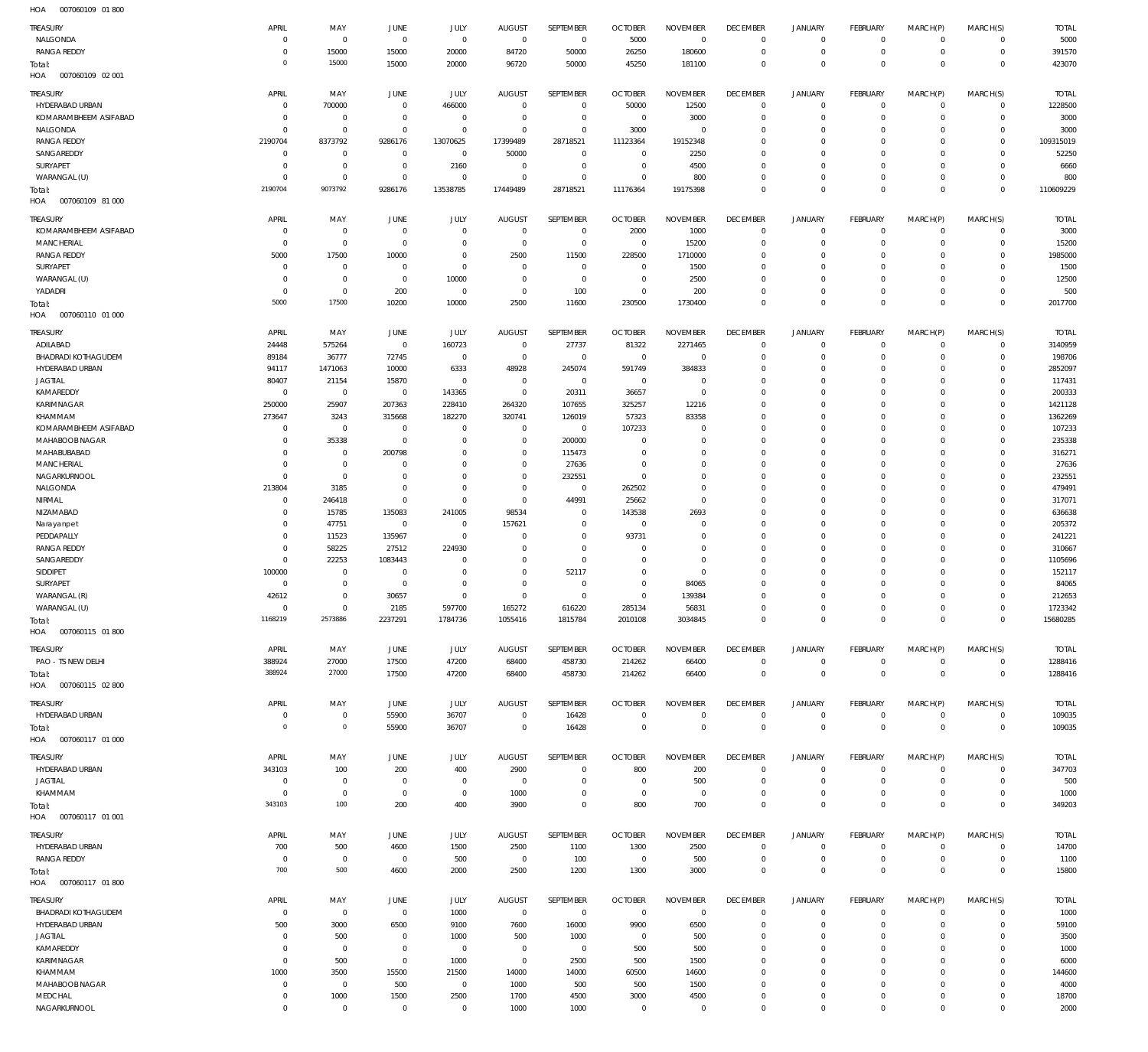| TREASURY                   | APRIL          | MAY                                | JUNE           | JULY           | <b>AUGUST</b>  | SEPTEMBER      | <b>OCTOBER</b> | <b>NOVEMBER</b> | <b>DECEMBER</b> | <b>JANUARY</b> | <b>FEBRUARY</b> | MARCH(P)       | MARCH(S)       | <b>TOTAL</b> |
|----------------------------|----------------|------------------------------------|----------------|----------------|----------------|----------------|----------------|-----------------|-----------------|----------------|-----------------|----------------|----------------|--------------|
| NALGONDA                   | $\overline{0}$ | $\mathbf{0}$                       | $^{\circ}$     | $\mathbf 0$    | $\overline{0}$ | $\overline{0}$ | 5000           | $\mathbf 0$     | $\overline{0}$  | $\circ$        | $\mathbf 0$     | $\mathbf 0$    | $\mathbf 0$    | 5000         |
| <b>RANGA REDDY</b>         | 0              | 15000                              | 15000          | 20000          | 84720          | 50000          | 26250          | 180600          | $^{\circ}$      | $\mathbf 0$    | $\Omega$        | $\mathbf 0$    | $\mathbf 0$    | 391570       |
| Total:                     | $\overline{0}$ | 15000                              | 15000          | 20000          | 96720          | 50000          | 45250          | 181100          | $\Omega$        | $\Omega$       | $\Omega$        | $\Omega$       | $\mathbb O$    | 423070       |
| 007060109 02 001<br>HOA    |                |                                    |                |                |                |                |                |                 |                 |                |                 |                |                |              |
|                            |                |                                    |                |                |                |                |                |                 |                 |                |                 |                |                |              |
| <b>TREASURY</b>            | APRIL          | MAY                                | JUNE           | JULY           | <b>AUGUST</b>  | SEPTEMBER      | <b>OCTOBER</b> | <b>NOVEMBER</b> | <b>DECEMBER</b> | <b>JANUARY</b> | <b>FEBRUARY</b> | MARCH(P)       | MARCH(S)       | <b>TOTAL</b> |
| HYDERABAD URBAN            | $\overline{0}$ | 700000                             | $\overline{0}$ | 466000         | $\overline{0}$ | $\overline{0}$ | 50000          | 12500           | $^{\circ}$      | $\mathbf 0$    | $\Omega$        | $\mathbf 0$    | $\mathbf 0$    | 1228500      |
| KOMARAMBHEEM ASIFABAD      | 0              | $^{\circ}$                         | $\overline{0}$ | $^{\circ}$     | $^{\circ}$     | $\mathbf 0$    | $^{\circ}$     | 3000            | $\Omega$        | $\mathbf 0$    |                 | $\Omega$       | $\mathbf 0$    | 3000         |
| NALGONDA                   | $^{\circ}$     | $\mathbf 0$                        | $\overline{0}$ | $\mathbb O$    | $\Omega$       | $\mathbf 0$    | 3000           | $\Omega$        | $\Omega$        | $\mathbf 0$    |                 | $\Omega$       | $\mathbf 0$    | 3000         |
| <b>RANGA REDDY</b>         | 2190704        | 8373792                            | 9286176        | 13070625       | 17399489       | 28718521       | 11123364       | 19152348        | $\Omega$        | $\mathbf 0$    |                 | $\Omega$       | $\mathbf 0$    | 109315019    |
| SANGAREDDY                 | $\overline{0}$ | $^{\circ}$                         | $\overline{0}$ | $\mathbb O$    | 50000          | $^{\circ}$     | $^{\circ}$     | 2250            | $\Omega$        | $\Omega$       |                 |                | $\Omega$       | 52250        |
| SURYAPET                   | $\overline{0}$ | $\mathbf 0$                        | $\overline{0}$ | 2160           | $\overline{0}$ | $\mathbf 0$    | $^{\circ}$     | 4500            | $\Omega$        | $\mathbf 0$    |                 | $\Omega$       | $\mathbf 0$    | 6660         |
| WARANGAL (U)               | 0              | $\mathbf{0}$                       | $\overline{0}$ | $\mathbf 0$    | $^{\circ}$     | $\mathbf 0$    | $\mathbf 0$    | 800             | $\Omega$        | $\mathbf 0$    |                 | $\Omega$       | $\mathbf 0$    | 800          |
| Total:                     | 2190704        | 9073792                            | 9286176        | 13538785       | 17449489       | 28718521       | 11176364       | 19175398        | $\Omega$        | $\Omega$       | $\Omega$        | $\Omega$       | $\overline{0}$ | 110609229    |
| 007060109 81 000<br>HOA    |                |                                    |                |                |                |                |                |                 |                 |                |                 |                |                |              |
|                            |                |                                    |                |                |                |                |                |                 |                 |                |                 |                |                |              |
| <b>TREASURY</b>            | APRIL          | MAY                                | JUNE           | JULY           | <b>AUGUST</b>  | SEPTEMBER      | <b>OCTOBER</b> | <b>NOVEMBER</b> | <b>DECEMBER</b> | <b>JANUARY</b> | <b>FEBRUARY</b> | MARCH(P)       | MARCH(S)       | <b>TOTAL</b> |
| KOMARAMBHEEM ASIFABAD      | $\overline{0}$ | $\mathbf{0}$                       | $^{\circ}$     | $\overline{0}$ | $\overline{0}$ | $\overline{0}$ | 2000           | 1000            | $\overline{0}$  | $\mathbf 0$    | $\mathbf 0$     | $\mathbf 0$    | $\mathbf 0$    | 3000         |
| MANCHERIAL                 | 0              | $\mathbf 0$                        | $\overline{0}$ | $\mathbf 0$    | $\overline{0}$ | $\mathbf 0$    | $^{\circ}$     | 15200           | $^{\circ}$      | $\mathbf 0$    | $\Omega$        | $\Omega$       | $\mathbf 0$    | 15200        |
| <b>RANGA REDDY</b>         | 5000           | 17500                              | 10000          | $\mathbb O$    | 2500           | 11500          | 228500         | 1710000         | $\Omega$        | $\mathbf 0$    | $\Omega$        | $\Omega$       | $\mathbf 0$    | 1985000      |
| SURYAPET                   | 0              | $\mathbf{0}$                       | $\overline{0}$ | $\mathbb O$    | $\mathbf 0$    | $\overline{0}$ | $^{\circ}$     | 1500            | $^{\circ}$      | $\mathbf 0$    | $\Omega$        | $\Omega$       | $\mathbf 0$    | 1500         |
| WARANGAL (U)               | 0              | $\mathbf 0$                        | $^{\circ}$     | 10000          | $\Omega$       | $\mathbf 0$    | $^{\circ}$     | 2500            | $\Omega$        | $\mathbf 0$    | $\Omega$        | $\Omega$       | $\Omega$       | 12500        |
| YADADRI                    | $\overline{0}$ | $\mathbf 0$                        | 200            | $\mathbb O$    | $\overline{0}$ | 100            | $\overline{0}$ | 200             | $\Omega$        | $\mathbf 0$    | $\Omega$        | $\Omega$       | $\mathbf 0$    | 500          |
| Total:                     | 5000           | 17500                              | 10200          | 10000          | 2500           | 11600          | 230500         | 1730400         | $\Omega$        | $\overline{0}$ | $\Omega$        | $\Omega$       | $\mathbb O$    | 2017700      |
| 007060110 01 000<br>HOA    |                |                                    |                |                |                |                |                |                 |                 |                |                 |                |                |              |
| TREASURY                   | APRIL          | MAY                                | JUNE           | JULY           | <b>AUGUST</b>  | SEPTEMBER      | <b>OCTOBER</b> | <b>NOVEMBER</b> | <b>DECEMBER</b> | JANUARY        | <b>FEBRUARY</b> | MARCH(P)       | MARCH(S)       | <b>TOTAL</b> |
| ADILABAD                   | 24448          | 575264                             | $^{\circ}$     | 160723         | $\overline{0}$ | 27737          | 81322          | 2271465         | $^{\circ}$      | $\mathbf 0$    | $\Omega$        | $\Omega$       | $\mathbf 0$    | 3140959      |
| <b>BHADRADI KOTHAGUDEM</b> | 89184          | 36777                              | 72745          | $\overline{0}$ | $\overline{0}$ | $\overline{0}$ | $^{\circ}$     | $\mathbf 0$     | $\circ$         | $\mathbf 0$    | $\Omega$        | $\Omega$       | $\mathbf 0$    | 198706       |
| HYDERABAD URBAN            | 94117          | 1471063                            | 10000          | 6333           | 48928          | 245074         | 591749         | 384833          | $\Omega$        | $\mathbf 0$    |                 |                | $\Omega$       | 2852097      |
|                            |                |                                    |                | $\mathbf{0}$   |                |                |                |                 |                 |                |                 | $\Omega$       |                |              |
| <b>JAGTIAL</b>             | 80407          | 21154                              | 15870          |                | $\overline{0}$ | $\overline{0}$ | $\overline{0}$ | $\mathbf 0$     | $\Omega$        | $\mathbf 0$    |                 |                | $\mathbf 0$    | 117431       |
| KAMAREDDY                  | $^{\circ}$     | $^{\circ}$                         | $^{\circ}$     | 143365         | $\overline{0}$ | 20311          | 36657          | $\overline{0}$  | $\Omega$        | $\mathbf 0$    |                 | $\Omega$       | $\Omega$       | 200333       |
| KARIMNAGAR                 | 250000         | 25907                              | 207363         | 228410         | 264320         | 107655         | 325257         | 12216           | $\Omega$        | $\Omega$       |                 | $\Omega$       | $\mathbf 0$    | 1421128      |
| KHAMMAM                    | 273647         | 3243                               | 315668         | 182270         | 320741         | 126019         | 57323          | 83358           | $\Omega$        | $\mathbf 0$    |                 | $\Omega$       | $\Omega$       | 1362269      |
| KOMARAMBHEEM ASIFABAD      | $\mathbf 0$    | $\mathbf{0}$                       | $\overline{0}$ | $\mathbf 0$    | $\mathbf 0$    | $\overline{0}$ | 107233         | $\Omega$        | $\Omega$        | $\mathbf 0$    |                 |                | $\mathbf 0$    | 107233       |
| MAHABOOB NAGAR             | $\Omega$       | 35338                              | $\overline{0}$ | $\mathbf 0$    | $\mathbf 0$    | 200000         | $\mathbf 0$    | $\mathbf 0$     | $\Omega$        | $\Omega$       |                 |                | $\Omega$       | 235338       |
| MAHABUBABAD                | 0              | $\mathbf{0}$                       | 200798         | $\mathbf 0$    | $\mathbf 0$    | 115473         | $\mathbf 0$    | $\mathbf 0$     | $\Omega$        | $\mathbf 0$    |                 | $\Omega$       | $\mathbf 0$    | 316271       |
| MANCHERIAL                 | $\Omega$       | $\mathbf 0$                        | C              | $\Omega$       | $\Omega$       | 27636          | $\Omega$       | $\Omega$        |                 | $\Omega$       |                 |                | $\Omega$       | 27636        |
| NAGARKURNOOL               | $\mathbf 0$    | $\mathbf 0$                        | $\mathbf 0$    | $\mathbf 0$    | $\mathbf 0$    | 232551         | $\Omega$       | $\mathbf 0$     | $\Omega$        | $\mathbf 0$    |                 | $\Omega$       | $\mathbf 0$    | 232551       |
| NALGONDA                   | 213804         | 3185                               | $\mathbf 0$    | $\mathbf 0$    | $\mathbf 0$    | $\overline{0}$ | 262502         | $\Omega$        | $\Omega$        | $\mathbf 0$    |                 |                | $\Omega$       | 479491       |
| NIRMAL                     | $^{\circ}$     | 246418                             | $\mathsf{C}$   | $\mathbf 0$    | $\mathbf 0$    | 44991          | 25662          | $\Omega$        | $\Omega$        | $\Omega$       |                 | $\Omega$       | $\Omega$       | 317071       |
| NIZAMABAD                  | 0              | 15785                              | 135083         | 241005         | 98534          | $\mathbf 0$    | 143538         | 2693            | $\Omega$        | $\mathbf 0$    |                 | $\Omega$       | $\Omega$       | 636638       |
| Narayanpet                 | 0              | 47751                              | $\overline{0}$ | $\mathbf{0}$   | 157621         | $\mathbf 0$    | 0              | $\Omega$        | $\Omega$        | $\mathbf 0$    |                 | $\Omega$       | $\mathbf 0$    | 205372       |
| PEDDAPALLY                 | $\Omega$       | 11523                              | 135967         | $\mathbf 0$    | $\Omega$       | $\mathbf 0$    | 93731          | $\mathbf 0$     | $\Omega$        | $\Omega$       |                 |                | $\Omega$       | 241221       |
| <b>RANGA REDDY</b>         | 0              | 58225                              | 27512          | 224930         | $\Omega$       | $\mathbf 0$    | $^{\circ}$     | $\mathbf 0$     | $\Omega$        | $\mathbf 0$    |                 | $\Omega$       | $\mathbf 0$    | 310667       |
| SANGAREDDY                 | $\Omega$       | 22253                              | 1083443        | $\Omega$       | $\Omega$       | $\mathbf 0$    | $\Omega$       | $\Omega$        |                 | $\Omega$       |                 |                | $\Omega$       | 1105696      |
| SIDDIPET                   | 100000         | $\mathbf{0}$                       | $\overline{0}$ | $\overline{0}$ | $\Omega$       | 52117          | 0              | $\overline{0}$  | $\Omega$        | $\mathbf 0$    |                 | $\Omega$       | $\mathbf 0$    | 152117       |
| SURYAPET                   | $\overline{0}$ | $\mathbf 0$                        | $\overline{0}$ | $\mathbf 0$    | $\Omega$       | $\overline{0}$ | $\Omega$       | 84065           |                 | $\Omega$       |                 |                | $\Omega$       | 84065        |
| WARANGAL (R)               | 42612          | $\mathbf{0}$                       | 30657          | $\mathbf 0$    | $\Omega$       | $\mathbf 0$    | $\Omega$       | 139384          |                 | $\Omega$       |                 | $\Omega$       | $\mathbf 0$    | 212653       |
| WARANGAL (U)               | $^{\circ}$     | $\mathbf 0$                        | 2185           | 597700         | 165272         | 616220         | 285134         | 56831           | $\Omega$        | $\Omega$       | $\Omega$        | $\Omega$       | $\mathbf 0$    | 1723342      |
| Total:                     | 1168219        | 2573886                            | 2237291        | 1784736        | 1055416        | 1815784        | 2010108        | 3034845         | $\mathbf{0}$    | $\mathbf 0$    | $\overline{0}$  | $\overline{0}$ | $\overline{0}$ | 15680285     |
| HOA<br>007060115 01 800    |                |                                    |                |                |                |                |                |                 |                 |                |                 |                |                |              |
|                            |                |                                    |                |                |                |                |                |                 |                 |                |                 |                |                |              |
| <b>TREASURY</b>            | APRIL          | MAY                                | JUNE           | JULY           | <b>AUGUST</b>  | SEPTEMBER      | <b>OCTOBER</b> | <b>NOVEMBER</b> | <b>DECEMBER</b> | <b>JANUARY</b> | <b>FEBRUARY</b> | MARCH(P)       | MARCH(S)       | <b>TOTAL</b> |
| PAO - TS NEW DELHI         | 388924         | 27000                              | 17500          | 47200          | 68400          | 458730         | 214262         | 66400           | $\overline{0}$  | $\circ$        | $\overline{0}$  | $\mathbf 0$    | $\circ$        | 1288416      |
| Total:                     | 388924         | 27000                              | 17500          | 47200          | 68400          | 458730         | 214262         | 66400           | $^{\circ}$      | $\,0\,$        | $^{\circ}$      | $\overline{0}$ | $\mathbf 0$    | 1288416      |
| HOA  007060115  02  800    |                |                                    |                |                |                |                |                |                 |                 |                |                 |                |                |              |
| <b>TREASURY</b>            | APRIL          | MAY                                | JUNE           | JULY           | <b>AUGUST</b>  | SEPTEMBER      | <b>OCTOBER</b> | <b>NOVEMBER</b> | <b>DECEMBER</b> | <b>JANUARY</b> | <b>FEBRUARY</b> | MARCH(P)       | MARCH(S)       | <b>TOTAL</b> |
|                            |                |                                    |                | 36707          | $\overline{0}$ |                | $^{\circ}$     | $\mathbf 0$     |                 | $\mathbf 0$    | $\mathbf 0$     |                | $\mathbf 0$    |              |
| HYDERABAD URBAN            | - 0<br>$\circ$ | $\mathbf 0$<br>$\mathsf{O}\xspace$ | 55900          |                |                | 16428          |                |                 | $\overline{0}$  |                |                 | $\circ$        |                | 109035       |
| Total:                     |                |                                    | 55900          | 36707          | $\overline{0}$ | 16428          | $\mathbf 0$    | $\,0\,$         | $\mathbf 0$     | $\,0\,$        | $^{\circ}$      | $\mathbf{0}$   | $\mathbf 0$    | 109035       |
| HOA  007060117  01  000    |                |                                    |                |                |                |                |                |                 |                 |                |                 |                |                |              |
| <b>TREASURY</b>            | APRIL          | MAY                                | JUNE           | JULY           | <b>AUGUST</b>  | SEPTEMBER      | <b>OCTOBER</b> | <b>NOVEMBER</b> | <b>DECEMBER</b> | <b>JANUARY</b> | <b>FEBRUARY</b> | MARCH(P)       | MARCH(S)       | <b>TOTAL</b> |
| HYDERABAD URBAN            | 343103         | 100                                | 200            | 400            | 2900           | $\overline{0}$ | 800            | 200             | $^{\circ}$      | $\circ$        | $\Omega$        | $\Omega$       | $\mathbf 0$    | 347703       |
| JAGTIAL                    | $\overline{0}$ | $\mathbf{0}$                       | $^{\circ}$     | $\mathbf 0$    | $\overline{0}$ | $\mathbf 0$    | $^{\circ}$     | 500             | $^{\circ}$      | $\mathbf 0$    | $\Omega$        | $\Omega$       | $\mathbf 0$    | 500          |
| KHAMMAM                    | $\overline{0}$ | $\mathbf 0$                        | $\overline{0}$ | $\mathbf 0$    | 1000           | $\overline{0}$ | $\overline{0}$ | $\overline{0}$  | $^{\circ}$      | $\mathbf 0$    | $\Omega$        | $\mathbf 0$    | $\mathbf 0$    | 1000         |
| Total:                     | 343103         | 100                                | 200            | 400            | 3900           | $\mathbf 0$    | 800            | 700             | $\mathbf 0$     | $\mathbf 0$    | $\Omega$        | $\mathbf 0$    | $\mathbf 0$    | 349203       |
| HOA   007060117   01   001 |                |                                    |                |                |                |                |                |                 |                 |                |                 |                |                |              |
|                            |                |                                    |                |                |                |                |                |                 |                 |                |                 |                |                |              |
| <b>TREASURY</b>            | APRIL          | MAY                                | JUNE           | JULY           | <b>AUGUST</b>  | SEPTEMBER      | <b>OCTOBER</b> | <b>NOVEMBER</b> | <b>DECEMBER</b> | <b>JANUARY</b> | <b>FEBRUARY</b> | MARCH(P)       | MARCH(S)       | <b>TOTAL</b> |
| HYDERABAD URBAN            | 700            | 500                                | 4600           | 1500           | 2500           | 1100           | 1300           | 2500            | $^{\circ}$      | $\mathbf 0$    | $\Omega$        | $\Omega$       | $\mathbf 0$    | 14700        |
| RANGA REDDY                | $\overline{0}$ | $\mathbf{0}$                       | $\overline{0}$ | 500            | $\overline{0}$ | 100            | $^{\circ}$     | 500             | $^{\circ}$      | $\mathbf 0$    | $\circ$         | $\mathbf 0$    | $\mathbf 0$    | 1100         |
| Total:                     | 700            | 500                                | 4600           | 2000           | 2500           | 1200           | 1300           | 3000            | $^{\circ}$      | $\mathbf{0}$   | $^{\circ}$      | $\mathbf{0}$   | $\mathbf 0$    | 15800        |
| HOA  007060117  01 800     |                |                                    |                |                |                |                |                |                 |                 |                |                 |                |                |              |
|                            |                |                                    |                |                |                |                |                |                 |                 |                |                 |                |                |              |
| TREASURY                   | APRIL          | MAY                                | JUNE           | JULY           | <b>AUGUST</b>  | SEPTEMBER      | <b>OCTOBER</b> | <b>NOVEMBER</b> | <b>DECEMBER</b> | <b>JANUARY</b> | <b>FEBRUARY</b> | MARCH(P)       | MARCH(S)       | <b>TOTAL</b> |
| <b>BHADRADI KOTHAGUDEM</b> | $\overline{0}$ | $\mathbf 0$                        | $\mathbf 0$    | 1000           | $\mathbf 0$    | $\overline{0}$ | $\mathbf 0$    | $\overline{0}$  | $^{\circ}$      | $\circ$        | $\Omega$        | $\Omega$       | $\mathbf 0$    | 1000         |
| HYDERABAD URBAN            | 500            | 3000                               | 6500           | 9100           | 7600           | 16000          | 9900           | 6500            | $^{\circ}$      | $\mathbf 0$    | $\circ$         | $\Omega$       | $\mathbf 0$    | 59100        |
| <b>JAGTIAL</b>             | 0              | 500                                | $^{\circ}$     | 1000           | 500            | 1000           | $\overline{0}$ | 500             | $^{\circ}$      | $\mathbf 0$    | $\Omega$        | $\Omega$       | $\mathbf 0$    | 3500         |
| KAMAREDDY                  | $\overline{0}$ | $\mathbf{0}$                       | $\overline{0}$ | $\overline{0}$ | $\overline{0}$ | $\overline{0}$ | 500            | 500             | $\Omega$        | $\mathbf 0$    | $\Omega$        | $\Omega$       | $\mathbf 0$    | 1000         |
| KARIMNAGAR                 | $^{\circ}$     | 500                                | $\overline{0}$ | 1000           | $\overline{0}$ | 2500           | 500            | 1500            | $^{\circ}$      | $\mathbf 0$    |                 | $\Omega$       | $\mathbf 0$    | 6000         |
| KHAMMAM                    | 1000           | 3500                               | 15500          | 21500          | 14000          | 14000          | 60500          | 14600           | $\Omega$        | $\mathbf 0$    | $\Omega$        | $\Omega$       | $\mathbf 0$    | 144600       |
| MAHABOOB NAGAR             | $^{\circ}$     | $\mathbf 0$                        | 500            | $\mathbb O$    | 1000           | 500            | 500            | 1500            | $^{\circ}$      | $\mathbf 0$    | $\Omega$        | $\mathbf 0$    | $\circ$        | 4000         |
| MEDCHAL                    | $\mathbf 0$    | 1000                               | 1500           | 2500           | 1700           | 4500           | 3000           | 4500            | $\mathbf{0}$    | $\mathbf 0$    | $\Omega$        | $\mathbf 0$    | $\mathbf 0$    | 18700        |

007060109 01 800 HOA

NAGARKURNOOL

 $\,$  0  $\,$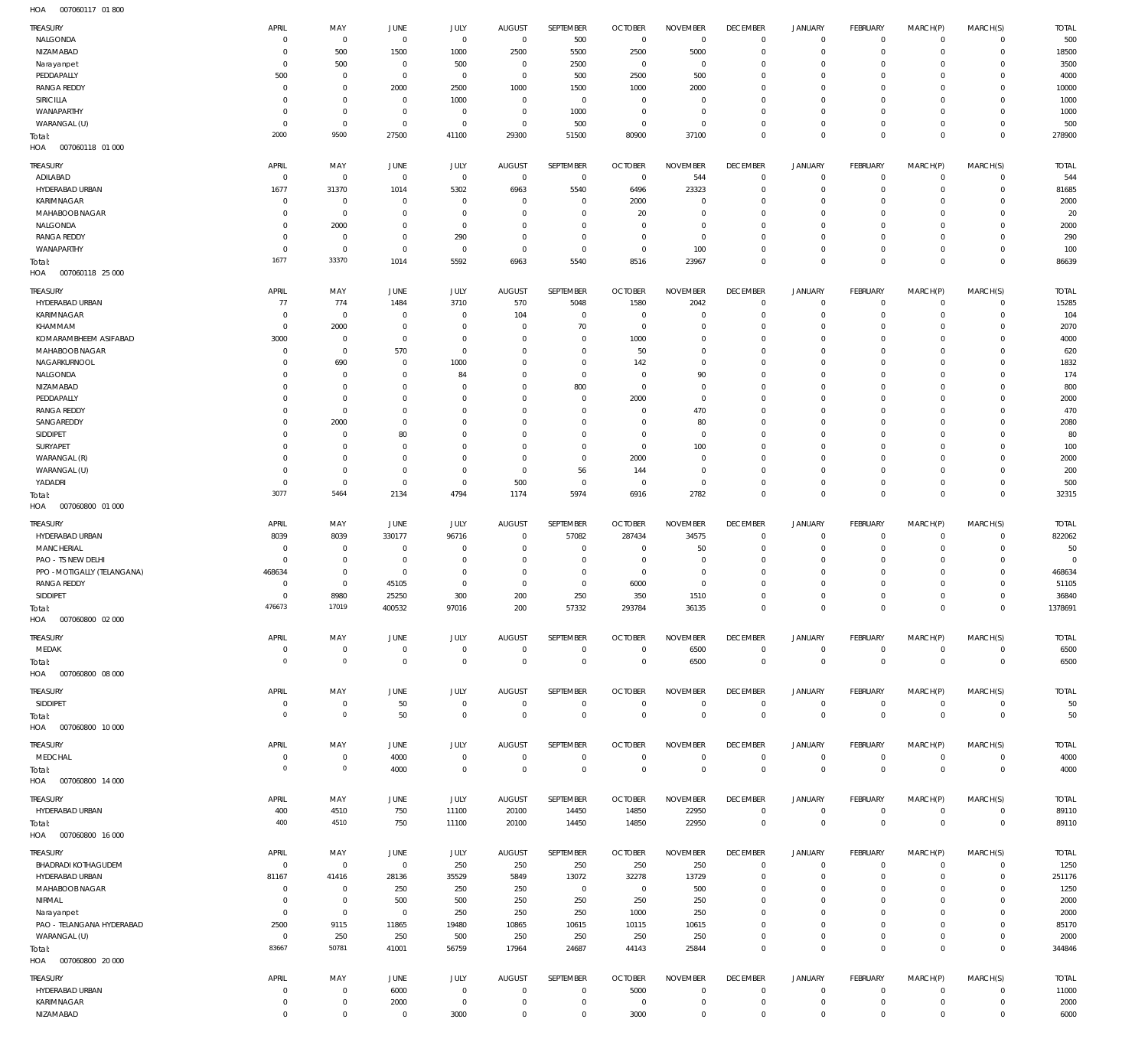007060117 01 800 HOA

| TREASURY                                          | APRIL                      | MAY                              | JUNE                               | JULY                               | <b>AUGUST</b>                 | SEPTEMBER                   | <b>OCTOBER</b>                   | <b>NOVEMBER</b>                | <b>DECEMBER</b>            | JANUARY                          | FEBRUARY                         | MARCH(P)                      | MARCH(S)                      | <b>TOTAL</b>          |
|---------------------------------------------------|----------------------------|----------------------------------|------------------------------------|------------------------------------|-------------------------------|-----------------------------|----------------------------------|--------------------------------|----------------------------|----------------------------------|----------------------------------|-------------------------------|-------------------------------|-----------------------|
| NALGONDA                                          | $\epsilon$                 | $\mathbf 0$<br>500               | $\overline{0}$<br>1500             | $\,0\,$<br>1000                    | $\mathbf 0$                   | 500                         | $\overline{0}$<br>2500           | $\mathbf 0$                    | 0<br>$\mathbf 0$           | $\mathbf 0$<br>$\mathbf 0$       | $\mathbf{0}$<br>$^{\circ}$       | $\mathbf 0$<br>0              | $\mathbf 0$<br>$\mathbf 0$    | 500<br>18500          |
| NIZAMABAD<br>Narayanpet                           | -0<br>$\Omega$             | 500                              | $\overline{0}$                     | 500                                | 2500<br>0                     | 5500<br>2500                | $\circ$                          | 5000<br>$^{\circ}$             | 0                          | $\mathbf 0$                      | $^{\circ}$                       | 0                             | $^{\circ}$                    | 3500                  |
| PEDDAPALLY                                        | 500                        | $\overline{0}$                   | $\overline{0}$                     | $\mathbb O$                        | $\circ$                       | 500                         | 2500                             | 500                            | 0                          | $\mathbf 0$                      | $\mathbf 0$                      | $\Omega$                      | $\mathbf 0$                   | 4000                  |
| <b>RANGA REDDY</b>                                | $\Omega$                   | $\overline{0}$                   | 2000                               | 2500                               | 1000                          | 1500                        | 1000                             | 2000                           | 0                          | $\mathbf 0$                      | $^{\circ}$                       | 0                             | $^{\circ}$                    | 10000                 |
| SIRICILLA                                         | $\Omega$                   | $\mathbf 0$                      | $\overline{0}$                     | 1000                               | 0                             | $\mathbf 0$                 | 0                                | 0                              | 0                          | $\mathbf 0$                      | $^{\circ}$                       | $\Omega$                      | $\mathbf 0$                   | 1000                  |
| WANAPARTHY                                        | $\Omega$<br>$\Omega$       | $\mathbf 0$<br>$\mathbf 0$       | $\overline{0}$<br>$\overline{0}$   | $\overline{0}$<br>$\mathbb O$      | 0                             | 1000                        | $^{\circ}$<br>$^{\circ}$         | $^{\circ}$<br>$\mathbf 0$      | 0<br>$\mathbf 0$           | $\mathbf 0$<br>$\mathbf 0$       | $\mathbf 0$<br>$\mathbf 0$       | 0<br>0                        | $\mathbf 0$<br>$\mathbf 0$    | 1000<br>500           |
| WARANGAL (U)<br>Total:                            | 2000                       | 9500                             | 27500                              | 41100                              | 0<br>29300                    | 500<br>51500                | 80900                            | 37100                          | $\mathbf 0$                | $\mathbf 0$                      | $\overline{0}$                   | $\mathbf 0$                   | $\mathbf{0}$                  | 278900                |
| HOA<br>007060118 01 000                           |                            |                                  |                                    |                                    |                               |                             |                                  |                                |                            |                                  |                                  |                               |                               |                       |
| TREASURY                                          | APRIL                      | MAY                              | JUNE                               | JULY                               | <b>AUGUST</b>                 | SEPTEMBER                   | <b>OCTOBER</b>                   | <b>NOVEMBER</b>                | <b>DECEMBER</b>            | JANUARY                          | FEBRUARY                         | MARCH(P)                      | MARCH(S)                      | <b>TOTAL</b>          |
| ADILABAD                                          | $^{\circ}$                 | $\mathbf 0$                      | $\overline{0}$                     | $\,0\,$                            | $\mathbf 0$                   | 0                           | $\overline{0}$                   | 544                            | $\mathbf 0$                | $\mathbf 0$                      | $\mathbf{0}$                     | $\mathbf 0$                   | $\mathbf 0$                   | 544                   |
| HYDERABAD URBAN                                   | 1677                       | 31370                            | 1014                               | 5302                               | 6963                          | 5540                        | 6496                             | 23323                          | $\mathbf 0$                | $\mathbf 0$                      | $^{\circ}$                       | $\mathbf 0$                   | $\mathbf 0$                   | 81685                 |
| <b>KARIMNAGAR</b>                                 | 0                          | $\mathbf 0$                      | $\overline{0}$                     | $^{\circ}$                         | 0                             | $\mathbf{0}$                | 2000                             | 0                              | 0                          | $\mathbf 0$                      | $^{\circ}$                       | 0                             | $\mathbf 0$                   | 2000                  |
| MAHABOOB NAGAR<br>NALGONDA                        | $\Omega$<br>$\Omega$       | $\mathbf 0$<br>2000              | 0<br>0                             | $\overline{0}$<br>$\overline{0}$   | 0<br>0                        | $\mathbf 0$<br>$\mathbf 0$  | 20<br>0                          | $^{\circ}$<br>$^{\circ}$       | 0<br>0                     | $\mathbf 0$<br>$\mathbf 0$       | $\mathbf 0$<br>0                 | $\Omega$<br>$\Omega$          | $\mathbf 0$<br>$^{\circ}$     | 20<br>2000            |
| <b>RANGA REDDY</b>                                | $\Omega$                   | $\overline{0}$                   | $\overline{0}$                     | 290                                | 0                             | $\mathbf 0$                 | $^{\circ}$                       | $^{\circ}$                     | 0                          | $\mathbf 0$                      | $\mathbf 0$                      | $\Omega$                      | $\mathbf 0$                   | 290                   |
| WANAPARTHY                                        | $\mathbf{0}$               | $\overline{0}$                   | $\overline{0}$                     | $\overline{0}$                     | $\circ$                       | $\mathbf{0}$                | $^{\circ}$                       | 100                            | 0                          | $\mathbf 0$                      | $^{\circ}$                       | 0                             | $\mathbf 0$                   | 100                   |
| Total:                                            | 1677                       | 33370                            | 1014                               | 5592                               | 6963                          | 5540                        | 8516                             | 23967                          | $\mathbf 0$                | $\mathbf 0$                      | $\overline{0}$                   | $\mathbf 0$                   | $\mathbf{0}$                  | 86639                 |
| HOA<br>007060118 25 000                           |                            |                                  |                                    |                                    |                               |                             |                                  |                                |                            |                                  |                                  |                               |                               |                       |
| TREASURY                                          | APRIL                      | MAY                              | JUNE                               | JULY                               | <b>AUGUST</b>                 | SEPTEMBER                   | <b>OCTOBER</b>                   | <b>NOVEMBER</b>                | <b>DECEMBER</b>            | JANUARY                          | FEBRUARY                         | MARCH(P)                      | MARCH(S)                      | <b>TOTAL</b>          |
| HYDERABAD URBAN<br><b>KARIMNAGAR</b>              | 77<br>$\Omega$             | 774<br>$\mathbf 0$               | 1484<br>$\overline{0}$             | 3710<br>$^{\circ}$                 | 570<br>104                    | 5048<br>$\mathbf 0$         | 1580<br>0                        | 2042<br>0                      | $\mathbf 0$<br>$\mathbf 0$ | 0<br>$\mathbf 0$                 | $\mathbf{0}$<br>$\mathbf{0}$     | $^{\circ}$<br>0               | $\mathbf 0$<br>$\mathbf 0$    | 15285<br>104          |
| KHAMMAM                                           | $\mathbf{0}$               | 2000                             | $\overline{0}$                     | $\overline{0}$                     | 0                             | 70                          | $\overline{0}$                   | $^{\circ}$                     | 0                          | $\mathbf 0$                      | $^{\circ}$                       | 0                             | $^{\circ}$                    | 2070                  |
| KOMARAMBHEEM ASIFABAD                             | 3000                       | $\overline{0}$                   | $\overline{0}$                     | $\overline{0}$                     | 0                             | $\mathbf{0}$                | 1000                             | $\mathbf 0$                    | 0                          | $\mathbf 0$                      | $^{\circ}$                       | $\Omega$                      | $^{\circ}$                    | 4000                  |
| MAHABOOB NAGAR                                    | $\Omega$                   | $\mathbf 0$                      | 570                                | $\mathbf 0$                        | 0                             | $\mathbf{0}$                | 50                               | $\mathbf 0$                    | 0                          | $\mathbf 0$                      | $^{\circ}$                       | $\Omega$                      | $^{\circ}$                    | 620                   |
| NAGARKURNOOL                                      |                            | 690                              | $\overline{0}$                     | 1000                               | 0                             | $\mathbf 0$                 | 142                              | $\mathbf 0$                    | 0                          | $\mathbf 0$                      | $^{\circ}$                       | $\Omega$                      | $\mathbf 0$                   | 1832                  |
| NALGONDA<br>NIZAMABAD                             | $\Omega$                   | $\overline{0}$<br>$\overline{0}$ | 0<br>0                             | 84<br>$^{\circ}$                   | $\Omega$<br>0                 | $\mathbf 0$<br>800          | $^{\circ}$<br>0                  | 90<br>0                        | 0<br>0                     | $\mathbf 0$<br>$\mathbf 0$       | $^{\circ}$<br>$^{\circ}$         | $\Omega$<br>0                 | $^{\circ}$<br>$^{\circ}$      | 174<br>800            |
| PEDDAPALLY                                        |                            | $\mathbf 0$                      | $\Omega$                           | $^{\circ}$                         | $\Omega$                      | $\mathbf 0$                 | 2000                             | $\mathbf 0$                    | 0                          | $\mathbf 0$                      | $\Omega$                         | $\Omega$                      | $\mathbf 0$                   | 2000                  |
| <b>RANGA REDDY</b>                                | $\Omega$                   | $\mathbf 0$                      | 0                                  | $^{\circ}$                         | 0                             | $\mathbf{0}$                | $^{\circ}$                       | 470                            | 0                          | $\mathbf 0$                      | $^{\circ}$                       | 0                             | $^{\circ}$                    | 470                   |
| SANGAREDDY                                        |                            | 2000                             | 0                                  | $\mathbf 0$                        | $\Omega$                      | $\mathbf 0$                 | $^{\circ}$                       | 80                             | 0                          | $\mathbf 0$                      | $\Omega$                         | $\Omega$                      | $^{\circ}$                    | 2080                  |
| SIDDIPET                                          |                            | $\overline{0}$                   | 80                                 | $\overline{0}$                     | 0                             | $\mathbf{0}$<br>$\mathbf 0$ | $^{\circ}$                       | $^{\circ}$                     | 0                          | $\mathbf 0$                      | $^{\circ}$                       | 0                             | $^{\circ}$<br>$\mathbf 0$     | 80                    |
| SURYAPET<br>WARANGAL (R)                          | $\Omega$                   | $\overline{0}$<br>$\overline{0}$ | $^{\circ}$<br>0                    | $^{\circ}$<br>$\overline{0}$       | $\Omega$<br>0                 | $\mathbf 0$                 | 0<br>2000                        | 100<br>0                       | 0<br>0                     | $\mathbf 0$<br>$\mathbf 0$       | $^{\circ}$<br>$^{\circ}$         | $\Omega$<br>$\Omega$          | $^{\circ}$                    | 100<br>2000           |
| WARANGAL (U)                                      | $\Omega$                   | $\mathbf 0$                      | 0                                  | $^{\circ}$                         | 0                             | 56                          | 144                              | $\mathbf 0$                    | 0                          | $\mathbf 0$                      | $^{\circ}$                       | 0                             | $^{\circ}$                    | 200                   |
| YADADRI                                           | $\Omega$                   | $\mathbf 0$                      | $\overline{0}$                     | $\mathbf 0$                        | 500                           | $\mathbf 0$                 | - 0                              | $\mathbf 0$                    | $\mathbf 0$                | $\mathbf 0$                      | $\mathbf{0}$                     | 0                             | $\mathbf 0$                   | 500                   |
| Total:                                            | 3077                       | 5464                             | 2134                               | 4794                               | 1174                          | 5974                        | 6916                             | 2782                           | $\mathbf 0$                | $\mathbf 0$                      | $\overline{0}$                   | $\mathbf 0$                   | $\mathbf 0$                   | 32315                 |
| HOA<br>007060800 01 000                           |                            |                                  |                                    |                                    |                               |                             |                                  |                                |                            |                                  |                                  |                               |                               |                       |
| TREASURY                                          |                            |                                  |                                    |                                    |                               |                             |                                  |                                |                            |                                  |                                  |                               | MARCH(S)                      | <b>TOTAL</b>          |
|                                                   | APRIL                      | MAY                              | JUNE                               | JULY                               | <b>AUGUST</b>                 | SEPTEMBER                   | <b>OCTOBER</b>                   | <b>NOVEMBER</b>                | <b>DECEMBER</b>            | JANUARY                          | FEBRUARY                         | MARCH(P)                      |                               |                       |
| HYDERABAD URBAN                                   | 8039                       | 8039                             | 330177                             | 96716                              | $^{\circ}$                    | 57082                       | 287434                           | 34575                          | $\mathbf 0$                | $\mathbf 0$                      | $\mathbf{0}$                     | $\mathbf 0$                   | $\mathbf 0$                   | 822062                |
| MANCHERIAL                                        | 0<br>$\Omega$              | $\overline{0}$                   | $\overline{0}$<br>$\overline{0}$   | $^{\circ}$                         | 0<br>0                        | $\mathbf 0$<br>$\mathbf 0$  | $^{\circ}$<br>0                  | 50<br>$^{\circ}$               | $\mathbf 0$<br>$\mathbf 0$ | $\mathbf 0$<br>$\mathbf 0$       | $^{\circ}$<br>$^{\circ}$         | $\mathbf 0$<br>$\Omega$       | $\mathbf 0$<br>$\mathbf 0$    | 50<br>$\Omega$        |
| PAO - TS NEW DELHI<br>PPO - MOTIGALLY (TELANGANA) | 468634                     | $\overline{0}$<br>$\overline{0}$ | $\overline{0}$                     | $\overline{0}$<br>$\overline{0}$   | 0                             | $\mathbf{0}$                | $\overline{0}$                   | $\mathbf 0$                    | 0                          | $\mathbf 0$                      | 0                                | $\Omega$                      | $\mathbf 0$                   | 468634                |
| <b>RANGA REDDY</b>                                | $\Omega$                   | $\overline{0}$                   | 45105                              | $\overline{0}$                     | 0                             | $\mathbf 0$                 | 6000                             | $\mathbf 0$                    | 0                          | $\mathbf 0$                      | 0                                | $\Omega$                      | $^{\circ}$                    | 51105                 |
| SIDDIPET                                          | $\Omega$                   | 8980                             | 25250                              | 300                                | 200                           | 250                         | 350                              | 1510                           | $\mathbf 0$                | $\mathbf 0$                      | $\Omega$                         | $\Omega$                      | $\mathbf 0$                   | 36840                 |
| Total:                                            | 476673                     | 17019                            | 400532                             | 97016                              | 200                           | 57332                       | 293784                           | 36135                          | $\mathbf 0$                | $\mathbf 0$                      | $\Omega$                         | $\Omega$                      | $\mathbf{0}$                  | 1378691               |
| HOA<br>007060800 02 000                           |                            |                                  |                                    |                                    |                               |                             |                                  |                                |                            |                                  |                                  |                               |                               |                       |
| TREASURY                                          | APRIL<br>$\mathbf{0}$      | MAY                              | <b>JUNE</b>                        | JULY                               | <b>AUGUST</b>                 | SEPTEMBER                   | <b>OCTOBER</b>                   | <b>NOVEMBER</b>                | <b>DECEMBER</b>            | <b>JANUARY</b>                   | FEBRUARY                         | MARCH(P)                      | MARCH(S)                      | <b>TOTAL</b>          |
| MEDAK<br>Total:                                   | $\circ$                    | $\overline{0}$<br>$\,0\,$        | $\mathbb O$<br>$\mathsf{O}\xspace$ | $\mathbb O$<br>$\mathsf{O}\xspace$ | $\mathbf 0$<br>$\mathbf 0$    | 0<br>$\mathsf 0$            | $\overline{0}$<br>$\overline{0}$ | 6500<br>6500                   | $\mathbf 0$<br>$\mathbf 0$ | $\overline{0}$<br>$\mathbf 0$    | $\overline{0}$<br>$\overline{0}$ | $\mathbf 0$<br>$\overline{0}$ | $\overline{0}$<br>$\mathbf 0$ | 6500<br>6500          |
| HOA  007060800  08  000                           |                            |                                  |                                    |                                    |                               |                             |                                  |                                |                            |                                  |                                  |                               |                               |                       |
| TREASURY                                          | APRIL                      | MAY                              | JUNE                               | JULY                               | <b>AUGUST</b>                 | SEPTEMBER                   | <b>OCTOBER</b>                   | <b>NOVEMBER</b>                | <b>DECEMBER</b>            | JANUARY                          | FEBRUARY                         | MARCH(P)                      | MARCH(S)                      | <b>TOTAL</b>          |
| SIDDIPET                                          | $\mathbf{0}$               | $\overline{0}$                   | 50                                 | $\mathbb O$                        | $\mathbf 0$                   | $\mathbf 0$                 | $\overline{0}$                   | $\mathbf 0$                    | $\mathbf{0}$               | $\mathbb O$                      | $\overline{0}$                   | $\mathbf{0}$                  | $\overline{0}$                | 50                    |
| Total:                                            | $\Omega$                   | $\,0\,$                          | 50                                 | $\mathsf{O}\xspace$                | $\mathbf{0}$                  | $\mathsf 0$                 | $\overline{0}$                   | $\overline{0}$                 | $\mathbf{0}$               | $\overline{0}$                   | $\overline{0}$                   | $\overline{0}$                | $\mathbf 0$                   | 50                    |
| 007060800 10 000<br>HOA                           |                            |                                  |                                    |                                    |                               |                             |                                  |                                |                            |                                  |                                  |                               |                               |                       |
| TREASURY                                          | APRIL                      | MAY                              | JUNE                               | JULY                               | <b>AUGUST</b>                 | SEPTEMBER                   | <b>OCTOBER</b>                   | <b>NOVEMBER</b>                | <b>DECEMBER</b>            | JANUARY                          | FEBRUARY                         | MARCH(P)                      | MARCH(S)                      | <b>TOTAL</b>          |
| MEDCHAL                                           | $\overline{0}$<br>$\Omega$ | $\overline{0}$                   | 4000                               | $\mathbb O$                        | $\mathbf{0}$                  | $\mathbf 0$                 | $\mathbf 0$                      | $\mathbb O$                    | $\mathbf 0$                | $\circ$                          | $\overline{0}$                   | $\overline{0}$                | $\overline{0}$                | 4000                  |
| Total:<br>HOA<br>007060800 14 000                 |                            | $\overline{0}$                   | 4000                               | $\mathsf{O}\xspace$                | $\mathbf{0}$                  | $\mathsf 0$                 | $\overline{0}$                   | $\mathbb O$                    | $\mathbf 0$                | $\mathbf 0$                      | $\overline{0}$                   | $\overline{0}$                | $\mathbf 0$                   | 4000                  |
|                                                   |                            |                                  |                                    |                                    |                               |                             |                                  |                                |                            |                                  |                                  |                               |                               |                       |
| TREASURY<br>HYDERABAD URBAN                       | APRIL<br>400               | MAY<br>4510                      | JUNE<br>750                        | JULY<br>11100                      | AUGUST<br>20100               | SEPTEMBER<br>14450          | <b>OCTOBER</b><br>14850          | <b>NOVEMBER</b><br>22950       | <b>DECEMBER</b><br>$\bf 0$ | <b>JANUARY</b><br>$\overline{0}$ | FEBRUARY<br>$\overline{0}$       | MARCH(P)<br>$\circ$           | MARCH(S)<br>$\mathsf 0$       | <b>TOTAL</b><br>89110 |
| Total:                                            | 400                        | 4510                             | 750                                | 11100                              | 20100                         | 14450                       | 14850                            | 22950                          | $\mathbf 0$                | $\mathbf 0$                      | $\overline{0}$                   | $\overline{0}$                | $\mathbf 0$                   | 89110                 |
| HOA<br>007060800 16 000                           |                            |                                  |                                    |                                    |                               |                             |                                  |                                |                            |                                  |                                  |                               |                               |                       |
| <b>TREASURY</b>                                   | APRIL                      | MAY                              | JUNE                               | JULY                               | <b>AUGUST</b>                 | SEPTEMBER                   | <b>OCTOBER</b>                   | <b>NOVEMBER</b>                | <b>DECEMBER</b>            | JANUARY                          | FEBRUARY                         | MARCH(P)                      | MARCH(S)                      | <b>TOTAL</b>          |
| <b>BHADRADI KOTHAGUDEM</b>                        | $\overline{0}$             | $\overline{0}$                   | $\,0\,$                            | 250                                | 250                           | 250                         | 250                              | 250                            | 0                          | $\overline{0}$                   | $\overline{0}$                   | $\mathbf 0$                   | $\mathbf 0$                   | 1250                  |
| HYDERABAD URBAN                                   | 81167                      | 41416                            | 28136                              | 35529                              | 5849                          | 13072                       | 32278                            | 13729                          | 0                          | $\mathbf 0$                      | $\circ$                          | $\mathbf 0$                   | $\mathbf 0$                   | 251176                |
| MAHABOOB NAGAR<br>NIRMAL                          | 0<br>$\mathbf{0}$          | $\overline{0}$<br>$\overline{0}$ | 250<br>500                         | 250<br>500                         | 250<br>250                    | $\mathbf 0$<br>250          | $\overline{0}$<br>250            | 500<br>250                     | 0<br>$\mathbf 0$           | $\mathbf 0$<br>$\mathbf 0$       | $^{\circ}$<br>$^{\circ}$         | 0<br>0                        | $\mathbf 0$<br>$\mathbf 0$    | 1250<br>2000          |
| Narayanpet                                        | $\mathbf 0$                | $\mathbf 0$                      | $\mathbf 0$                        | 250                                | 250                           | 250                         | 1000                             | 250                            | $\mathbf 0$                | $\mathbf 0$                      | $\mathbf{0}$                     | 0                             | $\mathbf 0$                   | 2000                  |
| PAO - TELANGANA HYDERABAD                         | 2500                       | 9115                             | 11865                              | 19480                              | 10865                         | 10615                       | 10115                            | 10615                          | $\mathbf 0$                | $\mathbf 0$                      | $\mathbf{0}$                     | 0                             | $\mathbf 0$                   | 85170                 |
| WARANGAL (U)                                      | $^{\circ}$                 | 250                              | 250                                | 500                                | 250                           | 250                         | 250                              | 250                            | $\bf 0$                    | $\mathsf{O}\xspace$              | $\mathbf{0}$                     | $\mathbf 0$                   | $\mathbf 0$                   | 2000                  |
| Total:                                            | 83667                      | 50781                            | 41001                              | 56759                              | 17964                         | 24687                       | 44143                            | 25844                          | $\mathbf 0$                | $\mathbf 0$                      | $\overline{0}$                   | $\mathbf 0$                   | $\overline{0}$                | 344846                |
| HOA<br>007060800 20 000                           |                            |                                  |                                    |                                    |                               |                             |                                  |                                |                            |                                  |                                  |                               |                               |                       |
| <b>TREASURY</b><br>HYDERABAD URBAN                | APRIL<br>0                 | MAY<br>$\overline{0}$            | JUNE<br>6000                       | JULY<br>$\,0\,$                    | <b>AUGUST</b><br>$\mathbf{0}$ | SEPTEMBER<br>$\mathbf 0$    | <b>OCTOBER</b><br>5000           | <b>NOVEMBER</b><br>$\mathbf 0$ | <b>DECEMBER</b><br>$\bf 0$ | JANUARY<br>$\overline{0}$        | FEBRUARY<br>$\overline{0}$       | MARCH(P)<br>$\mathbf{0}$      | MARCH(S)<br>$\overline{0}$    | <b>TOTAL</b><br>11000 |
| KARIMNAGAR                                        | $\overline{0}$             | $\overline{0}$                   | 2000                               | $\,0\,$                            | $\circ$                       | 0                           | $\overline{0}$                   | $\mathbf 0$                    | $\bf 0$                    | $\mathbf 0$                      | $\overline{0}$                   | $\circ$                       | $\overline{0}$                | 2000                  |
| NIZAMABAD                                         | $\mathbf 0$                | $\mathbb O$                      | $\mathbb O$                        | 3000                               | $\mathbf{0}$                  | $\mathbf 0$                 | 3000                             | $\mathbf 0$                    | $\mathbf 0$                | $\mathbf 0$                      | $\mathbf{0}$                     | $\mathbf 0$                   | $\mathbf 0$                   | 6000                  |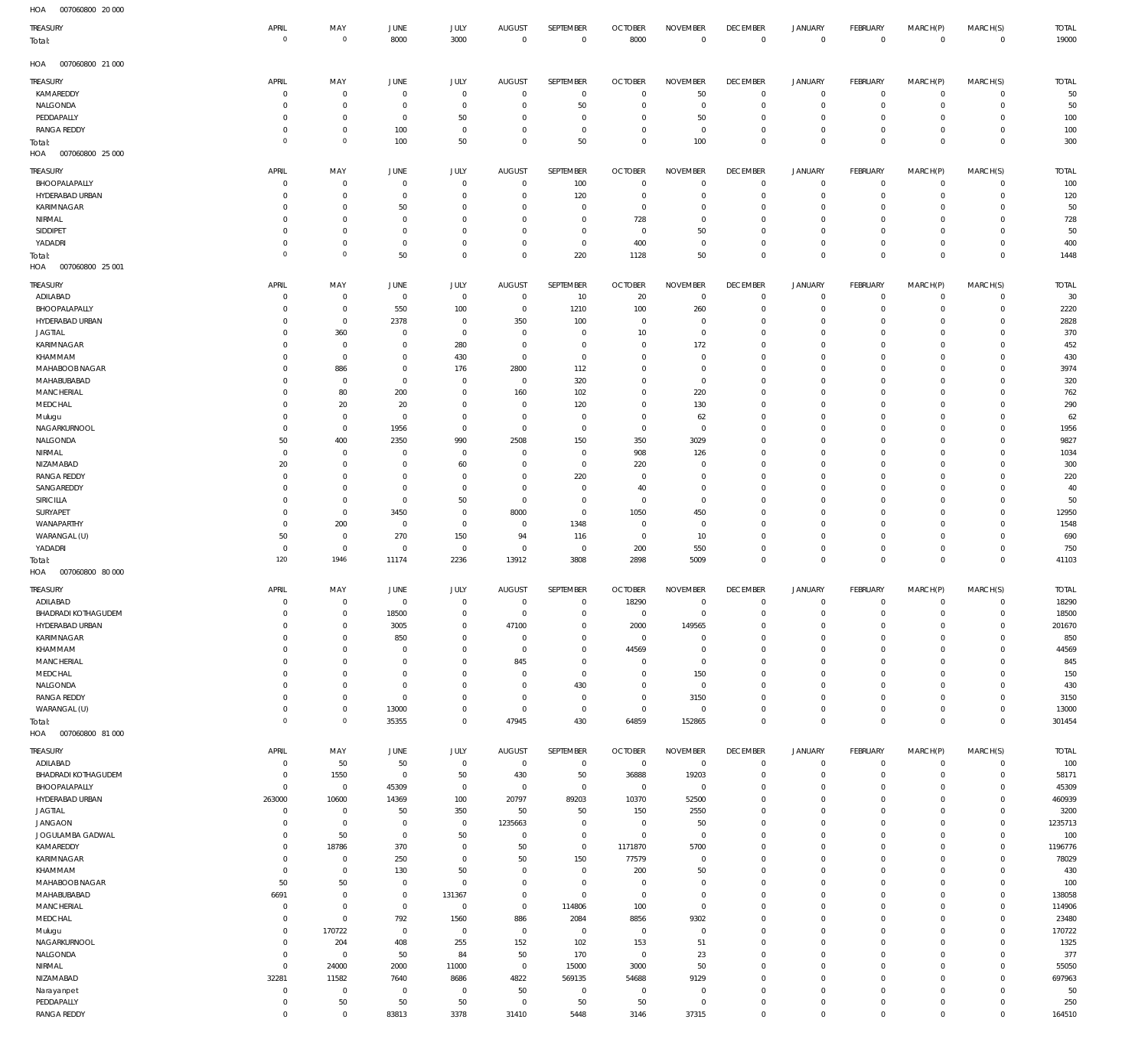| HOA<br>007060800 20 000                       |                       |                                    |                               |                                    |                               |                            |                                  |                         |                                  |                            |                              |                            |                                |                  |
|-----------------------------------------------|-----------------------|------------------------------------|-------------------------------|------------------------------------|-------------------------------|----------------------------|----------------------------------|-------------------------|----------------------------------|----------------------------|------------------------------|----------------------------|--------------------------------|------------------|
| TREASURY                                      | APRIL                 | MAY                                | JUNE                          | JULY                               | AUGUST                        | SEPTEMBER                  | <b>OCTOBER</b>                   | <b>NOVEMBER</b>         | <b>DECEMBER</b>                  | <b>JANUARY</b>             | FEBRUARY                     | MARCH(P)                   | MARCH(S)                       | <b>TOTAL</b>     |
| Total:                                        | $\mathbf 0$           | $\mathbf 0$                        | 8000                          | 3000                               | $\mathbf 0$                   | $\mathbf 0$                | 8000                             | $\mathbf 0$             | $\overline{0}$                   | $\mathbf 0$                | $\overline{0}$               | $\mathbb O$                | $\overline{0}$                 | 19000            |
|                                               |                       |                                    |                               |                                    |                               |                            |                                  |                         |                                  |                            |                              |                            |                                |                  |
| 007060800 21 000<br>HOA                       |                       |                                    |                               |                                    |                               |                            |                                  |                         |                                  |                            |                              |                            |                                |                  |
| TREASURY                                      | APRIL                 | MAY                                | JUNE                          | JULY                               | <b>AUGUST</b>                 | SEPTEMBER                  | <b>OCTOBER</b>                   | <b>NOVEMBER</b>         | <b>DECEMBER</b>                  | <b>JANUARY</b>             | FEBRUARY                     | MARCH(P)                   | MARCH(S)                       | <b>TOTAL</b>     |
| KAMAREDDY                                     | 0                     | 0                                  | $\overline{0}$                | 0                                  | $\overline{0}$                | $\mathbf 0$                | $\overline{0}$                   | 50                      | $\overline{0}$                   | $\mathbf 0$                | $\circ$                      | 0                          | $\circ$                        | 50               |
| NALGONDA                                      | 0                     | $\bf 0$                            | $\mathbf 0$                   | $\mathbf 0$                        | $\mathbf 0$                   | 50                         | $\overline{0}$                   | $\mathbf 0$             | $\overline{0}$                   | 0                          | $\overline{0}$               | $\circ$                    | $\circ$                        | 50               |
| PEDDAPALLY                                    | 0                     | $\mathsf{O}\xspace$                | $\mathbf 0$                   | 50                                 | $\mathbf 0$                   | 0                          | $\overline{0}$                   | 50                      | $\overline{0}$                   | 0                          | $\circ$                      | $\circ$                    | $\circ$                        | 100              |
| <b>RANGA REDDY</b>                            | 0<br>$\mathbf 0$      | $\mathsf{O}\xspace$<br>$\mathbf 0$ | 100<br>100                    | $\mathbf 0$<br>50                  | $\mathbf 0$<br>$\mathbf 0$    | $\bf 0$<br>50              | $\overline{0}$<br>$\overline{0}$ | $\mathbf 0$<br>100      | $\overline{0}$<br>$\overline{0}$ | $\mathbf 0$<br>$\mathbf 0$ | $\circ$<br>$\overline{0}$    | $\circ$<br>$\mathbf 0$     | $\circ$<br>$\overline{0}$      | 100<br>300       |
| Total:<br>HOA<br>007060800 25 000             |                       |                                    |                               |                                    |                               |                            |                                  |                         |                                  |                            |                              |                            |                                |                  |
|                                               |                       |                                    |                               |                                    |                               |                            |                                  |                         |                                  |                            |                              |                            |                                |                  |
| TREASURY                                      | APRIL                 | MAY                                | <b>JUNE</b>                   | JULY                               | <b>AUGUST</b>                 | SEPTEMBER                  | <b>OCTOBER</b>                   | <b>NOVEMBER</b>         | <b>DECEMBER</b>                  | <b>JANUARY</b>             | FEBRUARY                     | MARCH(P)                   | MARCH(S)                       | <b>TOTAL</b>     |
| BHOOPALAPALLY                                 | 0                     | 0<br>$\bf 0$                       | $\mathbf 0$<br>$\overline{0}$ | $\mathbf 0$<br>$\mathbf 0$         | $\mathbf 0$<br>$\mathbf 0$    | 100                        | $\overline{0}$<br>$\overline{0}$ | $\Omega$<br>$\mathbf 0$ | $\overline{0}$<br>$\overline{0}$ | 0<br>$\mathbf 0$           | $\circ$<br>$\mathbf{0}$      | $\circ$<br>$\mathbf 0$     | $\circ$<br>$\mathbf{0}$        | 100              |
| HYDERABAD URBAN<br>KARIMNAGAR                 | 0<br>0                | 0                                  | 50                            | $\mathbf 0$                        | 0                             | 120<br>0                   | $\overline{0}$                   | $\mathbf 0$             | $\mathbf 0$                      | 0                          | $\mathbf 0$                  | $\circ$                    | $\mathbf 0$                    | 120<br>50        |
| NIRMAL                                        | 0                     | $\bf 0$                            | $\mathbf 0$                   | $\Omega$                           | 0                             | $\mathbf 0$                | 728                              | $\mathbf 0$             | $\mathbf 0$                      | $\mathbf 0$                | $\mathbf 0$                  | $\Omega$                   | $\mathbf 0$                    | 728              |
| SIDDIPET                                      | 0                     | $\mathbf 0$                        | $\mathbf 0$                   | $\Omega$                           | $\mathbf 0$                   | $\mathbf 0$                | $\overline{0}$                   | 50                      | $\mathbf 0$                      | $\mathbf 0$                | $^{\circ}$                   | $\Omega$                   | $\mathbf 0$                    | 50               |
| YADADRI                                       | 0                     | $\bf 0$                            | $\mathbf 0$                   | $\mathbf 0$                        | $\mathbf 0$                   | $\mathbf 0$                | 400                              | $\mathbf 0$             | $\mathbf 0$                      | $\mathbf 0$                | $\mathbf 0$                  | $\Omega$                   | $\mathbf 0$                    | 400              |
| Total:                                        | $\mathbf 0$           | $\mathbf 0$                        | 50                            | $\mathbf 0$                        | $\mathbf 0$                   | 220                        | 1128                             | 50                      | $\mathbf 0$                      | $\mathbf 0$                | $\overline{0}$               | $\mathbf 0$                | $\mathbf 0$                    | 1448             |
| HOA<br>007060800 25 001                       |                       |                                    |                               |                                    |                               |                            |                                  |                         |                                  |                            |                              |                            |                                |                  |
| TREASURY                                      | APRIL                 | MAY                                | <b>JUNE</b>                   | JULY                               | AUGUST                        | SEPTEMBER                  | <b>OCTOBER</b>                   | <b>NOVEMBER</b>         | <b>DECEMBER</b>                  | <b>JANUARY</b>             | FEBRUARY                     | MARCH(P)                   | MARCH(S)                       | <b>TOTAL</b>     |
| ADILABAD                                      | 0                     | 0                                  | $\overline{0}$                | $\bf 0$                            | $\mathbf 0$                   | 10                         | 20                               | $\mathbf 0$             | $\overline{0}$                   | 0                          | $\circ$                      | 0                          | $\circ$                        | 30               |
| BHOOPALAPALLY                                 | 0                     | $\bf 0$                            | 550                           | 100                                | $\overline{0}$                | 1210                       | 100                              | 260                     | $\overline{0}$                   | $\mathbf 0$                | $\circ$                      | $\circ$                    | $\mathbf{0}$                   | 2220             |
| HYDERABAD URBAN                               | 0                     | $\mathsf{O}\xspace$                | 2378                          | 0                                  | 350                           | 100                        | $\overline{0}$                   | $\mathbf 0$             | $\overline{0}$                   | 0                          | $\circ$                      | 0                          | $\mathbf{0}$                   | 2828             |
| <b>JAGTIAL</b>                                | 0                     | 360                                | 0                             | 0                                  | $\mathbf 0$                   | 0                          | 10                               | $\mathbf 0$             | $\overline{0}$                   | 0                          | $\mathbf{0}$                 | $\circ$                    | $\mathbf{0}$                   | 370              |
| KARIMNAGAR                                    | 0                     | 0                                  | $\mathbf 0$                   | 280                                | $\overline{0}$                | $\bf 0$                    | $\overline{0}$                   | 172                     | $\overline{0}$                   | 0                          | $\mathbf{0}$                 | 0                          | $\mathbf{0}$                   | 452              |
| KHAMMAM                                       | 0                     | $\mathsf{O}\xspace$                | 0                             | 430                                | $\mathbf 0$                   | $\mathbf 0$                | $\overline{0}$                   | $\mathbf 0$             | $\overline{0}$                   | $\mathbf 0$                | $\mathbf{0}$                 | $\mathbf 0$                | $\mathbf{0}$                   | 430              |
| MAHABOOB NAGAR                                | $\mathbf 0$           | 886                                | 0                             | 176                                | 2800                          | 112                        | $\overline{0}$                   | $\mathbf 0$             | $\mathbf 0$                      | $\mathbf 0$                | $\mathbf{0}$                 | $\Omega$                   | $\mathbf 0$                    | 3974             |
| MAHABUBABAD                                   | 0                     | $\bf 0$                            | $\overline{0}$                | $\mathbf 0$                        | $\mathbf 0$                   | 320                        | $\overline{0}$                   | $\mathbf 0$             | $\overline{0}$                   | $\mathbf 0$                | $\mathbf{0}$                 | $\mathbf 0$                | $\mathbf{0}$                   | 320              |
| MANCHERIAL                                    | 0                     | 80                                 | 200                           | 0                                  | 160                           | 102                        | $\overline{0}$<br>$\overline{0}$ | 220                     | $\mathbf 0$<br>$\overline{0}$    | $\mathbf 0$<br>$\mathbf 0$ | $\mathbf{0}$<br>$\mathbf{0}$ | $\Omega$<br>$\Omega$       | $\mathbf 0$<br>$\mathbf{0}$    | 762              |
| MEDCHAL                                       | 0<br>0                | 20<br>$\bf 0$                      | 20<br>$\overline{0}$          | $\mathbf 0$<br>$\mathbf 0$         | $\overline{0}$<br>$\mathbf 0$ | 120<br>$\mathbf 0$         | $\overline{0}$                   | 130<br>62               | $\overline{0}$                   | 0                          | $\mathbf{0}$                 | 0                          | $\mathbf 0$                    | 290<br>62        |
| Mulugu<br>NAGARKURNOOL                        | $\mathbf 0$           | $\mathsf{O}\xspace$                | 1956                          | $\mathbf 0$                        | $\mathbf 0$                   | $\mathbf 0$                | $\overline{0}$                   | $\mathbf 0$             | $\overline{0}$                   | $\mathbf 0$                | $\mathbf 0$                  | $\Omega$                   | $\mathbf 0$                    | 1956             |
| NALGONDA                                      | 50                    | 400                                | 2350                          | 990                                | 2508                          | 150                        | 350                              | 3029                    | $\mathbf 0$                      | 0                          | $\mathbf{0}$                 | 0                          | $\mathbf 0$                    | 9827             |
| NIRMAL                                        | 0                     | $\mathbf 0$                        | 0                             | $\mathbf 0$                        | $\mathbf 0$                   | 0                          | 908                              | 126                     | $\mathbf 0$                      | $\mathbf 0$                | $\mathbf 0$                  | $\Omega$                   | $\mathbf 0$                    | 1034             |
| NIZAMABAD                                     | 20                    | $\mathsf{O}\xspace$                | $\mathbf 0$                   | 60                                 | $\mathbf 0$                   | $\mathbf 0$                | 220                              | $\mathbf 0$             | $\overline{0}$                   | $\mathbf 0$                | $\mathbf{0}$                 | $\Omega$                   | $\mathbf{0}$                   | 300              |
| <b>RANGA REDDY</b>                            | $\mathbf 0$           | $\bf 0$                            | $\mathbf 0$                   | 0                                  | $\mathbf 0$                   | 220                        | $\overline{0}$                   | $\mathbf 0$             | $\overline{0}$                   | $\mathbf 0$                | $\mathbf{0}$                 | 0                          | $\mathbf 0$                    | 220              |
| SANGAREDDY                                    | $\mathbf 0$           | $\bf 0$                            | $\mathbf 0$                   | $\mathbf 0$                        | $\overline{0}$                | 0                          | 40                               | $\mathbf 0$             | $\mathbf 0$                      | $\mathbf 0$                | $\mathbf{0}$                 | $\Omega$                   | $\mathbf 0$                    | 40               |
| SIRICILLA                                     | 0                     | $\mathsf{O}\xspace$                | $\overline{0}$                | 50                                 | $\mathbf 0$                   | $\mathbf 0$                | $\overline{0}$                   | $\mathbf 0$             | $\overline{0}$                   | $\mathbf 0$                | $\mathbf{0}$                 | $\mathbf 0$                | $\mathbf{0}$                   | 50               |
| SURYAPET                                      | $\mathbf 0$           | $\mathsf{O}\xspace$                | 3450                          | $\mathbf 0$                        | 8000                          | $\bf 0$                    | 1050                             | 450                     | $\mathbf 0$                      | 0                          | $\mathbf{0}$                 | $\Omega$                   | $\mathbf 0$                    | 12950            |
| WANAPARTHY                                    | $\mathbf 0$           | 200                                | $\mathbf 0$                   | $\mathbf 0$                        | $\mathbf 0$                   | 1348                       | $\overline{0}$                   | $\mathbf 0$             | $\overline{0}$                   | $\mathbf 0$                | $\mathbf{0}$                 | $\circ$                    | $\mathbf{0}$                   | 1548             |
| WARANGAL (U)                                  | 50                    | $\bf 0$                            | 270                           | 150                                | 94                            | 116                        | $\overline{0}$                   | 10                      | $\overline{0}$                   | 0                          | $\circ$                      | 0                          | $\circ$                        | 690              |
| YADADRI                                       | $\overline{0}$<br>120 | $\mathsf{O}\xspace$<br>1946        | $\mathbf 0$                   | 0                                  | $\overline{0}$                | $\mathbf 0$                | 200                              | 550                     | $\overline{0}$<br>$\overline{0}$ | $\mathbf 0$<br>$\bf 0$     | $\circ$<br>$\overline{0}$    | $\circ$<br>$\mathbf 0$     | $\mathbf{0}$<br>$\overline{0}$ | 750<br>41103     |
| Total:<br>HOA<br>007060800 80 000             |                       |                                    | 11174                         | 2236                               | 13912                         | 3808                       | 2898                             | 5009                    |                                  |                            |                              |                            |                                |                  |
|                                               |                       |                                    |                               |                                    |                               |                            |                                  |                         |                                  |                            |                              |                            |                                |                  |
| <b>TREASURY</b>                               | APRIL                 | MAY                                | <b>JUNE</b>                   | JULY                               | <b>AUGUST</b>                 | SEPTEMBER                  | <b>OCTOBER</b>                   | <b>NOVEMBER</b>         | <b>DECEMBER</b>                  | <b>JANUARY</b>             | FEBRUARY                     | MARCH(P)                   | MARCH(S)                       | <b>TOTAL</b>     |
| ADILABAD                                      | $\Omega$              | $\bf 0$                            | $\mathbb O$                   | $\mathsf{O}\xspace$                | $\mathbf 0$                   | 0                          | 18290                            | 0                       | $\mathbf 0$                      | $\mathbf 0$                | $\circ$                      | $\mathbf 0$                | $\overline{0}$                 | 18290            |
| <b>BHADRADI KOTHAGUDEM</b><br>HYDERABAD URBAN | $\mathbf 0$           | $\mathsf{O}\xspace$                | 18500                         | $\mathbf 0$<br>$\mathbf 0$         | $\bf 0$                       | $\bf 0$<br>$\mathbf 0$     | $\overline{0}$                   | $\mathbf 0$             | $\mathbf 0$<br>$\mathbf 0$       | $\mathbf 0$                | $\mathbf{0}$<br>$\mathbf{0}$ | $\mathbf 0$<br>$\mathbf 0$ | $\mathbf 0$                    | 18500            |
| KARIMNAGAR                                    | $\mathbf 0$<br>0      | $\mathsf{O}\xspace$<br>$\bf 0$     | 3005<br>850                   | $\mathbf 0$                        | 47100<br>$\mathbf 0$          | $\bf 0$                    | 2000<br>$\overline{0}$           | 149565<br>$\mathbf 0$   | $\mathbf 0$                      | $\mathbf 0$<br>$\mathbf 0$ | $\mathbf 0$                  | $\Omega$                   | $\circ$<br>$\mathbf 0$         | 201670<br>850    |
| KHAMMAM                                       | $\mathbf 0$           | $\mathbf 0$                        | $\overline{0}$                | $\mathbf 0$                        | $\mathbf 0$                   | $\mathbf 0$                | 44569                            | $\mathbf 0$             | $\mathbf 0$                      | $\mathbf 0$                | $\mathbf{0}$                 | $\Omega$                   | $\mathbf{0}$                   | 44569            |
| MANCHERIAL                                    | 0                     | $\bf 0$                            | 0                             | $\mathbf 0$                        | 845                           | $\mathbf 0$                | $\overline{0}$                   | $\mathbf 0$             | $\mathbf 0$                      | $\mathbf 0$                | $\mathbf 0$                  | $\Omega$                   | $\mathbf 0$                    | 845              |
| MEDCHAL                                       | $\mathbf 0$           | $\mathbf 0$                        | $\mathbf 0$                   | $\mathbf 0$                        | $\mathbf 0$                   | $\mathbf 0$                | $\overline{0}$                   | 150                     | $\mathbf 0$                      | $\mathbf 0$                | $\mathbf{0}$                 | $\Omega$                   | $\mathbf{0}$                   | 150              |
| NALGONDA                                      | 0                     | $\bf 0$                            | $\mathbf 0$                   | $\mathbf 0$                        | $\mathbf 0$                   | 430                        | $\overline{0}$                   | $\mathbf 0$             | $\mathbf 0$                      | $\mathbf 0$                | $\mathbf 0$                  | $\Omega$                   | $\mathbf 0$                    | 430              |
| <b>RANGA REDDY</b>                            | $\mathbf 0$           | $\mathsf{O}\xspace$                | $\overline{0}$                | $\mathbf 0$                        | $\mathbf 0$                   | $\mathbf 0$                | $\overline{0}$                   | 3150                    | $\mathbf 0$                      | $\mathbf 0$                | $\mathbf 0$                  | $\Omega$                   | $\mathbf{0}$                   | 3150             |
| WARANGAL (U)                                  | $\mathbf 0$           | $\mathsf{O}\xspace$                | 13000                         | $\mathbf 0$                        | $\mathbf 0$                   | $\mathsf{O}\xspace$        | $\,0\,$                          | $\mathbf 0$             | $\overline{0}$                   | $\mathbf 0$                | $\circ$                      | $\mathbf 0$                | $\circ$                        | 13000            |
| Total:                                        | $\mathbf 0$           | $\mathbf 0$                        | 35355                         | $\mathbf 0$                        | 47945                         | 430                        | 64859                            | 152865                  | $\mathbf 0$                      | $\mathbf 0$                | $\mathbf 0$                  | $\mathbf 0$                | $\mathbf 0$                    | 301454           |
| HOA<br>007060800 81 000                       |                       |                                    |                               |                                    |                               |                            |                                  |                         |                                  |                            |                              |                            |                                |                  |
| TREASURY                                      | APRIL                 | MAY                                | JUNE                          | JULY                               | AUGUST                        | SEPTEMBER                  | <b>OCTOBER</b>                   | <b>NOVEMBER</b>         | <b>DECEMBER</b>                  | <b>JANUARY</b>             | FEBRUARY                     | MARCH(P)                   | MARCH(S)                       | <b>TOTAL</b>     |
| ADILABAD                                      | $\overline{0}$        | 50                                 | 50                            | $\mathsf{O}\xspace$                | $\overline{0}$                | $\mathbf 0$                | $\overline{0}$                   | $\overline{0}$          | $\overline{0}$                   | $\circ$                    | $\overline{0}$               | $\mathbf 0$                | $\overline{0}$                 | 100              |
| <b>BHADRADI KOTHAGUDEM</b>                    | 0                     | 1550                               | $\overline{0}$                | 50                                 | 430                           | 50                         | 36888                            | 19203                   | $\overline{0}$                   | $\mathbf 0$                | $\overline{0}$               | 0                          | $\overline{0}$                 | 58171            |
| BHOOPALAPALLY                                 | $\mathbf 0$           | $\bf 0$                            | 45309                         | $\bf 0$                            | $\overline{0}$                | $\mathbf 0$                | $\overline{0}$                   | $\overline{0}$          | $\overline{0}$                   | $\mathbf 0$                | $\circ$                      | $\circ$                    | $\mathbf{0}$                   | 45309            |
| HYDERABAD URBAN                               | 263000                | 10600                              | 14369                         | 100                                | 20797                         | 89203                      | 10370                            | 52500                   | $\overline{0}$                   | $\mathbf 0$                | $\circ$                      | $\circ$                    | $\circ$                        | 460939           |
| JAGTIAL                                       | $\mathbf 0$           | $\bf 0$                            | 50                            | 350                                | 50                            | 50                         | 150                              | 2550                    | $\overline{0}$                   | $\mathbf 0$                | $\mathbf{0}$                 | $\mathbf 0$                | $\mathbf{0}$                   | 3200             |
| <b>JANGAON</b>                                | $\mathbf 0$           | $\bf 0$                            | $\overline{0}$                | $\bf 0$                            | 1235663                       | $\mathbf 0$                | $\overline{0}$                   | 50                      | $\overline{0}$                   | $\mathbf 0$                | $\mathbf{0}$                 | $\mathbf 0$                | $\mathbf{0}$                   | 1235713          |
| JOGULAMBA GADWAL                              | 0                     | 50                                 | $\overline{0}$                | 50                                 | $\overline{0}$                | $\mathsf{O}\xspace$        | $\overline{0}$                   | $\overline{0}$          | $\overline{0}$                   | $\mathbf 0$                | $\circ$                      | $\mathbf 0$                | $\mathbf{0}$                   | 100              |
| KAMAREDDY                                     | 0<br>$\mathbf 0$      | 18786<br>$\bf 0$                   | 370<br>250                    | $\mathbf 0$<br>$\mathsf{O}\xspace$ | 50<br>50                      | $\mathsf{O}\xspace$<br>150 | 1171870                          | 5700<br>$\mathbf 0$     | $\overline{0}$<br>$\overline{0}$ | $\mathbf 0$<br>$\mathbf 0$ | $\mathbf{0}$<br>$\circ$      | $\Omega$<br>$\mathbf 0$    | $\mathbf{0}$<br>$\mathbf{0}$   | 1196776<br>78029 |
| KARIMNAGAR<br>KHAMMAM                         | $\mathbf 0$           | $\bf 0$                            | 130                           | 50                                 | $\mathbf 0$                   | $\mathbf 0$                | 77579<br>200                     | 50                      | $\mathbf 0$                      | $\mathbf 0$                | $\mathbf{0}$                 | $\Omega$                   | $\mathbf{0}$                   | 430              |
| MAHABOOB NAGAR                                | 50                    | 50                                 | $\overline{0}$                | $\bf 0$                            | $\mathbf{0}$                  | $\mathsf{O}\xspace$        | $\overline{0}$                   | $\mathbf 0$             | $\overline{0}$                   | $\mathbf 0$                | $\mathbf{0}$                 | $\mathbf 0$                | $\mathbf{0}$                   | 100              |
| MAHABUBABAD                                   | 6691                  | $\bf 0$                            | $\mathbf 0$                   | 131367                             | $\mathbf 0$                   | $\bf 0$                    | $\overline{0}$                   | $\mathbf 0$             | $\overline{0}$                   | $\mathbf 0$                | $\circ$                      | $\mathbf 0$                | $\circ$                        | 138058           |
| MANCHERIAL                                    | $\mathbf 0$           | $\mathsf{O}\xspace$                | $\overline{0}$                | $\bf 0$                            | $\overline{0}$                | 114806                     | 100                              | $\mathbf 0$             | $\overline{0}$                   | $\mathbf 0$                | $\mathbf{0}$                 | $\Omega$                   | $\mathbf{0}$                   | 114906           |
| MEDCHAL                                       | $\mathbf 0$           | $\mathsf{O}\xspace$                | 792                           | 1560                               | 886                           | 2084                       | 8856                             | 9302                    | $\overline{0}$                   | $\mathbf 0$                | $\circ$                      | $\mathbf 0$                | $\mathbf{0}$                   | 23480            |
| Mulugu                                        | 0                     | 170722                             | $\overline{0}$                | $\bf 0$                            | $\mathbf 0$                   | $\mathbf 0$                | $\overline{0}$                   | $\mathbf 0$             | $\overline{0}$                   | $\mathbf 0$                | $\mathbf{0}$                 | $\mathbf 0$                | $\mathbf{0}$                   | 170722           |
| NAGARKURNOOL                                  | $\mathbf 0$           | 204                                | 408                           | 255                                | 152                           | 102                        | 153                              | 51                      | $\overline{0}$                   | $\mathbf 0$                | $\mathbf{0}$                 | $\mathbf 0$                | $\mathbf{0}$                   | 1325             |
| NALGONDA                                      | $\mathbf 0$           | $\mathbf 0$                        | 50                            | 84                                 | 50                            | 170                        | $\overline{0}$                   | 23                      | $\overline{0}$                   | $\mathbf 0$                | $\circ$                      | $\mathbf 0$                | $\mathbf{0}$                   | 377              |
| NIRMAL                                        | $\mathbf 0$           | 24000                              | 2000                          | 11000                              | $\overline{0}$                | 15000                      | 3000                             | 50                      | $\overline{0}$                   | $\mathbf 0$                | $\mathbf{0}$                 | $\Omega$                   | $\mathbf{0}$                   | 55050            |
| NIZAMABAD                                     | 32281                 | 11582                              | 7640                          | 8686                               | 4822                          | 569135                     | 54688                            | 9129                    | $\overline{0}$                   | $\mathbf 0$                | $\circ$                      | $\circ$                    | $\circ$                        | 697963           |
| Narayanpet                                    | $\mathbf 0$           | $\bf 0$                            | $\overline{0}$                | 0                                  | 50                            | $\mathbf 0$                | $\overline{0}$                   | $\mathbf 0$             | $\overline{0}$                   | $\mathbf 0$                | $\circ$                      | $\circ$                    | $\circ$                        | 50               |
| PEDDAPALLY                                    | $\mathbf 0$           | 50                                 | 50                            | 50                                 | $\overline{0}$                | 50                         | 50                               | $\mathbf 0$             | $\overline{0}$                   | $\mathbf 0$                | $\circ$                      | $\circ$                    | $\circ$                        | 250              |
| <b>RANGA REDDY</b>                            | $\mathbb O$           | $\mathsf 0$                        | 83813                         | 3378                               | 31410                         | 5448                       | 3146                             | 37315                   | $\,0\,$                          | $\mathsf{O}\xspace$        | $\circ$                      | $\mathbf 0$                | $\circ$                        | 164510           |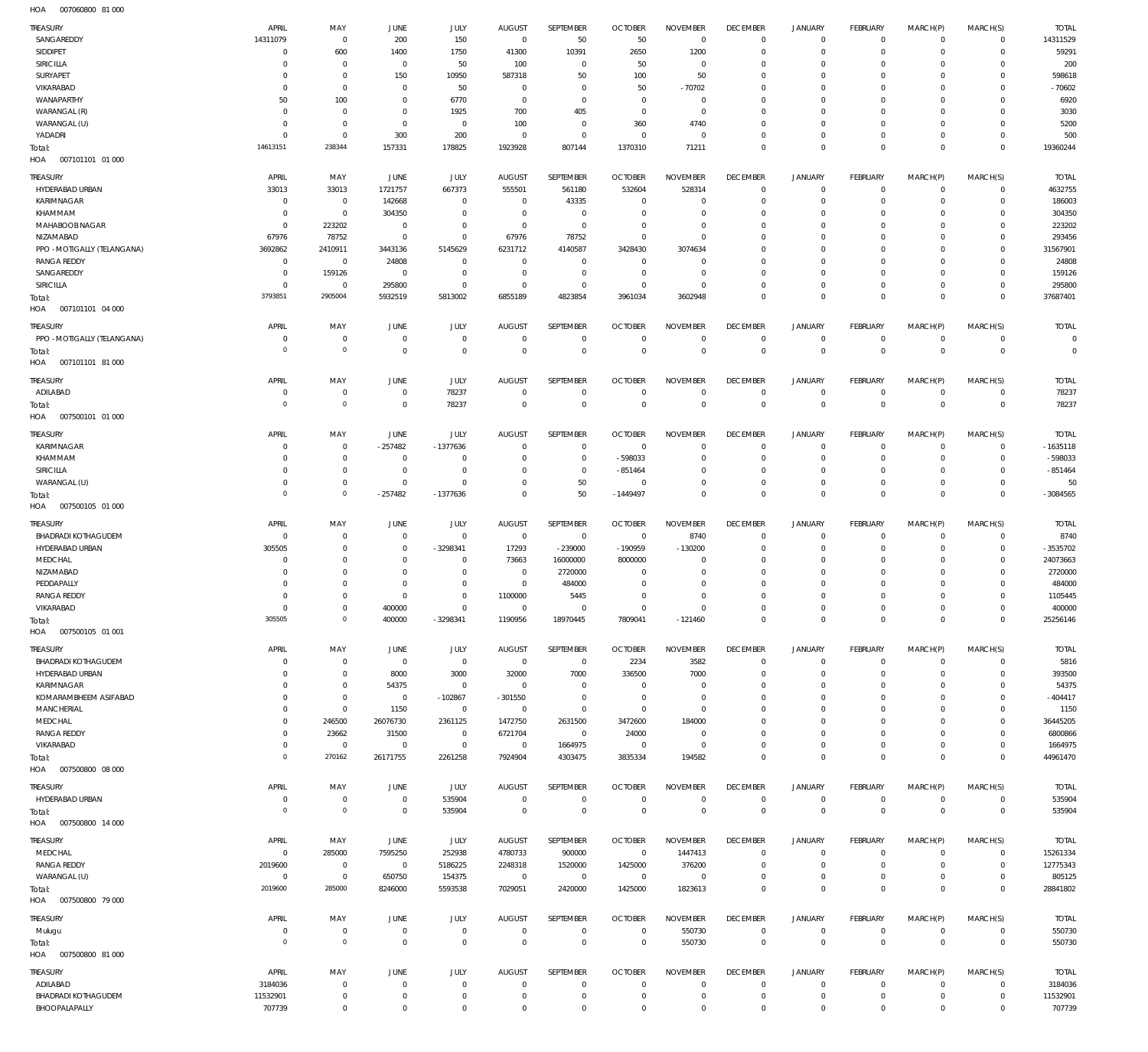007060800 81 000 HOA

| TREASURY                          | APRIL                         | MAY                         | JUNE                             | <b>JULY</b>                | <b>AUGUST</b>                    | SEPTEMBER                       | <b>OCTOBER</b>                   | <b>NOVEMBER</b>                | <b>DECEMBER</b>                   | <b>JANUARY</b>                | FEBRUARY                          | MARCH(P)             | MARCH(S)                   | <b>TOTAL</b>            |
|-----------------------------------|-------------------------------|-----------------------------|----------------------------------|----------------------------|----------------------------------|---------------------------------|----------------------------------|--------------------------------|-----------------------------------|-------------------------------|-----------------------------------|----------------------|----------------------------|-------------------------|
| SANGAREDDY<br>SIDDIPET            | 14311079<br>$\mathbf 0$       | $\mathbf 0$<br>600          | 200<br>1400                      | 150<br>1750                | $\overline{0}$<br>41300          | 50<br>10391                     | 50<br>2650                       | $\mathbf 0$<br>1200            | $^{\circ}$<br>$\mathbf 0$         | $\mathbf 0$<br>0              | $\mathbf 0$<br>$\mathbf 0$        | 0<br>0               | $\mathbf 0$<br>$\mathbf 0$ | 14311529<br>59291       |
| SIRICILLA                         | $\mathbf 0$                   | $\mathbf 0$                 | $\overline{0}$                   | 50                         | 100                              | $\mathbf 0$                     | 50                               | 0                              | 0                                 | 0                             | $^{\circ}$                        | $\Omega$             | $\mathbf 0$                | 200                     |
| SURYAPET                          | 0                             | $\mathbf 0$                 | 150                              | 10950                      | 587318                           | 50                              | 100                              | 50                             | $\mathbf 0$                       | 0                             | $^{\circ}$                        | $\Omega$             | $\mathbf 0$                | 598618                  |
| VIKARABAD                         | 0                             | $\mathbf 0$                 | $\mathbf 0$                      | 50                         | $\mathbf 0$                      | $\mathbf 0$                     | 50                               | $-70702$                       | $\mathbf 0$                       | 0                             | 0                                 | 0                    | 0                          | $-70602$                |
| WANAPARTHY<br>WARANGAL (R)        | 50<br>$\mathbf 0$             | 100<br>$\mathbf 0$          | $\overline{0}$<br>$\mathbf 0$    | 6770<br>1925               | $\mathbf 0$<br>700               | $\mathbf 0$<br>405              | $^{\circ}$<br>$\overline{0}$     | 0<br>0                         | $\mathbf 0$<br>$\mathbf 0$        | 0<br>0                        | $^{\circ}$<br>$^{\circ}$          | $\Omega$<br>0        | $\mathbf 0$<br>$\Omega$    | 6920<br>3030            |
| WARANGAL (U)                      | $\mathbf 0$                   | $\mathbf 0$                 | $\overline{0}$                   | $\mathbf 0$                | 100                              | $\mathbf 0$                     | 360                              | 4740                           | $\mathbf 0$                       | 0                             | $^{\circ}$                        | $\Omega$             | $\mathbf 0$                | 5200                    |
| YADADRI                           | $\mathbf 0$                   | $\mathbf 0$                 | 300                              | 200                        | $\mathbf 0$                      | $\mathbf 0$                     | $\overline{0}$                   | $^{\circ}$                     | $\mathbf 0$                       | 0                             | $\mathbf 0$                       | 0                    | $\mathbf 0$                | 500                     |
| Total:                            | 14613151                      | 238344                      | 157331                           | 178825                     | 1923928                          | 807144                          | 1370310                          | 71211                          | $\mathbf 0$                       | $\mathbf 0$                   | $\mathbf{0}$                      | $\Omega$             | $\mathbf{0}$               | 19360244                |
| 007101101 01 000<br>HOA           |                               |                             |                                  |                            |                                  |                                 |                                  |                                |                                   |                               |                                   |                      |                            |                         |
| <b>TREASURY</b>                   | APRIL                         | MAY                         | JUNE                             | JULY                       | <b>AUGUST</b>                    | <b>SEPTEMBER</b>                | <b>OCTOBER</b>                   | <b>NOVEMBER</b>                | <b>DECEMBER</b>                   | <b>JANUARY</b>                | <b>FEBRUARY</b>                   | MARCH(P)             | MARCH(S)                   | <b>TOTAL</b>            |
| HYDERABAD URBAN                   | 33013                         | 33013                       | 1721757                          | 667373                     | 555501                           | 561180                          | 532604                           | 528314                         | $^{\circ}$                        | $\mathbf 0$                   | $\mathbf 0$                       | 0                    | $\mathbf 0$                | 4632755                 |
| <b>KARIMNAGAR</b><br>KHAMMAM      | $\mathbf 0$<br>$\mathbf 0$    | $\mathbf{0}$<br>$\mathbf 0$ | 142668<br>304350                 | $\mathbf 0$<br>$\mathbf 0$ | $\mathbf 0$<br>$\overline{0}$    | 43335<br>$\mathbf 0$            | $\overline{0}$<br>$\overline{0}$ | 0<br>0                         | $\mathbf 0$<br>$\mathbf 0$        | 0<br>0                        | $\mathbf 0$<br>$\mathbf 0$        | 0<br>0               | $\mathbf 0$<br>$\mathbf 0$ | 186003<br>304350        |
| MAHABOOB NAGAR                    | $\mathbf 0$                   | 223202                      | $\overline{0}$                   | $\mathbf 0$                | $\overline{0}$                   | $\overline{0}$                  | $\overline{0}$                   | 0                              | $\mathbf 0$                       | 0                             | $^{\circ}$                        | $\Omega$             | $\mathbf 0$                | 223202                  |
| NIZAMABAD                         | 67976                         | 78752                       | $\overline{0}$                   | $\mathbf 0$                | 67976                            | 78752                           | $^{\circ}$                       | $\Omega$                       | $\mathbf 0$                       | 0                             | $\mathbf 0$                       | $\Omega$             | $\mathbf 0$                | 293456                  |
| PPO - MOTIGALLY (TELANGANA)       | 3692862                       | 2410911                     | 3443136                          | 5145629                    | 6231712                          | 4140587                         | 3428430                          | 3074634                        | $\mathbf 0$                       | 0                             | $\mathbf 0$                       | $\Omega$             | $\mathbf 0$                | 31567901                |
| <b>RANGA REDDY</b><br>SANGAREDDY  | $\overline{0}$<br>$\mathbf 0$ | $\overline{0}$<br>159126    | 24808<br>$\overline{0}$          | $\mathbf 0$<br>$\mathbf 0$ | $\overline{0}$<br>$\overline{0}$ | $\mathbf 0$<br>$\mathbf 0$      | $^{\circ}$<br>$\overline{0}$     | 0<br>0                         | $\mathbf 0$<br>$\mathbf 0$        | 0<br>0                        | $^{\circ}$<br>$\mathbf 0$         | $\Omega$<br>$\Omega$ | $\mathbf 0$<br>$\mathbf 0$ | 24808<br>159126         |
| SIRICILLA                         | $\mathbf 0$                   | $\mathbf 0$                 | 295800                           | $\mathbf 0$                | $\overline{0}$                   | $\mathbf 0$                     | 0                                | $\Omega$                       | $\overline{0}$                    | 0                             | $\mathbf 0$                       | 0                    | $\mathbf 0$                | 295800                  |
| Total:                            | 3793851                       | 2905004                     | 5932519                          | 5813002                    | 6855189                          | 4823854                         | 3961034                          | 3602948                        | $\overline{0}$                    | $\mathbf 0$                   | $\overline{0}$                    | $\Omega$             | $\overline{0}$             | 37687401                |
| 007101101 04 000<br>HOA           |                               |                             |                                  |                            |                                  |                                 |                                  |                                |                                   |                               |                                   |                      |                            |                         |
| <b>TREASURY</b>                   | APRIL                         | MAY                         | <b>JUNE</b>                      | <b>JULY</b>                | <b>AUGUST</b>                    | SEPTEMBER                       | <b>OCTOBER</b>                   | <b>NOVEMBER</b>                | <b>DECEMBER</b>                   | JANUARY                       | <b>FEBRUARY</b>                   | MARCH(P)             | MARCH(S)                   | <b>TOTAL</b>            |
| PPO - MOTIGALLY (TELANGANA)       | 0                             | $\mathbf 0$                 | $\overline{0}$                   | $\mathbf 0$                | $\mathbf 0$                      | $\mathbf 0$                     | $\mathbf 0$                      | $\mathbf 0$                    | $\overline{0}$                    | $\mathbf 0$                   | $\mathbf 0$                       | 0                    | $\mathbf 0$                | $\mathbf 0$             |
| Total:<br>HOA<br>007101101 81 000 | $\overline{0}$                | $\mathsf{O}\xspace$         | $\overline{0}$                   | $\mathbf 0$                | $\mathbf 0$                      | $\mathbf 0$                     | $\overline{0}$                   | $\mathbf 0$                    | $\overline{0}$                    | $\mathbf 0$                   | $\overline{0}$                    | $\mathbf 0$          | $\mathbf 0$                | $\circ$                 |
|                                   |                               |                             |                                  |                            |                                  |                                 |                                  |                                |                                   |                               |                                   |                      |                            |                         |
| <b>TREASURY</b><br>ADILABAD       | APRIL<br>$\mathbf 0$          | MAY<br>$\mathbf 0$          | JUNE<br>$\overline{0}$           | JULY<br>78237              | <b>AUGUST</b><br>$\mathbf 0$     | <b>SEPTEMBER</b><br>$\mathbf 0$ | <b>OCTOBER</b><br>$\overline{0}$ | <b>NOVEMBER</b><br>$\mathbf 0$ | <b>DECEMBER</b><br>$\overline{0}$ | <b>JANUARY</b><br>$\mathbf 0$ | <b>FEBRUARY</b><br>$\overline{0}$ | MARCH(P)<br>0        | MARCH(S)<br>$\mathbf 0$    | <b>TOTAL</b><br>78237   |
| Total:                            | $\overline{0}$                | $\mathbf 0$                 | $\overline{0}$                   | 78237                      | $\overline{0}$                   | $\mathbf 0$                     | $\overline{0}$                   | $\mathbf 0$                    | $\overline{0}$                    | $\overline{0}$                | $\overline{0}$                    | $\mathbf 0$          | $\mathbf 0$                | 78237                   |
| 007500101 01 000<br>HOA           |                               |                             |                                  |                            |                                  |                                 |                                  |                                |                                   |                               |                                   |                      |                            |                         |
| TREASURY                          | APRIL                         | MAY                         | JUNE                             | JULY                       | <b>AUGUST</b>                    | SEPTEMBER                       | <b>OCTOBER</b>                   | <b>NOVEMBER</b>                | <b>DECEMBER</b>                   | <b>JANUARY</b>                | FEBRUARY                          | MARCH(P)             | MARCH(S)                   | <b>TOTAL</b>            |
| KARIMNAGAR                        | 0                             | $\mathbf 0$                 | $-257482$                        | $-1377636$                 | $\mathbf 0$                      | $\mathbf 0$                     | $\overline{0}$                   | $\mathbf 0$                    | $\mathbf 0$                       | $\mathbf 0$                   | $\mathbf 0$                       | 0                    | $\mathbf 0$                | $-1635118$              |
| KHAMMAM                           | C                             | $\mathbf 0$                 | $\overline{0}$                   | 0                          | $\mathbf 0$                      | $\mathbf 0$                     | -598033                          | 0                              | $\mathbf 0$                       | 0                             | $\mathbf 0$                       | 0                    | $\mathbf 0$                | -598033                 |
| SIRICILLA                         | 0                             | $\mathbf 0$<br>$\mathbf 0$  | $\overline{0}$<br>$\overline{0}$ | $\mathbf 0$<br>$\Omega$    | $\mathbf 0$<br>$\mathbf 0$       | $\mathbf 0$<br>50               | $-851464$<br>$^{\circ}$          | 0<br>$\mathbf 0$               | $\mathbf 0$<br>$\mathbf 0$        | 0<br>0                        | $\mathbf 0$<br>$\mathbf 0$        | 0                    | $\mathbf 0$<br>$\mathbf 0$ | $-851464$               |
| WARANGAL (U)<br>Total:            | 0<br>$\circ$                  | $\mathbf 0$                 | $-257482$                        | $-1377636$                 | $\mathbf 0$                      | 50                              | $-1449497$                       | $\mathbf 0$                    | $\mathbf 0$                       | $\mathbf 0$                   | $\mathbf{0}$                      | 0<br>$\mathbf 0$     | $\overline{0}$             | 50<br>$-3084565$        |
| HOA<br>007500105 01 000           |                               |                             |                                  |                            |                                  |                                 |                                  |                                |                                   |                               |                                   |                      |                            |                         |
| <b>TREASURY</b>                   | APRIL                         | MAY                         | <b>JUNE</b>                      | JULY                       | <b>AUGUST</b>                    | SEPTEMBER                       | <b>OCTOBER</b>                   | <b>NOVEMBER</b>                | <b>DECEMBER</b>                   | <b>JANUARY</b>                | <b>FEBRUARY</b>                   | MARCH(P)             | MARCH(S)                   | <b>TOTAL</b>            |
| <b>BHADRADI KOTHAGUDEM</b>        | $\overline{0}$                | $\mathbf 0$                 | $\overline{0}$                   | $\mathbf 0$                | $\overline{0}$                   | $\overline{0}$                  | $\overline{0}$                   | 8740                           | $^{\circ}$                        | $\mathbf 0$                   | $^{\circ}$                        | 0                    | $\mathbf 0$                | 8740                    |
| HYDERABAD URBAN                   | 305505                        | $\mathbf 0$                 | $\overline{0}$                   | $-3298341$                 | 17293                            | $-239000$                       | $-190959$                        | $-130200$                      | $\overline{0}$                    | 0                             | $^{\circ}$                        | 0                    | $\mathbf 0$                | $-3535702$              |
| MEDCHAL                           | 0                             | $\mathbf 0$                 | $\overline{0}$                   | $\mathbf 0$                | 73663                            | 16000000                        | 8000000                          | 0                              | $^{\circ}$                        | 0                             | $^{\circ}$                        | $\Omega$             | $\mathbf 0$                | 24073663                |
| NIZAMABAD<br>PEDDAPALLY           | C<br>$\Omega$                 | $\mathbf 0$<br>$\mathbf 0$  | $\overline{0}$<br>$\overline{0}$ | $\mathbf 0$<br>$\mathbf 0$ | $\overline{0}$<br>$\overline{0}$ | 2720000<br>484000               | $^{\circ}$<br>$^{\circ}$         | 0<br>0                         | $^{\circ}$<br>$^{\circ}$          | 0<br>0                        | $^{\circ}$<br>$^{\circ}$          | $\Omega$<br>$\Omega$ | $\mathbf 0$<br>$\mathbf 0$ | 2720000<br>484000       |
| <b>RANGA REDDY</b>                | $\Omega$                      | $\mathbf 0$                 | $\overline{0}$                   | $\mathbf 0$                | 1100000                          | 5445                            | $^{\circ}$                       | $\mathbf 0$                    | $^{\circ}$                        | 0                             | $^{\circ}$                        | $\Omega$             | $\mathbf 0$                | 1105445                 |
| VIKARABAD                         | $\Omega$                      | $\Omega$                    | 400000                           | $\Omega$                   | $\Omega$                         | $\Omega$                        | $\Omega$                         | $\Omega$                       | $\Omega$                          | $\Omega$                      | $\Omega$                          | $\Omega$             | $\Omega$                   | 400000                  |
| Total:                            | 305505                        | $\mathbf 0$                 | 400000                           | $-3298341$                 | 1190956                          | 18970445                        | 7809041                          | $-121460$                      | $\overline{0}$                    | $\,0\,$                       | $\mathbf 0$                       | $\mathbf 0$          | $\overline{0}$             | 25256146                |
| HOA<br>007500105 01 001           |                               |                             |                                  |                            |                                  |                                 |                                  |                                |                                   |                               |                                   |                      |                            |                         |
| TREASURY                          | APRIL                         | MAY                         | JUNE                             | JULY                       | <b>AUGUST</b>                    | SEPTEMBER                       | <b>OCTOBER</b>                   | <b>NOVEMBER</b>                | <b>DECEMBER</b>                   | <b>JANUARY</b>                | FEBRUARY                          | MARCH(P)             | MARCH(S)                   | <b>TOTAL</b>            |
| <b>BHADRADI KOTHAGUDEM</b>        | $\mathbf 0$                   | $\mathbf 0$                 | $\overline{0}$                   | $\mathbf 0$                | $\overline{0}$                   | $\overline{0}$                  | 2234                             | 3582                           | $\overline{0}$                    | $\mathbf 0$                   | $\mathbf 0$                       | $\mathbf 0$          | $\mathbf 0$                | 5816                    |
| HYDERABAD URBAN<br>KARIMNAGAR     | $\mathbf 0$<br>$\mathbf 0$    | $\mathbf 0$<br>$\mathbf 0$  | 8000<br>54375                    | 3000<br>$\mathbf 0$        | 32000<br>$\overline{0}$          | 7000<br>$\mathbf 0$             | 336500<br>$\overline{0}$         | 7000<br>0                      | $^{\circ}$<br>$^{\circ}$          | $\mathbf 0$<br>0              | $\mathbf 0$<br>$^{\circ}$         | 0<br>$\Omega$        | $\mathbf 0$<br>0           | 393500<br>54375         |
| KOMARAMBHEEM ASIFABAD             | $\mathbf 0$                   | $\mathbf 0$                 | $\overline{0}$                   | $-102867$                  | $-301550$                        | $\mathbf 0$                     | $\overline{0}$                   | $\mathbf 0$                    | $^{\circ}$                        | 0                             | $\mathbf 0$                       | $\Omega$             | $\mathbf 0$                | $-404417$               |
| MANCHERIAL                        | $\mathbf 0$                   | $\mathbf 0$                 | 1150                             | $\mathbf 0$                | $\overline{0}$                   | $\mathbf 0$                     | $\overline{0}$                   | $\mathbf 0$                    | $\mathbf 0$                       | 0                             | $^{\circ}$                        | 0                    | $\mathbf 0$                | 1150                    |
| MEDCHAL                           | $\mathbf 0$                   | 246500                      | 26076730                         | 2361125                    | 1472750                          | 2631500                         | 3472600                          | 184000                         | $\mathbf 0$                       | 0                             | $\mathbf 0$                       | $\Omega$             | $\mathbf 0$                | 36445205                |
| <b>RANGA REDDY</b><br>VIKARABAD   | $\mathbf 0$<br>$\mathbf 0$    | 23662<br>$\mathbf 0$        | 31500<br>$\overline{0}$          | $\mathbf 0$<br>$\mathbf 0$ | 6721704<br>$\overline{0}$        | $\overline{0}$<br>1664975       | 24000<br>$\overline{0}$          | $^{\circ}$<br>$\mathbf 0$      | $\mathbf 0$<br>$\mathbf 0$        | 0<br>0                        | $^{\circ}$<br>$\mathbf 0$         | $\Omega$<br>0        | $\mathbf 0$<br>$\mathbf 0$ | 6800866<br>1664975      |
| Total:                            | $\circ$                       | 270162                      | 26171755                         | 2261258                    | 7924904                          | 4303475                         | 3835334                          | 194582                         | $\overline{0}$                    | $\mathbf 0$                   | $\mathbf 0$                       | $\mathbf 0$          | $\mathbf 0$                | 44961470                |
| HOA  007500800  08  000           |                               |                             |                                  |                            |                                  |                                 |                                  |                                |                                   |                               |                                   |                      |                            |                         |
| <b>TREASURY</b>                   | APRIL                         | MAY                         | JUNE                             | JULY                       | <b>AUGUST</b>                    | SEPTEMBER                       | <b>OCTOBER</b>                   | <b>NOVEMBER</b>                | <b>DECEMBER</b>                   | <b>JANUARY</b>                | <b>FEBRUARY</b>                   | MARCH(P)             | MARCH(S)                   | <b>TOTAL</b>            |
| HYDERABAD URBAN                   | $\mathbf 0$                   | $\bf 0$                     | $\overline{0}$                   | 535904                     | $\overline{0}$                   | $\overline{0}$                  | $\overline{0}$                   | $\overline{0}$                 | $\overline{0}$                    | $\circ$                       | $\overline{0}$                    | $\mathbf 0$          | $\mathsf 0$                | 535904                  |
| Total:                            | $\overline{0}$                | $\overline{0}$              | $\overline{0}$                   | 535904                     | $\overline{0}$                   | $\mathbf 0$                     | $\overline{0}$                   | $\overline{0}$                 | $\overline{0}$                    | $\overline{0}$                | $\overline{0}$                    | $\overline{0}$       | $\mathbf 0$                | 535904                  |
| HOA  007500800  14 000            |                               |                             |                                  |                            |                                  |                                 |                                  |                                |                                   |                               |                                   |                      |                            |                         |
| <b>TREASURY</b>                   | APRIL                         | MAY                         | JUNE                             | JULY                       | <b>AUGUST</b>                    | SEPTEMBER                       | <b>OCTOBER</b>                   | <b>NOVEMBER</b>                | <b>DECEMBER</b>                   | <b>JANUARY</b>                | FEBRUARY                          | MARCH(P)             | MARCH(S)                   | <b>TOTAL</b>            |
| MEDCHAL<br><b>RANGA REDDY</b>     | $\mathbf 0$<br>2019600        | 285000<br>$\mathbf 0$       | 7595250<br>$\overline{0}$        | 252938<br>5186225          | 4780733<br>2248318               | 900000<br>1520000               | $\overline{0}$<br>1425000        | 1447413<br>376200              | $\overline{0}$<br>$\mathbf 0$     | $\mathbf 0$<br>$\mathbf 0$    | $\mathbf 0$<br>$\mathbf 0$        | $\mathbf 0$<br>0     | $\mathbf 0$<br>$\mathbf 0$ | 15261334<br>12775343    |
| WARANGAL (U)                      | $\overline{0}$                | $\mathbf 0$                 | 650750                           | 154375                     | $\overline{0}$                   | $\overline{0}$                  | $\overline{0}$                   | $\overline{0}$                 | $\mathbf 0$                       | $\mathbf 0$                   | $\mathbf 0$                       | 0                    | $\mathbf 0$                | 805125                  |
| Total:                            | 2019600                       | 285000                      | 8246000                          | 5593538                    | 7029051                          | 2420000                         | 1425000                          | 1823613                        | $\overline{0}$                    | $\overline{0}$                | $\overline{0}$                    | $\mathbf 0$          | $\mathbf 0$                | 28841802                |
| HOA<br>007500800 79 000           |                               |                             |                                  |                            |                                  |                                 |                                  |                                |                                   |                               |                                   |                      |                            |                         |
| <b>TREASURY</b>                   | APRIL                         | MAY                         | <b>JUNE</b>                      | JULY                       | <b>AUGUST</b>                    | SEPTEMBER                       | <b>OCTOBER</b>                   | <b>NOVEMBER</b>                | <b>DECEMBER</b>                   | <b>JANUARY</b>                | <b>FEBRUARY</b>                   | MARCH(P)             | MARCH(S)                   | <b>TOTAL</b>            |
| Mulugu                            | $\mathbf 0$                   | $\mathbf 0$                 | $\overline{0}$                   | $\mathbf 0$                | $\overline{0}$                   | $\mathbf 0$                     | $\overline{0}$                   | 550730                         | $\overline{0}$                    | $\mathbf 0$                   | $\overline{0}$                    | $\mathbf 0$          | $\mathsf 0$                | 550730                  |
| Total:<br>HOA<br>007500800 81 000 | $\circ$                       | $\mathbf 0$                 | $\overline{0}$                   | $\mathbf 0$                | $\overline{0}$                   | $\mathbb O$                     | $\overline{0}$                   | 550730                         | $\mathbf 0$                       | $\mathbf 0$                   | $\overline{0}$                    | $\overline{0}$       | $\mathbf 0$                | 550730                  |
|                                   |                               |                             |                                  |                            |                                  |                                 |                                  |                                |                                   |                               |                                   |                      |                            |                         |
| <b>TREASURY</b><br>ADILABAD       | APRIL<br>3184036              | MAY<br>$\mathbf 0$          | JUNE<br>$\overline{0}$           | <b>JULY</b><br>$\mathbf 0$ | <b>AUGUST</b><br>$\mathbf 0$     | SEPTEMBER<br>$\mathbf 0$        | <b>OCTOBER</b><br>$\overline{0}$ | <b>NOVEMBER</b><br>$\mathbf 0$ | <b>DECEMBER</b><br>$^{\circ}$     | <b>JANUARY</b><br>$\mathbf 0$ | <b>FEBRUARY</b><br>$\circ$        | MARCH(P)<br>0        | MARCH(S)<br>$\mathbf 0$    | <b>TOTAL</b><br>3184036 |
| BHADRADI KOTHAGUDEM               | 11532901                      | $\mathbf 0$                 | $\overline{0}$                   | $\mathbf 0$                | $\mathbf 0$                      | $\mathbf 0$                     | $\overline{0}$                   | $\mathbf 0$                    | $\overline{0}$                    | $\mathbf 0$                   | $\mathbf 0$                       | 0                    | $\mathbf 0$                | 11532901                |
| BHOOPALAPALLY                     | 707739                        | $\mathbf 0$                 | $\,0\,$                          | $\mathbf 0$                | $\overline{0}$                   | $\mathbf 0$                     | $\overline{0}$                   | $\mathbf 0$                    | $\overline{0}$                    | $\mathbf 0$                   | $\mathbf 0$                       | $\mathbf 0$          | $\overline{0}$             | 707739                  |
|                                   |                               |                             |                                  |                            |                                  |                                 |                                  |                                |                                   |                               |                                   |                      |                            |                         |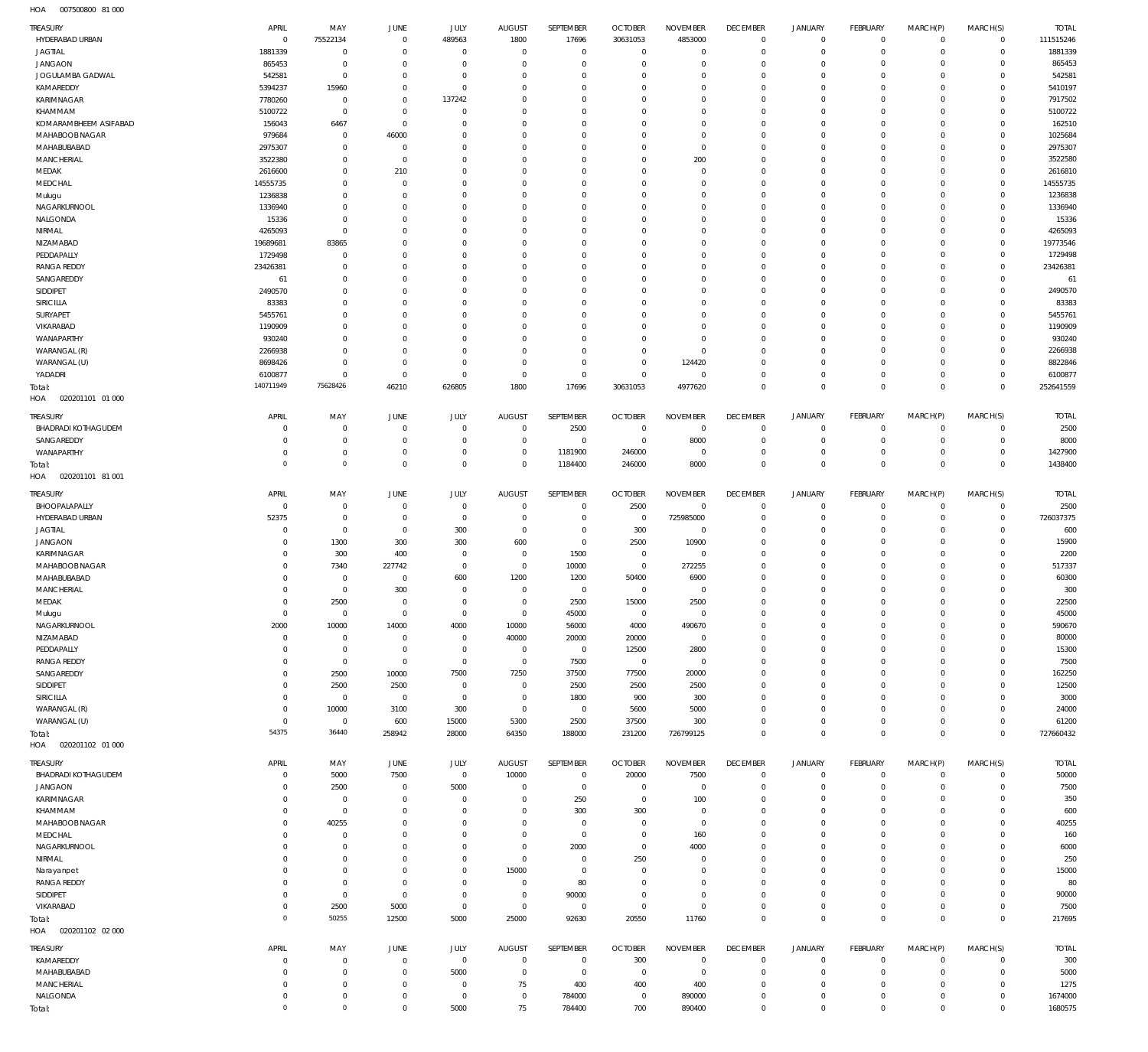007500800 81 000 HOA

| <b>TREASURY</b>                   | APRIL                      | MAY                                 | JUNE                             | JULY                       | <b>AUGUST</b>                    | SEPTEMBER                     | <b>OCTOBER</b>                | <b>NOVEMBER</b>            | <b>DECEMBER</b>               | <b>JANUARY</b>           | FEBRUARY                     | MARCH(P)                   | MARCH(S)                | <b>TOTAL</b>       |
|-----------------------------------|----------------------------|-------------------------------------|----------------------------------|----------------------------|----------------------------------|-------------------------------|-------------------------------|----------------------------|-------------------------------|--------------------------|------------------------------|----------------------------|-------------------------|--------------------|
| HYDERABAD URBAN                   | $\overline{0}$             | 75522134                            | $\overline{0}$                   | 489563                     | 1800                             | 17696                         | 30631053                      | 4853000                    | $\,0\,$                       | $\mathbb O$              | $\mathbf 0$                  | $\mathbf 0$                | $\overline{0}$          | 111515246          |
| JAGTIAL<br><b>JANGAON</b>         | 1881339<br>865453          | $\mathbf 0$<br>$\mathbf 0$          | $\overline{0}$<br>$\overline{0}$ | $\mathbf 0$<br>$\mathbf 0$ | $\overline{0}$<br>$\overline{0}$ | $\overline{0}$<br>$\mathbf 0$ | $\overline{0}$<br>$\mathbf 0$ | $\mathbf 0$<br>$\mathbf 0$ | $\mathbf 0$<br>$\mathbf 0$    | $\circ$<br>$\circ$       | $\mathbf 0$<br>$\mathbf 0$   | $\Omega$<br>$\Omega$       | $\circ$<br>$\Omega$     | 1881339<br>865453  |
| JOGULAMBA GADWAL                  | 542581                     | $\mathbf 0$                         | $\overline{0}$                   | $\mathbf 0$                | $\mathbf 0$                      | $\mathbf 0$                   | $\mathbf 0$                   | 0                          | $\mathbf 0$                   | $\circ$                  | $\mathbf{0}$                 | $\Omega$                   | $\Omega$                | 542581             |
| KAMAREDDY                         | 5394237                    | 15960                               | $\overline{0}$                   | $\mathbf 0$                | $\Omega$                         | $\mathbf 0$                   | $\mathbf 0$                   | 0                          | $\mathbf 0$                   | $^{\circ}$               | $\mathbf{0}$                 | $\Omega$                   | $\Omega$                | 5410197            |
| KARIMNAGAR                        | 7780260                    | $\mathbf 0$                         | $\overline{0}$                   | 137242                     | $\mathbf 0$                      | $\mathbf 0$                   | $\mathbf 0$                   | 0                          | $\mathbf 0$                   | $^{\circ}$               | $\mathbf{0}$                 | $\Omega$                   | $\Omega$                | 7917502            |
| KHAMMAM                           | 5100722                    | $\mathbf 0$                         | $\overline{0}$                   | $\mathbf 0$                | $\Omega$                         | $\Omega$                      | $\mathbf 0$                   | $\Omega$                   | $\overline{0}$                | $\Omega$                 | $\Omega$                     | $\Omega$                   | $\Omega$                | 5100722            |
| KOMARAMBHEEM ASIFABAD             | 156043                     | 6467                                | $\overline{0}$                   | $\mathbf 0$                | $\mathbf 0$                      | $\mathbf 0$                   | $\mathbf 0$                   | 0                          | $\mathbf 0$                   | $\circ$                  | $\mathbf{0}$                 | $\Omega$                   | $\Omega$                | 162510             |
| MAHABOOB NAGAR                    | 979684                     | $\mathbf 0$                         | 46000                            | $\Omega$                   | $\Omega$                         | $\Omega$                      | $\mathbf 0$                   | $\mathbf 0$                | $\mathbf 0$                   | $^{\circ}$               | $\mathbf{0}$                 | $\Omega$                   | $\Omega$                | 1025684            |
| MAHABUBABAD<br>MANCHERIAL         | 2975307<br>3522380         | $\bf 0$<br>$\mathbf 0$              | $\overline{0}$<br>$\overline{0}$ | $\mathbf 0$<br>$\Omega$    | $\mathbf 0$<br>$\Omega$          | $\mathbf 0$<br>$\Omega$       | $\mathbf{0}$<br>$\mathbf 0$   | $\mathbf{0}$<br>200        | $\mathbf 0$<br>$\overline{0}$ | $\circ$<br>$\Omega$      | $\mathbf{0}$<br>$\mathbf{0}$ | $\Omega$<br>$\Omega$       | $\Omega$<br>$\Omega$    | 2975307<br>3522580 |
| MEDAK                             | 2616600                    | $\bf 0$                             | 210                              | $\Omega$                   | $\mathbf 0$                      | $\mathbf 0$                   | $\mathbf{0}$                  | $\mathbf 0$                | $\mathbf 0$                   | $\circ$                  | $\mathbf{0}$                 | $\Omega$                   | $\Omega$                | 2616810            |
| MEDCHAL                           | 14555735                   | $\bf 0$                             | $\overline{0}$                   | $\Omega$                   | $\mathbf 0$                      | $\mathbf 0$                   | $\mathbf{0}$                  | 0                          | $\mathbf 0$                   | $^{\circ}$               | $\mathbf{0}$                 | $\Omega$                   | $\Omega$                | 14555735           |
| Mulugu                            | 1236838                    | $\bf 0$                             | $\overline{0}$                   | $\Omega$                   | $\mathbf 0$                      | $\mathbf 0$                   | $\mathbf{0}$                  | $\Omega$                   | $\mathbf 0$                   | $\circ$                  | $\mathbf 0$                  | $\Omega$                   | $\Omega$                | 1236838            |
| NAGARKURNOOL                      | 1336940                    | $\mathbf 0$                         | $\overline{0}$                   | $\Omega$                   | $\mathbf 0$                      | $\mathbf 0$                   | $\mathbf{0}$                  | 0                          | $\mathbf{0}$                  | $^{\circ}$               | $\mathbf{0}$                 | $\Omega$                   | $\Omega$                | 1336940            |
| NALGONDA                          | 15336                      | $\mathbf 0$                         | $\overline{0}$                   | $\Omega$                   | $\Omega$                         | $\mathbf 0$                   | $\mathbf{0}$                  | $\Omega$                   | $\mathbf 0$                   | $^{\circ}$               | $\mathbf{0}$                 | $\Omega$                   | $\Omega$                | 15336              |
| NIRMAL                            | 4265093                    | $\mathbf 0$                         | $\overline{0}$                   | $\Omega$                   | $\mathbf 0$                      | $\mathbf 0$                   | $\mathbf{0}$                  | 0                          | $\mathbf 0$                   | $^{\circ}$               | $\mathbf{0}$                 | $\Omega$                   | $\Omega$                | 4265093            |
| NIZAMABAD                         | 19689681                   | 83865                               | $\mathbf 0$                      | $\Omega$                   | $\Omega$                         | $\mathbf 0$                   | $\mathbf 0$                   | $\Omega$                   | $\mathbf 0$                   | $^{\circ}$               | $\mathbf{0}$                 |                            | $\Omega$                | 19773546           |
| PEDDAPALLY                        | 1729498                    | $\mathbf 0$                         | $\mathbf 0$                      | $\Omega$                   | $\mathbf 0$                      | $\mathbf 0$                   | $\mathbf{0}$                  | 0                          | $\mathbf 0$                   | $\Omega$                 | $\mathbf{0}$                 | $\Omega$                   | $\Omega$                | 1729498            |
| <b>RANGA REDDY</b><br>SANGAREDDY  | 23426381                   | $\mathbf 0$<br>$\mathbf 0$          | $\mathbf 0$<br>$\overline{0}$    | $\Omega$<br>$\Omega$       | $\mathbf 0$<br>$\mathbf 0$       | $\mathbf 0$<br>$\Omega$       | $\mathbf 0$<br>$\mathbf{0}$   | $\Omega$<br>0              | $\mathbf 0$                   | $^{\circ}$               | $\mathbf{0}$<br>$\mathbf{0}$ | $\Omega$                   | $\Omega$<br>$\Omega$    | 23426381           |
| SIDDIPET                          | 61<br>2490570              | $\bf 0$                             | $\overline{0}$                   | $\Omega$                   | $\mathbf 0$                      | $\mathbf 0$                   | $\mathbf{0}$                  | $\Omega$                   | $\mathbf 0$<br>$\mathbf 0$    | $^{\circ}$<br>$^{\circ}$ | $\mathbf{0}$                 | $\Omega$                   | $\Omega$                | 61<br>2490570      |
| SIRICILLA                         | 83383                      | $\mathbf 0$                         | $\mathbf 0$                      | $\Omega$                   | $\Omega$                         | $\Omega$                      | $\mathbf 0$                   | $\Omega$                   | $\Omega$                      | $\Omega$                 | $\Omega$                     | $\Omega$                   | $\Omega$                | 83383              |
| SURYAPET                          | 5455761                    | $\bf 0$                             | $\mathbf 0$                      | $\Omega$                   | $\mathbf 0$                      | $\mathbf 0$                   | $\mathbf{0}$                  | 0                          | $\mathbf 0$                   | $\circ$                  | $\mathbf{0}$                 | $\Omega$                   | $\Omega$                | 5455761            |
| VIKARABAD                         | 1190909                    | $\mathbf 0$                         | $\mathbf 0$                      | $\Omega$                   | $\Omega$                         | $\Omega$                      | $\mathbf 0$                   | 0                          | $\mathbf 0$                   | $\Omega$                 | $\mathbf{0}$                 | $\Omega$                   | $\Omega$                | 1190909            |
| WANAPARTHY                        | 930240                     | $\mathbf 0$                         | $\overline{0}$                   | $\mathbf 0$                | $\mathbf 0$                      | $\mathbf 0$                   | $\mathbf{0}$                  | $\mathbf 0$                | $\mathbf 0$                   | $^{\circ}$               | $\mathbf{0}$                 | $\Omega$                   | $\Omega$                | 930240             |
| WARANGAL (R)                      | 2266938                    | $\mathbf 0$                         | $\overline{0}$                   | $\Omega$                   | $\Omega$                         | $\mathbf 0$                   | $\overline{0}$                | 0                          | $\Omega$                      | $\Omega$                 | $\Omega$                     | $\Omega$                   | $\Omega$                | 2266938            |
| WARANGAL (U)                      | 8698426                    | $\mathbf 0$                         | $\overline{0}$                   | $\mathbf 0$                | $\overline{0}$                   | $\mathbf 0$                   | $\overline{0}$                | 124420                     | $\mathbf 0$                   | $\circ$                  | $\mathbf 0$                  | $\Omega$                   | $\Omega$                | 8822846            |
| YADADRI                           | 6100877                    | $\mathbf 0$                         | $\overline{0}$                   | $\mathbf 0$                | $\overline{0}$                   | $\mathbf 0$                   | $\overline{0}$                | 0                          | $\mathbf 0$                   | $^{\circ}$               | $\mathbf 0$                  | $\Omega$                   | $\Omega$                | 6100877            |
| Total:<br>HOA<br>020201101 01 000 | 140711949                  | 75628426                            | 46210                            | 626805                     | 1800                             | 17696                         | 30631053                      | 4977620                    | $\,0\,$                       | $\mathbb O$              | $\mathbb O$                  | $\Omega$                   | $\mathbb O$             | 252641559          |
| <b>TREASURY</b>                   | <b>APRIL</b>               | MAY                                 | <b>JUNE</b>                      | JULY                       | <b>AUGUST</b>                    | SEPTEMBER                     | <b>OCTOBER</b>                | <b>NOVEMBER</b>            | <b>DECEMBER</b>               | <b>JANUARY</b>           | <b>FEBRUARY</b>              | MARCH(P)                   | MARCH(S)                | <b>TOTAL</b>       |
| <b>BHADRADI KOTHAGUDEM</b>        | $\mathbf 0$                | 0                                   | $\overline{0}$                   | $\mathbf 0$                | $\overline{0}$                   | 2500                          | $\overline{0}$                | $\mathbf 0$                | $\mathbf 0$                   | $\circ$                  | $^{\circ}$                   | $\Omega$                   | $\mathbf 0$             | 2500               |
| SANGAREDDY                        | 0                          | $\bf 0$                             | $\overline{0}$                   | $\mathbf 0$                | $\overline{0}$                   | $\overline{0}$                | $\overline{0}$                | 8000                       | $\mathbf 0$                   | $\mathbf 0$              | $\mathbf 0$                  | $\Omega$                   | $\mathbf 0$             | 8000               |
| WANAPARTHY                        | 0                          | $\bf 0$                             | $\overline{0}$                   | $\mathbf 0$                | $\overline{0}$                   | 1181900                       | 246000                        | $\mathbf 0$                | $\mathbf 0$                   | $\circ$                  | $\mathbf 0$                  | $\Omega$                   | $\mathbf 0$             | 1427900            |
| Total:                            | $\mathbf 0$                | $\mathbf 0$                         | $\overline{0}$                   | $\mathbf 0$                | $\overline{0}$                   | 1184400                       | 246000                        | 8000                       | $\mathbf 0$                   | $\mathbf 0$              | $\mathbf 0$                  | $\Omega$                   | $\mathbb O$             | 1438400            |
| HOA<br>020201101 81 001           |                            |                                     |                                  |                            |                                  |                               |                               |                            |                               |                          |                              |                            |                         |                    |
| TREASURY                          | APRIL                      | MAY                                 | JUNE                             | JULY                       | <b>AUGUST</b>                    | SEPTEMBER                     | <b>OCTOBER</b>                | <b>NOVEMBER</b>            | <b>DECEMBER</b>               | <b>JANUARY</b>           | FEBRUARY                     | MARCH(P)                   | MARCH(S)                | <b>TOTAL</b>       |
| BHOOPALAPALLY                     | 0                          | $\mathbf 0$                         | $\overline{0}$                   | $\mathbf 0$                | $\overline{0}$                   | $\overline{0}$                | 2500                          | $\overline{0}$             | $\,0\,$                       | 0                        | $\mathbf 0$                  | $\Omega$                   | $\Omega$                | 2500               |
| HYDERABAD URBAN                   | 52375                      | $\bf 0$                             | $\overline{0}$                   | $\mathbf 0$                | $\overline{0}$                   | $\mathbf 0$                   | $\overline{0}$                | 725985000                  | $\mathbf 0$                   | $\circ$                  | $\mathbf 0$                  | $\Omega$                   | $\circ$                 | 726037375          |
| <b>JAGTIAL</b>                    | 0                          | $\bf 0$                             | $\overline{0}$                   | 300                        | $\overline{0}$                   | $\mathbf 0$                   | 300                           | $\mathbf 0$                | $\mathbf 0$                   | $\circ$                  | $\mathbf 0$                  | $\Omega$                   | $\Omega$                | 600                |
|                                   |                            |                                     |                                  |                            |                                  |                               |                               |                            |                               |                          |                              |                            |                         |                    |
| <b>JANGAON</b>                    | $\mathbf 0$                | 1300                                | 300                              | 300                        | 600                              | $\mathbf 0$                   | 2500                          | 10900                      | $\mathbf 0$                   | $^{\circ}$               | $\mathbf{0}$                 | $\Omega$                   | $\Omega$                | 15900              |
| KARIMNAGAR                        | $\mathbf 0$                | 300                                 | 400                              | $\mathbf 0$                | $\overline{0}$                   | 1500                          | $\overline{0}$                | $\mathbf{0}$               | $\mathbf 0$                   | $\circ$                  | $\mathbf{0}$                 | $\Omega$                   | $\Omega$                | 2200               |
| MAHABOOB NAGAR                    | $\mathbf 0$                | 7340                                | 227742                           | $\mathbf 0$                | $\overline{0}$                   | 10000                         | $\mathbf 0$                   | 272255                     | $\mathbf 0$                   | $^{\circ}$               | $\mathbf{0}$                 | $\Omega$                   | $\Omega$                | 517337             |
| MAHABUBABAD                       | $\mathbf 0$                | $\mathbf 0$                         | $\overline{0}$                   | 600                        | 1200                             | 1200                          | 50400                         | 6900                       | $\mathbf 0$                   | $\circ$                  | $\mathbf 0$                  | $\Omega$                   | $\Omega$                | 60300              |
| MANCHERIAL                        | $\mathbf 0$                | $\bf 0$                             | 300                              | $\mathbf 0$                | $\overline{0}$                   | $\overline{0}$                | $\overline{0}$                | $\mathbf 0$                | $\Omega$                      | $\mathbf 0$              | $\mathbf{0}$                 | $\Omega$                   | $\Omega$                | 300                |
| MEDAK                             | $\mathbf 0$<br>$\Omega$    | 2500<br>$\Omega$                    | $\overline{0}$<br>$\cap$         | $\mathbf 0$<br>$\Omega$    | $\overline{0}$<br>$\cap$         | 2500<br>45000                 | 15000<br>$\Omega$             | 2500                       | $\mathbf 0$<br>$\cap$         | $\mathbf 0$<br>$\Omega$  | $\mathbf 0$<br>$\cap$        | $\Omega$<br>$\cap$         | $\mathbf 0$<br>$\Omega$ | 22500              |
| Mulugu<br>NAGARKURNOOL            | 2000                       | 10000                               | 14000                            | 4000                       | 10000                            | 56000                         | 4000                          | 490670                     | $\overline{0}$                | $^{\circ}$               | $\mathbf 0$                  | $\Omega$                   | $\Omega$                | 45000<br>590670    |
| NIZAMABAD                         | $\overline{0}$             | $\bf 0$                             | $\overline{0}$                   | $\mathbf 0$                | 40000                            | 20000                         | 20000                         | $\overline{0}$             | $\mathbf 0$                   | $\circ$                  | $\mathbf 0$                  | $\Omega$                   | $\Omega$                | 80000              |
| PEDDAPALLY                        | $\mathbf 0$                | $\bf 0$                             | $\overline{0}$                   | $\mathbf 0$                | $\overline{0}$                   | $\overline{0}$                | 12500                         | 2800                       | $\mathbf 0$                   | $\circ$                  | $\mathbf 0$                  | $\Omega$                   | $\Omega$                | 15300              |
| <b>RANGA REDDY</b>                | $\mathbf 0$                | $\mathsf{O}\xspace$                 | $\overline{0}$                   | $\mathbf 0$                | $\overline{0}$                   | 7500                          | $\overline{0}$                | $\overline{0}$             | $\mathbf 0$                   | $\circ$                  | $\mathbf 0$                  | $\Omega$                   | $\Omega$                | 7500               |
| SANGAREDDY                        | 0                          | 2500                                | 10000                            | 7500                       | 7250                             | 37500                         | 77500                         | 20000                      | $\mathbf 0$                   | $\circ$                  | $\mathbf 0$                  | $\Omega$                   | $\Omega$                | 162250             |
| SIDDIPET                          | $\mathbf 0$                | 2500                                | 2500                             | $\mathbf 0$                | $\overline{0}$                   | 2500                          | 2500                          | 2500                       | $\mathbf 0$                   | $\circ$                  | $\mathbf 0$                  | $\Omega$                   | $\Omega$                | 12500              |
| SIRICILLA                         | 0                          | $\mathbf 0$                         | $\overline{0}$                   | $\mathbf 0$                | $\overline{0}$                   | 1800                          | 900                           | 300                        | $\mathbf 0$                   | $\circ$                  | $\mathbf 0$                  | $\Omega$                   | $\Omega$                | 3000               |
| WARANGAL (R)                      | $\mathbf 0$                | 10000                               | 3100                             | 300                        | $\overline{0}$                   | $\overline{0}$                | 5600                          | 5000                       | $\mathbf 0$                   | $\circ$                  | $\mathbf 0$                  | $\Omega$                   | $\Omega$                | 24000              |
| WARANGAL (U)                      | $\mathbf 0$<br>54375       | $\mathbf 0$<br>36440                | 600                              | 15000                      | 5300                             | 2500                          | 37500                         | 300                        | $\,0\,$                       | $\mathbb O$              | $\mathbf 0$                  | $\Omega$<br>$^{\circ}$     | $\mathbf 0$             | 61200              |
| Total:<br>HOA<br>020201102 01 000 |                            |                                     | 258942                           | 28000                      | 64350                            | 188000                        | 231200                        | 726799125                  | $\,0\,$                       | $\mathbf 0$              | $\mathbb O$                  |                            | $\mathbb O$             | 727660432          |
|                                   |                            |                                     |                                  |                            |                                  |                               |                               |                            |                               |                          |                              |                            |                         |                    |
| TREASURY                          | APRIL                      | MAY                                 | JUNE                             | JULY                       | <b>AUGUST</b>                    | SEPTEMBER                     | <b>OCTOBER</b>                | <b>NOVEMBER</b>            | <b>DECEMBER</b>               | <b>JANUARY</b>           | FEBRUARY                     | MARCH(P)                   | MARCH(S)                | <b>TOTAL</b>       |
| <b>BHADRADI KOTHAGUDEM</b>        | $\mathbf 0$                | 5000                                | 7500                             | $\mathbb O$                | 10000                            | $\overline{0}$                | 20000                         | 7500                       | $\,0\,$                       | 0                        | $\mathbf 0$                  | $\mathbf 0$<br>$\Omega$    | $\mathbf 0$<br>$\Omega$ | 50000              |
| <b>JANGAON</b>                    | $\mathbf 0$<br>$\mathbf 0$ | 2500                                | $\overline{0}$                   | 5000<br>$\mathbf 0$        | $\overline{0}$<br>$\mathbf 0$    | $\overline{0}$                | $\overline{0}$                | $\mathbf{0}$               | $\mathbf 0$                   | $\mathbf 0$              | $\mathbf 0$                  | $\Omega$                   | $\Omega$                | 7500               |
| KARIMNAGAR<br>KHAMMAM             | $\mathbf 0$                | $\mathbf 0$<br>$\mathbf 0$          | $\overline{0}$<br>$\overline{0}$ | $\Omega$                   | $\mathbf 0$                      | 250<br>300                    | $\overline{0}$<br>300         | 100<br>$\mathbf{0}$        | $\mathbf 0$<br>$\mathbf 0$    | $\circ$<br>$\circ$       | $\mathbf 0$<br>$\mathbf{0}$  | $\Omega$                   | $\Omega$                | 350<br>600         |
| MAHABOOB NAGAR                    | $\mathbf 0$                | 40255                               | $\overline{0}$                   | $\Omega$                   | $\mathbf 0$                      | $\overline{0}$                | $\overline{0}$                | $\mathbf{0}$               | $\mathbf 0$                   | $\circ$                  | $\mathbf 0$                  | $\Omega$                   | $\Omega$                | 40255              |
| MEDCHAL                           | $\mathbf 0$                | $\bf 0$                             | $\mathbf 0$                      | $\Omega$                   | $\mathbf 0$                      | $\overline{0}$                | $\overline{0}$                | 160                        | $\mathbf 0$                   | $\mathbf 0$              | $\mathbf 0$                  | $\Omega$                   | $\Omega$                | 160                |
| NAGARKURNOOL                      | $\mathbf 0$                | $\mathbf 0$                         | $\mathbf 0$                      | $\Omega$                   | $\overline{0}$                   | 2000                          | $\overline{0}$                | 4000                       | $\mathbf 0$                   | $\circ$                  | $\mathbf{0}$                 | $\Omega$                   | $\Omega$                | 6000               |
| NIRMAL                            | $\mathbf 0$                | $\mathbf 0$                         | $\mathbf 0$                      | $\mathbf 0$                | $\overline{0}$                   | $\overline{0}$                | 250                           | $\mathbf 0$                | $\mathbf 0$                   | $\mathbf 0$              | $\mathbf 0$                  | $\Omega$                   | $\Omega$                | 250                |
| Narayanpet                        | $\mathbf 0$                | $\mathbf 0$                         | $\mathbf 0$                      | $\mathbf 0$                | 15000                            | $\mathbf 0$                   | $\mathbf 0$                   | $\Omega$                   | $\mathbf 0$                   | $\circ$                  | $\mathbf{0}$                 | $\Omega$                   | $\Omega$                | 15000              |
| <b>RANGA REDDY</b>                | $\mathbf 0$                | $\mathbf 0$                         | $\overline{0}$                   | $\mathbf 0$                | $\overline{0}$                   | 80                            | $\overline{0}$                | $\mathbf 0$                | $\mathbf 0$                   | $\mathbf 0$              | $\mathbf 0$                  | $\Omega$                   | $\Omega$                | 80                 |
| SIDDIPET                          | $\mathbf 0$                | $\bf 0$                             | $\overline{0}$                   | $\mathbf 0$                | $\overline{0}$                   | 90000                         | $\mathbf 0$                   | $\mathbf 0$                | $\mathbf 0$                   | $\circ$                  | $\mathbf{0}$                 | $\Omega$                   | $\Omega$                | 90000              |
| VIKARABAD                         | $\mathbf 0$<br>$\mathbf 0$ | 2500<br>50255                       | 5000                             | $\mathbf 0$                | $\overline{0}$                   | $\overline{0}$                | $\overline{0}$                | $\mathbf 0$                | $\mathbf 0$                   | $\mathbf 0$              | $\mathbf 0$                  | $\Omega$<br>$\overline{0}$ | $\circ$                 | 7500               |
| Total:<br>HOA  020201102  02  000 |                            |                                     | 12500                            | 5000                       | 25000                            | 92630                         | 20550                         | 11760                      | $\,0\,$                       | $\,0\,$                  | $\mathbb O$                  |                            | $\mathbf 0$             | 217695             |
| TREASURY                          | APRIL                      | MAY                                 | JUNE                             | JULY                       | <b>AUGUST</b>                    | SEPTEMBER                     | <b>OCTOBER</b>                | <b>NOVEMBER</b>            | <b>DECEMBER</b>               | <b>JANUARY</b>           | FEBRUARY                     | MARCH(P)                   | MARCH(S)                | TOTAL              |
| KAMAREDDY                         | 0                          | $\bf 0$                             | $\overline{0}$                   | $\overline{0}$             | $\overline{0}$                   | $\overline{0}$                | 300                           | $\overline{0}$             | $\,0\,$                       | 0                        | $\circ$                      | $\Omega$                   | $\Omega$                | 300                |
| MAHABUBABAD                       | 0                          | $\bf 0$                             | $\overline{0}$                   | 5000                       | $\overline{0}$                   | $\overline{0}$                | $\overline{0}$                | $\mathbf 0$                | $\mathbf 0$                   | 0                        | $\mathbf 0$                  | $\Omega$                   | $\mathbf 0$             | 5000               |
| MANCHERIAL                        | $\mathbf 0$                | $\mathsf{O}\xspace$                 | $\overline{0}$                   | $\mathbf 0$                | 75                               | 400                           | 400                           | 400                        | $\,0\,$                       | $\circ$                  | $\mathbf 0$                  | $\Omega$                   | $\Omega$                | 1275               |
| NALGONDA<br>Total:                | 0<br>$\mathbf 0$           | $\mathsf{O}\xspace$<br>$\mathbf{0}$ | $\overline{0}$<br>$\,0\,$        | $\mathbf 0$<br>5000        | $\overline{0}$<br>75             | 784000<br>784400              | $\overline{0}$<br>700         | 890000<br>890400           | $\,0\,$<br>$\,0\,$            | 0<br>$\,0\,$             | $\mathbf 0$<br>$\mathbb O$   | $\circ$<br>$\mathbf 0$     | $\Omega$<br>$\mathbf 0$ | 1674000<br>1680575 |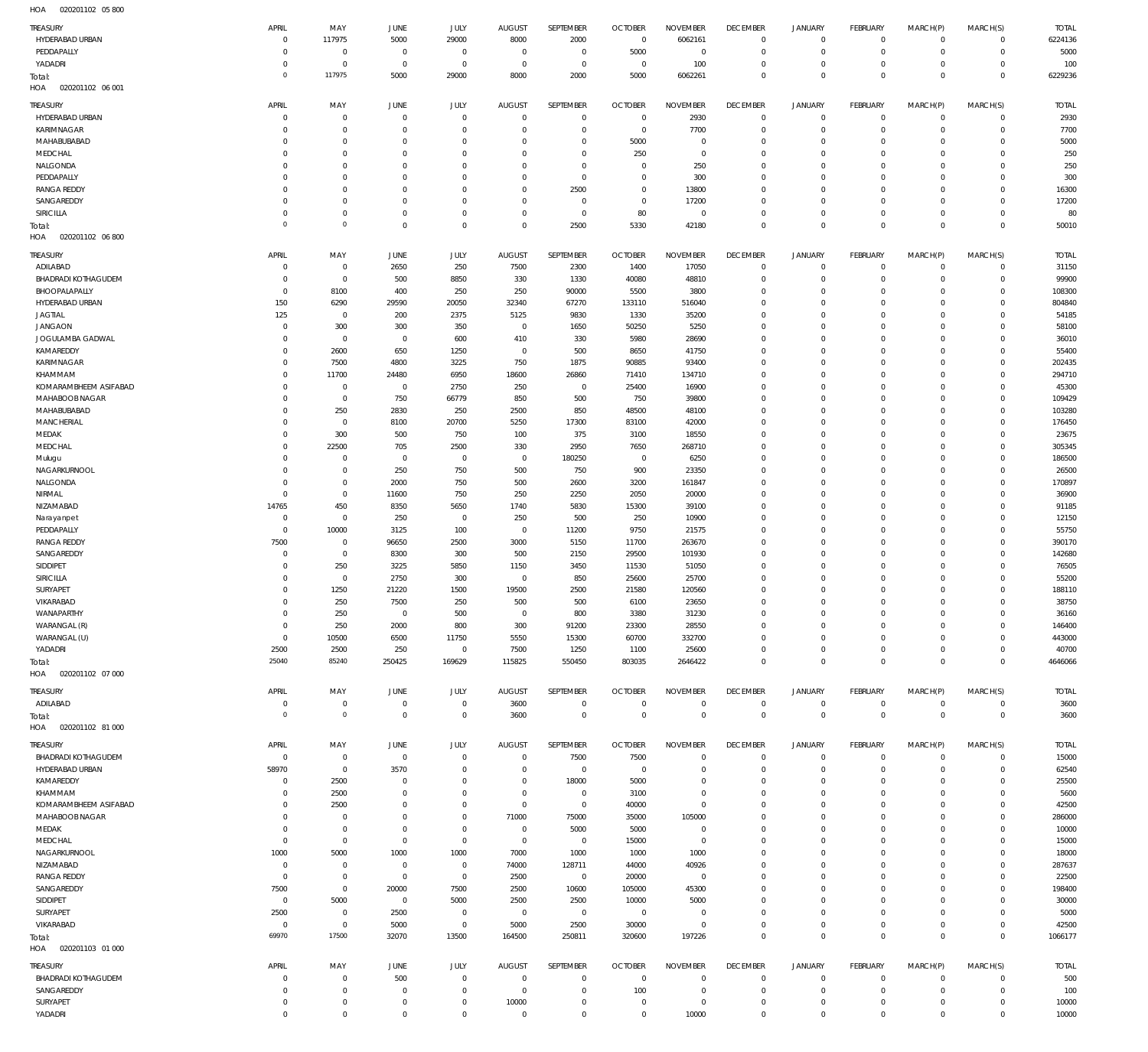020201102 05 800 HOA

| TREASURY                               | APRIL                  | MAY                           | JUNE                             | JULY                        | <b>AUGUST</b>              | SEPTEMBER                  | <b>OCTOBER</b>                   | <b>NOVEMBER</b>                | <b>DECEMBER</b>                   | <b>JANUARY</b>             | <b>FEBRUARY</b>                  | MARCH(P)                 | MARCH(S)                   | <b>TOTAL</b>          |
|----------------------------------------|------------------------|-------------------------------|----------------------------------|-----------------------------|----------------------------|----------------------------|----------------------------------|--------------------------------|-----------------------------------|----------------------------|----------------------------------|--------------------------|----------------------------|-----------------------|
| HYDERABAD URBAN                        | $^{\circ}$             | 117975                        | 5000                             | 29000                       | 8000                       | 2000                       | $\overline{0}$                   | 6062161                        | $\overline{0}$                    | $\mathbf 0$                | $\mathbf 0$                      | $\mathbf{0}$             | $\mathbf 0$                | 6224136               |
| PEDDAPALLY<br>YADADRI                  | $\Omega$<br>$^{\circ}$ | $\overline{0}$<br>$\mathbf 0$ | $\mathbf{0}$<br>$\mathbf{0}$     | $\mathbf 0$<br>$\mathbf 0$  | $^{\circ}$<br>$\mathbf 0$  | $\mathbf 0$<br>$\mathbf 0$ | 5000<br>$\overline{0}$           | $\overline{0}$<br>100          | $\overline{0}$<br>$\mathbf 0$     | $\mathbf 0$<br>$\mathbf 0$ | $\mathbf 0$<br>$\mathbf 0$       | $^{\circ}$<br>$^{\circ}$ | $\mathbf 0$<br>$\mathbf 0$ | 5000<br>100           |
| Total:                                 | $\Omega$               | 117975                        | 5000                             | 29000                       | 8000                       | 2000                       | 5000                             | 6062261                        | $\overline{0}$                    | $\mathbf 0$                | $\,0\,$                          | $\overline{0}$           | $\mathbb O$                | 6229236               |
| HOA<br>020201102 06 001                |                        |                               |                                  |                             |                            |                            |                                  |                                |                                   |                            |                                  |                          |                            |                       |
| TREASURY                               | APRIL                  | MAY                           | JUNE                             | JULY                        | AUGUST                     | SEPTEMBER                  | <b>OCTOBER</b>                   | <b>NOVEMBER</b>                | <b>DECEMBER</b>                   | <b>JANUARY</b>             | <b>FEBRUARY</b>                  | MARCH(P)                 | MARCH(S)                   | <b>TOTAL</b>          |
| HYDERABAD URBAN                        | $\Omega$               | $\mathbf 0$                   | $\mathbf{0}$                     | $\mathbf 0$                 | $\mathbf 0$                | $\mathbf 0$                | $\overline{0}$                   | 2930                           | $\overline{0}$                    | $\mathbf 0$                | $\mathbf 0$                      | $^{\circ}$               | $\mathbf 0$                | 2930                  |
| KARIMNAGAR<br>MAHABUBABAD              |                        | $\mathbf 0$<br>$\mathbf 0$    | $\overline{0}$<br>$\overline{0}$ | $\mathbf{0}$<br>$^{\circ}$  | $^{\circ}$<br>0            | $\mathbf 0$<br>$\mathbf 0$ | $\overline{\mathbf{0}}$<br>5000  | 7700<br>$\mathbf 0$            | $\overline{0}$<br>$\overline{0}$  | $\mathbf 0$<br>0           | $\mathbf 0$<br>$\overline{0}$    | $^{\circ}$<br>$^{\circ}$ | $\mathbf 0$<br>$\mathbf 0$ | 7700<br>5000          |
| MEDCHAL                                |                        | $\mathbf 0$                   | $\Omega$                         | $\mathbf 0$                 | $\mathbf 0$                | $\mathbf 0$                | 250                              | $\mathbf 0$                    | $\overline{0}$                    | $\mathbf 0$                | $\overline{0}$                   | $\Omega$                 | $\Omega$                   | 250                   |
| NALGONDA                               |                        | $\mathbf 0$                   | $^{\circ}$                       | $\mathbf 0$                 | 0                          | $\mathbf 0$                | $\overline{0}$                   | 250                            | $\mathbf 0$                       | 0                          | $\overline{0}$                   | $\Omega$                 | $\Omega$                   | 250                   |
| PEDDAPALLY<br><b>RANGA REDDY</b>       |                        | $\mathbf 0$<br>$\mathbf 0$    | $\Omega$<br>$^{\circ}$           | $\mathbf 0$<br>$\mathbf{0}$ | $\mathbf 0$<br>$\mathbf 0$ | $\mathbf 0$<br>2500        | $\mathbf 0$<br>$\mathbf{0}$      | 300<br>13800                   | $\mathbf 0$<br>$\mathbf 0$        | $\mathbf 0$<br>$\mathbf 0$ | $\overline{0}$<br>$\overline{0}$ | $\Omega$<br>$\Omega$     | $\Omega$<br>$\Omega$       | 300<br>16300          |
| SANGAREDDY                             | $\Omega$               | $\mathbf 0$                   | $^{\circ}$                       | $\mathbf 0$                 | $\mathbf 0$                | $\mathbf 0$                | $\overline{0}$                   | 17200                          | $\mathbf 0$                       | $\mathbf 0$                | $\overline{0}$                   | $\Omega$                 | $\mathbf 0$                | 17200                 |
| SIRICILLA                              | $\Omega$               | $\mathbf 0$                   | $^{\circ}$                       | $\mathbf 0$                 | $\mathbf 0$                | $\mathbf 0$                | 80                               | $\mathbf 0$                    | $\mathbf 0$                       | $\mathbf 0$                | $\overline{0}$                   | $^{\circ}$               | $\mathbf 0$                | 80                    |
| Total:<br>HOA<br>020201102 06 800      | $\Omega$               | $\circ$                       | $\mathbf{0}$                     | $\mathbb O$                 | $\mathbf 0$                | 2500                       | 5330                             | 42180                          | $\overline{0}$                    | $\mathbf 0$                | $\,0\,$                          | $\Omega$                 | $\overline{0}$             | 50010                 |
|                                        | APRIL                  |                               |                                  |                             |                            |                            |                                  |                                |                                   |                            |                                  |                          |                            |                       |
| TREASURY<br>ADILABAD                   | $\circ$                | MAY<br>$\mathbf 0$            | JUNE<br>2650                     | JULY<br>250                 | <b>AUGUST</b><br>7500      | SEPTEMBER<br>2300          | <b>OCTOBER</b><br>1400           | <b>NOVEMBER</b><br>17050       | <b>DECEMBER</b><br>$\overline{0}$ | JANUARY<br>$\mathbf 0$     | <b>FEBRUARY</b><br>$\mathbf 0$   | MARCH(P)<br>$\mathbf 0$  | MARCH(S)<br>$\mathbf 0$    | <b>TOTAL</b><br>31150 |
| <b>BHADRADI KOTHAGUDEM</b>             | $\Omega$               | $\mathbf 0$                   | 500                              | 8850                        | 330                        | 1330                       | 40080                            | 48810                          | $\overline{0}$                    | $\mathbf 0$                | $\overline{0}$                   | $^{\circ}$               | $\mathbf 0$                | 99900                 |
| BHOOPALAPALLY                          | $^{\circ}$             | 8100                          | 400                              | 250                         | 250                        | 90000                      | 5500                             | 3800                           | $\overline{0}$                    | $\mathbf 0$                | $\overline{0}$                   | $\Omega$                 | $\mathbf 0$                | 108300                |
| HYDERABAD URBAN<br><b>JAGTIAL</b>      | 150<br>125             | 6290<br>$\mathbf 0$           | 29590<br>200                     | 20050<br>2375               | 32340<br>5125              | 67270<br>9830              | 133110<br>1330                   | 516040<br>35200                | $\mathbf 0$<br>$\mathbf 0$        | $\mathbf 0$<br>$\mathbf 0$ | $\overline{0}$<br>$\overline{0}$ | $\Omega$<br>$\Omega$     | $\mathbf 0$<br>$\Omega$    | 804840<br>54185       |
| <b>JANGAON</b>                         | $^{\circ}$             | 300                           | 300                              | 350                         | $\mathbf 0$                | 1650                       | 50250                            | 5250                           | $\mathbf 0$                       | $\mathbf 0$                | $\overline{0}$                   | $\Omega$                 | $\mathbf 0$                | 58100                 |
| JOGULAMBA GADWAL                       | $\Omega$               | $\mathbf 0$                   | $\mathbf 0$                      | 600                         | 410                        | 330                        | 5980                             | 28690                          | $\mathbf 0$                       | $\mathbf 0$                | $\overline{0}$                   | $\Omega$                 | $\Omega$                   | 36010                 |
| KAMAREDDY                              | $^{\circ}$             | 2600                          | 650                              | 1250                        | $\mathbf 0$                | 500                        | 8650                             | 41750                          | $\mathbf 0$                       | $\mathbf 0$                | $\overline{0}$                   | $\Omega$                 | $\mathbf 0$                | 55400                 |
| KARIMNAGAR<br>KHAMMAM                  | $\Omega$<br>$^{\circ}$ | 7500<br>11700                 | 4800<br>24480                    | 3225<br>6950                | 750<br>18600               | 1875<br>26860              | 90885<br>71410                   | 93400<br>134710                | $\mathbf 0$<br>$\mathbf 0$        | $\mathbf 0$<br>$\mathbf 0$ | $\overline{0}$<br>$\overline{0}$ | $\Omega$<br>$\Omega$     | $\Omega$<br>$\mathbf 0$    | 202435<br>294710      |
| KOMARAMBHEEM ASIFABAD                  | $\Omega$               | $\overline{0}$                | $\mathbf 0$                      | 2750                        | 250                        | $\mathbf 0$                | 25400                            | 16900                          | $\mathbf 0$                       | $\mathbf 0$                | $\overline{0}$                   | $\Omega$                 | $\Omega$                   | 45300                 |
| MAHABOOB NAGAR                         | $\Omega$               | $\mathbf 0$                   | 750                              | 66779                       | 850                        | 500                        | 750                              | 39800                          | $\mathbf 0$                       | $\mathbf 0$                | $\overline{0}$                   | $\Omega$                 | $\mathbf 0$                | 109429                |
| MAHABUBABAD                            | $\Omega$               | 250                           | 2830                             | 250                         | 2500                       | 850                        | 48500                            | 48100                          | $\mathbf 0$                       | $\mathbf 0$                | $\overline{0}$                   | $\Omega$                 | $\Omega$                   | 103280                |
| MANCHERIAL<br>MEDAK                    | $^{\circ}$<br>$\Omega$ | $\mathbf 0$<br>300            | 8100<br>500                      | 20700<br>750                | 5250<br>100                | 17300<br>375               | 83100<br>3100                    | 42000<br>18550                 | $\mathbf 0$<br>$\mathbf 0$        | $\mathbf 0$<br>$\mathbf 0$ | $\overline{0}$<br>$\overline{0}$ | $\Omega$<br>$\Omega$     | $\mathbf 0$<br>$\Omega$    | 176450<br>23675       |
| MEDCHAL                                | $\Omega$               | 22500                         | 705                              | 2500                        | 330                        | 2950                       | 7650                             | 268710                         | $\mathbf 0$                       | $\mathbf 0$                | $\overline{0}$                   | $\Omega$                 | $\mathbf 0$                | 305345                |
| Mulugu                                 | $\Omega$               | $\overline{0}$                | $\mathbf{0}$                     | $\mathbf{0}$                | $\mathbf 0$                | 180250                     | $\overline{0}$                   | 6250                           | $\mathbf 0$                       | $\mathbf 0$                | $\overline{0}$                   | $\Omega$                 | $\Omega$                   | 186500                |
| NAGARKURNOOL                           | $\Omega$               | $\mathbf 0$                   | 250                              | 750                         | 500                        | 750                        | 900                              | 23350                          | $\mathbf 0$                       | $\mathbf 0$                | $\overline{0}$                   | $\Omega$                 | $\mathbf 0$                | 26500                 |
| NALGONDA<br>NIRMAL                     | $\Omega$<br>$\Omega$   | $\mathbf 0$<br>$\mathbf 0$    | 2000<br>11600                    | 750<br>750                  | 500<br>250                 | 2600<br>2250               | 3200<br>2050                     | 161847<br>20000                | $\mathbf 0$<br>$\mathbf 0$        | $\mathbf 0$<br>$\mathbf 0$ | $\overline{0}$<br>$\overline{0}$ | $\Omega$<br>$\Omega$     | $\mathbf 0$<br>$\mathbf 0$ | 170897<br>36900       |
| NIZAMABAD                              | 14765                  | 450                           | 8350                             | 5650                        | 1740                       | 5830                       | 15300                            | 39100                          | $\mathbf 0$                       | $\mathbf 0$                | $\overline{0}$                   | $\Omega$                 | $\Omega$                   | 91185                 |
| Narayanpet                             | $\Omega$               | $\mathbf 0$                   | 250                              | $\mathbf{0}$                | 250                        | 500                        | 250                              | 10900                          | $\mathbf 0$                       | $\mathbf 0$                | $\overline{0}$                   | $\Omega$                 | $\mathbf 0$                | 12150                 |
| PEDDAPALLY                             | $\Omega$               | 10000                         | 3125                             | 100                         | $\mathbf 0$                | 11200                      | 9750                             | 21575                          | $\mathbf 0$                       | $\mathbf 0$                | $\overline{0}$                   | $\Omega$                 | $\mathbf 0$                | 55750                 |
| <b>RANGA REDDY</b><br>SANGAREDDY       | 7500<br>$^{\circ}$     | $\mathbf 0$<br>$\mathbf 0$    | 96650<br>8300                    | 2500<br>300                 | 3000<br>500                | 5150<br>2150               | 11700<br>29500                   | 263670<br>101930               | $\mathbf 0$<br>$\mathbf 0$        | $\mathbf 0$<br>$\mathbf 0$ | $\overline{0}$<br>$\overline{0}$ | $\Omega$<br>$\Omega$     | $\mathbf 0$<br>$\Omega$    | 390170<br>142680      |
| SIDDIPET                               | $\Omega$               | 250                           | 3225                             | 5850                        | 1150                       | 3450                       | 11530                            | 51050                          | $\mathbf 0$                       | $\mathbf 0$                | $\overline{0}$                   | $\Omega$                 | $\mathbf 0$                | 76505                 |
| SIRICILLA                              | $\Omega$               | $\mathbf 0$                   | 2750                             | 300                         | $\mathbf 0$                | 850                        | 25600                            | 25700                          | $\mathbf 0$                       | $\mathbf 0$                | $\overline{0}$                   | $\Omega$                 | $\mathbf 0$                | 55200                 |
| <b>SURYAPET</b>                        | $\Omega$               | 1250                          | 21220                            | 1500                        | 19500                      | 2500                       | 21580                            | 120560                         | $\mathbf 0$                       | $\mathbf 0$                | $\overline{0}$                   | $\Omega$                 | $\mathbf 0$                | 188110                |
| VIKARABAD<br>WANAPARTHY                | $\Omega$               | 250<br>250                    | 7500<br>$\circ$                  | 250<br>500                  | 500<br>0                   | 500<br>800                 | 6100<br>3380                     | 23650<br>31230                 | $\Omega$                          | $\mathbf 0$                | $\mathbf 0$                      | $\circ$                  | $\mathbf 0$                | 38750<br>36160        |
| WARANGAL (R)                           | $^{\circ}$             | 250                           | 2000                             | 800                         | 300                        | 91200                      | 23300                            | 28550                          | $\mathbf 0$                       | $\mathbf 0$                | $\circ$                          | $^{\circ}$               | $\mathbf 0$                | 146400                |
| WARANGAL (U)                           | $\circ$                | 10500                         | 6500                             | 11750                       | 5550                       | 15300                      | 60700                            | 332700                         | $\mathbf 0$                       | 0                          | $\circ$                          | 0                        | $\mathbf 0$                | 443000                |
| YADADRI                                | 2500<br>25040          | 2500<br>85240                 | 250                              | $\mathbf 0$                 | 7500                       | 1250                       | 1100                             | 25600                          | $\mathbf 0$                       | $\mathbf 0$                | $\mathbf 0$                      | $^{\circ}$               | $\mathbf 0$                | 40700                 |
| Total:<br>HOA<br>020201102 07 000      |                        |                               | 250425                           | 169629                      | 115825                     | 550450                     | 803035                           | 2646422                        | $\mathbf 0$                       | $\mathbf 0$                | $\mathbf 0$                      | $\mathbf 0$              | $\mathbf 0$                | 4646066               |
| TREASURY                               | APRIL                  | MAY                           | <b>JUNE</b>                      | JULY                        | AUGUST                     | SEPTEMBER                  | <b>OCTOBER</b>                   | <b>NOVEMBER</b>                | <b>DECEMBER</b>                   | <b>JANUARY</b>             | FEBRUARY                         | MARCH(P)                 | MARCH(S)                   | <b>TOTAL</b>          |
| ADILABAD                               | $\Omega$               | $\overline{0}$                | $\mathbf 0$                      | $\mathbf 0$                 | 3600                       | $\mathbb O$                | $\overline{0}$                   | $\overline{0}$                 | $\overline{0}$                    | $\overline{0}$             | $\mathbb O$                      | $^{\circ}$               | $\mathbf 0$                | 3600                  |
| Total:                                 | $\Omega$               | $\mathbf 0$                   | $\mathbf{0}$                     | $\mathbf 0$                 | 3600                       | $\mathbb O$                | $\overline{0}$                   | $\mathbf 0$                    | $\overline{0}$                    | $\mathbf{0}$               | $\,0\,$                          | $\mathbf 0$              | $\mathbf 0$                | 3600                  |
| HOA<br>020201102 81 000                |                        |                               |                                  |                             |                            |                            |                                  |                                |                                   |                            |                                  |                          |                            |                       |
| TREASURY                               | APRIL                  | MAY                           | JUNE                             | JULY                        | AUGUST                     | SEPTEMBER                  | <b>OCTOBER</b>                   | <b>NOVEMBER</b>                | <b>DECEMBER</b>                   | <b>JANUARY</b>             | FEBRUARY                         | MARCH(P)                 | MARCH(S)                   | <b>TOTAL</b>          |
| <b>BHADRADI KOTHAGUDEM</b>             | $^{\circ}$             | $\mathbf 0$                   | $\mathbf 0$                      | $\mathbf{0}$                | $\mathbf 0$                | 7500                       | 7500                             | $\mathbf 0$<br>$\mathbf 0$     | $\overline{0}$<br>$\overline{0}$  | $\mathbf 0$<br>$\mathbf 0$ | $\mathbf 0$<br>$\overline{0}$    | $^{\circ}$               | $\mathbf 0$<br>$\mathbf 0$ | 15000                 |
| HYDERABAD URBAN<br>KAMAREDDY           | 58970<br>$\Omega$      | $\mathbf 0$<br>2500           | 3570<br>$^{\circ}$               | $^{\circ}$<br>$\mathbf 0$   | 0<br>0                     | $\mathbf 0$<br>18000       | $\overline{0}$<br>5000           | $\mathbf 0$                    | $\mathbf 0$                       | 0                          | $\overline{0}$                   | $^{\circ}$<br>$\Omega$   | $\mathbf 0$                | 62540<br>25500        |
| KHAMMAM                                |                        | 2500                          | $\circ$                          | $\mathbf 0$                 | 0                          | $\mathbf 0$                | 3100                             | $\mathbf 0$                    | $\mathbf 0$                       | 0                          | $\overline{0}$                   | $\Omega$                 | $\mathbf 0$                | 5600                  |
| KOMARAMBHEEM ASIFABAD                  | $\Omega$               | 2500                          | $^{\circ}$                       | $\mathbf 0$                 | $\mathbf 0$                | $\mathbf 0$                | 40000                            | $\mathbf 0$                    | $\mathbf 0$                       | 0                          | $\overline{0}$                   | $\Omega$                 | $\mathbf 0$                | 42500                 |
| MAHABOOB NAGAR                         | $\Omega$               | $\overline{0}$                | $\circ$                          | $\mathbf 0$                 | 71000                      | 75000                      | 35000                            | 105000                         | $\mathbf 0$                       | 0                          | $\overline{0}$                   | 0                        | $\mathbf 0$                | 286000                |
| MEDAK<br>MEDCHAL                       | $\Omega$<br>$\circ$    | $\overline{0}$<br>$\mathbf 0$ | $^{\circ}$<br>$^{\circ}$         | $\mathbf 0$<br>$\mathbf 0$  | $\mathbf 0$<br>$\mathbf 0$ | 5000<br>$\mathbf 0$        | 5000<br>15000                    | $\mathbf 0$<br>$\mathbf 0$     | $\mathbf 0$<br>$\mathbf 0$        | 0<br>0                     | $\overline{0}$<br>$\overline{0}$ | $\Omega$<br>$\Omega$     | $\mathbf 0$<br>$\mathbf 0$ | 10000<br>15000        |
| NAGARKURNOOL                           | 1000                   | 5000                          | 1000                             | 1000                        | 7000                       | 1000                       | 1000                             | 1000                           | $\mathbf 0$                       | 0                          | $\overline{0}$                   | $\Omega$                 | $\mathbf 0$                | 18000                 |
| NIZAMABAD                              | $\circ$                | $\overline{0}$                | $\overline{0}$                   | $\mathbf{0}$                | 74000                      | 128711                     | 44000                            | 40926                          | $\mathbf 0$                       | 0                          | $\overline{0}$                   | $\Omega$                 | $\mathbf 0$                | 287637                |
| <b>RANGA REDDY</b><br>SANGAREDDY       | $^{\circ}$<br>7500     | $\overline{0}$<br>$\mathbf 0$ | $\overline{0}$<br>20000          | $\mathbf 0$<br>7500         | 2500<br>2500               | $\overline{0}$<br>10600    | 20000<br>105000                  | $\overline{0}$<br>45300        | $\mathbf 0$<br>$\mathbf 0$        | 0<br>0                     | $\overline{0}$<br>$\overline{0}$ | $\Omega$<br>$\Omega$     | $\mathbf 0$<br>$\mathbf 0$ | 22500<br>198400       |
| SIDDIPET                               | $\circ$                | 5000                          | $\mathbf 0$                      | 5000                        | 2500                       | 2500                       | 10000                            | 5000                           | $\mathbf 0$                       | 0                          | $\overline{0}$                   | $\Omega$                 | $\mathbf 0$                | 30000                 |
| SURYAPET                               | 2500                   | $\mathbf 0$                   | 2500                             | $\mathbf{0}$                | $\mathbf 0$                | $\mathbf 0$                | $\overline{0}$                   | $\mathbf 0$                    | $\mathbf 0$                       | $\mathbf 0$                | $\mathbf 0$                      | $\circ$                  | $\mathbf 0$                | 5000                  |
| VIKARABAD                              | $\circ$                | $\mathbf 0$                   | 5000                             | $\mathbf 0$                 | 5000                       | 2500                       | 30000                            | $\overline{0}$                 | $\mathbf 0$                       | $\mathsf{O}\xspace$        | $\mathbf 0$                      | $^{\circ}$               | $\mathbf 0$                | 42500                 |
| Total:<br>HOA<br>020201103 01 000      | 69970                  | 17500                         | 32070                            | 13500                       | 164500                     | 250811                     | 320600                           | 197226                         | $\overline{0}$                    | $\mathbf 0$                | $\,0\,$                          | $\mathbf 0$              | $\mathbf 0$                | 1066177               |
|                                        |                        |                               |                                  |                             |                            |                            |                                  |                                |                                   |                            |                                  |                          |                            |                       |
| TREASURY<br><b>BHADRADI KOTHAGUDEM</b> | APRIL<br>$\Omega$      | MAY<br>$\overline{0}$         | JUNE<br>500                      | JULY<br>$\mathbf 0$         | AUGUST<br>$\mathbf 0$      | SEPTEMBER<br>$\mathbf 0$   | <b>OCTOBER</b><br>$\overline{0}$ | <b>NOVEMBER</b><br>$\mathbf 0$ | <b>DECEMBER</b><br>$\overline{0}$ | JANUARY<br>0               | FEBRUARY<br>$\overline{0}$       | MARCH(P)<br>$^{\circ}$   | MARCH(S)<br>$\mathbf 0$    | <b>TOTAL</b><br>500   |
| SANGAREDDY                             | $\Omega$               | $\mathbf 0$                   | $^{\circ}$                       | $\mathbf{0}$                | $\mathbf 0$                | $\mathbf 0$                | 100                              | $\mathbf 0$                    | $\overline{0}$                    | 0                          | $\mathbf 0$                      | $\circ$                  | $\mathbf 0$                | 100                   |
| SURYAPET                               | $\circ$                | $\mathbf 0$                   | $^{\circ}$                       | $\mathbf 0$                 | 10000                      | $\mathbf 0$                | 0                                | $\mathbf 0$                    | $\overline{0}$                    | 0                          | $\overline{0}$                   | 0                        | $\mathbf 0$                | 10000                 |
| YADADRI                                | $\Omega$               | $\mathbb O$                   | $\mathbf{0}$                     | $\mathbf 0$                 | $\mathbf 0$                | $\mathbf 0$                | $\mathbf 0$                      | 10000                          | $\overline{0}$                    | $\mathbf 0$                | $\mathbb O$                      | $\mathbf 0$              | $\mathbf 0$                | 10000                 |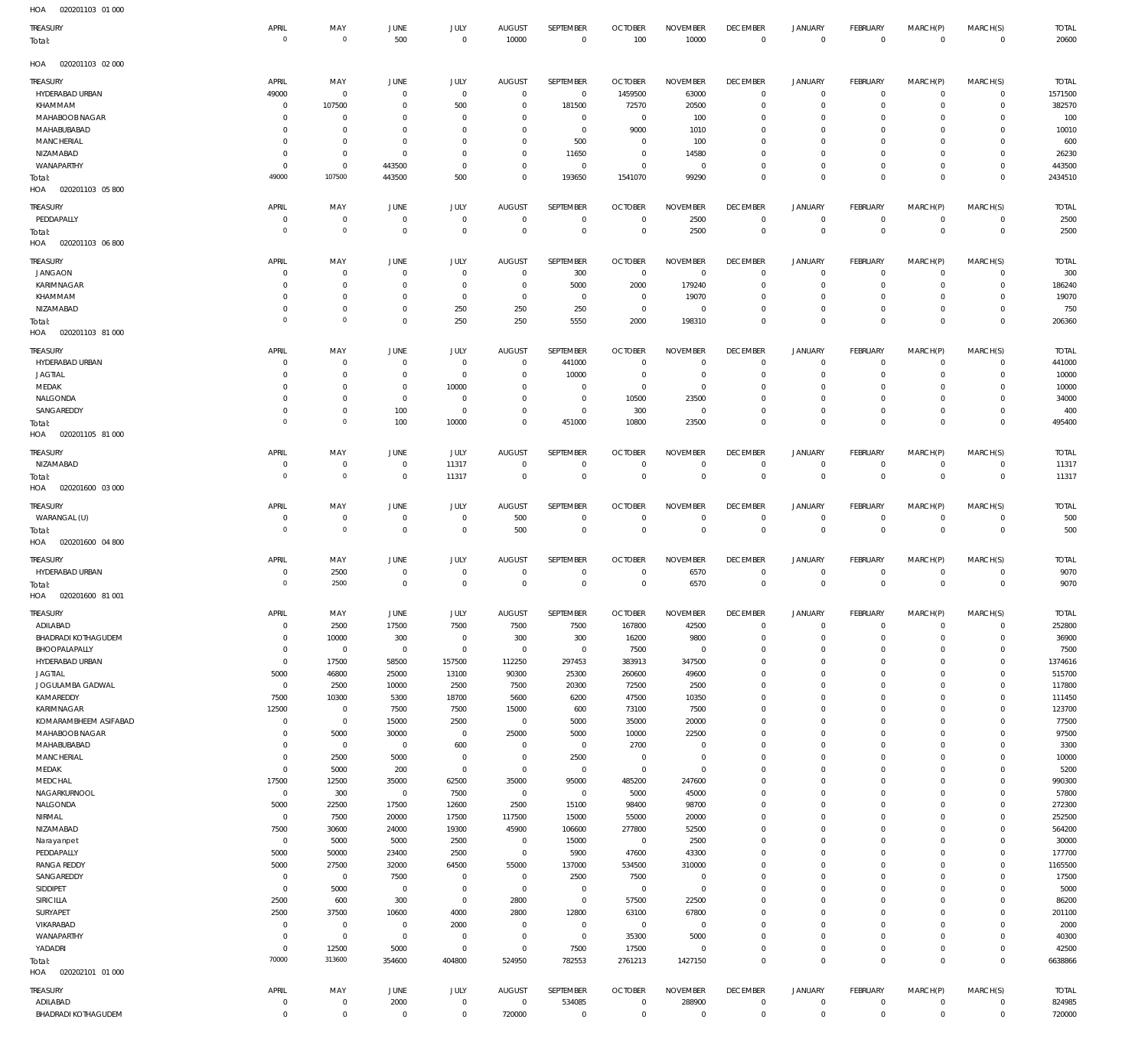| <b>TREASURY</b>                             | APRIL<br>$\circ$              | MAY<br>$\circ$             | JUNE<br>500              | JULY<br>$\mathbf 0$           | <b>AUGUST</b><br>10000        | SEPTEMBER<br>$\mathbf 0$ | <b>OCTOBER</b><br>100            | <b>NOVEMBER</b><br>10000      | <b>DECEMBER</b><br>$\overline{0}$ | <b>JANUARY</b><br>$\overline{0}$ | <b>FEBRUARY</b><br>$\mathbb O$ | MARCH(P)<br>$\mathbf 0$ | MARCH(S)<br>$\overline{0}$ | <b>TOTAL</b><br>20600  |
|---------------------------------------------|-------------------------------|----------------------------|--------------------------|-------------------------------|-------------------------------|--------------------------|----------------------------------|-------------------------------|-----------------------------------|----------------------------------|--------------------------------|-------------------------|----------------------------|------------------------|
| Total:                                      |                               |                            |                          |                               |                               |                          |                                  |                               |                                   |                                  |                                |                         |                            |                        |
| 020201103 02 000<br>HOA                     |                               |                            |                          |                               |                               |                          |                                  |                               |                                   |                                  |                                |                         |                            |                        |
| TREASURY                                    | APRIL                         | MAY                        | <b>JUNE</b>              | JULY                          | <b>AUGUST</b>                 | SEPTEMBER                | <b>OCTOBER</b>                   | <b>NOVEMBER</b>               | <b>DECEMBER</b>                   | JANUARY                          | <b>FEBRUARY</b>                | MARCH(P)<br>$\Omega$    | MARCH(S)                   | <b>TOTAL</b>           |
| HYDERABAD URBAN<br>KHAMMAM                  | 49000<br>$\mathbf 0$          | $\,0\,$<br>107500          | $\overline{0}$<br>0      | $\mathbf 0$<br>500            | $\overline{0}$<br>$\mathbf 0$ | $\overline{0}$<br>181500 | 1459500<br>72570                 | 63000<br>20500                | $\circ$<br>$\circ$                | $\mathbf 0$<br>$\mathbf 0$       | $\circ$<br>- 0                 | $\Omega$                | $\circ$<br>$\circ$         | 1571500<br>382570      |
| MAHABOOB NAGAR                              | 0                             | $^{\circ}$                 | 0                        | - 0                           | 0                             | $^{\circ}$               | $^{\circ}$                       | 100                           | $\circ$                           | $\circ$                          |                                | $\Omega$                |                            | 100                    |
| MAHABUBABAD                                 | 0                             | $\overline{0}$             | 0                        | $^{\circ}$                    | 0                             | $^{\circ}$               | 9000                             | 1010                          | $^{\circ}$                        | $\circ$                          |                                | $\Omega$                |                            | 10010                  |
| <b>MANCHERIAL</b>                           | 0                             | $\mathbf 0$                | $\mathbf 0$              | $\Omega$<br>$^{\circ}$        | $\mathbf 0$<br>$\mathbf 0$    | 500                      | $^{\circ}$                       | 100                           | $\Omega$                          | $\Omega$<br>$\mathbf 0$          |                                | $\Omega$<br>$\Omega$    | $\Omega$                   | 600<br>26230           |
| NIZAMABAD<br>WANAPARTHY                     | 0<br>$\mathbf 0$              | $\,0\,$<br>$\,0\,$         | $\overline{0}$<br>443500 | $\overline{0}$                | $\mathbf 0$                   | 11650<br>$\overline{0}$  | - 0<br>$^{\circ}$                | 14580<br>$\overline{0}$       | $^{\circ}$<br>$^{\circ}$          | $\mathbf 0$                      | $\Omega$                       | $\Omega$                |                            | 443500                 |
| Total:                                      | 49000                         | 107500                     | 443500                   | 500                           | $\mathbf 0$                   | 193650                   | 1541070                          | 99290                         | $\overline{0}$                    | $\mathbf 0$                      | $\Omega$                       | $\Omega$                | $^{\circ}$                 | 2434510                |
| 020201103 05 800<br>HOA                     |                               |                            |                          |                               |                               |                          |                                  |                               |                                   |                                  |                                |                         |                            |                        |
| TREASURY                                    | APRIL                         | MAY                        | JUNE                     | JULY                          | <b>AUGUST</b>                 | SEPTEMBER                | <b>OCTOBER</b>                   | <b>NOVEMBER</b>               | <b>DECEMBER</b>                   | <b>JANUARY</b>                   | <b>FEBRUARY</b>                | MARCH(P)                | MARCH(S)                   | <b>TOTAL</b>           |
| PEDDAPALLY                                  | $^{\circ}$                    | $\,0\,$                    | $\overline{0}$           | $\mathbf 0$                   | $\overline{0}$                | $^{\circ}$               | $^{\circ}$                       | 2500                          | $\overline{0}$                    | $\mathbf 0$                      | $\mathbf 0$                    | $\Omega$                | $\Omega$                   | 2500                   |
| Total:<br>020201103 06 800<br>HOA           | $\Omega$                      | $\overline{0}$             | $\mathbf 0$              | $\mathbf 0$                   | $\mathbf 0$                   | $\overline{0}$           | $^{\circ}$                       | 2500                          | $\mathbf 0$                       | $\overline{0}$                   | $^{\circ}$                     | $\mathbf 0$             | $\mathbf 0$                | 2500                   |
|                                             |                               |                            |                          |                               |                               |                          |                                  |                               |                                   |                                  |                                |                         |                            |                        |
| TREASURY<br><b>JANGAON</b>                  | APRIL<br>0                    | MAY<br>$\overline{0}$      | JUNE<br>0                | JULY<br>$^{\circ}$            | <b>AUGUST</b><br>- 0          | SEPTEMBER<br>300         | <b>OCTOBER</b><br>- 0            | <b>NOVEMBER</b><br>0          | <b>DECEMBER</b><br>$\circ$        | JANUARY<br>$\circ$               | <b>FEBRUARY</b><br>- 0         | MARCH(P)<br>$\Omega$    | MARCH(S)<br>0              | <b>TOTAL</b><br>300    |
| KARIMNAGAR                                  | 0                             | $\mathbf 0$                | $\mathbf 0$              | $^{\circ}$                    | $^{\circ}$                    | 5000                     | 2000                             | 179240                        | $^{\circ}$                        | $\mathbf 0$                      | - 0                            | $\Omega$                | $\Omega$                   | 186240                 |
| KHAMMAM                                     | 0                             | $\,0\,$                    | 0                        | $^{\circ}$                    | $\mathbf 0$                   | $\overline{0}$           | - 0                              | 19070                         | $^{\circ}$                        | $\circ$                          |                                | $\Omega$                | 0                          | 19070                  |
| NIZAMABAD                                   | $\mathbf 0$<br>$\mathbf 0$    | $\mathbf 0$<br>$\mathbb O$ | $\mathbf 0$              | 250                           | 250                           | 250                      | $\overline{0}$                   | $\overline{0}$                | $\circ$                           | $\mathbf 0$                      | $\Omega$                       | $\Omega$                | $\Omega$                   | 750                    |
| Total:<br>HOA<br>020201103 81 000           |                               |                            | $\mathbf 0$              | 250                           | 250                           | 5550                     | 2000                             | 198310                        | $\overline{0}$                    | $\mathbf 0$                      | $\Omega$                       | $\Omega$                | $^{\circ}$                 | 206360                 |
|                                             |                               |                            |                          |                               |                               |                          |                                  |                               |                                   |                                  |                                |                         |                            |                        |
| <b>TREASURY</b><br>HYDERABAD URBAN          | APRIL<br>0                    | MAY<br>$\mathbf 0$         | JUNE<br>$\overline{0}$   | JULY<br>$\mathbf 0$           | <b>AUGUST</b><br>$^{\circ}$   | SEPTEMBER<br>441000      | <b>OCTOBER</b><br>$^{\circ}$     | <b>NOVEMBER</b><br>0          | <b>DECEMBER</b><br>$^{\circ}$     | JANUARY<br>$\circ$               | <b>FEBRUARY</b><br>$\Omega$    | MARCH(P)<br>$\Omega$    | MARCH(S)<br>$\Omega$       | <b>TOTAL</b><br>441000 |
| <b>JAGTIAL</b>                              | 0                             | $\overline{0}$             | $\overline{0}$           | $\overline{0}$                | $\mathbf{0}$                  | 10000                    | $^{\circ}$                       | $\overline{0}$                | $\circ$                           | $\mathbf 0$                      | $\Omega$                       | $\Omega$                | $\circ$                    | 10000                  |
| MEDAK                                       | 0                             | $^{\circ}$                 | $\overline{0}$           | 10000                         | 0                             | $^{\circ}$               | $^{\circ}$                       | $\overline{0}$                | $\circ$                           | $\circ$                          |                                | $\Omega$                | $\Omega$                   | 10000                  |
| NALGONDA                                    | $\mathbf 0$                   | $\mathbf 0$                | $\overline{0}$           | $^{\circ}$                    | $\mathbf{0}$                  | $^{\circ}$               | 10500                            | 23500                         | $\circ$                           | $\mathbf 0$                      | $\Omega$                       | $\Omega$                | $\Omega$                   | 34000                  |
| SANGAREDDY<br>Total:                        | $\mathbf 0$<br>$\Omega$       | $\,0\,$<br>$\circ$         | 100<br>100               | $^{\circ}$<br>10000           | $\mathbf 0$<br>$\mathbf 0$    | $^{\circ}$<br>451000     | 300<br>10800                     | $\overline{0}$<br>23500       | $\overline{0}$<br>$\mathbf 0$     | $\mathbf 0$<br>$\mathbf 0$       | $\Omega$<br>$\Omega$           | $\Omega$<br>$\Omega$    | $\mathbf 0$<br>$\mathbf 0$ | 400<br>495400          |
| 020201105 81 000<br>HOA                     |                               |                            |                          |                               |                               |                          |                                  |                               |                                   |                                  |                                |                         |                            |                        |
| <b>TREASURY</b>                             | APRIL                         | MAY                        | JUNE                     | JULY                          | <b>AUGUST</b>                 | SEPTEMBER                | <b>OCTOBER</b>                   | <b>NOVEMBER</b>               | <b>DECEMBER</b>                   | <b>JANUARY</b>                   | <b>FEBRUARY</b>                | MARCH(P)                | MARCH(S)                   | <b>TOTAL</b>           |
| NIZAMABAD                                   | 0                             | $\overline{0}$             | $\overline{0}$           | 11317                         | $^{\circ}$                    | $^{\circ}$               | - 0                              | 0                             | $\circ$                           | $\circ$                          | $\circ$                        | 0                       | $\circ$                    | 11317                  |
| Total:                                      | $\circ$                       | $\mathbb O$                | $\mathbf 0$              | 11317                         | $\mathbf 0$                   | $\mathbf 0$              | $\overline{0}$                   | $\overline{0}$                | $\mathbf 0$                       | $\mathbf 0$                      | $^{\circ}$                     | $\mathbf 0$             | $^{\circ}$                 | 11317                  |
| HOA<br>020201600 03 000                     |                               |                            |                          |                               |                               |                          |                                  |                               |                                   |                                  |                                |                         |                            |                        |
| <b>TREASURY</b>                             | APRIL                         | MAY                        | JUNE                     | JULY                          | <b>AUGUST</b>                 | SEPTEMBER                | <b>OCTOBER</b>                   | <b>NOVEMBER</b>               | <b>DECEMBER</b>                   | <b>JANUARY</b>                   | <b>FEBRUARY</b>                | MARCH(P)                | MARCH(S)                   | <b>TOTAL</b>           |
| WARANGAL (U)                                | $\overline{0}$<br>$\mathbf 0$ | $\,0\,$                    | $\overline{0}$           | $\overline{0}$                | 500                           | $^{\circ}$               | $^{\circ}$                       | $\overline{0}$                | $^{\circ}$                        | $\mathbf 0$                      | $\mathbf 0$                    | $\Omega$                | $\mathbf 0$                | 500                    |
| Total:<br>HOA<br>020201600 04 800           |                               | $\overline{0}$             | $\mathbf 0$              | $\mathbf 0$                   | 500                           | $\overline{0}$           | $\overline{0}$                   | $\overline{0}$                | $\mathbf 0$                       | $\mathbf{0}$                     | $^{\circ}$                     | $\mathbf{0}$            | $\mathbf{0}$               | 500                    |
|                                             |                               |                            |                          |                               |                               |                          |                                  |                               |                                   |                                  |                                |                         |                            |                        |
| <b>TREASURY</b><br>HYDERABAD URBAN          | APRIL<br>0                    | MAY<br>2500                | JUNE<br>$\overline{0}$   | JULY<br>$^{\circ}$            | <b>AUGUST</b><br>$^{\circ}$   | SEPTEMBER<br>$^{\circ}$  | <b>OCTOBER</b><br>- 0            | <b>NOVEMBER</b><br>6570       | <b>DECEMBER</b><br>$\circ$        | <b>JANUARY</b><br>$\mathbf 0$    | <b>FEBRUARY</b><br>$\circ$     | MARCH(P)<br>$\Omega$    | MARCH(S)<br>$\circ$        | <b>TOTAL</b><br>9070   |
| Total:                                      | $\mathbb O$                   | 2500                       | $\mathbf 0$              | $\mathbf 0$                   | $\mathbf 0$                   | $\overline{0}$           | $^{\circ}$                       | 6570                          | $\mathbf 0$                       | $\mathbf{0}$                     | $^{\circ}$                     | $\mathbf{0}$            | $\mathbf{0}$               | 9070                   |
| HOA<br>020201600 81 001                     |                               |                            |                          |                               |                               |                          |                                  |                               |                                   |                                  |                                |                         |                            |                        |
| TREASURY                                    | APRIL                         | MAY                        | JUNE                     | <b>JULY</b>                   | AUGUST                        | SEPTEMBER                | <b>OCTOBER</b>                   | <b>NOVEMBER</b>               | <b>DECEMBER</b>                   | JANUAR'                          | <b>FEBRUARY</b>                | MARCH(P)                | MARCH(S)                   | <b>TOTAL</b>           |
| ADILABAD                                    | $^{\circ}$                    | 2500                       | 17500                    | 7500                          | 7500                          | 7500                     | 167800                           | 42500                         | $\overline{0}$                    | $\mathbf 0$                      | $\Omega$                       | $\Omega$                | $\Omega$                   | 252800                 |
| <b>BHADRADI KOTHAGUDEM</b><br>BHOOPALAPALLY | $\mathbf{0}$<br>$\mathbf 0$   | 10000<br>$\overline{0}$    | 300<br>$\mathbf 0$       | $\mathbf 0$<br>$\,0\,$        | 300<br>$\mathbf 0$            | 300<br>$\overline{0}$    | 16200<br>7500                    | 9800<br>$\overline{0}$        | $\overline{0}$<br>$\mathbf 0$     | $\mathbf 0$<br>$\mathbf 0$       | $\mathbf 0$<br>$\Omega$        | $\mathbf 0$<br>$\Omega$ | $\mathbf 0$<br>$\Omega$    | 36900<br>7500          |
| HYDERABAD URBAN                             | $\mathbf{0}$                  | 17500                      | 58500                    | 157500                        | 112250                        | 297453                   | 383913                           | 347500                        | $\overline{0}$                    | $\mathbf 0$                      | $\Omega$                       | $\Omega$                | $\mathbf 0$                | 1374616                |
| <b>JAGTIAL</b>                              | 5000                          | 46800                      | 25000                    | 13100                         | 90300                         | 25300                    | 260600                           | 49600                         | $\overline{0}$                    | $\mathbf 0$                      | $\Omega$                       | $\Omega$                | $\Omega$                   | 515700                 |
| JOGULAMBA GADWAL                            | $\mathbf 0$                   | 2500                       | 10000                    | 2500                          | 7500                          | 20300                    | 72500                            | 2500                          | $\overline{0}$                    | $\mathbf 0$                      | $\Omega$                       | $\Omega$                | $\mathbf 0$                | 117800                 |
| KAMAREDDY<br>KARIMNAGAR                     | 7500<br>12500                 | 10300<br>$\overline{0}$    | 5300<br>7500             | 18700<br>7500                 | 5600<br>15000                 | 6200<br>600              | 47500<br>73100                   | 10350<br>7500                 | $\overline{0}$<br>$\overline{0}$  | $\mathbf 0$<br>$\mathbf 0$       | $\Omega$<br>$\Omega$           | $\Omega$<br>$\Omega$    | $\Omega$<br>$\mathbf 0$    | 111450<br>123700       |
| KOMARAMBHEEM ASIFABAD                       | $\mathbf{0}$                  | $\overline{0}$             | 15000                    | 2500                          | $\mathbf 0$                   | 5000                     | 35000                            | 20000                         | $\overline{0}$                    | $\mathbf 0$                      | $\Omega$                       | $\Omega$                | $\Omega$                   | 77500                  |
| MAHABOOB NAGAR                              | $\mathbf 0$                   | 5000                       | 30000                    | $\mathbf 0$                   | 25000                         | 5000                     | 10000                            | 22500                         | $\overline{0}$                    | $\mathbf 0$                      |                                | $\Omega$                | $\mathbf 0$                | 97500                  |
| MAHABUBABAD                                 | $\mathbf 0$                   | $\overline{0}$             | $\mathbf 0$              | 600                           | $\overline{0}$                | $\overline{0}$           | 2700                             | $\overline{0}$                | $\overline{0}$                    | $\mathbf 0$                      | $\Omega$                       | $\Omega$                | $\Omega$                   | 3300                   |
| MANCHERIAL<br>MEDAK                         | $\mathbf 0$<br>$\mathbf{0}$   | 2500<br>5000               | 5000<br>200              | $\overline{0}$<br>$\mathbf 0$ | $\overline{0}$<br>$\mathbf 0$ | 2500<br>$\overline{0}$   | $\overline{0}$<br>$\overline{0}$ | $\overline{0}$<br>$\mathbf 0$ | $\overline{0}$<br>$\overline{0}$  | $\mathbf 0$<br>$\Omega$          | $\Omega$                       | $\Omega$<br>$\Omega$    | $\mathbf 0$<br>$\Omega$    | 10000<br>5200          |
| MEDCHAL                                     | 17500                         | 12500                      | 35000                    | 62500                         | 35000                         | 95000                    | 485200                           | 247600                        | $\overline{0}$                    | $\mathbf 0$                      | $\Omega$                       | $\Omega$                | $\mathbf 0$                | 990300                 |
| NAGARKURNOOL                                | $\,0\,$                       | 300                        | $\mathbf 0$              | 7500                          | $\mathbf 0$                   | $\overline{0}$           | 5000                             | 45000                         | $\mathbf 0$                       | $\Omega$                         | $\Omega$                       | $\Omega$                | $\Omega$                   | 57800                  |
| NALGONDA                                    | 5000                          | 22500                      | 17500                    | 12600                         | 2500                          | 15100                    | 98400                            | 98700                         | $\overline{0}$                    | $\mathbf 0$                      | $\Omega$                       | $\Omega$                | $\mathbf 0$                | 272300                 |
| NIRMAL<br>NIZAMABAD                         | $\mathbf 0$<br>7500           | 7500<br>30600              | 20000<br>24000           | 17500<br>19300                | 117500<br>45900               | 15000<br>106600          | 55000<br>277800                  | 20000<br>52500                | $\overline{0}$<br>$\overline{0}$  | $\mathbf 0$<br>$\mathbf 0$       | $\Omega$<br>$\Omega$           | $\Omega$<br>$\Omega$    | $\Omega$<br>$\mathbf 0$    | 252500<br>564200       |
| Narayanpet                                  | $\,0\,$                       | 5000                       | 5000                     | 2500                          | $\overline{0}$                | 15000                    | $\overline{0}$                   | 2500                          | $\overline{0}$                    | $\mathbf 0$                      | $\Omega$                       | $\Omega$                | $\Omega$                   | 30000                  |
| PEDDAPALLY                                  | 5000                          | 50000                      | 23400                    | 2500                          | $\overline{0}$                | 5900                     | 47600                            | 43300                         | $\overline{0}$                    | $\mathbf 0$                      | $\Omega$                       | $\Omega$                | $\mathbf 0$                | 177700                 |
| <b>RANGA REDDY</b>                          | 5000                          | 27500                      | 32000                    | 64500                         | 55000                         | 137000                   | 534500                           | 310000                        | $\overline{0}$                    | $\mathbf 0$                      | $\Omega$                       | $\Omega$                | $\mathbf 0$                | 1165500                |
| SANGAREDDY<br>SIDDIPET                      | $\,0\,$<br>$\,0\,$            | $\overline{0}$<br>5000     | 7500<br>$\overline{0}$   | $\overline{0}$<br>$\mathbf 0$ | $\overline{0}$<br>$\mathbf 0$ | 2500<br>$\overline{0}$   | 7500<br>$\overline{0}$           | $\mathbf 0$<br>$\mathbf 0$    | $\overline{0}$<br>$\overline{0}$  | $\mathbf 0$<br>$\mathbf 0$       | $\Omega$                       | $\Omega$<br>$\Omega$    | $\mathbf 0$<br>$\Omega$    | 17500<br>5000          |
| SIRICILLA                                   | 2500                          | 600                        | 300                      | $\mathbf 0$                   | 2800                          | $\overline{0}$           | 57500                            | 22500                         | $\overline{0}$                    | $\mathbf 0$                      |                                | $\Omega$                | $\mathbf 0$                | 86200                  |
| SURYAPET                                    | 2500                          | 37500                      | 10600                    | 4000                          | 2800                          | 12800                    | 63100                            | 67800                         | $\overline{0}$                    | $\mathbf 0$                      | $\Omega$                       | $\Omega$                | $\Omega$                   | 201100                 |
| VIKARABAD                                   | $\mathbf{0}$                  | $\overline{0}$             | $\mathbf 0$              | 2000                          | $\overline{0}$                | $\mathbf 0$              | $\overline{0}$                   | $\mathbf 0$                   | $\overline{0}$                    | $\mathbf 0$                      |                                | $\Omega$                | $\mathbf 0$                | 2000                   |
| WANAPARTHY                                  | $\mathbf{0}$<br>$\mathbf{0}$  | $\overline{0}$<br>12500    | $\mathbf 0$              | $\mathbf 0$<br>$\mathbf 0$    | $\mathbf 0$                   | $\overline{0}$           | 35300                            | 5000<br>$\mathbf 0$           | $\mathbf 0$                       | $\mathbf 0$<br>$\mathbf 0$       | $\Omega$<br>$\Omega$           | $\Omega$<br>$\mathbf 0$ | $\Omega$<br>$\mathbf 0$    | 40300                  |
| YADADRI<br>Total:                           | 70000                         | 313600                     | 5000<br>354600           | 404800                        | $\overline{0}$<br>524950      | 7500<br>782553           | 17500<br>2761213                 | 1427150                       | $\overline{0}$<br>$\mathbb O$     | $\mathbb O$                      | $\Omega$                       | $\Omega$                | $\mathbf 0$                | 42500<br>6638866       |
| 020202101 01 000<br>HOA                     |                               |                            |                          |                               |                               |                          |                                  |                               |                                   |                                  |                                |                         |                            |                        |
| <b>TREASURY</b>                             | APRIL                         | MAY                        | JUNE                     | JULY                          | <b>AUGUST</b>                 | SEPTEMBER                | <b>OCTOBER</b>                   | <b>NOVEMBER</b>               | <b>DECEMBER</b>                   | JANUARY                          | <b>FEBRUARY</b>                | MARCH(P)                | MARCH(S)                   | <b>TOTAL</b>           |
| ADILABAD                                    | $\overline{0}$                | $\,0\,$                    | 2000                     | $\,0\,$                       | $\overline{0}$                | 534085                   | $\mathbf 0$                      | 288900                        | $\mathbf 0$                       | $\circ$                          | $\mathbf 0$                    | $\mathbf 0$             | $\circ$                    | 824985                 |
| <b>BHADRADI KOTHAGUDEM</b>                  | $\mathbf 0$                   | $\,0\,$                    | $\,0\,$                  | $\,0\,$                       | 720000                        | $\overline{0}$           | $\overline{0}$                   | $\mathbf 0$                   | $\mathbf 0$                       | $\mathbf 0$                      | $\mathbf 0$                    | $\mathbf 0$             | $\mathbf 0$                | 720000                 |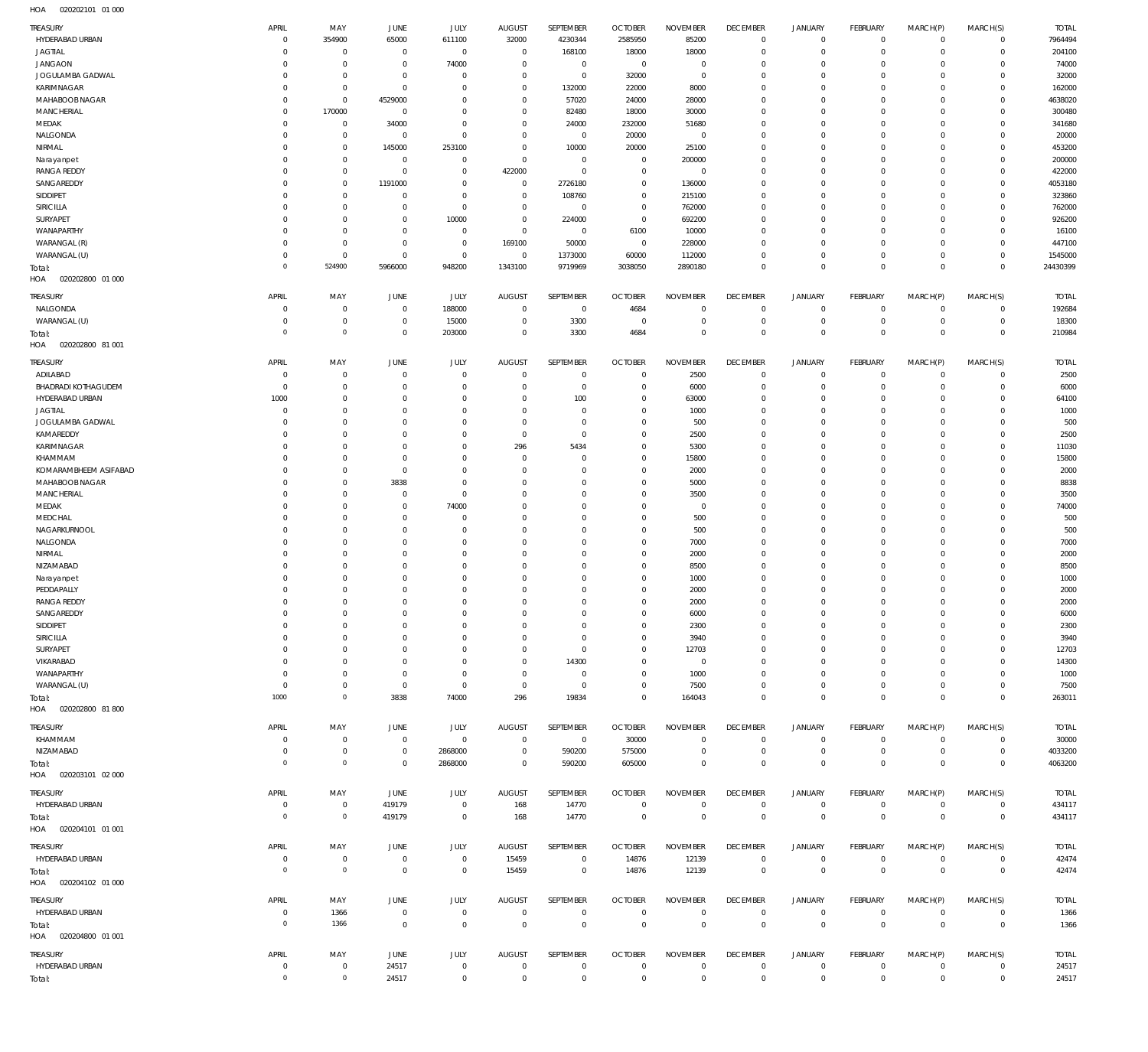| <b>TREASURY</b><br>HYDERABAD URBAN            | APRIL<br>$\overline{0}$    | MAY<br>354900               | JUNE<br>65000                    | JULY<br>611100              | <b>AUGUST</b><br>32000           | SEPTEMBER<br>4230344       | <b>OCTOBER</b><br>2585950   | <b>NOVEMBER</b><br>85200 | <b>DECEMBER</b><br>$^{\circ}$ | <b>JANUARY</b><br>$^{\circ}$ | <b>FEBRUARY</b><br>$\mathbf 0$ | MARCH(P)<br>$\mathbf 0$ | MARCH(S)<br>$\circ$        | <b>TOTAL</b><br>7964494 |
|-----------------------------------------------|----------------------------|-----------------------------|----------------------------------|-----------------------------|----------------------------------|----------------------------|-----------------------------|--------------------------|-------------------------------|------------------------------|--------------------------------|-------------------------|----------------------------|-------------------------|
| <b>JAGTIAL</b>                                | $\circ$                    | $\mathbf{0}$                | $\overline{0}$                   | $\mathbf 0$                 | $\mathbf 0$                      | 168100                     | 18000                       | 18000                    | $\mathbf{0}$                  | $^{\circ}$                   | $\mathbf 0$                    | $\mathbf 0$             | $\mathsf{O}$               | 204100                  |
| <b>JANGAON</b>                                | $\circ$                    | $\mathbf 0$                 | $\overline{0}$                   | 74000                       | $\overline{0}$                   | $\overline{0}$             | $\mathbf 0$                 | $^{\circ}$               | $^{\circ}$                    | $\mathbf 0$                  | $\mathbf 0$                    | O                       | $\mathbf 0$                | 74000                   |
| JOGULAMBA GADWAL                              | $\mathbf 0$                | $\mathbf 0$                 | $\overline{0}$                   | $\mathbf 0$                 | $\mathbf 0$                      | $\mathbf 0$                | 32000                       | $\overline{0}$           | $\mathbf 0$                   | $\mathbf 0$                  | $\mathbf 0$                    | $^{\circ}$              | $\mathsf{O}$               | 32000                   |
| KARIMNAGAR                                    | $\mathbf 0$                | $\mathbf 0$                 | $\mathbb O$                      | $\mathbf 0$                 | $\mathbf 0$                      | 132000                     | 22000                       | 8000                     | $^{\circ}$                    | $\Omega$                     | $\mathbf 0$                    | $\Omega$                | $\mathbf 0$                | 162000                  |
| MAHABOOB NAGAR                                | $\mathbf 0$<br>$\mathbf 0$ | $\mathbf 0$                 | 4529000                          | $\mathbf 0$                 | $\mathbf 0$                      | 57020                      | 24000                       | 28000                    | $\Omega$                      | $\Omega$<br>$\Omega$         | $\mathbf 0$                    | O                       | $\mathbf 0$<br>$\mathbf 0$ | 4638020                 |
| MANCHERIAL<br>MEDAK                           | $^{\circ}$                 | 170000<br>$\mathbf 0$       | $\overline{0}$<br>34000          | $\mathbf 0$<br>$\mathbf 0$  | $\mathbf 0$<br>$\overline{0}$    | 82480<br>24000             | 18000<br>232000             | 30000<br>51680           | $^{\circ}$<br>$\Omega$        | $\Omega$                     | $\mathbf 0$<br>$\mathbf 0$     | $\Omega$<br>$\Omega$    | $\mathbf 0$                | 300480<br>341680        |
| NALGONDA                                      | $\mathbf 0$                | $\mathbf 0$                 | $\overline{0}$                   | $\mathbf 0$                 | $\mathbf 0$                      | $\overline{0}$             | 20000                       | $\overline{0}$           | $^{\circ}$                    | $\mathbf 0$                  | $\mathbf 0$                    | $\Omega$                | $\mathbf 0$                | 20000                   |
| NIRMAL                                        | $\circ$                    | $\mathbf 0$                 | 145000                           | 253100                      | $\overline{0}$                   | 10000                      | 20000                       | 25100                    | $\Omega$                      | $\Omega$                     | $\mathbf 0$                    | $\Omega$                | $\mathbf 0$                | 453200                  |
| Narayanpet                                    | $^{\circ}$                 | $\mathbf 0$                 | $\overline{0}$                   | $\mathbf 0$                 | $\mathbf 0$                      | $\mathbf 0$                | $^{\circ}$                  | 200000                   | $^{\circ}$                    | $\Omega$                     | $\mathbf 0$                    | O                       | $\mathbf 0$                | 200000                  |
| <b>RANGA REDDY</b>                            | $^{\circ}$                 | $\mathbf 0$                 | $\mathbb O$                      | $\mathbf{0}$                | 422000                           | $\overline{0}$             | $\mathbf{0}$                | $^{\circ}$               | $\Omega$                      | $\Omega$                     | $\mathbf 0$                    | $\Omega$                | $\mathbf 0$                | 422000                  |
| SANGAREDDY                                    | $^{\circ}$                 | $\mathbf 0$                 | 1191000                          | $\mathbf 0$                 | $\mathbf 0$                      | 2726180                    | $\mathbf 0$                 | 136000                   | $^{\circ}$                    | $\Omega$                     | $\mathbf 0$                    | $\Omega$                | $\mathbf 0$                | 4053180                 |
| SIDDIPET                                      | $^{\circ}$<br>$\Omega$     | $\mathbf 0$<br>$\mathbf 0$  | $\mathbf{0}$                     | $\mathbf 0$<br>$\mathbf{0}$ | $\mathbf 0$                      | 108760                     | $\mathbf{0}$                | 215100                   | $\Omega$<br>$\Omega$          | $\Omega$<br>$\Omega$         | $\mathbf 0$                    | O<br>$\Omega$           | $\mathbf 0$<br>$\mathbf 0$ | 323860                  |
| SIRICILLA<br>SURYAPET                         | $\circ$                    | $\mathbf 0$                 | $\overline{0}$<br>$\overline{0}$ | 10000                       | $\mathbf 0$<br>$\,0\,$           | $^{\circ}$<br>224000       | $\mathbf 0$<br>$\mathbf 0$  | 762000<br>692200         | $\Omega$                      | $\Omega$                     | $\mathbf 0$<br>$\mathbf 0$     | O                       | $\mathbf 0$                | 762000<br>926200        |
| WANAPARTHY                                    | $\mathbf 0$                | $\mathbf 0$                 | $\overline{0}$                   | $\mathbf{0}$                | $\mathbf 0$                      | $\mathbf 0$                | 6100                        | 10000                    | $\Omega$                      | $\Omega$                     | $\mathbf 0$                    | -C                      | $\mathbf 0$                | 16100                   |
| WARANGAL (R)                                  | $\mathbf 0$                | $\mathbf 0$                 | $\mathbb O$                      | $\mathbf 0$                 | 169100                           | 50000                      | $\overline{0}$              | 228000                   | $^{\circ}$                    | $\mathbf 0$                  | $\mathbf 0$                    | $^{\circ}$              | $\mathbf 0$                | 447100                  |
| WARANGAL (U)                                  | $\mathbf 0$                | $\mathbf 0$                 | $\mathbb O$                      | $\mathbf 0$                 | $\mathbf 0$                      | 1373000                    | 60000                       | 112000                   | $\Omega$                      | $\Omega$                     | $\mathbf 0$                    | $^{\circ}$              | $\mathbf 0$                | 1545000                 |
| Total:                                        | $\circ$                    | 524900                      | 5966000                          | 948200                      | 1343100                          | 9719969                    | 3038050                     | 2890180                  | $\mathbf{0}$                  | $\mathbf 0$                  | $\mathbb O$                    | $\mathbf{0}$            | $\mathbb O$                | 24430399                |
| 020202800 01 000<br>HOA                       |                            |                             |                                  |                             |                                  |                            |                             |                          |                               |                              |                                |                         |                            |                         |
| TREASURY                                      | APRIL                      | MAY                         | <b>JUNE</b>                      | JULY                        | <b>AUGUST</b>                    | SEPTEMBER                  | <b>OCTOBER</b>              | <b>NOVEMBER</b>          | <b>DECEMBER</b>               | <b>JANUARY</b>               | FEBRUARY                       | MARCH(P)                | MARCH(S)                   | <b>TOTAL</b>            |
| NALGONDA                                      | $\mathbf 0$                | $\mathbf{0}$                | $\mathbf{0}$                     | 188000                      | $\overline{0}$                   | $\mathbf 0$                | 4684                        | $\Omega$                 | $^{\circ}$                    | $^{\circ}$                   | $^{\circ}$                     | $\mathbf 0$             | $\mathbf 0$                | 192684                  |
| WARANGAL (U)                                  | $\mathbf 0$                | $\mathbf 0$                 | $\mathbf{0}$                     | 15000                       | $^{\circ}$                       | 3300                       | $^{\circ}$                  | $\Omega$                 | $^{\circ}$                    | $^{\circ}$                   | $\mathbf 0$                    | $\mathbf 0$             | $\mathbf 0$                | 18300                   |
| Total:                                        | $\overline{0}$             | $\mathbf 0$                 | $\mathbb O$                      | 203000                      | $\overline{0}$                   | 3300                       | 4684                        | $^{\circ}$               | $\mathbf{0}$                  | $\mathbf 0$                  | $\mathbb O$                    | $^{\circ}$              | $\mathbf 0$                | 210984                  |
| HOA<br>020202800 81 001                       |                            |                             |                                  |                             |                                  |                            |                             |                          |                               |                              |                                |                         |                            |                         |
| TREASURY                                      | APRIL                      | MAY                         | <b>JUNE</b>                      | JULY                        | <b>AUGUST</b>                    | <b>SEPTEMBER</b>           | <b>OCTOBER</b>              | <b>NOVEMBER</b>          | <b>DECEMBER</b>               | <b>JANUARY</b>               | FEBRUARY                       | MARCH(P)                | MARCH(S)                   | <b>TOTAL</b>            |
| ADILABAD                                      | $\overline{0}$             | $\mathbf{0}$                | $\overline{0}$                   | $^{\circ}$                  | $^{\circ}$                       | $\overline{0}$             | $^{\circ}$                  | 2500                     | $^{\circ}$                    | $^{\circ}$                   | $\mathbf 0$                    | $\mathbf 0$             | $\mathbf 0$                | 2500                    |
| <b>BHADRADI KOTHAGUDEM</b><br>HYDERABAD URBAN | 0<br>1000                  | $\mathbf 0$<br>$\mathbf 0$  | $\mathbf{0}$<br>$\overline{0}$   | $\mathbf 0$<br>$\mathbf 0$  | $^{\circ}$<br>$^{\circ}$         | $\overline{0}$<br>100      | $^{\circ}$<br>$\mathbf 0$   | 6000<br>63000            | $^{\circ}$<br>$\mathbf 0$     | $\mathbf 0$<br>$\mathbf 0$   | $\mathbf 0$<br>$\mathbf 0$     | $\mathbf 0$<br>O        | $\mathbf 0$<br>$\mathbf 0$ | 6000<br>64100           |
| <b>JAGTIAL</b>                                | $\overline{0}$             | $\mathbf 0$                 | $\mathbf 0$                      | 0                           | $\overline{0}$                   | $^{\circ}$                 | $\mathbf 0$                 | 1000                     | $^{\circ}$                    | $\mathbf 0$                  | $\mathbf 0$                    | O                       | $\mathbf 0$                | 1000                    |
| JOGULAMBA GADWAL                              | $\circ$                    | $\mathbf 0$                 | $\mathbf 0$                      | $\Omega$                    | $\overline{0}$                   | $^{\circ}$                 | $\mathbf 0$                 | 500                      | $\Omega$                      | $\Omega$                     | $\mathbf 0$                    | $\Omega$                | $\mathbf 0$                | 500                     |
| KAMAREDDY                                     | $^{\circ}$                 | $\mathbf 0$                 | $\mathbf 0$                      | $\mathbf 0$                 | $\overline{0}$                   | $^{\circ}$                 | $\mathbf 0$                 | 2500                     | $^{\circ}$                    | $^{\circ}$                   | $\mathbf 0$                    | O                       | $\mathbf 0$                | 2500                    |
| KARIMNAGAR                                    | $\Omega$                   | $\mathbf 0$                 | $\mathbf 0$                      | $\Omega$                    | 296                              | 5434                       | $\mathbf 0$                 | 5300                     | $\Omega$                      | $\Omega$                     | $\mathbf 0$                    | $\Omega$                | $\mathbf 0$                | 11030                   |
| KHAMMAM                                       | $^{\circ}$                 | $\mathbf 0$                 | $\mathbb O$                      | $\mathbf 0$                 | $^{\circ}$                       | $^{\circ}$                 | $\mathbf 0$                 | 15800                    | $\Omega$                      | $^{\circ}$                   | $\mathbf 0$                    | O                       | $\mathsf{O}$               | 15800                   |
| KOMARAMBHEEM ASIFABAD                         | 0                          | $\mathbf 0$                 | $\mathbb O$                      | $\Omega$                    | $\overline{0}$                   | $\mathbf 0$                | $\mathbf 0$                 | 2000                     | $\Omega$                      | $\Omega$                     | $\mathbf 0$                    | -C                      | $\mathbf 0$                | 2000                    |
| MAHABOOB NAGAR<br>MANCHERIAL                  | $^{\circ}$<br>0            | $\mathbf 0$<br>$\mathbf 0$  | 3838<br>$\overline{0}$           | $\mathbf 0$<br>$\mathbf 0$  | $\overline{0}$<br>$\overline{0}$ | $\mathbf 0$<br>$\mathbf 0$ | $\mathbf 0$<br>$\mathbf{0}$ | 5000<br>3500             | $^{\circ}$<br>$^{\circ}$      | $^{\circ}$<br>$\Omega$       | $\mathbf 0$<br>$\mathbf 0$     | $^{\circ}$<br>-C        | $\mathbf 0$<br>$\mathbf 0$ | 8838<br>3500            |
| MEDAK                                         | $^{\circ}$                 | $\mathbf 0$                 | $\mathbb O$                      | 74000                       | $\Omega$                         | $\Omega$                   | $\mathbf 0$                 | $\Omega$                 | $\Omega$                      | $\Omega$                     | $\mathbf 0$                    | $\Omega$                | $\mathsf{O}$               | 74000                   |
| MEDCHAL                                       | $^{\circ}$                 | $\mathbf 0$                 | $\mathbf{0}$                     | $\mathbf 0$                 | $\mathbf 0$                      | $\mathbf 0$                | $\mathbf{0}$                | 500                      | $^{\circ}$                    | $^{\circ}$                   | $\mathbf 0$                    | O                       | $\mathbf 0$                | 500                     |
| NAGARKURNOOL                                  | $\Omega$                   | $\mathbf 0$                 | $\overline{0}$                   | $\mathbf 0$                 | $\Omega$                         | $\Omega$                   | $\mathbf{0}$                | 500                      | $\Omega$                      | $\Omega$                     | $\mathbf 0$                    | O                       | $\mathbf 0$                | 500                     |
| NALGONDA                                      | 0                          | $\mathbf 0$                 | $\mathbf 0$                      | $\mathbf 0$                 | $\overline{0}$                   | $\mathbf 0$                | $\mathbf 0$                 | 7000                     | $^{\circ}$                    | $\Omega$                     | $\mathbf 0$                    | O                       | $\mathbf 0$                | 7000                    |
| NIRMAL                                        | $\Omega$                   | $\mathbf 0$                 | $\mathbf 0$                      | 0                           | $\Omega$                         | $\Omega$                   | $\mathbf 0$                 | 2000                     | $\Omega$                      | $\Omega$                     | $\mathbf 0$                    | $\Omega$                | $\mathbf 0$                | 2000                    |
| NIZAMABAD                                     | $^{\circ}$<br>$\Omega$     | $\mathbf 0$                 | $\mathbf 0$<br>$\overline{0}$    | $\Omega$                    | $\overline{0}$<br>$\Omega$       | $\mathbf 0$                | $\mathbf 0$<br>$\mathbf 0$  | 8500                     | $^{\circ}$<br>$\Omega$        | $^{\circ}$<br>$\Omega$       | $\mathbf 0$                    | -C                      | $\mathbf 0$                | 8500                    |
| Narayanpet<br>PEDDAPALLY                      | $\Omega$                   | $\mathbf 0$<br>$\mathbf 0$  | $\mathbf 0$                      | 0<br>$\Omega$               | $\overline{0}$                   | $\mathbf 0$<br>$\mathbf 0$ | $\mathbf{0}$                | 1000<br>2000             | $\Omega$                      | $\Omega$                     | $\mathbf 0$<br>$\mathbf 0$     | -C<br>$\Omega$          | $\mathbf 0$<br>$\mathbf 0$ | 1000<br>2000            |
| <b>RANGA REDDY</b>                            | $\Omega$                   | $\mathbf 0$                 | $\overline{0}$                   | $\mathbf 0$                 | $\,0\,$                          | $\mathbf 0$                | $\mathbb O$                 | 2000                     | $\mathbf{0}$                  | $\Omega$                     | $\mathbf 0$                    | $\mathbf 0$             | $\mathsf{O}$               | 2000                    |
| SANGAREDDY                                    | 0                          | 0                           | 0                                | 0                           | $\Omega$                         | $\Omega$                   | $\Omega$                    | 6000                     |                               |                              | 0                              | $\Omega$                | $\circ$                    | 6000                    |
| SIDDIPET                                      | $\mathbf 0$                | $\mathbf 0$                 | $\mathbf{0}$                     | $\mathbf 0$                 | $\overline{0}$                   | $\overline{0}$             | $\mathbf 0$                 | 2300                     | $^{\circ}$                    | $\mathbf 0$                  | $\mathbf 0$                    | $\mathbf 0$             | $\mathbf 0$                | 2300                    |
| SIRICILLA                                     | $\mathbf 0$                | $\mathbf 0$                 | $\mathbf{0}$                     | $\mathbf 0$                 | $\mathbf 0$                      | $\overline{0}$             | $\mathbf{0}$                | 3940                     | $^{\circ}$                    | $^{\circ}$                   | $\mathbf 0$                    | $\mathbf 0$             | $\mathbf 0$                | 3940                    |
| SURYAPET                                      | $\mathbf 0$                | $\mathbf 0$                 | $\mathbf{0}$                     | $\mathbf 0$                 | $\overline{0}$                   | $^{\circ}$                 | $\mathbf{0}$                | 12703                    | $^{\circ}$                    | $^{\circ}$                   | $\mathbf 0$                    | 0                       | $\mathbf 0$                | 12703                   |
| VIKARABAD<br>WANAPARTHY                       | $\mathbf 0$<br>$^{\circ}$  | $\mathbf 0$<br>$\mathbf{0}$ | $\mathbf{0}$<br>$\overline{0}$   | $\mathbf 0$<br>$^{\circ}$   | $\mathbf 0$<br>$\mathbf 0$       | 14300<br>$\overline{0}$    | $^{\circ}$<br>$\mathbf{0}$  | $\overline{0}$<br>1000   | $\Omega$<br>$\Omega$          | $^{\circ}$<br>$^{\circ}$     | $\mathbf 0$<br>$\mathbf 0$     | 0<br>$^{\circ}$         | 0<br>$\mathbf 0$           | 14300<br>1000           |
| WARANGAL (U)                                  | $\overline{0}$             | $\bf 0$                     | $\overline{0}$                   | $\mathbf{0}$                | $\mathbf 0$                      | $\overline{0}$             | $^{\circ}$                  | 7500                     | $^{\circ}$                    | $\mathbf 0$                  | $\mathbf 0$                    | $\mathbf 0$             | $\mathsf{O}$               | 7500                    |
| Total:                                        | 1000                       | $\mathbf 0$                 | 3838                             | 74000                       | 296                              | 19834                      | $\mathbf{0}$                | 164043                   | $\mathbf{0}$                  | $\mathbf 0$                  | $\mathbb O$                    | $\mathbf{0}$            | $\mathbf 0$                | 263011                  |
| HOA  020202800  81 800                        |                            |                             |                                  |                             |                                  |                            |                             |                          |                               |                              |                                |                         |                            |                         |
| <b>TREASURY</b>                               | APRIL                      | MAY                         | JUNE                             | JULY                        | AUGUST                           | SEPTEMBER                  | <b>OCTOBER</b>              | <b>NOVEMBER</b>          | <b>DECEMBER</b>               | <b>JANUARY</b>               | FEBRUARY                       | MARCH(P)                | MARCH(S)                   | <b>TOTAL</b>            |
| KHAMMAM                                       | $\overline{0}$             | $\mathbf 0$                 | $\,0\,$                          | $\mathbf{0}$                | $\,0\,$                          | $\overline{0}$             | 30000                       | $^{\circ}$               | $^{\circ}$                    | $\circ$                      | $\mathbf 0$                    | $\mathbf 0$             | $\mathbf 0$                | 30000                   |
| NIZAMABAD                                     | $^{\circ}$                 | $\mathbf 0$                 | $\overline{0}$                   | 2868000                     | $\mathbf 0$                      | 590200                     | 575000                      | $^{\circ}$               | $\mathbf{0}$                  | $\circ$                      | $\mathbf 0$                    | $\circ$                 | $\mathbf 0$                | 4033200                 |
| Total:                                        | $\overline{0}$             | $\mathbf 0$                 | $\mathbf 0$                      | 2868000                     | $\mathbf 0$                      | 590200                     | 605000                      | $^{\circ}$               | $\mathbf{0}$                  | $\mathbf 0$                  | $\mathbf 0$                    | $^{\circ}$              | $\mathbf 0$                | 4063200                 |
| HOA  020203101  02  000                       |                            |                             |                                  |                             |                                  |                            |                             |                          |                               |                              |                                |                         |                            |                         |
| TREASURY                                      | APRIL                      | MAY                         | JUNE                             | <b>JULY</b>                 | AUGUST                           | SEPTEMBER                  | <b>OCTOBER</b>              | <b>NOVEMBER</b>          | <b>DECEMBER</b>               | <b>JANUARY</b>               | FEBRUARY                       | MARCH(P)                | MARCH(S)                   | <b>TOTAL</b>            |
| HYDERABAD URBAN                               | $\overline{0}$             | $\mathbf 0$                 | 419179                           | $\mathbf 0$                 | 168                              | 14770                      | $\mathbf{0}$                | $^{\circ}$               | $^{\circ}$                    | $\circ$                      | $\mathbf 0$                    | $\mathbf 0$             | $\mathbf 0$                | 434117                  |
| Total:                                        | $\overline{0}$             | $\mathbf 0$                 | 419179                           | $\,0\,$                     | 168                              | 14770                      | $\mathbb O$                 | $\overline{0}$           | $\,0\,$                       | $\mathbf 0$                  | $\mathbb O$                    | $\mathbf 0$             | $\mathbf 0$                | 434117                  |
| HOA  020204101  01  001                       |                            |                             |                                  |                             |                                  |                            |                             |                          |                               |                              |                                |                         |                            |                         |
| <b>TREASURY</b>                               | APRIL                      | MAY                         | JUNE                             | JULY                        | <b>AUGUST</b>                    | SEPTEMBER                  | <b>OCTOBER</b>              | <b>NOVEMBER</b>          | <b>DECEMBER</b>               | <b>JANUARY</b>               | FEBRUARY                       | MARCH(P)                | MARCH(S)                   | <b>TOTAL</b>            |
| HYDERABAD URBAN                               | $^{\circ}$                 | $\mathbf 0$                 | $\overline{0}$                   | $\,0\,$                     | 15459                            | $\overline{0}$             | 14876                       | 12139                    | $\mathbf 0$                   | $\circ$                      | $\mathbf 0$                    | $\mathbf 0$             | $\mathbf 0$                | 42474                   |
| Total:                                        | $\overline{0}$             | $\mathbb O$                 | $\mathbb O$                      | $\mathbf 0$                 | 15459                            | $\mathbf 0$                | 14876                       | 12139                    | $\mathbf 0$                   | $\mathbf 0$                  | $\mathbb O$                    | $\mathbb O$             | $\mathbf 0$                | 42474                   |
| HOA  020204102  01  000                       |                            |                             |                                  |                             |                                  |                            |                             |                          |                               |                              |                                |                         |                            |                         |
| <b>TREASURY</b>                               | APRIL                      | MAY                         | <b>JUNE</b>                      | JULY                        | AUGUST                           | SEPTEMBER                  | <b>OCTOBER</b>              | <b>NOVEMBER</b>          | <b>DECEMBER</b>               | <b>JANUARY</b>               | FEBRUARY                       | MARCH(P)                | MARCH(S)                   | <b>TOTAL</b>            |
| HYDERABAD URBAN                               | $\overline{0}$             | 1366                        | $\mathbf 0$                      | $\,0\,$                     | $\mathbf 0$                      | $\mathbf 0$                | $\mathbb O$                 | $^{\circ}$               | $\mathbf 0$                   | $\mathbf 0$                  | $\mathbf 0$                    | $\mathbf 0$             | $\circ$                    | 1366                    |
| Total:                                        | $\overline{0}$             | 1366                        | $\mathbf 0$                      | $\,0\,$                     | $\mathbb O$                      | $\mathbf 0$                | $\overline{0}$              | $\overline{0}$           | $\mathbb O$                   | $\mathbf 0$                  | $\mathbb O$                    | $\mathbf 0$             | $\mathbf 0$                | 1366                    |
| HOA  020204800  01  001                       |                            |                             |                                  |                             |                                  |                            |                             |                          |                               |                              |                                |                         |                            |                         |
| TREASURY                                      | APRIL                      | MAY                         | JUNE                             | JULY                        | AUGUST                           | SEPTEMBER                  | <b>OCTOBER</b>              | <b>NOVEMBER</b>          | <b>DECEMBER</b>               | <b>JANUARY</b>               | FEBRUARY                       | MARCH(P)                | MARCH(S)                   | <b>TOTAL</b>            |
| HYDERABAD URBAN                               | $\overline{0}$             | $\mathbf 0$                 | 24517                            | $\mathbf 0$                 | $\overline{0}$                   | $\overline{0}$             | $^{\circ}$                  | $^{\circ}$               | $^{\circ}$                    | $\circ$                      | 0                              | $\circ$                 | $\mathbf 0$                | 24517                   |
| Total:                                        | $\overline{0}$             | $\mathbf 0$                 | 24517                            | $\mathbf 0$                 | $\,0\,$                          | $\mathbb O$                | $\mathbb O$                 | $\mathbf{0}$             | $\,0\,$                       | $\mathbf 0$                  | $\mathbb O$                    | $\mathbf 0$             | $\mathbf 0$                | 24517                   |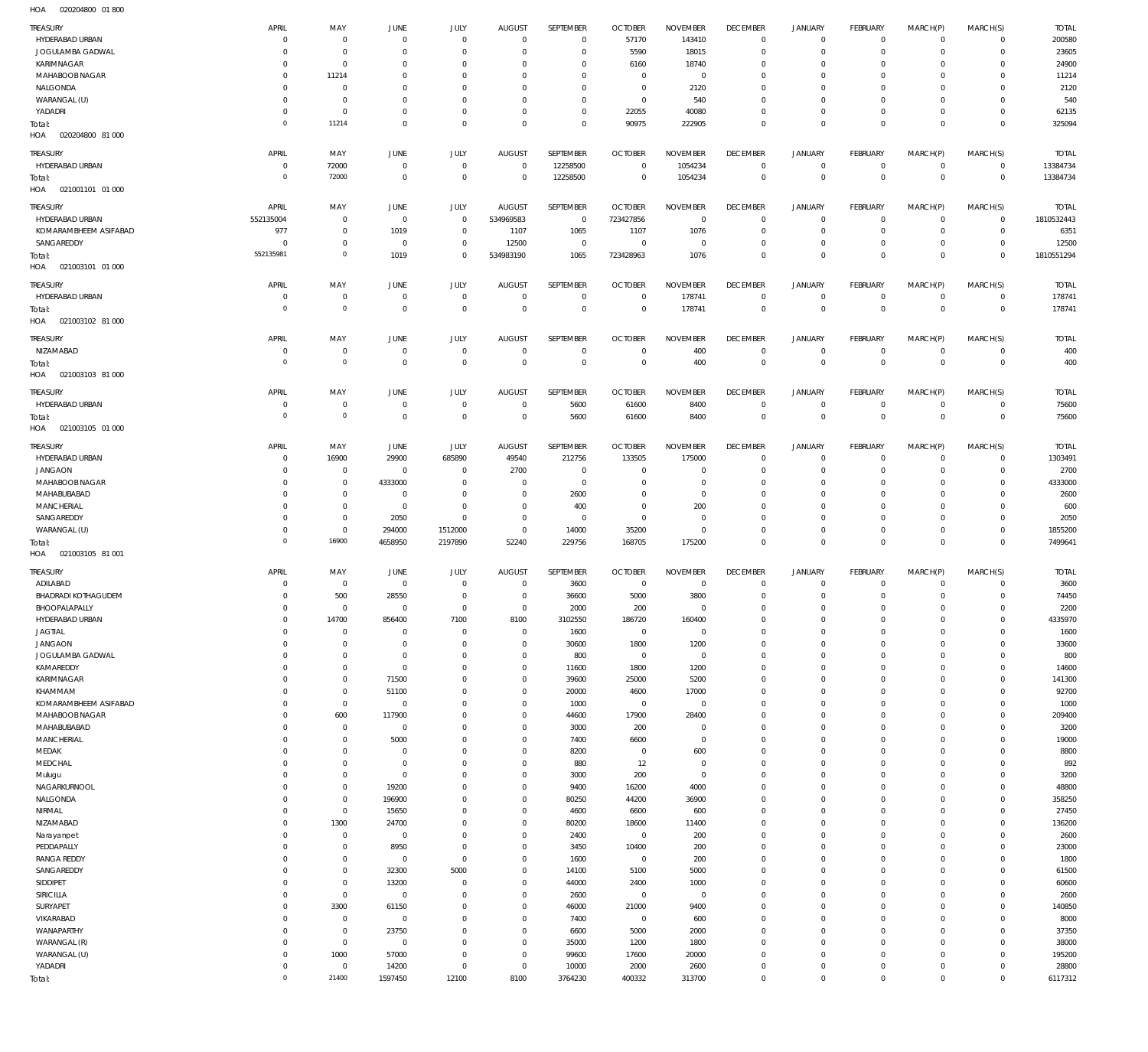020204800 01 800 HOA

| <b>TREASURY</b><br>HYDERABAD URBAN      | APRIL<br>$\circ$                 | MAY<br>$\overline{0}$            | JUNE<br>$\Omega$        | JULY<br>$\overline{0}$           | <b>AUGUST</b><br>$^{\circ}$ | SEPTEMBER<br>$\mathbf 0$      | <b>OCTOBER</b><br>57170     | <b>NOVEMBER</b><br>143410      | <b>DECEMBER</b><br>$\mathbf 0$ | <b>JANUARY</b><br>0        | FEBRUARY<br>$\mathbf 0$      | MARCH(P)<br>$\mathbf 0$    | MARCH(S)<br>$\circ$         | <b>TOTAL</b><br>200580     |
|-----------------------------------------|----------------------------------|----------------------------------|-------------------------|----------------------------------|-----------------------------|-------------------------------|-----------------------------|--------------------------------|--------------------------------|----------------------------|------------------------------|----------------------------|-----------------------------|----------------------------|
| JOGULAMBA GADWAL                        | $\circ$                          | $\overline{0}$                   | $\Omega$                | $\overline{0}$                   | $\Omega$                    | $\overline{0}$                | 5590                        | 18015                          | $\mathbf 0$                    | 0                          | $^{\circ}$                   | $\mathbf 0$                | $\mathbf{0}$                | 23605                      |
| KARIMNAGAR                              | $\circ$                          | $\overline{0}$                   | $\Omega$<br>$\Omega$    | $\Omega$<br>$\Omega$             | -0<br>$\Omega$              | $\mathbf 0$                   | 6160                        | 18740                          | 0                              | 0                          | $^{\circ}$                   | 0                          | $\mathbf 0$<br>$\mathbf 0$  | 24900                      |
| MAHABOOB NAGAR<br>NALGONDA              | $\Omega$<br>$\circ$              | 11214<br>$\overline{0}$          | - 0                     | $\Omega$                         | $\Omega$                    | $\overline{0}$<br>$\mathbf 0$ | $^{\circ}$<br>$^{\circ}$    | $\mathbf 0$<br>2120            | $\mathbf 0$<br>0               | $\mathbf 0$<br>0           | $^{\circ}$<br>0              | $\mathbf 0$<br>0           | $\mathbf 0$                 | 11214<br>2120              |
| WARANGAL (U)                            | $\circ$                          | $\overline{0}$                   | $\Omega$                | $\Omega$                         | $\Omega$                    | $\mathbf 0$                   | $^{\circ}$                  | 540                            | $\mathbf 0$                    | $\mathbf 0$                | $^{\circ}$                   | $\mathbf 0$                | $\mathbf 0$                 | 540                        |
| YADADRI                                 | $\circ$                          | $\overline{0}$                   | $\Omega$                | $\mathbf 0$                      | 0                           | $\,0\,$                       | 22055                       | 40080                          | $\mathbf 0$                    | $\mathsf{O}$               | $^{\circ}$                   | $\mathbf 0$                | $\circ$                     | 62135                      |
| Total:<br>HOA<br>020204800 81 000       | $\Omega$                         | 11214                            | $\Omega$                | $\overline{0}$                   | $\Omega$                    | $\mathbb O$                   | 90975                       | 222905                         | $\mathbf 0$                    | $\mathbf 0$                | $\overline{0}$               | $\mathbf 0$                | $\overline{0}$              | 325094                     |
| TREASURY                                | APRIL                            | MAY                              | JUNE                    | JULY                             | <b>AUGUST</b>               | SEPTEMBER                     | <b>OCTOBER</b>              | <b>NOVEMBER</b>                | <b>DECEMBER</b>                | <b>JANUARY</b>             | FEBRUARY                     | MARCH(P)                   | MARCH(S)                    | <b>TOTAL</b>               |
| HYDERABAD URBAN                         | $^{\circ}$                       | 72000                            | $\Omega$                | $\overline{0}$                   | $\mathbf 0$                 | 12258500                      | $\mathbf{0}$                | 1054234                        | $\mathbf 0$                    | 0                          | $\mathbf 0$                  | $\mathbf 0$                | $\mathbf 0$                 | 13384734                   |
| Total:<br>HOA<br>021001101 01 000       | $\Omega$                         | 72000                            | $\Omega$                | $\Omega$                         | $\Omega$                    | 12258500                      | $\Omega$                    | 1054234                        | $^{\circ}$                     | $\mathbf 0$                | $\overline{0}$               | $\mathbf 0$                | $\overline{0}$              | 13384734                   |
|                                         |                                  |                                  |                         |                                  |                             |                               |                             |                                |                                |                            |                              |                            |                             |                            |
| TREASURY<br>HYDERABAD URBAN             | APRIL<br>552135004               | MAY<br>$\overline{0}$            | JUNE<br>$\overline{0}$  | JULY<br>$\mathbf 0$              | <b>AUGUST</b><br>534969583  | SEPTEMBER<br>$\mathbf 0$      | <b>OCTOBER</b><br>723427856 | <b>NOVEMBER</b><br>$\mathbf 0$ | <b>DECEMBER</b><br>$\mathbf 0$ | <b>JANUARY</b><br>0        | FEBRUARY<br>$\mathbf 0$      | MARCH(P)<br>$\mathbf 0$    | MARCH(S)<br>$\overline{0}$  | <b>TOTAL</b><br>1810532443 |
| KOMARAMBHEEM ASIFABAD                   | 977                              | $\overline{0}$                   | 1019                    | $\overline{0}$                   | 1107                        | 1065                          | 1107                        | 1076                           | $\mathbf 0$                    | $\mathbf 0$                | $\mathbf 0$                  | $\mathbf 0$                | $\circ$                     | 6351                       |
| SANGAREDDY                              | $\circ$                          | $\overline{0}$                   | $\mathbf{0}$            | $\mathbf 0$                      | 12500                       | $\mathbb O$                   | $^{\circ}$                  | $\mathbf 0$                    | $\mathbf 0$                    | $\mathsf{O}$               | $\mathbf 0$                  | $\mathbf 0$                | $\circ$                     | 12500                      |
| Total:                                  | 552135981                        | $\circ$                          | 1019                    | $\mathbf 0$                      | 534983190                   | 1065                          | 723428963                   | 1076                           | $\mathbf 0$                    | $\mathbb O$                | $\overline{0}$               | $\mathbf 0$                | $\overline{0}$              | 1810551294                 |
| 021003101 01 000<br>HOA                 |                                  |                                  |                         |                                  |                             |                               |                             |                                |                                |                            |                              |                            |                             |                            |
| TREASURY                                | APRIL                            | MAY                              | <b>JUNE</b>             | JULY                             | <b>AUGUST</b>               | SEPTEMBER                     | <b>OCTOBER</b>              | <b>NOVEMBER</b>                | <b>DECEMBER</b>                | <b>JANUARY</b>             | FEBRUARY                     | MARCH(P)                   | MARCH(S)                    | <b>TOTAL</b>               |
| HYDERABAD URBAN<br>Total:               | $\circ$<br>$\Omega$              | $\overline{0}$<br>$\circ$        | $\Omega$<br>$\Omega$    | $\overline{0}$<br>$\mathbf 0$    | $\overline{0}$<br>$\Omega$  | $\overline{0}$<br>$\mathbb O$ | $^{\circ}$<br>$^{\circ}$    | 178741<br>178741               | $\mathbf 0$<br>$\mathbf 0$     | $\mathbf 0$<br>$\mathbf 0$ | $^{\circ}$<br>$\overline{0}$ | $\mathbf 0$<br>$\mathbf 0$ | $\mathbf{0}$<br>$\mathbf 0$ | 178741<br>178741           |
| HOA<br>021003102 81 000                 |                                  |                                  |                         |                                  |                             |                               |                             |                                |                                |                            |                              |                            |                             |                            |
| TREASURY                                | APRIL                            | MAY                              | <b>JUNE</b>             | JULY                             | <b>AUGUST</b>               | SEPTEMBER                     | <b>OCTOBER</b>              | <b>NOVEMBER</b>                | <b>DECEMBER</b>                | <b>JANUARY</b>             | FEBRUARY                     | MARCH(P)                   | MARCH(S)                    | <b>TOTAL</b>               |
| NIZAMABAD                               | $\circ$                          | $\overline{0}$                   | $\Omega$                | $\mathbf 0$                      | 0                           | $\mathbf 0$                   | $\overline{0}$              | 400                            | $\mathbf 0$                    | 0                          | $\mathbf 0$                  | $\mathbf 0$                | $\circ$                     | 400                        |
| Total:                                  | $\Omega$                         | $\circ$                          | $\overline{0}$          | $\mathbf 0$                      | $^{\circ}$                  | $\mathbb O$                   | $\overline{0}$              | 400                            | $\mathbf 0$                    | $\mathbb O$                | $\overline{0}$               | $\bf 0$                    | $\overline{0}$              | 400                        |
| HOA<br>021003103 81 000                 |                                  |                                  |                         |                                  |                             |                               |                             |                                |                                |                            |                              |                            |                             |                            |
| TREASURY                                | APRIL                            | MAY                              | JUNE                    | JULY                             | <b>AUGUST</b>               | SEPTEMBER                     | <b>OCTOBER</b>              | <b>NOVEMBER</b>                | <b>DECEMBER</b>                | <b>JANUARY</b>             | FEBRUARY                     | MARCH(P)                   | MARCH(S)                    | <b>TOTAL</b>               |
| HYDERABAD URBAN                         | $\circ$<br>$\Omega$              | $\overline{0}$                   | $\overline{0}$          | $\overline{0}$                   | $^{\circ}$                  | 5600                          | 61600                       | 8400                           | $\mathbf 0$                    | $\mathbf 0$                | $^{\circ}$                   | $\mathbf 0$                | $\mathbf 0$                 | 75600                      |
| Total:<br>HOA<br>021003105 01 000       |                                  | $\circ$                          | $\Omega$                | $\mathbf 0$                      | $^{\circ}$                  | 5600                          | 61600                       | 8400                           | $^{\circ}$                     | $\mathbf 0$                | $\overline{0}$               | $\mathbf 0$                | $\overline{0}$              | 75600                      |
|                                         |                                  |                                  |                         |                                  |                             |                               |                             |                                |                                |                            |                              |                            |                             |                            |
| TREASURY<br>HYDERABAD URBAN             | APRIL<br>$\Omega$                | MAY<br>16900                     | JUNE<br>29900           | JULY<br>685890                   | <b>AUGUST</b><br>49540      | SEPTEMBER<br>212756           | <b>OCTOBER</b><br>133505    | <b>NOVEMBER</b><br>175000      | <b>DECEMBER</b><br>$^{\circ}$  | <b>JANUARY</b><br>0        | FEBRUARY<br>$^{\circ}$       | MARCH(P)<br>$\mathbf 0$    | MARCH(S)<br>$\circ$         | <b>TOTAL</b><br>1303491    |
| <b>JANGAON</b>                          | $\Omega$                         | $\mathbf 0$                      | $^{\circ}$              | $\mathbf 0$                      | 2700                        | $\mathbf 0$                   | C                           | 0                              | 0                              | 0                          | $\mathbf 0$                  | 0                          | $\circ$                     | 2700                       |
| MAHABOOB NAGAR                          | $\Omega$                         | $\overline{0}$                   | 4333000                 | $\overline{0}$                   | $^{\circ}$                  | $\mathbb O$                   | $\overline{0}$              | $^{\circ}$                     | 0                              | $\mathbf 0$                | $^{\circ}$                   | $\mathbf 0$                | $\mathbf{0}$                | 4333000                    |
| MAHABUBABAD                             | $\circ$                          | $\overline{0}$                   | $\Omega$                | $\mathbf 0$<br>$\overline{0}$    | 0                           | 2600                          | 0<br>$\Omega$               | $\mathbf 0$                    | $\mathbf 0$                    | 0<br>$\mathbf 0$           | 0                            | 0<br>$\Omega$              | $\circ$<br>$\mathbf 0$      | 2600                       |
| MANCHERIAL<br>SANGAREDDY                | $\Omega$<br>$\circ$              | $\overline{0}$<br>$\overline{0}$ | $\overline{0}$<br>2050  | $\overline{0}$                   | $\Omega$<br>$\overline{0}$  | 400<br>$\mathbf 0$            | $^{\circ}$                  | 200<br>$^{\circ}$              | $\mathbf 0$<br>$\mathbf 0$     | 0                          | $^{\circ}$<br>$^{\circ}$     | $\mathbf 0$                | $\circ$                     | 600<br>2050                |
| WARANGAL (U)                            | $\circ$                          | $\overline{0}$                   | 294000                  | 1512000                          | $^{\circ}$                  | 14000                         | 35200                       | $\mathbf 0$                    | $\mathbf 0$                    | $\mathsf{O}$               | $\mathbf 0$                  | $\mathbf 0$                | $\circ$                     | 1855200                    |
| Total:                                  | $\Omega$                         | 16900                            | 4658950                 | 2197890                          | 52240                       | 229756                        | 168705                      | 175200                         | $\mathbf 0$                    | $\mathbf 0$                | $\overline{0}$               | $\mathbf 0$                | $\overline{0}$              | 7499641                    |
| HOA<br>021003105 81 001                 |                                  |                                  |                         |                                  |                             |                               |                             |                                |                                |                            |                              |                            |                             |                            |
| TREASURY                                | APRIL                            | MAY                              | JUNE                    | JULY                             | <b>AUGUST</b>               | SEPTEMBER                     | <b>OCTOBER</b>              | <b>NOVEMBER</b>                | <b>DECEMBER</b>                | JANUARY                    | FEBRUARY                     | MARCH(P)                   | MARCH(S)                    | <b>TOTAL</b>               |
| ADILABAD<br><b>BHADRADI KOTHAGUDEM</b>  | $\Omega$<br>$\overline{0}$       | $\overline{0}$<br>500            | $\Omega$<br>28550       | $\Omega$<br>$\overline{0}$       | $^{\circ}$<br>$^{\circ}$    | 3600<br>36600                 | $^{\circ}$<br>5000          | 0<br>3800                      | 0<br>$\mathbf 0$               | $^{\circ}$<br>$\mathbf 0$  | 0<br>$\mathbf 0$             | $\Omega$<br>$\mathbf 0$    | $\mathbf 0$<br>$\mathbf{0}$ | 3600<br>74450              |
| BHOOPALAPALLY                           | $\Omega$                         | $\mathbf 0$                      | $\Omega$                | $\mathbf 0$                      | $\Omega$                    | 2000                          | 200                         | $\Omega$                       | $\Omega$                       | $\Omega$                   | 0                            | $\mathsf{O}\xspace$        | $\circ$                     | 2200                       |
| HYDERABAD URBAN                         | $\mathbb O$                      | 14700                            | 856400                  | 7100                             | 8100                        | 3102550                       | 186720                      | 160400                         | $\mathbf 0$                    | $\mathbf 0$                | $\mathbf 0$                  | $\Omega$                   | $\mathbf 0$                 | 4335970                    |
| <b>JAGTIAL</b>                          | $\,0\,$                          | $\overline{0}$                   | $^{\circ}$              | $\overline{0}$                   | $\overline{0}$              | 1600                          | $\,0\,$                     | $\mathbf 0$                    | $\mathbf 0$                    | $\mathsf{O}$               | $\mathbf 0$                  | $\mathbf 0$                | $\mathbf 0$                 | 1600                       |
| <b>JANGAON</b><br>JOGULAMBA GADWAL      | $\overline{0}$<br>$\overline{0}$ | $\overline{0}$<br>$\overline{0}$ | $\Omega$<br>$\Omega$    | $\overline{0}$<br>$\overline{0}$ | $\Omega$<br>$\Omega$        | 30600<br>800                  | 1800<br>$\mathbf 0$         | 1200<br>$\mathbf 0$            | $\mathbf 0$<br>$\mathbf{0}$    | $\mathbf 0$<br>$\mathbf 0$ | $^{\circ}$<br>$^{\circ}$     | $\Omega$<br>$\Omega$       | $\mathbf 0$<br>$\mathbf 0$  | 33600<br>800               |
| KAMAREDDY                               | $\overline{0}$                   | $\overline{0}$                   | $\Omega$                | $\Omega$                         | $\Omega$                    | 11600                         | 1800                        | 1200                           | $\mathbf 0$                    | $\mathbf 0$                | $^{\circ}$                   | $\Omega$                   | $\mathbf 0$                 | 14600                      |
| KARIMNAGAR                              | $\overline{0}$                   | $\overline{0}$                   | 71500                   | $\Omega$                         | $\Omega$                    | 39600                         | 25000                       | 5200                           | $\mathbf 0$                    | $\mathbf 0$                | $^{\circ}$                   | $\Omega$                   | $\mathbf 0$                 | 141300                     |
| KHAMMAM                                 | $^{\circ}$                       | $\overline{0}$                   | 51100                   | $\Omega$                         | $\Omega$                    | 20000                         | 4600                        | 17000                          | $\mathbf 0$                    | $\mathbf 0$                | $^{\circ}$                   | $\Omega$                   | $\mathbf 0$                 | 92700                      |
| KOMARAMBHEEM ASIFABAD<br>MAHABOOB NAGAR | $\overline{0}$<br>$\overline{0}$ | $\overline{0}$<br>600            | $\mathbf 0$<br>117900   | $\overline{0}$<br>$\Omega$       | $\Omega$<br>$\Omega$        | 1000<br>44600                 | $\,0\,$<br>17900            | $\mathbf 0$<br>28400           | $\mathbf 0$<br>$\mathbf 0$     | $\mathbf 0$<br>$\mathbf 0$ | $^{\circ}$<br>$^{\circ}$     | $\Omega$<br>$\Omega$       | $\mathbf 0$<br>$\mathbf 0$  | 1000<br>209400             |
| MAHABUBABAD                             | $\mathbb O$                      | $\overline{0}$                   | $^{\circ}$              | $\overline{0}$                   | $\Omega$                    | 3000                          | 200                         | $^{\circ}$                     | $\mathbf 0$                    | $\mathbf 0$                | $^{\circ}$                   | $\Omega$                   | $\mathbf 0$                 | 3200                       |
| MANCHERIAL                              | $\overline{0}$                   | $\overline{0}$                   | 5000                    | $\Omega$                         | $\Omega$                    | 7400                          | 6600                        | $\mathbf 0$                    | $\mathbf 0$                    | $\mathbf 0$                | $^{\circ}$                   | $\Omega$                   | $\mathbf 0$                 | 19000                      |
| MEDAK                                   | $\overline{0}$                   | $\overline{0}$                   | $\Omega$                | $\overline{0}$                   | $\Omega$                    | 8200                          | $\mathbb O$                 | 600                            | $\mathbf 0$                    | $\mathbf 0$                | $^{\circ}$                   | $\Omega$                   | $\mathbf 0$                 | 8800                       |
| MEDCHAL<br>Mulugu                       | $\mathbf{0}$<br>$\Omega$         | $\overline{0}$<br>$\overline{0}$ | $\Omega$<br>$\Omega$    | $\overline{0}$<br>$\Omega$       | $\Omega$<br>$\Omega$        | 880<br>3000                   | 12<br>200                   | $^{\circ}$<br>$\mathbf{0}$     | $\mathbf 0$<br>$\mathbf 0$     | $\mathbf 0$<br>$\mathbf 0$ | $^{\circ}$<br>$^{\circ}$     | $\Omega$<br>$\Omega$       | $\mathbf 0$<br>$\mathbf 0$  | 892<br>3200                |
| NAGARKURNOOL                            | $\overline{0}$                   | $\overline{0}$                   | 19200                   | $\overline{0}$                   | $\Omega$                    | 9400                          | 16200                       | 4000                           | $\mathbf 0$                    | $\mathbf 0$                | $^{\circ}$                   | $\Omega$                   | $\mathbf 0$                 | 48800                      |
| NALGONDA                                | $\overline{0}$                   | $\overline{0}$                   | 196900                  | $\Omega$                         | $\Omega$                    | 80250                         | 44200                       | 36900                          | $\mathbf 0$                    | $\mathbf 0$                | $^{\circ}$                   | $\Omega$                   | $\mathbf 0$                 | 358250                     |
| NIRMAL<br>NIZAMABAD                     | $\overline{0}$                   | $\,0\,$<br>1300                  | 15650                   | $\Omega$<br>$\Omega$             | $\Omega$<br>$\Omega$        | 4600                          | 6600                        | 600                            | $\mathbf 0$<br>$\mathbf 0$     | $\mathbf 0$<br>$\mathbf 0$ | $\mathbf 0$<br>$^{\circ}$    | $\Omega$<br>$\Omega$       | $\mathbf 0$<br>$\mathbf 0$  | 27450<br>136200            |
| Narayanpet                              | $\overline{0}$<br>$\overline{0}$ | $\overline{0}$                   | 24700<br>$\Omega$       | $\overline{0}$                   | $\Omega$                    | 80200<br>2400                 | 18600<br>$\mathbb O$        | 11400<br>200                   | $\mathbf 0$                    | $\mathbf 0$                | $^{\circ}$                   | $\Omega$                   | $\mathbf 0$                 | 2600                       |
| PEDDAPALLY                              | $\overline{0}$                   | $\overline{0}$                   | 8950                    | $\mathbf 0$                      | $\Omega$                    | 3450                          | 10400                       | 200                            | $\mathbf 0$                    | $\mathbf 0$                | $^{\circ}$                   | $\Omega$                   | $\mathbf 0$                 | 23000                      |
| <b>RANGA REDDY</b>                      | $^{\circ}$                       | $\overline{0}$                   | $\overline{0}$          | $\mathbf 0$                      | $\Omega$                    | 1600                          | $\mathbb O$                 | 200                            | $\mathbf 0$                    | $\mathbf 0$                | $^{\circ}$                   | $\Omega$                   | $\mathbf 0$                 | 1800                       |
| SANGAREDDY                              | $\overline{0}$                   | $\overline{0}$                   | 32300                   | 5000                             | $\Omega$                    | 14100                         | 5100                        | 5000                           | $\mathbf 0$                    | $\mathbf 0$                | $^{\circ}$                   | $\Omega$<br>$\Omega$       | $\mathbf 0$                 | 61500                      |
| SIDDIPET<br>SIRICILLA                   | $^{\circ}$<br>$\overline{0}$     | $\overline{0}$<br>$\overline{0}$ | 13200<br>$\overline{0}$ | $\Omega$<br>$\mathbf 0$          | $\Omega$<br>$\Omega$        | 44000<br>2600                 | 2400<br>$\mathbf 0$         | 1000<br>$\mathbf 0$            | $\mathbf 0$<br>$\mathbf 0$     | $\mathbf 0$<br>$\mathbf 0$ | $^{\circ}$<br>$^{\circ}$     | $\Omega$                   | $\mathbf 0$<br>$\mathbf 0$  | 60600<br>2600              |
| SURYAPET                                | $\overline{0}$                   | 3300                             | 61150                   | $\Omega$                         | $\Omega$                    | 46000                         | 21000                       | 9400                           | $\mathbf 0$                    | $\mathbf 0$                | $^{\circ}$                   | $\Omega$                   | $\mathbf 0$                 | 140850                     |
| VIKARABAD                               | $\overline{0}$                   | $\overline{0}$                   | $^{\circ}$              | $\overline{0}$                   | $\Omega$                    | 7400                          | $\,0\,$                     | 600                            | $\mathbf 0$                    | $\mathbf 0$                | $^{\circ}$                   | $\Omega$                   | $\mathbf 0$                 | 8000                       |
| WANAPARTHY                              | $\overline{0}$                   | $\overline{0}$                   | 23750                   | $\Omega$                         | $\Omega$                    | 6600                          | 5000                        | 2000                           | $\mathbf 0$                    | $\mathbf 0$                | $^{\circ}$                   | $\Omega$                   | $\mathbf 0$                 | 37350                      |
| WARANGAL (R)<br>WARANGAL (U)            | $\mathbf 0$<br>$\overline{0}$    | $\overline{0}$<br>1000           | $\overline{0}$<br>57000 | $\overline{0}$<br>$\mathbf 0$    | $^{\circ}$<br>$\mathbf 0$   | 35000<br>99600                | 1200<br>17600               | 1800<br>20000                  | $\mathbf 0$<br>$\mathbf 0$     | $\mathbf 0$<br>$\mathbf 0$ | $^{\circ}$<br>$^{\circ}$     | $\Omega$<br>$\mathbf 0$    | $\mathbf 0$<br>$\mathbf 0$  | 38000<br>195200            |
| YADADRI                                 | $\,0\,$                          | $\overline{0}$                   | 14200                   | $\mathbf 0$                      | $^{\circ}$                  | 10000                         | 2000                        | 2600                           | $\mathbf 0$                    | $\mathsf{O}$               | $^{\circ}$                   | $\mathbf 0$                | $\mathbf 0$                 | 28800                      |
| Total:                                  | $\mathbf 0$                      | 21400                            | 1597450                 | 12100                            | 8100                        | 3764230                       | 400332                      | 313700                         | $\mathbf 0$                    | $\mathbf 0$                | $\mathbf 0$                  | $\mathbf 0$                | $\mathbf 0$                 | 6117312                    |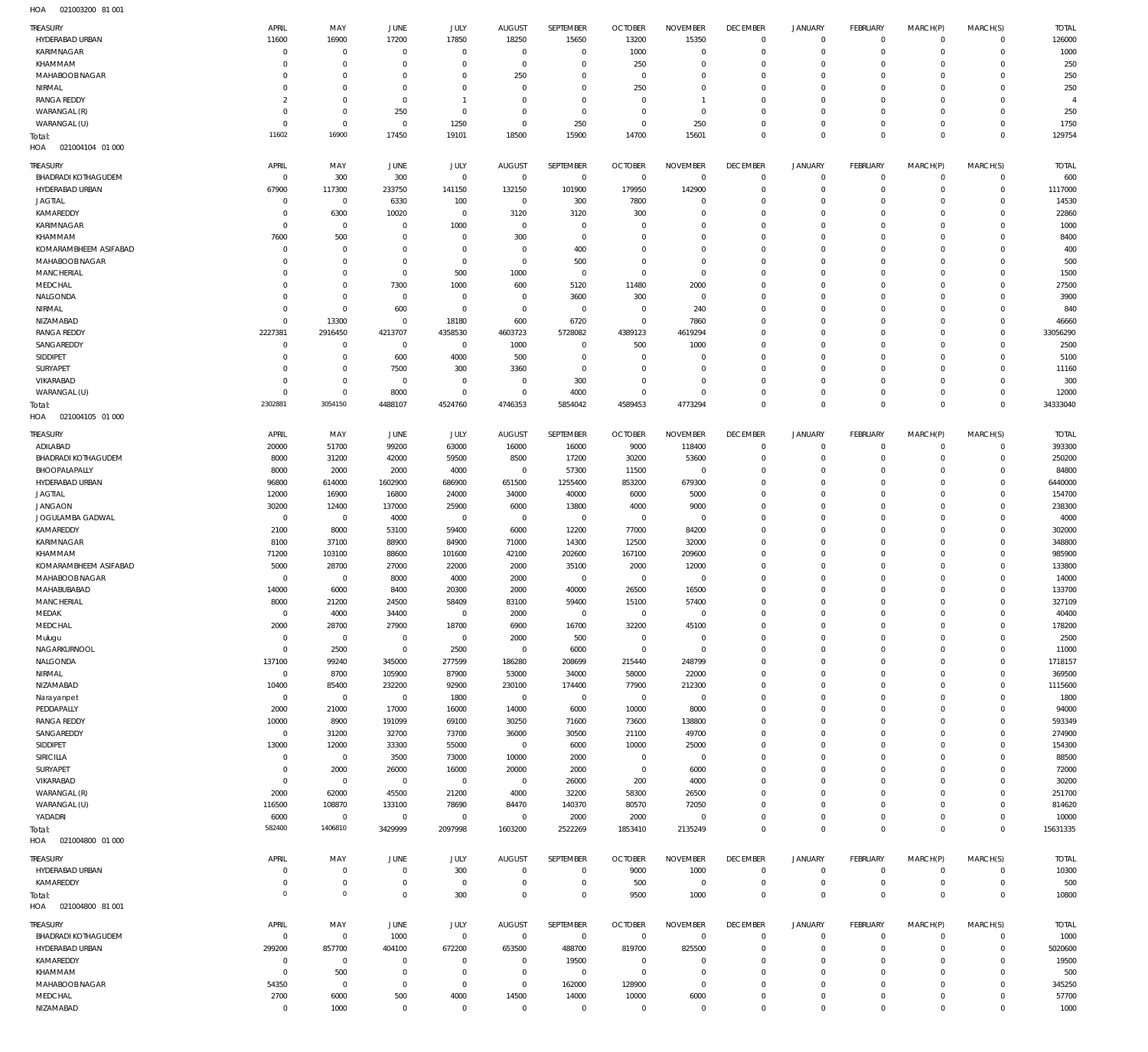021003200 81 001 HOA

| TREASURY<br>HYDERABAD URBAN                   | APRIL<br>11600         | MAY<br>16900                  | JUNE<br>17200              | JULY<br>17850              | <b>AUGUST</b><br>18250       | SEPTEMBER<br>15650         | <b>OCTOBER</b><br>13200          | <b>NOVEMBER</b><br>15350    | <b>DECEMBER</b><br>$\overline{0}$ | <b>JANUARY</b>                | <b>FEBRUARY</b><br>$\mathbf 0$ | MARCH(P)<br>$\Omega$      | MARCH(S)<br>$\Omega$               | <b>TOTAL</b><br>126000 |
|-----------------------------------------------|------------------------|-------------------------------|----------------------------|----------------------------|------------------------------|----------------------------|----------------------------------|-----------------------------|-----------------------------------|-------------------------------|--------------------------------|---------------------------|------------------------------------|------------------------|
| <b>KARIMNAGAR</b>                             | $\mathsf{C}$           | $\mathbf 0$                   | $\overline{0}$             | $\mathbf 0$                | $^{\circ}$                   | $\mathbf 0$                | 1000                             | 0                           | $\overline{0}$                    | $\overline{0}$<br>$\mathbf 0$ | $\mathbf{0}$                   | $\Omega$                  | $\Omega$                           | 1000                   |
| KHAMMAM                                       | -C                     | $\mathbf 0$                   | $\Omega$                   | $\mathbf 0$                | $^{\circ}$                   | $\mathbf 0$                | 250                              | $\Omega$                    | $\overline{0}$                    | 0                             | $\mathbf{0}$                   | $\Omega$                  | $\Omega$                           | 250                    |
| MAHABOOB NAGAR                                | $\Omega$               | $\mathbf 0$                   | $\Omega$                   | $^{\circ}$                 | 250                          | $\mathbf 0$                | $\overline{0}$                   | $\Omega$                    | $\mathbf 0$                       | 0                             | $\Omega$                       | $\Omega$                  | $\Omega$                           | 250                    |
| NIRMAL<br><b>RANGA REDDY</b>                  | $\Omega$               | $\mathbf 0$                   | $\Omega$                   | $\Omega$<br>$\overline{1}$ | $\Omega$<br>$\Omega$         | $\mathbf 0$<br>$\mathbf 0$ | 250<br>$\overline{0}$            | $\Omega$<br>$\mathbf{1}$    | $\overline{0}$                    | 0                             | $\Omega$                       | $\Omega$                  | $\Omega$<br>$\Omega$               | 250<br>$\overline{4}$  |
| WARANGAL (R)                                  | $\Omega$               | $\mathbf 0$<br>$\mathbf 0$    | $\overline{0}$<br>250      | $\mathbf 0$                | $\Omega$                     | $\mathbf 0$                | $\overline{0}$                   | $\Omega$                    | $^{\circ}$<br>$\overline{0}$      | 0<br>0                        | $^{\circ}$<br>$\Omega$         | $\Omega$<br>$\Omega$      | $\Omega$                           | 250                    |
| WARANGAL (U)                                  | $\Omega$               | $\mathbf 0$                   | 0                          | 1250                       | $^{\circ}$                   | 250                        | $\overline{0}$                   | 250                         | $\mathbf 0$                       | 0                             | $\mathbf{0}$                   | $\Omega$                  | $\Omega$                           | 1750                   |
| Total:                                        | 11602                  | 16900                         | 17450                      | 19101                      | 18500                        | 15900                      | 14700                            | 15601                       | $\mathbf 0$                       | 0                             | $\Omega$                       | $\Omega$                  | $\Omega$                           | 129754                 |
| 021004104 01 000<br>HOA                       |                        |                               |                            |                            |                              |                            |                                  |                             |                                   |                               |                                |                           |                                    |                        |
| <b>TREASURY</b><br><b>BHADRADI KOTHAGUDEM</b> | APRIL<br>$\Omega$      | MAY<br>300                    | JUNE<br>300                | <b>JULY</b><br>$\mathbf 0$ | <b>AUGUST</b><br>$\mathbf 0$ | SEPTEMBER<br>$^{\circ}$    | <b>OCTOBER</b><br>$\overline{0}$ | <b>NOVEMBER</b><br>$\Omega$ | <b>DECEMBER</b><br>$\overline{0}$ | <b>JANUARY</b><br>$\mathbf 0$ | <b>FEBRUARY</b><br>$\circ$     | MARCH(P)<br>$\Omega$      | MARCH(S)<br>$\mathbf 0$            | <b>TOTAL</b><br>600    |
| HYDERABAD URBAN                               | 67900                  | 117300                        | 233750                     | 141150                     | 132150                       | 101900                     | 179950                           | 142900                      | $\Omega$                          | $\Omega$                      | $\mathbf{0}$                   | $\Omega$                  | $\Omega$                           | 1117000                |
| <b>JAGTIAL</b>                                | $\Omega$               | $\mathbf 0$                   | 6330                       | 100                        | $\mathbf 0$                  | 300                        | 7800                             | $\Omega$                    | $\mathbf 0$                       | 0                             | $\Omega$                       | $\Omega$                  | $\Omega$                           | 14530                  |
| KAMAREDDY                                     | $\Omega$               | 6300                          | 10020                      | $\mathbf 0$                | 3120                         | 3120                       | 300                              | $\Omega$                    | $\Omega$                          | $\Omega$                      | $\Omega$                       | $\Omega$                  | $\Omega$                           | 22860                  |
| <b>KARIMNAGAR</b><br>KHAMMAM                  | $\Omega$<br>7600       | $\overline{0}$<br>500         | $\overline{0}$<br>$\Omega$ | 1000<br>$\Omega$           | $^{\circ}$<br>300            | $\mathbf 0$<br>$\Omega$    | $\overline{0}$<br>$\Omega$       | $\Omega$<br>$\Omega$        | $\mathbf 0$<br>$\Omega$           | $\Omega$<br>$\Omega$          | $\Omega$<br>$\Omega$           | $\Omega$<br>$\Omega$      | $\Omega$<br>$\Omega$               | 1000<br>8400           |
| KOMARAMBHEEM ASIFABAD                         | $\Omega$               | $\overline{0}$                | $\Omega$                   | $\mathbf 0$                | $\Omega$                     | 400                        | $\mathbf 0$                      | $\Omega$                    | $\mathbf 0$                       | $\Omega$                      | $\Omega$                       | $\Omega$                  | $\Omega$                           | 400                    |
| MAHABOOB NAGAR                                | $\Omega$               | $\overline{0}$                | $\Omega$                   | $\Omega$                   | $\Omega$                     | 500                        | $\Omega$                         | $\Omega$                    | $\Omega$                          | $\Omega$                      | $\Omega$                       | $\Omega$                  | $\Omega$                           | 500                    |
| <b>MANCHERIAL</b>                             | $\Omega$               | $\overline{0}$                | $\Omega$                   | 500                        | 1000                         | $\mathbf 0$                | $\overline{0}$                   | $\Omega$                    | $\mathbf 0$                       | $\Omega$                      | $\Omega$                       | $\Omega$                  | $\Omega$                           | 1500                   |
| MEDCHAL<br>NALGONDA                           | $\Omega$<br>$\Omega$   | $\overline{0}$<br>$\mathbb O$ | 7300<br>$^{\circ}$         | 1000<br>$^{\circ}$         | 600<br>$\Omega$              | 5120<br>3600               | 11480<br>300                     | 2000<br>$\Omega$            | $\Omega$<br>$^{\circ}$            | $\Omega$<br>$\Omega$          | $\Omega$<br>$\Omega$           | $\Omega$<br>$\Omega$      | $\Omega$<br>$\Omega$               | 27500<br>3900          |
| NIRMAL                                        | $\Omega$               | $\mathbb O$                   | 600                        | $^{\circ}$                 | $^{\circ}$                   | $\mathbf 0$                | $\overline{0}$                   | 240                         | $\Omega$                          | $\Omega$                      | $\Omega$                       | $\Omega$                  | $\Omega$                           | 840                    |
| NIZAMABAD                                     | $\Omega$               | 13300                         | $\Omega$                   | 18180                      | 600                          | 6720                       | $^{\circ}$                       | 7860                        | $\Omega$                          | $\Omega$                      | $\Omega$                       | $\Omega$                  | $\Omega$                           | 46660                  |
| <b>RANGA REDDY</b>                            | 2227381                | 2916450                       | 4213707                    | 4358530                    | 4603723                      | 5728082                    | 4389123                          | 4619294                     | $\Omega$                          | $\Omega$                      | $\Omega$                       | $\Omega$                  | $\Omega$                           | 33056290               |
| SANGAREDDY                                    | $^{\circ}$             | $\overline{0}$                | $^{\circ}$                 | $\mathbf 0$                | 1000                         | $\Omega$                   | 500                              | 1000                        | $\Omega$                          | $\Omega$                      | $\Omega$                       | $\Omega$                  | $\Omega$                           | 2500                   |
| SIDDIPET                                      | $\Omega$<br>$\Omega$   | $\overline{0}$<br>$\mathbb O$ | 600                        | 4000                       | 500                          | $\mathbf 0$<br>$\Omega$    | $\overline{0}$<br>$\overline{0}$ | $\Omega$<br>$\Omega$        | $\mathbf 0$<br>$\Omega$           | $\Omega$<br>$\Omega$          | $\Omega$<br>$\Omega$           | $\Omega$<br>$\Omega$      | $\Omega$<br>$\Omega$               | 5100                   |
| SURYAPET<br>VIKARABAD                         | $\Omega$               | $\mathbb O$                   | 7500<br>$\Omega$           | 300<br>$^{\circ}$          | 3360<br>$^{\circ}$           | 300                        | $\overline{0}$                   | $\Omega$                    | $^{\circ}$                        | $\Omega$                      | $\Omega$                       | $\Omega$                  | $\Omega$                           | 11160<br>300           |
| WARANGAL (U)                                  | $\Omega$               | $\overline{0}$                | 8000                       | $\Omega$                   | $\Omega$                     | 4000                       | $\Omega$                         | $\Omega$                    | $\Omega$                          | $\mathbf 0$                   | $\mathbf 0$                    | $\Omega$                  | $\Omega$                           | 12000                  |
| Total:                                        | 2302881                | 3054150                       | 4488107                    | 4524760                    | 4746353                      | 5854042                    | 4589453                          | 4773294                     | $\mathbf 0$                       | $\mathbf 0$                   | $\overline{0}$                 | $\Omega$                  | $\overline{0}$                     | 34333040               |
| 021004105 01 000<br>HOA                       |                        |                               |                            |                            |                              |                            |                                  |                             |                                   |                               |                                |                           |                                    |                        |
| <b>TREASURY</b>                               | APRIL                  | MAY                           | JUNE                       | JULY                       | <b>AUGUST</b>                | SEPTEMBER                  | <b>OCTOBER</b>                   | <b>NOVEMBER</b>             | <b>DECEMBER</b>                   | <b>JANUARY</b>                | <b>FEBRUARY</b>                | MARCH(P)                  | MARCH(S)                           | <b>TOTAL</b>           |
| ADILABAD                                      | 20000                  | 51700                         | 99200                      | 63000                      | 16000                        | 16000                      | 9000                             | 118400                      | $\overline{0}$                    | $\mathbf 0$                   | $^{\circ}$                     | $\Omega$                  | $\Omega$                           | 393300                 |
| <b>BHADRADI KOTHAGUDEM</b>                    | 8000                   | 31200                         | 42000                      | 59500                      | 8500                         | 17200                      | 30200                            | 53600                       | $\overline{0}$                    | $\mathbf 0$                   | $\mathbf{0}$                   | $\Omega$                  | $\circ$                            | 250200                 |
| BHOOPALAPALLY<br>HYDERABAD URBAN              | 8000<br>96800          | 2000<br>614000                | 2000<br>1602900            | 4000<br>686900             | $\overline{0}$<br>651500     | 57300<br>1255400           | 11500<br>853200                  | $^{\circ}$<br>679300        | $^{\circ}$<br>$\overline{0}$      | 0<br>0                        | $\mathbf{0}$<br>$\mathbf{0}$   | $\Omega$<br>$\Omega$      | $\Omega$<br>$\Omega$               | 84800<br>6440000       |
| <b>JAGTIAL</b>                                | 12000                  | 16900                         | 16800                      | 24000                      | 34000                        | 40000                      | 6000                             | 5000                        | $\mathbf 0$                       | 0                             | $\Omega$                       | $\Omega$                  | $\Omega$                           | 154700                 |
| <b>JANGAON</b>                                | 30200                  | 12400                         | 137000                     | 25900                      | 6000                         | 13800                      | 4000                             | 9000                        | $^{\circ}$                        | $\Omega$                      | $\Omega$                       | $\Omega$                  | $\Omega$                           | 238300                 |
| JOGULAMBA GADWAL                              | 0                      | $\mathbb O$                   | 4000                       | $\mathbf 0$                | $\mathbf 0$                  | $\,0\,$                    | $\overline{0}$                   | $^{\circ}$                  | $^{\circ}$                        | 0                             | $\mathbf{0}$                   | $\Omega$                  | $\Omega$                           | 4000                   |
| KAMAREDDY                                     | 2100                   | 8000                          | 53100                      | 59400                      | 6000                         | 12200                      | 77000                            | 84200                       | $\overline{0}$                    | $\Omega$                      | $\mathbf{0}$                   | $\Omega$                  | $\Omega$                           | 302000                 |
| KARIMNAGAR                                    | 8100                   | 37100                         | 88900                      | 84900                      | 71000                        | 14300                      | 12500                            | 32000                       | $^{\circ}$                        | 0                             | $\mathbf{0}$                   | $\Omega$                  | $\Omega$                           | 348800                 |
| KHAMMAM<br>KOMARAMBHEEM ASIFABAD              | 71200<br>5000          | 103100<br>28700               | 88600<br>27000             | 101600<br>22000            | 42100<br>2000                | 202600<br>35100            | 167100<br>2000                   | 209600<br>12000             | $\Omega$<br>$^{\circ}$            | $\Omega$<br>0                 | $\Omega$<br>$\mathbf{0}$       | $\Omega$<br>$\Omega$      | $\Omega$<br>$\Omega$               | 985900<br>133800       |
| MAHABOOB NAGAR                                | $\Omega$               | $\,0\,$                       | 8000                       | 4000                       | 2000                         | $\overline{0}$             | $\overline{0}$                   | $^{\circ}$                  | $\Omega$                          | $\Omega$                      | $\Omega$                       | $\Omega$                  | $\Omega$                           | 14000                  |
| MAHABUBABAD                                   | 14000                  | 6000                          | 8400                       | 20300                      | 2000                         | 40000                      | 26500                            | 16500                       | $\mathbf 0$                       | 0                             | $\mathbf{0}$                   | $\Omega$                  | $\Omega$                           | 133700                 |
| <b>MANCHERIAL</b>                             | 8000                   | 21200                         | 24500                      | 58409                      | 83100                        | 59400                      | 15100                            | 57400                       | $\Omega$                          | $\Omega$                      | $\Omega$                       | $\Omega$                  | $\circ$                            | 327109                 |
| MEDAK                                         | $\Omega$               | 4000                          | 34400                      | $\mathbf 0$                | 2000                         | $\overline{0}$             | $\overline{0}$                   | $\Omega$                    | $^{\circ}$                        | 0                             | $^{\circ}$                     | -0                        | $\Omega$                           | 40400                  |
| MEDCHAL                                       | 2000<br>$\overline{0}$ | 28700<br>$\,0\,$              | 27900<br>$\mathbf 0$       | 18700<br>$\mathbf 0$       | 6900<br>2000                 | 16700<br>500               | 32200<br>$\overline{0}$          | 45100<br>$^{\circ}$         | $\mathbf 0$<br>$\overline{0}$     | $\mathbf 0$<br>0              | $\mathbf 0$<br>$\mathbb O$     | $\Omega$<br>$\Omega$      | $\mathbf 0$<br>$\mathbf 0$         | 178200<br>2500         |
| Mulugu<br>NAGARKURNOOL                        | $\Omega$               | 2500                          | $\mathbf 0$                | 2500                       | $\overline{0}$               | 6000                       | $\overline{0}$                   | $\mathbf 0$                 | $\overline{0}$                    | $\mathbf 0$                   | $\mathbf{0}$                   | $\Omega$                  | $\Omega$                           | 11000                  |
| NALGONDA                                      | 137100                 | 99240                         | 345000                     | 277599                     | 186280                       | 208699                     | 215440                           | 248799                      | $\overline{0}$                    | 0                             | $\mathbf 0$                    | $\Omega$                  | $\circ$                            | 1718157                |
| NIRMAL                                        | $\mathbf 0$            | 8700                          | 105900                     | 87900                      | 53000                        | 34000                      | 58000                            | 22000                       | $\mathbf 0$                       | 0                             | $\mathbf{0}$                   | $\Omega$                  | $\circ$                            | 369500                 |
| NIZAMABAD                                     | 10400                  | 85400                         | 232200                     | 92900                      | 230100                       | 174400                     | 77900                            | 212300                      | $\overline{0}$                    | 0                             | $\mathbf 0$                    | $\Omega$                  | $\circ$                            | 1115600                |
| Narayanpet                                    | $\overline{0}$         | $\mathbb O$                   | $\mathbf 0$                | 1800                       | $\overline{0}$               | $\overline{0}$             | $\overline{0}$                   | $\overline{0}$              | $\overline{0}$                    | 0                             | $\mathbf{0}$                   | $\Omega$                  | $\Omega$                           | 1800                   |
| PEDDAPALLY<br><b>RANGA REDDY</b>              | 2000<br>10000          | 21000<br>8900                 | 17000<br>191099            | 16000<br>69100             | 14000<br>30250               | 6000<br>71600              | 10000<br>73600                   | 8000<br>138800              | $\overline{0}$<br>$\mathbf 0$     | 0<br>0                        | $\mathbf 0$<br>$\mathbf{0}$    | $\Omega$<br>$\Omega$      | $\Omega$<br>$\Omega$               | 94000<br>593349        |
| SANGAREDDY                                    | $\mathbf 0$            | 31200                         | 32700                      | 73700                      | 36000                        | 30500                      | 21100                            | 49700                       | $\overline{0}$                    | 0                             | $\mathbf{0}$                   | $\Omega$                  | $\Omega$                           | 274900                 |
| SIDDIPET                                      | 13000                  | 12000                         | 33300                      | 55000                      | $\overline{0}$               | 6000                       | 10000                            | 25000                       | $\overline{0}$                    | 0                             | $\mathbf{0}$                   | $\Omega$                  | $\Omega$                           | 154300                 |
| SIRICILLA                                     | $^{\circ}$             | $\mathbb O$                   | 3500                       | 73000                      | 10000                        | 2000                       | $\overline{0}$                   | $\overline{0}$              | $\overline{0}$                    | 0                             | $\mathbf 0$                    | $\Omega$                  | $\Omega$                           | 88500                  |
| SURYAPET                                      | $^{\circ}$             | 2000                          | 26000                      | 16000                      | 20000                        | 2000                       | $\overline{0}$                   | 6000                        | $\overline{0}$                    | 0                             | $\mathbf{0}$                   | $\Omega$                  | $\Omega$                           | 72000                  |
| VIKARABAD<br>WARANGAL (R)                     | $\Omega$<br>2000       | $\mathbb O$<br>62000          | $\mathbf 0$<br>45500       | $\mathbf 0$<br>21200       | $\overline{0}$<br>4000       | 26000<br>32200             | 200<br>58300                     | 4000<br>26500               | $\mathbf 0$<br>$\overline{0}$     | 0<br>0                        | $\mathbf{0}$<br>$\mathbf{0}$   | $\Omega$<br>$\Omega$      | $\Omega$<br>$\Omega$               | 30200<br>251700        |
| WARANGAL (U)                                  | 116500                 | 108870                        | 133100                     | 78690                      | 84470                        | 140370                     | 80570                            | 72050                       | $\overline{0}$                    | 0                             | $\mathbf 0$                    | $\Omega$                  | $\mathbf 0$                        | 814620                 |
| YADADRI                                       | 6000                   | $\mathbb O$                   | $\mathbf 0$                | $\mathbf 0$                | $\overline{0}$               | 2000                       | 2000                             | $^{\circ}$                  | $\overline{0}$                    | $\mathbf 0$                   | $\mathbf 0$                    | $^{\circ}$                | $\mathbf 0$                        | 10000                  |
| Total:                                        | 582400                 | 1406810                       | 3429999                    | 2097998                    | 1603200                      | 2522269                    | 1853410                          | 2135249                     | $\overline{0}$                    | $\mathbf 0$                   | $\mathbb O$                    | $\Omega$                  | $\mathbb O$                        | 15631335               |
| HOA<br>021004800 01 000                       |                        |                               |                            |                            |                              |                            |                                  |                             |                                   |                               |                                |                           |                                    |                        |
| <b>TREASURY</b>                               | APRIL                  | MAY                           | JUNE                       | JULY                       | <b>AUGUST</b>                | SEPTEMBER                  | <b>OCTOBER</b>                   | <b>NOVEMBER</b>             | <b>DECEMBER</b>                   | <b>JANUARY</b>                | FEBRUARY                       | MARCH(P)                  | MARCH(S)                           | <b>TOTAL</b>           |
| HYDERABAD URBAN                               | $^{\circ}$             | $\mathbf 0$                   | $^{\circ}$                 | 300                        | $^{\circ}$                   | $\mathbf 0$                | 9000                             | 1000                        | $\overline{0}$                    | $\overline{0}$                | $\circ$                        | $^{\circ}$                | $\circ$                            | 10300                  |
| KAMAREDDY                                     | $\Omega$               | $\,0\,$                       | $^{\circ}$                 | $\mathbf 0$                | $^{\circ}$                   | $\bf 0$                    | 500                              | $\mathbf 0$                 | $\overline{0}$                    | $\mathbf 0$                   | $\mathbf 0$                    | $^{\circ}$                | $\mathbf 0$                        | 500                    |
| Total:<br>HOA<br>021004800 81 001             | $^{\circ}$             | $\mathbb O$                   | $\mathbf 0$                | 300                        | $\Omega$                     | $\mathbf 0$                | 9500                             | 1000                        | $\overline{0}$                    | $\mathbf 0$                   | $\mathbf 0$                    | $\overline{0}$            | $\mathbf 0$                        | 10800                  |
| <b>TREASURY</b>                               | APRIL                  | MAY                           | JUNE                       | JULY                       | <b>AUGUST</b>                | SEPTEMBER                  | <b>OCTOBER</b>                   | <b>NOVEMBER</b>             | <b>DECEMBER</b>                   | <b>JANUARY</b>                | <b>FEBRUARY</b>                | MARCH(P)                  | MARCH(S)                           | <b>TOTAL</b>           |
| <b>BHADRADI KOTHAGUDEM</b>                    | $\mathbf 0$            | $\,0\,$                       | 1000                       | $\mathbf 0$                | $\overline{0}$               | $\,0\,$                    | $\overline{0}$                   | $\overline{0}$              | $\overline{0}$                    | $\mathbf 0$                   | $\mathbb O$                    | $^{\circ}$                | $\mathbf 0$                        | 1000                   |
| HYDERABAD URBAN                               | 299200                 | 857700                        | 404100                     | 672200                     | 653500                       | 488700                     | 819700                           | 825500                      | $\overline{0}$                    | 0                             | $\mathbf{0}$                   | $\Omega$                  | $\mathbf 0$                        | 5020600                |
| KAMAREDDY                                     | $^{\circ}$             | $\,0\,$                       | $^{\circ}$                 | $\mathbf 0$                | $\overline{0}$               | 19500                      | $\overline{0}$                   | $^{\circ}$                  | $\overline{0}$                    | 0                             | $\mathbf{0}$                   | $\Omega$                  | $\mathbf 0$                        | 19500                  |
| KHAMMAM                                       | $\Omega$               | 500                           | $^{\circ}$                 | $\mathbf 0$                | $^{\circ}$                   | $\overline{0}$             | $\overline{0}$                   | $^{\circ}$                  | $\overline{0}$                    | 0                             | $\mathbf 0$                    | $\Omega$                  | $\circ$                            | 500                    |
| MAHABOOB NAGAR                                | 54350                  | $\,0\,$                       | $^{\circ}$                 | $\mathbf 0$                | $\overline{0}$               | 162000                     | 128900                           | $\mathbf 0$                 | $\overline{0}$                    | $\mathbf 0$                   | $\mathbf 0$                    | $\Omega$                  | $\circ$                            | 345250                 |
| MEDCHAL<br>NIZAMABAD                          | 2700<br>$\mathbf 0$    | 6000<br>1000                  | 500<br>$\mathbf 0$         | 4000<br>$\mathbf 0$        | 14500<br>$\mathbb O$         | 14000<br>$\mathsf 0$       | 10000<br>$\,0\,$                 | 6000<br>$\mathbf 0$         | $\overline{0}$<br>$\mathbf 0$     | $\mathbf 0$<br>$\mathbf 0$    | $\mathbb O$<br>$\mathbb O$     | $^{\circ}$<br>$\mathbf 0$ | $\mathbf 0$<br>$\mathsf{O}\xspace$ | 57700<br>1000          |
|                                               |                        |                               |                            |                            |                              |                            |                                  |                             |                                   |                               |                                |                           |                                    |                        |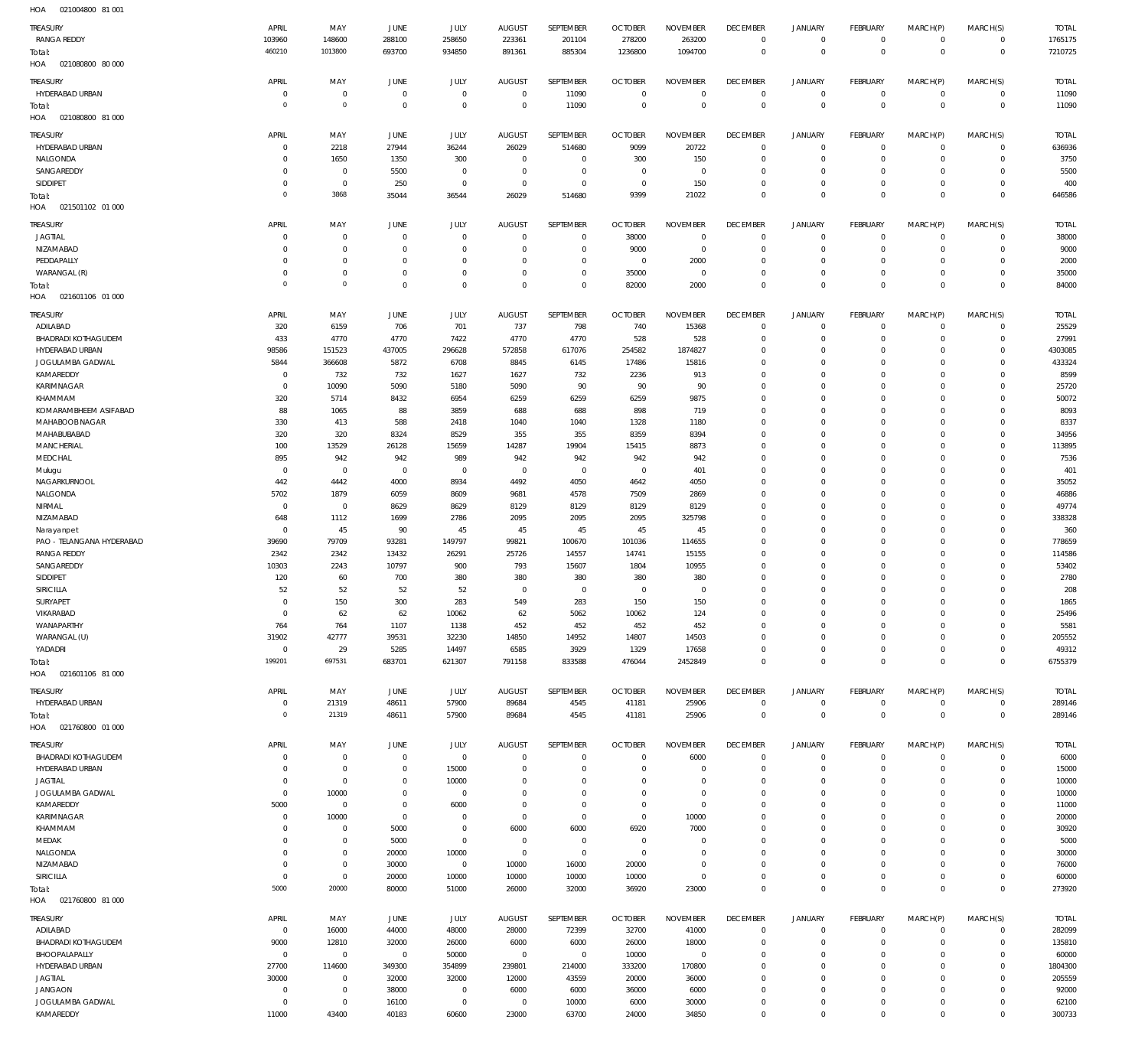021080800 80 000 HOA 021080800 81 000 HOA 021501102 01 000 HOA 021601106 01 000 HOA 021601106 81 000 HOA 021760800 01 000 HOA 021760800 81 000 HOA  $\Omega$   $\Omega$   $\mathbf 0$   $\,$  0  $\,$  $\Omega$  $\boldsymbol{0}$   $\boldsymbol{0}$  $\Omega$   $\Omega$   $\Omega$  RANGA REDDY HYDERABAD URBAN HYDERABAD URBAN NALGONDA SANGAREDDY SIDDIPET JAGTIAL NIZAMABAD **PEDDAPALLY** WARANGAL (R) ADILABAD BHADRADI KOTHAGUDEM HYDERABAD URBAN JOGULAMBA GADWAL KAMAREDDY KARIMNAGAR KHAMMAM KOMARAMBHEEM ASIFABAD MAHABOOB NAGAR MAHABUBABAD **MANCHERIAL** MEDCHAL Mulugu **NAGARKURNOOL** NALGONDA NIRMAL NIZAMABAD Narayanpet PAO - TELANGANA HYDERABAD RANGA REDDY SANGAREDDY SIDDIPET SIRICILLA **SURYAPET** VIKARABAD WANAPARTHY WARANGAL (U) YADADRI HYDERABAD URBAN BHADRADI KOTHAGUDEM HYDERABAD URBAN JAGTIAL JOGULAMBA GADWAL KAMAREDDY KARIMNAGAR KHAMMAM MEDAK NALGONDA NIZAMABAD SIRICILLA ADILABAD BHADRADI KOTHAGUDEM BHOOPALAPALLY HYDERABAD URBAN JAGTIAL JANGAON JOGULAMBA GADWAL TREASURY TREASURY **TREASURY** TREASURY TREASURY TREASURY **TREASURY** TREASURY  $\overline{0}$   $\Omega$   $\overline{0}$  $\Omega$   $\Omega$   $\Omega$  $\overline{0}$   $\overline{0}$   $\overline{0}$   $\Omega$  $\overline{0}$  APRIL APRIL APRIL APRIL APRIL APRIL APRIL APRIL  $\Omega$   $\Omega$   $\Omega$  MAY MAY MAY MAY MAY MAY MAY MAY  $\Omega$   $\Omega$  $\overline{0}$  JUNE JUNE **JUNE** JUNE JUNE JUNE **JUNE** JUNE  $\Omega$   $\Omega$  JULY JULY JULY JULY JULY JULY JULY JULY  $\Omega$   $\Omega$   $\Omega$  $\overline{0}$  AUGUST AUGUST AUGUST AUGUST AUGUST AUGUST **AUGUST** AUGUST  $\sqrt{0}$   $\Omega$   $\mathbf 0$   $\Omega$  SEPTEMBER SEPTEMBER **SEPTEMBER** SEPTEMBER SEPTEMBER SEPTEMBER **SEPTEMBER** SEPTEMBER  $\Omega$   $\Omega$   $\Omega$   $\Omega$  OCTOBER **OCTOBER OCTOBER** OCTOBER OCTOBER OCTOBER **OCTOBER** OCTOBER  $\Omega$   $\Omega$  NOVEMBER NOVEMBER NOVEMBER NOVEMBER NOVEMBER NOVEMBER NOVEMBER NOVEMBER  $\overline{0}$   $\Omega$   $\Omega$   $\Omega$   $\Omega$   $\Omega$   $\Omega$  $\overline{0}$  $\Omega$  $\overline{0}$   $\Omega$  $\overline{0}$   $\Omega$  $\overline{0}$  $\Omega$   $\Omega$  $\overline{0}$   $\overline{0}$   $\Omega$  $\overline{0}$   $\Omega$   $\overline{0}$  DECEMBER DECEMBER DECEMBER DECEMBER DECEMBER DECEMBER **DECEMBER** DECEMBER  $\Omega$   $\Omega$   $\Omega$   $\Omega$   $\Omega$   $\Omega$   $\Omega$   $\Omega$   $\Omega$   $\Omega$   $\Omega$  JANUARY JANUARY JANUARY JANUARY JANUARY JANUARY JANUARY JANUARY  $\Omega$   $\Omega$   $\Omega$   $\Omega$   $\Omega$   $\Omega$  $\overline{0}$   $\Omega$   $\Omega$   $\Omega$   $\Omega$   $\,$  0  $\,$  FEBRUARY FEBRUARY FEBRUARY FEBRUARY FEBRUARY FEBRUARY **FFBRUARY** FEBRUARY  $\Omega$   $\Omega$   $\Omega$   $\Omega$   $\Omega$   $\Omega$   $\Omega$  $\overline{0}$   $\Omega$   $\Omega$   $\Omega$  MARCH(P) MARCH(P) MARCH(P) MARCH(P) MARCH(P) MARCH(P) MARCH(P) MARCH(P)  $\Omega$   $\Omega$   $\Omega$   $\Omega$   $\Omega$   $\Omega$   $\Omega$   $\Omega$   $\Omega$   $\Omega$   $\Omega$   $\Omega$   $\Omega$  MARCH(S) MARCH(S) MARCH(S) MARCH(S) MARCH(S) MARCH(S) MARCH(S) MARCH(S) TOTAL TOTAL TOTAL TOTAL TOTAL TOTAL TOTAL TOTAL Total: Total: Total: Total: Total: Total: Total:

021004800 81 001 HOA

KAMAREDDY

 $\Omega$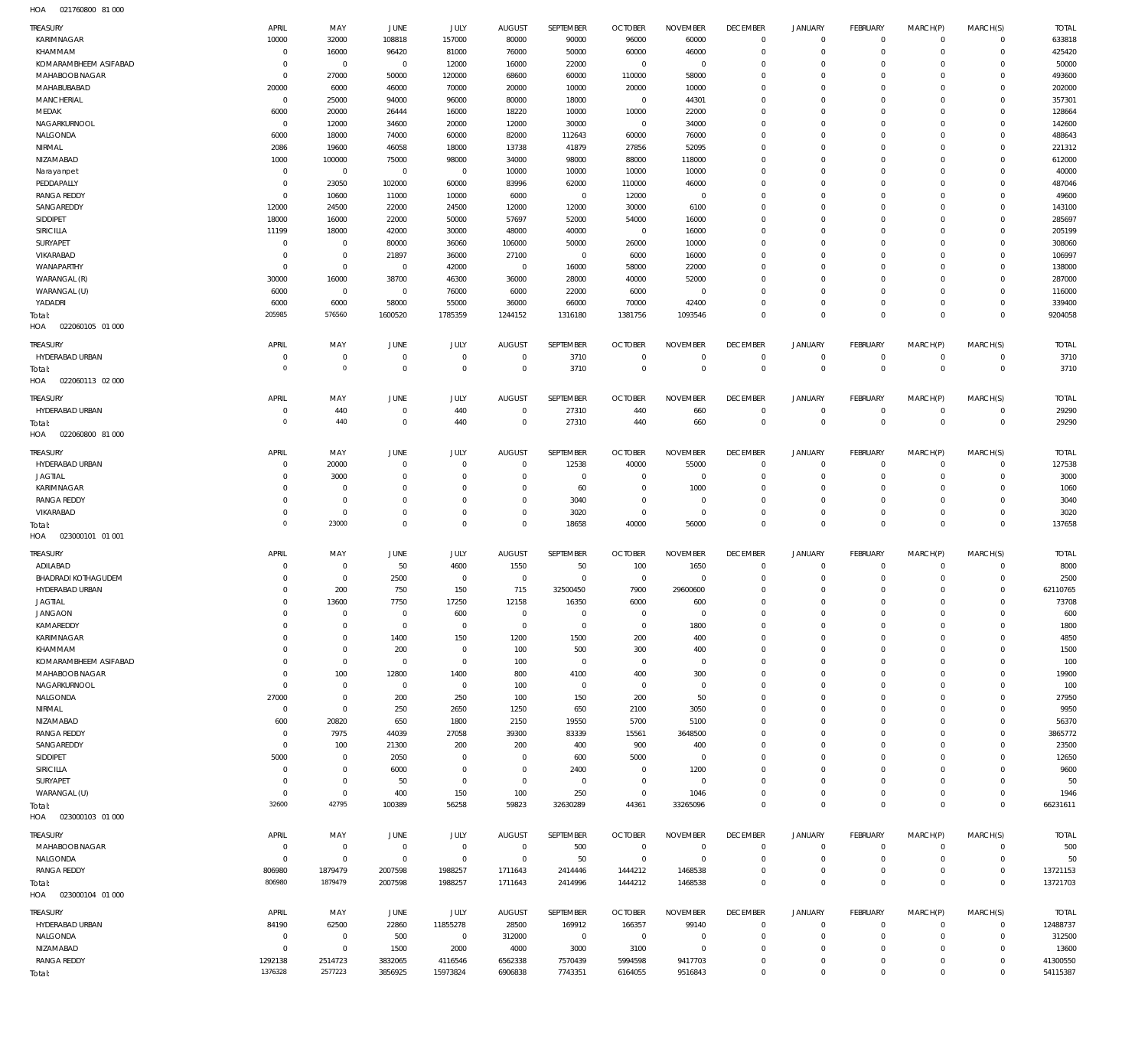021760800 81 000 HOA

| <b>TREASURY</b>            | APRIL          | MAY            | JUNE           | JULY           | <b>AUGUST</b>  | SEPTEMBER      | <b>OCTOBER</b> | <b>NOVEMBER</b> | <b>DECEMBER</b> | <b>JANUARY</b> | <b>FEBRUARY</b> | MARCH(P)    | MARCH(S)    | <b>TOTAL</b> |
|----------------------------|----------------|----------------|----------------|----------------|----------------|----------------|----------------|-----------------|-----------------|----------------|-----------------|-------------|-------------|--------------|
| KARIMNAGAR                 | 10000          | 32000          | 108818         | 157000         | 80000          | 90000          | 96000          | 60000           | $\mathbf{0}$    | $\mathbf 0$    | $\mathbf 0$     | $\mathbf 0$ | $\mathbf 0$ | 633818       |
| KHAMMAM                    | $^{\circ}$     | 16000          | 96420          | 81000          | 76000          | 50000          | 60000          | 46000           | $\mathbf{0}$    | $\Omega$       | $\mathbf 0$     | $\Omega$    | $\mathbf 0$ | 425420       |
| KOMARAMBHEEM ASIFABAD      | $^{\circ}$     | $\overline{0}$ | $\overline{0}$ | 12000          | 16000          | 22000          | $\overline{0}$ | $^{\circ}$      | $^{\circ}$      | $\Omega$       | $\mathbf 0$     | $\Omega$    | $\mathbf 0$ | 50000        |
| MAHABOOB NAGAR             | $\mathbf 0$    | 27000          | 50000          | 120000         | 68600          | 60000          | 110000         | 58000           | $\Omega$        |                | $\Omega$        |             | $\Omega$    | 493600       |
|                            |                |                |                |                |                |                |                |                 |                 |                |                 |             |             |              |
| MAHABUBABAD                | 20000          | 6000           | 46000          | 70000          | 20000          | 10000          | 20000          | 10000           | $^{\circ}$      | $\Omega$       | $\mathbf 0$     | $\Omega$    | $\mathbf 0$ | 202000       |
| MANCHERIAL                 | $\mathbf 0$    | 25000          | 94000          | 96000          | 80000          | 18000          | $^{\circ}$     | 44301           | $\Omega$        |                | $\Omega$        |             | $\Omega$    | 357301       |
| MEDAK                      | 6000           | 20000          | 26444          | 16000          | 18220          | 10000          | 10000          | 22000           | $\mathbf{0}$    | $\Omega$       | $\mathbf 0$     | $\Omega$    | $\mathbf 0$ | 128664       |
| NAGARKURNOOL               | $\mathbf 0$    | 12000          | 34600          | 20000          | 12000          | 30000          | $\overline{0}$ | 34000           | $\Omega$        |                | $\Omega$        |             | $\Omega$    | 142600       |
| NALGONDA                   | 6000           | 18000          | 74000          | 60000          | 82000          | 112643         | 60000          | 76000           | $\Omega$        | $\Omega$       | $\mathbf 0$     | $\Omega$    | $\mathbf 0$ | 488643       |
|                            |                |                |                |                |                |                |                |                 | $\Omega$        |                | $\Omega$        |             | $\Omega$    |              |
| NIRMAL                     | 2086           | 19600          | 46058          | 18000          | 13738          | 41879          | 27856          | 52095           |                 |                |                 |             |             | 221312       |
| NIZAMABAD                  | 1000           | 100000         | 75000          | 98000          | 34000          | 98000          | 88000          | 118000          | $\Omega$        | $\Omega$       | $\mathbf 0$     | $\Omega$    | $\Omega$    | 612000       |
| Narayanpet                 | $^{\circ}$     | $\overline{0}$ | $\overline{0}$ | $\mathbf{0}$   | 10000          | 10000          | 10000          | 10000           | $\Omega$        | $\Omega$       | $\Omega$        | $\epsilon$  | $\mathbf 0$ | 40000        |
| PEDDAPALLY                 | $^{\circ}$     | 23050          | 102000         | 60000          | 83996          | 62000          | 110000         | 46000           | $\Omega$        | $\Omega$       | $\mathbf 0$     |             | $\Omega$    | 487046       |
| <b>RANGA REDDY</b>         | $^{\circ}$     | 10600          | 11000          | 10000          | 6000           | $\overline{0}$ | 12000          | $^{\circ}$      | $\Omega$        | $\Omega$       | $\mathbf 0$     | $\Omega$    | $\mathbf 0$ | 49600        |
| SANGAREDDY                 | 12000          | 24500          | 22000          | 24500          | 12000          | 12000          | 30000          | 6100            | $^{\circ}$      | $\Omega$       | $\Omega$        |             | $\Omega$    | 143100       |
|                            |                |                |                |                |                |                |                |                 |                 |                |                 |             |             |              |
| SIDDIPET                   | 18000          | 16000          | 22000          | 50000          | 57697          | 52000          | 54000          | 16000           | $\Omega$        | $\Omega$       | $\Omega$        | $\Omega$    | $\mathbf 0$ | 285697       |
| SIRICILLA                  | 11199          | 18000          | 42000          | 30000          | 48000          | 40000          | $\overline{0}$ | 16000           | $\mathbf{0}$    | $\Omega$       | $\mathbf 0$     |             | $\mathbf 0$ | 205199       |
| SURYAPET                   | $^{\circ}$     | $\mathbf 0$    | 80000          | 36060          | 106000         | 50000          | 26000          | 10000           | $\Omega$        | $\Omega$       | $\Omega$        | $\Omega$    | $\Omega$    | 308060       |
| VIKARABAD                  | $^{\circ}$     | $\mathbf 0$    | 21897          | 36000          | 27100          | $\overline{0}$ | 6000           | 16000           | $\mathbf{0}$    | $\Omega$       | $\mathbf 0$     |             | $\mathbf 0$ | 106997       |
| WANAPARTHY                 | $\mathbf 0$    | $\mathbf 0$    | $\overline{0}$ | 42000          | $\overline{0}$ | 16000          | 58000          | 22000           | $\Omega$        |                | $\Omega$        |             | $\Omega$    | 138000       |
|                            |                |                |                |                |                |                |                |                 |                 |                |                 |             |             |              |
| WARANGAL (R)               | 30000          | 16000          | 38700          | 46300          | 36000          | 28000          | 40000          | 52000           | $\mathbf{0}$    | $\Omega$       | $\mathbf 0$     | $\Omega$    | $\mathbf 0$ | 287000       |
| WARANGAL (U)               | 6000           | $\overline{0}$ | $\overline{0}$ | 76000          | 6000           | 22000          | 6000           | $^{\circ}$      | $\Omega$        |                | $\Omega$        |             | $\mathbf 0$ | 116000       |
| YADADRI                    | 6000           | 6000           | 58000          | 55000          | 36000          | 66000          | 70000          | 42400           | $^{\circ}$      | $\mathbf 0$    | $\mathbf 0$     | $\Omega$    | $\mathbf 0$ | 339400       |
| Total:                     | 205985         | 576560         | 1600520        | 1785359        | 1244152        | 1316180        | 1381756        | 1093546         | $\Omega$        | $\Omega$       | $\Omega$        | $\Omega$    | $\mathbf 0$ | 9204058      |
| HOA<br>022060105 01 000    |                |                |                |                |                |                |                |                 |                 |                |                 |             |             |              |
|                            |                |                |                |                |                |                |                |                 |                 |                |                 |             |             |              |
| TREASURY                   | APRIL          | MAY            | <b>JUNE</b>    | JULY           | <b>AUGUST</b>  | SEPTEMBER      | <b>OCTOBER</b> | <b>NOVEMBER</b> | <b>DECEMBER</b> | <b>JANUARY</b> | <b>FEBRUARY</b> | MARCH(P)    | MARCH(S)    | <b>TOTAL</b> |
| HYDERABAD URBAN            | 0              | $\mathbf 0$    | $\mathbf 0$    | $\mathbf 0$    | $\overline{0}$ | 3710           | $\overline{0}$ | $^{\circ}$      | $^{\circ}$      | $\mathbf 0$    | $\circ$         | $^{\circ}$  | $\mathbf 0$ | 3710         |
|                            | $\overline{0}$ | $\mathbf 0$    |                |                |                |                | $\overline{0}$ |                 | $\overline{0}$  |                | $\overline{0}$  |             |             |              |
| Total:                     |                |                | $\overline{0}$ | $\mathbf 0$    | $\overline{0}$ | 3710           |                | $\overline{0}$  |                 | $\mathbf{0}$   |                 | $\Omega$    | $\mathbf 0$ | 3710         |
| 022060113 02 000<br>HOA    |                |                |                |                |                |                |                |                 |                 |                |                 |             |             |              |
|                            |                |                |                |                |                |                |                |                 |                 |                |                 |             |             |              |
| <b>TREASURY</b>            | APRIL          | MAY            | JUNE           | JULY           | <b>AUGUST</b>  | SEPTEMBER      | <b>OCTOBER</b> | <b>NOVEMBER</b> | <b>DECEMBER</b> | <b>JANUARY</b> | <b>FEBRUARY</b> | MARCH(P)    | MARCH(S)    | <b>TOTAL</b> |
| HYDERABAD URBAN            | $\mathbf 0$    | 440            | $\overline{0}$ | 440            | $\mathbf{0}$   | 27310          | 440            | 660             | $^{\circ}$      | $\mathbf 0$    | $\mathbf 0$     | $\circ$     | $\mathbf 0$ | 29290        |
| Total:                     | $\mathbf 0$    | 440            | $\overline{0}$ | 440            | $\mathbf{0}$   | 27310          | 440            | 660             | $\mathbf{0}$    | $\mathbf{0}$   | $\overline{0}$  | $\mathbf 0$ | $\mathbf 0$ | 29290        |
| 022060800 81 000<br>HOA    |                |                |                |                |                |                |                |                 |                 |                |                 |             |             |              |
|                            |                |                |                |                |                |                |                |                 |                 |                |                 |             |             |              |
| <b>TREASURY</b>            | APRIL          | MAY            | <b>JUNE</b>    | JULY           | <b>AUGUST</b>  | SEPTEMBER      | <b>OCTOBER</b> | <b>NOVEMBER</b> | <b>DECEMBER</b> | <b>JANUARY</b> | <b>FEBRUARY</b> | MARCH(P)    | MARCH(S)    | <b>TOTAL</b> |
| HYDERABAD URBAN            | $\circ$        | 20000          | $\overline{0}$ | $\mathbf 0$    | $\overline{0}$ | 12538          | 40000          | 55000           | $^{\circ}$      | $\mathbf 0$    | $\mathbf 0$     | $\mathbf 0$ | $\mathbf 0$ | 127538       |
| <b>JAGTIAL</b>             | 0              | 3000           | $\mathbf{0}$   | 0              | $\overline{0}$ | $\overline{0}$ | $^{\circ}$     | $^{\circ}$      | $\mathbf{0}$    | $\Omega$       | $\mathbf 0$     | $\Omega$    | $\mathbf 0$ | 3000         |
|                            |                |                |                |                |                |                |                |                 |                 |                |                 |             |             |              |
| KARIMNAGAR                 | $^{\circ}$     | $\mathbf 0$    | $\mathbf{0}$   | 0              | $\overline{0}$ | 60             | $\overline{0}$ | 1000            | $^{\circ}$      | $\Omega$       | $\mathbf 0$     | $\Omega$    | $\mathbf 0$ | 1060         |
| <b>RANGA REDDY</b>         | 0              | $\mathbf 0$    | $\mathbf{0}$   | 0              | $\overline{0}$ | 3040           | $\overline{0}$ | $^{\circ}$      | $^{\circ}$      | $\mathbf 0$    | $\mathbf 0$     | $\Omega$    | $\mathbf 0$ | 3040         |
| VIKARABAD                  | $^{\circ}$     | $^{\circ}$     | $\mathbf{0}$   | $\mathbf 0$    | $\overline{0}$ | 3020           | $\overline{0}$ | $^{\circ}$      | $\mathbf{0}$    | $\Omega$       | $\mathbf 0$     | $\Omega$    | $\mathbf 0$ | 3020         |
| Total:                     | $\mathbf 0$    | 23000          | $\overline{0}$ | $\mathbf 0$    | $\mathbb O$    | 18658          | 40000          | 56000           | $\mathbb O$     | $\mathbf 0$    | $\overline{0}$  | $\Omega$    | $\mathbf 0$ | 137658       |
| 023000101 01 001<br>HOA    |                |                |                |                |                |                |                |                 |                 |                |                 |             |             |              |
|                            |                |                |                |                |                |                |                |                 |                 |                |                 |             |             |              |
| TREASURY                   | APRIL          | MAY            | <b>JUNE</b>    | JULY           | <b>AUGUST</b>  | SEPTEMBER      | <b>OCTOBER</b> | <b>NOVEMBER</b> | <b>DECEMBER</b> | <b>JANUARY</b> | <b>FEBRUARY</b> | MARCH(P)    | MARCH(S)    | <b>TOTAL</b> |
| ADILABAD                   | 0              | $^{\circ}$     | 50             | 4600           | 1550           | 50             | 100            | 1650            | $^{\circ}$      | $\mathbf 0$    | $\mathbf 0$     | $\Omega$    | $\mathbf 0$ | 8000         |
| <b>BHADRADI KOTHAGUDEM</b> |                |                |                |                |                |                |                |                 |                 |                |                 |             |             |              |
|                            | 0              | $^{\circ}$     | 2500           | $^{\circ}$     | $\overline{0}$ | $\overline{0}$ | $\mathbf 0$    | $^{\circ}$      | $^{\circ}$      | $\circ$        | $\mathbf 0$     | 0           | $\mathbf 0$ | 2500         |
| HYDERABAD URBAN            | $\Omega$       | 200            | 750            | 150            | 715            | 32500450       | 7900           | 29600600        | $^{\circ}$      | $\Omega$       | $\mathbf 0$     |             | $\mathbf 0$ | 62110765     |
| <b>JAGTIAL</b>             | $\Omega$       | 13600          | 7750           | 17250          | 12158          | 16350          | 6000           | 600             | $\Omega$        | $\Omega$       | $\Omega$        | $\Omega$    | $\Omega$    | 73708        |
| <b>JANGAON</b>             | 0              | 0              | $^{\circ}$     | 600            | 0              | 0              | $\overline{0}$ | - 0             | $\circ$         | $\circ$        | $\circ$         | $\Omega$    | $\mathbf 0$ | 600          |
| KAMAREDDY                  | $\mathbf 0$    | $\mathbf 0$    | $\overline{0}$ | $^{\circ}$     | $\overline{0}$ | $\mathbf 0$    | $\mathbf 0$    | 1800            | $^{\circ}$      | $\Omega$       | $\mathbf 0$     | $\Omega$    | $\mathbf 0$ | 1800         |
| KARIMNAGAR                 | $\mathbf 0$    | $\mathbf 0$    |                | 150            |                | 1500           | 200            |                 | $^{\circ}$      |                | $\mathbf 0$     | $\Omega$    | $\mathbf 0$ |              |
|                            |                |                | 1400           |                | 1200           |                |                | 400             |                 | $\circ$        |                 |             |             | 4850         |
| KHAMMAM                    | $\mathbf 0$    | $\mathbf 0$    | 200            | $\mathbf 0$    | 100            | 500            | 300            | 400             | $^{\circ}$      | $\Omega$       | $\mathbf 0$     | $\Omega$    | $\Omega$    | 1500         |
| KOMARAMBHEEM ASIFABAD      | $\mathbf 0$    | $\mathbf 0$    | $\overline{0}$ | $\mathbf 0$    | 100            | $\mathbf 0$    | $\mathbf 0$    | $^{\circ}$      | $^{\circ}$      | $\Omega$       | $\mathbf 0$     | $\Omega$    | $\mathbf 0$ | 100          |
| MAHABOOB NAGAR             | $\mathbf 0$    | 100            | 12800          | 1400           | 800            | 4100           | 400            | 300             | $\Omega$        | $\Omega$       | $\Omega$        |             | $\mathbf 0$ | 19900        |
| NAGARKURNOOL               | $\overline{0}$ | $^{\circ}$     | $\overline{0}$ | $^{\circ}$     | 100            | $\mathbf 0$    | $\mathbf 0$    | $^{\circ}$      | $^{\circ}$      | $\circ$        | $\mathbf 0$     | $\Omega$    | $\mathbf 0$ | 100          |
| NALGONDA                   | 27000          | $\mathbf 0$    | 200            | 250            | 100            | 150            | 200            | 50              | $^{\circ}$      | $\Omega$       | $\Omega$        |             | $\Omega$    | 27950        |
|                            |                |                |                |                |                |                |                |                 |                 |                |                 |             |             |              |
| NIRMAL                     | $\overline{0}$ | $\overline{0}$ | 250            | 2650           | 1250           | 650            | 2100           | 3050            | $^{\circ}$      | $\Omega$       | $\mathbf 0$     | $\Omega$    | $\mathbf 0$ | 9950         |
| NIZAMABAD                  | 600            | 20820          | 650            | 1800           | 2150           | 19550          | 5700           | 5100            | $^{\circ}$      | $\Omega$       | $\Omega$        |             | $\mathbf 0$ | 56370        |
| <b>RANGA REDDY</b>         | $^{\circ}$     | 7975           | 44039          | 27058          | 39300          | 83339          | 15561          | 3648500         | $^{\circ}$      | $\Omega$       | $\mathbf 0$     | $\Omega$    | $\mathbf 0$ | 3865772      |
| SANGAREDDY                 | $\mathbf 0$    | 100            | 21300          | 200            | 200            | 400            | 900            | 400             | $^{\circ}$      | $\Omega$       | $\Omega$        |             | $\mathbf 0$ | 23500        |
| SIDDIPET                   | 5000           | $^{\circ}$     | 2050           | 0              | $^{\circ}$     | 600            | 5000           | $\Omega$        | $^{\circ}$      | $\Omega$       | $\mathbf 0$     | $\Omega$    | $\mathbf 0$ | 12650        |
| <b>SIRICILLA</b>           | $^{\circ}$     | $\mathbf 0$    | 6000           | $\mathbf 0$    | $^{\circ}$     |                | $\overline{0}$ | 1200            | $^{\circ}$      | $\Omega$       | $\mathbf 0$     | $\Omega$    | $\mathbf 0$ |              |
|                            |                |                |                |                |                | 2400           |                |                 |                 |                |                 |             |             | 9600         |
| SURYAPET                   | $\mathbf 0$    | $\mathbf 0$    | 50             | $\mathbf 0$    | $\overline{0}$ | $\mathbf 0$    | $\overline{0}$ | $^{\circ}$      | $^{\circ}$      | $\Omega$       | $\mathbf 0$     | $\Omega$    | $\Omega$    | 50           |
| WARANGAL (U)               | $^{\circ}$     | $\mathbf 0$    | 400            | 150            | 100            | 250            | $\mathbf 0$    | 1046            | $^{\circ}$      | $\circ$        | $\mathbf 0$     | $\mathbf 0$ | $\mathbf 0$ | 1946         |
| Total:                     | 32600          | 42795          | 100389         | 56258          | 59823          | 32630289       | 44361          | 33265096        | $\mathbf 0$     | $\mathbf 0$    | $\overline{0}$  | $\Omega$    | $\mathbf 0$ | 66231611     |
| HOA<br>023000103 01 000    |                |                |                |                |                |                |                |                 |                 |                |                 |             |             |              |
|                            |                |                |                |                |                |                |                |                 |                 |                |                 |             |             |              |
| <b>TREASURY</b>            | APRIL          | MAY            | JUNE           | JULY           | <b>AUGUST</b>  | SEPTEMBER      | <b>OCTOBER</b> | <b>NOVEMBER</b> | <b>DECEMBER</b> | <b>JANUARY</b> | <b>FEBRUARY</b> | MARCH(P)    | MARCH(S)    | <b>TOTAL</b> |
| MAHABOOB NAGAR             | $\overline{0}$ | $\overline{0}$ | $\overline{0}$ | $\mathbf{0}$   | $\overline{0}$ | 500            | $\overline{0}$ | $^{\circ}$      | $^{\circ}$      | $\mathbf 0$    | $\mathbf 0$     | $\mathbf 0$ | $\mathbf 0$ | 500          |
| NALGONDA                   | $\overline{0}$ | $\overline{0}$ | $\overline{0}$ | $\mathbf{0}$   | $\overline{0}$ | 50             | $\overline{0}$ | $^{\circ}$      | $^{\circ}$      | $\mathbf 0$    | $\mathbf 0$     | $\mathbf 0$ | $\mathbf 0$ | 50           |
|                            |                |                |                |                |                |                |                |                 |                 |                |                 |             |             |              |
| <b>RANGA REDDY</b>         | 806980         | 1879479        | 2007598        | 1988257        | 1711643        | 2414446        | 1444212        | 1468538         | $\mathbf{0}$    | $\mathbf 0$    | $\mathbf 0$     | $\mathbf 0$ | $\mathbf 0$ | 13721153     |
| Total:                     | 806980         | 1879479        | 2007598        | 1988257        | 1711643        | 2414996        | 1444212        | 1468538         | $\mathbb O$     | $\mathbf 0$    | $\overline{0}$  | $\Omega$    | $\mathbf 0$ | 13721703     |
| HOA<br>023000104 01 000    |                |                |                |                |                |                |                |                 |                 |                |                 |             |             |              |
|                            |                |                |                |                |                |                |                |                 |                 |                |                 |             |             |              |
| TREASURY                   | APRIL          | MAY            | JUNE           | JULY           | <b>AUGUST</b>  | SEPTEMBER      | <b>OCTOBER</b> | <b>NOVEMBER</b> | <b>DECEMBER</b> | <b>JANUARY</b> | <b>FEBRUARY</b> | MARCH(P)    | MARCH(S)    | <b>TOTAL</b> |
| HYDERABAD URBAN            | 84190          | 62500          | 22860          | 11855278       | 28500          | 169912         | 166357         | 99140           | $^{\circ}$      | $\mathbf 0$    | $\circ$         | $\mathbf 0$ | $\mathbf 0$ | 12488737     |
| NALGONDA                   | $\mathbf 0$    | $\overline{0}$ | 500            | $\overline{0}$ | 312000         | $\,0\,$        | $\mathbf 0$    | $^{\circ}$      | $^{\circ}$      | $\Omega$       | $\mathbf 0$     | $\Omega$    | $\mathbf 0$ | 312500       |
| NIZAMABAD                  | $\overline{0}$ | $\overline{0}$ | 1500           | 2000           | 4000           | 3000           | 3100           | $^{\circ}$      | $^{\circ}$      | $\Omega$       | $\mathbf 0$     | $\Omega$    | $\mathbf 0$ | 13600        |
| <b>RANGA REDDY</b>         |                |                |                |                |                |                |                |                 |                 |                |                 |             |             |              |
|                            |                |                |                |                |                |                |                |                 |                 |                |                 |             |             |              |
|                            | 1292138        | 2514723        | 3832065        | 4116546        | 6562338        | 7570439        | 5994598        | 9417703         | $^{\circ}$      | $\circ$        | $\mathbf 0$     | $\Omega$    | $\mathbf 0$ | 41300550     |
| Total:                     | 1376328        | 2577223        | 3856925        | 15973824       | 6906838        | 7743351        | 6164055        | 9516843         | $\mathbb O$     | $\mathbf 0$    | $\overline{0}$  | $\Omega$    | $\mathbf 0$ | 54115387     |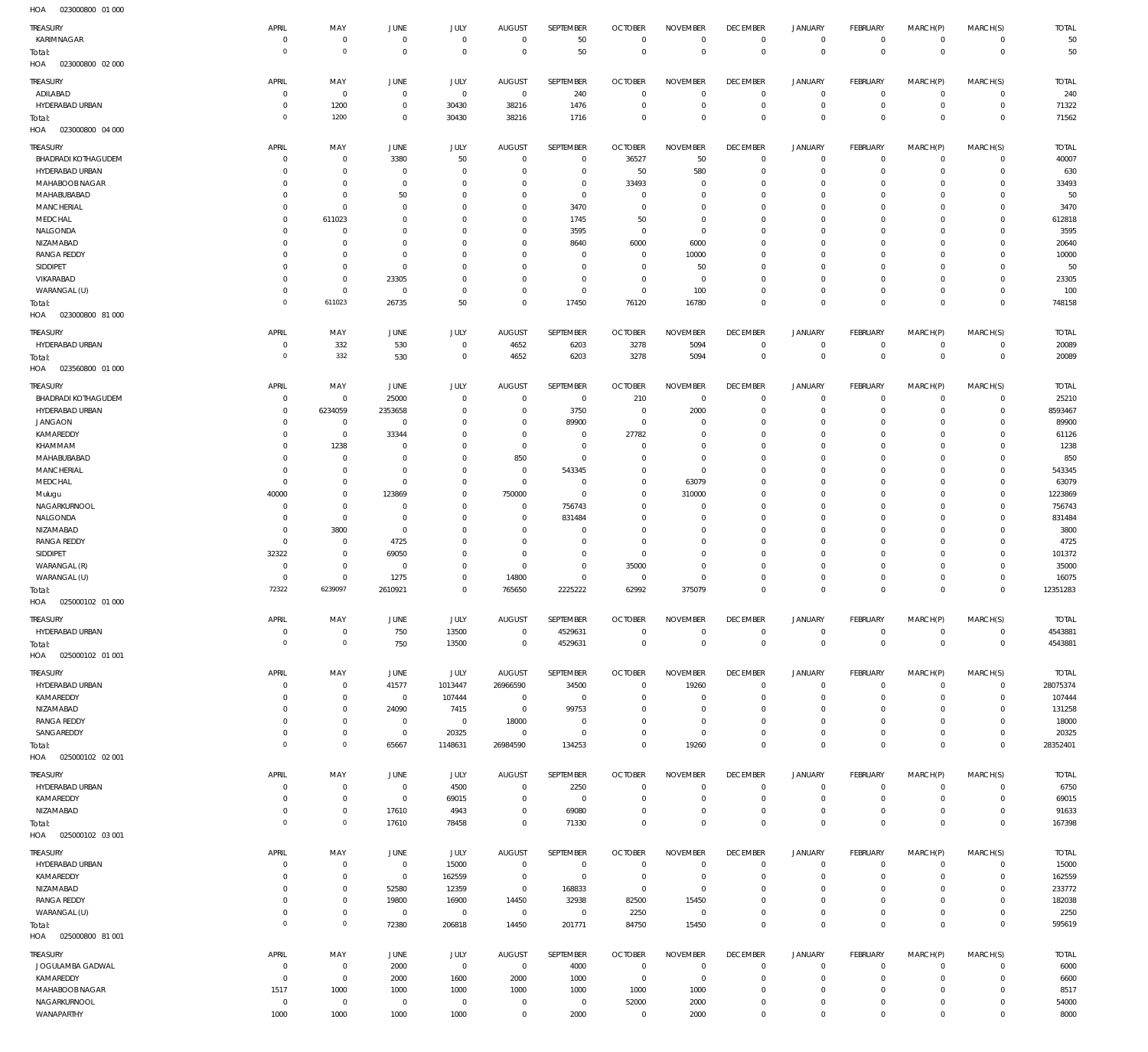| $\cdots$<br>ornanana.      |                |                     |                |                     |                |                  |                |                 |                 |                |                 |             |                |              |
|----------------------------|----------------|---------------------|----------------|---------------------|----------------|------------------|----------------|-----------------|-----------------|----------------|-----------------|-------------|----------------|--------------|
| TREASURY                   | APRIL          | MAY                 | <b>JUNE</b>    | JULY                | <b>AUGUST</b>  | SEPTEMBER        | <b>OCTOBER</b> | <b>NOVEMBER</b> | <b>DECEMBER</b> | <b>JANUARY</b> | FEBRUARY        | MARCH(P)    | MARCH(S)       | <b>TOTAL</b> |
| KARIMNAGAR                 | $\mathbf 0$    | $\mathbf 0$         | $\overline{0}$ | $\mathbf 0$         | $\mathbf 0$    | 50               | $\overline{0}$ | $\mathbf 0$     | $\overline{0}$  | $\mathbf 0$    | $\overline{0}$  | $\mathbf 0$ | $\mathbf{0}$   | 50           |
| Total:                     | $\overline{0}$ | $\mathsf{O}\xspace$ | $\mathbf{0}$   | $\mathbf 0$         | $\mathbf 0$    | 50               | $\overline{0}$ | $\mathbf 0$     | $\overline{0}$  | $\mathbf 0$    | $\overline{0}$  | $\mathbf 0$ | $\overline{0}$ | 50           |
| 023000800 02 000<br>HOA    |                |                     |                |                     |                |                  |                |                 |                 |                |                 |             |                |              |
|                            |                |                     |                |                     |                |                  |                |                 |                 |                |                 |             |                |              |
| TREASURY                   | APRIL          | MAY                 | <b>JUNE</b>    | JULY                | <b>AUGUST</b>  | SEPTEMBER        | <b>OCTOBER</b> | <b>NOVEMBER</b> | <b>DECEMBER</b> | <b>JANUARY</b> | <b>FEBRUARY</b> | MARCH(P)    | MARCH(S)       | <b>TOTAL</b> |
| ADILABAD                   | $\mathbf 0$    | $\mathbf 0$         | $\overline{0}$ | $\bf 0$             | $\overline{0}$ | 240              | $\overline{0}$ | $\mathbf 0$     | $\overline{0}$  | 0              | $\circ$         | $\mathbf 0$ | $\circ$        | 240          |
| HYDERABAD URBAN            | $\mathbf 0$    | 1200                | $\overline{0}$ | 30430               | 38216          | 1476             | $\overline{0}$ | $\mathbf 0$     | $\overline{0}$  | $\mathbf 0$    | $\overline{0}$  | $\mathbf 0$ | $\overline{0}$ | 71322        |
| Total:                     | $\circ$        | 1200                | $\mathbf 0$    | 30430               | 38216          | 1716             | $\overline{0}$ | $\mathbf 0$     | $\overline{0}$  | $\mathbf 0$    | $\overline{0}$  | $\mathbf 0$ | $\overline{0}$ | 71562        |
| 023000800 04 000<br>HOA    |                |                     |                |                     |                |                  |                |                 |                 |                |                 |             |                |              |
|                            |                |                     |                |                     |                |                  |                |                 |                 |                |                 |             |                |              |
| TREASURY                   | APRIL          | MAY                 | <b>JUNE</b>    | JULY                | <b>AUGUST</b>  | <b>SEPTEMBER</b> | <b>OCTOBER</b> | <b>NOVEMBER</b> | <b>DECEMBER</b> | <b>JANUARY</b> | FEBRUARY        | MARCH(P)    | MARCH(S)       | <b>TOTAL</b> |
| <b>BHADRADI KOTHAGUDEM</b> | $\Omega$       | $\mathbf 0$         | 3380           | 50                  | $\mathbf 0$    | $\mathbf 0$      | 36527          | 50              | $\overline{0}$  | $\mathbf 0$    | $^{\circ}$      | $\mathbf 0$ | $^{\circ}$     | 40007        |
| HYDERABAD URBAN            | $\Omega$       | $\mathbf 0$         | $\overline{0}$ | $\Omega$            | $\mathbf 0$    | $\mathbf 0$      | 50             | 580             | $\Omega$        | $\mathbf 0$    | $\mathbf{0}$    | $\Omega$    | $\mathbf{0}$   | 630          |
| MAHABOOB NAGAR             | $\Omega$       | $\mathbf 0$         | $\overline{0}$ | $\Omega$            | $\Omega$       | $\mathbf 0$      | 33493          | $\Omega$        | $\Omega$        | $\mathbf 0$    | $\mathbf 0$     | $\Omega$    | $\mathbf 0$    | 33493        |
| MAHABUBABAD                | $\Omega$       | $\mathbf 0$         | 50             | $\Omega$            | $\Omega$       | $\mathbf 0$      | $\overline{0}$ | $\Omega$        | $\Omega$        | $\mathbf 0$    | $\mathbf 0$     | $\Omega$    | $\mathbf 0$    | 50           |
| MANCHERIAL                 | $\mathbf 0$    | $\mathbf 0$         | $\mathbf 0$    | $\Omega$            | $\Omega$       | 3470             | $\overline{0}$ | $\Omega$        | $\mathbf 0$     | $\mathbf 0$    | $\Omega$        | $\Omega$    | $\mathbf 0$    | 3470         |
|                            | $\Omega$       |                     | $\Omega$       | $\Omega$            | $\Omega$       | 1745             |                | $\Omega$        | $\Omega$        | $\Omega$       | $\Omega$        | $\Omega$    | $\Omega$       |              |
| MEDCHAL                    |                | 611023              |                |                     |                |                  | 50             |                 |                 |                |                 |             |                | 612818       |
| NALGONDA                   | $\Omega$       | $\mathbf 0$         | $\mathbf 0$    | $\Omega$            | $\Omega$       | 3595             | $\overline{0}$ | $\Omega$        | $\Omega$        | $\Omega$       | $\Omega$        | $\Omega$    | $\Omega$       | 3595         |
| NIZAMABAD                  | $\Omega$       | $\mathbf 0$         | $\mathbf 0$    | $\Omega$            | $\Omega$       | 8640             | 6000           | 6000            | $\Omega$        | $\Omega$       | $\Omega$        | $\Omega$    | $\Omega$       | 20640        |
| <b>RANGA REDDY</b>         | $\Omega$       | $\mathbf 0$         | $\mathbf 0$    | $\Omega$            | $\Omega$       | $\Omega$         | $\overline{0}$ | 10000           | $\Omega$        | $\Omega$       | $\Omega$        | $\Omega$    | $\Omega$       | 10000        |
| SIDDIPET                   | $\mathbf 0$    | $\mathbf 0$         | $\mathbf 0$    | $\Omega$            | $\Omega$       | $\mathbf 0$      | $\overline{0}$ | 50              | $\Omega$        | $\Omega$       | $\Omega$        | 0           | 0              | 50           |
| VIKARABAD                  | $\Omega$       | $\mathbf 0$         | 23305          | $\Omega$            | $\Omega$       | $\Omega$         | $\overline{0}$ | $\Omega$        | $\Omega$        | $\Omega$       | $\Omega$        | $\Omega$    | $\Omega$       | 23305        |
| WARANGAL (U)               | $\Omega$       | $\mathbf 0$         | $\overline{0}$ | $\Omega$            | $\mathbf 0$    | $\mathbf 0$      | $\overline{0}$ | 100             | $\mathbf 0$     | $\mathbf 0$    | $\mathbf{0}$    | $\Omega$    | $\mathbf 0$    | 100          |
|                            | $\mathbf 0$    | 611023              | 26735          | 50                  | $\Omega$       | 17450            | 76120          | 16780           | $\Omega$        | $\mathbf 0$    | $\Omega$        | $\Omega$    | $\mathbf 0$    | 748158       |
| Total:                     |                |                     |                |                     |                |                  |                |                 |                 |                |                 |             |                |              |
| 023000800 81 000<br>HOA    |                |                     |                |                     |                |                  |                |                 |                 |                |                 |             |                |              |
| TREASURY                   | <b>APRIL</b>   | MAY                 | JUNE           | JULY                | <b>AUGUST</b>  | SEPTEMBER        | <b>OCTOBER</b> | <b>NOVEMBER</b> | <b>DECEMBER</b> | <b>JANUARY</b> | FEBRUARY        | MARCH(P)    | MARCH(S)       | <b>TOTAL</b> |
| HYDERABAD URBAN            | $\mathbf 0$    | 332                 | 530            | $\mathbf 0$         | 4652           | 6203             | 3278           | 5094            | $\overline{0}$  | $\mathbf 0$    | $\overline{0}$  | $\mathbf 0$ | $\overline{0}$ | 20089        |
|                            | $\overline{0}$ | 332                 | 530            | $\bf 0$             | 4652           | 6203             | 3278           | 5094            | $\overline{0}$  | $\mathbf 0$    | $\overline{0}$  | $\mathbf 0$ | $\overline{0}$ | 20089        |
| Total:                     |                |                     |                |                     |                |                  |                |                 |                 |                |                 |             |                |              |
| 023560800 01 000<br>HOA    |                |                     |                |                     |                |                  |                |                 |                 |                |                 |             |                |              |
| TREASURY                   | APRIL          | MAY                 | JUNE           | JULY                | <b>AUGUST</b>  | <b>SEPTEMBER</b> | <b>OCTOBER</b> | <b>NOVEMBER</b> | <b>DECEMBER</b> | <b>JANUARY</b> | FEBRUARY        | MARCH(P)    | MARCH(S)       | <b>TOTAL</b> |
| <b>BHADRADI KOTHAGUDEM</b> | $\mathbf 0$    | $\mathbf 0$         | 25000          | $\Omega$            | $\mathbf 0$    | $\overline{0}$   | 210            | $\mathbf 0$     | $\mathbf 0$     | $\mathbf 0$    | $^{\circ}$      | $\mathbf 0$ | $^{\circ}$     | 25210        |
|                            |                |                     |                |                     |                |                  |                |                 |                 |                |                 |             |                |              |
| HYDERABAD URBAN            | $\Omega$       | 6234059             | 2353658        | $\Omega$            | $\mathbf 0$    | 3750             | $\overline{0}$ | 2000            | $\Omega$        | $\mathbf 0$    | $\mathbf{0}$    | $\Omega$    | $\mathbf 0$    | 8593467      |
| <b>JANGAON</b>             | $\Omega$       | $\mathbf 0$         | $\mathbf 0$    | $\Omega$            | $\Omega$       | 89900            | $\overline{0}$ | $\Omega$        | $\mathbf 0$     | $\mathbf 0$    | $\mathbf 0$     | $\Omega$    | $\mathbf 0$    | 89900        |
| KAMAREDDY                  | $\Omega$       | $\mathbf 0$         | 33344          | $\Omega$            | $\Omega$       | $\Omega$         | 27782          | $\Omega$        | $\Omega$        | $\mathbf 0$    | $\mathbf 0$     | $\Omega$    | $\mathbf 0$    | 61126        |
| KHAMMAM                    | $\Omega$       | 1238                | $\mathbf 0$    | $\Omega$            | $\mathbf 0$    | $\mathbf 0$      | $\mathbf 0$    | $\Omega$        | $\mathbf 0$     | $\Omega$       | $\Omega$        | $\Omega$    | $\mathbf 0$    | 1238         |
| MAHABUBABAD                | $\Omega$       | $\mathbf 0$         | $\mathbf 0$    | $\Omega$            | 850            | $\Omega$         | $\Omega$       | $\Omega$        | $\Omega$        | $\Omega$       | $\Omega$        | $\Omega$    | $\Omega$       | 850          |
| MANCHERIAL                 | $\Omega$       | $\mathbf 0$         | $\mathbf 0$    | $\Omega$            | $^{\circ}$     | 543345           | $\mathbf 0$    | $\Omega$        | $\Omega$        | $\Omega$       | $\mathbf 0$     | $\Omega$    | $\mathbf 0$    | 543345       |
| MEDCHAL                    | $\mathbf 0$    | $\mathbf 0$         | $\mathbf 0$    | $\Omega$            | $\mathbf 0$    | $\mathbf 0$      | $\mathbf 0$    | 63079           | $\Omega$        | $\Omega$       | $\Omega$        | $\Omega$    | $\Omega$       | 63079        |
|                            |                |                     |                |                     |                |                  |                |                 |                 |                |                 |             |                |              |
| Mulugu                     | 40000          | $\mathbf 0$         | 123869         | $\Omega$            | 750000         | $\mathbf 0$      | $\overline{0}$ | 310000          | $\Omega$        | $\Omega$       | $\Omega$        | $\Omega$    | $\Omega$       | 1223869      |
| NAGARKURNOOL               | $\mathbf 0$    | $\mathbf 0$         | $\mathbf 0$    | $\Omega$            | $\mathbf 0$    | 756743           | $\mathbf 0$    | $\Omega$        | $\Omega$        | $\Omega$       | $\mathbf 0$     | $\Omega$    | 0              | 756743       |
| NALGONDA                   | $\Omega$       | $\mathbf 0$         | $\overline{0}$ | $\Omega$            | $\Omega$       | 831484           | $\Omega$       | $\Omega$        | $\Omega$        | $\Omega$       | $\Omega$        | $\Omega$    | $\Omega$       | 831484       |
| NIZAMABAD                  | $\Omega$       | 3800                | $^{\circ}$     | $\Omega$            | $\mathbf 0$    | $\mathbf 0$      | $\mathbf 0$    | $\Omega$        | $\Omega$        | $\Omega$       | $\mathbf 0$     | $\Omega$    | $\mathbf 0$    | 3800         |
| <b>RANGA REDDY</b>         | $\Omega$       | $\mathbf 0$         | 4725           | $\Omega$            | $\Omega$       | $\Omega$         | $\mathbf 0$    | $\Omega$        | $\Omega$        | $\Omega$       | $\Omega$        | $\Omega$    | $\Omega$       | 4725         |
| SIDDIPET                   | 32322          | $\mathbf 0$         | 69050          | $\Omega$            | $\Omega$       | $\mathbf 0$      | $\overline{0}$ | $\Omega$        | $\Omega$        | $\Omega$       | $\Omega$        | $\Omega$    | $\Omega$       | 101372       |
|                            | $\Omega$       |                     |                | $\Omega$            |                |                  |                | $\Omega$        |                 |                |                 | $\Omega$    |                |              |
| WARANGAL (R)               |                | $\bf 0$             | $\overline{0}$ |                     | $\mathbf 0$    | $\mathbf 0$      | 35000          |                 | $\mathbf 0$     | $\mathbf 0$    | $\mathbf 0$     |             | $\mathbf 0$    | 35000        |
| WARANGAL (U)               | $\mathbf 0$    | $\mathbf 0$         | 1275           | $\Omega$            | 14800          | $\Omega$         | $\overline{0}$ | $\Omega$        | $\Omega$        | $\mathbf 0$    | $\mathbf 0$     | $\Omega$    | $\mathbf 0$    | 16075        |
| Total:                     | 72322          | 6239097             | 2610921        | $\Omega$            | 765650         | 2225222          | 62992          | 375079          | $\Omega$        | $\mathbf 0$    | $\Omega$        | $\Omega$    | $\Omega$       | 12351283     |
| HOA<br>025000102 01 000    |                |                     |                |                     |                |                  |                |                 |                 |                |                 |             |                |              |
|                            |                |                     |                |                     |                |                  |                |                 |                 |                |                 |             |                |              |
| TREASURY                   | APRIL          | MAY                 | JUNE           | <b>JULY</b>         | AUGUST         | SEPTEMBER        | <b>OCTOBER</b> | <b>NOVEMBER</b> | <b>DECEMBER</b> | <b>JANUARY</b> | FEBRUARY        | MARCH(P)    | MARCH(S)       | <b>TOTAL</b> |
| HYDERABAD URBAN            | 0              | $\boldsymbol{0}$    | 750            | 13500               | $\overline{0}$ | 4529631          | $\overline{0}$ | $\overline{0}$  | $\overline{0}$  | $\circ$        | $\overline{0}$  | $\circ$     | $\overline{0}$ | 4543881      |
| Total:                     | $\overline{0}$ | $\mathsf{O}\xspace$ | 750            | 13500               | $\overline{0}$ | 4529631          | $\overline{0}$ | $\overline{0}$  | $\overline{0}$  | $\mathbf 0$    | $\overline{0}$  | $\mathbf 0$ | $\overline{0}$ | 4543881      |
| 025000102 01 001<br>HOA    |                |                     |                |                     |                |                  |                |                 |                 |                |                 |             |                |              |
|                            |                |                     |                |                     |                |                  |                |                 |                 |                |                 |             |                |              |
| TREASURY                   | APRIL          | MAY                 | JUNE           | JULY                | AUGUST         | <b>SEPTEMBER</b> | <b>OCTOBER</b> | <b>NOVEMBER</b> | <b>DECEMBER</b> | <b>JANUARY</b> | FEBRUARY        | MARCH(P)    | MARCH(S)       | <b>TOTAL</b> |
| HYDERABAD URBAN            | $\mathbf 0$    | $\bf 0$             | 41577          | 1013447             | 26966590       | 34500            | $\overline{0}$ | 19260           | $\overline{0}$  | $\mathbf 0$    | $\circ$         | $\mathbf 0$ | $\circ$        | 28075374     |
| KAMAREDDY                  | $\Omega$       | $\mathbf 0$         | $\overline{0}$ | 107444              | $^{\circ}$     | $\overline{0}$   | $\mathbf 0$    | $\Omega$        | $\mathbf 0$     | $\mathbf 0$    | $\mathbf{0}$    | $\Omega$    | $\mathbf{0}$   | 107444       |
| NIZAMABAD                  | $\mathbf 0$    | $\mathbf 0$         | 24090          | 7415                | $\mathbf 0$    | 99753            | $\mathbf 0$    | $\mathbf 0$     | $\mathbf 0$     | $\mathbf 0$    | $\mathbf 0$     | $\Omega$    | $\mathbf{0}$   | 131258       |
| <b>RANGA REDDY</b>         | $\mathbf 0$    | $\mathbf 0$         | $\mathbf 0$    | $\bf 0$             | 18000          | $\mathbf 0$      | $\mathbf 0$    | $\Omega$        | $\mathbf 0$     | $\mathbf 0$    | $\mathbf 0$     | $\Omega$    | $\mathbf 0$    | 18000        |
| SANGAREDDY                 | $\mathbf 0$    | $\mathsf{O}\xspace$ | $\overline{0}$ | 20325               | $\mathbf{0}$   | $\mathbf 0$      | $\overline{0}$ | $\mathbf 0$     | $\overline{0}$  | $\mathbf 0$    | $\mathbf{0}$    | $\Omega$    | $\mathbf{0}$   | 20325        |
|                            | $\mathbf 0$    | $\mathsf{O}\xspace$ | 65667          | 1148631             | 26984590       | 134253           | $\mathbf 0$    | 19260           | $\mathbf 0$     | $\mathbf 0$    | $\mathbf 0$     | $\mathbf 0$ | $\mathbf 0$    | 28352401     |
| Total:                     |                |                     |                |                     |                |                  |                |                 |                 |                |                 |             |                |              |
| HOA  025000102  02  001    |                |                     |                |                     |                |                  |                |                 |                 |                |                 |             |                |              |
| TREASURY                   | APRIL          | MAY                 | JUNE           | <b>JULY</b>         | AUGUST         | SEPTEMBER        | <b>OCTOBER</b> | <b>NOVEMBER</b> | <b>DECEMBER</b> | <b>JANUARY</b> | FEBRUARY        | MARCH(P)    | MARCH(S)       | <b>TOTAL</b> |
| HYDERABAD URBAN            | $\mathbf 0$    | $\bf 0$             | $\overline{0}$ | 4500                | $\overline{0}$ | 2250             | $\overline{0}$ | $\mathbf 0$     | $\overline{0}$  | $\mathbf 0$    | $\circ$         | $\mathbf 0$ | $\circ$        | 6750         |
| KAMAREDDY                  | $\mathbf 0$    | $\mathsf{O}\xspace$ | $\overline{0}$ | 69015               | $\overline{0}$ | $\overline{0}$   | $\overline{0}$ | $\mathbf 0$     | $\overline{0}$  | $\mathbf 0$    | $\overline{0}$  | $\mathbf 0$ | $\overline{0}$ | 69015        |
|                            |                |                     |                |                     |                |                  |                |                 |                 |                |                 |             |                |              |
| NIZAMABAD                  | $\mathbf 0$    | $\mathsf{O}\xspace$ | 17610          | 4943                | $\mathbf 0$    | 69080            | $\overline{0}$ | $\mathbf 0$     | $\overline{0}$  | $\mathbf 0$    | $\overline{0}$  | $\mathbf 0$ | $\circ$        | 91633        |
| Total:                     | $\mathbf 0$    | $\mathsf{O}\xspace$ | 17610          | 78458               | $\mathbf{0}$   | 71330            | $\overline{0}$ | $\mathbf 0$     | $\overline{0}$  | $\mathbf 0$    | $\overline{0}$  | $\mathbf 0$ | $\overline{0}$ | 167398       |
| HOA<br>025000102 03 001    |                |                     |                |                     |                |                  |                |                 |                 |                |                 |             |                |              |
|                            |                |                     |                |                     |                |                  |                |                 |                 |                |                 |             |                |              |
| TREASURY                   | APRIL          | MAY                 | JUNE           | JULY                | <b>AUGUST</b>  | SEPTEMBER        | <b>OCTOBER</b> | <b>NOVEMBER</b> | <b>DECEMBER</b> | <b>JANUARY</b> | FEBRUARY        | MARCH(P)    | MARCH(S)       | <b>TOTAL</b> |
| HYDERABAD URBAN            | $\mathbf 0$    | $\bf 0$             | $\overline{0}$ | 15000               | $\overline{0}$ | $\mathbf 0$      | $\overline{0}$ | $\Omega$        | $\mathbf 0$     | 0              | $\mathbf{0}$    | $\mathbf 0$ | $\circ$        | 15000        |
| KAMAREDDY                  | $\Omega$       | $\mathbf 0$         | $\overline{0}$ | 162559              | $\overline{0}$ | $\mathbf 0$      | $\overline{0}$ | $\mathbf 0$     | $\mathbf 0$     | $\mathbf 0$    | $\mathbf{0}$    | $\mathbf 0$ | $\mathbf{0}$   | 162559       |
| NIZAMABAD                  | 0              | $\mathbf 0$         | 52580          | 12359               | $^{\circ}$     | 168833           | $\overline{0}$ | $\mathbf 0$     | $\mathbf 0$     | $\mathbf 0$    | $\mathbf 0$     | $\Omega$    | $\mathbf 0$    | 233772       |
| RANGA REDDY                | $\mathbf 0$    | $\mathbf 0$         | 19800          | 16900               | 14450          | 32938            | 82500          | 15450           | $\mathbf 0$     | $\mathbf 0$    | $\mathbf 0$     | $\Omega$    | $\mathbf 0$    | 182038       |
| WARANGAL (U)               | $\mathbf 0$    | $\mathbf 0$         | $\overline{0}$ | $\bf 0$             | $\mathbf 0$    | $\mathbf{0}$     | 2250           | $\mathbf 0$     | $\mathbf 0$     | $\mathbf 0$    | $\circ$         | $\mathbf 0$ | $\mathbf 0$    | 2250         |
|                            | $\mathbf 0$    | $\mathsf{O}\xspace$ | 72380          | 206818              | 14450          | 201771           | 84750          | 15450           | $\mathbf 0$     | $\mathbf 0$    | $\overline{0}$  | $\mathbf 0$ | $\overline{0}$ | 595619       |
| Total:                     |                |                     |                |                     |                |                  |                |                 |                 |                |                 |             |                |              |
| HOA  025000800  81  001    |                |                     |                |                     |                |                  |                |                 |                 |                |                 |             |                |              |
| TREASURY                   | APRIL          | MAY                 | JUNE           | <b>JULY</b>         | AUGUST         | SEPTEMBER        | <b>OCTOBER</b> | <b>NOVEMBER</b> | <b>DECEMBER</b> | <b>JANUARY</b> | FEBRUARY        | MARCH(P)    | MARCH(S)       | <b>TOTAL</b> |
| JOGULAMBA GADWAL           | $\overline{0}$ | $\mathsf{O}\xspace$ | 2000           | $\mathsf{O}\xspace$ | $\overline{0}$ | 4000             | $\overline{0}$ | $\mathbf 0$     | $\overline{0}$  | $\mathbf 0$    | $\circ$         | $\mathbf 0$ | $\circ$        | 6000         |
|                            | $\overline{0}$ |                     |                |                     |                |                  |                | $\mathbf 0$     | $\overline{0}$  | $\mathbf 0$    | $\overline{0}$  | $\mathbf 0$ | $\circ$        |              |
| KAMAREDDY                  |                | $\mathbf 0$         | 2000           | 1600                | 2000           | 1000             | $\overline{0}$ |                 |                 |                |                 |             |                | 6600         |
| MAHABOOB NAGAR             | 1517           | 1000                | 1000           | 1000                | 1000           | 1000             | 1000           | 1000            | $\overline{0}$  | $\mathbf 0$    | $\mathbf{0}$    | $\mathbf 0$ | $\mathbf{0}$   | 8517         |
| NAGARKURNOOL               | $\overline{0}$ | $\,0\,$             | $\overline{0}$ | $\bf 0$             | $\mathbf 0$    | $\overline{0}$   | 52000          | 2000            | $\overline{0}$  | $\mathbf 0$    | $\overline{0}$  | $\mathbf 0$ | $\circ$        | 54000        |
| WANAPARTHY                 | 1000           | 1000                | 1000           | 1000                | $\mathbf 0$    | 2000             | $\overline{0}$ | 2000            | $\overline{0}$  | $\mathbf 0$    | $\circ$         | $\mathbf 0$ | $\mathbf{0}$   | 8000         |
|                            |                |                     |                |                     |                |                  |                |                 |                 |                |                 |             |                |              |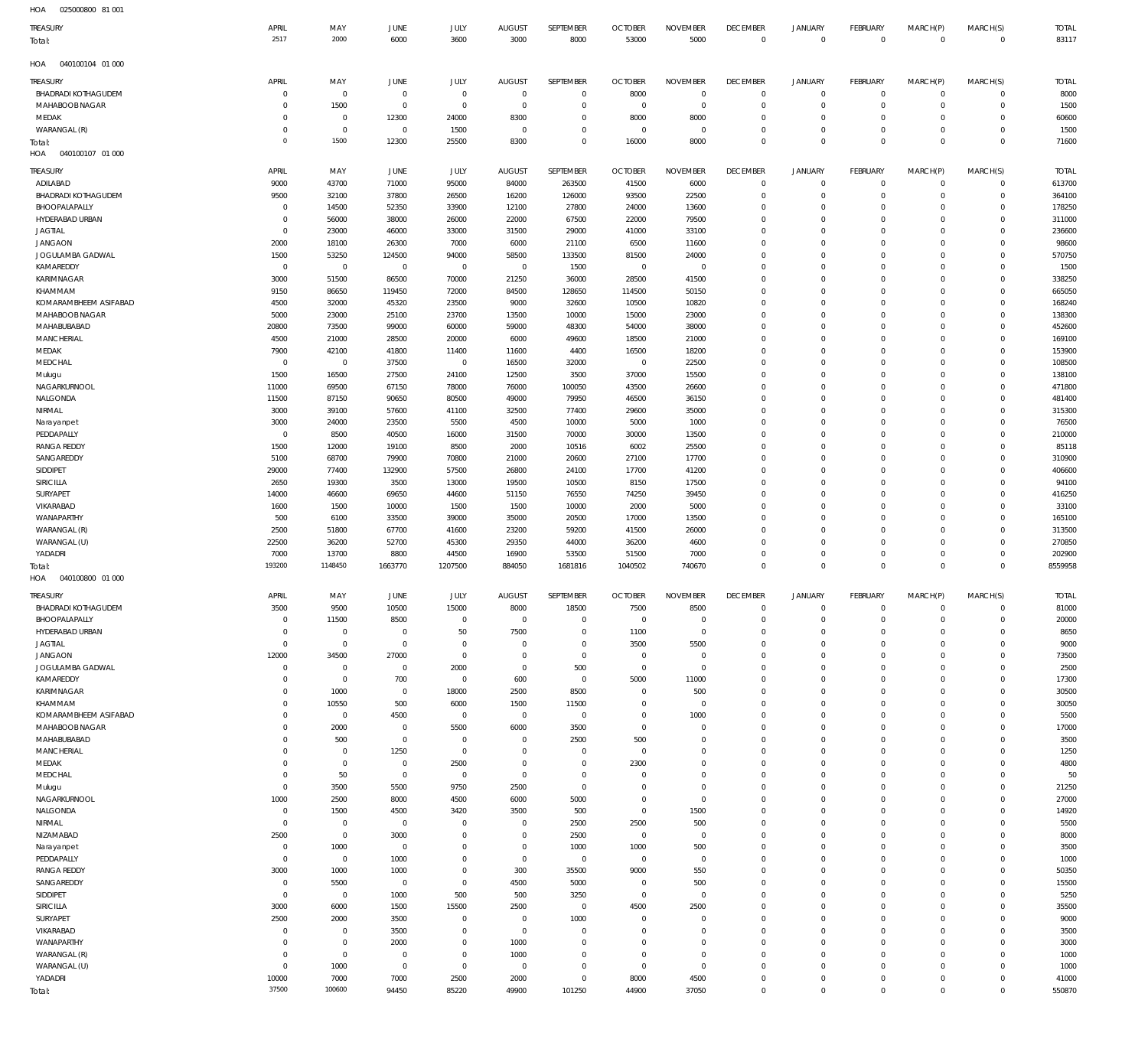| HOA<br>025000800 81 001           |                              |                     |                                  |                                    |                            |                            |                            |                             |                            |                                  |                            |                            |                                            |                   |
|-----------------------------------|------------------------------|---------------------|----------------------------------|------------------------------------|----------------------------|----------------------------|----------------------------|-----------------------------|----------------------------|----------------------------------|----------------------------|----------------------------|--------------------------------------------|-------------------|
| TREASURY                          | APRIL                        | MAY                 | JUNE                             | JULY                               | <b>AUGUST</b>              | SEPTEMBER                  | <b>OCTOBER</b>             | <b>NOVEMBER</b>             | <b>DECEMBER</b>            | JANUARY                          | FEBRUARY                   | MARCH(P)                   | MARCH(S)                                   | <b>TOTAL</b>      |
| Total:                            | 2517                         | 2000                | 6000                             | 3600                               | 3000                       | 8000                       | 53000                      | 5000                        | $\,0\,$                    | $\mathbf 0$                      | $\mathbf 0$                | $\mathbf 0$                | $\,0\,$                                    | 83117             |
|                                   |                              |                     |                                  |                                    |                            |                            |                            |                             |                            |                                  |                            |                            |                                            |                   |
| 040100104 01 000<br>HOA           |                              |                     |                                  |                                    |                            |                            |                            |                             |                            |                                  |                            |                            |                                            |                   |
| TREASURY                          | APRIL                        | MAY                 | JUNE                             | JULY                               | <b>AUGUST</b>              | SEPTEMBER                  | <b>OCTOBER</b>             | <b>NOVEMBER</b>             | <b>DECEMBER</b>            | JANUARY                          | FEBRUARY                   | MARCH(P)                   | MARCH(S)                                   | <b>TOTAL</b>      |
| <b>BHADRADI KOTHAGUDEM</b>        | $^{\circ}$                   | $\,0\,$             | $\overline{0}$                   | $\bf 0$                            | $\mathbf 0$                | $\,0\,$                    | 8000                       | $\mathbf 0$                 | $\,0\,$                    | $\overline{0}$                   | $\mathbf 0$                | $^{\circ}$                 | 0                                          | 8000              |
| MAHABOOB NAGAR                    | $\Omega$                     | 1500                | $\overline{0}$                   | $\mathsf{O}\xspace$                | $^{\circ}$                 | $\mathbb O$                | $\mathbf 0$                | $\mathbf 0$                 | $\mathbf 0$                | $\overline{0}$                   | $\mathbf 0$                | $\mathbf 0$                | $\mathsf{O}\xspace$                        | 1500              |
| MEDAK                             | $\Omega$                     | $\,0\,$             | 12300                            | 24000                              | 8300                       | $\mathbb O$                | 8000                       | 8000                        | $\mathbf 0$                | $\overline{0}$                   | $\mathbf 0$                | $\mathbf 0$                | $\mathsf{O}\xspace$                        | 60600             |
| WARANGAL (R)                      | $\mathbf 0$<br>$\mathbf 0$   | $\,0\,$<br>1500     | $\overline{0}$                   | 1500                               | $\mathbf 0$                | $\mathbb O$<br>$\mathbb O$ | $\overline{0}$             | $\mathbf 0$                 | $\mathbf 0$<br>$\mathbf 0$ | $\overline{0}$<br>$\overline{0}$ | $\mathbf 0$<br>$\mathbf 0$ | $\mathbf 0$<br>$\mathbf 0$ | $\mathsf{O}\xspace$<br>$\mathbb O$         | 1500              |
| rotal:<br>040100107 01 000<br>HOA |                              |                     | 12300                            | 25500                              | 8300                       |                            | 16000                      | 8000                        |                            |                                  |                            |                            |                                            | 71600             |
|                                   |                              |                     |                                  |                                    |                            |                            |                            |                             |                            |                                  |                            |                            |                                            |                   |
| TREASURY                          | APRIL                        | MAY                 | JUNE                             | JULY                               | <b>AUGUST</b>              | SEPTEMBER                  | <b>OCTOBER</b>             | <b>NOVEMBER</b>             | <b>DECEMBER</b>            | <b>JANUARY</b>                   | FEBRUARY                   | MARCH(P)                   | MARCH(S)                                   | <b>TOTAL</b>      |
| ADILABAD                          | 9000                         | 43700               | 71000                            | 95000                              | 84000                      | 263500                     | 41500                      | 6000                        | $\,0\,$                    | $\overline{0}$                   | $\mathbf 0$                | $\mathbf 0$                | $\mathbf 0$                                | 613700            |
| <b>BHADRADI KOTHAGUDEM</b>        | 9500                         | 32100               | 37800                            | 26500                              | 16200                      | 126000                     | 93500                      | 22500                       | $\,0\,$                    | $\overline{0}$<br>$\mathbf 0$    | $\mathbf 0$<br>$\Omega$    | $\mathbf 0$                | $\mathsf{O}\xspace$                        | 364100            |
| BHOOPALAPALLY<br>HYDERABAD URBAN  | $^{\circ}$<br>$\Omega$       | 14500<br>56000      | 52350<br>38000                   | 33900<br>26000                     | 12100<br>22000             | 27800<br>67500             | 24000<br>22000             | 13600<br>79500              | $\mathbf 0$<br>$\mathbf 0$ | $\mathbf 0$                      | $\Omega$                   | 0<br>$\Omega$              | $\circ$<br>$\mathbf 0$                     | 178250<br>311000  |
| <b>JAGTIAL</b>                    | $^{\circ}$                   | 23000               | 46000                            | 33000                              | 31500                      | 29000                      | 41000                      | 33100                       | $\mathbf 0$                | $\mathbf 0$                      | $\Omega$                   | $\Omega$                   | $\circ$                                    | 236600            |
| <b>JANGAON</b>                    | 2000                         | 18100               | 26300                            | 7000                               | 6000                       | 21100                      | 6500                       | 11600                       | $\mathbf 0$                | $\mathbf 0$                      | $\Omega$                   | $\mathbf 0$                | $\mathbf 0$                                | 98600             |
| JOGULAMBA GADWAL                  | 1500                         | 53250               | 124500                           | 94000                              | 58500                      | 133500                     | 81500                      | 24000                       | $\mathbf 0$                | $\mathbf 0$                      | $\Omega$                   | $\mathbf 0$                | $\circ$                                    | 570750            |
| KAMAREDDY                         | $\Omega$                     | $\mathbf 0$         | $\overline{0}$                   | $\bf 0$                            | $\mathbf 0$                | 1500                       | $\overline{0}$             | $^{\circ}$                  | $\mathbf 0$                | $\mathbf 0$                      | $\Omega$                   | $\Omega$                   | $\mathbf 0$                                | 1500              |
| KARIMNAGAR                        | 3000                         | 51500               | 86500                            | 70000                              | 21250                      | 36000                      | 28500                      | 41500                       | $\mathbf 0$                | $\mathbf 0$                      | $\Omega$                   | $\Omega$                   | $\circ$                                    | 338250            |
| KHAMMAM                           | 9150                         | 86650               | 119450                           | 72000                              | 84500                      | 128650                     | 114500                     | 50150                       | $\mathbf 0$                | $\mathbf 0$                      | $\Omega$                   | $\mathbf 0$                | $\mathbf 0$                                | 665050            |
| KOMARAMBHEEM ASIFABAD             | 4500                         | 32000               | 45320                            | 23500                              | 9000                       | 32600                      | 10500                      | 10820                       | $\mathbf 0$                | $\mathbf 0$                      | $\Omega$                   | $\mathbf 0$                | $\circ$                                    | 168240            |
| MAHABOOB NAGAR                    | 5000                         | 23000               | 25100                            | 23700                              | 13500                      | 10000                      | 15000                      | 23000                       | $\mathbf 0$                | $\mathbf 0$                      | $\Omega$                   | $\Omega$                   | $\mathbf 0$                                | 138300            |
| MAHABUBABAD                       | 20800                        | 73500               | 99000                            | 60000                              | 59000                      | 48300                      | 54000                      | 38000                       | $\mathbf 0$                | $\mathbf 0$                      | $\Omega$                   | $\Omega$                   | $\circ$                                    | 452600            |
| <b>MANCHERIAL</b>                 | 4500                         | 21000               | 28500                            | 20000                              | 6000                       | 49600                      | 18500                      | 21000                       | $\mathbf 0$                | $\mathbf 0$                      | $\Omega$                   | $\mathbf 0$                | $\mathbf 0$                                | 169100            |
| MEDAK                             | 7900                         | 42100               | 41800                            | 11400                              | 11600                      | 4400                       | 16500                      | 18200                       | $\mathbf 0$                | $\mathbf 0$                      | $\Omega$                   | $\mathbf 0$                | $\circ$                                    | 153900            |
| MEDCHAL                           | $\Omega$                     | $\mathbf 0$         | 37500                            | $\mathsf{O}\xspace$                | 16500                      | 32000                      | $\overline{0}$             | 22500                       | $\mathbf 0$                | $\mathbf 0$                      | $\Omega$                   | $\Omega$                   | $\mathbf 0$                                | 108500            |
| Mulugu<br>NAGARKURNOOL            | 1500<br>11000                | 16500<br>69500      | 27500<br>67150                   | 24100<br>78000                     | 12500<br>76000             | 3500<br>100050             | 37000<br>43500             | 15500<br>26600              | $\mathbf 0$<br>$\mathbf 0$ | $\mathbf 0$<br>$\mathbf 0$       | $\Omega$<br>$\Omega$       | $\mathbf 0$<br>$\mathbf 0$ | $\circ$<br>$\mathbf 0$                     | 138100<br>471800  |
| NALGONDA                          | 11500                        | 87150               | 90650                            | 80500                              | 49000                      | 79950                      | 46500                      | 36150                       | $\mathbf 0$                | $\mathbf 0$                      | $\Omega$                   | $\mathbf 0$                | $\circ$                                    | 481400            |
| NIRMAL                            | 3000                         | 39100               | 57600                            | 41100                              | 32500                      | 77400                      | 29600                      | 35000                       | $\mathbf 0$                | $\mathbf 0$                      | $\Omega$                   | $\mathbf 0$                | $\mathbf 0$                                | 315300            |
| Narayanpet                        | 3000                         | 24000               | 23500                            | 5500                               | 4500                       | 10000                      | 5000                       | 1000                        | $\mathbf 0$                | $\mathbf 0$                      | $\Omega$                   | $\mathbf 0$                | $\mathbf 0$                                | 76500             |
| PEDDAPALLY                        | $^{\circ}$                   | 8500                | 40500                            | 16000                              | 31500                      | 70000                      | 30000                      | 13500                       | $\mathbf 0$                | $\mathbf 0$                      | $\Omega$                   | $\Omega$                   | $\mathbf 0$                                | 210000            |
| <b>RANGA REDDY</b>                | 1500                         | 12000               | 19100                            | 8500                               | 2000                       | 10516                      | 6002                       | 25500                       | $\mathbf 0$                | $\mathbf 0$                      | $\Omega$                   | $\Omega$                   | $\circ$                                    | 85118             |
| SANGAREDDY                        | 5100                         | 68700               | 79900                            | 70800                              | 21000                      | 20600                      | 27100                      | 17700                       | $\mathbf 0$                | $\mathbf 0$                      | $\Omega$                   | $\mathbf 0$                | $\mathsf{O}\xspace$                        | 310900            |
| SIDDIPET                          | 29000                        | 77400               | 132900                           | 57500                              | 26800                      | 24100                      | 17700                      | 41200                       | $\mathbf 0$                | $\mathbf 0$                      | $\Omega$                   | $\mathbf 0$                | $\circ$                                    | 406600            |
| SIRICILLA                         | 2650                         | 19300               | 3500                             | 13000                              | 19500                      | 10500                      | 8150                       | 17500                       | $\mathbf 0$                | $\mathbf 0$                      | $\Omega$                   | $\Omega$                   | $\mathbf 0$                                | 94100             |
| SURYAPET                          | 14000                        | 46600               | 69650                            | 44600                              | 51150                      | 76550                      | 74250                      | 39450                       | $\mathbf 0$                | $\mathbf 0$                      | $\Omega$                   | $\mathbf 0$                | $\circ$                                    | 416250            |
| VIKARABAD                         | 1600                         | 1500                | 10000                            | 1500                               | 1500                       | 10000                      | 2000                       | 5000                        | $\mathbf 0$                | $\mathbf 0$                      | $\Omega$                   | $\mathbf 0$                | $\mathbf 0$                                | 33100             |
| WANAPARTHY                        | 500                          | 6100                | 33500                            | 39000                              | 35000                      | 20500                      | 17000                      | 13500                       | $\mathbf 0$                | $\mathbf 0$                      | $\Omega$                   | $\mathbf 0$                | $\mathbf 0$                                | 165100            |
| WARANGAL (R)                      | 2500                         | 51800               | 67700                            | 41600                              | 23200                      | 59200                      | 41500                      | 26000                       | $\mathbf 0$                | $\mathbf 0$                      | $\Omega$                   | $\Omega$                   | $\mathbf 0$                                | 313500            |
| WARANGAL (U)                      | 22500                        | 36200               | 52700                            | 45300                              | 29350                      | 44000                      | 36200                      | 4600                        | $\mathbf 0$<br>$\mathbf 0$ | $\mathbf 0$                      | $\Omega$                   | $\mathbf 0$                | 0                                          | 270850            |
| YADADRI                           | 7000<br>193200               | 13700<br>1148450    | 8800<br>1663770                  | 44500<br>1207500                   | 16900<br>884050            | 53500<br>1681816           | 51500<br>1040502           | 7000<br>740670              | $\mathbf 0$                | $\circ$<br>$\overline{0}$        | $\mathbf 0$<br>$\Omega$    | $\mathbf 0$<br>$\mathbf 0$ | $\mathsf{O}\xspace$<br>$\mathbf 0$         | 202900<br>8559958 |
| rotal:<br>HOA<br>040100800 01 000 |                              |                     |                                  |                                    |                            |                            |                            |                             |                            |                                  |                            |                            |                                            |                   |
|                                   |                              |                     |                                  |                                    |                            |                            |                            |                             |                            |                                  |                            |                            |                                            |                   |
| TREASURY                          | APRIL                        | MAY                 | JUNE                             | JULY                               | <b>AUGUST</b>              | SEPTEMBER                  | <b>OCTOBER</b>             | <b>NOVEMBER</b>             | <b>DECEMBER</b>            | JANUARY                          | FEBRUARY                   | MARCH(P)                   | MARCH(S)                                   | <b>TOTAL</b>      |
| <b>BHADRADI KOTHAGUDEM</b>        | 3500                         | 9500                | 10500                            | 15000                              | 8000                       | 18500                      | 7500                       | 8500                        | 0                          | $\mathbf 0$                      | 0                          | 0                          | $\mathsf{O}\xspace$                        | 81000             |
| BHOOPALAPALLY<br>HYDERABAD URBAN  | $^{\circ}$<br>$\mathbf{0}$   | 11500<br>$\,0\,$    | 8500<br>$\overline{0}$           | $\bf 0$<br>50                      | $\mathbb O$<br>7500        | $\,0\,$<br>$\,0\,$         | $\mathbf 0$<br>1100        | $^{\circ}$<br>$\mathbf 0$   | $\mathbf 0$<br>$\mathbf 0$ | $\mathbf 0$<br>$\overline{0}$    | $\mathbf 0$<br>$\mathbf 0$ | $\mathbf 0$<br>$\mathbf 0$ | $\mathsf{O}\xspace$<br>$\mathsf{O}\xspace$ | 20000<br>865C     |
| <b>JAGTIAL</b>                    | $\mathbf 0$                  | $\,0\,$             | $\mathbf 0$                      | $\mathbf 0$                        | $\mathbf 0$                | $\mathbf 0$                | 3500                       | 5500                        | $\mathbf 0$                | $\mathbf 0$                      | $\Omega$                   | $^{\circ}$                 | $\mathsf{O}\xspace$                        | 9000              |
| <b>JANGAON</b>                    | 12000                        | 34500               | 27000                            | $\mathbf 0$                        | $\mathbf 0$                | $\mathbf 0$                | $\mathbf 0$                | $\mathbf{0}$                | $\mathbf 0$                | $\mathbf 0$                      | $\Omega$                   | $^{\circ}$                 | $\mathsf{O}\xspace$                        | 73500             |
| JOGULAMBA GADWAL                  | $\mathbf{0}$                 | $\,0\,$             | $\overline{0}$                   | 2000                               | $\mathbf 0$                | 500                        | $\mathbf 0$                | $\mathbf 0$                 | $\mathbf 0$                | $\mathbf 0$                      | $\Omega$                   | $\mathbf 0$                | $\mathsf{O}\xspace$                        | 2500              |
| KAMAREDDY                         | $\mathbf{0}$                 | $\,0\,$             | 700                              | $\bf 0$                            | 600                        | $\,0\,$                    | 5000                       | 11000                       | $\bf 0$                    | $\mathbf 0$                      | $\Omega$                   | $^{\circ}$                 | $\mathsf{O}\xspace$                        | 17300             |
| KARIMNAGAR                        | $\mathbf{0}$                 | 1000                | $\overline{0}$                   | 18000                              | 2500                       | 8500                       | $\mathbf 0$                | 500                         | $\mathbf 0$                | $\mathbf 0$                      | $\Omega$                   | $^{\circ}$                 | $\mathbf 0$                                | 30500             |
| KHAMMAM                           | $\mathbf{0}$                 | 10550               | 500                              | 6000                               | 1500                       | 11500                      | $\mathbf 0$                | $\Omega$                    | $\mathbf 0$                | $\mathbf 0$                      | $\Omega$                   | $\mathbf 0$                | $\mathsf{O}\xspace$                        | 30050             |
| KOMARAMBHEEM ASIFABAD             | $\mathbf{0}$                 | $\,0\,$             | 4500                             | $\bf 0$                            | $\mathbb O$                | $\,0\,$                    | $\overline{0}$             | 1000                        | $\mathbf 0$                | $\mathbf 0$                      | $\Omega$                   | $\mathbf 0$                | $\mathsf{O}\xspace$                        | 5500              |
| MAHABOOB NAGAR                    | $\mathbf{0}$                 | 2000                | $\overline{0}$                   | 5500                               | 6000                       | 3500                       | $\Omega$                   | $^{\circ}$                  | $\bf 0$                    | $\mathbf 0$                      | $\Omega$                   | $^{\circ}$                 | $\mathsf{O}\xspace$                        | 17000             |
| MAHABUBABAD                       | $\Omega$                     | 500                 | $\mathbf 0$                      | $\mathbf 0$                        | $\mathbf 0$                | 2500                       | 500                        | $\mathbf{0}$                | $\mathbf 0$                | $\mathbf 0$                      | $\Omega$                   | $^{\circ}$                 | $\mathbf 0$                                | 3500              |
| MANCHERIAL                        | $\mathbf{0}$                 | $\,0\,$             | 1250                             | $\mathbf 0$                        | $\mathbf 0$                | $\,0\,$                    | $\overline{0}$             | $\mathbf 0$                 | $\mathbf 0$                | $\mathbf 0$                      | $\Omega$                   | $\mathbf 0$                | $\mathsf{O}\xspace$                        | 1250              |
| MEDAK                             | $\mathbf{0}$<br>$\mathbf{0}$ | $\,0\,$             | $\overline{0}$                   | 2500                               | $\mathbf 0$<br>$\mathbf 0$ | $\mathbf 0$                | 2300<br>$\Omega$           | $\mathbf{0}$                | $\mathbf 0$<br>$\mathbf 0$ | $\mathbf 0$<br>$\mathbf 0$       | $\Omega$<br>$\Omega$       | $^{\circ}$                 | $\mathsf{O}\xspace$                        | 480C              |
| MEDCHAL<br>Mulugu                 | $\mathbf 0$                  | 50<br>3500          | $\mathbf 0$<br>5500              | $\bf 0$<br>9750                    | 2500                       | $\mathbf 0$<br>$\mathbf 0$ | $\overline{0}$             | $\mathbf 0$<br>$\mathbf{0}$ | $\mathbf 0$                | $\mathbf 0$                      | $\Omega$                   | $^{\circ}$<br>$^{\circ}$   | $\mathsf{O}\xspace$<br>$\mathbf 0$         | 50<br>21250       |
| NAGARKURNOOL                      | 1000                         | 2500                | 8000                             | 4500                               | 6000                       | 5000                       | $\Omega$                   | $\mathbf 0$                 | $\mathbf 0$                | $\mathbf 0$                      | $\Omega$                   | $^{\circ}$                 | $\mathsf{O}\xspace$                        | 27000             |
| NALGONDA                          | $\mathbf{0}$                 | 1500                | 4500                             | 3420                               | 3500                       | 500                        | $\mathbf 0$                | 1500                        | $\mathbf 0$                | $\mathbf 0$                      | $\Omega$                   | $^{\circ}$                 | $\mathsf{O}\xspace$                        | 14920             |
| NIRMAL                            | $\mathbf{0}$                 | $\,0\,$             | $\overline{0}$                   | $\mathbf 0$                        | $\mathbf 0$                | 2500                       | 2500                       | 500                         | $\bf 0$                    | $\mathbf 0$                      | $\Omega$                   | $^{\circ}$                 | $\mathsf{O}\xspace$                        | 5500              |
| NIZAMABAD                         | 2500                         | $\,0\,$             | 3000                             | $\mathbf 0$                        | $\mathbf 0$                | 2500                       | $\mathbf 0$                | $\mathbf 0$                 | $\mathbf 0$                | $\mathbf 0$                      | $\Omega$                   | $^{\circ}$                 | $\mathbf 0$                                | 800C              |
| Narayanpet                        | $\mathbf 0$                  | 1000                | $\overline{0}$                   | $\mathbf 0$                        | $\mathbf 0$                | 1000                       | 1000                       | 500                         | $\mathbf 0$                | $\mathbf 0$                      | $\Omega$                   | $^{\circ}$                 | $\mathsf{O}\xspace$                        | 350C              |
| PEDDAPALLY                        | $\mathbf 0$                  | $\,0\,$             | 1000                             | $\mathbf 0$                        | $\mathbf 0$                | $\mathbb O$                | $\overline{0}$             | $\mathbb O$                 | $\mathbf 0$                | $\mathbf 0$                      | $\Omega$                   | $^{\circ}$                 | $\mathsf{O}\xspace$                        | 1000              |
| <b>RANGA REDDY</b>                | 3000                         | 1000                | 1000                             | $\mathbf 0$                        | 300                        | 35500                      | 9000                       | 550                         | $\mathbf 0$                | $\mathbf 0$                      | $\Omega$                   | $^{\circ}$                 | $\mathsf{O}\xspace$                        | 50350             |
| SANGAREDDY                        | $\mathbf 0$                  | 5500                | $\overline{0}$                   | $\mathbf 0$                        | 4500                       | 5000                       | $\mathbf 0$                | 500                         | $\mathbf 0$                | $\mathbf 0$                      | $\Omega$                   | $^{\circ}$                 | $\mathsf{O}\xspace$                        | 15500             |
| SIDDIPET                          | $\mathbf 0$                  | $\,0\,$             | 1000                             | 500                                | 500                        | 3250                       | $\overline{0}$             | $\Omega$                    | $\mathbf 0$                | $\mathbf 0$                      | $\Omega$                   | $^{\circ}$                 | $\mathsf{O}\xspace$                        | 5250              |
| SIRICILLA                         | 3000                         | 6000                | 1500                             | 15500                              | 2500                       | $\mathbb O$                | 4500                       | 2500                        | $\mathbf 0$                | $\mathbf 0$                      | $\Omega$                   | $^{\circ}$                 | $\mathsf{O}\xspace$                        | 35500             |
| SURYAPET                          | 2500                         | 2000                | 3500                             | $\mathbf 0$                        | $\mathbf 0$                | 1000                       | $^{\circ}$                 | $^{\circ}$                  | $\mathbf 0$                | $\mathbf 0$                      | $\Omega$                   | $^{\circ}$                 | $\mathsf{O}\xspace$                        | 9000              |
| VIKARABAD                         | $^{\circ}$                   | $\,0\,$             | 3500                             | $\mathbf 0$                        | $\mathbf 0$                | $\,0\,$                    | $\Omega$                   | $\mathbf 0$                 | $\mathbf 0$                | $\mathbf 0$                      | $\Omega$                   | $^{\circ}$                 | $\mathsf{O}\xspace$                        | 350C              |
| WANAPARTHY                        | $\mathbf 0$                  | $\mathbf 0$         | 2000                             | $\mathbf 0$                        | 1000                       | $\,0\,$                    | $\Omega$                   | $\mathbf 0$                 | $\mathbf 0$                | $\mathbf 0$                      | $\Omega$<br>$\Omega$       | $^{\circ}$                 | $\mathsf{O}\xspace$                        | 300C              |
| WARANGAL (R)<br>WARANGAL (U)      | $\mathbf 0$<br>$\mathbf 0$   | $\mathbf 0$<br>1000 | $\overline{0}$<br>$\overline{0}$ | $\mathbf 0$<br>$\mathsf{O}\xspace$ | 1000<br>$\mathbf 0$        | $\mathbf 0$<br>$\,0\,$     | $\Omega$<br>$\overline{0}$ | $\mathbf 0$<br>$\mathbf 0$  | $\mathbf 0$<br>$\mathbf 0$ | $\mathbf 0$<br>$\circ$           | $\mathbf 0$                | $\mathbf 0$<br>$\mathbf 0$ | $\mathsf{O}\xspace$<br>$\mathsf{O}\xspace$ | 1000<br>1000      |
| YADADRI                           | 10000                        | 7000                | 7000                             | 2500                               | 2000                       | $\mathbb O$                | 8000                       | 4500                        | $\mathbf 0$                | $\circ$                          | $\mathbf 0$                | 0                          | $\mathsf{O}\xspace$                        | 41000             |
| Total:                            | 37500                        | 100600              | 94450                            | 85220                              | 49900                      | 101250                     | 44900                      | 37050                       | $\,0\,$                    | $\overline{0}$                   | $\mathbf 0$                | $\mathbf 0$                | $\mathbb O$                                | 550870            |
|                                   |                              |                     |                                  |                                    |                            |                            |                            |                             |                            |                                  |                            |                            |                                            |                   |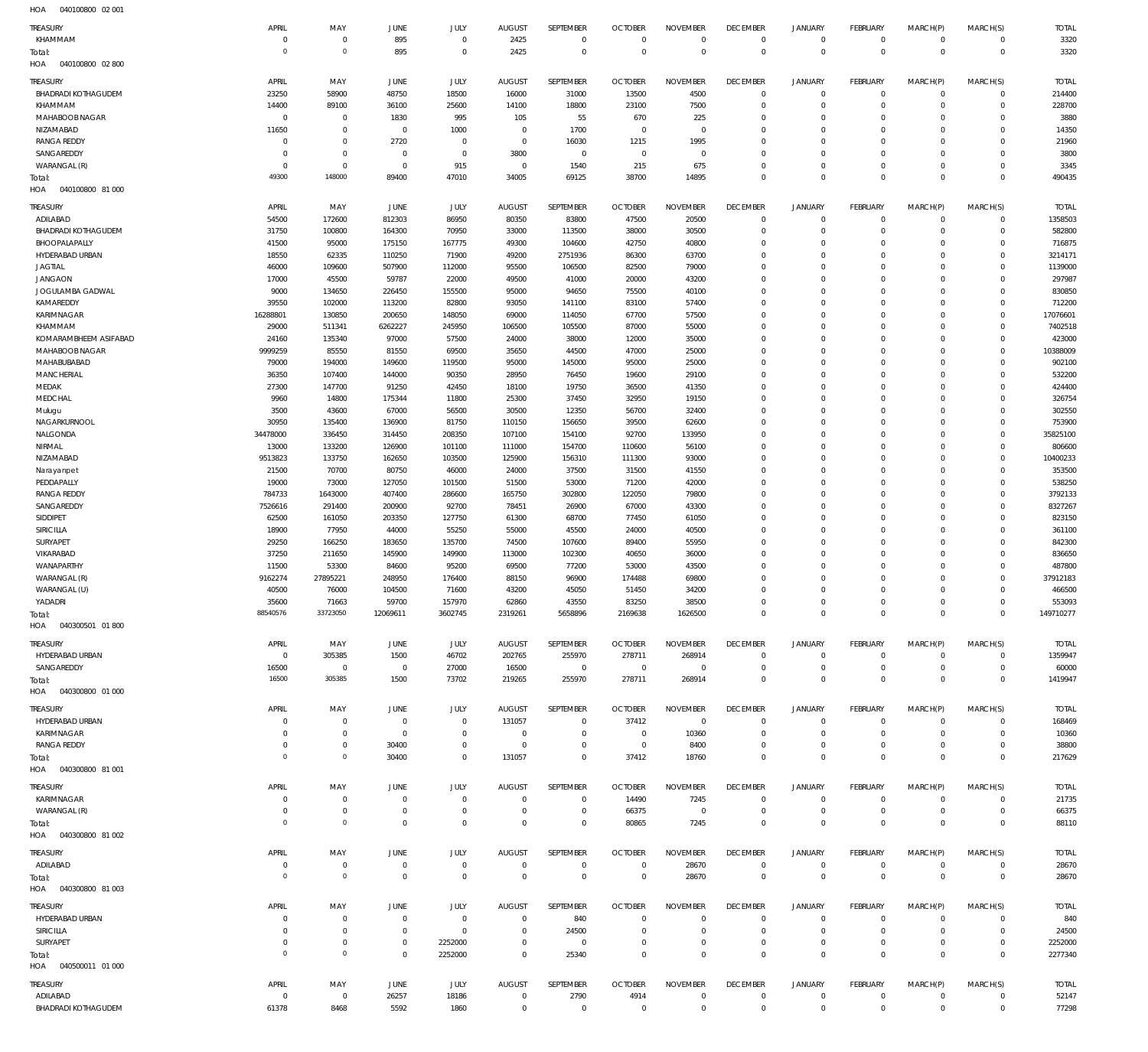040100800 02 001 HOA

| TREASURY<br>KHAMMAM               | APRIL<br>0          | MAY<br>$\mathbb O$         | <b>JUNE</b><br>895               | <b>JULY</b><br>$\mathbf 0$ | <b>AUGUST</b><br>2425       | SEPTEMBER<br>$\mathbb O$ | <b>OCTOBER</b><br>$\mathbf 0$     | <b>NOVEMBER</b><br>$\mathbf 0$ | <b>DECEMBER</b><br>$\overline{0}$ | <b>JANUARY</b><br>$\circ$        | FEBRUARY<br>$\overline{0}$   | MARCH(P)<br>$\mathbf 0$    | MARCH(S)<br>$\circ$          | <b>TOTAL</b><br>3320 |
|-----------------------------------|---------------------|----------------------------|----------------------------------|----------------------------|-----------------------------|--------------------------|-----------------------------------|--------------------------------|-----------------------------------|----------------------------------|------------------------------|----------------------------|------------------------------|----------------------|
| Total:                            | $\overline{0}$      | $\mathbf 0$                | 895                              | $\mathbf 0$                | 2425                        | $\mathbf 0$              | $\overline{0}$                    | $\mathbf 0$                    | $\overline{0}$                    | $\mathbf 0$                      | $\overline{0}$               | $\mathbf 0$                | $\overline{0}$               | 3320                 |
| HOA<br>040100800 02 800           |                     |                            |                                  |                            |                             |                          |                                   |                                |                                   |                                  |                              |                            |                              |                      |
| TREASURY                          | APRIL               | MAY                        | <b>JUNE</b>                      | JULY                       | <b>AUGUST</b>               | SEPTEMBER                | <b>OCTOBER</b>                    | <b>NOVEMBER</b>                | <b>DECEMBER</b>                   | <b>JANUARY</b>                   | FEBRUARY                     | MARCH(P)                   | MARCH(S)                     | <b>TOTAL</b>         |
| <b>BHADRADI KOTHAGUDEM</b>        | 23250               | 58900                      | 48750                            | 18500                      | 16000                       | 31000                    | 13500                             | 4500                           | $\mathbf 0$                       | $\overline{0}$                   | $\mathbf{0}$                 | $\mathbf 0$                | $\mathbf{0}$                 | 214400               |
| KHAMMAM                           | 14400               | 89100                      | 36100                            | 25600                      | 14100                       | 18800                    | 23100                             | 7500                           | $\mathbf 0$                       | $\mathbf 0$                      | $\mathbf{0}$                 | $\mathbf 0$                | $\mathbf{0}$                 | 228700               |
| MAHABOOB NAGAR                    | $\mathbf 0$         | $\mathbb O$                | 1830                             | 995                        | 105                         | 55                       | 670                               | 225                            | $\mathbf 0$                       | $\mathbf 0$                      | $\mathbf 0$                  | $\Omega$                   | $\mathbf 0$                  | 3880                 |
| NIZAMABAD<br><b>RANGA REDDY</b>   | 11650<br>$^{\circ}$ | $\mathbf 0$<br>$\mathbf 0$ | $\mathbf 0$<br>2720              | 1000<br>$^{\circ}$         | $\mathbf{0}$<br>$\mathbf 0$ | 1700<br>16030            | $\overline{0}$<br>1215            | $\mathbf 0$<br>1995            | $\mathbf 0$<br>$\mathbf 0$        | $\mathbf 0$<br>$\mathbf 0$       | $\Omega$<br>$\mathbf 0$      | $\Omega$<br>$\Omega$       | $\Omega$<br>$\mathbf 0$      | 14350<br>21960       |
| SANGAREDDY                        | $^{\circ}$          | $\mathbb O$                | $\mathbf 0$                      | $\mathbf 0$                | 3800                        | $\mathbf 0$              | $\overline{0}$                    | $\mathbf 0$                    | $\mathbf 0$                       | $\mathbf 0$                      | $\Omega$                     | $\Omega$                   | $\mathbf 0$                  | 3800                 |
| WARANGAL (R)                      | $^{\circ}$          | $\mathbf 0$                | $\overline{0}$                   | 915                        | $\mathbb O$                 | 1540                     | 215                               | 675                            | $\mathbf 0$                       | $\mathbf 0$                      | $\mathbf 0$                  | $\Omega$                   | $\mathbf{0}$                 | 3345                 |
| Total:                            | 49300               | 148000                     | 89400                            | 47010                      | 34005                       | 69125                    | 38700                             | 14895                          | $\mathbf 0$                       | $\mathbf 0$                      | $\Omega$                     | $\Omega$                   | $\mathbf 0$                  | 490435               |
| HOA<br>040100800 81 000           |                     |                            |                                  |                            |                             |                          |                                   |                                |                                   |                                  |                              |                            |                              |                      |
| TREASURY                          | APRIL               | MAY                        | JUNE                             | JULY                       | <b>AUGUST</b>               | SEPTEMBER                | <b>OCTOBER</b>                    | <b>NOVEMBER</b>                | <b>DECEMBER</b>                   | <b>JANUARY</b>                   | FEBRUARY                     | MARCH(P)                   | MARCH(S)                     | <b>TOTAL</b>         |
| ADILABAD                          | 54500               | 172600                     | 812303                           | 86950                      | 80350                       | 83800                    | 47500                             | 20500                          | $\overline{0}$                    | $\overline{0}$                   | $\circ$                      | $\mathbf 0$                | $\overline{0}$               | 1358503              |
| <b>BHADRADI KOTHAGUDEM</b>        | 31750               | 100800                     | 164300                           | 70950                      | 33000                       | 113500                   | 38000                             | 30500                          | $\mathbf 0$                       | $\mathbf 0$                      | $\overline{0}$               | $\mathbf 0$                | $\circ$                      | 582800               |
| BHOOPALAPALLY<br>HYDERABAD URBAN  | 41500<br>18550      | 95000<br>62335             | 175150<br>110250                 | 167775<br>71900            | 49300<br>49200              | 104600<br>2751936        | 42750<br>86300                    | 40800<br>63700                 | $\mathbf 0$<br>$\mathbf 0$        | $\mathbf 0$<br>$\mathbf 0$       | $\mathbf{0}$<br>$\mathbf{0}$ | $\mathbf 0$<br>$\mathbf 0$ | $\mathbf{0}$<br>$\mathbf{0}$ | 716875<br>3214171    |
| <b>JAGTIAL</b>                    | 46000               | 109600                     | 507900                           | 112000                     | 95500                       | 106500                   | 82500                             | 79000                          | $\mathbf 0$                       | $\mathbf 0$                      | $\mathbf 0$                  | $\Omega$                   | $\mathbf 0$                  | 1139000              |
| <b>JANGAON</b>                    | 17000               | 45500                      | 59787                            | 22000                      | 49500                       | 41000                    | 20000                             | 43200                          | $\mathbf 0$                       | $\mathbf 0$                      | $\mathbf{0}$                 | $\Omega$                   | $\mathbf{0}$                 | 297987               |
| JOGULAMBA GADWAL                  | 9000                | 134650                     | 226450                           | 155500                     | 95000                       | 94650                    | 75500                             | 40100                          | $\mathbf 0$                       | $\mathbf 0$                      | $\mathbf 0$                  | $\Omega$                   | $\mathbf{0}$                 | 830850               |
| KAMAREDDY                         | 39550               | 102000                     | 113200                           | 82800                      | 93050                       | 141100                   | 83100                             | 57400                          | $\mathbf 0$                       | $\mathbf 0$                      | $\mathbf 0$                  | $\Omega$                   | $\mathbf{0}$                 | 712200               |
| KARIMNAGAR<br>KHAMMAM             | 16288801<br>29000   | 130850<br>511341           | 200650                           | 148050<br>245950           | 69000<br>106500             | 114050<br>105500         | 67700<br>87000                    | 57500<br>55000                 | $\mathbf 0$<br>$\mathbf 0$        | $\mathbf 0$<br>$\mathbf 0$       | $\mathbf 0$<br>$\mathbf 0$   | $\circ$<br>$\Omega$        | $\mathbf{0}$<br>$\mathbf{0}$ | 17076601<br>7402518  |
| KOMARAMBHEEM ASIFABAD             | 24160               | 135340                     | 6262227<br>97000                 | 57500                      | 24000                       | 38000                    | 12000                             | 35000                          | $\mathbf 0$                       | $\mathbf 0$                      | $\mathbf{0}$                 | $\circ$                    | $\mathbf{0}$                 | 423000               |
| MAHABOOB NAGAR                    | 9999259             | 85550                      | 81550                            | 69500                      | 35650                       | 44500                    | 47000                             | 25000                          | $\mathbf 0$                       | $\mathbf 0$                      | $\mathbf 0$                  | $\Omega$                   | $\mathbf{0}$                 | 10388009             |
| MAHABUBABAD                       | 79000               | 194000                     | 149600                           | 119500                     | 95000                       | 145000                   | 95000                             | 25000                          | $\mathbf 0$                       | $\mathbf 0$                      | $\mathbf 0$                  | $\Omega$                   | $\mathbf{0}$                 | 902100               |
| MANCHERIAL                        | 36350               | 107400                     | 144000                           | 90350                      | 28950                       | 76450                    | 19600                             | 29100                          | $\mathbf 0$                       | $\mathbf 0$                      | $\mathbf 0$                  | $\Omega$                   | $\mathbf{0}$                 | 532200               |
| MEDAK                             | 27300               | 147700                     | 91250                            | 42450                      | 18100                       | 19750                    | 36500                             | 41350                          | $\mathbf 0$                       | $\mathbf 0$                      | $\mathbf 0$                  | $\Omega$                   | $\mathbf 0$                  | 424400               |
| MEDCHAL                           | 9960<br>3500        | 14800<br>43600             | 175344<br>67000                  | 11800<br>56500             | 25300<br>30500              | 37450<br>12350           | 32950<br>56700                    | 19150<br>32400                 | $\mathbf 0$<br>$\mathbf 0$        | $\mathbf 0$<br>$\mathbf 0$       | $\mathbf{0}$<br>$\mathbf 0$  | $\circ$<br>$\Omega$        | $\mathbf{0}$<br>$\mathbf{0}$ | 326754<br>302550     |
| Mulugu<br>NAGARKURNOOL            | 30950               | 135400                     | 136900                           | 81750                      | 110150                      | 156650                   | 39500                             | 62600                          | $\mathbf 0$                       | $\mathbf 0$                      | $\mathbf{0}$                 | $\Omega$                   | $\mathbf{0}$                 | 753900               |
| NALGONDA                          | 34478000            | 336450                     | 314450                           | 208350                     | 107100                      | 154100                   | 92700                             | 133950                         | $\mathbf 0$                       | $\mathbf 0$                      | $\mathbf 0$                  | $\Omega$                   | $\mathbf{0}$                 | 35825100             |
| NIRMAL                            | 13000               | 133200                     | 126900                           | 101100                     | 111000                      | 154700                   | 110600                            | 56100                          | $\mathbf 0$                       | $\mathbf 0$                      | $\mathbf 0$                  | $\Omega$                   | $\mathbf{0}$                 | 806600               |
| NIZAMABAD                         | 9513823             | 133750                     | 162650                           | 103500                     | 125900                      | 156310                   | 111300                            | 93000                          | $\mathbf 0$                       | $\mathbf 0$                      | $\mathbf 0$                  | $\circ$                    | $\circ$                      | 10400233             |
| Narayanpet                        | 21500               | 70700                      | 80750                            | 46000                      | 24000                       | 37500                    | 31500                             | 41550                          | $\mathbf 0$                       | $\mathbf 0$                      | $\mathbf 0$                  | $\Omega$                   | $\mathbf{0}$                 | 353500               |
| PEDDAPALLY<br><b>RANGA REDDY</b>  | 19000<br>784733     | 73000<br>1643000           | 127050<br>407400                 | 101500<br>286600           | 51500<br>165750             | 53000<br>302800          | 71200<br>122050                   | 42000<br>79800                 | $\mathbf 0$<br>$\mathbf 0$        | $\mathbf 0$<br>$\mathbf 0$       | $\mathbf{0}$<br>$\mathbf 0$  | $\circ$<br>$\Omega$        | $\mathbf{0}$<br>$\mathbf 0$  | 538250<br>3792133    |
| SANGAREDDY                        | 7526616             | 291400                     | 200900                           | 92700                      | 78451                       | 26900                    | 67000                             | 43300                          | $\mathbf 0$                       | $\mathbf 0$                      | $\mathbf 0$                  | $\Omega$                   | $\mathbf{0}$                 | 8327267              |
| SIDDIPET                          | 62500               | 161050                     | 203350                           | 127750                     | 61300                       | 68700                    | 77450                             | 61050                          | $\mathbf 0$                       | $\mathbf 0$                      | $\mathbf 0$                  | $\Omega$                   | $\mathbf{0}$                 | 823150               |
| SIRICILLA                         | 18900               | 77950                      | 44000                            | 55250                      | 55000                       | 45500                    | 24000                             | 40500                          | $\mathbf 0$                       | $\mathbf 0$                      | $\mathbf 0$                  | $\Omega$                   | $\mathbf 0$                  | 361100               |
| SURYAPET                          | 29250               | 166250                     | 183650                           | 135700                     | 74500                       | 107600                   | 89400                             | 55950                          | $\mathbf 0$                       | $\mathbf 0$                      | $\mathbf{0}$                 | $\circ$                    | $\mathbf{0}$                 | 842300               |
| VIKARABAD                         | 37250               | 211650                     | 145900                           | 149900                     | 113000                      | 102300                   | 40650                             | 36000                          | $\mathbf 0$<br>$\mathbf 0$        | $\mathbf 0$<br>$\mathbf 0$       | $\mathbf 0$<br>$\mathbf{0}$  | $\Omega$<br>$\circ$        | $\mathbf{0}$<br>$\mathbf{0}$ | 836650<br>487800     |
| WANAPARTHY<br>WARANGAL (R)        | 11500<br>9162274    | 53300<br>27895221          | 84600<br>248950                  | 95200<br>176400            | 69500<br>88150              | 77200<br>96900           | 53000<br>174488                   | 43500<br>69800                 | $\mathbf 0$                       | $\mathbf 0$                      | $\mathbf 0$                  | $\circ$                    | $\mathbf{0}$                 | 37912183             |
| WARANGAL (U)                      | 40500               | 76000                      | 104500                           | 71600                      | 43200                       | 45050                    | 51450                             | 34200                          | $\mathbf 0$                       | $\mathbf 0$                      | $\mathbf{0}$                 | $\Omega$                   | $\mathbf{0}$                 | 466500               |
| YADADRI                           | 35600               | 71663                      | 59700                            | 157970                     | 62860                       | 43550                    | 83250                             | 38500                          | $\mathbf 0$                       | $\mathbf 0$                      | $\circ$                      | $\mathbf 0$                | $\circ$                      | 553093               |
| Total:                            | 88540576            | 33723050                   | 12069611                         | 3602745                    | 2319261                     | 5658896                  | 2169638                           | 1626500                        | 0                                 | $\bf 0$                          | $\overline{0}$               | $\mathbf 0$                | $\overline{0}$               | 149710277            |
| HOA<br>040300501 01800            |                     |                            |                                  |                            |                             |                          |                                   |                                |                                   |                                  |                              |                            |                              |                      |
| TREASURY                          | APRIL               | MAY                        | JUNE                             | JULY                       | <b>AUGUST</b>               | SEPTEMBER                | <b>OCTOBER</b>                    | <b>NOVEMBER</b>                | <b>DECEMBER</b>                   | <b>JANUARY</b>                   | FEBRUARY                     | MARCH(P)                   | MARCH(S)                     | <b>TOTAL</b>         |
| HYDERABAD URBAN                   | $\mathbf 0$         | 305385                     | 1500                             | 46702                      | 202765                      | 255970                   | 278711                            | 268914                         | $\mathbf{0}$                      | $\mathbf 0$                      | $\mathbf{0}$                 | $\mathbf 0$                | $\mathbf{0}$                 | 1359947              |
| SANGAREDDY                        | 16500               | $\mathbf 0$                | $\overline{0}$                   | 27000                      | 16500                       | $\overline{0}$           | $\overline{0}$                    | $\mathbf 0$                    | $\mathbf 0$                       | $\overline{0}$                   | $\circ$                      | $\mathbf 0$                | $\circ$                      | 60000                |
| Total:<br>HOA<br>040300800 01 000 | 16500               | 305385                     | 1500                             | 73702                      | 219265                      | 255970                   | 278711                            | 268914                         | $\mathbf{0}$                      | $\mathbf 0$                      | $\overline{0}$               | $\mathbf 0$                | $\overline{0}$               | 1419947              |
|                                   |                     |                            |                                  |                            |                             |                          |                                   |                                |                                   |                                  |                              |                            |                              |                      |
| TREASURY                          | APRIL               | MAY                        | <b>JUNE</b>                      | JULY                       | <b>AUGUST</b>               | SEPTEMBER                | <b>OCTOBER</b>                    | <b>NOVEMBER</b>                | <b>DECEMBER</b>                   | <b>JANUARY</b>                   | FEBRUARY                     | MARCH(P)<br>$\mathbf 0$    | MARCH(S)                     | <b>TOTAL</b>         |
| HYDERABAD URBAN<br>KARIMNAGAR     | $^{\circ}$<br>0     | $\mathbf 0$<br>$\mathbf 0$ | $\overline{0}$<br>$\overline{0}$ | $\mathbb O$<br>$\mathbb O$ | 131057<br>$\mathbf 0$       | 0<br>0                   | 37412<br>$\overline{\phantom{0}}$ | $\mathbf 0$<br>10360           | $\mathbf 0$<br>0                  | $\overline{0}$<br>$\overline{0}$ | $\circ$<br>$\overline{0}$    | $\circ$                    | $\circ$<br>$\circ$           | 168469<br>10360      |
| <b>RANGA REDDY</b>                | 0                   | $\mathbf 0$                | 30400                            | $\mathbb O$                | $\mathbf 0$                 | $\mathbb O$              | $\overline{0}$                    | 8400                           | 0                                 | $\mathbf 0$                      | $\circ$                      | 0                          | $\circ$                      | 38800                |
| Total:                            | $\circ$             | $\mathbb O$                | 30400                            | $\mathbf 0$                | 131057                      | $\mathbf 0$              | 37412                             | 18760                          | $\mathbf{0}$                      | $\mathbf 0$                      | $\overline{0}$               | $\mathbf 0$                | $\overline{0}$               | 217629               |
| HOA<br>040300800 81 001           |                     |                            |                                  |                            |                             |                          |                                   |                                |                                   |                                  |                              |                            |                              |                      |
| TREASURY                          | APRIL               | MAY                        | <b>JUNE</b>                      | JULY                       | <b>AUGUST</b>               | SEPTEMBER                | <b>OCTOBER</b>                    | <b>NOVEMBER</b>                | <b>DECEMBER</b>                   | <b>JANUARY</b>                   | FEBRUARY                     | MARCH(P)                   | MARCH(S)                     | <b>TOTAL</b>         |
| KARIMNAGAR                        | 0                   | 0                          | $\mathbf 0$                      | $\mathbf 0$                | $\mathbf 0$                 | $\mathbf 0$              | 14490                             | 7245                           | $\mathbf 0$                       | $\mathbf 0$                      | $\mathbf{0}$                 | $\mathbf 0$                | $\mathbf{0}$                 | 21735                |
| WARANGAL (R)                      | 0                   | $\mathbf 0$                | $\overline{0}$                   | $\mathbf 0$                | $\mathbf 0$                 | 0                        | 66375                             | $\mathbf 0$                    | 0                                 | $\overline{0}$                   | $\circ$                      | $\mathbf 0$                | $\circ$                      | 66375                |
| Total:                            | $\circ$             | $\mathbf 0$                | $\mathbf 0$                      | $\mathbf 0$                | $\mathbf 0$                 | $\mathbf 0$              | 80865                             | 7245                           | $\mathbf 0$                       | $\mathbf 0$                      | $\overline{0}$               | $\mathbf 0$                | $\overline{0}$               | 88110                |
| HOA<br>040300800 81 002           |                     |                            |                                  |                            |                             |                          |                                   |                                |                                   |                                  |                              |                            |                              |                      |
| TREASURY                          | APRIL               | MAY                        | <b>JUNE</b>                      | <b>JULY</b>                | <b>AUGUST</b>               | SEPTEMBER                | <b>OCTOBER</b>                    | <b>NOVEMBER</b>                | <b>DECEMBER</b>                   | <b>JANUARY</b>                   | FEBRUARY                     | MARCH(P)                   | MARCH(S)                     | <b>TOTAL</b>         |
| ADILABAD                          | 0                   | $\mathbf 0$                | $\overline{0}$                   | $\mathbb O$                | $\mathbf 0$                 | $\bf 0$                  | $\overline{0}$                    | 28670                          | $\overline{0}$                    | $\overline{0}$                   | $\circ$                      | $\mathbf 0$                | $\overline{0}$               | 28670                |
| Total:<br>040300800 81 003<br>HOA | $\overline{0}$      | $\mathbb O$                | $\overline{0}$                   | $\mathbb O$                | $\mathbf 0$                 | $\mathbf 0$              | $\overline{0}$                    | 28670                          | $\overline{0}$                    | $\mathbf 0$                      | $\overline{0}$               | $\mathbf 0$                | $\overline{0}$               | 28670                |
|                                   |                     |                            |                                  |                            |                             |                          |                                   |                                |                                   |                                  |                              |                            |                              |                      |
| TREASURY                          | APRIL               | MAY                        | <b>JUNE</b>                      | <b>JULY</b>                | <b>AUGUST</b>               | SEPTEMBER                | <b>OCTOBER</b>                    | <b>NOVEMBER</b>                | <b>DECEMBER</b>                   | <b>JANUARY</b>                   | FEBRUARY                     | MARCH(P)                   | MARCH(S)                     | <b>TOTAL</b>         |
| HYDERABAD URBAN<br>SIRICILLA      | 0<br>0              | $\mathbf 0$<br>$\mathbb O$ | $\mathbf 0$<br>$\mathbf 0$       | $\mathbf 0$<br>$\mathbf 0$ | $\mathbf 0$<br>$\mathbf{0}$ | 840<br>24500             | $\mathbf 0$<br>$\mathbf 0$        | $\mathbf 0$<br>$\Omega$        | 0<br>$\mathbf 0$                  | 0<br>$\mathbf 0$                 | $\mathbf 0$<br>$\mathbf{0}$  | $\circ$<br>$\circ$         | $\mathbf{0}$<br>$\mathbf{0}$ | 840<br>24500         |
| SURYAPET                          | 0                   | $\mathbf 0$                | $\mathbf 0$                      | 2252000                    | $\mathbf{0}$                | $\mathbf 0$              | $\mathbf 0$                       | $\mathbf 0$                    | $\mathbf 0$                       | $\mathbf 0$                      | $\mathbf{0}$                 | $\mathbf 0$                | $\circ$                      | 2252000              |
| Total:                            | $\circ$             | $\mathbf 0$                | $\mathbf 0$                      | 2252000                    | $\mathbf 0$                 | 25340                    | $\mathbf 0$                       | $\mathbf 0$                    | $\mathbf 0$                       | $\mathbf 0$                      | $\overline{0}$               | $\mathbf 0$                | $\overline{0}$               | 2277340              |
| HOA  040500011  01  000           |                     |                            |                                  |                            |                             |                          |                                   |                                |                                   |                                  |                              |                            |                              |                      |
| TREASURY                          | APRIL               | MAY                        | <b>JUNE</b>                      | JULY                       | <b>AUGUST</b>               | SEPTEMBER                | <b>OCTOBER</b>                    | <b>NOVEMBER</b>                | <b>DECEMBER</b>                   | <b>JANUARY</b>                   | FEBRUARY                     | MARCH(P)                   | MARCH(S)                     | <b>TOTAL</b>         |
| ADILABAD                          | $\mathbf 0$         | $\overline{0}$             | 26257                            | 18186                      | $\mathbf 0$                 | 2790                     | 4914                              | 0                              | $\mathbf 0$                       | $\mathbf 0$                      | $\circ$                      | 0                          | $\overline{0}$               | 52147                |
| BHADRADI KOTHAGUDEM               | 61378               | 8468                       | 5592                             | 1860                       | $\mathbb O$                 | $\mathbb O$              | $\overline{0}$                    | $\mathsf{O}\xspace$            | $\mathbf 0$                       | $\mathbf 0$                      | $\circ$                      | $\mathbf 0$                | $\overline{0}$               | 77298                |
|                                   |                     |                            |                                  |                            |                             |                          |                                   |                                |                                   |                                  |                              |                            |                              |                      |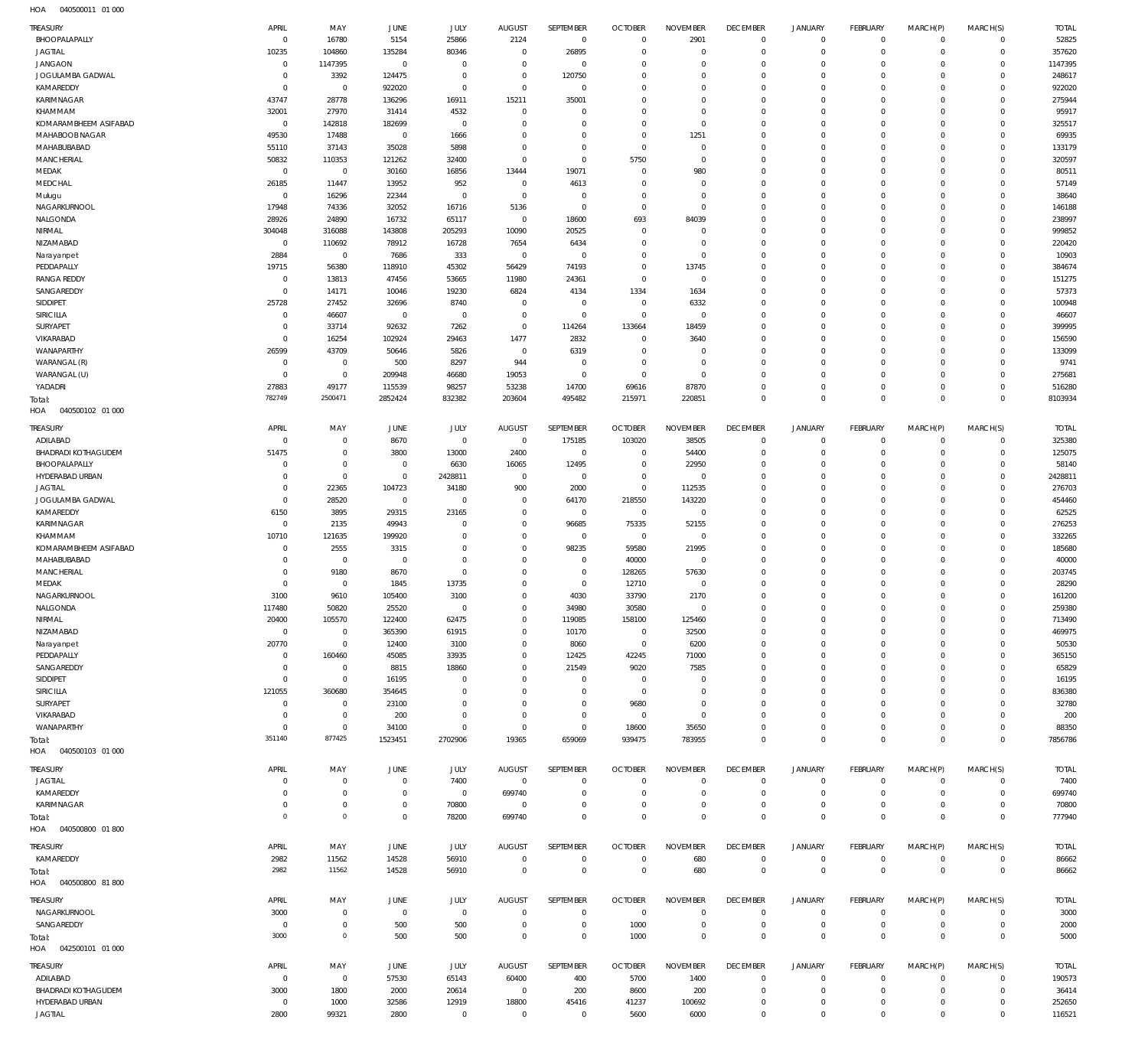| <b>TREASURY</b><br>BHOOPALAPALLY              | APRIL<br>$\overline{0}$          | MAY<br>16780               | JUNE<br>5154             | JULY<br>25866                | <b>AUGUST</b><br>2124            | SEPTEMBER<br>$\,0\,$       | <b>OCTOBER</b><br>$\mathbf 0$ | <b>NOVEMBER</b><br>2901 | <b>DECEMBER</b><br>$^{\circ}$ | <b>JANUARY</b><br>$\circ$ | <b>FEBRUARY</b><br>$\mathbf 0$ | MARCH(P)<br>$\mathbf 0$ | MARCH(S)<br>$\circ$        | <b>TOTAL</b><br>52825 |
|-----------------------------------------------|----------------------------------|----------------------------|--------------------------|------------------------------|----------------------------------|----------------------------|-------------------------------|-------------------------|-------------------------------|---------------------------|--------------------------------|-------------------------|----------------------------|-----------------------|
| <b>JAGTIAL</b>                                | 10235                            | 104860                     | 135284                   | 80346                        | $\mathbf{0}$                     | 26895                      | $\mathbf 0$                   | $\Omega$                | $\Omega$                      | $\Omega$                  | $\mathbf 0$                    | $^{\circ}$              | $\mathbf 0$                | 357620                |
| <b>JANGAON</b>                                | $\overline{0}$                   | 1147395                    | $\overline{0}$           | $\mathbf 0$                  | $\overline{0}$                   | $\overline{0}$             | $\mathbf 0$                   | $\Omega$                | $\Omega$                      | $\Omega$                  | $\mathbf 0$                    | $\Omega$                | $\mathbf 0$                | 1147395               |
| JOGULAMBA GADWAL<br>KAMAREDDY                 | $\overline{0}$<br>$\overline{0}$ | 3392<br>$\overline{0}$     | 124475<br>922020         | $\mathbf{0}$<br>$\mathbf{0}$ | $\overline{0}$<br>$\overline{0}$ | 120750<br>$\mathbf 0$      | $\overline{0}$<br>$\mathbf 0$ | $\Omega$<br>$\Omega$    | $\Omega$<br>$\Omega$          | $\Omega$<br>$\Omega$      | $\mathbf 0$<br>$\mathbf 0$     | $\Omega$<br>$\Omega$    | $\mathbf 0$<br>$\circ$     | 248617<br>922020      |
| KARIMNAGAR                                    | 43747                            | 28778                      | 136296                   | 16911                        | 15211                            | 35001                      | $\overline{0}$                | $\Omega$                | $\Omega$                      | $\Omega$                  | $\mathbf 0$                    | $\Omega$                | $\mathbf 0$                | 275944                |
| KHAMMAM                                       | 32001                            | 27970                      | 31414                    | 4532                         | $\mathbf 0$                      | $\Omega$                   | $\mathbf 0$                   | $\Omega$                | $\Omega$                      | $\Omega$                  | $\mathbf 0$                    | $\Omega$                | $\Omega$                   | 95917                 |
| KOMARAMBHEEM ASIFABAD                         | $\overline{0}$                   | 142818                     | 182699                   | $\mathbf 0$                  | $\mathbf 0$                      | $\Omega$                   | $\mathbf 0$                   | $\Omega$                | $\Omega$                      | $\Omega$                  | $\mathbf 0$                    | $\Omega$                | $\mathbf 0$                | 325517                |
| MAHABOOB NAGAR                                | 49530                            | 17488                      | $\overline{0}$           | 1666                         | $\mathbf 0$                      | $\Omega$                   | $\mathbb O$                   | 1251                    | $\Omega$                      | $\Omega$                  | $\mathbf 0$                    | $\Omega$                | $\Omega$                   | 69935                 |
| MAHABUBABAD                                   | 55110                            | 37143                      | 35028                    | 5898                         | $\mathbf 0$<br>$\Omega$          | $\mathbf 0$                | $\mathbf 0$                   | $^{\circ}$              | $\Omega$<br>$\Omega$          | $\Omega$                  | $\mathbf 0$                    | $\Omega$                | $\mathbf 0$                | 133179                |
| MANCHERIAL<br>MEDAK                           | 50832<br>$\overline{0}$          | 110353<br>$\overline{0}$   | 121262<br>30160          | 32400<br>16856               | 13444                            | $\mathbf 0$<br>19071       | 5750<br>$\mathbf 0$           | $\Omega$<br>980         | $\Omega$                      | $\Omega$<br>$\Omega$      | $\mathbf 0$<br>$\circ$         | $\Omega$<br>$\Omega$    | $\mathbf 0$<br>$\Omega$    | 320597<br>80511       |
| MEDCHAL                                       | 26185                            | 11447                      | 13952                    | 952                          | $\overline{0}$                   | 4613                       | $\mathbf 0$                   | $\Omega$                | $\Omega$                      | $\Omega$                  | $\mathbf 0$                    | -C                      | $\mathbf 0$                | 57149                 |
| Mulugu                                        | $\overline{0}$                   | 16296                      | 22344                    | $^{\circ}$                   | $\overline{0}$                   | $\mathbf 0$                | $\mathbf 0$                   | $\Omega$                | $\Omega$                      | $\Omega$                  | $\circ$                        | $\Omega$                | $\Omega$                   | 38640                 |
| NAGARKURNOOL                                  | 17948                            | 74336                      | 32052                    | 16716                        | 5136                             | $\mathbf 0$                | $\mathbf 0$                   | $\Omega$                | $\Omega$                      | $\Omega$                  | $\mathbf 0$                    | $\Omega$                | $\mathbf 0$                | 146188                |
| NALGONDA                                      | 28926                            | 24890                      | 16732                    | 65117                        | $\overline{0}$                   | 18600                      | 693                           | 84039                   | $\Omega$                      | $\Omega$                  | $\Omega$                       | $\Omega$                | $\Omega$                   | 238997                |
| NIRMAL                                        | 304048                           | 316088                     | 143808                   | 205293                       | 10090                            | 20525                      | $\mathbf 0$                   | $\Omega$                | $\Omega$                      | $\Omega$                  | $\mathbf 0$                    | $\Omega$                | $\mathbf 0$                | 999852                |
| NIZAMABAD<br>Narayanpet                       | $\overline{0}$<br>2884           | 110692<br>$\overline{0}$   | 78912<br>7686            | 16728<br>333                 | 7654<br>$\overline{0}$           | 6434<br>$\overline{0}$     | $\mathbf 0$<br>$\mathbf 0$    | $\Omega$<br>$\Omega$    | $\Omega$<br>$\Omega$          | $\Omega$<br>$\Omega$      | $\mathbf 0$<br>$\mathbf 0$     | $\Omega$<br>$\Omega$    | $\Omega$<br>$\Omega$       | 220420<br>10903       |
| PEDDAPALLY                                    | 19715                            | 56380                      | 118910                   | 45302                        | 56429                            | 74193                      | $\mathbb O$                   | 13745                   | $\Omega$                      | $\Omega$                  | $\mathbf 0$                    | $\Omega$                | $\mathbf 0$                | 384674                |
| <b>RANGA REDDY</b>                            | $\overline{0}$                   | 13813                      | 47456                    | 53665                        | 11980                            | 24361                      | $\mathbf 0$                   | $\Omega$                | $\mathbf{0}$                  | $\Omega$                  | $\mathbf 0$                    | $\Omega$                | $\Omega$                   | 151275                |
| SANGAREDDY                                    | $\overline{0}$                   | 14171                      | 10046                    | 19230                        | 6824                             | 4134                       | 1334                          | 1634                    | $\Omega$                      | $\Omega$                  | $\mathbf 0$                    | $\Omega$                | $\mathbf 0$                | 57373                 |
| SIDDIPET                                      | 25728                            | 27452                      | 32696                    | 8740                         | $\mathbf 0$                      | $\overline{0}$             | $\overline{0}$                | 6332                    | $\mathbf{0}$                  | $\Omega$                  | $\mathbf 0$                    | $\Omega$                | $\Omega$                   | 100948                |
| SIRICILLA                                     | $\overline{0}$                   | 46607                      | $\overline{0}$           | $\mathbf 0$                  | $\overline{0}$                   | $\mathbf 0$                | $\overline{0}$                | $^{\circ}$              | $\Omega$                      | $\Omega$                  | $\mathbf 0$                    | $\Omega$                | $\mathbf 0$                | 46607                 |
| SURYAPET                                      | $\overline{0}$                   | 33714                      | 92632                    | 7262                         | $\overline{0}$                   | 114264                     | 133664                        | 18459                   | $\Omega$                      | $\Omega$                  | $\mathbf 0$                    | $\Omega$                | $\Omega$                   | 399995                |
| VIKARABAD<br><b>WANAPARTHY</b>                | $\overline{0}$<br>26599          | 16254<br>43709             | 102924<br>50646          | 29463<br>5826                | 1477<br>$\mathbf 0$              | 2832<br>6319               | $\mathbf 0$<br>$\mathbf 0$    | 3640<br>$\Omega$        | $\Omega$<br>$\Omega$          | $\Omega$<br>$\Omega$      | $\mathbf 0$<br>$\mathbf 0$     | $\Omega$<br>$\Omega$    | $\mathbf 0$<br>$\mathbf 0$ | 156590<br>133099      |
| WARANGAL (R)                                  | $\overline{0}$                   | $\overline{0}$             | 500                      | 8297                         | 944                              | $\mathbf 0$                | $\mathbf 0$                   | $\Omega$                | $\Omega$                      | $\Omega$                  | $\circ$                        | $\Omega$                | $\circ$                    | 9741                  |
| WARANGAL (U)                                  | $\overline{0}$                   | $\mathbf 0$                | 209948                   | 46680                        | 19053                            | $\mathbf 0$                | $\mathbf 0$                   | $^{\circ}$              | $\Omega$                      | $\Omega$                  | $\mathbf 0$                    | $\Omega$                | $\mathbf 0$                | 275681                |
| YADADRI                                       | 27883                            | 49177                      | 115539                   | 98257                        | 53238                            | 14700                      | 69616                         | 87870                   | $\Omega$                      | $\Omega$                  | $\mathbf 0$                    | $\mathbf 0$             | $\mathbf 0$                | 516280                |
| Total:<br>HOA<br>040500102 01 000             | 782749                           | 2500471                    | 2852424                  | 832382                       | 203604                           | 495482                     | 215971                        | 220851                  | $\mathbf 0$                   | $\Omega$                  | $\mathbb O$                    | $\Omega$                | $\mathbb O$                | 8103934               |
| TREASURY                                      | <b>APRIL</b>                     | MAY                        | <b>JUNE</b>              | JULY                         | <b>AUGUST</b>                    | SEPTEMBER                  | <b>OCTOBER</b>                | <b>NOVEMBER</b>         | <b>DECEMBER</b>               | <b>JANUARY</b>            | <b>FEBRUARY</b>                | MARCH(P)                | MARCH(S)                   | <b>TOTAL</b>          |
| ADILABAD                                      | $\overline{0}$                   | $\mathbf 0$                | 8670                     | $\mathbf 0$                  | $\overline{0}$                   | 175185                     | 103020                        | 38505                   | $\Omega$                      | $^{\circ}$                | $\mathbf 0$                    | $\Omega$                | 0                          | 325380                |
| <b>BHADRADI KOTHAGUDEM</b>                    | 51475                            | $\mathbf 0$                | 3800                     | 13000                        | 2400                             | $\,0\,$                    | $^{\circ}$                    | 54400                   | $\Omega$                      | $\Omega$                  | $\mathbf 0$                    | $\Omega$                | $\mathbf 0$                | 125075                |
| BHOOPALAPALLY                                 | $\mathbf 0$                      | $\mathbf 0$                | $\overline{0}$           | 6630                         | 16065                            | 12495                      | $\mathbf 0$                   | 22950                   | $\Omega$                      | $\Omega$                  | $\circ$                        | $\Omega$                | $\Omega$                   | 58140                 |
| HYDERABAD URBAN                               | $\Omega$                         | $\mathbf 0$                | $\overline{0}$           | 2428811                      | $\overline{0}$                   | $\overline{0}$             | $\mathbf 0$                   | $\Omega$                | $\Omega$                      | $\Omega$                  | $\Omega$                       | $\Omega$                | $\Omega$                   | 2428811               |
| <b>JAGTIAL</b><br>JOGULAMBA GADWAL            | $\Omega$<br>$\overline{0}$       | 22365<br>28520             | 104723<br>$\overline{0}$ | 34180<br>$\mathbf 0$         | 900<br>$^{\circ}$                | 2000<br>64170              | $\mathbf 0$<br>218550         | 112535<br>143220        | $\Omega$<br>$\Omega$          | $\Omega$<br>$\Omega$      | $\Omega$<br>$\Omega$           | $\Omega$<br>$\Omega$    | $\Omega$<br>$\Omega$       | 276703<br>454460      |
| KAMAREDDY                                     | 6150                             | 3895                       | 29315                    | 23165                        | $\Omega$                         | $\mathbf 0$                | $\overline{0}$                | $\Omega$                | $\Omega$                      | $\Omega$                  | $\Omega$                       | $\Omega$                | $\Omega$                   | 62525                 |
| KARIMNAGAR                                    | $\mathbf 0$                      | 2135                       | 49943                    | $\Omega$                     | $\Omega$                         | 96685                      | 75335                         | 52155                   | $\Omega$                      | $\Omega$                  | $\Omega$                       | $\Omega$                | $\Omega$                   | 276253                |
| KHAMMAM                                       | 10710                            | 121635                     | 199920                   | $\Omega$                     | $\Omega$                         | $\overline{0}$             | $\overline{0}$                | $\Omega$                | $\Omega$                      | $\Omega$                  | $\Omega$                       | $\Omega$                | $\Omega$                   | 332265                |
| KOMARAMBHEEM ASIFABAD                         | $\mathbf 0$                      | 2555                       | 3315                     | $\Omega$                     | $\Omega$                         | 98235                      | 59580                         | 21995                   | $\Omega$                      | $\Omega$                  | $\Omega$                       | $\Omega$                | $\Omega$                   | 185680                |
| MAHABUBABAD                                   | $\mathbf 0$                      | $\mathbf 0$                | $\overline{0}$           | $\Omega$                     | $\Omega$                         | $\mathbf 0$                | 40000                         | $\Omega$                | $\Omega$                      | $\Omega$                  | $\mathbf{0}$                   | $\Omega$                | $\Omega$                   | 40000                 |
| <b>MANCHERIAL</b>                             | $\Omega$                         | 9180                       | 8670                     | $\Omega$                     | $\Omega$                         | $\mathbf 0$                | 128265                        | 57630                   | $\Omega$                      | $\Omega$                  | $\Omega$                       | $\Omega$                | $\Omega$                   | 203745                |
| MEDAK<br>NAGARKURNOOL                         | $\Omega$<br>3100                 | $\mathbf 0$<br>9610        | 1845<br>105400           | 13735<br>3100                | $\Omega$<br>$\Omega$             | $\overline{0}$<br>4030     | 12710<br>33790                | $\Omega$<br>2170        | $\Omega$<br>$\Omega$          | $\Omega$<br>$\Omega$      | $\Omega$<br>$\Omega$           | $\Omega$<br>$\Omega$    | $\Omega$<br>$\Omega$       | 28290<br>161200       |
| NALGONDA                                      | 117480                           | 50820                      | 25520                    | $\Omega$                     | $\Omega$                         | 34980                      | 30580                         | $\Omega$                | $\Omega$                      | $\Omega$                  | $\Omega$                       | $\Omega$                | $\circ$                    | 259380                |
| NIRMAL                                        | 20400                            | 105570                     | 122400                   | 62475                        | $\mathbf{0}$                     | 119085                     | 158100                        | 125460                  | $\Omega$                      | $\Omega$                  | $\mathbf 0$                    | $\Omega$                | $\Omega$                   | 713490                |
| NIZAMABAD                                     | $\overline{0}$                   | $\mathbf 0$                | 365390                   | 61915                        | $\Omega$                         | 10170                      | $\overline{0}$                | 32500                   | $\Omega$                      | $\Omega$                  | $\mathbf 0$                    | $\Omega$                | $\Omega$                   | 469975                |
| Narayanpet                                    | 20770                            | $\mathbf 0$                | 12400                    | 3100                         | $\mathbf 0$                      | 8060                       | $\overline{0}$                | 6200                    | $\Omega$                      | $\Omega$                  | $\mathbf 0$                    | $\Omega$                | $\Omega$                   | 50530                 |
| PEDDAPALLY                                    | $\overline{0}$                   | 160460                     | 45085                    | 33935                        | $\Omega$                         | 12425                      | 42245                         | 71000                   | $\Omega$                      | $\Omega$                  | $\mathbf{0}$                   | $\Omega$                | $\Omega$                   | 365150                |
| SANGAREDDY                                    | $\overline{0}$                   | $\overline{0}$             | 8815                     | 18860                        | $\mathbf 0$                      | 21549                      | 9020                          | 7585                    | $\Omega$                      | $\Omega$                  | $\mathbf 0$                    | $\Omega$                | $\Omega$                   | 65829                 |
| SIDDIPET<br>SIRICILLA                         | $\Omega$<br>121055               | $\mathbf 0$<br>360680      | 16195<br>354645          | $\mathbf 0$<br>$\Omega$      | $\Omega$<br>$\Omega$             | $\mathbf 0$<br>$\mathbf 0$ | $^{\circ}$<br>$\mathbf 0$     | $\Omega$<br>$\Omega$    | $\Omega$<br>$\Omega$          | $\Omega$<br>$\Omega$      | $\Omega$<br>$\Omega$           | $\Omega$<br>$\Omega$    | $\Omega$<br>$\Omega$       | 16195<br>836380       |
| SURYAPET                                      | $\overline{0}$                   | $\mathbf 0$                | 23100                    | $\Omega$                     | $\Omega$                         | $\Omega$                   | 9680                          | $\Omega$                | $\Omega$                      | $\Omega$                  | $\Omega$                       | $\Omega$                | $\Omega$                   | 32780                 |
| VIKARABAD                                     | $\overline{0}$                   | $\mathbf 0$                | 200                      | $\Omega$                     | $^{\circ}$                       | $\mathbf 0$                | $\overline{0}$                | $\Omega$                | $\Omega$                      | $\Omega$                  | $\Omega$                       | $\Omega$                | $\Omega$                   | 200                   |
| WANAPARTHY                                    | $\mathbf 0$                      | $\mathbf 0$                | 34100                    | $\Omega$                     | $^{\circ}$                       | $\Omega$                   | 18600                         | 35650                   | $\Omega$                      | $\Omega$                  | $\mathbf 0$                    | $\Omega$                | 0                          | 88350                 |
| Total:                                        | 351140                           | 877425                     | 1523451                  | 2702906                      | 19365                            | 659069                     | 939475                        | 783955                  | $\Omega$                      | $\Omega$                  | $\mathbf 0$                    | $\Omega$                | $\mathbf 0$                | 7856786               |
| HOA<br>040500103 01 000                       |                                  |                            |                          |                              |                                  |                            |                               |                         |                               |                           |                                |                         |                            |                       |
| TREASURY                                      | APRIL                            | MAY                        | JUNE                     | JULY                         | <b>AUGUST</b>                    | SEPTEMBER                  | <b>OCTOBER</b>                | <b>NOVEMBER</b>         | <b>DECEMBER</b>               | <b>JANUARY</b>            | <b>FEBRUARY</b>                | MARCH(P)                | MARCH(S)                   | <b>TOTAL</b>          |
| <b>JAGTIAL</b>                                | $\mathbf 0$                      | $\mathbf 0$                | $\overline{0}$           | 7400                         | $\overline{0}$                   | $\,0\,$                    | $\overline{0}$                | $\Omega$                | $^{\circ}$                    | $\circ$                   | 0                              | $\mathbf 0$             | 0                          | 7400                  |
| KAMAREDDY                                     | $\overline{0}$                   | $\mathbf 0$                | $\overline{0}$           | $\overline{0}$               | 699740                           | $\mathbf 0$                | $\overline{0}$                | $\Omega$                | $\Omega$                      | $^{\circ}$                | $\mathbf 0$                    | $\mathbf 0$             | $\mathbf 0$                | 699740                |
| KARIMNAGAR                                    | $\overline{0}$<br>$\overline{0}$ | $\mathbf 0$<br>$\mathbf 0$ | $\overline{0}$           | 70800                        | $\overline{0}$                   | $\mathbf 0$                | $\overline{0}$                | $^{\circ}$              | $^{\circ}$                    | $\Omega$                  | $\mathbf 0$                    | $\mathbf 0$             | $\circ$                    | 70800                 |
| Total:<br>HOA<br>040500800 01800              |                                  |                            | $\overline{0}$           | 78200                        | 699740                           | $\mathbf 0$                | $\overline{0}$                | $^{\circ}$              | $\mathbf 0$                   | $\Omega$                  | $\mathbf 0$                    | $\overline{0}$          | $\mathbf 0$                | 777940                |
| TREASURY                                      | APRIL                            | MAY                        | JUNE                     | JULY                         | <b>AUGUST</b>                    | SEPTEMBER                  | <b>OCTOBER</b>                | <b>NOVEMBER</b>         | <b>DECEMBER</b>               | <b>JANUARY</b>            | <b>FEBRUARY</b>                | MARCH(P)                | MARCH(S)                   | <b>TOTAL</b>          |
| KAMAREDDY                                     | 2982                             | 11562                      | 14528                    | 56910                        | $\mathbf 0$                      | $\,0\,$                    | $\mathbf 0$                   | 680                     | $^{\circ}$                    | $\circ$                   | $\mathbf 0$                    | $\mathbf 0$             | $\mathbf 0$                | 86662                 |
| Total:                                        | 2982                             | 11562                      | 14528                    | 56910                        | $\mathbf 0$                      | $\mathbf 0$                | $\mathbb O$                   | 680                     | $\Omega$                      | $\Omega$                  | $\mathbb O$                    | $\mathbf 0$             | $\mathbf 0$                | 86662                 |
| HOA<br>040500800 81800                        |                                  |                            |                          |                              |                                  |                            |                               |                         |                               |                           |                                |                         |                            |                       |
| TREASURY                                      | APRIL                            | MAY                        | JUNE                     | JULY                         | <b>AUGUST</b>                    | SEPTEMBER                  | <b>OCTOBER</b>                | <b>NOVEMBER</b>         | <b>DECEMBER</b>               | <b>JANUARY</b>            | <b>FEBRUARY</b>                | MARCH(P)                | MARCH(S)                   | <b>TOTAL</b>          |
| NAGARKURNOOL                                  | 3000                             | $\overline{0}$             | $\overline{0}$           | $\overline{0}$               | $\mathbf 0$                      | $\,0\,$                    | $\overline{0}$                | $^{\circ}$              | $\Omega$                      | $\circ$                   | $\mathbf 0$                    | $\mathbf 0$             | 0                          | 3000                  |
| SANGAREDDY                                    | $\overline{0}$                   | $\mathbf 0$                | 500                      | 500                          | $\mathbf 0$                      | $\mathbb O$                | 1000                          | $^{\circ}$              | $\mathbf 0$                   | $\circ$                   | $\mathbf 0$                    | $\mathbf 0$             | $\mathsf{O}\xspace$        | 2000                  |
| Total:                                        | 3000                             | $\mathbf 0$                | 500                      | 500                          | $\mathbf 0$                      | $\mathbf 0$                | 1000                          | $^{\circ}$              | $\mathbf 0$                   | $\Omega$                  | $\mathbf 0$                    | $\mathbf 0$             | $\mathbf 0$                | 5000                  |
| HOA<br>042500101 01 000                       |                                  |                            |                          |                              |                                  |                            |                               |                         |                               |                           |                                |                         |                            |                       |
| TREASURY                                      | APRIL                            | MAY                        | JUNE                     | JULY                         | <b>AUGUST</b>                    | SEPTEMBER                  | <b>OCTOBER</b>                | <b>NOVEMBER</b>         | <b>DECEMBER</b>               | <b>JANUARY</b>            | <b>FEBRUARY</b>                | MARCH(P)                | MARCH(S)                   | <b>TOTAL</b>          |
| ADILABAD                                      | $\overline{0}$                   | $\mathbf 0$                | 57530                    | 65143                        | 60400                            | 400                        | 5700                          | 1400                    | $\Omega$                      | $\Omega$                  | $\mathbf 0$                    | $\Omega$                | 0                          | 190573                |
| <b>BHADRADI KOTHAGUDEM</b><br>HYDERABAD URBAN | 3000<br>$\overline{0}$           | 1800<br>1000               | 2000<br>32586            | 20614<br>12919               | $\overline{0}$<br>18800          | 200<br>45416               | 8600<br>41237                 | 200<br>100692           | $^{\circ}$<br>$^{\circ}$      | $\Omega$<br>$\Omega$      | $\mathbf 0$<br>$\mathbf 0$     | $\mathbf 0$<br>0        | $\mathbf 0$<br>0           | 36414<br>252650       |
| <b>JAGTIAL</b>                                | 2800                             | 99321                      | 2800                     | $\mathbf 0$                  | $\mathbf 0$                      | $\mathbf 0$                | 5600                          | 6000                    | $\mathbf 0$                   | $\Omega$                  | $\Omega$                       | $\Omega$                | $\Omega$                   | 116521                |
|                                               |                                  |                            |                          |                              |                                  |                            |                               |                         |                               |                           |                                |                         |                            |                       |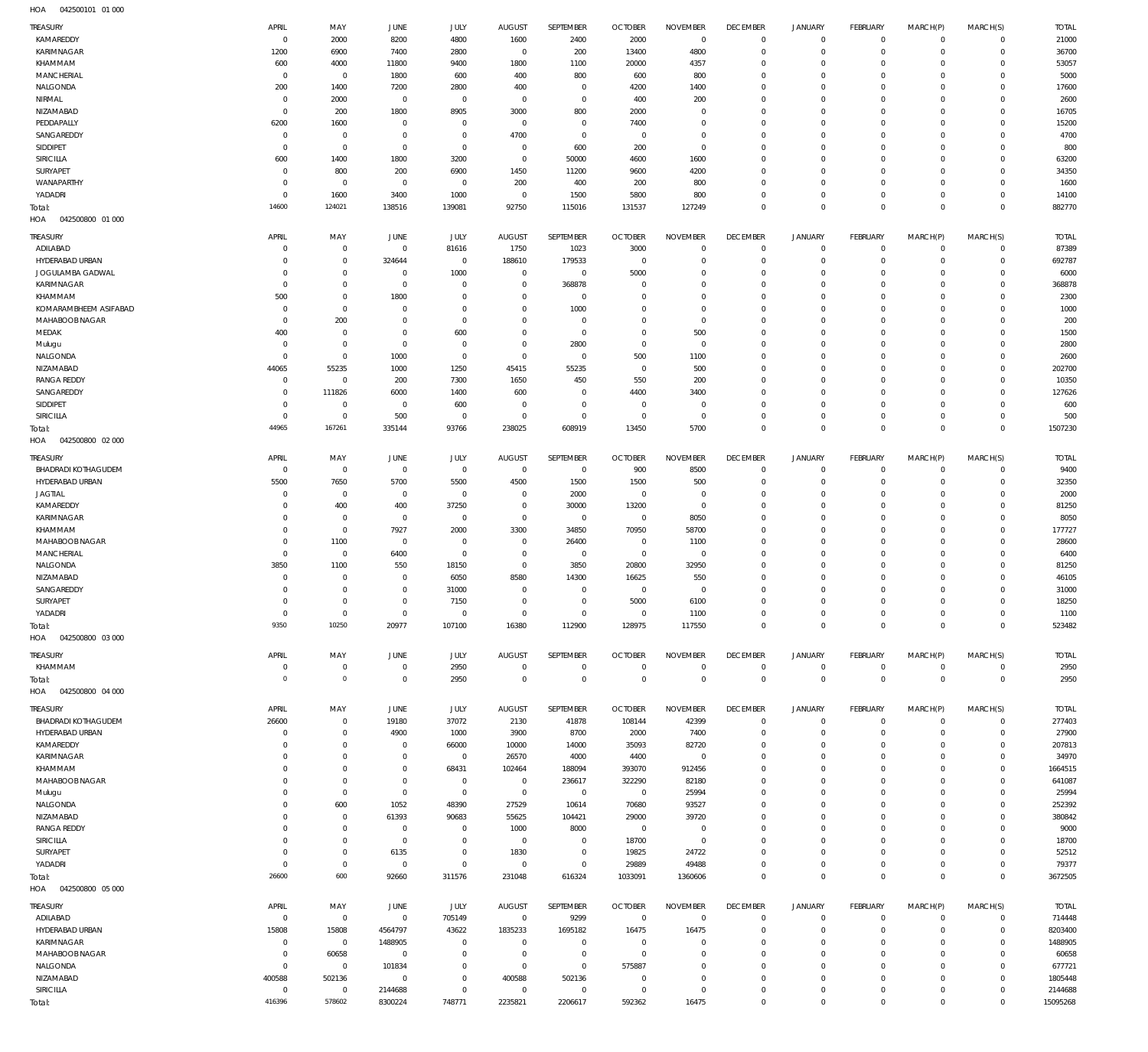| TREASURY                               | APRIL                      | MAY                        | JUNE                   | JULY                | <b>AUGUST</b>          | SEPTEMBER                        | <b>OCTOBER</b>          | <b>NOVEMBER</b> | <b>DECEMBER</b>            | <b>JANUARY</b>                | <b>FEBRUARY</b>                | MARCH(P)                | MARCH(S)                   | <b>TOTAL</b>           |
|----------------------------------------|----------------------------|----------------------------|------------------------|---------------------|------------------------|----------------------------------|-------------------------|-----------------|----------------------------|-------------------------------|--------------------------------|-------------------------|----------------------------|------------------------|
| KAMAREDDY                              | $\mathbf 0$                | 2000                       | 8200                   | 4800                | 1600                   | 2400                             | 2000                    | $\overline{0}$  | $\mathbf 0$                | $\circ$                       | $\mathbf{0}$                   | $\mathbf 0$             | $\mathbf 0$                | 21000                  |
| KARIMNAGAR                             | 1200                       | 6900                       | 7400                   | 2800                | $\overline{0}$         | 200                              | 13400                   | 4800            | $\mathbb O$                | $\mathbf 0$                   | $\mathbf{0}$                   | $\Omega$                | $\mathbf 0$                | 36700                  |
| KHAMMAM                                | 600                        | 4000                       | 11800                  | 9400                | 1800                   | 1100                             | 20000                   | 4357            | $\mathbf 0$                | $\circ$                       | $^{\circ}$                     | $\Omega$                | $\mathbf 0$                | 53057                  |
| <b>MANCHERIAL</b>                      | $\mathbf 0$                | $\mathbf 0$                | 1800                   | 600                 | 400                    | 800                              | 600                     | 800             | $\mathbf 0$                | $\mathbf 0$                   | $\mathbf{0}$                   | $\Omega$                | $\Omega$                   | 5000                   |
| NALGONDA                               | 200<br>$\mathbf 0$         | 1400                       | 7200<br>$\overline{0}$ | 2800<br>$\mathbf 0$ | 400<br>$\overline{0}$  | $\overline{0}$<br>$\overline{0}$ | 4200                    | 1400            | $\mathbf 0$<br>$\mathbf 0$ | $\circ$<br>$\mathbf 0$        | $\mathbf{0}$<br>$\mathbf{0}$   | $\Omega$<br>$\Omega$    | $\mathbf 0$<br>$\Omega$    | 17600<br>2600          |
| NIRMAL<br>NIZAMABAD                    | $\mathbf 0$                | 2000<br>200                | 1800                   | 8905                | 3000                   | 800                              | 400<br>2000             | 200<br>$\Omega$ | $\mathbf 0$                | $\circ$                       | $\mathbf{0}$                   | $\Omega$                | $\Omega$                   | 16705                  |
| PEDDAPALLY                             | 6200                       | 1600                       | $\overline{0}$         | $\mathbf 0$         | $\overline{0}$         | $\overline{0}$                   | 7400                    | $\mathbf 0$     | $\mathbf 0$                | $\mathbf 0$                   | $\mathbf{0}$                   | $\Omega$                | $\Omega$                   | 15200                  |
| SANGAREDDY                             | $\mathbf 0$                | $\mathbf 0$                | $\overline{0}$         | $\mathbf 0$         | 4700                   | $\overline{0}$                   | $\mathbb O$             | $\mathbf 0$     | $\mathbf 0$                | $\circ$                       | $\mathbf{0}$                   | $\Omega$                | $\Omega$                   | 4700                   |
| SIDDIPET                               | $\mathbf 0$                | $\mathbf 0$                | $\overline{0}$         | $\mathbf 0$         | $\overline{0}$         | 600                              | 200                     | $\mathbf{0}$    | $\mathbf 0$                | $\circ$                       | $^{\circ}$                     | $\Omega$                | $\Omega$                   | 800                    |
| <b>SIRICILLA</b>                       | 600                        | 1400                       | 1800                   | 3200                | $\overline{0}$         | 50000                            | 4600                    | 1600            | $\mathbf 0$                | $\circ$                       | $\mathbf{0}$                   | $\Omega$                | $\Omega$                   | 63200                  |
| SURYAPET                               | $\mathbf 0$                | 800                        | 200                    | 6900                | 1450                   | 11200                            | 9600                    | 4200            | $\mathbf 0$                | $\circ$                       | $\mathbf{0}$                   | $\Omega$                | $\Omega$                   | 34350                  |
| WANAPARTHY                             | $\mathbf 0$                | $\mathbf 0$                | $\overline{0}$         | $\mathbf 0$         | 200                    | 400                              | 200                     | 800             | $\mathbf 0$                | $\circ$                       | $\mathbf{0}$                   | $\Omega$                | $\Omega$                   | 1600                   |
| YADADRI                                | $\mathbf 0$                | 1600                       | 3400                   | 1000                | $\overline{0}$         | 1500                             | 5800                    | 800             | $\overline{0}$             | $\circ$                       | $\mathbf{0}$                   | $\Omega$                | $\mathbf 0$                | 14100                  |
| Total:                                 | 14600                      | 124021                     | 138516                 | 139081              | 92750                  | 115016                           | 131537                  | 127249          | $\,0\,$                    | $\,0\,$                       | $\overline{0}$                 | $\Omega$                | $\mathbf 0$                | 882770                 |
| HOA<br>042500800 01 000                |                            |                            |                        |                     |                        |                                  |                         |                 |                            |                               |                                |                         |                            |                        |
| TREASURY                               | APRIL                      | MAY                        | JUNE                   | JULY                | <b>AUGUST</b>          | SEPTEMBER                        | <b>OCTOBER</b>          | <b>NOVEMBER</b> | <b>DECEMBER</b>            | <b>JANUARY</b>                | FEBRUARY                       | MARCH(P)                | MARCH(S)                   | <b>TOTAL</b>           |
| ADILABAD                               | 0                          | $\mathbf 0$                | $\overline{0}$         | 81616               | 1750                   | 1023                             | 3000                    | $\mathbf 0$     | $\mathbf 0$                | 0                             | $^{\circ}$                     | $\circ$                 | $\Omega$                   | 87389                  |
| HYDERABAD URBAN                        | 0                          | $\mathbf 0$                | 324644                 | $\mathbf 0$         | 188610                 | 179533                           | $\overline{0}$          | $\mathbf 0$     | $\overline{0}$             | $\circ$                       | $\mathbf{0}$                   | $\circ$                 | $\mathbf 0$                | 692787                 |
| JOGULAMBA GADWAL                       | 0                          | $\mathbf 0$                | $\overline{0}$         | 1000                | $\overline{0}$         | $\overline{0}$                   | 5000                    | 0               | $\mathbf 0$                | $\circ$                       | $^{\circ}$                     | $\Omega$                | $\Omega$                   | 6000                   |
| KARIMNAGAR                             | $\mathbf 0$                | $\mathbf 0$                | $\overline{0}$         | $\mathbf 0$         | $\overline{0}$         | 368878                           | $\overline{0}$          | 0               | $\overline{0}$             | $^{\circ}$                    | $^{\circ}$                     |                         | $\Omega$                   | 368878                 |
| KHAMMAM                                | 500                        | $\mathbf 0$                | 1800                   | $\mathbf 0$         | $\mathbf 0$            | $\overline{0}$                   | $\overline{0}$          | 0               | $\mathbf 0$                | $\circ$                       | $\mathbf{0}$                   | $\Omega$                | $\Omega$                   | 2300                   |
| KOMARAMBHEEM ASIFABAD                  | $\mathbf 0$                | $\mathbf 0$                | $\overline{0}$         | $\mathbf 0$         | $\mathbf 0$            | 1000                             | $\mathbf 0$             | $\mathbf 0$     | $\overline{0}$             | $^{\circ}$                    | $^{\circ}$                     | $\Omega$                | $\Omega$                   | 1000                   |
| MAHABOOB NAGAR                         | $\mathbf 0$                | 200                        | $\overline{0}$         | $\mathbf 0$         | $\mathbf 0$            | $\mathbf 0$                      | $\mathbf 0$             | $\mathbf 0$     | $\mathbf 0$                | $^{\circ}$                    | $\mathbf{0}$                   | $\Omega$                | $\Omega$                   | 200                    |
| MEDAK                                  | 400                        | $\mathbf 0$                | $\overline{0}$         | 600                 | $\overline{0}$         | $\overline{0}$                   | $\mathbf 0$             | 500             | $\overline{0}$             | $^{\circ}$                    | $^{\circ}$                     | $\Omega$                | $\Omega$                   | 1500                   |
| Mulugu                                 | $\mathbf 0$                | $\mathbf 0$                | $\overline{0}$         | $\mathbf 0$         | $\overline{0}$         | 2800                             | $\overline{0}$          | $\overline{0}$  | $\mathbf 0$                | $^{\circ}$                    | $\mathbf{0}$                   | $\Omega$                | $\Omega$                   | 2800                   |
| NALGONDA                               | $\mathbf 0$                | $\mathbf 0$                | 1000                   | $\mathbf 0$         | $\overline{0}$         | $\overline{0}$                   | 500                     | 1100            | $\overline{0}$             | $^{\circ}$                    | $^{\circ}$                     | $\Omega$                | $\Omega$                   | 2600                   |
| NIZAMABAD                              | 44065                      | 55235                      | 1000                   | 1250                | 45415                  | 55235                            | $\overline{0}$          | 500             | $\mathbf 0$                | $^{\circ}$                    | $^{\circ}$                     | $\Omega$                | $\Omega$                   | 202700                 |
| <b>RANGA REDDY</b>                     | $\mathbf 0$                | $\mathbf 0$                | 200                    | 7300                | 1650                   | 450                              | 550                     | 200             | $\Omega$                   | $^{\circ}$                    | $\mathbf{0}$                   | $\Omega$                | $\Omega$                   | 10350                  |
| SANGAREDDY                             | $\mathbf 0$                | 111826                     | 6000                   | 1400                | 600                    | $\mathbf 0$                      | 4400                    | 3400            | $\mathbf 0$                | $\circ$                       | $^{\circ}$                     | $\Omega$                | $\Omega$                   | 127626                 |
| SIDDIPET                               | $\mathbf 0$                | $\mathbf 0$                | $\overline{0}$         | 600                 | $\overline{0}$         | $\mathbf 0$                      | $\overline{0}$          | $\mathbf 0$     | $\overline{0}$             | $^{\circ}$                    | $\mathbf{0}$                   | $\Omega$                | $\Omega$                   | 600                    |
| SIRICILLA                              | $\mathbf 0$<br>44965       | $\mathbf 0$<br>167261      | 500                    | $\mathbf 0$         | $\overline{0}$         | $\mathbf 0$                      | $\overline{0}$          | $\overline{0}$  | $^{\circ}$                 | $\circ$<br>$\mathbf 0$        | $\mathbf{0}$<br>$\overline{0}$ | $\Omega$<br>$\Omega$    | $\mathbf 0$<br>$\mathbf 0$ | 500                    |
| Total:<br>HOA<br>042500800 02 000      |                            |                            | 335144                 | 93766               | 238025                 | 608919                           | 13450                   | 5700            | $\mathbf 0$                |                               |                                |                         |                            | 1507230                |
|                                        |                            |                            |                        |                     |                        |                                  |                         |                 |                            |                               |                                |                         |                            |                        |
| TREASURY                               | APRIL                      | MAY                        | JUNE                   | JULY                | <b>AUGUST</b>          | SEPTEMBER                        | <b>OCTOBER</b>          | <b>NOVEMBER</b> | <b>DECEMBER</b>            | <b>JANUARY</b>                | <b>FEBRUARY</b>                | MARCH(P)                | MARCH(S)                   | <b>TOTAL</b>           |
| <b>BHADRADI KOTHAGUDEM</b>             | $\overline{0}$             | $\mathbf 0$                | $\overline{0}$         | $\mathbf 0$         | $\overline{0}$         | $\overline{0}$                   | 900                     | 8500            | $\mathbf 0$                | $\circ$                       | $^{\circ}$                     | $\Omega$                | $\mathbf 0$                | 9400                   |
| HYDERABAD URBAN                        | 5500                       | 7650                       | 5700                   | 5500                | 4500                   | 1500                             | 1500                    | 500             | $\mathbf 0$                | $\mathbf 0$                   | $\mathbf{0}$                   | $\Omega$                | $\mathbf 0$                | 32350                  |
| <b>JAGTIAL</b>                         | $\mathbf 0$                | $\mathbf 0$                | $\overline{0}$         | $\mathbf 0$         | $^{\circ}$             | 2000                             | $\overline{0}$          | $\overline{0}$  | $\mathbf 0$                | $\circ$                       | $\mathbf{0}$                   | $\Omega$                | $\mathbf 0$                | 2000                   |
| KAMAREDDY                              | $\mathbf 0$                | 400                        | 400                    | 37250               | $\overline{0}$         | 30000                            | 13200                   | $^{\circ}$      | $\mathbf 0$                | $\circ$                       | $\mathbf{0}$                   | $\Omega$                | $\Omega$<br>$\Omega$       | 81250                  |
| KARIMNAGAR                             | $\mathbf 0$                | $\mathbf 0$<br>$\mathbf 0$ | $\overline{0}$         | $\mathbf 0$         | $\overline{0}$         | $\overline{0}$                   | $\mathbb O$             | 8050            | $\mathbf 0$                | $\circ$                       | $\mathbf{0}$<br>$\mathbf{0}$   | $\Omega$                | $\Omega$                   | 8050                   |
| KHAMMAM<br>MAHABOOB NAGAR              | $\mathbf 0$<br>$\mathbf 0$ | 1100                       | 7927<br>$\overline{0}$ | 2000<br>$\mathbf 0$ | 3300<br>$\overline{0}$ | 34850<br>26400                   | 70950<br>$\overline{0}$ | 58700<br>1100   | $\mathbf 0$<br>$\mathbf 0$ | $\mathbf 0$<br>$\circ$        | $\mathbf{0}$                   | $\Omega$<br>$\Omega$    | $\Omega$                   | 177727<br>28600        |
| MANCHERIAL                             | $\mathbf 0$                | $\mathbf 0$                | 6400                   | $\mathbf 0$         | $\overline{0}$         | $\overline{0}$                   | $\overline{0}$          | $^{\circ}$      | $\mathbf 0$                | $\circ$                       | $^{\circ}$                     | $\Omega$                | $\Omega$                   | 6400                   |
| NALGONDA                               | 3850                       | 1100                       | 550                    | 18150               | $\overline{0}$         | 3850                             | 20800                   | 32950           | $\mathbf 0$                | $\circ$                       | $^{\circ}$                     | $\Omega$                | $\Omega$                   | 81250                  |
| NIZAMABAD                              | $\mathbf 0$                | $\mathbf 0$                | $\overline{0}$         | 6050                | 8580                   | 14300                            | 16625                   | 550             | $\mathbf 0$                | $\circ$                       | $^{\circ}$                     | $\Omega$                | $\Omega$                   | 46105                  |
| SANGAREDDY                             | $\mathbf 0$                | $\mathbf 0$                | $\overline{0}$         | 31000               | $\mathbf 0$            | $\mathbf 0$                      | $\overline{0}$          | $\overline{0}$  | $\overline{0}$             | $^{\circ}$                    | $^{\circ}$                     | $\Omega$                | $\mathbf 0$                | 31000                  |
| SURYAPET                               | $\Omega$                   | $\mathbf 0$                | $\overline{0}$         | 7150                | $\overline{0}$         | $\mathbf 0$                      | 5000                    | 6100            | $\mathbf{0}$               | $\mathbf 0$                   | $\Omega$                       | $\circ$                 | $\Omega$                   | 18250                  |
| YADADRI                                | 0                          | $\circ$                    | - 0                    | 0                   | - 0                    | 0                                | - 0                     | 1100            |                            | 0                             | 0                              |                         |                            | 1100                   |
| Total:                                 | 9350                       | 10250                      | 20977                  | 107100              | 16380                  | 112900                           | 128975                  | 117550          | $\,0\,$                    | $\,0\,$                       | $\mathbb O$                    | $\mathbf 0$             | $\mathbf 0$                | 523482                 |
| HOA<br>042500800 03 000                |                            |                            |                        |                     |                        |                                  |                         |                 |                            |                               |                                |                         |                            |                        |
| TREASURY                               | APRIL                      | MAY                        | JUNE                   | JULY                | <b>AUGUST</b>          | SEPTEMBER                        | <b>OCTOBER</b>          | <b>NOVEMBER</b> | <b>DECEMBER</b>            | <b>JANUARY</b>                | FEBRUARY                       | MARCH(P)                | MARCH(S)                   | <b>TOTAL</b>           |
| KHAMMAM                                | 0                          | $\bf 0$                    | $\overline{0}$         | 2950                | $\overline{0}$         | $\overline{0}$                   | $\mathbf 0$             | $\overline{0}$  | $\,0\,$                    | $\mathbb O$                   | $\mathbf 0$                    | $\mathbf 0$             | $\mathbf 0$                | 2950                   |
| Total:                                 | $\circ$                    | $\mathsf{O}\xspace$        | $\overline{0}$         | 2950                | $\overline{0}$         | $\overline{0}$                   | $\mathbb O$             | $\mathbf{0}$    | $\,0\,$                    | $\,0\,$                       | $\overline{0}$                 | $\mathbf{0}$            | $\mathbf{0}$               | 2950                   |
| 042500800 04 000<br>HOA                |                            |                            |                        |                     |                        |                                  |                         |                 |                            |                               |                                |                         |                            |                        |
|                                        |                            |                            |                        |                     |                        |                                  |                         | <b>NOVEMBER</b> | <b>DECEMBER</b>            |                               |                                |                         |                            |                        |
| TREASURY                               | APRIL                      | MAY<br>$\bf 0$             | JUNE<br>19180          | JULY<br>37072       | AUGUST                 | SEPTEMBER                        | <b>OCTOBER</b>          | 42399           | $\mathbf 0$                | <b>JANUARY</b><br>$\mathbf 0$ | <b>FEBRUARY</b><br>$^{\circ}$  | MARCH(P)<br>$\mathbf 0$ | MARCH(S)<br>$\mathbf 0$    | <b>TOTAL</b><br>277403 |
| BHADRADI KOTHAGUDEM<br>HYDERABAD URBAN | 26600<br>$\mathbf 0$       | $\mathbf 0$                | 4900                   | 1000                | 2130<br>3900           | 41878<br>8700                    | 108144<br>2000          | 7400            | $\mathbf 0$                | $\mathbf 0$                   | $\mathbf{0}$                   | $\mathbf 0$             | $\mathbf 0$                | 27900                  |
| KAMAREDDY                              | 0                          | $\mathbf 0$                | $\overline{0}$         | 66000               | 10000                  | 14000                            | 35093                   | 82720           | $\mathbf 0$                | $\circ$                       | $\mathbf{0}$                   | $\circ$                 | $\mathbf 0$                | 207813                 |
| KARIMNAGAR                             | 0                          | $\mathbf 0$                | $\overline{0}$         | $\mathbb O$         | 26570                  | 4000                             | 4400                    | $\overline{0}$  | $\mathbf 0$                | $\circ$                       | $\mathbf{0}$                   | $\Omega$                | $\mathbf 0$                | 34970                  |
| KHAMMAM                                | $\mathbf 0$                | $\mathbf 0$                | $\overline{0}$         | 68431               | 102464                 | 188094                           | 393070                  | 912456          | $\mathbf 0$                | $\circ$                       | $\mathbf{0}$                   | $\Omega$                | $\mathbf 0$                | 1664515                |
| MAHABOOB NAGAR                         | $\mathbf 0$                | $\mathbf 0$                | $\overline{0}$         | $\mathbf 0$         | $\overline{0}$         | 236617                           | 322290                  | 82180           | $\mathbf{0}$               | $\mathbf 0$                   | $\mathbf{0}$                   | $\Omega$                | $\mathbf 0$                | 641087                 |
| Mulugu                                 | $\mathbf 0$                | $\mathbf 0$                | $\overline{0}$         | $\mathbf 0$         | $\overline{0}$         | $\overline{0}$                   | $\overline{0}$          | 25994           | $\mathbf 0$                | $\circ$                       | $\mathbf{0}$                   | $\Omega$                | $\Omega$                   | 25994                  |
| NALGONDA                               | 0                          | 600                        | 1052                   | 48390               | 27529                  | 10614                            | 70680                   | 93527           | $\mathbf 0$                | $\mathbf 0$                   | $\mathbf{0}$                   | $\Omega$                | $\mathbf 0$                | 252392                 |
| NIZAMABAD                              | $\mathbf 0$                | $\mathbf 0$                | 61393                  | 90683               | 55625                  | 104421                           | 29000                   | 39720           | $\mathbf 0$                | $\mathbf 0$                   | $\mathbf{0}$                   | $\Omega$                | $\Omega$                   | 380842                 |
| <b>RANGA REDDY</b>                     | 0                          | $\mathsf{O}\xspace$        | $\overline{0}$         | $\mathbf 0$         | 1000                   | 8000                             | $\overline{0}$          | $\overline{0}$  | $\mathbf 0$                | $\mathbf 0$                   | $^{\circ}$                     | $\Omega$                | $\mathbf 0$                | 9000                   |
| SIRICILLA                              | $\mathbf 0$                | $\mathbf 0$                | $\overline{0}$         | $\mathbf 0$         | $\overline{0}$         | $\overline{0}$                   | 18700                   | $\overline{0}$  | $\mathbf 0$                | $\mathbf 0$                   | $\mathbf{0}$                   | $\Omega$                | $\Omega$                   | 18700                  |
| SURYAPET                               | $\mathbf 0$                | $\mathbf 0$                | 6135                   | $\mathbf 0$         | 1830                   | $\overline{0}$                   | 19825                   | 24722           | $\mathbf 0$                | $\circ$                       | $\mathbf{0}$                   | $\Omega$                | $\mathbf 0$                | 52512                  |
| YADADRI                                | $\mathbf 0$                | $\mathbf 0$                | $\overline{0}$         | $\mathbf 0$         | $\overline{0}$         | $\overline{0}$                   | 29889                   | 49488           | $\,0\,$                    | $\mathbf 0$                   | $\mathbf 0$                    | $\Omega$                | $\mathbf 0$                | 79377                  |
| Total:                                 | 26600                      | 600                        | 92660                  | 311576              | 231048                 | 616324                           | 1033091                 | 1360606         | $\,0\,$                    | $\,0\,$                       | $\mathbb O$                    | $\mathbf 0$             | $\mathbf 0$                | 3672505                |
| 042500800 05 000<br>HOA                |                            |                            |                        |                     |                        |                                  |                         |                 |                            |                               |                                |                         |                            |                        |
| TREASURY                               | APRIL                      | MAY                        | JUNE                   | JULY                | <b>AUGUST</b>          | SEPTEMBER                        | <b>OCTOBER</b>          | <b>NOVEMBER</b> | <b>DECEMBER</b>            | <b>JANUARY</b>                | FEBRUARY                       | MARCH(P)                | MARCH(S)                   | <b>TOTAL</b>           |
| ADILABAD                               | $^{\circ}$                 | $\mathbf 0$                | $\overline{0}$         | 705149              | $\overline{0}$         | 9299                             | $\mathbf 0$             | $\mathbf{0}$    | $\mathbf 0$                | $\mathbf 0$                   | $^{\circ}$                     | $\circ$                 | $\mathbf 0$                | 714448                 |
| HYDERABAD URBAN                        | 15808                      | 15808                      | 4564797                | 43622               | 1835233                | 1695182                          | 16475                   | 16475           | $\mathbf 0$                | $\circ$                       | $\mathbf{0}$                   | $\circ$                 | $\mathbf 0$                | 8203400                |
| KARIMNAGAR                             | $\mathbf 0$                | $\overline{0}$             | 1488905                | $\mathbf 0$         | $\overline{0}$         | $\overline{0}$                   | $\overline{0}$          | 0               | $\mathbf 0$                | $\circ$                       | $^{\circ}$                     | $\Omega$                | $\Omega$                   | 1488905                |
| MAHABOOB NAGAR                         | $^{\circ}$                 | 60658                      | $\overline{0}$         | $\mathbf 0$         | $\overline{0}$         | $\overline{0}$                   | $\overline{0}$          | $\mathbf 0$     | $\mathbf 0$                | $\circ$                       | $^{\circ}$                     | $\Omega$                | $\Omega$                   | 60658                  |
| NALGONDA                               | $\mathbf 0$                | $\overline{0}$             | 101834                 | $\mathbf 0$         | $\overline{0}$         | $\overline{0}$                   | 575887                  | 0               | $\mathbf 0$                | $\mathbf 0$                   | $^{\circ}$                     | $\Omega$                | $\Omega$                   | 677721                 |
| NIZAMABAD                              | 400588                     | 502136                     | $\overline{0}$         | $\mathbf 0$         | 400588                 | 502136                           | $\overline{0}$          | $\mathbf 0$     | $\mathbf 0$                | $\circ$                       | $\mathbf{0}$                   | $\Omega$                | $\Omega$                   | 1805448                |
| SIRICILLA                              | $\mathbf 0$                | 0                          | 2144688                | $\mathbf 0$         | $\overline{0}$         | $\overline{0}$                   | $\overline{0}$          | $\mathbf 0$     | $\mathbf 0$                | 0                             | $\mathbf{0}$                   | $\Omega$                | $\mathbf 0$                | 2144688                |
| Total:                                 | 416396                     | 578602                     | 8300224                | 748771              | 2235821                | 2206617                          | 592362                  | 16475           | $\mathbb O$                | $\mathbf 0$                   | $\mathbb O$                    | $\overline{0}$          | $\mathbb O$                | 15095268               |
|                                        |                            |                            |                        |                     |                        |                                  |                         |                 |                            |                               |                                |                         |                            |                        |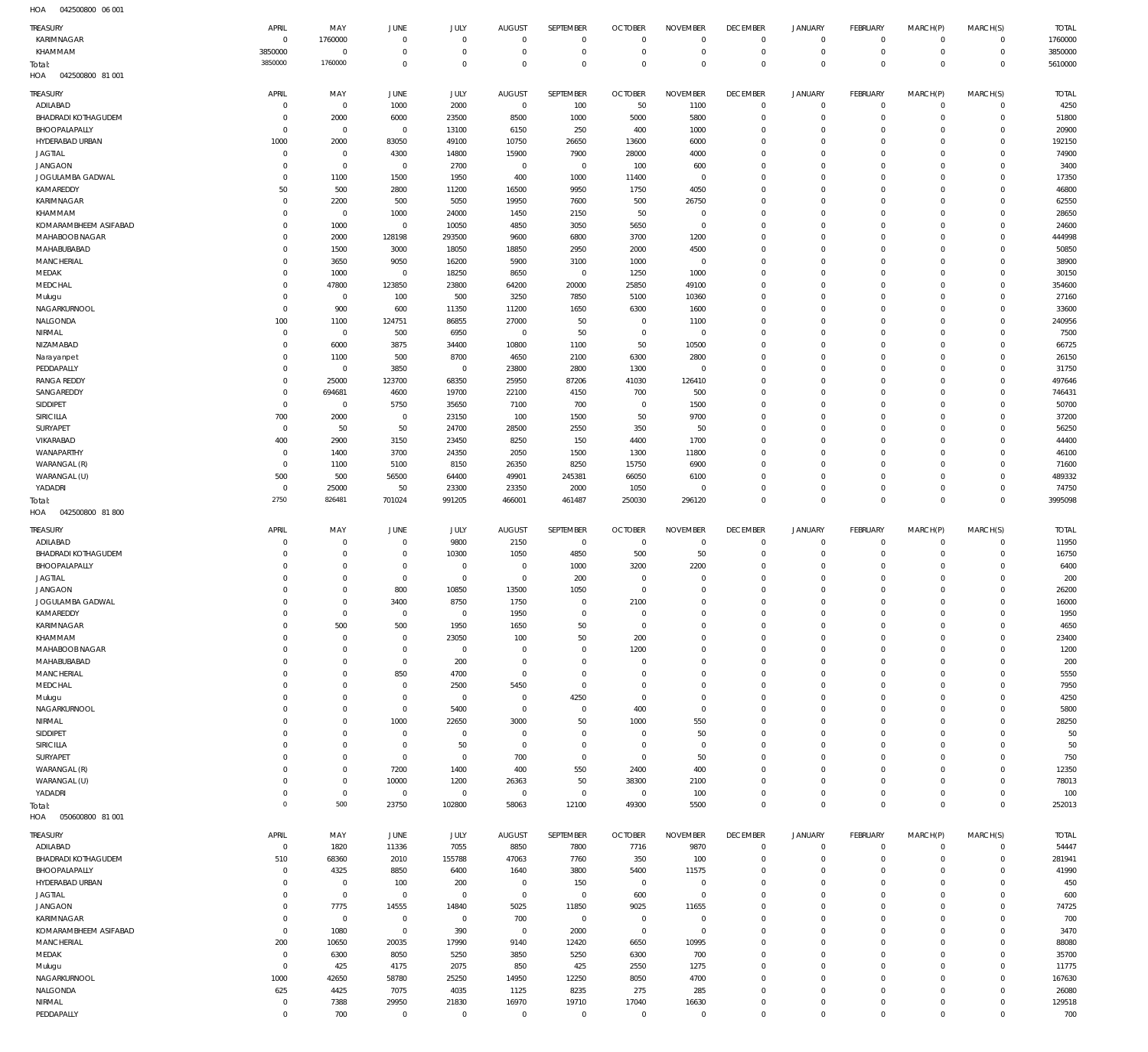042500800 06 001 HOA

| TREASURY                               | APRIL                         | MAY                              | JUNE                     | JULY                       | <b>AUGUST</b>           | SEPTEMBER                     | <b>OCTOBER</b>       | <b>NOVEMBER</b>                | <b>DECEMBER</b>                   | <b>JANUARY</b>             | <b>FEBRUARY</b>                  | MARCH(P)                   | MARCH(S)                     | <b>TOTAL</b>          |
|----------------------------------------|-------------------------------|----------------------------------|--------------------------|----------------------------|-------------------------|-------------------------------|----------------------|--------------------------------|-----------------------------------|----------------------------|----------------------------------|----------------------------|------------------------------|-----------------------|
| KARIMNAGAR<br>KHAMMAM                  | $\overline{0}$<br>3850000     | 1760000<br>$\mathbf 0$           | $^{\circ}$<br>$^{\circ}$ | $\mathbf 0$<br>$\mathbf 0$ | $\Omega$<br>$\Omega$    | $\overline{0}$<br>$\mathbf 0$ | $\Omega$<br>0        | $^{\circ}$<br>$\mathbf 0$      | $\overline{0}$<br>$\overline{0}$  | 0<br>$\mathbf 0$           | $\overline{0}$<br>$\overline{0}$ | $\mathbf 0$<br>$\mathbf 0$ | $\circ$<br>$\overline{0}$    | 1760000<br>3850000    |
| Total:                                 | 3850000                       | 1760000                          | $\mathbf 0$              | $\overline{0}$             | $\Omega$                | $\overline{0}$                | $\Omega$             | $\mathbb O$                    | $\overline{0}$                    | $\mathbf 0$                | $\overline{0}$                   | $\mathbf 0$                | $\overline{0}$               | 5610000               |
| HOA<br>042500800 81 001                |                               |                                  |                          |                            |                         |                               |                      |                                |                                   |                            |                                  |                            |                              |                       |
| TREASURY                               | APRIL                         | MAY                              | JUNE                     | JULY                       | <b>AUGUST</b>           | SEPTEMBER                     | <b>OCTOBER</b>       | <b>NOVEMBER</b>                | <b>DECEMBER</b>                   | <b>JANUARY</b>             | <b>FEBRUARY</b>                  | MARCH(P)                   | MARCH(S)                     | <b>TOTAL</b>          |
| ADILABAD                               | $\Omega$                      | $\overline{0}$                   | 1000                     | 2000                       | $\overline{0}$          | 100                           | 50                   | 1100                           | $^{\circ}$                        | $\mathbf 0$                | $\mathbf 0$                      | $\mathbf 0$                | $\mathbf{0}$                 | 4250                  |
| <b>BHADRADI KOTHAGUDEM</b>             | $\mathbf 0$                   | 2000                             | 6000                     | 23500                      | 8500                    | 1000                          | 5000                 | 5800                           | $\overline{0}$                    | $\mathbf 0$                | $^{\circ}$                       | $\Omega$                   | $\mathbf{0}$                 | 51800                 |
| BHOOPALAPALLY                          | $\Omega$                      | $\overline{0}$                   | $^{\circ}$               | 13100                      | 6150                    | 250                           | 400                  | 1000                           | $\Omega$                          | $^{\circ}$                 | $\Omega$                         | $\Omega$                   | $\mathbf 0$                  | 20900                 |
| HYDERABAD URBAN                        | 1000                          | 2000                             | 83050                    | 49100                      | 10750                   | 26650                         | 13600                | 6000                           | $\Omega$                          | $\Omega$                   | $\mathbf 0$                      | $\Omega$                   | $\mathbf 0$                  | 192150                |
| <b>JAGTIAL</b><br><b>JANGAON</b>       | $\mathbf 0$<br>$\Omega$       | $\overline{0}$<br>$\overline{0}$ | 4300<br>$\overline{0}$   | 14800<br>2700              | 15900<br>$\overline{0}$ | 7900<br>$\overline{0}$        | 28000<br>100         | 4000<br>600                    | $\Omega$<br>$\Omega$              | $\Omega$<br>$\Omega$       | $\Omega$<br>$\Omega$             | $\Omega$<br>$\Omega$       | $\mathbf 0$<br>$\mathbf 0$   | 74900<br>3400         |
| JOGULAMBA GADWAL                       | $\mathbf 0$                   | 1100                             | 1500                     | 1950                       | 400                     | 1000                          | 11400                | $\mathsf{C}$                   | $\Omega$                          | $^{\circ}$                 | $\Omega$                         | $\Omega$                   | $\mathbf 0$                  | 17350                 |
| KAMAREDDY                              | 50                            | 500                              | 2800                     | 11200                      | 16500                   | 9950                          | 1750                 | 4050                           | $\Omega$                          | $\Omega$                   | $\Omega$                         | $\Omega$                   | $\Omega$                     | 46800                 |
| KARIMNAGAR                             | $\mathbf 0$                   | 2200                             | 500                      | 5050                       | 19950                   | 7600                          | 500                  | 26750                          | $\Omega$                          | $^{\circ}$                 | $\Omega$                         | $\Omega$                   | $\mathbf 0$                  | 62550                 |
| KHAMMAM                                | $\Omega$                      | $\overline{0}$                   | 1000                     | 24000                      | 1450                    | 2150                          | 50                   | $\overline{0}$                 | $\Omega$                          | $\Omega$                   | $\Omega$                         | $\Omega$                   | $\Omega$                     | 28650                 |
| KOMARAMBHEEM ASIFABAD                  | $\mathbf 0$                   | 1000                             | $^{\circ}$               | 10050                      | 4850                    | 3050                          | 5650                 | $\overline{0}$                 | $\Omega$                          | $^{\circ}$                 | $\Omega$                         | $\Omega$                   | $\mathbf 0$                  | 24600                 |
| MAHABOOB NAGAR                         | $\Omega$<br>$\Omega$          | 2000                             | 128198                   | 293500                     | 9600                    | 6800                          | 3700                 | 1200                           | $\Omega$                          | $\Omega$<br>$\Omega$       | $\Omega$<br>$\Omega$             | $\Omega$<br>$\Omega$       | $\Omega$<br>$\mathbf 0$      | 444998                |
| MAHABUBABAD<br><b>MANCHERIAL</b>       | $\Omega$                      | 1500<br>3650                     | 3000<br>9050             | 18050<br>16200             | 18850<br>5900           | 2950<br>3100                  | 2000<br>1000         | 4500<br>$\overline{0}$         | $\Omega$<br>$\Omega$              | $\Omega$                   | $\Omega$                         | $\Omega$                   | $\Omega$                     | 50850<br>38900        |
| MEDAK                                  | $\mathbf 0$                   | 1000                             | $^{\circ}$               | 18250                      | 8650                    | $\overline{0}$                | 1250                 | 1000                           | $\Omega$                          | $\Omega$                   | $\Omega$                         | $\Omega$                   | $\mathbf 0$                  | 30150                 |
| MEDCHAL                                | $\Omega$                      | 47800                            | 123850                   | 23800                      | 64200                   | 20000                         | 25850                | 49100                          | $\Omega$                          | $\Omega$                   | $\Omega$                         | $\Omega$                   | $\mathbf 0$                  | 354600                |
| Mulugu                                 | $\mathbf 0$                   | $\overline{0}$                   | 100                      | 500                        | 3250                    | 7850                          | 5100                 | 10360                          | $\Omega$                          | $\Omega$                   | $\Omega$                         | $\Omega$                   | $\mathbf{0}$                 | 27160                 |
| NAGARKURNOOL                           | $\mathbf 0$                   | 900                              | 600                      | 11350                      | 11200                   | 1650                          | 6300                 | 1600                           | $\Omega$                          | $\Omega$                   | $\Omega$                         | $\Omega$                   | $\mathbf 0$                  | 33600                 |
| NALGONDA                               | 100                           | 1100                             | 124751                   | 86855                      | 27000                   | 50                            | $\overline{0}$       | 1100                           | $\Omega$                          | $\Omega$                   | $\Omega$                         | $\Omega$                   | $\Omega$                     | 240956                |
| NIRMAL                                 | $\mathbf 0$                   | $\overline{0}$                   | 500                      | 6950                       | $^{\circ}$              | 50                            | $\overline{0}$       | $\overline{0}$                 | $\Omega$                          | $\Omega$                   | $\Omega$                         | $\Omega$                   | $\mathbf 0$                  | 7500                  |
| NIZAMABAD                              | $\Omega$<br>$\Omega$          | 6000                             | 3875                     | 34400                      | 10800                   | 1100                          | 50                   | 10500                          | $\Omega$                          | $\Omega$<br>$\Omega$       | $\Omega$<br>$\Omega$             | $\Omega$<br>$\Omega$       | $\Omega$                     | 66725                 |
| Narayanpet<br>PEDDAPALLY               | $\Omega$                      | 1100<br>$\overline{0}$           | 500<br>3850              | 8700<br>$\overline{0}$     | 4650<br>23800           | 2100<br>2800                  | 6300<br>1300         | 2800<br>$\mathsf{C}$           | $\Omega$<br>$\Omega$              | $\Omega$                   | $\Omega$                         | $\Omega$                   | $\mathbf 0$<br>$\Omega$      | 26150<br>31750        |
| <b>RANGA REDDY</b>                     | $\Omega$                      | 25000                            | 123700                   | 68350                      | 25950                   | 87206                         | 41030                | 126410                         | $\Omega$                          | $\Omega$                   | $\Omega$                         | $\Omega$                   | $\mathbf 0$                  | 497646                |
| SANGAREDDY                             | $\Omega$                      | 694681                           | 4600                     | 19700                      | 22100                   | 4150                          | 700                  | 500                            | $\Omega$                          | $\Omega$                   | $\Omega$                         | $\Omega$                   | $\Omega$                     | 746431                |
| <b>SIDDIPET</b>                        | $\mathbf 0$                   | $\overline{0}$                   | 5750                     | 35650                      | 7100                    | 700                           | $^{\circ}$           | 1500                           | $\Omega$                          | $\Omega$                   | $\Omega$                         | $\Omega$                   | $\mathbf 0$                  | 50700                 |
| SIRICILLA                              | 700                           | 2000                             | $^{\circ}$               | 23150                      | 100                     | 1500                          | 50                   | 9700                           | $\Omega$                          | $\Omega$                   | $\Omega$                         | $\Omega$                   | $\Omega$                     | 37200                 |
| <b>SURYAPET</b>                        | $^{\circ}$                    | 50                               | 50                       | 24700                      | 28500                   | 2550                          | 350                  | 50                             | $\Omega$                          | $\Omega$                   | $\Omega$                         | $\Omega$                   | $\mathbf 0$                  | 56250                 |
| VIKARABAD                              | 400                           | 2900                             | 3150                     | 23450                      | 8250                    | 150                           | 4400                 | 1700                           | $\Omega$                          | $\Omega$                   | $\Omega$                         | $\Omega$                   | $\Omega$                     | 44400                 |
| WANAPARTHY                             | $^{\circ}$                    | 1400                             | 3700                     | 24350                      | 2050                    | 1500                          | 1300                 | 11800                          | $\Omega$                          | $\Omega$                   | $\Omega$                         | $\Omega$                   | $\mathbf 0$                  | 46100                 |
| WARANGAL (R)<br>WARANGAL (U)           | $\mathbf 0$<br>500            | 1100<br>500                      | 5100<br>56500            | 8150<br>64400              | 26350<br>49901          | 8250<br>245381                | 15750<br>66050       | 6900<br>6100                   | $\Omega$<br>$\Omega$              | $^{\circ}$<br>$\Omega$     | $\Omega$<br>$\Omega$             | $\Omega$<br>$\Omega$       | $\mathbf 0$<br>$\mathbf 0$   | 71600<br>489332       |
| YADADRI                                | $\mathbf 0$                   | 25000                            | 50                       | 23300                      | 23350                   | 2000                          | 1050                 | $\Omega$                       | $\Omega$                          | $\mathbf 0$                | $\mathbf 0$                      | $\Omega$                   | $\mathbf{0}$                 | 74750                 |
| Total:                                 | 2750                          | 826481                           | 701024                   | 991205                     | 466001                  | 461487                        | 250030               | 296120                         | $\Omega$                          | $\mathbf 0$                | $\mathbf 0$                      | $\Omega$                   | $\Omega$                     | 3995098               |
| HOA<br>042500800 81 800                |                               |                                  |                          |                            |                         |                               |                      |                                |                                   |                            |                                  |                            |                              |                       |
|                                        |                               |                                  |                          |                            |                         |                               |                      |                                |                                   |                            |                                  |                            |                              |                       |
|                                        |                               |                                  |                          |                            |                         |                               |                      |                                |                                   |                            |                                  |                            |                              |                       |
| TREASURY<br>ADILABAD                   | APRIL<br>0                    | MAY<br>$\overline{0}$            | JUNE<br>$^{\circ}$       | JULY<br>9800               | <b>AUGUST</b>           | SEPTEMBER<br>$\overline{0}$   | <b>OCTOBER</b><br>0  | <b>NOVEMBER</b><br>$\mathbf 0$ | <b>DECEMBER</b><br>$\overline{0}$ | <b>JANUARY</b><br>0        | <b>FEBRUARY</b><br>$\mathbf 0$   | MARCH(P)<br>$\mathbf 0$    | MARCH(S)<br>$\mathbf 0$      | <b>TOTAL</b><br>11950 |
| <b>BHADRADI KOTHAGUDEM</b>             | $\Omega$                      | $\overline{0}$                   | $\overline{0}$           | 10300                      | 2150<br>1050            | 4850                          | 500                  | 50                             | $\overline{0}$                    | $\mathbf 0$                | $\mathbf 0$                      | $\mathbf 0$                | $\mathbf{0}$                 | 16750                 |
| BHOOPALAPALLY                          | $\Omega$                      | $\overline{0}$                   | $^{\circ}$               | $\mathbf 0$                | $\circ$                 | 1000                          | 3200                 | 2200                           | $\overline{0}$                    | 0                          | $^{\circ}$                       | $\Omega$                   | $\circ$                      | 6400                  |
| <b>JAGTIAL</b>                         | $\Omega$                      | $\mathbf 0$                      | $\overline{0}$           | $\overline{0}$             | $\mathbf{0}$            | 200                           | $^{\circ}$           | $^{\circ}$                     | $\Omega$                          | $\mathbf 0$                | $\Omega$                         | $\Omega$                   | $\mathbf{0}$                 | 200                   |
| <b>JANGAON</b>                         | $\Omega$                      | $\overline{0}$                   | 800                      | 10850                      | 13500                   | 1050                          | $^{\circ}$           | $\overline{0}$                 | $\Omega$                          | $\mathbf 0$                | $\mathbf 0$                      | $\Omega$                   | $\mathbf{0}$                 | 26200                 |
| JOGULAMBA GADWAL                       | $\Omega$                      | $\mathbf 0$                      | 3400                     | 8750                       | 1750                    | $\overline{0}$                | 2100                 | $\mathbb O$                    | $\Omega$                          | $\Omega$                   | $\Omega$                         | $\Omega$                   | $\Omega$                     | 16000                 |
| KAMAREDDY                              | O                             | $^{\circ}$                       | $^{\circ}$               | $\overline{0}$             | 1950                    | $\Omega$                      | $\mathsf{C}$         | $\Omega$                       | -0<br>$\Omega$                    | $^{\circ}$                 | $\Omega$                         | $\Omega$                   | $\mathbf 0$                  | 1950                  |
| KARIMNAGAR<br>KHAMMAM                  | $\mathbf 0$<br>$\mathbf 0$    | 500<br>$\overline{0}$            | 500<br>$\mathbf 0$       | 1950<br>23050              | 1650<br>100             | 50<br>50                      | $\mathbf 0$<br>200   | $\mathbb O$<br>$\mathbb O$     | $\overline{0}$                    | $\mathbf 0$<br>$\mathbf 0$ | $\mathbf 0$<br>$\mathbf 0$       | $\mathbf 0$<br>$\mathbf 0$ | $\mathbf{0}$<br>$\circ$      | 4650<br>23400         |
| MAHABOOB NAGAR                         | $\Omega$                      | $\mathbf{0}$                     | $\mathbf{0}$             | $\overline{0}$             | $\mathbf{0}$            | $\overline{0}$                | 1200                 | $\mathbb O$                    | $\Omega$                          | $\mathbf 0$                | $\mathbf 0$                      | $\Omega$                   | $\mathbf{0}$                 | 1200                  |
| MAHABUBABAD                            | $\mathbf 0$                   | $\overline{0}$                   | $\overline{0}$           | 200                        | $\mathbf{0}$            | $\overline{0}$                | $\Omega$             | $\mathbb O$                    | $\overline{0}$                    | $\mathbf 0$                | $\mathbf 0$                      | $\Omega$                   | $\mathbf{0}$                 | 200                   |
| <b>MANCHERIAL</b>                      | $\Omega$                      | $\mathbf 0$                      | 850                      | 4700                       | $\Omega$                | $\overline{0}$                | $\Omega$             | $\mathbb O$                    | $\Omega$                          | $\mathbf 0$                | $\mathbf 0$                      | $\Omega$                   | $\mathbf{0}$                 | 5550                  |
| MEDCHAL                                | $\Omega$                      | $\overline{0}$                   | $\overline{0}$           | 2500                       | 5450                    | $\overline{0}$                | $\Omega$             | $\mathbb O$                    | $\overline{0}$                    | $\mathbf 0$                | $\mathbf 0$                      | $\Omega$                   | $\mathbf{0}$                 | 7950                  |
| Mulugu                                 | $\Omega$<br>$\Omega$          | $\mathbf 0$                      | $\mathbf{0}$             | $\overline{0}$             | $\overline{0}$          | 4250                          | $\overline{0}$       | $\mathbb O$                    | $\overline{0}$<br>$\Omega$        | $\mathbf 0$                | $\mathbf 0$                      | $\Omega$<br>$\Omega$       | $\mathbf 0$                  | 4250                  |
| NAGARKURNOOL<br>NIRMAL                 | $\Omega$                      | $\overline{0}$<br>$\mathbf 0$    | $\mathbf{0}$             | 5400                       | $\mathbf{0}$<br>3000    | $\overline{0}$                | 400                  | $\mathbb O$                    | $\overline{0}$                    | $\mathbf 0$<br>$\mathbf 0$ | $\mathbf 0$<br>$\mathbf 0$       | $\Omega$                   | $\mathbf{0}$<br>$\mathbf{0}$ | 5800                  |
| <b>SIDDIPET</b>                        | $\Omega$                      | $\overline{0}$                   | 1000<br>$^{\circ}$       | 22650<br>$\mathbf 0$       | $\overline{0}$          | 50<br>$\overline{0}$          | 1000<br>$^{\circ}$   | 550<br>50                      | $\overline{0}$                    | $\mathbf 0$                | $\mathbf 0$                      | $\Omega$                   | $\mathbf{0}$                 | 28250<br>50           |
| SIRICILLA                              | $\Omega$                      | $\mathbf 0$                      | $\overline{0}$           | 50                         | $^{\circ}$              | $\overline{0}$                | $^{\circ}$           | $\mathbb O$                    | $\overline{0}$                    | $\mathbf 0$                | $\mathbf 0$                      | $\Omega$                   | $\mathbf{0}$                 | 50                    |
| SURYAPET                               | $\Omega$                      | $\overline{0}$                   | $\mathbf 0$              | $\overline{0}$             | 700                     | $\overline{0}$                | $\overline{0}$       | 50                             | $\Omega$                          | $\mathbf 0$                | $\mathbf 0$                      | $\Omega$                   | $\mathbf{0}$                 | 750                   |
| WARANGAL (R)                           | $\mathbf 0$                   | $\overline{0}$                   | 7200                     | 1400                       | 400                     | 550                           | 2400                 | 400                            | $\overline{0}$                    | $\mathbf 0$                | $\mathbf 0$                      | $\Omega$                   | $\mathbf{0}$                 | 12350                 |
| WARANGAL (U)                           | $\mathbf 0$                   | $\overline{0}$                   | 10000                    | 1200                       | 26363                   | 50                            | 38300                | 2100                           | $^{\circ}$                        | $\mathbf 0$                | $\mathbf 0$                      | $\Omega$                   | $\mathbf{0}$                 | 78013                 |
| YADADRI                                | $\mathbf 0$<br>$\mathbf 0$    | $\overline{0}$                   | $\,0\,$                  | $\overline{0}$             | $\overline{0}$          | $\mathbf 0$                   | $\overline{0}$       | 100                            | $^{\circ}$                        | $\mathsf{O}$               | $\mathbf 0$                      | $\circ$                    | $\mathbf{0}$                 | 100                   |
| Total:<br>050600800 81 001<br>HOA      |                               | 500                              | 23750                    | 102800                     | 58063                   | 12100                         | 49300                | 5500                           | $\mathbf{0}$                      | $\mathbf 0$                | $\mathbf 0$                      | $\mathbf 0$                | $\overline{0}$               | 252013                |
|                                        |                               |                                  |                          |                            |                         |                               |                      |                                |                                   |                            |                                  |                            |                              |                       |
| TREASURY                               | APRIL                         | MAY                              | JUNE                     | JULY                       | <b>AUGUST</b>           | SEPTEMBER                     | <b>OCTOBER</b>       | <b>NOVEMBER</b>                | <b>DECEMBER</b>                   | <b>JANUARY</b>             | <b>FEBRUARY</b>                  | MARCH(P)                   | MARCH(S)                     | <b>TOTAL</b>          |
| ADILABAD<br><b>BHADRADI KOTHAGUDEM</b> | $\overline{0}$<br>510         | 1820                             | 11336<br>2010            | 7055<br>155788             | 8850<br>47063           | 7800<br>7760                  | 7716<br>350          | 9870<br>100                    | $^{\circ}$<br>$\overline{0}$      | $\mathbf 0$<br>$\mathbf 0$ | $\mathbf 0$<br>$\mathbf 0$       | $\circ$<br>$\Omega$        | $^{\circ}$<br>$\mathbf{0}$   | 54447<br>281941       |
| BHOOPALAPALLY                          | $\mathbf 0$                   | 68360<br>4325                    | 8850                     | 6400                       | 1640                    | 3800                          | 5400                 | 11575                          | $^{\circ}$                        | $\mathbf 0$                | $\mathbf 0$                      | $\Omega$                   | $\mathbf{0}$                 | 41990                 |
| HYDERABAD URBAN                        | $\mathbf 0$                   | $\overline{0}$                   | 100                      | 200                        | $\overline{0}$          | 150                           | $^{\circ}$           | $^{\circ}$                     | $\Omega$                          | $\Omega$                   | $\mathbf 0$                      | $\Omega$                   | $\mathbf 0$                  | 450                   |
| <b>JAGTIAL</b>                         | $\mathbf 0$                   | $\overline{0}$                   | $\overline{0}$           | $\overline{0}$             | $\overline{0}$          | $\overline{0}$                | 600                  | $\mathbb O$                    | $\Omega$                          | $\mathbf 0$                | $\Omega$                         | $\Omega$                   | $\mathbf{0}$                 | 600                   |
| <b>JANGAON</b>                         | $\mathbf 0$                   | 7775                             | 14555                    | 14840                      | 5025                    | 11850                         | 9025                 | 11655                          | $\Omega$                          | $^{\circ}$                 | $\Omega$                         | $\Omega$                   | $\mathbf 0$                  | 74725                 |
| KARIMNAGAR                             | $\mathbf 0$                   | $\overline{0}$                   | $\overline{0}$           | $\overline{0}$             | 700                     | $\overline{0}$                | $\overline{0}$       | $^{\circ}$                     | $\Omega$                          | $\mathbf 0$                | $\Omega$                         | $\Omega$                   | $\mathbf 0$                  | 700                   |
| KOMARAMBHEEM ASIFABAD                  | $\mathbf 0$                   | 1080                             | $\mathbf 0$              | 390                        | $\overline{0}$          | 2000                          | $\mathbf 0$          | $\mathbf{0}$                   | $\Omega$                          | $^{\circ}$                 | $\mathbf 0$                      | $\Omega$                   | $\mathbf 0$                  | 3470                  |
| MANCHERIAL                             | 200                           | 10650                            | 20035                    | 17990                      | 9140                    | 12420                         | 6650                 | 10995                          | $\Omega$<br>0                     | $\Omega$<br>$^{\circ}$     | $\Omega$<br>$\mathbf 0$          | $\Omega$<br>$\Omega$       | $\mathbf{0}$<br>$\mathbf 0$  | 88080                 |
| MEDAK<br>Mulugu                        | $\mathbf 0$<br>$\mathbf 0$    | 6300<br>425                      | 8050<br>4175             | 5250<br>2075               | 3850<br>850             | 5250<br>425                   | 6300<br>2550         | 700<br>1275                    | $\Omega$                          | $\Omega$                   | $\Omega$                         | $\Omega$                   | $\Omega$                     | 35700<br>11775        |
| NAGARKURNOOL                           | 1000                          | 42650                            | 58780                    | 25250                      | 14950                   | 12250                         | 8050                 | 4700                           | $\Omega$                          | $\Omega$                   | $\Omega$                         | $\Omega$                   | $\mathbf 0$                  | 167630                |
| NALGONDA                               | 625                           | 4425                             | 7075                     | 4035                       | 1125                    | 8235                          | 275                  | 285                            | $\Omega$                          | $\mathbf 0$                | $\Omega$                         | $\Omega$                   | $\Omega$                     | 26080                 |
| NIRMAL<br>PEDDAPALLY                   | $\overline{0}$<br>$\mathbf 0$ | 7388<br>700                      | 29950<br>$\mathbf 0$     | 21830<br>$\mathbf 0$       | 16970<br>$\mathbb O$    | 19710<br>$\mathbf 0$          | 17040<br>$\mathbf 0$ | 16630<br>$\mathbb O$           | $^{\circ}$<br>$\mathbf 0$         | $\mathbf 0$<br>$\mathbf 0$ | 0<br>$\mathbf 0$                 | $\circ$<br>$\mathbf 0$     | $\circ$<br>$\circ$           | 129518<br>700         |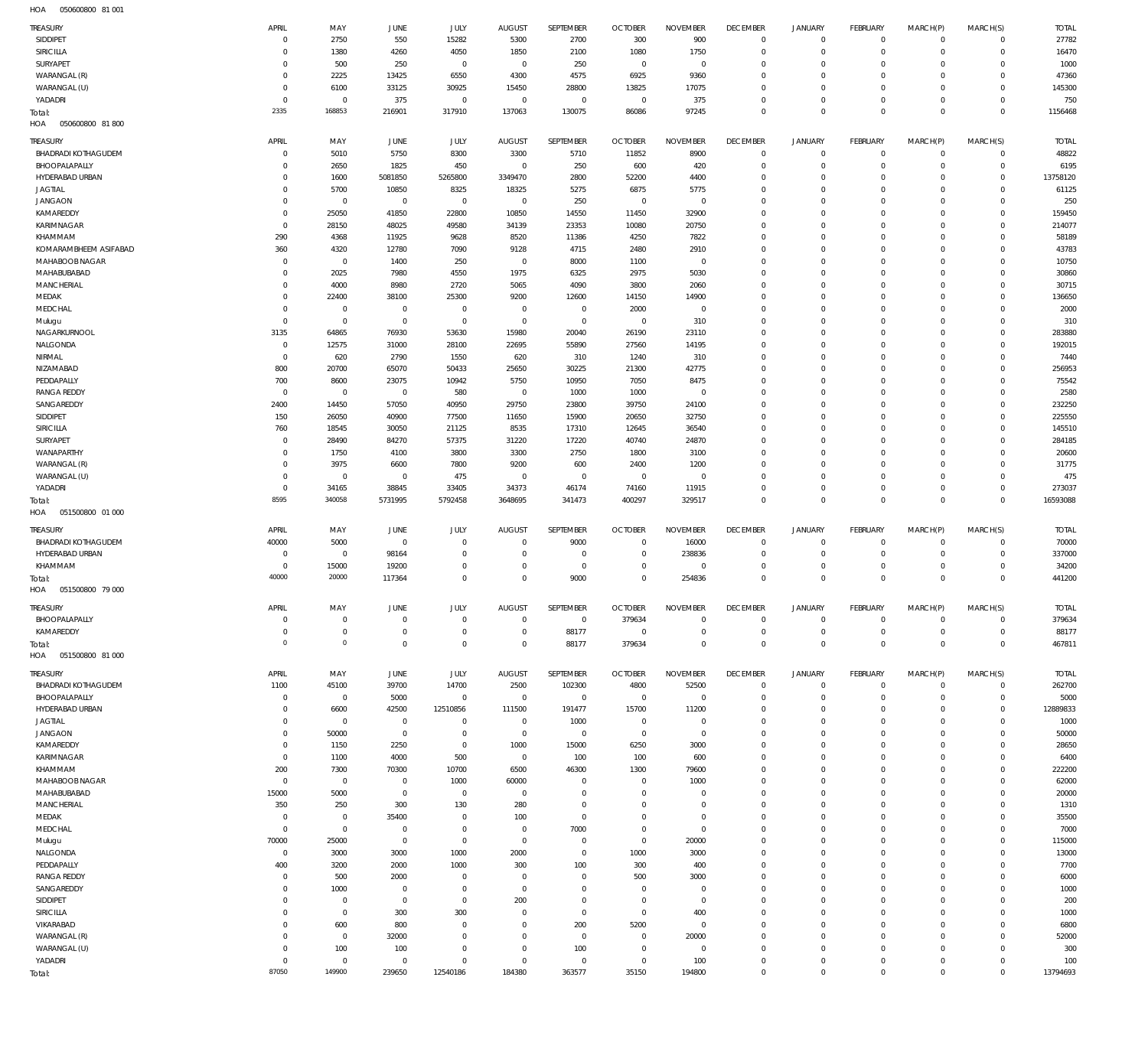050600800 81 001 HOA

| TREASURY                                    | APRIL                      | MAY                              | <b>JUNE</b>                      | JULY                             | <b>AUGUST</b>                 | SEPTEMBER                  | <b>OCTOBER</b>               | <b>NOVEMBER</b>               | <b>DECEMBER</b>                | <b>JANUARY</b>                 | FEBRUARY                   | MARCH(P)                    | MARCH(S)                   | <b>TOTAL</b>          |
|---------------------------------------------|----------------------------|----------------------------------|----------------------------------|----------------------------------|-------------------------------|----------------------------|------------------------------|-------------------------------|--------------------------------|--------------------------------|----------------------------|-----------------------------|----------------------------|-----------------------|
| SIDDIPET                                    | $\mathbf 0$                | 2750                             | 550                              | 15282                            | 5300                          | 2700                       | 300                          | 900                           | $\overline{0}$                 | $\mathsf{O}\xspace$            | $\mathbf 0$                | $\mathbf 0$                 | $\mathbf 0$                | 27782                 |
| SIRICILLA                                   | 0                          | 1380                             | 4260                             | 4050                             | 1850                          | 2100                       | 1080                         | 1750                          | $\mathbf 0$                    | $\mathbf 0$                    | $\mathbf 0$                | $\mathbf 0$                 | $\mathbf 0$                | 16470                 |
| SURYAPET<br>WARANGAL (R)                    | $\mathbf 0$<br>0           | 500<br>2225                      | 250<br>13425                     | $\overline{0}$<br>6550           | $\overline{0}$<br>4300        | 250<br>4575                | $\overline{0}$<br>6925       | $^{\circ}$<br>9360            | $\mathbf{0}$<br>$\Omega$       | $\mathbf 0$<br>$\mathbf 0$     | 0<br>O                     | $\mathbf 0$<br>$\mathbf 0$  | $\mathbf 0$<br>$\mathbf 0$ | 1000<br>47360         |
| WARANGAL (U)                                | $\mathbf 0$                | 6100                             | 33125                            | 30925                            | 15450                         | 28800                      | 13825                        | 17075                         | $\mathbf{0}$                   | $\mathbf 0$                    | 0                          | $\mathbf 0$                 | $\mathbf 0$                | 145300                |
| YADADRI                                     | $\mathbf 0$                | $\overline{0}$                   | 375                              | $\overline{0}$                   | $\,0\,$                       | $\overline{0}$             | $\overline{0}$               | 375                           | 0                              | $\mathbf 0$                    | 0                          | $\mathbf 0$                 | $\mathbf 0$                | 750                   |
| Total:                                      | 2335                       | 168853                           | 216901                           | 317910                           | 137063                        | 130075                     | 86086                        | 97245                         | $\mathbf 0$                    | $\mathbb O$                    | $\Omega$                   | $\mathbf 0$                 | $\mathbf 0$                | 1156468               |
| HOA<br>050600800 81 800                     |                            |                                  |                                  |                                  |                               |                            |                              |                               |                                |                                |                            |                             |                            |                       |
| TREASURY                                    | APRIL                      | MAY                              | JUNE                             | JULY                             | AUGUST                        | SEPTEMBER                  | <b>OCTOBER</b>               | <b>NOVEMBER</b>               | <b>DECEMBER</b>                | <b>JANUARY</b>                 | FEBRUARY                   | MARCH(P)                    | MARCH(S)                   | <b>TOTAL</b>          |
| <b>BHADRADI KOTHAGUDEM</b><br>BHOOPALAPALLY | $\mathbf 0$                | 5010                             | 5750                             | 8300                             | 3300                          | 5710                       | 11852                        | 8900                          | $\overline{0}$                 | 0                              | $\mathbf 0$                | $\mathbf 0$                 | $\mathbf 0$                | 48822                 |
| HYDERABAD URBAN                             | $\mathbf 0$<br>$\mathbf 0$ | 2650<br>1600                     | 1825<br>5081850                  | 450<br>5265800                   | $\overline{0}$<br>3349470     | 250<br>2800                | 600<br>52200                 | 420<br>4400                   | $\overline{0}$<br>$\mathbf 0$  | $\mathbf 0$<br>$\circ$         | $^{\circ}$<br>0            | $\mathbf 0$<br>$\mathbf 0$  | $\mathbf 0$<br>$\mathbf 0$ | 6195<br>13758120      |
| <b>JAGTIAL</b>                              | $\mathbf 0$                | 5700                             | 10850                            | 8325                             | 18325                         | 5275                       | 6875                         | 5775                          | $\mathbf{0}$                   | $\mathbf 0$                    | 0                          | $\mathbf 0$                 | $\mathbf 0$                | 61125                 |
| <b>JANGAON</b>                              | $\mathbf 0$                | $\overline{0}$                   | $\overline{0}$                   | $\overline{0}$                   | $\overline{0}$                | 250                        | $\overline{0}$               | $^{\circ}$                    | $\mathbf{0}$                   | $\circ$                        | 0                          | $\mathbf 0$                 | $\mathbf 0$                | 250                   |
| KAMAREDDY                                   | $\mathbf 0$                | 25050                            | 41850                            | 22800                            | 10850                         | 14550                      | 11450                        | 32900                         | $\mathbf{0}$                   | $\circ$                        | 0                          | $\mathbf 0$                 | $\mathbf 0$                | 159450                |
| KARIMNAGAR<br>KHAMMAM                       | $\mathbf 0$<br>290         | 28150<br>4368                    | 48025<br>11925                   | 49580<br>9628                    | 34139<br>8520                 | 23353<br>11386             | 10080<br>4250                | 20750<br>7822                 | $\mathbf{0}$<br>$\mathbf{0}$   | $\circ$<br>$\mathbf 0$         | 0<br>0                     | $\mathbf 0$<br>$\mathbf 0$  | $\mathbf 0$<br>$\mathbf 0$ | 214077<br>58189       |
| KOMARAMBHEEM ASIFABAD                       | 360                        | 4320                             | 12780                            | 7090                             | 9128                          | 4715                       | 2480                         | 2910                          | $\mathbf{0}$                   | $\mathbf 0$                    | 0                          | $\mathbf 0$                 | $\mathbf 0$                | 43783                 |
| MAHABOOB NAGAR                              | $\mathbf 0$                | $\overline{0}$                   | 1400                             | 250                              | $\overline{0}$                | 8000                       | 1100                         | $^{\circ}$                    | $\mathbf{0}$                   | $\circ$                        | O                          | $\mathbf 0$                 | $\mathbf 0$                | 10750                 |
| MAHABUBABAD                                 | $\mathbf 0$                | 2025                             | 7980                             | 4550                             | 1975                          | 6325                       | 2975                         | 5030                          | $\mathbf{0}$                   | $\mathbf 0$                    | 0                          | $\mathbf 0$                 | $\mathbf 0$                | 30860                 |
| MANCHERIAL                                  | $\mathbf 0$                | 4000                             | 8980                             | 2720                             | 5065                          | 4090                       | 3800                         | 2060                          | $\mathbf{0}$                   | $\circ$                        | O                          | $\mathbf 0$                 | $\mathbf 0$                | 30715                 |
| MEDAK<br>MEDCHAL                            | $\mathbf 0$<br>$\mathbf 0$ | 22400<br>$\overline{0}$          | 38100<br>$\mathbf{0}$            | 25300<br>$\overline{0}$          | 9200<br>$\overline{0}$        | 12600<br>$^{\circ}$        | 14150<br>2000                | 14900<br>$^{\circ}$           | $\Omega$<br>$\mathbf{0}$       | $\mathbf 0$<br>$\circ$         | 0<br>O                     | $\mathbf 0$<br>$\mathbf 0$  | $\mathbf 0$<br>$\mathbf 0$ | 136650<br>2000        |
| Mulugu                                      | $\mathbf 0$                | $\overline{0}$                   | $\overline{0}$                   | $\overline{0}$                   | $\mathbf 0$                   | $\overline{0}$             | $\overline{0}$               | 310                           | $\Omega$                       | $\mathbf 0$                    | 0                          | $\mathbf 0$                 | $\mathbf 0$                | 310                   |
| NAGARKURNOOL                                | 3135                       | 64865                            | 76930                            | 53630                            | 15980                         | 20040                      | 26190                        | 23110                         | $\mathbf{0}$                   | $\circ$                        | O                          | $\mathbf 0$                 | $\mathbf 0$                | 283880                |
| NALGONDA                                    | $\mathbf 0$                | 12575                            | 31000                            | 28100                            | 22695                         | 55890                      | 27560                        | 14195                         | $\Omega$                       | $\mathbf 0$                    | 0                          | $\mathbf 0$                 | $\mathbf 0$                | 192015                |
| NIRMAL                                      | $\mathbf 0$<br>800         | 620<br>20700                     | 2790<br>65070                    | 1550                             | 620                           | 310                        | 1240                         | 310<br>42775                  | $\mathbf{0}$<br>$\Omega$       | $\circ$<br>$\mathbf 0$         | O<br>$\Omega$              | $\mathbf 0$<br>$\mathbf 0$  | $\mathbf 0$<br>$\mathbf 0$ | 7440<br>256953        |
| NIZAMABAD<br>PEDDAPALLY                     | 700                        | 8600                             | 23075                            | 50433<br>10942                   | 25650<br>5750                 | 30225<br>10950             | 21300<br>7050                | 8475                          | $\mathbf{0}$                   | $\circ$                        | 0                          | $\mathbf 0$                 | $\mathbf 0$                | 75542                 |
| <b>RANGA REDDY</b>                          | $\mathbf 0$                | $\overline{0}$                   | $\overline{0}$                   | 580                              | $\mathbf 0$                   | 1000                       | 1000                         | $\overline{0}$                | $\Omega$                       | $\mathbf 0$                    | 0                          | $\mathbf 0$                 | $\mathbf 0$                | 2580                  |
| SANGAREDDY                                  | 2400                       | 14450                            | 57050                            | 40950                            | 29750                         | 23800                      | 39750                        | 24100                         | $\mathbf{0}$                   | $\circ$                        | 0                          | $\mathbf 0$                 | $\mathbf 0$                | 232250                |
| SIDDIPET                                    | 150                        | 26050                            | 40900                            | 77500                            | 11650                         | 15900                      | 20650                        | 32750                         | $\Omega$                       | $\mathbf 0$                    | 0                          | $\mathbf 0$                 | $\mathbf 0$                | 225550                |
| <b>SIRICILLA</b><br>SURYAPET                | 760<br>$\mathbf 0$         | 18545<br>28490                   | 30050<br>84270                   | 21125<br>57375                   | 8535<br>31220                 | 17310<br>17220             | 12645<br>40740               | 36540<br>24870                | $\mathbf{0}$<br>$\Omega$       | $\mathbf 0$<br>$\mathbf 0$     | 0<br>0                     | $\mathbf 0$<br>$\mathbf 0$  | $\mathbf 0$<br>$\mathbf 0$ | 145510<br>284185      |
| WANAPARTHY                                  | $\mathbf 0$                | 1750                             | 4100                             | 3800                             | 3300                          | 2750                       | 1800                         | 3100                          | $\mathbf{0}$                   | $\circ$                        | 0                          | $\mathbf 0$                 | $\mathbf 0$                | 20600                 |
| WARANGAL (R)                                | $\mathbf 0$                | 3975                             | 6600                             | 7800                             | 9200                          | 600                        | 2400                         | 1200                          | 0                              | $\circ$                        | 0                          | $\mathbf 0$                 | $\mathbf 0$                | 31775                 |
| WARANGAL (U)                                | $\mathbf 0$                | $\overline{0}$                   | $\mathbf 0$                      | 475                              | $\overline{0}$                | $\overline{0}$             | $\overline{0}$               | $\Omega$                      | $\mathbf{0}$                   | $\mathbf 0$                    | 0                          | $\mathbf 0$                 | $\mathbf 0$                | 475                   |
| YADADRI                                     | $\mathbf 0$<br>8595        | 34165<br>340058                  | 38845                            | 33405                            | 34373                         | 46174                      | 74160                        | 11915                         | $\mathbf 0$                    | $\mathbf 0$                    | $\circ$<br>$\Omega$        | $\mathbf 0$                 | $\mathbf 0$                | 273037                |
| Total:<br>HOA<br>051500800 01 000           |                            |                                  | 5731995                          | 5792458                          | 3648695                       | 341473                     | 400297                       | 329517                        | $\mathbf 0$                    | $\mathbb O$                    |                            | $\mathbf 0$                 | $\mathbf 0$                | 16593088              |
|                                             |                            |                                  |                                  |                                  |                               |                            |                              |                               |                                |                                |                            |                             |                            |                       |
| TREASURY<br><b>BHADRADI KOTHAGUDEM</b>      | APRIL<br>40000             | MAY<br>5000                      | JUNE<br>$\mathbf 0$              | JULY<br>$\overline{0}$           | <b>AUGUST</b><br>$^{\circ}$   | SEPTEMBER<br>9000          | <b>OCTOBER</b><br>$\circ$    | <b>NOVEMBER</b><br>16000      | <b>DECEMBER</b><br>$\mathbf 0$ | <b>JANUARY</b><br>0            | FEBRUARY<br>O              | MARCH(P)<br>-0              | MARCH(S)<br>0              | <b>TOTAL</b><br>70000 |
| HYDERABAD URBAN                             | $\mathbf 0$                | $\overline{0}$                   | 98164                            | $\overline{0}$                   | $\mathbf 0$                   | $^{\circ}$                 | $^{\circ}$                   | 238836                        | $\mathbf 0$                    | $\mathbf 0$                    | $\mathbf 0$                | $\mathbf 0$                 | $\mathbf 0$                | 337000                |
| KHAMMAM                                     | $\mathbf 0$                | 15000                            | 19200                            | $\overline{0}$                   | $\mathbf 0$                   | $\overline{0}$             | $\circ$                      | $^{\circ}$                    | 0                              | $\mathsf{O}\xspace$            | 0                          | $\mathbf 0$                 | 0                          | 34200                 |
| Total:                                      | 40000                      | 20000                            | 117364                           | $\mathbf{0}$                     | $\mathbf 0$                   | 9000                       | $^{\circ}$                   | 254836                        | $\Omega$                       | $\mathbb O$                    | $\mathbf 0$                | $\mathbf 0$                 | $\mathbf 0$                | 441200                |
| HOA<br>051500800 79 000                     |                            |                                  |                                  |                                  |                               |                            |                              |                               |                                |                                |                            |                             |                            |                       |
| TREASURY                                    | APRIL                      | MAY                              | <b>JUNE</b>                      | JULY                             | <b>AUGUST</b>                 | <b>SEPTEMBER</b>           | <b>OCTOBER</b>               | <b>NOVEMBER</b>               | <b>DECEMBER</b>                | <b>JANUARY</b>                 | <b>FEBRUARY</b>            | MARCH(P)                    | MARCH(S)                   | <b>TOTAL</b>          |
| BHOOPALAPALLY<br>KAMAREDDY                  | $\mathbf 0$<br>$\mathbf 0$ | $\overline{0}$<br>$\overline{0}$ | $\mathbf 0$<br>$\mathbf 0$       | $\overline{0}$<br>$\overline{0}$ | $\mathbf 0$<br>$\mathbf 0$    | $\mathbf 0$<br>88177       | 379634<br>$^{\circ}$         | $\Omega$<br>$\mathbf 0$       | $\Omega$<br>$\overline{0}$     | $\circ$<br>$\mathsf{O}\xspace$ | 0<br>$\circ$               | $\mathbf 0$<br>$\mathsf{O}$ | $\mathbf 0$<br>$\mathbf 0$ | 379634<br>88177       |
| Total:                                      | $\mathbf 0$                | $\mathbb O$                      | $\overline{0}$                   | $\mathbb O$                      | $\mathbf 0$                   | 88177                      | 379634                       | $\overline{0}$                | $\mathbf 0$                    | $\mathbb O$                    | $\mathbf 0$                | $\mathbf 0$                 | $\mathbf 0$                | 467811                |
| HOA<br>051500800 81 000                     |                            |                                  |                                  |                                  |                               |                            |                              |                               |                                |                                |                            |                             |                            |                       |
| TREASURY                                    | APRIL                      | MAY                              | JUNE                             | JULY                             | AUGUST                        | SEPTEMBER                  | <b>OCTOBER</b>               | <b>NOVEMBER</b>               | <b>DECEMBER</b>                | JANUARY                        | FEBRUARY                   | MARCH(P)                    | MARCH(S)                   | <b>TOTAL</b>          |
| <b>BHADRADI KOTHAGUDEM</b>                  | 1100                       | 45100                            | 39700                            | 14700                            | 2500                          | 102300                     | 4800                         | 52500                         | $\mathbf 0$                    | $\mathsf{O}\xspace$            | $\mathbf 0$                | $\mathbf 0$                 | $\mathbf 0$                | 262700                |
| BHOOPALAPALLY                               | $\mathbf 0$                | $\mathbf 0$                      | 5000                             | $\mathbb O$                      | $\,0\,$                       | $\overline{0}$             | $\overline{0}$               | $\mathbf{0}$                  | $\mathbf 0$                    | $\mathsf{O}\xspace$            | $^{\circ}$                 | $\mathbf 0$                 | 0                          | 5000                  |
| HYDERABAD URBAN                             | $\mathbf 0$                | 6600                             | 42500                            | 12510856                         | 111500                        | 191477                     | 15700                        | 11200                         | $\mathbf 0$                    | $\mathbf 0$                    | 0                          | $\mathbf 0$                 | $\mathbf 0$                | 12889833              |
| <b>JAGTIAL</b><br><b>JANGAON</b>            | $\mathbf 0$<br>$\mathbf 0$ | $\overline{0}$<br>50000          | $\overline{0}$<br>$\overline{0}$ | $\overline{0}$<br>$\overline{0}$ | $\overline{0}$<br>$\mathbf 0$ | 1000<br>$\overline{0}$     | $^{\circ}$<br>$\overline{0}$ | $\overline{0}$<br>$\mathbf 0$ | $\mathbf{0}$<br>$\mathbf 0$    | $\mathbf 0$<br>$\mathbf 0$     | 0<br>$\Omega$              | $\mathbf 0$<br>$\mathbf 0$  | $\mathbf 0$<br>$\mathbf 0$ | 1000<br>50000         |
| KAMAREDDY                                   | $\mathbf 0$                | 1150                             | 2250                             | $\overline{0}$                   | 1000                          | 15000                      | 6250                         | 3000                          | $\mathbf 0$                    | $\mathbf 0$                    | 0                          | $\mathbf 0$                 | $\mathbf 0$                | 28650                 |
| KARIMNAGAR                                  | $\mathbf 0$                | 1100                             | 4000                             | 500                              | $\mathbf 0$                   | 100                        | 100                          | 600                           | $\mathbf 0$                    | $\mathbf 0$                    | $\Omega$                   | $\mathbf 0$                 | $\mathbf 0$                | 6400                  |
| KHAMMAM                                     | 200                        | 7300                             | 70300                            | 10700                            | 6500                          | 46300                      | 1300                         | 79600                         | $\mathbf 0$                    | $\mathbf 0$                    | 0                          | $\mathbf 0$                 | $\mathbf 0$                | 222200                |
| MAHABOOB NAGAR<br>MAHABUBABAD               | $\mathbf 0$<br>15000       | $\mathbf 0$<br>5000              | $\mathbf{0}$<br>$\mathbf{0}$     | 1000<br>$\overline{0}$           | 60000<br>$\mathbf 0$          | $\mathbf 0$<br>$\mathbf 0$ | $^{\circ}$<br>$^{\circ}$     | 1000<br>$\Omega$              | $\Omega$<br>$\mathbf{0}$       | $\mathbf 0$<br>$\mathbf 0$     | $\Omega$<br>$\mathbf 0$    | $\mathbf 0$<br>$\mathbf 0$  | $\mathbf 0$<br>$\mathbf 0$ | 62000<br>20000        |
| MANCHERIAL                                  | 350                        | 250                              | 300                              | 130                              | 280                           | $\mathbf 0$                | $^{\circ}$                   | $^{\circ}$                    | $\mathbf 0$                    | $\mathbf 0$                    | 0                          | $\mathbf 0$                 | $\mathbf 0$                | 1310                  |
| MEDAK                                       | $\overline{0}$             | $\overline{0}$                   | 35400                            | $\overline{0}$                   | 100                           | $\mathbf 0$                | $^{\circ}$                   | $\mathbf 0$                   | $\Omega$                       | $\mathbf 0$                    | $\mathbf 0$                | $\mathbf 0$                 | $\mathbf 0$                | 35500                 |
| MEDCHAL                                     | $\mathbf 0$                | $\mathbf 0$                      | $\mathbf 0$                      | $\overline{0}$                   | $\mathbf 0$                   | 7000                       | $^{\circ}$                   | $\mathbf 0$                   | $\mathbf 0$                    | $\mathbf 0$                    | 0                          | $\mathbf 0$                 | $\mathbf 0$                | 7000                  |
| Mulugu                                      | 70000<br>$\mathbf 0$       | 25000<br>3000                    | $\mathbf{0}$                     | $\overline{0}$                   | $\mathbf 0$                   | $\mathbf 0$<br>$\mathbf 0$ | $\mathbf 0$<br>1000          | 20000                         | $\mathbf 0$                    | $\mathbf 0$<br>$\mathbf 0$     | $\mathbf 0$                | $\mathbf 0$<br>$\mathbf 0$  | $\mathbf 0$<br>$\mathbf 0$ | 115000<br>13000       |
| NALGONDA<br>PEDDAPALLY                      | 400                        | 3200                             | 3000<br>2000                     | 1000<br>1000                     | 2000<br>300                   | 100                        | 300                          | 3000<br>400                   | $\mathbf{0}$<br>$\Omega$       | $\mathbf 0$                    | 0<br>$\mathbf 0$           | $\mathbf 0$                 | $\mathbf 0$                | 7700                  |
| RANGA REDDY                                 | $\mathbf 0$                | 500                              | 2000                             | $^{\circ}$                       | $\overline{0}$                | $\mathbf 0$                | 500                          | 3000                          | $\mathbf{0}$                   | $\mathbf 0$                    | 0                          | $\mathbf 0$                 | $\mathbf 0$                | 6000                  |
| SANGAREDDY                                  | $\mathbf 0$                | 1000                             | $^{\circ}$                       | $\overline{0}$                   | $\mathbf 0$                   | $\mathbf 0$                | $^{\circ}$                   | $^{\circ}$                    | $\Omega$                       | $\mathbf 0$                    | $\mathbf 0$                | $\mathbf 0$                 | $\mathbf 0$                | 1000                  |
| SIDDIPET                                    | $\mathbf 0$                | $\overline{0}$                   | $^{\circ}$                       | $\overline{0}$                   | 200                           | $\mathbf 0$                | $^{\circ}$                   | $\mathbf 0$                   | $\mathbf 0$                    | $\mathbf 0$                    | 0                          | $\mathbf 0$                 | $\mathbf 0$                | 200                   |
|                                             |                            |                                  |                                  |                                  |                               |                            |                              |                               |                                |                                |                            |                             |                            | 1000                  |
| SIRICILLA                                   | $\mathbf 0$                | $\mathbf 0$                      | 300                              | 300                              | $\overline{0}$                | $\mathbb O$                | $\mathbf{0}$                 | 400                           | $\Omega$                       | $\mathbf 0$                    | $\Omega$                   | $\mathbf 0$                 | $\mathbf 0$                |                       |
| VIKARABAD                                   | $\mathbf 0$<br>$\mathbf 0$ | 600                              | 800                              | $\overline{0}$<br>$\overline{0}$ | $\overline{0}$<br>$\mathbf 0$ | 200<br>$\mathbf 0$         | 5200<br>$^{\circ}$           | $\overline{0}$                | $\mathbf 0$<br>$\Omega$        | $\mathbf 0$<br>$\mathbf 0$     | 0<br>$\mathbf 0$           | $\mathbf 0$<br>$\mathbf 0$  | $\mathbf 0$<br>$\mathbf 0$ | 6800                  |
| WARANGAL (R)<br>WARANGAL (U)                | $\mathbf 0$                | $\mathbf 0$<br>100               | 32000<br>100                     | $\overline{0}$                   | $\mathbf 0$                   | 100                        | $^{\circ}$                   | 20000<br>$\overline{0}$       | $\mathbf 0$                    | $\mathbf 0$                    | 0                          | $\mathbf 0$                 | $\mathbf 0$                | 52000<br>300          |
| YADADRI                                     | $\mathbf 0$<br>87050       | $\mathbf 0$<br>149900            | $\mathbf 0$<br>239650            | $\mathbb O$<br>12540186          | $\mathbf 0$<br>184380         | $\overline{0}$<br>363577   | $^{\circ}$<br>35150          | 100<br>194800                 | $\mathbf 0$<br>$\mathbb O$     | $\mathbf 0$<br>$\mathbb O$     | $\mathbf 0$<br>$\mathbf 0$ | $\mathbf 0$<br>$\mathbb O$  | $\mathbf 0$<br>$\mathbf 0$ | 100<br>13794693       |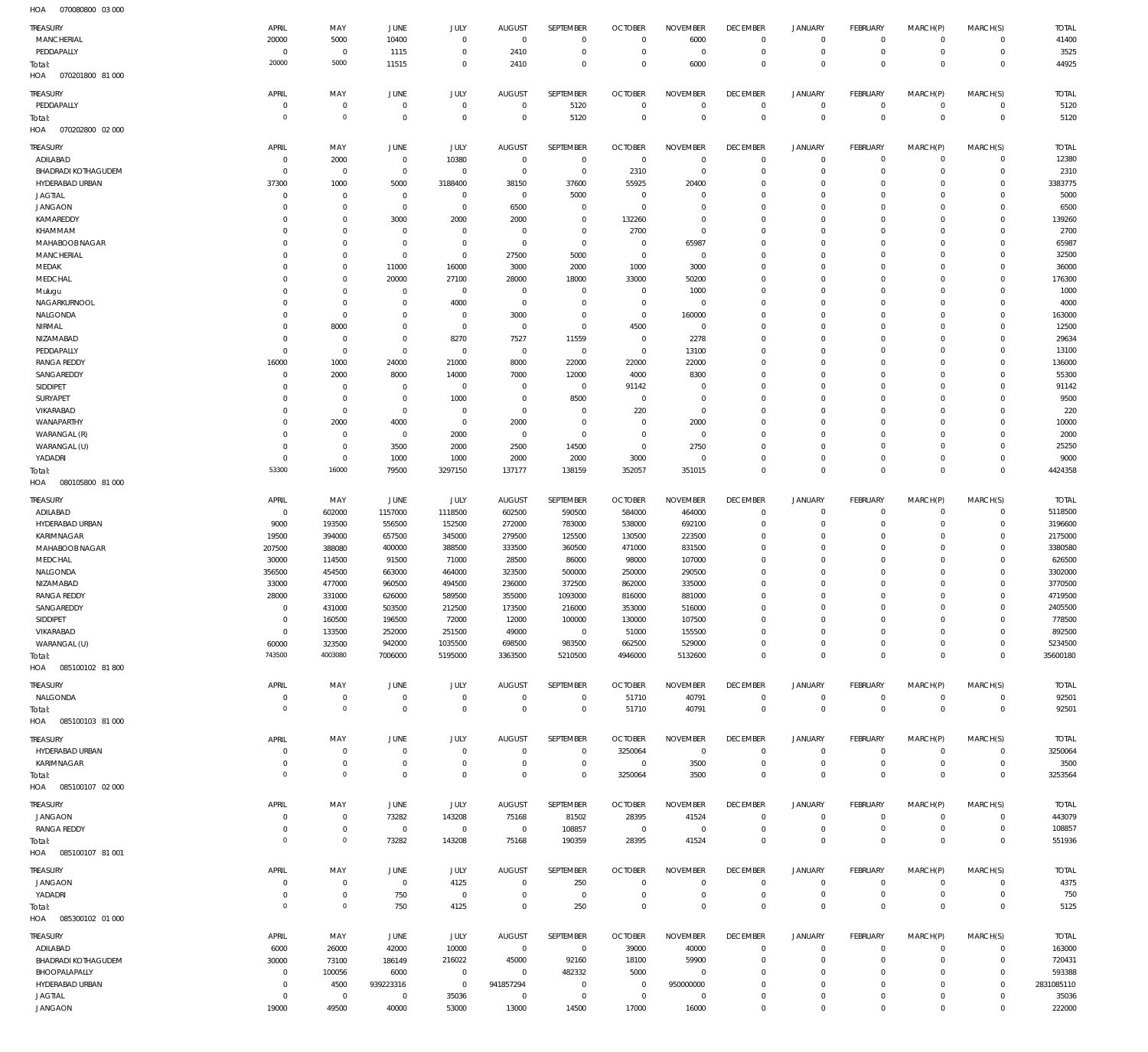070080800 03 000 HOA

| <b>TREASURY</b><br>MANCHERIAL                   | APRIL<br>20000          | MAY<br>5000            | JUNE<br>10400            | JULY<br>$\mathbf 0$        | <b>AUGUST</b><br>$\mathbf 0$  | SEPTEMBER<br>$\mathbf 0$   | <b>OCTOBER</b><br>$\circ$        | <b>NOVEMBER</b><br>6000    | <b>DECEMBER</b><br>$\mathbf 0$   | <b>JANUARY</b><br>$\mathsf{O}\xspace$ | <b>FEBRUARY</b><br>$\overline{0}$ | MARCH(P)<br>$\mathbf 0$    | MARCH(S)<br>$\circ$              | <b>TOTAL</b><br>41400 |
|-------------------------------------------------|-------------------------|------------------------|--------------------------|----------------------------|-------------------------------|----------------------------|----------------------------------|----------------------------|----------------------------------|---------------------------------------|-----------------------------------|----------------------------|----------------------------------|-----------------------|
| PEDDAPALLY<br>Total:<br>HOA<br>070201800 81 000 | 0<br>20000              | $\,0\,$<br>5000        | 1115<br>11515            | $\mathbf 0$<br>$\mathbf 0$ | 2410<br>2410                  | $\mathbf 0$<br>$\mathbf 0$ | 0<br>$\mathbf 0$                 | $\circ$<br>6000            | $\overline{0}$<br>$\overline{0}$ | $\mathsf{O}\xspace$<br>$\mathbb O$    | $\overline{0}$<br>$\overline{0}$  | $\mathbf 0$<br>$\mathbf 0$ | $\overline{0}$<br>$\overline{0}$ | 3525<br>44925         |
| TREASURY                                        | APRIL                   | MAY                    | JUNE                     | JULY                       | <b>AUGUST</b>                 | SEPTEMBER                  | <b>OCTOBER</b>                   | <b>NOVEMBER</b>            | <b>DECEMBER</b>                  | <b>JANUARY</b>                        | <b>FEBRUARY</b>                   | MARCH(P)                   | MARCH(S)                         | <b>TOTAL</b>          |
| PEDDAPALLY                                      | $\Omega$                | $\,0\,$                | $\mathbf 0$              | $\mathbf 0$                | $^{\circ}$                    | 5120                       | $\mathbf 0$                      | $\mathbf 0$                | $\mathbf 0$                      | $\mathbf 0$                           | $\overline{0}$                    | $\mathbf 0$                | $\mathbf{0}$                     | 5120                  |
| Total:<br>HOA<br>070202800 02 000               | $\Omega$                | $\circ$                | $\overline{0}$           | $\mathbf 0$                | $\overline{0}$                | 5120                       | $\mathbf 0$                      | $\mathbf 0$                | $\overline{0}$                   | $\mathbf 0$                           | $\overline{0}$                    | $\mathbf 0$                | $\overline{0}$                   | 5120                  |
| TREASURY                                        | APRIL                   | MAY                    | JUNE                     | JULY                       | <b>AUGUST</b>                 | SEPTEMBER                  | <b>OCTOBER</b>                   | <b>NOVEMBER</b>            | <b>DECEMBER</b>                  | <b>JANUARY</b>                        | <b>FEBRUARY</b>                   | MARCH(P)                   | MARCH(S)                         | <b>TOTAL</b>          |
| ADILABAD<br><b>BHADRADI KOTHAGUDEM</b>          | C<br>0                  | 2000<br>$\,0\,$        | $\mathbf 0$<br>$\,0\,$   | 10380<br>$\mathbf 0$       | $\overline{0}$<br>$\mathbf 0$ | $\mathbf 0$<br>$\mathbf 0$ | $\circ$<br>2310                  | 0<br>$\mathbf 0$           | $\overline{0}$<br>$\mathbf 0$    | 0<br>$\mathsf{O}\xspace$              | $\overline{0}$<br>$\overline{0}$  | $\mathbf 0$<br>$\mathbf 0$ | $\circ$<br>$\circ$               | 12380<br>2310         |
| HYDERABAD URBAN                                 | 37300                   | 1000                   | 5000                     | 3188400                    | 38150                         | 37600                      | 55925                            | 20400                      | $^{\circ}$                       | $\mathbf 0$                           | $\mathbf 0$                       | $\Omega$                   | $\mathbf 0$                      | 3383775               |
| <b>JAGTIAL</b>                                  | $^{\circ}$              | $\,0\,$                | $^{\circ}$               | $\mathbf 0$                | $\mathbf 0$                   | 5000                       | $\overline{0}$                   | 0                          | $^{\circ}$                       | $\mathbf 0$                           | $\mathbf 0$                       | $\Omega$                   | $\mathbf{0}$                     | 5000                  |
| <b>JANGAON</b><br>KAMAREDDY                     | -C<br>$\Omega$          | $\,0\,$<br>$\mathbf 0$ | $\mathbf 0$<br>3000      | $\mathbf 0$<br>2000        | 6500<br>2000                  | $\mathbf 0$<br>$\mathbf 0$ | $\overline{0}$<br>132260         | $^{\circ}$<br>$\mathbf 0$  | $^{\circ}$<br>$^{\circ}$         | $\mathbf 0$<br>$\mathbf 0$            | $\mathbf 0$<br>$\mathbf 0$        | $\Omega$<br>$\Omega$       | $\mathbf 0$<br>$\mathbf{0}$      | 6500<br>139260        |
| KHAMMAM                                         | $\Omega$                | $\,0\,$                | $\mathbf 0$              | $\mathbf 0$                | $^{\circ}$                    | $\mathbf 0$                | 2700                             | $\mathbf 0$                | $^{\circ}$                       | $\mathbf 0$                           | $\mathbf 0$                       | $\Omega$                   | $\mathbf 0$                      | 2700                  |
| MAHABOOB NAGAR                                  | $\Omega$                | $\mathbf 0$            | $^{\circ}$               | $\mathbf 0$                | $^{\circ}$                    | $\mathbf 0$                | $\overline{0}$                   | 65987                      | $^{\circ}$                       | $\mathbf 0$                           | $\mathbf 0$                       | $\Omega$                   | $\mathbf 0$                      | 65987                 |
| <b>MANCHERIAL</b>                               | $\Omega$                | $\,0\,$                | $\overline{0}$           | $\mathbf 0$                | 27500                         | 5000                       | $\overline{0}$                   | $\mathbf 0$                | $^{\circ}$                       | $\mathbf 0$                           | $\mathbf 0$                       | $\mathbf 0$                | $\mathbf{0}$                     | 32500                 |
| MEDAK<br>MEDCHAL                                | $\Omega$<br>$\Omega$    | $\mathbf 0$<br>$\,0\,$ | 11000<br>20000           | 16000<br>27100             | 3000<br>28000                 | 2000<br>18000              | 1000<br>33000                    | 3000<br>50200              | $^{\circ}$<br>$^{\circ}$         | $\mathbf 0$<br>$\mathbf 0$            | $\mathbf 0$<br>$\mathbf 0$        | $\Omega$<br>$\Omega$       | $\mathbf 0$<br>$\mathbf{0}$      | 36000<br>176300       |
| Mulugu                                          | $\Omega$                | $\mathbf 0$            | $\mathbf 0$              | $\mathbf 0$                | $\mathbf 0$                   | $\mathbf 0$                | $\overline{0}$                   | 1000                       | $^{\circ}$                       | $\mathbf 0$                           | $\mathbf 0$                       | $\Omega$                   | $\mathbf 0$                      | 1000                  |
| NAGARKURNOOL                                    | $\Omega$                | $\,0\,$                | $^{\circ}$               | 4000                       | $^{\circ}$                    | $\mathbf 0$                | $\overline{0}$                   | $^{\circ}$                 | $^{\circ}$                       | $\mathbf 0$                           | $\mathbf 0$                       | $\Omega$                   | $\mathbf 0$                      | 4000                  |
| NALGONDA<br>NIRMAL                              | $\Omega$<br>$\Omega$    | $\,0\,$<br>8000        | $^{\circ}$<br>$^{\circ}$ | $\mathbf 0$<br>$\mathbf 0$ | 3000<br>$\mathbf 0$           | $\mathbf 0$<br>$\mathbf 0$ | $\,0\,$<br>4500                  | 160000<br>$\mathbf 0$      | $^{\circ}$<br>$^{\circ}$         | $\mathbf 0$<br>$\mathbf 0$            | $\mathbf 0$<br>$\mathbf 0$        | $\Omega$<br>$\Omega$       | $\mathbf 0$<br>$\mathbf 0$       | 163000<br>12500       |
| NIZAMABAD                                       | -0                      | $\,0\,$                | $^{\circ}$               | 8270                       | 7527                          | 11559                      | $\overline{0}$                   | 2278                       | $^{\circ}$                       | $\mathbf 0$                           | $\mathbf 0$                       | $\Omega$                   | $\mathbf{0}$                     | 29634                 |
| PEDDAPALLY                                      | $\Omega$                | $\,0\,$                | $^{\circ}$               | $\mathbf 0$                | $\overline{0}$                | $\mathbf 0$                | $\overline{0}$                   | 13100                      | $^{\circ}$                       | $\mathbf 0$                           | $\mathbf 0$                       | $\Omega$                   | $\mathbf 0$                      | 13100                 |
| <b>RANGA REDDY</b>                              | 16000                   | 1000                   | 24000                    | 21000                      | 8000                          | 22000                      | 22000                            | 22000                      | $^{\circ}$                       | $\mathbf 0$                           | $\mathbf 0$                       | $\Omega$                   | $\mathbf 0$                      | 136000                |
| SANGAREDDY<br>SIDDIPET                          | $^{\circ}$<br>-C        | 2000<br>$\,0\,$        | 8000<br>$^{\circ}$       | 14000<br>$\mathbf 0$       | 7000<br>$^{\circ}$            | 12000<br>$\mathbf 0$       | 4000<br>91142                    | 8300<br>$^{\circ}$         | $^{\circ}$<br>$^{\circ}$         | $\mathbf 0$<br>$\mathbf 0$            | $\mathbf 0$<br>$\mathbf 0$        | $\Omega$<br>$\Omega$       | $\mathbf 0$<br>$\mathbf 0$       | 55300<br>91142        |
| SURYAPET                                        | $\Omega$                | $\,0\,$                | $^{\circ}$               | 1000                       | $^{\circ}$                    | 8500                       | $\overline{0}$                   | $\mathbf 0$                | $^{\circ}$                       | $\mathbf 0$                           | $\mathbf 0$                       | $\Omega$                   | $\mathbf 0$                      | 9500                  |
| VIKARABAD                                       | $\Omega$                | $\,0\,$                | $\mathbf 0$              | $\mathbf{0}$               | $^{\circ}$                    | $\mathbf 0$                | 220                              | $\mathbf 0$                | $^{\circ}$                       | $\mathbf 0$                           | $\mathbf 0$                       | $\Omega$                   | $\mathbf 0$                      | 220                   |
| WANAPARTHY                                      | $\Omega$                | 2000                   | 4000                     | $\mathbf 0$                | 2000                          | $\mathbf 0$                | $\overline{0}$                   | 2000                       | $^{\circ}$                       | $\mathbf 0$                           | $\mathbf 0$                       | $\Omega$                   | $\mathbf 0$                      | 10000                 |
| WARANGAL (R)<br>WARANGAL (U)                    | -C<br>$\Omega$          | $\,0\,$<br>$\,0\,$     | $\mathbf 0$<br>3500      | 2000<br>2000               | $\mathbf 0$<br>2500           | $\mathbf 0$<br>14500       | $\overline{0}$<br>$\overline{0}$ | $\mathbf 0$<br>2750        | $^{\circ}$<br>$^{\circ}$         | $\mathbf 0$<br>$\mathbf 0$            | $\mathbf 0$<br>$\mathbf 0$        | $\Omega$<br>$\Omega$       | $\mathbf 0$<br>$\mathbf{0}$      | 2000<br>25250         |
| YADADRI                                         | $^{\circ}$              | $\,0\,$                | 1000                     | 1000                       | 2000                          | 2000                       | 3000                             | $^{\circ}$                 | $\mathbf 0$                      | $\mathbf 0$                           | $\mathbf 0$                       | $\mathbf 0$                | $\mathbf{0}$                     | 9000                  |
| Total:<br>HOA<br>080105800 81 000               | 53300                   | 16000                  | 79500                    | 3297150                    | 137177                        | 138159                     | 352057                           | 351015                     | $\mathbf 0$                      | $\mathbf 0$                           | $\mathbf 0$                       | $\mathbf 0$                | $\overline{0}$                   | 4424358               |
| TREASURY                                        | APRIL                   | MAY                    | JUNE                     | JULY                       | <b>AUGUST</b>                 | SEPTEMBER                  | <b>OCTOBER</b>                   | <b>NOVEMBER</b>            | <b>DECEMBER</b>                  | <b>JANUARY</b>                        | <b>FEBRUARY</b>                   | MARCH(P)                   | MARCH(S)                         | <b>TOTAL</b>          |
| ADILABAD                                        | $\overline{0}$          | 602000                 | 1157000                  | 1118500                    | 602500                        | 590500                     | 584000                           | 464000                     | $\mathbf 0$                      | $\mathbf 0$                           | $\mathbf 0$                       | $\mathbf 0$                | $\circ$                          | 5118500               |
| HYDERABAD URBAN                                 | 9000                    | 193500                 | 556500                   | 152500                     | 272000                        | 783000                     | 538000                           | 692100                     | $^{\circ}$                       | $\mathbf 0$                           | $^{\circ}$                        | $\Omega$                   | $\mathbf 0$                      | 3196600               |
| KARIMNAGAR<br>MAHABOOB NAGAR                    | 19500<br>207500         | 394000<br>388080       | 657500<br>400000         | 345000<br>388500           | 279500<br>333500              | 125500<br>360500           | 130500<br>471000                 | 223500<br>831500           | $^{\circ}$<br>0                  | $\mathbf 0$<br>$\mathbf 0$            | $^{\circ}$<br>$\mathbf 0$         | $\Omega$<br>$\Omega$       | $\mathbf{0}$<br>$\circ$          | 2175000<br>3380580    |
| MEDCHAL                                         | 30000                   | 114500                 | 91500                    | 71000                      | 28500                         | 86000                      | 98000                            | 107000                     | $\Omega$                         | $\mathbf 0$                           | $\Omega$                          | $\Omega$                   | $\mathbf 0$                      | 626500                |
| NALGONDA                                        | 356500                  | 454500                 | 663000                   | 464000                     | 323500                        | 500000                     | 250000                           | 290500                     | $\Omega$                         | $\mathbf 0$                           | $\mathbf 0$                       | $\Omega$                   | $\mathbf 0$                      | 3302000               |
| NIZAMABAD                                       | 33000                   | 477000                 | 960500                   | 494500                     | 236000                        | 372500                     | 862000                           | 335000                     | $\Omega$<br>$\Omega$             | $\Omega$<br>$\Omega$                  | $\Omega$<br>$\Omega$              | $\Omega$<br>$\Omega$       | $\mathbf 0$<br>$\mathbf 0$       | 3770500               |
| <b>RANGA REDDY</b><br>SANGAREDDY                | 28000<br>$\Omega$       | 331000<br>431000       | 626000<br>503500         | 589500<br>212500           | 355000<br>173500              | 1093000<br>216000          | 816000<br>353000                 | 881000<br>516000           | $\Omega$                         | $\mathsf{O}\xspace$                   | $\Omega$                          | $\mathsf{O}\xspace$        | $\mathbf 0$                      | 4719500<br>2405500    |
| SIDDIPET                                        | $\mathbf 0$             | 160500                 | 196500                   | 72000                      | 12000                         | 100000                     | 130000                           | 107500                     | $^{\circ}$                       | $\mathbf 0$                           | $\mathbf 0$                       | $\Omega$                   | $\mathbf 0$                      | 778500                |
| VIKARABAD                                       | $^{\circ}$              | 133500                 | 252000                   | 251500                     | 49000                         | $\mathbf 0$                | 51000                            | 155500                     | $\mathbf 0$                      | $\mathbf 0$                           | $\mathbf 0$                       | $\Omega$                   | $\mathbf 0$                      | 892500                |
| WARANGAL (U)<br>Total:                          | 60000<br>743500         | 323500<br>4003080      | 942000<br>7006000        | 1035500<br>5195000         | 698500<br>3363500             | 983500<br>5210500          | 662500<br>4946000                | 529000<br>5132600          | $\mathbf 0$<br>$\mathbf 0$       | $\mathbf 0$<br>$\mathbf 0$            | $\mathbf 0$<br>$\mathbf{0}$       | $\mathbf 0$<br>$\mathbf 0$ | $\mathbf 0$<br>$\mathbf 0$       | 5234500<br>35600180   |
| HOA<br>085100102 81 800                         |                         |                        |                          |                            |                               |                            |                                  |                            |                                  |                                       |                                   |                            |                                  |                       |
| TREASURY                                        | APRIL                   | MAY                    | JUNE                     | JULY                       | <b>AUGUST</b>                 | SEPTEMBER                  | <b>OCTOBER</b>                   | <b>NOVEMBER</b>            | <b>DECEMBER</b>                  | JANUARY                               | FEBRUARY                          | MARCH(P)                   | MARCH(S)                         | <b>TOTAL</b>          |
| NALGONDA                                        | 0                       | $\,0\,$                | $\,0\,$                  | $\mathbf 0$                | $\mathbf{0}$                  | $\mathbf 0$                | 51710                            | 40791                      | $\overline{0}$                   | $\mathbf 0$                           | $\overline{0}$                    | $\overline{0}$             | $\overline{0}$                   | 92501                 |
| Total:<br>HOA<br>085100103 81 000               | $\Omega$                | $\mathbb O$            | $\mathbb O$              | $\mathbf 0$                | $\mathbf 0$                   | $\mathsf 0$                | 51710                            | 40791                      | $\mathbf 0$                      | $\mathbf 0$                           | $\overline{0}$                    | $\mathbf 0$                | $\overline{0}$                   | 92501                 |
| <b>TREASURY</b>                                 | APRIL                   | MAY                    | <b>JUNE</b>              | JULY                       | <b>AUGUST</b>                 | <b>SEPTEMBER</b>           | <b>OCTOBER</b>                   | <b>NOVEMBER</b>            | <b>DECEMBER</b>                  | <b>JANUARY</b>                        | <b>FEBRUARY</b>                   | MARCH(P)                   | MARCH(S)                         | <b>TOTAL</b>          |
| HYDERABAD URBAN                                 | 0                       | $\,0\,$                | $\mathbb O$              | $\mathbf 0$                | $\mathbf 0$                   | $\mathbf 0$                | 3250064                          | $\mathbf 0$                | $\mathbb O$                      | $\mathsf{O}\xspace$                   | $\overline{0}$                    | $\mathbf 0$                | $\mathbf{0}$                     | 3250064               |
| KARIMNAGAR<br>Total:<br>HOA<br>085100107 02 000 | $\mathbf 0$<br>$\Omega$ | $\,0\,$<br>$\circ$     | $\,0\,$<br>$\mathbb O$   | $\mathbf 0$<br>$\mathbf 0$ | $^{\circ}$<br>$^{\circ}$      | $\mathbf 0$<br>$\mathbf 0$ | $\overline{0}$<br>3250064        | 3500<br>3500               | $\mathbf 0$<br>$\mathbf 0$       | $\mathsf{O}\xspace$<br>$\mathbf 0$    | $\overline{0}$<br>$\overline{0}$  | $\mathbf 0$<br>$\mathbf 0$ | $\circ$<br>$\mathbf 0$           | 3500<br>3253564       |
| TREASURY                                        | APRIL                   | MAY                    | JUNE                     | JULY                       | <b>AUGUST</b>                 | SEPTEMBER                  | <b>OCTOBER</b>                   | <b>NOVEMBER</b>            | <b>DECEMBER</b>                  | <b>JANUARY</b>                        | <b>FEBRUARY</b>                   | MARCH(P)                   | MARCH(S)                         | <b>TOTAL</b>          |
| <b>JANGAON</b>                                  | $^{\circ}$              | $\,0\,$                | 73282                    | 143208                     | 75168                         | 81502                      | 28395                            | 41524                      | $\mathbf 0$                      | $\mathbf 0$                           | $\overline{0}$                    | $\mathbf 0$                | $\overline{0}$                   | 443079                |
| <b>RANGA REDDY</b>                              | 0                       | $\,0\,$                | $\,0\,$                  | $\mathbf 0$                | $\mathbf 0$                   | 108857                     | $\overline{0}$                   | $\overline{0}$             | $\mathbf 0$                      | $\mathsf{O}\xspace$                   | $\overline{0}$                    | $\mathbf 0$                | $\overline{0}$                   | 108857                |
| Total:<br>HOA<br>085100107 81 001               | $\Omega$                | $\circ$                | 73282                    | 143208                     | 75168                         | 190359                     | 28395                            | 41524                      | $\mathbf 0$                      | $\mathbb O$                           | $\overline{0}$                    | $\mathbf 0$                | $\overline{0}$                   | 551936                |
| TREASURY                                        | APRIL                   | MAY                    | JUNE                     | JULY                       | <b>AUGUST</b>                 | SEPTEMBER                  | <b>OCTOBER</b>                   | <b>NOVEMBER</b>            | <b>DECEMBER</b>                  | <b>JANUARY</b>                        | <b>FEBRUARY</b>                   | MARCH(P)                   | MARCH(S)                         | <b>TOTAL</b>          |
| <b>JANGAON</b>                                  | $^{\circ}$              | $\,0\,$                | $\,0\,$                  | 4125                       | $\mathbf 0$                   | 250                        | $^{\circ}$                       | $^{\circ}$                 | $^{\circ}$                       | $\mathsf{O}\xspace$                   | $\overline{0}$                    | $\mathbf 0$                | $\circ$                          | 4375                  |
| YADADRI<br>Total:                               | $\Omega$<br>$\Omega$    | $\,0\,$<br>$\circ$     | 750<br>750               | $\mathbf 0$<br>4125        | $^{\circ}$<br>$\mathbf{0}$    | $\mathbf 0$<br>250         | $^{\circ}$<br>$\mathbf 0$        | $\mathbf 0$<br>$\mathbf 0$ | $\mathbf 0$<br>$\mathbf 0$       | $\mathbf 0$<br>$\mathbf 0$            | $\overline{0}$<br>$\overline{0}$  | $\mathbf 0$<br>$\mathbf 0$ | $\circ$<br>$\mathbf 0$           | 750<br>5125           |
| HOA<br>085300102 01 000                         |                         |                        |                          |                            |                               |                            |                                  |                            |                                  |                                       |                                   |                            |                                  |                       |
| <b>TREASURY</b>                                 | APRIL                   | MAY                    | JUNE                     | JULY                       | <b>AUGUST</b>                 | SEPTEMBER                  | <b>OCTOBER</b>                   | <b>NOVEMBER</b>            | <b>DECEMBER</b>                  | <b>JANUARY</b>                        | <b>FEBRUARY</b>                   | MARCH(P)                   | MARCH(S)                         | <b>TOTAL</b>          |
| ADILABAD<br><b>BHADRADI KOTHAGUDEM</b>          | 6000<br>30000           | 26000<br>73100         | 42000<br>186149          | 10000<br>216022            | $\mathbf 0$<br>45000          | $\overline{0}$<br>92160    | 39000<br>18100                   | 40000<br>59900             | $\mathbf 0$<br>$\mathbf 0$       | 0<br>$\mathsf{O}\xspace$              | $\overline{0}$<br>$\overline{0}$  | $\mathbf 0$<br>$\mathbf 0$ | $\circ$<br>$\overline{0}$        | 163000<br>720431      |
| BHOOPALAPALLY                                   | $\mathbf 0$             | 100056                 | 6000                     | $\mathbf 0$                | $\mathbf 0$                   | 482332                     | 5000                             | $\mathbf 0$                | $\mathbf 0$                      | $\mathsf{O}\xspace$                   | $\mathbf 0$                       | $\mathbf 0$                | $\overline{0}$                   | 593388                |
| HYDERABAD URBAN                                 | - 0                     | 4500                   | 939223316                | $\mathbf 0$                | 941857294                     | $\mathbf 0$                | $\overline{0}$                   | 950000000                  | $\mathbf 0$                      | $\mathbf 0$                           | $\mathbf 0$                       | $\mathbf 0$                | $\overline{0}$                   | 2831085110            |
| <b>JAGTIAL</b><br><b>JANGAON</b>                | $\overline{0}$<br>19000 | $\,0\,$<br>49500       | $\mathbf 0$<br>40000     | 35036<br>53000             | $\mathbf 0$<br>13000          | $\mathbf 0$<br>14500       | $\overline{0}$<br>17000          | $\mathbf 0$<br>16000       | $\mathbf 0$<br>$\mathbb O$       | $\mathsf{O}\xspace$<br>$\mathbf 0$    | $\overline{0}$<br>$\overline{0}$  | $\mathbf 0$<br>$\mathbf 0$ | $\overline{0}$<br>$\circ$        | 35036<br>222000       |
|                                                 |                         |                        |                          |                            |                               |                            |                                  |                            |                                  |                                       |                                   |                            |                                  |                       |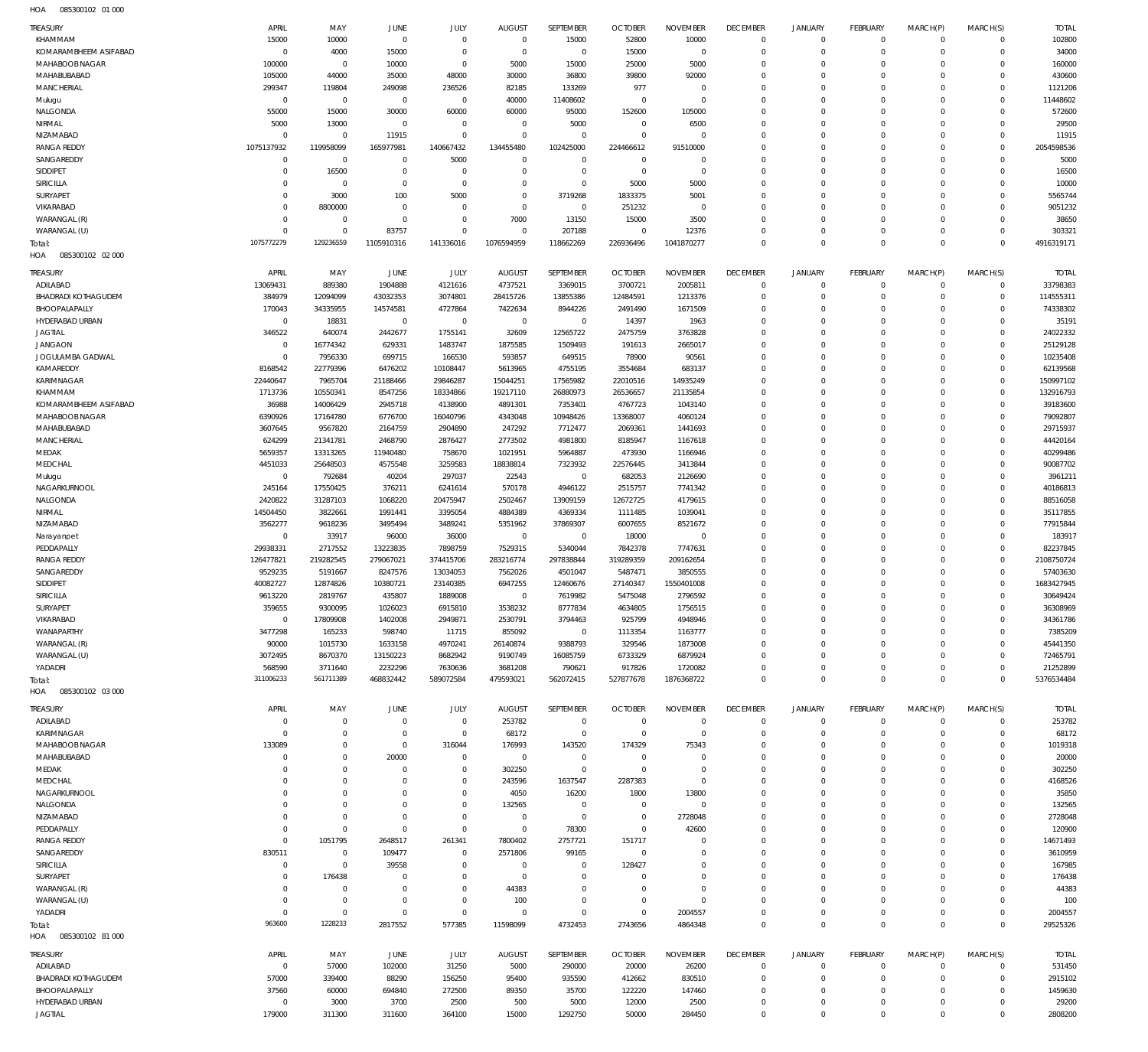| TREASURY                             | APRIL                    | MAY                          | JUNE                        | JULY                       | <b>AUGUST</b>              | SEPTEMBER                   | <b>OCTOBER</b>                | <b>NOVEMBER</b>            | <b>DECEMBER</b>            | <b>JANUARY</b>             | <b>FEBRUARY</b>               | MARCH(P)             | MARCH(S)                    | <b>TOTAL</b>          |
|--------------------------------------|--------------------------|------------------------------|-----------------------------|----------------------------|----------------------------|-----------------------------|-------------------------------|----------------------------|----------------------------|----------------------------|-------------------------------|----------------------|-----------------------------|-----------------------|
| KHAMMAM                              | 15000                    | 10000                        | $\mathbf{0}$                | $\mathbf 0$                | $\mathbf{0}$               | 15000                       | 52800                         | 10000                      | $\mathbf 0$                | $\mathbf 0$                | $\overline{0}$                | $\mathbf 0$          | $\mathbf{0}$                | 102800                |
| KOMARAMBHEEM ASIFABAD                | $\mathbf 0$              | 4000                         | 15000                       | $\mathbf 0$                | $\mathbf 0$                | $\mathbf 0$                 | 15000                         | $\mathbf 0$                | $\mathbf 0$                | $\mathbf 0$                | $\overline{0}$                | $\Omega$             | $\mathbf{0}$                | 34000                 |
| MAHABOOB NAGAR<br>MAHABUBABAD        | 100000<br>105000         | $\circ$<br>44000             | 10000<br>35000              | $\mathbf 0$<br>48000       | 5000<br>30000              | 15000<br>36800              | 25000<br>39800                | 5000<br>92000              | $\mathbf 0$<br>$\mathbf 0$ | $\mathbf 0$<br>$\mathbf 0$ | $\mathbf 0$<br>$\Omega$       | $\Omega$<br>$\Omega$ | $\mathbf 0$<br>$\mathbf 0$  | 160000<br>430600      |
| MANCHERIAL                           | 299347                   | 119804                       | 249098                      | 236526                     | 82185                      | 133269                      | 977                           | $^{\circ}$                 | $\mathbf 0$                | $\mathbf 0$                | $\Omega$                      | $\Omega$             | $\mathbf 0$                 | 1121206               |
| Mulugu                               | $\mathbf 0$              | $\mathbf 0$                  | $\mathbf 0$                 | $\mathbf 0$                | 40000                      | 11408602                    | $\overline{0}$                | $\mathbf 0$                | $\mathbf 0$                | $\mathbf 0$                | $\Omega$                      | $\Omega$             | $\mathbf 0$                 | 11448602              |
| NALGONDA                             | 55000                    | 15000                        | 30000                       | 60000                      | 60000                      | 95000                       | 152600                        | 105000                     | $\mathbf 0$                | $\mathbf 0$                | $\Omega$                      | $\Omega$             | $\mathbf 0$                 | 572600                |
| NIRMAL                               | 5000                     | 13000                        | $\mathbf 0$                 | $\mathbf 0$                | $\mathbf 0$                | 5000                        | $\mathbf 0$                   | 6500                       | $\mathbf 0$                | $\mathbf 0$                | $\Omega$                      | $\Omega$             | $\mathbf 0$                 | 29500                 |
| NIZAMABAD<br><b>RANGA REDDY</b>      | $^{\circ}$<br>1075137932 | $\mathbf 0$<br>119958099     | 11915<br>165977981          | $\mathbf 0$<br>140667432   | $\mathbf 0$<br>134455480   | $\mathbf 0$<br>102425000    | $\overline{0}$<br>224466612   | $\mathbf 0$<br>91510000    | $\mathbf 0$<br>$\mathbf 0$ | $\mathbf 0$<br>$\mathbf 0$ | $\Omega$<br>$\Omega$          | $\Omega$<br>$\Omega$ | $\mathbf 0$<br>$\circ$      | 11915<br>2054598536   |
| SANGAREDDY                           | $\mathbf 0$              | $\mathbf 0$                  | $\circ$                     | 5000                       | $\mathbf 0$                | $\mathbf 0$                 | $\overline{0}$                | $^{\circ}$                 | $\mathbf 0$                | $\mathbf 0$                | $\mathbf 0$                   | $\Omega$             | $\mathbf 0$                 | 5000                  |
| SIDDIPET                             | $\mathbf 0$              | 16500                        | $\mathbf{0}$                | $\mathbf 0$                | $\mathbf 0$                | $\mathbf 0$                 | $\overline{0}$                | $\mathbf 0$                | $\Omega$                   | $\mathbf 0$                | $\Omega$                      | $\Omega$             | $\Omega$                    | 16500                 |
| SIRICILLA                            | 0                        | $\mathbf 0$                  | $\mathbf 0$                 | $\mathbf 0$                | 0                          | $\mathbf 0$                 | 5000                          | 5000                       | $\mathbf 0$                | $\mathbf 0$                | $\mathbf 0$                   | $\Omega$             | $\mathbf 0$                 | 10000                 |
| SURYAPET                             | 0                        | 3000                         | 100                         | 5000                       | $\mathbf 0$                | 3719268                     | 1833375                       | 5001                       | $\mathbf 0$                | $\mathbf 0$                | $\Omega$                      | $\Omega$             | $\Omega$                    | 5565744               |
| <b>VIKARABAD</b><br>WARANGAL (R)     | $\mathbf 0$<br>0         | 8800000<br>$\mathbf 0$       | $\mathbf 0$<br>$\mathbf{0}$ | $\mathbf 0$<br>$\mathbf 0$ | $\mathbf 0$<br>7000        | $\mathbf 0$<br>13150        | 251232<br>15000               | $^{\circ}$<br>3500         | $\mathbf 0$<br>$\mathbf 0$ | $\mathbf 0$<br>$\mathbf 0$ | $\mathbf 0$<br>$\Omega$       | $\Omega$<br>$\Omega$ | $\mathbf 0$<br>$\Omega$     | 9051232<br>38650      |
| WARANGAL (U)                         | $\mathbf 0$              | $\mathbf 0$                  | 83757                       | $\mathbf 0$                | $\mathbf 0$                | 207188                      | $\mathbf 0$                   | 12376                      | $\mathbf 0$                | $\mathbf 0$                | $\mathbf 0$                   | $\Omega$             | $\mathbf{0}$                | 303321                |
| Total:                               | 1075772279               | 129236559                    | 1105910316                  | 141336016                  | 1076594959                 | 118662269                   | 226936496                     | 1041870277                 | $\mathbf 0$                | $\mathbf 0$                | $\Omega$                      | $\Omega$             | $\Omega$                    | 4916319171            |
| HOA<br>085300102 02 000              |                          |                              |                             |                            |                            |                             |                               |                            |                            |                            |                               |                      |                             |                       |
| TREASURY                             | APRIL                    | MAY                          | JUNE                        | JULY                       | <b>AUGUST</b>              | SEPTEMBER                   | <b>OCTOBER</b>                | <b>NOVEMBER</b>            | <b>DECEMBER</b>            | <b>JANUARY</b>             | FEBRUARY                      | MARCH(P)             | MARCH(S)                    | <b>TOTAL</b>          |
| ADILABAD                             | 13069431                 | 889380                       | 1904888                     | 4121616                    | 4737521                    | 3369015                     | 3700721                       | 2005811                    | $\mathbf 0$                | $\mathbf 0$                | $\overline{0}$                | $\mathbf 0$          | $\mathbf{0}$                | 33798383              |
| BHADRADI KOTHAGUDEM                  | 384979                   | 12094099                     | 43032353                    | 3074801                    | 28415726                   | 13855386                    | 12484591                      | 1213376                    | $\mathbf 0$                | $\mathbf 0$                | $\overline{0}$                | $\mathbf 0$          | $\mathbf{0}$                | 114555311             |
| BHOOPALAPALLY<br>HYDERABAD URBAN     | 170043<br>$\mathbf 0$    | 34335955                     | 14574581<br>$^{\circ}$      | 4727864<br>$\mathbf 0$     | 7422634                    | 8944226<br>$^{\circ}$       | 2491490                       | 1671509                    | $\mathbf 0$<br>$\mathbf 0$ | $\mathbf 0$<br>$\mathbf 0$ | $\mathbf 0$<br>$\mathbf 0$    | $\Omega$<br>$\Omega$ | $\mathbf 0$<br>$\mathbf{0}$ | 74338302<br>35191     |
| <b>JAGTIAL</b>                       | 346522                   | 18831<br>640074              | 2442677                     | 1755141                    | 0<br>32609                 | 12565722                    | 14397<br>2475759              | 1963<br>3763828            | $\mathbf 0$                | $\mathbf 0$                | $\Omega$                      | $\Omega$             | $\mathbf 0$                 | 24022332              |
| <b>JANGAON</b>                       | $\mathbf 0$              | 16774342                     | 629331                      | 1483747                    | 1875585                    | 1509493                     | 191613                        | 2665017                    | $\mathbf 0$                | $\mathbf 0$                | $\Omega$                      | $\Omega$             | $\mathbf 0$                 | 25129128              |
| JOGULAMBA GADWAL                     | $\mathbf 0$              | 7956330                      | 699715                      | 166530                     | 593857                     | 649515                      | 78900                         | 90561                      | $\mathbf 0$                | $\mathbf 0$                | $\mathbf 0$                   | $\Omega$             | $\mathbf 0$                 | 10235408              |
| KAMAREDDY                            | 8168542                  | 22779396                     | 6476202                     | 10108447                   | 5613965                    | 4755195                     | 3554684                       | 683137                     | $\mathbf 0$                | $\mathbf 0$                | $\Omega$                      | $\Omega$             | $\mathbf 0$                 | 62139568              |
| KARIMNAGAR                           | 22440647                 | 7965704                      | 21188466                    | 29846287                   | 15044251                   | 17565982                    | 22010516                      | 14935249                   | $\mathbf 0$                | $\mathbf 0$                | $\mathbf 0$                   | $\Omega$             | $\mathbf 0$                 | 150997102             |
| KHAMMAM<br>KOMARAMBHEEM ASIFABAD     | 1713736<br>36988         | 10550341<br>14006429         | 8547256<br>2945718          | 18334866<br>4138900        | 19217110<br>4891301        | 26880973<br>7353401         | 26536657<br>4767723           | 21135854<br>1043140        | $\mathbf 0$<br>$\mathbf 0$ | $\mathbf 0$<br>$\mathbf 0$ | $\Omega$<br>$\mathbf 0$       | $\Omega$<br>$\Omega$ | $\circ$<br>$\mathbf 0$      | 132916793<br>39183600 |
| MAHABOOB NAGAR                       | 6390926                  | 17164780                     | 6776700                     | 16040796                   | 4343048                    | 10948426                    | 13368007                      | 4060124                    | $\mathbf 0$                | $\mathbf 0$                | $\Omega$                      | $\Omega$             | $\mathbf 0$                 | 79092807              |
| MAHABUBABAD                          | 3607645                  | 9567820                      | 2164759                     | 2904890                    | 247292                     | 7712477                     | 2069361                       | 1441693                    | $\mathbf 0$                | $\mathbf 0$                | $\Omega$                      | $\Omega$             | $\mathbf 0$                 | 29715937              |
| MANCHERIAL                           | 624299                   | 21341781                     | 2468790                     | 2876427                    | 2773502                    | 4981800                     | 8185947                       | 1167618                    | $\mathbf 0$                | $\mathbf 0$                | $\mathbf 0$                   | $\Omega$             | $\mathbf 0$                 | 44420164              |
| MEDAK                                | 5659357                  | 13313265                     | 11940480                    | 758670                     | 1021951                    | 5964887                     | 473930                        | 1166946                    | $\mathbf 0$                | $\mathbf 0$                | $\Omega$                      | $\Omega$             | $\Omega$                    | 40299486              |
| MEDCHAL<br>Mulugu                    | 4451033<br>$\mathbf 0$   | 25648503<br>792684           | 4575548<br>40204            | 3259583<br>297037          | 18838814<br>22543          | 7323932<br>$\overline{0}$   | 22576445<br>682053            | 3413844<br>2126690         | $\mathbf 0$<br>$\mathbf 0$ | $\mathbf 0$<br>$\mathbf 0$ | $\mathbf 0$<br>$\Omega$       | $\Omega$<br>$\Omega$ | $\mathbf 0$<br>$\Omega$     | 90087702<br>3961211   |
| NAGARKURNOOL                         | 245164                   | 17550425                     | 376211                      | 6241614                    | 570178                     | 4946122                     | 2515757                       | 7741342                    | $\mathbf 0$                | $\mathbf 0$                | $\mathbf 0$                   | $\Omega$             | $\mathbf 0$                 | 40186813              |
| NALGONDA                             | 2420822                  | 31287103                     | 1068220                     | 20475947                   | 2502467                    | 13909159                    | 12672725                      | 4179615                    | $\mathbf 0$                | $\mathbf 0$                | $\mathbf 0$                   | $\Omega$             | $\mathbf 0$                 | 88516058              |
| NIRMAL                               | 14504450                 | 3822661                      | 1991441                     | 3395054                    | 4884389                    | 4369334                     | 1111485                       | 1039041                    | $\mathbf 0$                | $\mathbf 0$                | $\Omega$                      | $\Omega$             | $\circ$                     | 35117855              |
| NIZAMABAD                            | 3562277                  | 9618236                      | 3495494                     | 3489241                    | 5351962                    | 37869307                    | 6007655                       | 8521672                    | $\mathbf 0$                | $\mathbf 0$                | $\mathbf 0$                   | $\Omega$             | $\mathbf 0$                 | 77915844              |
| Narayanpet<br>PEDDAPALLY             | $\circ$<br>29938331      | 33917<br>2717552             | 96000<br>13223835           | 36000<br>7898759           | $\mathbf 0$<br>7529315     | $\mathbf 0$<br>5340044      | 18000<br>7842378              | $^{\circ}$<br>7747631      | $\mathbf 0$<br>$\mathbf 0$ | $\mathbf 0$<br>$\mathbf 0$ | $\Omega$<br>$\mathbf 0$       | $\Omega$<br>$\Omega$ | $\mathbf 0$<br>$\mathbf{0}$ | 183917<br>82237845    |
| <b>RANGA REDDY</b>                   | 126477821                | 219282545                    | 279067021                   | 374415706                  | 283216774                  | 297838844                   | 319289359                     | 209162654                  | $\mathbf 0$                | $\mathbf 0$                | $\Omega$                      | $\Omega$             | $\circ$                     | 2108750724            |
| SANGAREDDY                           | 9529235                  | 5191667                      | 8247576                     | 13034053                   | 7562026                    | 4501047                     | 5487471                       | 3850555                    | $\mathbf 0$                | $\mathbf 0$                | $\mathbf 0$                   | $\Omega$             | $\mathbf{0}$                | 57403630              |
| SIDDIPET                             | 40082727                 | 12874826                     | 10380721                    | 23140385                   | 6947255                    | 12460676                    | 27140347                      | 1550401008                 | $\mathbf 0$                | $\mathbf 0$                | $\mathbf 0$                   | $\Omega$             | $\mathbf 0$                 | 1683427945            |
| SIRICILLA                            | 9613220                  | 2819767                      | 435807                      | 1889008                    | $^{\circ}$                 | 7619982                     | 5475048                       | 2796592                    | $\Omega$                   | $\Omega$                   | $\Omega$                      | $\Omega$             | $\mathbf 0$                 | 30649424              |
| SURYAPET<br>VIKARABAD                | 359655<br>$\mathbf 0$    | 9300095<br>17809908          | 1026023<br>1402008          | 6915810<br>2949871         | 3538232<br>2530791         | 8777834<br>3794463          | 4634805<br>925799             | 1756515<br>4948946         | $\Omega$<br>$\mathbf 0$    | $\Omega$<br>$\mathbf 0$    | $\Omega$<br>$\mathbf 0$       | $\Omega$<br>$\Omega$ | $\Omega$<br>$\mathbf 0$     | 36308969<br>34361786  |
| WANAPARTHY                           | 3477298                  | 165233                       | 598740                      | 11715                      | 855092                     | $\mathbf 0$                 | 1113354                       | 1163777                    | $\mathbf 0$                | $\mathbf 0$                | $\mathbf 0$                   | $\mathbf 0$          | $\mathbf 0$                 | 7385209               |
| WARANGAL (R)                         | 90000                    | 1015730                      | 1633158                     | 4970241                    | 26140874                   | 9388793                     | 329546                        | 1873008                    | $\mathbf 0$                | 0                          | $\mathbf 0$                   | 0                    | $\mathbf 0$                 | 45441350              |
| WARANGAL (U)                         | 3072495                  | 8670370                      | 13150223                    | 8682942                    | 9190749                    | 16085759                    | 6733329                       | 6879924                    | $\mathbf 0$                | $\mathbf 0$                | $^{\circ}$                    | 0                    | $\mathbf 0$                 | 72465791              |
| YADADRI                              | 568590                   | 3711640                      | 2232296                     | 7630636                    | 3681208                    | 790621                      | 917826                        | 1720082                    | $\mathbf 0$                | $\mathbf 0$                | $^{\circ}$                    | 0                    | $\mathbf 0$                 | 21252899              |
| Total:<br>085300102 03 000           | 311006233                | 561711389                    | 468832442                   | 589072584                  | 479593021                  | 562072415                   | 527877678                     | 1876368722                 | $\mathbf 0$                | $\mathbf 0$                | $\overline{0}$                | $\mathbf 0$          | $\circ$                     | 5376534484            |
| HOA                                  |                          |                              |                             |                            |                            |                             |                               |                            |                            |                            |                               |                      |                             |                       |
| TREASURY                             | APRIL                    | MAY                          | JUNE                        | JULY                       | <b>AUGUST</b>              | SEPTEMBER                   | <b>OCTOBER</b>                | <b>NOVEMBER</b>            | <b>DECEMBER</b>            | <b>JANUARY</b>             | <b>FEBRUARY</b>               | MARCH(P)             | MARCH(S)                    | <b>TOTAL</b>          |
| ADILABAD<br>KARIMNAGAR               | C<br>0                   | $\circ$<br>$\mathbf 0$       | $\mathbf 0$<br>$\mathbf 0$  | $\mathbf 0$<br>$\mathbf 0$ | 253782<br>68172            | $\mathbf 0$<br>$\mathsf{O}$ | $\mathbf 0$<br>$\overline{0}$ | $\mathbf 0$<br>$\mathbf 0$ | $\mathbf 0$<br>$\mathbf 0$ | $\mathbf 0$<br>$\mathbf 0$ | $\overline{0}$<br>$\mathbf 0$ | $\circ$<br>$\circ$   | $\mathbf{0}$<br>$\mathbf 0$ | 253782<br>68172       |
| MAHABOOB NAGAR                       | 133089                   | $\mathsf{O}$                 | $\mathbf 0$                 | 316044                     | 176993                     | 143520                      | 174329                        | 75343                      | $\mathbf 0$                | $\mathbf 0$                | $^{\circ}$                    | $\circ$              | $\mathbf 0$                 | 1019318               |
| MAHABUBABAD                          | $\mathbf 0$              | $\mathbf 0$                  | 20000                       | $\mathbf 0$                | 0                          | 0                           | $\overline{0}$                | $^{\circ}$                 | $\mathbf 0$                | $\mathbf 0$                | $\mathbf 0$                   | 0                    | $\circ$                     | 20000                 |
| MEDAK                                | 0                        | $\mathsf{O}$                 | $\mathbf 0$                 | $\mathbf 0$                | 302250                     | $\mathbf 0$                 | $\overline{0}$                | $^{\circ}$                 | $\mathbf 0$                | $\mathbf 0$                | $\Omega$                      | $\Omega$             | $\mathbf 0$                 | 302250                |
| MEDCHAL                              | 0                        | $\mathbf 0$                  | -0                          | $\mathbf 0$                | 243596                     | 1637547                     | 2287383                       | $\mathbf 0$                | $\mathbf 0$                | $\mathbf 0$                | $\mathbf 0$                   | $\Omega$             | $\circ$                     | 4168526               |
| NAGARKURNOOL<br>NALGONDA             | 0<br>0                   | $\mathsf{O}$<br>$\mathsf{O}$ | $\circ$<br>$\circ$          | $\mathbf 0$<br>$\mathbf 0$ | 4050<br>132565             | 16200<br>$\mathbf 0$        | 1800<br>$\overline{0}$        | 13800<br>$\mathbf 0$       | $\mathbf 0$<br>$\mathbf 0$ | $\mathbf 0$<br>$\mathbf 0$ | $\Omega$<br>$\mathbf 0$       | $\Omega$<br>$\Omega$ | $\Omega$<br>$\circ$         | 35850<br>132565       |
| NIZAMABAD                            | $\mathbf 0$              | $\mathsf{O}$                 | $\mathbf 0$                 | $\mathbf 0$                | $\mathbf 0$                | $\mathbf 0$                 | $\overline{0}$                | 2728048                    | $\mathbf 0$                | $\mathbf 0$                | $\Omega$                      | $\Omega$             | $\mathbf 0$                 | 2728048               |
| PEDDAPALLY                           | $\mathbf 0$              | $\mathsf{O}$                 | $\mathbf 0$                 | $\mathbf 0$                | $\mathbf 0$                | 78300                       | $\mathbf{0}$                  | 42600                      | $\mathbf 0$                | $\mathbf 0$                | $\mathbf 0$                   | $\Omega$             | $\circ$                     | 120900                |
| <b>RANGA REDDY</b>                   | $\mathbf 0$              | 1051795                      | 2648517                     | 261341                     | 7800402                    | 2757721                     | 151717                        | $^{\circ}$                 | $\mathbf 0$                | $\mathbf 0$                | $\Omega$                      | $\Omega$             | $\mathbf 0$                 | 14671493              |
| SANGAREDDY                           | 830511                   | $\mathbf 0$                  | 109477                      | $\mathbf 0$                | 2571806                    | 99165                       | $\overline{0}$                | $^{\circ}$                 | $\mathbf 0$                | $\mathbf 0$                | $\mathbf 0$                   | $\Omega$             | $\circ$                     | 3610959               |
| SIRICILLA<br>SURYAPET                | $\mathbf 0$<br>0         | $\mathsf{O}$<br>176438       | 39558<br>$\circ$            | $\mathbf 0$<br>$\mathbf 0$ | $\mathbf 0$<br>$\mathbf 0$ | $\mathbf 0$<br>$\mathbf 0$  | 128427<br>$^{\circ}$          | $\mathbf 0$<br>0           | $\mathbf 0$<br>$\mathbf 0$ | $\mathbf 0$<br>$\mathbf 0$ | $\mathbf 0$<br>$\mathbf 0$    | $\Omega$<br>0        | $\mathbf 0$<br>$\circ$      | 167985<br>176438      |
| WARANGAL (R)                         | 0                        | $\mathsf{O}$                 | $\mathbf 0$                 | $\mathbf 0$                | 44383                      | $\mathbf 0$                 | $\overline{0}$                | $\mathbf 0$                | $\mathbf 0$                | $\mathbf 0$                | $\mathbf 0$                   | 0                    | $\mathbf 0$                 | 44383                 |
| WARANGAL (U)                         | 0                        | $\mathsf{O}$                 | $\circ$                     | $\mathbf 0$                | 100                        | $\mathbf 0$                 | $\overline{0}$                | $\mathbf 0$                | $\mathbf 0$                | $\mathbf 0$                | $\mathbf 0$                   | 0                    | $\mathbf 0$                 | 100                   |
| YADADRI                              | $\mathbf 0$              | $\mathsf{O}$                 | $\mathbf 0$                 | $\mathbf 0$                | $\mathbf 0$                | $\mathbf 0$                 | $\overline{0}$                | 2004557                    | $\mathbf 0$                | $\mathbf 0$                | $\mathbf 0$                   | $\circ$              | $\mathbf{0}$                | 2004557               |
| Total:                               | 963600                   | 1228233                      | 2817552                     | 577385                     | 11598099                   | 4732453                     | 2743656                       | 4864348                    | $\mathbf 0$                | $\mathbf 0$                | $\overline{0}$                | $\mathbf 0$          | $\mathbf 0$                 | 29525326              |
| 085300102 81 000<br>HOA              |                          |                              |                             |                            |                            |                             |                               |                            |                            |                            |                               |                      |                             |                       |
| TREASURY                             | APRIL                    | MAY                          | JUNE                        | JULY                       | <b>AUGUST</b>              | SEPTEMBER                   | <b>OCTOBER</b>                | <b>NOVEMBER</b>            | <b>DECEMBER</b>            | <b>JANUARY</b>             | FEBRUARY                      | MARCH(P)             | MARCH(S)                    | <b>TOTAL</b>          |
| ADILABAD                             | $^{\circ}$               | 57000                        | 102000                      | 31250                      | 5000                       | 290000                      | 20000                         | 26200                      | $\mathbf 0$                | $\mathbf 0$                | $\mathbf 0$                   | $\mathbf 0$          | $\mathbf{0}$                | 531450                |
| BHADRADI KOTHAGUDEM<br>BHOOPALAPALLY | 57000<br>37560           | 339400<br>60000              | 88290<br>694840             | 156250<br>272500           | 95400<br>89350             | 935590<br>35700             | 412662<br>122220              | 830510<br>147460           | $\mathbf 0$<br>$\mathbf 0$ | $\mathbf 0$<br>$\mathbf 0$ | $\mathbf 0$<br>$\mathbf 0$    | $\circ$<br>$\Omega$  | $^{\circ}$<br>$\mathbf 0$   | 2915102<br>1459630    |
| HYDERABAD URBAN                      | $\mathbf 0$              | 3000                         | 3700                        | 2500                       | 500                        | 5000                        | 12000                         | 2500                       | $\mathbf 0$                | $\mathbf 0$                | $^{\circ}$                    | $\circ$              | $\mathbf 0$                 | 29200                 |
| <b>JAGTIAL</b>                       | 179000                   | 311300                       | 311600                      | 364100                     | 15000                      | 1292750                     | 50000                         | 284450                     | $\mathbf 0$                | $\mathbf 0$                | $\mathbf 0$                   | $\mathbf 0$          | $\mathbf 0$                 | 2808200               |
|                                      |                          |                              |                             |                            |                            |                             |                               |                            |                            |                            |                               |                      |                             |                       |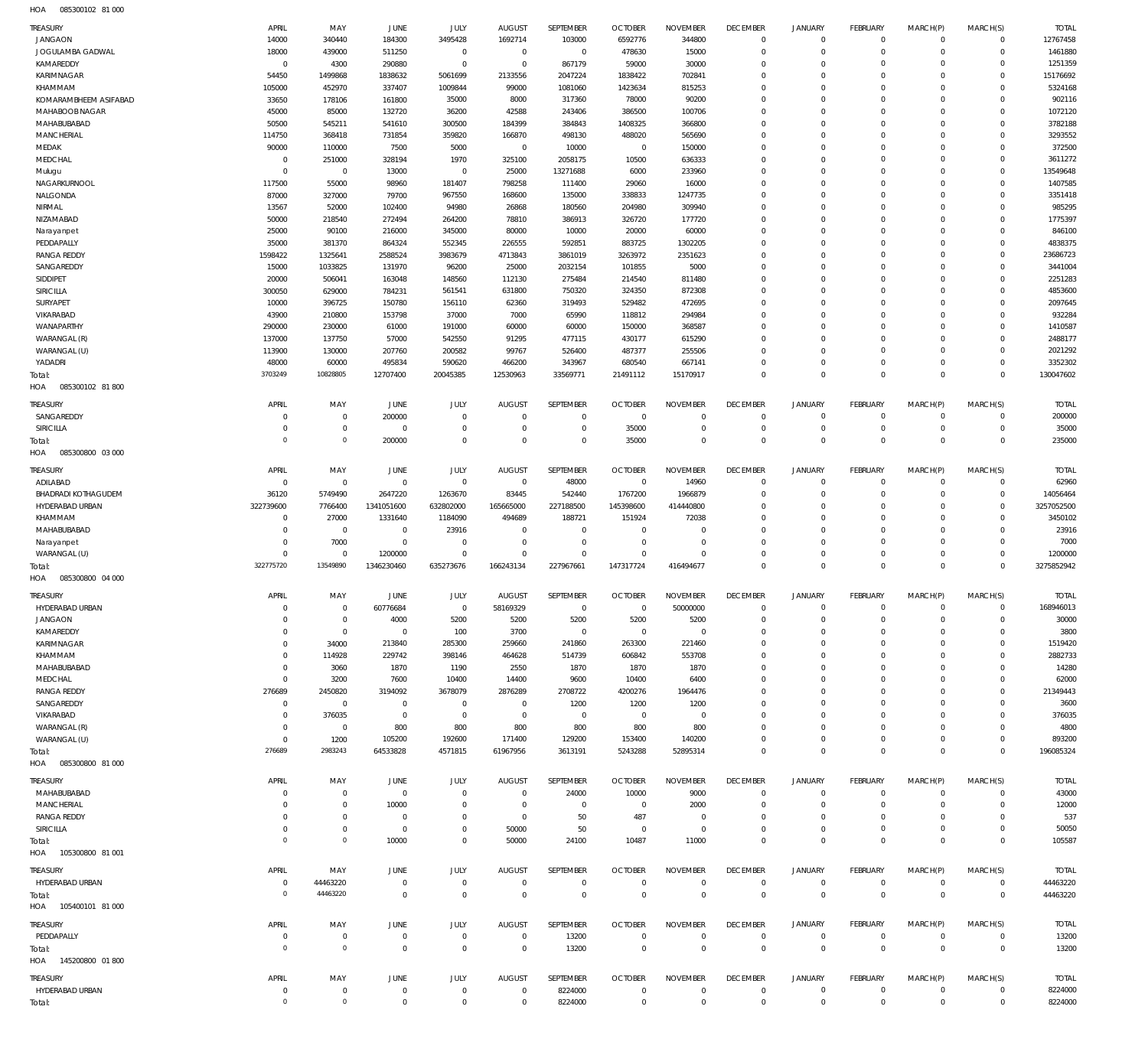085300102 81 000 HOA

| TREASURY<br><b>JANGAON</b>        | APRIL<br>14000                | MAY<br>340440                      | JUNE<br>184300                   | JULY<br>3495428             | <b>AUGUST</b><br>1692714      | SEPTEMBER<br>103000     | <b>OCTOBER</b><br>6592776    | <b>NOVEMBER</b><br>344800 | <b>DECEMBER</b><br>$\mathbf 0$ | JANUARY<br>$\mathbf 0$     | <b>FEBRUARY</b><br>$\mathbb O$ | MARCH(P)<br>$\mathbf{0}$   | MARCH(S)<br>$\mathbf 0$    | <b>TOTAL</b><br>12767458 |
|-----------------------------------|-------------------------------|------------------------------------|----------------------------------|-----------------------------|-------------------------------|-------------------------|------------------------------|---------------------------|--------------------------------|----------------------------|--------------------------------|----------------------------|----------------------------|--------------------------|
| JOGULAMBA GADWAL                  | 18000                         | 439000                             | 511250                           | $\overline{0}$              | $\overline{0}$                | $\mathsf 0$             | 478630                       | 15000                     | $\mathbf 0$                    | $\Omega$                   | $\mathbf 0$                    | $^{\circ}$                 | $\mathsf{O}\xspace$        | 1461880                  |
| KAMAREDDY                         | $\circ$                       | 4300                               | 290880                           | $\mathbf 0$                 | $\overline{0}$                | 867179                  | 59000                        | 30000                     | $\Omega$                       | $\Omega$                   | $\mathbf 0$                    | $\Omega$                   | $\mathbf 0$                | 1251359                  |
| KARIMNAGAR                        | 54450                         | 1499868                            | 1838632                          | 5061699                     | 2133556                       | 2047224                 | 1838422                      | 702841                    | $\Omega$                       | $\Omega$                   | $\mathbf 0$                    | $\Omega$                   | $\mathbf 0$                | 15176692                 |
| KHAMMAM                           | 105000                        | 452970                             | 337407                           | 1009844                     | 99000                         | 1081060                 | 1423634                      | 815253                    | $\Omega$                       | $\Omega$                   | $\mathbf 0$                    | $\Omega$                   | $\mathbf 0$                | 5324168                  |
| KOMARAMBHEEM ASIFABAD             | 33650                         | 178106                             | 161800                           | 35000                       | 8000                          | 317360                  | 78000                        | 90200                     | $\Omega$                       | $\Omega$                   | $\mathbf 0$                    | $\Omega$                   | $\mathbf 0$                | 902116                   |
| MAHABOOB NAGAR                    | 45000                         | 85000                              | 132720                           | 36200                       | 42588                         | 243406                  | 386500                       | 100706                    | $\Omega$                       | $\Omega$                   | $\mathbf 0$                    | $\Omega$                   | $\mathbf 0$                | 1072120                  |
| MAHABUBABAD                       | 50500                         | 545211                             | 541610                           | 300500                      | 184399                        | 384843                  | 1408325                      | 366800                    | $\Omega$<br>$\Omega$           | $\Omega$<br>$\Omega$       | $\Omega$<br>$\mathbf 0$        | $\Omega$<br>$\Omega$       | $\mathbf 0$<br>$\mathbf 0$ | 3782188<br>3293552       |
| MANCHERIAL<br>MEDAK               | 114750<br>90000               | 368418<br>110000                   | 731854<br>7500                   | 359820<br>5000              | 166870<br>$\overline{0}$      | 498130<br>10000         | 488020<br>$\overline{0}$     | 565690<br>150000          | $\Omega$                       | $\Omega$                   | $\Omega$                       | $\Omega$                   | $\mathbf 0$                | 372500                   |
| MEDCHAL                           | $\circ$                       | 251000                             | 328194                           | 1970                        | 325100                        | 2058175                 | 10500                        | 636333                    | $\Omega$                       | $\Omega$                   | $\mathbf 0$                    | $\Omega$                   | $\mathbf 0$                | 3611272                  |
| Mulugu                            | $\circ$                       | $\mathsf 0$                        | 13000                            | $\mathbf{0}$                | 25000                         | 13271688                | 6000                         | 233960                    | $\Omega$                       | $\Omega$                   | $\Omega$                       | $\Omega$                   | $\mathbf 0$                | 13549648                 |
| NAGARKURNOOL                      | 117500                        | 55000                              | 98960                            | 181407                      | 798258                        | 111400                  | 29060                        | 16000                     | $\Omega$                       | $\Omega$                   | $\mathbf 0$                    | $\Omega$                   | $\mathbf 0$                | 1407585                  |
| NALGONDA                          | 87000                         | 327000                             | 79700                            | 967550                      | 168600                        | 135000                  | 338833                       | 1247735                   | $\Omega$                       | $\Omega$                   | $\Omega$                       | $\Omega$                   | $\mathbf 0$                | 3351418                  |
| NIRMAL                            | 13567                         | 52000                              | 102400                           | 94980                       | 26868                         | 180560                  | 204980                       | 309940                    | $\Omega$                       | $\Omega$                   | $\mathbf 0$                    | $\Omega$                   | $\mathbf 0$                | 985295                   |
| NIZAMABAD                         | 50000                         | 218540                             | 272494                           | 264200                      | 78810                         | 386913                  | 326720                       | 177720                    | $\Omega$                       | $\Omega$                   | $\Omega$                       | $\Omega$                   | $\mathbf 0$                | 1775397                  |
| Narayanpet<br>PEDDAPALLY          | 25000<br>35000                | 90100<br>381370                    | 216000<br>864324                 | 345000<br>552345            | 80000<br>226555               | 10000<br>592851         | 20000<br>883725              | 60000<br>1302205          | $\Omega$<br>$\Omega$           | $\Omega$<br>$\Omega$       | $\mathbf 0$<br>$\mathbf 0$     | $\Omega$<br>$\Omega$       | $\mathbf 0$<br>$\mathbf 0$ | 846100<br>4838375        |
| <b>RANGA REDDY</b>                | 1598422                       | 1325641                            | 2588524                          | 3983679                     | 4713843                       | 3861019                 | 3263972                      | 2351623                   | $\Omega$                       | $\Omega$                   | $\mathbf 0$                    | $\Omega$                   | $\mathbf 0$                | 23686723                 |
| SANGAREDDY                        | 15000                         | 1033825                            | 131970                           | 96200                       | 25000                         | 2032154                 | 101855                       | 5000                      | $\Omega$                       | $\Omega$                   | $\mathbf 0$                    | $\Omega$                   | $\mathbf 0$                | 3441004                  |
| SIDDIPET                          | 20000                         | 506041                             | 163048                           | 148560                      | 112130                        | 275484                  | 214540                       | 811480                    | $\Omega$                       | $\Omega$                   | $\mathbf 0$                    | $\Omega$                   | $\mathbf 0$                | 2251283                  |
| SIRICILLA                         | 300050                        | 629000                             | 784231                           | 561541                      | 631800                        | 750320                  | 324350                       | 872308                    | $\Omega$                       | $\Omega$                   | $\mathbf 0$                    | $\Omega$                   | $\mathbf 0$                | 4853600                  |
| SURYAPET                          | 10000                         | 396725                             | 150780                           | 156110                      | 62360                         | 319493                  | 529482                       | 472695                    | $\Omega$                       | $\Omega$                   | $\mathbf 0$                    | $\Omega$                   | $\mathbf 0$                | 2097645                  |
| VIKARABAD                         | 43900                         | 210800                             | 153798                           | 37000                       | 7000                          | 65990                   | 118812                       | 294984                    | $\Omega$                       | $\Omega$                   | $\mathbf 0$                    | $\Omega$                   | $\mathbf 0$                | 932284                   |
| WANAPARTHY                        | 290000                        | 230000                             | 61000                            | 191000                      | 60000                         | 60000                   | 150000                       | 368587                    | $\Omega$                       | $\Omega$                   | $\mathbf 0$                    | $\Omega$                   | $\mathbf 0$                | 1410587                  |
| WARANGAL (R)<br>WARANGAL (U)      | 137000<br>113900              | 137750<br>130000                   | 57000<br>207760                  | 542550<br>200582            | 91295<br>99767                | 477115<br>526400        | 430177<br>487377             | 615290<br>255506          | $\Omega$<br>$\Omega$           | $\Omega$<br>$\Omega$       | $\mathbf 0$<br>$\mathbf 0$     | $\Omega$<br>$\Omega$       | $\mathbf 0$<br>$\mathbf 0$ | 2488177<br>2021292       |
| YADADRI                           | 48000                         | 60000                              | 495834                           | 590620                      | 466200                        | 343967                  | 680540                       | 667141                    | $\Omega$                       | $\Omega$                   | $\mathbf 0$                    | $\Omega$                   | $\mathbf 0$                | 3352302                  |
| Total:                            | 3703249                       | 10828805                           | 12707400                         | 20045385                    | 12530963                      | 33569771                | 21491112                     | 15170917                  | $\Omega$                       | $\Omega$                   | $\mathbf 0$                    | $\Omega$                   | $\mathbf 0$                | 130047602                |
| HOA<br>085300102 81 800           |                               |                                    |                                  |                             |                               |                         |                              |                           |                                |                            |                                |                            |                            |                          |
| TREASURY                          | <b>APRIL</b>                  | MAY                                | JUNE                             | JULY                        | <b>AUGUST</b>                 | SEPTEMBER               | <b>OCTOBER</b>               | <b>NOVEMBER</b>           | <b>DECEMBER</b>                | JANUARY                    | <b>FEBRUARY</b>                | MARCH(P)                   | MARCH(S)                   | <b>TOTAL</b>             |
| SANGAREDDY                        | $^{\circ}$                    | $\mathbf 0$                        | 200000                           | $\mathbf 0$                 | $\mathbf 0$                   | $\mathsf 0$             | $^{\circ}$                   | $^{\circ}$                | $\mathbf 0$                    | $\overline{0}$             | $\circ$                        | $\mathbf 0$                | $\mathbf 0$                | 200000                   |
| SIRICILLA                         | $^{\circ}$                    | $\mathsf{O}\xspace$                | $\circ$                          | $\mathbf 0$                 | $\mathbf 0$                   | 0                       | 35000                        | $\Omega$                  | $\mathbf 0$                    | $\mathbf 0$                | $\mathbf 0$                    | $\mathbf 0$                | $\mathbf 0$                | 35000                    |
| Total:                            | $\circ$                       | $\overline{0}$                     | 200000                           | $\Omega$                    | $\Omega$                      | $\mathbf 0$             | 35000                        | $\Omega$                  | $\Omega$                       | $\Omega$                   | $\mathbb O$                    | $\circ$                    | $\mathbf 0$                | 235000                   |
| HOA<br>085300800 03 000           |                               |                                    |                                  |                             |                               |                         |                              |                           |                                |                            |                                |                            |                            |                          |
| TREASURY                          | APRIL                         | MAY                                | JUNE                             | JULY                        | <b>AUGUST</b>                 | SEPTEMBER               | <b>OCTOBER</b>               | <b>NOVEMBER</b>           | <b>DECEMBER</b>                | JANUARY                    | <b>FEBRUARY</b>                | MARCH(P)                   | MARCH(S)                   | <b>TOTAL</b>             |
| ADILABAD                          | $\circ$                       | $\mathbf 0$                        | $\overline{0}$                   | $\circ$                     | $\overline{0}$                | 48000                   | $\overline{0}$               | 14960                     | $\mathbf 0$                    | $\mathbf 0$                | $\mathbf 0$                    | $\mathbf{0}$               | $\mathsf{O}\xspace$        | 62960                    |
| BHADRADI KOTHAGUDEM               | 36120                         | 5749490                            | 2647220                          | 1263670                     | 83445                         | 542440                  | 1767200                      | 1966879                   | $\mathbf 0$                    | $\Omega$                   | $\mathbf 0$                    | $\Omega$                   | $\mathsf{O}\xspace$        | 14056464                 |
| HYDERABAD URBAN                   | 322739600                     | 7766400                            | 1341051600                       | 632802000                   | 165665000                     | 227188500               | 145398600                    | 414440800                 | $\Omega$                       | $\Omega$                   | $\mathbf 0$                    | $\Omega$                   | $\mathsf{O}\xspace$        | 3257052500               |
| KHAMMAM                           | $\mathsf{O}\xspace$           | 27000                              | 1331640                          | 1184090                     | 494689                        | 188721                  | 151924                       | 72038                     | $\Omega$                       | $\Omega$                   | $\mathbf 0$                    | $\Omega$                   | $\mathbf 0$                | 3450102                  |
| MAHABUBABAD                       | $\mathbf 0$                   | $\overline{0}$                     | $\overline{0}$                   | 23916                       | $\mathbf 0$                   | $\overline{0}$          | $\mathbf{0}$                 | $^{\circ}$                | $\Omega$                       | $\Omega$                   | $\mathbf 0$                    | $\Omega$                   | $\mathbf 0$                | 23916                    |
| Narayanpet<br>WARANGAL (U)        | $\mathbf 0$<br>$\mathbf 0$    | 7000<br>$\overline{0}$             | $\overline{0}$<br>1200000        | $\mathbf 0$<br>$\mathbf 0$  | $\mathbf 0$<br>$\mathbf 0$    | $\mathbf 0$<br>$\Omega$ | $\mathbf{0}$<br>$\mathbf{0}$ | $^{\circ}$<br>$\Omega$    | $\Omega$<br>$\Omega$           | $\Omega$<br>$\Omega$       | $\mathbf 0$<br>$\mathbf 0$     | $\Omega$<br>$\mathbf 0$    | $\mathbf 0$<br>$\mathbf 0$ | 7000<br>1200000          |
| Total:                            | 322775720                     | 13549890                           | 1346230460                       | 635273676                   | 166243134                     | 227967661               | 147317724                    | 416494677                 | $\Omega$                       | $\Omega$                   | $\mathbb O$                    | $\Omega$                   | $\mathbf 0$                | 3275852942               |
| HOA<br>085300800 04 000           |                               |                                    |                                  |                             |                               |                         |                              |                           |                                |                            |                                |                            |                            |                          |
| TREASURY                          |                               |                                    |                                  |                             |                               |                         |                              |                           |                                |                            |                                |                            |                            | <b>TOTAL</b>             |
|                                   |                               |                                    |                                  |                             |                               |                         |                              |                           |                                |                            |                                |                            |                            |                          |
|                                   | APRIL<br>$\Omega$             | MAY                                | JUNE                             | JULY                        | <b>AUGUST</b>                 | SEPTEMBER               | <b>OCTOBER</b>               | <b>NOVEMBER</b>           | <b>DECEMBER</b>                | JANUARY                    | <b>FEBRUARY</b>                | MARCH(P)                   | MARCH(S)                   |                          |
| HYDERABAD URBAN<br><b>JANGAON</b> | $\mathbf 0$                   | $\mathsf{O}\xspace$<br>$\mathbf 0$ | 60776684<br>4000                 | $\mathbf 0$<br>5200         | 58169329<br>5200              | $\mathbf 0$<br>5200     | $\mathbf 0$<br>5200          | 50000000<br>5200          | 0<br>$\Omega$                  | $\mathsf 0$<br>$\Omega$    | $\mathbb O$<br>$\mathbf 0$     | $\mathbf 0$<br>$\Omega$    | 0<br>0                     | 168946013<br>30000       |
| KAMAREDDY                         | $\mathbf 0$                   | $\mathbf 0$                        | $\overline{0}$                   | 100                         | 3700                          | $\overline{0}$          | $\mathbf{0}$                 | $\Omega$                  | $\Omega$                       | $\Omega$                   | $\mathbf 0$                    | $\Omega$                   | 0                          | 3800                     |
| KARIMNAGAR                        | $\mathbf 0$                   | 34000                              | 213840                           | 285300                      | 259660                        | 241860                  | 263300                       | 221460                    | $\Omega$                       | $\Omega$                   | $\mathbf 0$                    | $\Omega$                   | 0                          | 1519420                  |
| KHAMMAM                           | $\mathbf 0$                   | 114928                             | 229742                           | 398146                      | 464628                        | 514739                  | 606842                       | 553708                    | $\Omega$                       | $\Omega$                   | $\mathbf 0$                    | $\Omega$                   | 0                          | 2882733                  |
| MAHABUBABAD                       | $\mathbf 0$                   | 3060                               | 1870                             | 1190                        | 2550                          | 1870                    | 1870                         | 1870                      | $\Omega$                       | $\Omega$                   | $\mathbf 0$                    | $\Omega$                   | 0                          | 14280                    |
| MEDCHAL                           | $\mathbf 0$                   | 3200                               | 7600                             | 10400                       | 14400                         | 9600                    | 10400                        | 6400                      | $\Omega$                       | $\Omega$                   | $\mathbf 0$                    | $\Omega$                   | 0                          | 62000                    |
| <b>RANGA REDDY</b>                | 276689                        | 2450820                            | 3194092                          | 3678079                     | 2876289                       | 2708722                 | 4200276                      | 1964476                   | $\Omega$                       | $\Omega$                   | $\mathbf 0$                    | $\Omega$                   | 0                          | 21349443                 |
| SANGAREDDY                        | $\circ$<br>$^{\circ}$         | $\mathbf 0$                        | $\overline{0}$                   | $\mathbf{0}$<br>$\mathbf 0$ | $\overline{0}$                | 1200                    | 1200<br>$^{\circ}$           | 1200<br>$\Omega$          | $\Omega$<br>$\Omega$           | $\Omega$<br>$\Omega$       | $\mathbf 0$<br>$\mathbf 0$     | $\Omega$<br>$\Omega$       | 0<br>$\Omega$              | 3600                     |
| VIKARABAD<br>WARANGAL (R)         | $^{\circ}$                    | 376035<br>$\mathbf 0$              | $\overline{0}$<br>800            | 800                         | $\overline{0}$<br>800         | $\overline{0}$<br>800   | 800                          | 800                       | $\Omega$                       | $\Omega$                   | $\mathbf 0$                    | $\Omega$                   | 0                          | 376035<br>4800           |
| WARANGAL (U)                      | $^{\circ}$                    | 1200                               | 105200                           | 192600                      | 171400                        | 129200                  | 153400                       | 140200                    | $\Omega$                       | $\Omega$                   | $\mathbf 0$                    | 0                          | $\mathbf 0$                | 893200                   |
| Total:                            | 276689                        | 2983243                            | 64533828                         | 4571815                     | 61967956                      | 3613191                 | 5243288                      | 52895314                  | $\Omega$                       | $\Omega$                   | $\mathbf 0$                    | $\Omega$                   | $\mathbf 0$                | 196085324                |
| HOA<br>085300800 81 000           |                               |                                    |                                  |                             |                               |                         |                              |                           |                                |                            |                                |                            |                            |                          |
| TREASURY                          | APRIL                         | MAY                                | JUNE                             | JULY                        | <b>AUGUST</b>                 | SEPTEMBER               | <b>OCTOBER</b>               | <b>NOVEMBER</b>           | <b>DECEMBER</b>                | JANUARY                    | <b>FEBRUARY</b>                | MARCH(P)                   | MARCH(S)                   | <b>TOTAL</b>             |
| MAHABUBABAD                       | $\mathbf 0$                   | $\mathbf 0$                        | $\overline{0}$                   | $\circ$                     | $\overline{0}$                | 24000                   | 10000                        | 9000                      | $\mathbf 0$                    | $\mathbf 0$                | $\mathbf 0$                    | $^{\circ}$                 | $\mathsf{O}\xspace$        | 43000                    |
| <b>MANCHERIAL</b>                 | 0                             | $\mathsf{O}\xspace$                | 10000                            | $\mathbf 0$                 | $\overline{0}$                | $\overline{0}$          | $\circ$                      | 2000                      | $\Omega$                       | $\Omega$                   | $\mathbf 0$                    | 0                          | $\mathbf 0$                | 12000                    |
| <b>RANGA REDDY</b>                | $^{\circ}$                    | $\mathsf{O}\xspace$                | $\overline{0}$                   | $\mathbf 0$                 | $\overline{0}$                | 50                      | 487                          | $\circ$                   | $\Omega$                       | $\Omega$                   | $\mathbf 0$                    | 0                          | $\mathbf 0$                | 537                      |
| SIRICILLA                         | $^{\circ}$                    | 0                                  | $\overline{0}$                   | $\mathbf 0$                 | 50000                         | 50                      | $\circ$                      | $^{\circ}$                | $\mathbf 0$                    | $\mathbf 0$                | $\mathbb O$                    | $\mathbf 0$                | $\mathbf 0$                | 50050                    |
| Total:                            | $\mathbf 0$                   | $\mathbf 0$                        | 10000                            | $\mathbf 0$                 | 50000                         | 24100                   | 10487                        | 11000                     | $\Omega$                       | $\Omega$                   | $\mathbf 0$                    | $\Omega$                   | $\mathbf 0$                | 105587                   |
| HOA<br>105300800 81 001           |                               |                                    |                                  |                             |                               |                         |                              |                           |                                |                            |                                |                            |                            |                          |
| TREASURY                          | APRIL                         | MAY                                | JUNE                             | JULY                        | <b>AUGUST</b>                 | SEPTEMBER               | <b>OCTOBER</b>               | <b>NOVEMBER</b>           | <b>DECEMBER</b>                | JANUARY                    | <b>FEBRUARY</b>                | MARCH(P)                   | MARCH(S)                   | <b>TOTAL</b>             |
| HYDERABAD URBAN                   | $\circ$                       | 44463220                           | $\overline{0}$                   | $\circ$                     | $\overline{0}$                | $\overline{0}$          | $\mathbf{0}$                 | $\mathbf{0}$              | $\mathbf 0$                    | $\mathbf 0$                | $\mathbf 0$                    | $\mathbf 0$                | $\mathbf 0$                | 44463220                 |
| Total:                            | $\mathbf 0$                   | 44463220                           | $\overline{0}$                   | $\mathbf{0}$                | $\mathbf 0$                   | $\mathbb O$             | $\mathbb O$                  | $\mathbf{0}$              | $\mathbf 0$                    | $\mathbf 0$                | $\mathbb O$                    | $\mathbf 0$                | $\mathbf 0$                | 44463220                 |
| HOA<br>105400101 81 000           |                               |                                    |                                  |                             |                               |                         |                              |                           |                                |                            |                                |                            |                            |                          |
| TREASURY                          | APRIL                         | MAY                                | JUNE                             | JULY                        | <b>AUGUST</b>                 | SEPTEMBER               | <b>OCTOBER</b>               | <b>NOVEMBER</b>           | <b>DECEMBER</b>                | JANUARY                    | <b>FEBRUARY</b>                | MARCH(P)                   | MARCH(S)                   | <b>TOTAL</b>             |
| PEDDAPALLY                        | $\mathbf 0$<br>$\overline{0}$ | $\mathbf 0$<br>$\mathbf 0$         | $\overline{0}$                   | $\circ$                     | $\overline{0}$                | 13200                   | $\circ$                      | $\circ$                   | $\mathbf 0$                    | $\overline{0}$             | $\mathbb O$                    | $\mathbf 0$                | $\mathsf{O}\xspace$        | 13200                    |
| Total:                            |                               |                                    | $\overline{0}$                   | $\circ$                     | $\mathbf 0$                   | 13200                   | $\mathbf{0}$                 | $\mathbf{0}$              | $\mathbf 0$                    | $\mathbf 0$                | $\mathbb O$                    | $\mathbf{0}$               | $\mathsf{O}\xspace$        | 13200                    |
| HOA<br>145200800 01800            |                               |                                    |                                  |                             |                               |                         |                              |                           |                                |                            |                                |                            |                            |                          |
| TREASURY                          | APRIL                         | MAY                                | JUNE                             | JULY                        | <b>AUGUST</b>                 | SEPTEMBER               | <b>OCTOBER</b>               | <b>NOVEMBER</b>           | <b>DECEMBER</b>                | JANUARY                    | <b>FEBRUARY</b>                | MARCH(P)                   | MARCH(S)                   | <b>TOTAL</b>             |
| HYDERABAD URBAN<br>Total:         | $\mathbf 0$<br>$\mathbf{0}$   | $\mathbf 0$<br>$\mathbf 0$         | $\overline{0}$<br>$\overline{0}$ | $\circ$<br>$\mathbf{0}$     | $\overline{0}$<br>$\mathbf 0$ | 8224000<br>8224000      | $\mathbf{0}$<br>$\mathbb O$  | $^{\circ}$<br>$\mathbf 0$ | $\mathbf 0$<br>$\mathbf 0$     | $\mathbf 0$<br>$\mathbf 0$ | $\circ$<br>$\mathbb O$         | $\mathbf 0$<br>$\mathbf 0$ | $\circ$<br>$\mathbf 0$     | 8224000<br>8224000       |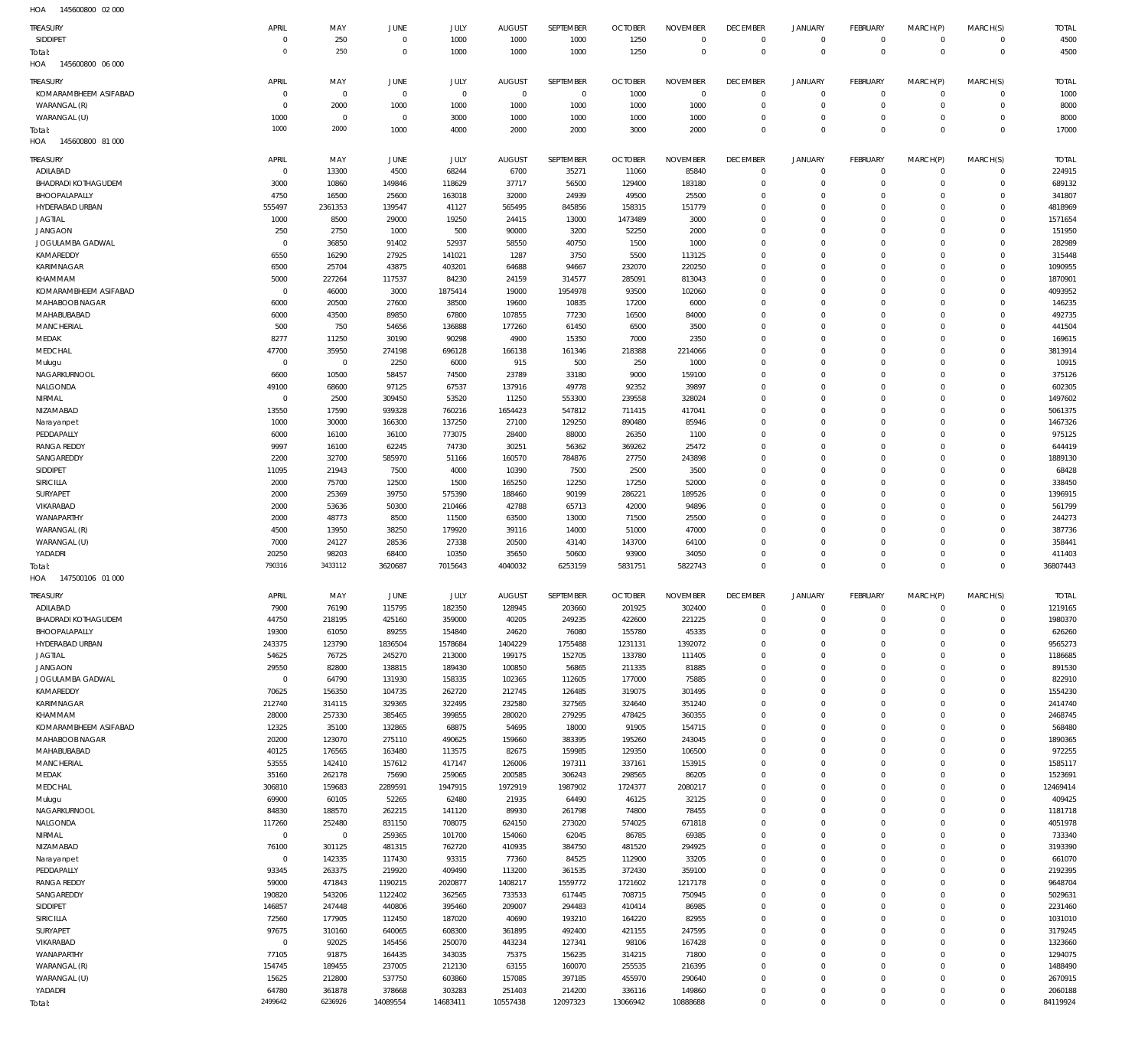| HOA<br>145600800 02 000                 |                       |                          |                    |                    |                    |                    |                    |                    |                            |                               |                             |                             |                            |                     |
|-----------------------------------------|-----------------------|--------------------------|--------------------|--------------------|--------------------|--------------------|--------------------|--------------------|----------------------------|-------------------------------|-----------------------------|-----------------------------|----------------------------|---------------------|
| TREASURY                                | APRIL                 | MAY                      | <b>JUNE</b>        | JULY               | <b>AUGUST</b>      | SEPTEMBER          | <b>OCTOBER</b>     | <b>NOVEMBER</b>    | <b>DECEMBER</b>            | <b>JANUARY</b>                | FEBRUARY                    | MARCH(P)                    | MARCH(S)                   | <b>TOTAL</b>        |
| SIDDIPET                                | $^{\circ}$            | 250                      | $^{\circ}$         | 1000               | 1000               | 1000               | 1250               | $\Omega$           | $\mathbf 0$                | $\mathbf 0$                   | $\mathbf{0}$                | $\mathbf 0$                 | $\mathbf 0$                | 4500                |
| Total:                                  | $\Omega$              | 250                      | $^{\circ}$         | 1000               | 1000               | 1000               | 1250               | $\Omega$           | $\mathbf 0$                | $\mathbf 0$                   | $\overline{0}$              | $\Omega$                    | $\mathbf 0$                | 4500                |
| 145600800 06 000<br>HOA                 |                       |                          |                    |                    |                    |                    |                    |                    |                            |                               |                             |                             |                            |                     |
| TREASURY                                | APRIL                 | MAY                      | <b>JUNE</b>        | JULY               | <b>AUGUST</b>      | SEPTEMBER          | <b>OCTOBER</b>     | <b>NOVEMBER</b>    | <b>DECEMBER</b>            | <b>JANUARY</b>                | FEBRUARY                    | MARCH(P)                    | MARCH(S)                   | <b>TOTAL</b>        |
| KOMARAMBHEEM ASIFABAD                   | $^{\circ}$            | $\mathbf 0$              | $^{\circ}$         | $\mathbf{0}$       | $\overline{0}$     | $\mathbf 0$        | 1000               | $\mathbf 0$        | $\mathbf 0$                | $\mathbf 0$                   | $\mathbf 0$                 | $\mathbf 0$                 | $\mathbf 0$                | 1000                |
| WARANGAL (R)                            | $\Omega$              | 2000                     | 1000               | 1000               | 1000               | 1000               | 1000               | 1000               | $\mathbf 0$                | $\mathbb O$                   | $\mathbf 0$                 | $\mathbf 0$                 | $\mathbf 0$                | 8000                |
| WARANGAL (U)                            | 1000                  | $\mathbf 0$              | $^{\circ}$         | 3000               | 1000               | 1000               | 1000               | 1000               | $\Omega$                   | $\mathbf 0$                   | $\mathbf 0$                 | $\mathbf 0$                 | $\mathbf 0$                | 8000                |
| Total:                                  | 1000                  | 2000                     | 1000               | 4000               | 2000               | 2000               | 3000               | 2000               | $\Omega$                   | $\mathbf 0$                   | $\Omega$                    | $\Omega$                    | $\Omega$                   | 17000               |
| HOA<br>145600800 81 000                 |                       |                          |                    |                    |                    |                    |                    |                    |                            |                               |                             |                             |                            |                     |
| TREASURY                                | APRIL                 | MAY                      | JUNE               | JULY               | <b>AUGUST</b>      | SEPTEMBER          | <b>OCTOBER</b>     | <b>NOVEMBER</b>    | <b>DECEMBER</b>            | <b>JANUARY</b>                | <b>FEBRUARY</b>             | MARCH(P)                    | MARCH(S)                   | <b>TOTAL</b>        |
| ADILABAD                                | $^{\circ}$            | 13300                    | 4500               | 68244              | 6700               | 35271              | 11060              | 85840              | $\mathbf 0$                | 0                             | $\mathbf 0$                 | $\mathbf 0$                 | $\mathbf 0$                | 224915              |
| <b>BHADRADI KOTHAGUDEM</b>              | 3000                  | 10860                    | 149846             | 118629             | 37717              | 56500              | 129400             | 183180             | $\Omega$                   | $\mathbf 0$                   | $\Omega$                    | $\Omega$                    | $\Omega$                   | 689132              |
| BHOOPALAPALLY                           | 4750                  | 16500                    | 25600              | 163018             | 32000              | 24939              | 49500              | 25500              | $\Omega$                   | $\mathbf 0$                   | $\Omega$                    | $\Omega$                    | $\mathbf 0$                | 341807              |
| HYDERABAD URBAN                         | 555497                | 2361353                  | 139547             | 41127              | 565495             | 845856             | 158315             | 151779             | $\Omega$                   | $\mathbf 0$                   | $\Omega$                    | $\Omega$                    | $\Omega$                   | 4818969             |
| <b>JAGTIAL</b>                          | 1000                  | 8500                     | 29000              | 19250              | 24415              | 13000              | 1473489            | 3000               | $\Omega$                   | $\mathbf 0$                   | $\Omega$                    | $\Omega$                    | $\Omega$                   | 1571654             |
| <b>JANGAON</b>                          | 250                   | 2750                     | 1000               | 500                | 90000              | 3200               | 52250              | 2000               | $\Omega$                   | $\mathbf 0$                   | $\Omega$                    | $\Omega$                    | $\Omega$                   | 151950              |
| JOGULAMBA GADWAL                        | $^{\circ}$            | 36850                    | 91402              | 52937              | 58550              | 40750              | 1500               | 1000               | $\Omega$                   | $\mathbf 0$                   | $\Omega$                    | $\Omega$                    | $\Omega$                   | 282989              |
| KAMAREDDY                               | 6550                  | 16290                    | 27925              | 141021             | 1287               | 3750               | 5500               | 113125             | $\Omega$                   | $\mathbf 0$                   | $\Omega$                    | $\Omega$                    | $\Omega$                   | 315448              |
| KARIMNAGAR                              | 6500                  | 25704                    | 43875              | 403201             | 64688              | 94667              | 232070             | 220250             | $\Omega$                   | $\Omega$                      | $\Omega$                    | $\Omega$                    | $\Omega$                   | 1090955             |
| KHAMMAM                                 | 5000                  | 227264                   | 117537             | 84230              | 24159              | 314577             | 285091             | 813043             | $\Omega$                   | $\mathbf 0$                   | $\Omega$                    | $\Omega$                    | $\Omega$                   | 1870901             |
| KOMARAMBHEEM ASIFABAD<br>MAHABOOB NAGAR | $^{\circ}$            | 46000                    | 3000               | 1875414            | 19000              | 1954978            | 93500              | 102060             | $\Omega$<br>$\Omega$       | $\Omega$<br>$\mathbf 0$       | $\Omega$<br>$\Omega$        | $\Omega$<br>$\Omega$        | $\Omega$<br>$\Omega$       | 4093952             |
| MAHABUBABAD                             | 6000<br>6000          | 20500<br>43500           | 27600<br>89850     | 38500<br>67800     | 19600<br>107855    | 10835<br>77230     | 17200<br>16500     | 6000<br>84000      | $\Omega$                   | $\mathbf 0$                   | $\Omega$                    | $\Omega$                    | $\Omega$                   | 146235<br>492735    |
| <b>MANCHERIAL</b>                       | 500                   | 750                      | 54656              | 136888             | 177260             | 61450              | 6500               | 3500               | $\Omega$                   | $\mathbf 0$                   | $\Omega$                    | $\Omega$                    | $\Omega$                   | 441504              |
| MEDAK                                   | 8277                  | 11250                    | 30190              | 90298              | 4900               | 15350              | 7000               | 2350               | $\Omega$                   | $\mathbf 0$                   | $\Omega$                    | $\Omega$                    | $\Omega$                   | 169615              |
| MEDCHAL                                 | 47700                 | 35950                    | 274198             | 696128             | 166138             | 161346             | 218388             | 2214066            | $\Omega$                   | $\mathbf 0$                   | $\Omega$                    | $\Omega$                    | $\Omega$                   | 3813914             |
| Mulugu                                  | $^{\circ}$            | $^{\circ}$               | 2250               | 6000               | 915                | 500                | 250                | 1000               | $\Omega$                   | $\mathbf 0$                   | $\Omega$                    | $\Omega$                    | $\Omega$                   | 10915               |
| NAGARKURNOOL                            | 6600                  | 10500                    | 58457              | 74500              | 23789              | 33180              | 9000               | 159100             | $\Omega$                   | $\mathbf 0$                   | $\Omega$                    | $\Omega$                    | $\Omega$                   | 375126              |
| NALGONDA                                | 49100                 | 68600                    | 97125              | 67537              | 137916             | 49778              | 92352              | 39897              | $\Omega$                   | $\mathbf 0$                   | $\Omega$                    | $\Omega$                    | $\Omega$                   | 602305              |
| NIRMAL                                  | $^{\circ}$            | 2500                     | 309450             | 53520              | 11250              | 553300             | 239558             | 328024             | $\Omega$                   | $\mathbf 0$                   | $\Omega$                    | $\Omega$                    | $\Omega$                   | 1497602             |
| NIZAMABAD                               | 13550                 | 17590                    | 939328             | 760216             | 1654423            | 547812             | 711415             | 417041             | $\Omega$                   | $\Omega$                      | $\Omega$                    | $\Omega$                    | $\Omega$                   | 5061375             |
| Narayanpet                              | 1000                  | 30000                    | 166300             | 137250             | 27100              | 129250             | 890480             | 85946              | $\Omega$                   | $\mathbf 0$                   | $\Omega$                    | $\Omega$                    | $\Omega$                   | 1467326             |
| PEDDAPALLY                              | 6000                  | 16100                    | 36100              | 773075             | 28400              | 88000              | 26350              | 1100               | $\Omega$                   | $\Omega$                      | $\Omega$                    | $\Omega$                    | $\Omega$                   | 975125              |
| <b>RANGA REDDY</b>                      | 9997                  | 16100                    | 62245              | 74730              | 30251              | 56362              | 369262             | 25472              | $\Omega$                   | $\mathbf 0$                   | $\Omega$                    | $\Omega$                    | $\Omega$                   | 644419              |
| SANGAREDDY                              | 2200                  | 32700                    | 585970             | 51166              | 160570             | 784876             | 27750              | 243898             | $\Omega$                   | $\mathbf 0$                   | $\Omega$                    | $\Omega$                    | $\Omega$                   | 1889130             |
| SIDDIPET                                | 11095                 | 21943                    | 7500               | 4000               | 10390              | 7500               | 2500               | 3500               | $\Omega$                   | $\mathbf 0$                   | $\Omega$                    | $\Omega$                    | $\Omega$                   | 68428               |
| SIRICILLA                               | 2000                  | 75700                    | 12500              | 1500               | 165250             | 12250              | 17250              | 52000              | $\Omega$                   | $\mathbf 0$                   | $\Omega$                    | $\Omega$                    | $\Omega$                   | 338450              |
| SURYAPET                                | 2000                  | 25369                    | 39750              | 575390             | 188460             | 90199              | 286221             | 189526             | $\Omega$                   | $\mathbf 0$                   | $\Omega$                    | $\Omega$                    | $\Omega$                   | 1396915             |
| VIKARABAD                               | 2000                  | 53636                    | 50300              | 210466             | 42788              | 65713              | 42000              | 94896              | $\Omega$                   | $\mathbf 0$                   | $\Omega$                    | $\Omega$                    | $\Omega$                   | 561799              |
| WANAPARTHY                              | 2000                  | 48773                    | 8500               | 11500              | 63500              | 13000              | 71500              | 25500              | $\Omega$<br>$\Omega$       | $\mathbf 0$<br>$\mathbf 0$    | $\Omega$                    | $\Omega$<br>$\Omega$        | $\Omega$<br>$\Omega$       | 244273              |
| WARANGAL (R)<br>WARANGAL (U)            | 4500<br>7000          | 13950<br>24127           | 38250<br>28536     | 179920<br>27338    | 39116<br>20500     | 14000<br>43140     | 51000<br>143700    | 47000<br>64100     | $\Omega$                   | $\mathbf 0$                   | $\Omega$<br>$\Omega$        | $\Omega$                    | $\Omega$                   | 387736<br>358441    |
| YADADRI                                 | 20250                 | 98203                    | 68400              | 10350              | 35650              | 50600              | 93900              | 34050              | $\Omega$                   | $\mathbf 0$                   | $\Omega$                    | $\mathbf 0$                 | $\mathbf 0$                | 411403              |
| Total:                                  | 790316                | 3433112                  | 3620687            | 7015643            | 4040032            | 6253159            | 5831751            | 5822743            | $\Omega$                   | $\mathbf 0$                   | $\Omega$                    | $\Omega$                    | $\Omega$                   | 36807443            |
| HOA<br>147500106 01 000                 |                       |                          |                    |                    |                    |                    |                    |                    |                            |                               |                             |                             |                            |                     |
|                                         |                       |                          |                    |                    |                    |                    |                    |                    |                            |                               |                             |                             |                            |                     |
| TREASURY                                | APRIL                 | MAY                      | <b>JUNE</b>        | JULY               | <b>AUGUST</b>      | SEPTEMBER          | <b>OCTOBER</b>     | <b>NOVEMBER</b>    | <b>DECEMBER</b>            | <b>JANUARY</b><br>$\mathbf 0$ | <b>FEBRUARY</b><br>$\Omega$ | MARCH(P)<br>$\mathbf 0$     | MARCH(S)<br>$\mathbf 0$    | <b>TOTAL</b>        |
| ADILABAD<br><b>BHADRADI KOTHAGUDEM</b>  | 7900<br>44750         | 76190<br>218195          | 115795<br>425160   | 182350<br>359000   | 128945<br>40205    | 203660<br>249235   | 201925<br>422600   | 302400<br>221225   | $\Omega$<br>$\mathbf 0$    | $\mathbf 0$                   | $\mathbf 0$                 | $\mathbf 0$                 | $\mathbf 0$                | 1219165<br>1980370  |
| BHOOPALAPALLY                           | 19300                 | 61050                    | 89255              | 154840             | 24620              | 76080              | 155780             | 45335              | $\mathbf 0$                | $\mathbb O$                   | $\Omega$                    | $\mathbf 0$                 | $\mathbf 0$                | 626260              |
| HYDERABAD URBAN                         | 243375                | 123790                   | 1836504            | 1578684            | 1404229            | 1755488            | 1231131            | 1392072            | $\mathbf 0$                | $\mathbf 0$                   | $\Omega$                    | $\mathbf 0$                 | $\Omega$                   | 9565273             |
| <b>JAGTIAL</b>                          | 54625                 | 76725                    | 245270             | 213000             | 199175             | 152705             | 133780             | 111405             | $\mathbf 0$                | $\mathbf 0$                   | $\Omega$                    | $\mathbf 0$                 | $\mathbf 0$                | 1186685             |
| <b>JANGAON</b>                          | 29550                 | 82800                    | 138815             | 189430             | 100850             | 56865              | 211335             | 81885              | $\Omega$                   | $\mathbf 0$                   | $\Omega$                    | $\Omega$                    | $\Omega$                   | 891530              |
| JOGULAMBA GADWAL                        | $\mathbf{0}$          | 64790                    | 131930             | 158335             | 102365             | 112605             | 177000             | 75885              | $\mathbf 0$                | $\mathbf 0$                   | $\Omega$                    | $\mathbf 0$                 | $\mathbf 0$                | 822910              |
| KAMAREDDY                               | 70625                 | 156350                   | 104735             | 262720             | 212745             | 126485             | 319075             | 301495             | $\Omega$                   | $\mathbf 0$                   | $\Omega$                    | $\Omega$                    | $\Omega$                   | 1554230             |
| KARIMNAGAR                              | 212740                | 314115                   | 329365             | 322495             | 232580             | 327565             | 324640             | 351240             | $\mathbf 0$                | $\mathbf 0$                   | $\Omega$                    | $\mathbf 0$                 | $\mathbf 0$                | 2414740             |
| KHAMMAM                                 | 28000                 | 257330                   | 385465             | 399855             | 280020             | 279295             | 478425             | 360355             | $\Omega$                   | $\mathbf 0$                   | $\Omega$                    | $\Omega$                    | $\Omega$                   | 2468745             |
| KOMARAMBHEEM ASIFABAD                   | 12325                 | 35100                    | 132865             | 68875              | 54695              | 18000              | 91905              | 154715             | $\mathbf 0$                | $\mathbf 0$                   | $\Omega$                    | $\Omega$                    | $\Omega$                   | 568480              |
| MAHABOOB NAGAR                          | 20200                 | 123070                   | 275110             | 490625             | 159660             | 383395             | 195260             | 243045             | $\mathbf 0$                | $\mathbf 0$                   | $\Omega$                    | $\mathbf 0$                 | $\Omega$                   | 1890365             |
| MAHABUBABAD                             | 40125                 | 176565                   | 163480             | 113575             | 82675              | 159985             | 129350             | 106500             | $\mathbf 0$                | $\mathbf 0$                   | $\Omega$                    | $\Omega$                    | $\mathbf 0$                | 972255              |
| <b>MANCHERIAL</b>                       | 53555                 | 142410                   | 157612             | 417147             | 126006             | 197311             | 337161             | 153915             | $\mathbf 0$                | $\mathbf 0$                   | $\Omega$                    | $\mathbf 0$                 | $\Omega$                   | 1585117             |
| MEDAK                                   | 35160                 | 262178                   | 75690              | 259065             | 200585             | 306243             | 298565             | 86205              | $\mathbf 0$                | $\mathbf 0$                   | $\Omega$                    | $\Omega$                    | $\Omega$                   | 1523691             |
| MEDCHAL                                 | 306810                | 159683                   | 2289591            | 1947915            | 1972919            | 1987902            | 1724377            | 2080217            | $\mathbf 0$                | $\mathbf 0$                   | $\Omega$                    | $\mathbf 0$                 | $\Omega$                   | 12469414            |
| Mulugu                                  | 69900                 | 60105                    | 52265              | 62480              | 21935              | 64490              | 46125              | 32125              | $\mathbf 0$                | $\mathbf 0$                   | $\Omega$                    | $\mathbf 0$                 | $\mathbf 0$                | 409425              |
| NAGARKURNOOL                            | 84830                 | 188570                   | 262215             | 141120             | 89930              | 261798             | 74800              | 78455              | $\Omega$                   | $\mathbf 0$                   | $\Omega$                    | $\Omega$                    | $\Omega$                   | 1181718             |
| NALGONDA<br>NIRMAL                      | 117260<br>$\mathbf 0$ | 252480<br>$\overline{0}$ | 831150<br>259365   | 708075<br>101700   | 624150<br>154060   | 273020<br>62045    | 574025<br>86785    | 671818<br>69385    | $\mathbf 0$<br>$\Omega$    | $\mathbf 0$<br>$\mathbf 0$    | $\Omega$<br>$\Omega$        | $\mathbf 0$<br>$\Omega$     | $\mathbf 0$<br>$\Omega$    | 4051978<br>733340   |
| NIZAMABAD                               | 76100                 | 301125                   | 481315             | 762720             | 410935             | 384750             | 481520             | 294925             | $\mathbf 0$                | $\mathbf 0$                   | $\Omega$                    | $\mathbf 0$                 | $\mathbf 0$                | 3193390             |
| Narayanpet                              | $\mathbf 0$           | 142335                   | 117430             | 93315              | 77360              | 84525              | 112900             | 33205              | $\Omega$                   | $\mathbf 0$                   | $\Omega$                    | $\Omega$                    | $\Omega$                   | 661070              |
| PEDDAPALLY                              | 93345                 | 263375                   | 219920             | 409490             | 113200             | 361535             | 372430             | 359100             | $\mathbf 0$                | $\mathbf 0$                   | $\Omega$                    | $\mathbf 0$                 | $\mathbf 0$                | 2192395             |
| <b>RANGA REDDY</b>                      | 59000                 | 471843                   | 1190215            | 2020877            | 1408217            | 1559772            | 1721602            | 1217178            | $\mathbf 0$                | $\mathbf 0$                   | $\Omega$                    | $\mathbf 0$                 | $\Omega$                   | 9648704             |
| SANGAREDDY                              | 190820                | 543206                   | 1122402            | 362565             | 733533             | 617445             | 708715             | 750945             | $\mathbf 0$                | $\mathbf 0$                   | $\Omega$                    | $\Omega$                    | $\Omega$                   | 5029631             |
| SIDDIPET                                | 146857                | 247448                   | 440806             | 395460             | 209007             | 294483             | 410414             | 86985              | $\mathbf 0$                | $\mathbf 0$                   | $\Omega$                    | $\mathbf 0$                 | $\Omega$                   | 2231460             |
| SIRICILLA                               | 72560                 | 177905                   | 112450             | 187020             | 40690              | 193210             | 164220             | 82955              | $\mathbf 0$                | $\mathbf 0$                   | $\Omega$                    | $\Omega$                    | $\Omega$                   | 1031010             |
| SURYAPET                                | 97675                 | 310160                   | 640065             | 608300             | 361895             | 492400             | 421155             | 247595             | $\mathbf 0$                | $\mathbf 0$                   | $\Omega$                    | $\mathbf 0$                 | $\Omega$                   | 3179245             |
| VIKARABAD                               | $\mathbf 0$           | 92025                    | 145456             | 250070             | 443234             | 127341             | 98106              | 167428             | $\mathbf 0$                | $\mathbf 0$                   | $\Omega$                    | $\mathbf 0$                 | $\mathbf 0$                | 1323660             |
| WANAPARTHY                              | 77105                 | 91875                    | 164435             | 343035             | 75375              | 156235             | 314215             | 71800              | $\Omega$                   | $\mathbf 0$                   | $\Omega$                    | $\Omega$                    | $\Omega$                   | 1294075             |
| WARANGAL (R)                            | 154745                | 189455                   | 237005             | 212130             | 63155              | 160070             | 255535             | 216395             | $\mathbf 0$                | $\mathbf 0$                   | $\Omega$                    | $\mathbf 0$                 | $\mathbf 0$                | 1488490             |
| WARANGAL (U)                            |                       |                          |                    |                    |                    |                    |                    |                    |                            |                               |                             |                             |                            |                     |
|                                         | 15625                 | 212800                   | 537750             | 603860             | 157085             | 397185             | 455970             | 290640             | $\Omega$                   | $\mathbf 0$                   | $\Omega$                    | $\mathbf 0$                 | $\Omega$                   | 2670915             |
| YADADRI<br>Total:                       | 64780<br>2499642      | 361878<br>6236926        | 378668<br>14089554 | 303283<br>14683411 | 251403<br>10557438 | 214200<br>12097323 | 336116<br>13066942 | 149860<br>10888688 | $\mathbb O$<br>$\mathbf 0$ | $\mathsf 0$<br>$\mathbf 0$    | $\mathbf 0$<br>$\mathbf 0$  | $\mathsf{O}$<br>$\mathbf 0$ | $\mathbf 0$<br>$\mathbf 0$ | 2060188<br>84119924 |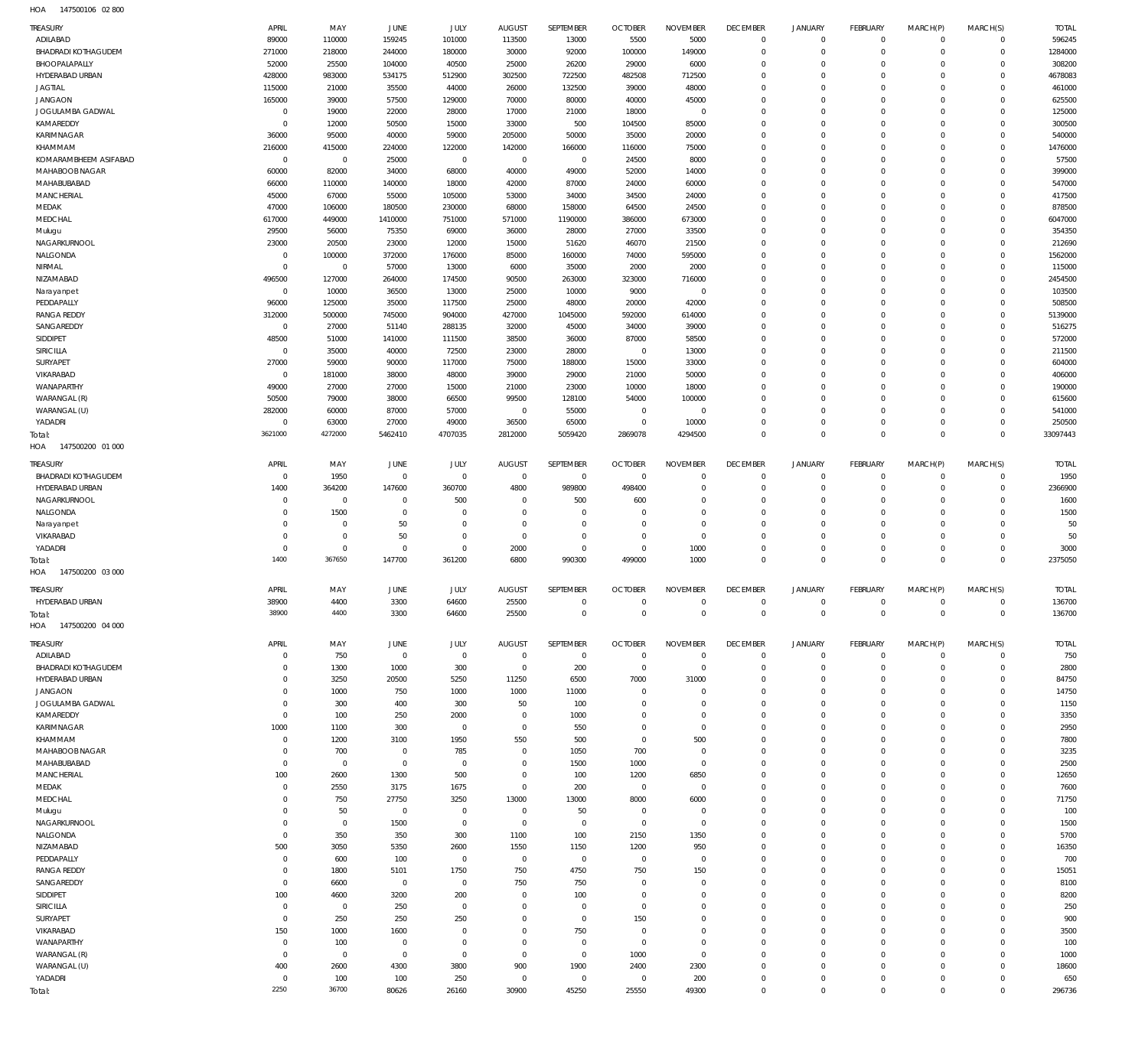147500106 02 800 HOA

| TREASURY                          | APRIL                         | MAY                      | <b>JUNE</b>                      | JULY                  | <b>AUGUST</b>                | SEPTEMBER               | <b>OCTOBER</b>                   | <b>NOVEMBER</b>             | <b>DECEMBER</b>                  | <b>JANUARY</b>             | <b>FEBRUARY</b>              | MARCH(P)                | MARCH(S)                   | <b>TOTAL</b>      |
|-----------------------------------|-------------------------------|--------------------------|----------------------------------|-----------------------|------------------------------|-------------------------|----------------------------------|-----------------------------|----------------------------------|----------------------------|------------------------------|-------------------------|----------------------------|-------------------|
| ADILABAD                          | 89000                         | 110000                   | 159245                           | 101000                | 113500                       | 13000                   | 5500                             | 5000                        | $\mathbf 0$                      | $\mathbf 0$                | $\mathbf{0}$                 | $\mathbf 0$             | $\Omega$                   | 596245            |
| BHADRADI KOTHAGUDEM               | 271000                        | 218000                   | 244000                           | 180000                | 30000                        | 92000                   | 100000                           | 149000                      | $\overline{0}$                   | $^{\circ}$                 | $\mathbf{0}$                 | $\mathbf 0$             | $\mathbf 0$                | 1284000           |
| BHOOPALAPALLY                     | 52000                         | 25500                    | 104000                           | 40500                 | 25000                        | 26200                   | 29000                            | 6000                        | $\overline{0}$<br>$\overline{0}$ | $^{\circ}$                 | $\mathbf{0}$                 | $\Omega$                | $\Omega$<br>$\Omega$       | 308200            |
| HYDERABAD URBAN<br><b>JAGTIAL</b> | 428000<br>115000              | 983000<br>21000          | 534175<br>35500                  | 512900<br>44000       | 302500<br>26000              | 722500<br>132500        | 482508<br>39000                  | 712500<br>48000             | $\overline{0}$                   | 0<br>$\mathbf 0$           | $^{\circ}$<br>$\mathbf{0}$   | $\Omega$<br>$\Omega$    | $\Omega$                   | 4678083<br>461000 |
| <b>JANGAON</b>                    | 165000                        | 39000                    | 57500                            | 129000                | 70000                        | 80000                   | 40000                            | 45000                       | $\overline{0}$                   | 0                          | $^{\circ}$                   | $\Omega$                | $\Omega$                   | 625500            |
| JOGULAMBA GADWAL                  | $\overline{0}$                | 19000                    | 22000                            | 28000                 | 17000                        | 21000                   | 18000                            | $^{\circ}$                  | $\overline{0}$                   | $\mathbf 0$                | $\mathbf{0}$                 |                         | $\Omega$                   | 125000            |
| KAMAREDDY                         | $\overline{0}$                | 12000                    | 50500                            | 15000                 | 33000                        | 500                     | 104500                           | 85000                       | $\overline{0}$                   | $\Omega$                   | $\Omega$                     | $\Omega$                | $\Omega$                   | 300500            |
| KARIMNAGAR                        | 36000                         | 95000                    | 40000                            | 59000                 | 205000                       | 50000                   | 35000                            | 20000                       | $\overline{0}$                   | 0                          | $\mathbf{0}$                 | $\Omega$                | $\Omega$                   | 540000            |
| KHAMMAM                           | 216000                        | 415000                   | 224000                           | 122000                | 142000                       | 166000                  | 116000                           | 75000                       | $\overline{0}$                   | $\mathbf 0$                | $\Omega$                     | $\Omega$                | $\Omega$                   | 1476000           |
| KOMARAMBHEEM ASIFABAD             | $\overline{0}$                | $\overline{0}$           | 25000                            | $\overline{0}$        | $\overline{0}$               | $\overline{0}$          | 24500                            | 8000                        | $\overline{0}$<br>$\Omega$       | 0                          | $\mathbf{0}$<br>$\Omega$     | $\Omega$                | $\Omega$<br>$\Omega$       | 57500             |
| MAHABOOB NAGAR<br>MAHABUBABAD     | 60000<br>66000                | 82000<br>110000          | 34000<br>140000                  | 68000<br>18000        | 40000<br>42000               | 49000<br>87000          | 52000<br>24000                   | 14000<br>60000              | $\overline{0}$                   | $\Omega$<br>$\mathbf 0$    | $\mathbf{0}$                 | $\Omega$                | $\Omega$                   | 399000<br>547000  |
| MANCHERIAL                        | 45000                         | 67000                    | 55000                            | 105000                | 53000                        | 34000                   | 34500                            | 24000                       | $\overline{0}$                   | 0                          | $\Omega$                     |                         | $\Omega$                   | 417500            |
| MEDAK                             | 47000                         | 106000                   | 180500                           | 230000                | 68000                        | 158000                  | 64500                            | 24500                       | $\overline{0}$                   | $\mathbf 0$                | $\Omega$                     | $\Omega$                | $\Omega$                   | 878500            |
| MEDCHAL                           | 617000                        | 449000                   | 1410000                          | 751000                | 571000                       | 1190000                 | 386000                           | 673000                      | $\overline{0}$                   | 0                          | $\Omega$                     | $\Omega$                | $\Omega$                   | 6047000           |
| Mulugu                            | 29500                         | 56000                    | 75350                            | 69000                 | 36000                        | 28000                   | 27000                            | 33500                       | $\overline{0}$                   | $\mathbf 0$                | $\Omega$                     | $\Omega$                | $\Omega$                   | 354350            |
| NAGARKURNOOL                      | 23000                         | 20500                    | 23000                            | 12000                 | 15000                        | 51620                   | 46070                            | 21500                       | $\overline{0}$                   | 0                          | $^{\circ}$                   | $\Omega$                | $\Omega$                   | 212690            |
| NALGONDA                          | $\mathbf 0$<br>$\overline{0}$ | 100000                   | 372000                           | 176000                | 85000                        | 160000                  | 74000                            | 595000                      | $\overline{0}$<br>$\Omega$       | $\mathbf 0$                | $\mathbf{0}$<br>$\Omega$     | $\Omega$                | $\Omega$<br>$\Omega$       | 1562000           |
| NIRMAL<br>NIZAMABAD               | 496500                        | $\overline{0}$<br>127000 | 57000<br>264000                  | 13000<br>174500       | 6000<br>90500                | 35000<br>263000         | 2000<br>323000                   | 2000<br>716000              | $\overline{0}$                   | $\Omega$<br>0              | $\mathbf{0}$                 |                         | $\Omega$                   | 115000<br>2454500 |
| Narayanpet                        | $\overline{0}$                | 10000                    | 36500                            | 13000                 | 25000                        | 10000                   | 9000                             | $\mathbf 0$                 | $\overline{0}$                   | $\mathbf 0$                | $\Omega$                     | $\Omega$                | $\Omega$                   | 103500            |
| PEDDAPALLY                        | 96000                         | 125000                   | 35000                            | 117500                | 25000                        | 48000                   | 20000                            | 42000                       | $\overline{0}$                   | 0                          | $\mathbf{0}$                 | $\Omega$                | $\Omega$                   | 508500            |
| <b>RANGA REDDY</b>                | 312000                        | 500000                   | 745000                           | 904000                | 427000                       | 1045000                 | 592000                           | 614000                      | $\Omega$                         | $\Omega$                   | $\Omega$                     |                         | $\Omega$                   | 5139000           |
| SANGAREDDY                        | $\mathbf 0$                   | 27000                    | 51140                            | 288135                | 32000                        | 45000                   | 34000                            | 39000                       | $\overline{0}$                   | 0                          | $\mathbf{0}$                 | $\Omega$                | $\Omega$                   | 516275            |
| SIDDIPET                          | 48500                         | 51000                    | 141000                           | 111500                | 38500                        | 36000                   | 87000                            | 58500                       | $\overline{0}$                   | 0                          | $\Omega$                     |                         | $\Omega$                   | 572000            |
| SIRICILLA                         | $\overline{0}$                | 35000                    | 40000                            | 72500                 | 23000                        | 28000                   | $\overline{0}$                   | 13000                       | $\overline{0}$                   | $\mathbf 0$                | $\Omega$                     | $\Omega$                | $\Omega$                   | 211500            |
| SURYAPET<br>VIKARABAD             | 27000<br>$\overline{0}$       | 59000<br>181000          | 90000<br>38000                   | 117000<br>48000       | 75000<br>39000               | 188000<br>29000         | 15000<br>21000                   | 33000<br>50000              | $\overline{0}$<br>$\overline{0}$ | 0<br>$\mathbf 0$           | $\Omega$<br>$\Omega$         | $\Omega$                | $\Omega$<br>$\Omega$       | 604000<br>406000  |
| WANAPARTHY                        | 49000                         | 27000                    | 27000                            | 15000                 | 21000                        | 23000                   | 10000                            | 18000                       | $^{\circ}$                       | 0                          | $^{\circ}$                   | $\Omega$                | $\Omega$                   | 190000            |
| WARANGAL (R)                      | 50500                         | 79000                    | 38000                            | 66500                 | 99500                        | 128100                  | 54000                            | 100000                      | $\overline{0}$                   | $\mathbf 0$                | $\mathbf{0}$                 |                         | $\Omega$                   | 615600            |
| WARANGAL (U)                      | 282000                        | 60000                    | 87000                            | 57000                 | $\overline{0}$               | 55000                   | $\overline{0}$                   | $\overline{0}$              | $\overline{0}$                   | $\mathbf 0$                | $\Omega$                     | $\Omega$                | $\Omega$                   | 541000            |
| YADADRI                           | $\overline{0}$                | 63000                    | 27000                            | 49000                 | 36500                        | 65000                   | $\overline{0}$                   | 10000                       | $\overline{0}$                   | $^{\circ}$                 | $\mathbf{0}$                 | $\Omega$                | $\mathbf 0$                | 250500            |
| Total:                            | 3621000                       | 4272000                  | 5462410                          | 4707035               | 2812000                      | 5059420                 | 2869078                          | 4294500                     | $\,0\,$                          | $\mathbf 0$                | $\overline{0}$               | $\Omega$                | $\mathbf{0}$               | 33097443          |
| HOA<br>147500200 01 000           |                               |                          |                                  |                       |                              |                         |                                  |                             |                                  |                            |                              |                         |                            |                   |
| TREASURY                          | APRIL                         | MAY                      | JUNE                             | JULY                  | <b>AUGUST</b>                | SEPTEMBER               | <b>OCTOBER</b>                   | <b>NOVEMBER</b>             | <b>DECEMBER</b>                  | <b>JANUARY</b>             | <b>FEBRUARY</b>              | MARCH(P)                | MARCH(S)                   | <b>TOTAL</b>      |
| <b>BHADRADI KOTHAGUDEM</b>        | $\overline{0}$                | 1950                     | $\overline{0}$                   | $\overline{0}$        | $\overline{0}$               | $\overline{0}$          | $\overline{0}$                   | $\mathbf 0$                 | $\overline{0}$                   | $^{\circ}$                 | $^{\circ}$                   | $\Omega$                | $\mathbf 0$                | 1950              |
| HYDERABAD URBAN                   | 1400                          | 364200                   | 147600                           | 360700                | 4800                         | 989800                  | 498400                           | $\mathbf 0$                 | $\,0\,$                          | $\mathbf 0$                | $\mathbf{0}$                 | $\Omega$                | $\mathbf 0$                | 2366900           |
| NAGARKURNOOL<br>NALGONDA          | $\mathbf 0$<br>$\mathbf 0$    | $\overline{0}$<br>1500   | $\overline{0}$<br>$\overline{0}$ | 500<br>$\mathbf 0$    | $^{\circ}$<br>$\mathbf 0$    | 500<br>$\mathbf 0$      | 600<br>$\overline{0}$            | $\mathbf 0$<br>$\mathbf 0$  | $\overline{0}$<br>$\overline{0}$ | $^{\circ}$<br>$^{\circ}$   | $\mathbf{0}$<br>$\mathbf{0}$ | $\Omega$<br>$\Omega$    | $\mathbf 0$<br>$\Omega$    | 1600<br>1500      |
| Narayanpet                        | $\mathbf 0$                   | $\overline{0}$           | 50                               | $\mathbf 0$           | $\overline{0}$               | $\mathbf 0$             | $\overline{0}$                   | $\mathbf 0$                 | $\overline{0}$                   | $^{\circ}$                 | $\mathbf{0}$                 | $\Omega$                | $\Omega$                   | 50                |
| VIKARABAD                         | $\mathbf 0$                   | $\mathbf 0$              | 50                               | $\mathbf 0$           | $\overline{0}$               | $\mathbf 0$             | $\overline{0}$                   | $\overline{0}$              | $\overline{0}$                   | $^{\circ}$                 | $\mathbf{0}$                 | $\Omega$                | $\Omega$                   | 50                |
| YADADRI                           | $\mathbf 0$                   | $\mathbf 0$              | $\overline{0}$                   | $\overline{0}$        | 2000                         | $\mathbf 0$             | $\mathbb O$                      | 1000                        | $\mathbf 0$                      | $\mathbf 0$                | $\mathbf{0}$                 | $\Omega$                | $\mathbf 0$                | 3000              |
| Total:                            | 1400                          | 367650                   | 147700                           | 361200                | 6800                         | 990300                  | 499000                           | 1000                        | $\,0\,$                          | $\mathbb O$                | $\overline{0}$               | $\Omega$                | $\mathbf 0$                | 2375050           |
| 147500200 03 000<br>HOA           |                               |                          |                                  |                       |                              |                         |                                  |                             |                                  |                            |                              |                         |                            |                   |
| TREASURY                          | APRIL                         | MAY                      | <b>JUNE</b>                      | JULY                  | <b>AUGUST</b>                | SEPTEMBER               | <b>OCTOBER</b>                   | <b>NOVEMBER</b>             | <b>DECEMBER</b>                  | <b>JANUARY</b>             | FEBRUARY                     | MARCH(P)                | MARCH(S)                   | <b>TOTAL</b>      |
| HYDERABAD URBAN                   | 38900                         | 4400                     | 3300                             | 64600                 | 25500                        | $\mathbf 0$             | $\overline{0}$                   | $\mathbf 0$                 | $\mathbf 0$                      | $\mathbf 0$                | $\mathbf{0}$                 | $\mathbf 0$             | $\mathbf 0$                | 136700            |
| Total:                            | 38900                         | 4400                     | 3300                             | 64600                 | 25500                        | $\mathbf 0$             | $\mathbf 0$                      | $\,0\,$                     | $\,0\,$                          | $\,0\,$                    | $\,0\,$                      | $\mathbf 0$             | $^{\circ}$                 | 136700            |
| HOA<br>147500200 04 000           |                               |                          |                                  |                       |                              |                         |                                  |                             |                                  |                            |                              |                         |                            |                   |
| TREASURY                          | APRIL                         | MAY                      | JUNE                             | JULY                  | <b>AUGUST</b>                | <b>SEPTEMBER</b>        | <b>OCTOBER</b>                   | <b>NOVEMBER</b>             | <b>DECEMBER</b>                  | <b>JANUARY</b>             | <b>FEBRUARY</b>              | MARCH(P)                | MARCH(S)                   | <b>TOTAL</b>      |
| ADILABAD                          | $\mathbf 0$                   | 750                      | $\mathbf 0$                      | $\overline{0}$        | $\overline{0}$               | $\overline{0}$          | $\overline{0}$                   | $\mathbf 0$                 | $\mathbf 0$                      | $\mathbf 0$                | $^{\circ}$                   | $\mathbf 0$             | $\mathbf 0$                | 750               |
| BHADRADI KOTHAGUDEM               | $\mathbf 0$                   | 1300                     | 1000                             | 300                   | $\overline{0}$               | 200                     | $\overline{0}$                   | $\mathbf 0$                 | $\overline{0}$                   | $^{\circ}$                 | $\mathbf{0}$                 | $\mathbf 0$             | $\mathbf 0$                | 2800              |
| HYDERABAD URBAN<br><b>JANGAON</b> | $\mathbf 0$<br>$\mathbf 0$    | 3250<br>1000             | 20500<br>750                     | 5250<br>1000          | 11250<br>1000                | 6500<br>11000           | 7000<br>$\overline{0}$           | 31000<br>$\Omega$           | $\overline{0}$<br>$\overline{0}$ | $^{\circ}$<br>$\mathbf 0$  | $^{\circ}$<br>$\mathbf{0}$   | $\Omega$<br>$\Omega$    | $\Omega$<br>$\Omega$       | 84750<br>14750    |
| JOGULAMBA GADWAL                  | $\mathbf 0$                   | 300                      | 400                              | 300                   | 50                           | 100                     | $\overline{0}$                   | $\mathbf 0$                 | $\overline{0}$                   | $^{\circ}$                 | $\mathbf{0}$                 | $\Omega$                | $\Omega$                   | 1150              |
| KAMAREDDY                         | $\mathbf 0$                   | 100                      | 250                              | 2000                  | $\overline{0}$               | 1000                    | $\overline{0}$                   | $\mathbf 0$                 | $\mathbf 0$                      | $^{\circ}$                 | $\mathbf{0}$                 | $\Omega$                | $\Omega$                   | 3350              |
| KARIMNAGAR                        | 1000                          | 1100                     | 300                              | $\mathbf 0$           | $\overline{0}$               | 550                     | $\overline{0}$                   | $\overline{0}$              | $\overline{0}$                   | $^{\circ}$                 | $\mathbf{0}$                 | $\Omega$                | $\Omega$                   | 2950              |
| KHAMMAM                           | $\mathbf 0$                   | 1200                     | 3100                             | 1950                  | 550                          | 500                     | $\mathbb O$                      | 500                         | $\overline{0}$                   | $^{\circ}$                 | $\mathbf{0}$                 | $\Omega$                | $\Omega$                   | 7800              |
| MAHABOOB NAGAR                    | $\mathbf 0$                   | 700                      | $\overline{0}$                   | 785                   | $\overline{0}$               | 1050                    | 700                              | $\overline{0}$              | $\mathbf 0$                      | $\mathbf 0$                | $\Omega$                     | $\Omega$                | $\Omega$                   | 3235              |
| MAHABUBABAD                       | $\mathbf 0$<br>100            | $\overline{0}$<br>2600   | $\overline{0}$<br>1300           | $\overline{0}$<br>500 | $\mathbf{0}$<br>$\mathbf{0}$ | 1500                    | 1000                             | $\mathbf 0$<br>6850         | $\overline{0}$<br>$\overline{0}$ | $^{\circ}$<br>$^{\circ}$   | $\mathbf{0}$<br>$\mathbf{0}$ | $\Omega$<br>$\Omega$    | $\Omega$<br>$\Omega$       | 2500<br>12650     |
| <b>MANCHERIAL</b><br>MEDAK        | $\mathbf 0$                   | 2550                     | 3175                             | 1675                  | $\overline{0}$               | 100<br>200              | 1200<br>$\overline{0}$           | $^{\circ}$                  | $\overline{0}$                   | $^{\circ}$                 | $\mathbf{0}$                 | $\Omega$                | $\Omega$                   | 7600              |
| MEDCHAL                           | $\mathbf 0$                   | 750                      | 27750                            | 3250                  | 13000                        | 13000                   | 8000                             | 6000                        | $\mathbf 0$                      | $^{\circ}$                 | $\Omega$                     | $\Omega$                | $\Omega$                   | 71750             |
| Mulugu                            | $\mathbf 0$                   | 50                       | $\overline{0}$                   | $\overline{0}$        | $\overline{0}$               | 50                      | $\overline{0}$                   | $^{\circ}$                  | $\mathbf 0$                      | $^{\circ}$                 | $\mathbf{0}$                 | $\Omega$                | $\Omega$                   | 100               |
| NAGARKURNOOL                      | $\mathbf 0$                   | $\overline{0}$           | 1500                             | $\overline{0}$        | $\overline{0}$               | $\overline{0}$          | $\overline{0}$                   | $^{\circ}$                  | $\overline{0}$                   | $^{\circ}$                 | $\mathbf{0}$                 | $\Omega$                | $\Omega$                   | 1500              |
| NALGONDA                          | $\mathbf 0$                   | 350                      | 350                              | 300                   | 1100                         | 100                     | 2150                             | 1350                        | $\mathbf 0$                      | $^{\circ}$                 | $\mathbf{0}$                 | $\Omega$                | $\Omega$                   | 5700              |
| NIZAMABAD                         | 500                           | 3050                     | 5350                             | 2600                  | 1550                         | 1150                    | 1200                             | 950                         | $\mathbf 0$                      | $^{\circ}$                 | $\mathbf{0}$                 | $\Omega$                | $\Omega$                   | 16350             |
| PEDDAPALLY                        | $\mathbf 0$                   | 600                      | 100                              | $\overline{0}$        | $\overline{0}$               | $\overline{0}$          | $\overline{0}$                   | $^{\circ}$                  | $\mathbf 0$                      | $^{\circ}$                 | $\mathbf{0}$                 | $\Omega$                | $\Omega$                   | 700               |
| <b>RANGA REDDY</b>                |                               |                          |                                  | 1750                  | 750                          | 4750                    | 750                              | 150                         | $\overline{0}$                   | $^{\circ}$                 | $^{\circ}$                   | $\Omega$                | $\Omega$                   | 15051             |
|                                   | $\mathbf 0$                   | 1800                     | 5101                             |                       |                              |                         |                                  |                             |                                  |                            |                              |                         |                            |                   |
| SANGAREDDY                        | $\mathbf 0$                   | 6600                     | $\mathbf 0$                      | $\overline{0}$        | 750                          | 750                     | $\overline{0}$                   | $\mathbf 0$                 | $\overline{0}$                   | $^{\circ}$                 | $\mathbf{0}$<br>$\Omega$     | $\Omega$<br>$\Omega$    | $\Omega$<br>$\Omega$       | 8100              |
| SIDDIPET<br>SIRICILLA             | 100<br>$\mathbf 0$            | 4600<br>$\overline{0}$   | 3200<br>250                      | 200<br>$\overline{0}$ | $\mathbf{0}$<br>$\mathbf 0$  | 100<br>$\mathbf{0}$     | $\overline{0}$<br>$\overline{0}$ | $\mathbf{0}$<br>$\mathbf 0$ | $\mathbf 0$<br>$\overline{0}$    | $^{\circ}$<br>$^{\circ}$   | $\mathbf{0}$                 | $\Omega$                | $\Omega$                   | 8200<br>250       |
| SURYAPET                          | $\mathbf 0$                   | 250                      | 250                              | 250                   | $\mathbf{0}$                 | $\mathbf{0}$            | 150                              | $\mathbf{0}$                | $\overline{0}$                   | $^{\circ}$                 | $\mathbf{0}$                 | $\Omega$                | $\Omega$                   | 900               |
| VIKARABAD                         | 150                           | 1000                     | 1600                             | $^{\circ}$            | $\mathbf 0$                  | 750                     | $\overline{0}$                   | $\mathbf 0$                 | $\overline{0}$                   | $^{\circ}$                 | $\mathbf{0}$                 | $\Omega$                | $\Omega$                   | 3500              |
| WANAPARTHY                        | $\mathbf 0$                   | 100                      | $\overline{0}$                   | $\mathbf 0$           | $\mathbf 0$                  | $\mathbf 0$             | $\overline{0}$                   | $\mathbf 0$                 | $\mathbf 0$                      | $^{\circ}$                 | $\Omega$                     | $\Omega$                | $\Omega$                   | 100               |
| WARANGAL (R)                      | $\overline{0}$                | $\overline{0}$           | $\overline{0}$                   | $\overline{0}$        | $\overline{0}$               | $\mathbf 0$             | 1000                             | $\mathbf 0$                 | $\mathbf 0$                      | $^{\circ}$                 | $\mathbf{0}$                 | $\Omega$                | $\Omega$                   | 1000              |
| WARANGAL (U)                      | 400                           | 2600                     | 4300                             | 3800                  | 900                          | 1900                    | 2400                             | 2300                        | $\mathbf 0$                      | $^{\circ}$                 | $^{\circ}$                   | $\Omega$                | $\Omega$                   | 18600             |
| YADADRI<br>Total:                 | $\overline{0}$<br>2250        | 100<br>36700             | 100<br>80626                     | 250<br>26160          | $\overline{0}$<br>30900      | $\overline{0}$<br>45250 | $\overline{0}$<br>25550          | 200<br>49300                | $\mathbf 0$<br>$\mathbb O$       | $\mathbf 0$<br>$\mathbb O$ | $^{\circ}$<br>$\mathbb O$    | $\Omega$<br>$\mathbb O$ | $\mathbf 0$<br>$\mathbb O$ | 650<br>296736     |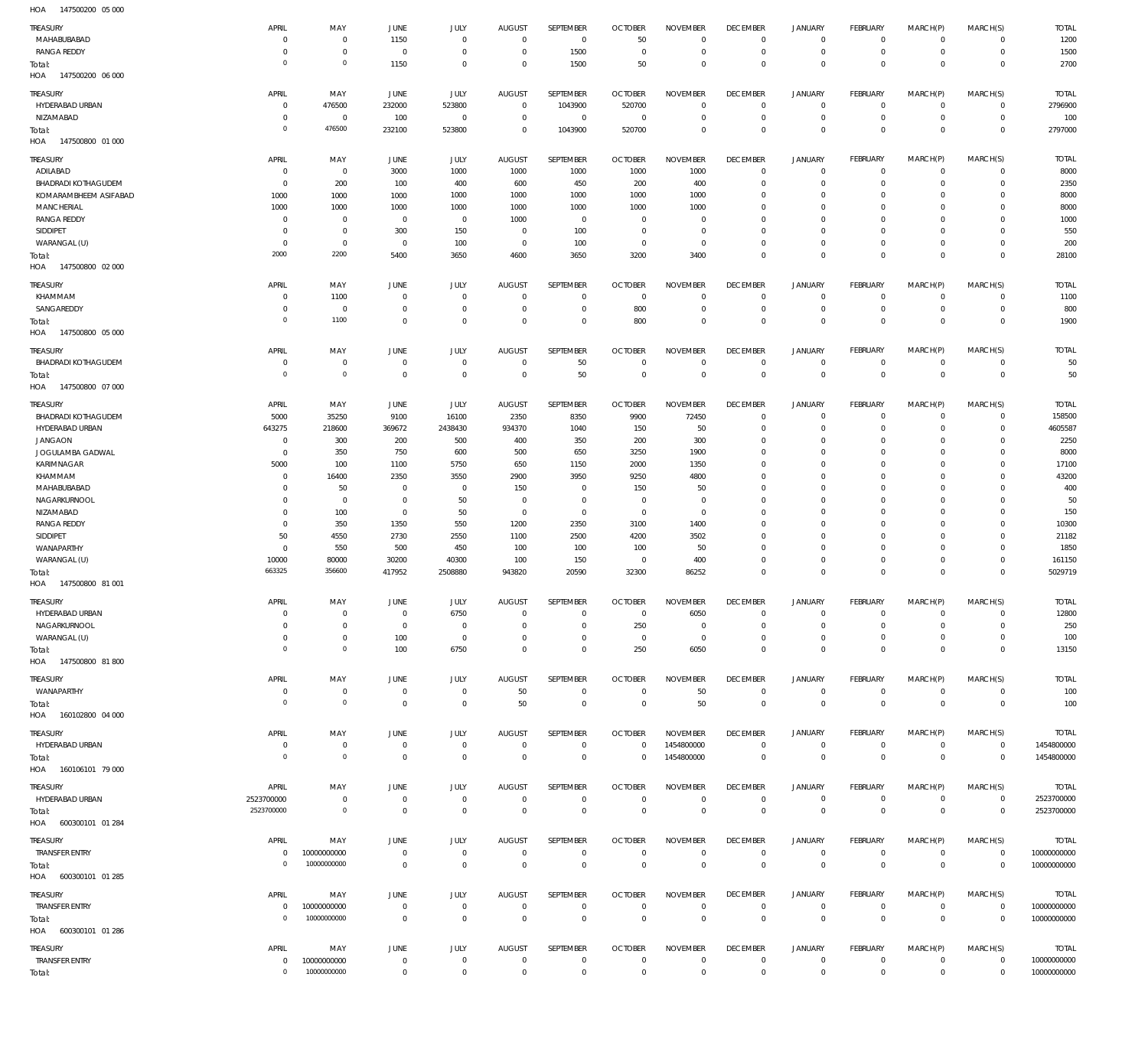147500200 05 000 HOA

| TREASURY                        | APRIL                        | MAY                        | JUNE                       | <b>JULY</b>                | AUGUST                        | SEPTEMBER           | <b>OCTOBER</b> | <b>NOVEMBER</b>            | <b>DECEMBER</b>               | <b>JANUARY</b>                | <b>FEBRUARY</b>        | MARCH(P)       | MARCH(S)       | <b>TOTAL</b>               |
|---------------------------------|------------------------------|----------------------------|----------------------------|----------------------------|-------------------------------|---------------------|----------------|----------------------------|-------------------------------|-------------------------------|------------------------|----------------|----------------|----------------------------|
| MAHABUBABAD                     | $\Omega$                     | $\mathbb O$                | 1150                       | $\mathbf 0$                | $\overline{0}$                | $\mathbb O$         | 50             | $\mathbf 0$                | $\overline{0}$                | $\overline{0}$                | $\mathbf 0$            | $^{\circ}$     | $\Omega$       | 1200                       |
|                                 |                              |                            |                            |                            |                               |                     |                |                            |                               |                               |                        |                |                |                            |
| <b>RANGA REDDY</b>              | $\Omega$                     | $\,0\,$                    | $^{\circ}$                 | $\mathbf 0$                | $^{\circ}$                    | 1500                | $\overline{0}$ | $\mathbf 0$                | $\overline{0}$                | $\mathbf 0$                   | $\mathbf 0$            | $^{\circ}$     | $\mathbf 0$    | 1500                       |
| Total:                          | $\circ$                      | $\mathbb O$                | 1150                       | $\mathbf 0$                | $^{\circ}$                    | 1500                | 50             | $\mathbf 0$                | $\overline{0}$                | $\mathbf 0$                   | $\overline{0}$         | $\Omega$       | $\mathbf{0}$   | 2700                       |
| 147500200 06 000<br>HOA         |                              |                            |                            |                            |                               |                     |                |                            |                               |                               |                        |                |                |                            |
| TREASURY                        | APRIL                        | MAY                        | JUNE                       | <b>JULY</b>                | <b>AUGUST</b>                 | SEPTEMBER           | <b>OCTOBER</b> | <b>NOVEMBER</b>            | <b>DECEMBER</b>               | <b>JANUARY</b>                | <b>FEBRUARY</b>        | MARCH(P)       | MARCH(S)       | <b>TOTAL</b>               |
| HYDERABAD URBAN                 | $\Omega$                     | 476500                     | 232000                     | 523800                     | $\mathbf 0$                   |                     | 520700         | $\Omega$                   | $\overline{0}$                | $\overline{0}$                | $\circ$                | $^{\circ}$     | $\mathbf 0$    | 2796900                    |
|                                 |                              |                            |                            |                            |                               | 1043900             |                |                            |                               |                               |                        |                |                |                            |
| NIZAMABAD                       | $\Omega$                     | $\mathbf 0$                | 100                        | $\mathbf 0$                | $\mathbf 0$                   | $^{\circ}$          | $\overline{0}$ | $\Omega$                   | $\overline{0}$                | $\mathbf 0$                   | $\mathbf 0$            | $\Omega$       | $\mathbf 0$    | 100                        |
| Total:                          | $\circ$                      | 476500                     | 232100                     | 523800                     | $\mathbf 0$                   | 1043900             | 520700         | $\Omega$                   | $\overline{0}$                | $\mathbf 0$                   | $\mathbf 0$            | $\Omega$       | $\overline{0}$ | 2797000                    |
| 147500800 01 000<br>HOA         |                              |                            |                            |                            |                               |                     |                |                            |                               |                               |                        |                |                |                            |
| TREASURY                        | APRIL                        | MAY                        | JUNE                       | JULY                       | <b>AUGUST</b>                 | SEPTEMBER           | <b>OCTOBER</b> | <b>NOVEMBER</b>            | <b>DECEMBER</b>               | <b>JANUARY</b>                | FEBRUARY               | MARCH(P)       | MARCH(S)       | <b>TOTAL</b>               |
|                                 |                              |                            |                            |                            |                               |                     |                |                            |                               |                               |                        |                |                |                            |
| ADILABAD                        | $\Omega$                     | $\,0\,$                    | 3000                       | 1000                       | 1000                          | 1000                | 1000           | 1000                       | $\overline{0}$                | $\mathbf 0$                   | $\circ$                | $\Omega$       | $\Omega$       | 8000                       |
| <b>BHADRADI KOTHAGUDEM</b>      | $\Omega$                     | 200                        | 100                        | 400                        | 600                           | 450                 | 200            | 400                        | $\overline{0}$                | $\mathbf 0$                   | $\mathbf 0$            | $\Omega$       | $\mathbf 0$    | 2350                       |
| KOMARAMBHEEM ASIFABAD           | 1000                         | 1000                       | 1000                       | 1000                       | 1000                          | 1000                | 1000           | 1000                       | $\mathbf 0$                   | 0                             | $^{\circ}$             | $\Omega$       | $\Omega$       | 8000                       |
| <b>MANCHERIAL</b>               | 1000                         | 1000                       | 1000                       | 1000                       | 1000                          | 1000                | 1000           | 1000                       | $\overline{0}$                | 0                             | $^{\circ}$             | $\Omega$       | $\Omega$       | 8000                       |
| <b>RANGA REDDY</b>              | $\mathsf{C}$                 | $\mathbf 0$                | $\overline{0}$             | $\mathbf 0$                | 1000                          | $\overline{0}$      | $\overline{0}$ | 0                          | $\mathbf 0$                   | 0                             | $^{\circ}$             | $\Omega$       | $\Omega$       | 1000                       |
| SIDDIPET                        | $\Omega$                     | $\mathbf 0$                | 300                        | 150                        | $^{\circ}$                    | 100                 | $\overline{0}$ | $\mathbf 0$                | $\overline{0}$                | 0                             | $\circ$                | $\Omega$       | $\Omega$       | 550                        |
| WARANGAL (U)                    | $\Omega$                     | $\mathbf 0$                | $^{\circ}$                 | 100                        | $^{\circ}$                    | 100                 | $\overline{0}$ | $\mathbf 0$                | $\overline{0}$                | 0                             | $\mathbf 0$            | $\Omega$       | $\circ$        | 200                        |
| Total:                          | 2000                         | 2200                       | 5400                       | 3650                       | 4600                          | 3650                | 3200           | 3400                       | $\overline{0}$                | $\mathbf 0$                   | $\mathbf 0$            | $\Omega$       | $\mathbf 0$    | 28100                      |
| HOA<br>147500800 02 000         |                              |                            |                            |                            |                               |                     |                |                            |                               |                               |                        |                |                |                            |
|                                 |                              |                            |                            |                            |                               |                     |                |                            |                               |                               |                        |                |                |                            |
| TREASURY                        | APRIL                        | MAY                        | JUNE                       | JULY                       | <b>AUGUST</b>                 | SEPTEMBER           | <b>OCTOBER</b> | <b>NOVEMBER</b>            | <b>DECEMBER</b>               | <b>JANUARY</b>                | <b>FEBRUARY</b>        | MARCH(P)       | MARCH(S)       | <b>TOTAL</b>               |
| KHAMMAM                         | $\Omega$                     | 1100                       | $\overline{0}$             | $\mathbf 0$                | $^{\circ}$                    | $\mathbf 0$         | $\overline{0}$ | $\Omega$                   | $\overline{0}$                | $\mathbf 0$                   | $^{\circ}$             | $\Omega$       | $\mathbf 0$    | 1100                       |
| SANGAREDDY                      | $\Omega$                     | $\overline{0}$             | $\circ$                    | $\mathbf 0$                | $^{\circ}$                    | $\mathbf 0$         | 800            | $\mathbf 0$                | $\overline{0}$                | $\mathbf 0$                   | $\mathbf 0$            | $\Omega$       | $\mathbf 0$    | 800                        |
|                                 | 0                            | 1100                       | $\Omega$                   | $\Omega$                   | $^{\circ}$                    | $\mathbf 0$         | 800            | $\Omega$                   | $\overline{0}$                | $\mathbf 0$                   | $\mathbf 0$            | $\Omega$       | $\mathbf 0$    |                            |
| Total:                          |                              |                            |                            |                            |                               |                     |                |                            |                               |                               |                        |                |                | 1900                       |
| HOA  147500800  05  000         |                              |                            |                            |                            |                               |                     |                |                            |                               |                               |                        |                |                |                            |
| TREASURY                        | APRIL                        | MAY                        | JUNE                       | JULY                       | <b>AUGUST</b>                 | SEPTEMBER           | <b>OCTOBER</b> | <b>NOVEMBER</b>            | <b>DECEMBER</b>               | <b>JANUARY</b>                | FEBRUARY               | MARCH(P)       | MARCH(S)       | <b>TOTAL</b>               |
| <b>BHADRADI KOTHAGUDEM</b>      | 0                            | $\mathbf 0$                | $\mathbf 0$                | $\mathbf 0$                | $^{\circ}$                    | 50                  | $\overline{0}$ | $\mathbf 0$                | $\overline{0}$                | $\mathbf 0$                   | 0                      | $\circ$        | $\Omega$       | 50                         |
|                                 |                              |                            |                            |                            |                               |                     |                |                            |                               |                               |                        |                |                |                            |
| Total:                          | $\circ$                      | $\mathbb O$                | $\mathbf{0}$               | $\mathbf 0$                | $\overline{0}$                | 50                  | $\overline{0}$ | $\mathbf 0$                | $\mathbf 0$                   | $\mathbf 0$                   | $\mathbb O$            | $\mathbf 0$    | $\mathbb O$    | 50                         |
| 147500800 07 000<br>HOA         |                              |                            |                            |                            |                               |                     |                |                            |                               |                               |                        |                |                |                            |
| TREASURY                        | APRIL                        | MAY                        | JUNE                       | <b>JULY</b>                | <b>AUGUST</b>                 | SEPTEMBER           | <b>OCTOBER</b> | <b>NOVEMBER</b>            | <b>DECEMBER</b>               | <b>JANUARY</b>                | <b>FEBRUARY</b>        | MARCH(P)       | MARCH(S)       | <b>TOTAL</b>               |
| <b>BHADRADI KOTHAGUDEM</b>      | 5000                         |                            |                            |                            |                               |                     |                |                            | $\overline{0}$                | $\mathbf 0$                   | $^{\circ}$             | $\Omega$       | $\mathbf 0$    |                            |
|                                 |                              | 35250                      | 9100                       | 16100                      | 2350                          | 8350                | 9900           | 72450                      |                               |                               |                        |                |                | 158500                     |
| HYDERABAD URBAN                 | 643275                       | 218600                     | 369672                     | 2438430                    | 934370                        | 1040                | 150            | 50                         | $\mathbf 0$                   | 0                             | $^{\circ}$             | $\Omega$       | $\Omega$       | 4605587                    |
| <b>JANGAON</b>                  | - 0                          | 300                        | 200                        | 500                        | 400                           | 350                 | 200            | 300                        | $\mathbf 0$                   | $\Omega$                      | $\circ$                | $\Omega$       | $\Omega$       | 2250                       |
| JOGULAMBA GADWAL                | $\Omega$                     | 350                        | 750                        | 600                        | 500                           | 650                 | 3250           | 1900                       | $\mathbf 0$                   | $\Omega$                      | $\Omega$               | $\Omega$       | $\Omega$       | 8000                       |
| KARIMNAGAR                      | 5000                         | 100                        | 1100                       | 5750                       | 650                           | 1150                | 2000           | 1350                       | $\Omega$                      | $\Omega$                      | $\Omega$               | $\Omega$       | $\Omega$       | 17100                      |
| KHAMMAM                         | $\Omega$                     | 16400                      | 2350                       | 3550                       | 2900                          | 3950                | 9250           | 4800                       | $\mathbf 0$                   | $\Omega$                      | $\Omega$               | $\Omega$       | $\Omega$       | 43200                      |
| MAHABUBABAD                     | $\Omega$                     | 50                         | 0                          | 0                          | 150                           | $\mathbf 0$         | 150            | 50                         | $\Omega$                      | $\Omega$                      | $\Omega$               | $\Omega$       | $\Omega$       | 400                        |
| NAGARKURNOOL                    | $\Omega$                     | $\overline{0}$             | 0                          | 50                         | $^{\circ}$                    | $\mathbf 0$         | $\overline{0}$ | $\mathbf 0$                | $\mathbf 0$                   | $\Omega$                      | $\Omega$               | $\Omega$       | $\Omega$       | 50                         |
| NIZAMABAD                       | $\Omega$                     | 100                        | $^{\circ}$                 | 50                         | $\mathbf 0$                   | $\mathbf 0$         | $\overline{0}$ | $\Omega$                   | $\Omega$                      | $\Omega$                      | $\Omega$               | $\Omega$       | $\Omega$       | 150                        |
|                                 |                              |                            |                            |                            |                               |                     |                |                            |                               |                               |                        |                |                |                            |
| <b>RANGA REDDY</b>              | $\Omega$                     | 350                        | 1350                       | 550                        | 1200                          | 2350                | 3100           | 1400                       | $\mathbf 0$                   | $\Omega$                      | $\Omega$               | $\Omega$       | $\Omega$       | 10300                      |
| SIDDIPET                        | 50                           | 4550                       | 2730                       | 2550                       | 1100                          | 2500                | 4200           | 3502                       | $\Omega$                      | $\Omega$                      | $\Omega$               | $\Omega$       | $\Omega$       | 21182                      |
| WANAPARTHY                      | $\Omega$                     | 550                        | 500                        | 450                        | 100                           | 100                 | 100            | 50                         | $\mathbf 0$                   | 0                             | $\circ$                | $\Omega$       | $\Omega$       | 1850                       |
| WARANGAL (U)                    | 10000                        | 80000                      | 30200                      | 40300                      | 100                           | 150                 | $\overline{0}$ | 400                        | $\mathbf 0$                   | 0                             | $\mathbf 0$            | $\Omega$       | $\Omega$       | 161150                     |
|                                 |                              |                            |                            |                            |                               |                     | 32300          | 86252                      | $\Omega$                      | $\mathbf 0$                   |                        |                |                | 5029719                    |
| Total:                          | 663325                       | 356600                     | 417952                     | 2508880                    | 943820                        | 20590               |                |                            |                               |                               | $\mathbf 0$            | $^{\circ}$     | $\mathbf{0}$   |                            |
| 147500800 81 001<br>HOA         |                              |                            |                            |                            |                               |                     |                |                            |                               |                               |                        |                |                |                            |
|                                 |                              |                            |                            |                            |                               |                     |                |                            |                               |                               |                        |                |                |                            |
| TREASURY                        | APRIL                        | MAY                        | <b>JUNE</b>                | <b>JULY</b>                | <b>AUGUST</b>                 | <b>SFPTFMBFR</b>    | <b>OCTOBER</b> | <b>NOVEMBER</b>            | <b>DECEMBER</b>               | <b>JANUARY</b>                | <b>FEBRUARY</b>        | MARCH(P)       | MARCH(S)       | <b>TOTAL</b>               |
| HYDERABAD URBAN                 | $\overline{0}$               | $\mathbb O$                | $\mathbf{0}$               | 6750                       | $\mathbf 0$                   | $\mathbf 0$         | $\overline{0}$ | 6050                       | $\overline{0}$                | $\mathbf 0$                   | $^{\circ}$             | $\Omega$       | $\circ$        | 12800                      |
| NAGARKURNOOL                    | $^{\circ}$                   | $\mathbb O$                | $^{\circ}$                 | $\mathbf 0$                | $\Omega$                      | $\mathbf 0$         | 250            | $^{\circ}$                 | $\overline{0}$                | $\mathbf 0$                   | $\mathbf 0$            | $\Omega$       | $\Omega$       | 250                        |
|                                 | $^{\circ}$                   |                            |                            |                            | $\Omega$                      | $\mathbf 0$         |                | $\mathbf 0$                | $\overline{0}$                | $\mathbf 0$                   |                        | $\Omega$       | $\Omega$       |                            |
| WARANGAL (U)                    |                              | $\mathbb O$                | 100                        | $\mathbf 0$                |                               |                     | $\overline{0}$ |                            |                               |                               | $\mathbf 0$            |                |                | 100                        |
| Total:                          | $\mathbf 0$                  | $\mathbb O$                | 100                        | 6750                       | $\Omega$                      | $\mathbf 0$         | 250            | 6050                       | $\overline{0}$                | $\mathbf 0$                   | $\mathbb O$            | $\overline{0}$ | $\mathbf 0$    | 13150                      |
| HOA  147500800  81 800          |                              |                            |                            |                            |                               |                     |                |                            |                               |                               |                        |                |                |                            |
| TREASURY                        | APRIL                        | MAY                        | JUNE                       | JULY                       | <b>AUGUST</b>                 | <b>SEPTEMBER</b>    | <b>OCTOBER</b> | <b>NOVEMBER</b>            | <b>DECEMBER</b>               | <b>JANUARY</b>                | FEBRUARY               | MARCH(P)       | MARCH(S)       | <b>TOTAL</b>               |
|                                 | $\overline{0}$               |                            |                            | $\mathbb O$                |                               | $\mathbf 0$         | $\overline{0}$ |                            |                               |                               | $\mathbf 0$            | $\mathbf 0$    | $\Omega$       |                            |
| WANAPARTHY                      | $^{\circ}$                   | $\mathbb O$                | $\mathbf 0$                |                            | 50                            |                     |                | 50                         | $\overline{0}$                | $\mathsf 0$                   |                        |                |                | 100                        |
| Total:                          |                              | $\mathbb O$                | $\mathbf 0$                | $\mathbf 0$                | 50                            | $\mathsf{O}\xspace$ | $\overline{0}$ | 50                         | $\mathbf 0$                   | $\mathbf 0$                   | $\mathbb O$            | $\mathbf 0$    | $\mathbb O$    | 100                        |
| HOA  160102800 04 000           |                              |                            |                            |                            |                               |                     |                |                            |                               |                               |                        |                |                |                            |
| TREASURY                        | APRIL                        | MAY                        | JUNE                       | JULY                       | <b>AUGUST</b>                 | SEPTEMBER           | <b>OCTOBER</b> | <b>NOVEMBER</b>            | <b>DECEMBER</b>               | <b>JANUARY</b>                | FEBRUARY               | MARCH(P)       | MARCH(S)       | <b>TOTAL</b>               |
|                                 | $\overline{0}$               |                            |                            |                            | $\overline{0}$                | $\mathbb O$         | $\overline{0}$ |                            | $\overline{0}$                |                               |                        | $\mathbf{0}$   | $\mathbf 0$    |                            |
| HYDERABAD URBAN                 | $\overline{0}$               | $\mathbb O$                | $\mathbf 0$                | $\mathbf 0$                |                               |                     |                | 1454800000                 |                               | $\mathsf 0$                   | $\mathbb O$            |                |                | 1454800000                 |
| Total:                          |                              | $\mathbb O$                | $\overline{0}$             | $\mathsf 0$                | $\overline{0}$                | $\mathbf 0$         | $\overline{0}$ | 1454800000                 | $\mathbf 0$                   | $\mathbf 0$                   | $\mathbb O$            | $\mathbf 0$    | $\,0\,$        | 1454800000                 |
| HOA 160106101 79 000            |                              |                            |                            |                            |                               |                     |                |                            |                               |                               |                        |                |                |                            |
| TREASURY                        | APRIL                        | MAY                        | <b>JUNE</b>                | JULY                       | <b>AUGUST</b>                 | SEPTEMBER           | <b>OCTOBER</b> | <b>NOVEMBER</b>            | <b>DECEMBER</b>               | <b>JANUARY</b>                | FEBRUARY               | MARCH(P)       | MARCH(S)       | <b>TOTAL</b>               |
|                                 |                              |                            |                            | $\mathbf 0$                | $\overline{0}$                | $\mathbf 0$         | $\overline{0}$ | $\overline{0}$             |                               |                               | $\mathbf 0$            | $\mathbf 0$    | $\mathbf 0$    |                            |
| HYDERABAD URBAN                 | 2523700000                   | $\mathbb O$                | $\mathbf 0$                |                            |                               |                     |                |                            | $\overline{0}$                | $\mathsf 0$                   |                        |                |                | 2523700000                 |
| Total:                          | 2523700000                   | $\mathbb O$                | $\mathbf 0$                | $\mathbf 0$                | $\overline{0}$                | $\mathbf 0$         | $\,0\,$        | $\overline{0}$             | $\overline{0}$                | $\overline{0}$                | $\,0\,$                | $\mathbb O$    | $\,0\,$        | 2523700000                 |
| HOA 600300101 01 284            |                              |                            |                            |                            |                               |                     |                |                            |                               |                               |                        |                |                |                            |
| TREASURY                        | APRIL                        | MAY                        | JUNE                       | JULY                       | <b>AUGUST</b>                 | SEPTEMBER           | <b>OCTOBER</b> | <b>NOVEMBER</b>            | <b>DECEMBER</b>               | <b>JANUARY</b>                | <b>FEBRUARY</b>        | MARCH(P)       | MARCH(S)       | <b>TOTAL</b>               |
| <b>TRANSFER ENTRY</b>           | $\overline{0}$               | 10000000000                | $\mathbf 0$                | $\mathbf 0$                | $\overline{0}$                | $\,0\,$             | $\overline{0}$ | $\overline{0}$             | $\overline{0}$                | $\mathsf 0$                   | $\mathbb O$            | $\mathbf 0$    | $\circ$        | 10000000000                |
|                                 | $\circ$                      |                            |                            |                            |                               |                     |                |                            |                               |                               |                        |                |                |                            |
| Total:                          |                              | 10000000000                | $\overline{0}$             | $\mathbf 0$                | $\overline{0}$                | $\mathsf{O}\xspace$ | $\overline{0}$ | $\overline{0}$             | $\mathbf 0$                   | $\mathbf 0$                   | $\,0\,$                | $\mathbf 0$    | $\,0\,$        | 10000000000                |
| HOA 600300101 01 285            |                              |                            |                            |                            |                               |                     |                |                            |                               |                               |                        |                |                |                            |
| TREASURY                        | APRIL                        | MAY                        | <b>JUNE</b>                | JULY                       | <b>AUGUST</b>                 | SEPTEMBER           | <b>OCTOBER</b> | <b>NOVEMBER</b>            | <b>DECEMBER</b>               | <b>JANUARY</b>                | FEBRUARY               | MARCH(P)       | MARCH(S)       | <b>TOTAL</b>               |
|                                 | $^{\circ}$                   |                            | $\mathbf{0}$               | $\mathbf 0$                | $\mathbf 0$                   | $\mathbf 0$         | $\overline{0}$ | $\mathbf 0$                |                               |                               | $\mathbf 0$            | $\mathbf 0$    | $\circ$        |                            |
| <b>TRANSFER ENTRY</b>           | $^{\circ}$                   | 10000000000                |                            |                            |                               |                     |                |                            | $\overline{0}$                | $\mathsf 0$                   |                        |                |                | 10000000000                |
| Total:                          |                              | 10000000000                | $\mathbf 0$                | $\mathbf 0$                | $\overline{0}$                | $\mathsf{O}\xspace$ | $\overline{0}$ | $\overline{0}$             | $\mathbf 0$                   | $\mathbf 0$                   | $\,0\,$                | $\mathbf 0$    | $\,0\,$        | 10000000000                |
| HOA 600300101 01 286            |                              |                            |                            |                            |                               |                     |                |                            |                               |                               |                        |                |                |                            |
| TREASURY                        | APRIL                        | MAY                        | JUNE                       | JULY                       | <b>AUGUST</b>                 | SEPTEMBER           | <b>OCTOBER</b> | <b>NOVEMBER</b>            | <b>DECEMBER</b>               | JANUARY                       | FEBRUARY               | MARCH(P)       | MARCH(S)       | <b>TOTAL</b>               |
|                                 |                              |                            |                            |                            |                               |                     | $\overline{0}$ |                            |                               |                               |                        | $^{\circ}$     | $\mathbf 0$    |                            |
| <b>TRANSFER ENTRY</b><br>Total: | $\overline{0}$<br>$^{\circ}$ | 10000000000<br>10000000000 | $\mathbf 0$<br>$\mathbf 0$ | $\mathbf 0$<br>$\mathsf 0$ | $\overline{0}$<br>$\mathbb O$ | 0<br>$\mathsf 0$    | $\overline{0}$ | $\mathbf 0$<br>$\mathbf 0$ | $\overline{0}$<br>$\mathbf 0$ | $\overline{0}$<br>$\mathbf 0$ | $\mathbb O$<br>$\,0\,$ | $\overline{0}$ | $\,0\,$        | 10000000000<br>10000000000 |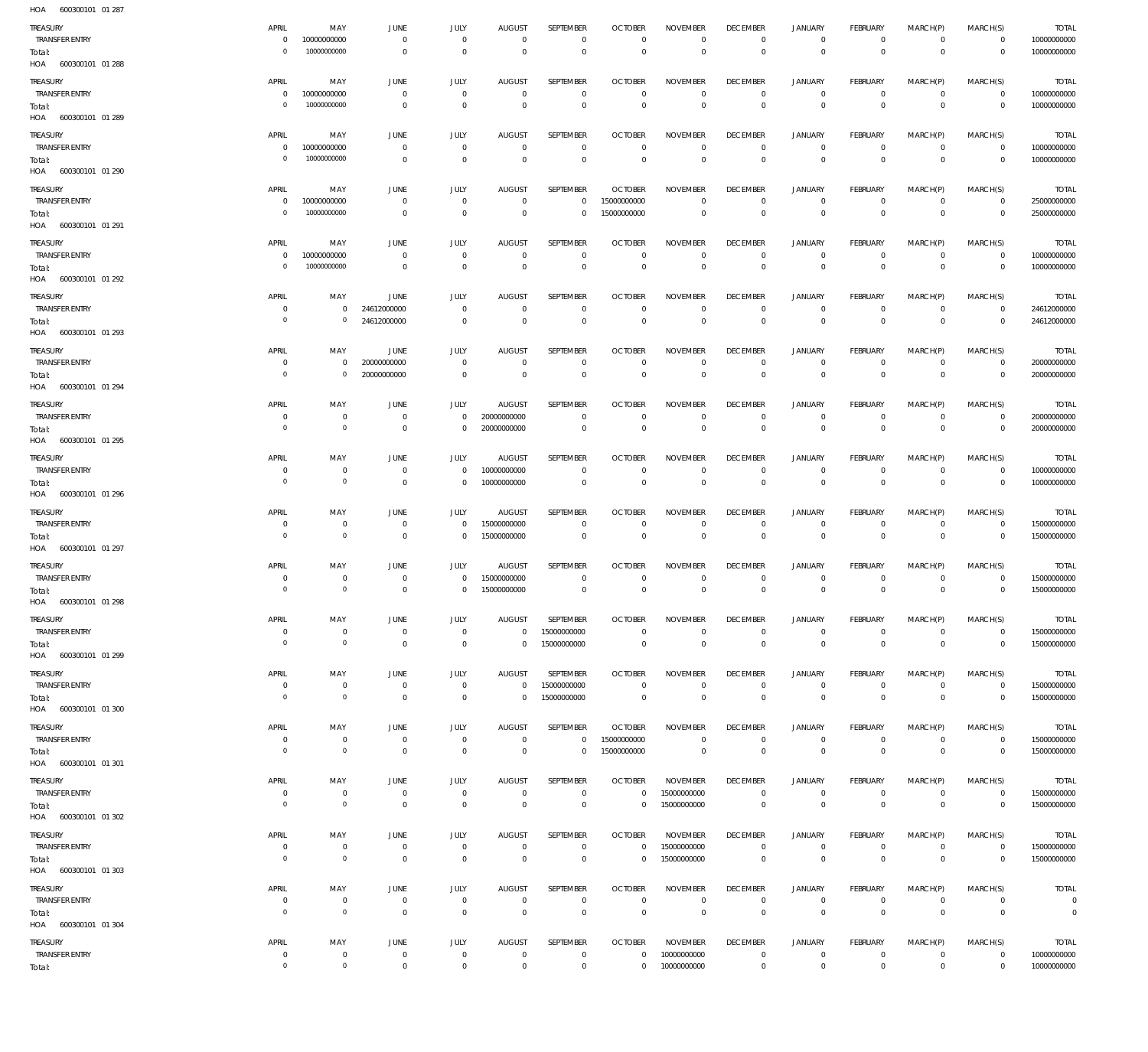| HOA<br>600300101 01 287           |                                  |                               |                                  |                                  |                                  |                           |                                  |                                |                                   |                                       |                            |                               |                               |                             |
|-----------------------------------|----------------------------------|-------------------------------|----------------------------------|----------------------------------|----------------------------------|---------------------------|----------------------------------|--------------------------------|-----------------------------------|---------------------------------------|----------------------------|-------------------------------|-------------------------------|-----------------------------|
| TREASURY                          | APRIL                            | MAY                           | JUNE                             | JULY                             | <b>AUGUST</b>                    | SEPTEMBER                 | <b>OCTOBER</b>                   | <b>NOVEMBER</b>                | <b>DECEMBER</b>                   | <b>JANUARY</b>                        | FEBRUARY                   | MARCH(P)                      | MARCH(S)                      | <b>TOTAL</b>                |
| <b>TRANSFER ENTRY</b>             | $\overline{0}$                   | 10000000000                   | $\overline{0}$                   | $\overline{0}$                   | $\overline{0}$                   | $\mathbf{0}$              | $\overline{0}$                   | $\mathbf 0$                    | $\mathbf 0$                       | $\mathsf{O}\xspace$                   | $\circ$                    | $\mathbf 0$                   | $\mathbf 0$                   | 10000000000                 |
| Total:<br>HOA 600300101 01 288    | $\mathbf{0}$                     | 10000000000                   | $\overline{0}$                   | $\overline{0}$                   | $\overline{0}$                   | $\mathbf 0$               | $\overline{0}$                   | $\mathbf{0}$                   | $\overline{0}$                    | $\mathbb O$                           | $\overline{0}$             | $\mathbf 0$                   | $\overline{0}$                | 10000000000                 |
| TREASURY                          | APRIL                            | MAY                           | JUNE                             | JULY                             | <b>AUGUST</b>                    | SEPTEMBER                 | <b>OCTOBER</b>                   | <b>NOVEMBER</b>                | <b>DECEMBER</b>                   | <b>JANUARY</b>                        | FEBRUARY                   | MARCH(P)                      | MARCH(S)                      | <b>TOTAL</b>                |
| <b>TRANSFER ENTRY</b>             | $\overline{0}$                   | 10000000000                   | $\overline{0}$                   | $\overline{0}$                   | $\overline{0}$                   | $\overline{0}$            | $\overline{0}$                   | $\mathbf 0$                    | $\mathbf 0$                       | $\mathbf 0$                           | $\overline{0}$             | $\mathsf{O}$                  | $\overline{0}$                | 10000000000                 |
| Total:<br>HOA 600300101 01 289    | $\overline{0}$                   | 10000000000                   | $\overline{0}$                   | $\overline{0}$                   | $\overline{0}$                   | $\mathbf 0$               | $\overline{0}$                   | $\mathbf 0$                    | $\mathbf 0$                       | $\mathbf 0$                           | $\overline{0}$             | $\mathbf 0$                   | $\overline{0}$                | 10000000000                 |
| <b>TREASURY</b>                   | APRIL                            | MAY                           | <b>JUNE</b>                      | JULY                             | <b>AUGUST</b>                    | SEPTEMBER                 | <b>OCTOBER</b>                   | <b>NOVEMBER</b>                | <b>DECEMBER</b>                   | <b>JANUARY</b>                        | FEBRUARY                   | MARCH(P)                      | MARCH(S)                      | <b>TOTAL</b>                |
| <b>TRANSFER ENTRY</b>             | $\overline{0}$                   | 10000000000                   | $\overline{0}$                   | $\overline{0}$                   | $\overline{0}$                   | $\mathbf 0$               | $\overline{0}$                   | $\mathbf 0$                    | $\overline{0}$                    | $\mathbf 0$                           | $\circ$                    | $\Omega$                      | $\circ$                       | 10000000000                 |
| Total:<br>HOA 600300101 01 290    | $\mathbf 0$                      | 10000000000                   | $\overline{0}$                   | $\overline{0}$                   | $\overline{0}$                   | $\,0\,$                   | $\overline{0}$                   | $\overline{0}$                 | $\mathbf 0$                       | $\mathbf 0$                           | $\overline{0}$             | $\mathbf 0$                   | $\overline{0}$                | 10000000000                 |
| TREASURY                          | APRIL                            | MAY                           | JUNE                             | JULY                             | <b>AUGUST</b>                    | <b>SEPTEMBER</b>          | <b>OCTOBER</b>                   | <b>NOVEMBER</b>                | <b>DECEMBER</b>                   | <b>JANUARY</b>                        | FEBRUARY                   | MARCH(P)                      | MARCH(S)                      | <b>TOTAL</b>                |
| <b>TRANSFER ENTRY</b>             | $\overline{0}$                   | 10000000000                   | $\overline{0}$                   | $\overline{0}$                   | $\overline{0}$                   | $\mathbf 0$               | 15000000000                      | $\mathbf 0$                    | $\mathbf 0$                       | $\mathbf 0$                           | $\mathbf 0$                | $\mathbf 0$                   | $\mathbf 0$                   | 25000000000                 |
| Total:<br>HOA 600300101 01 291    | $\overline{0}$                   | 10000000000                   | $\overline{0}$                   | $\overline{0}$                   | $\overline{0}$                   | $\mathbf 0$               | 15000000000                      | $\mathbb O$                    | $\overline{0}$                    | $\mathbf 0$                           | $\overline{0}$             | $\overline{0}$                | $\mathbf 0$                   | 25000000000                 |
| TREASURY                          | APRIL                            | MAY                           | JUNE                             | JULY                             | <b>AUGUST</b>                    | SEPTEMBER                 | <b>OCTOBER</b>                   | <b>NOVEMBER</b>                | <b>DECEMBER</b>                   | <b>JANUARY</b>                        | FEBRUARY                   | MARCH(P)                      | MARCH(S)                      | <b>TOTAL</b>                |
| <b>TRANSFER ENTRY</b>             | $\mathbf{0}$                     | 10000000000                   | $\overline{0}$                   | $\overline{0}$                   | $\overline{0}$                   | $\mathbf 0$               | $\overline{0}$                   | $\mathbf 0$                    | $\mathbf{0}$                      | $\mathbf 0$                           | $\mathbf 0$                | $\mathbf 0$                   | $\mathbf 0$                   | 10000000000                 |
| Total:                            | $\mathbf 0$                      | 10000000000                   | $\overline{0}$                   | $\overline{0}$                   | $\overline{0}$                   | $\mathbf 0$               | $\overline{0}$                   | $\Omega$                       | $\mathbf{0}$                      | $\mathbf 0$                           | $\overline{0}$             | $\mathbf 0$                   | $\mathbf 0$                   | 10000000000                 |
| HOA 600300101 01 292              |                                  |                               |                                  |                                  |                                  |                           |                                  |                                |                                   |                                       |                            |                               |                               |                             |
| <b>TREASURY</b>                   | APRIL                            | MAY                           | <b>JUNE</b>                      | JULY                             | <b>AUGUST</b>                    | <b>SEPTEMBER</b>          | <b>OCTOBER</b>                   | <b>NOVEMBER</b>                | <b>DECEMBER</b>                   | <b>JANUARY</b>                        | FEBRUARY                   | MARCH(P)                      | MARCH(S)                      | <b>TOTAL</b>                |
| <b>TRANSFER ENTRY</b>             | $\overline{0}$                   | $\mathbf 0$                   | 24612000000                      | $\overline{0}$                   | $\overline{0}$                   | $\overline{0}$            | $\overline{0}$                   | $\mathbf{0}$                   | $\mathbf 0$                       | $\mathsf{O}\xspace$                   | $\overline{0}$             | $\mathbf 0$                   | $\overline{0}$                | 24612000000                 |
| Total:<br>HOA 600300101 01 293    | $\overline{0}$                   | $\mathsf{O}$                  | 24612000000                      | $\overline{0}$                   | $\overline{0}$                   | $\,0\,$                   | $\overline{0}$                   | $\mathbb O$                    | $\mathbf{0}$                      | $\,0\,$                               | $\overline{0}$             | $\mathbf 0$                   | $\mathbf 0$                   | 24612000000                 |
| TREASURY                          | APRIL                            | MAY                           | JUNE                             | JULY                             | <b>AUGUST</b>                    | SEPTEMBER                 | <b>OCTOBER</b>                   | <b>NOVEMBER</b>                | <b>DECEMBER</b>                   | <b>JANUARY</b>                        | FEBRUARY                   | MARCH(P)                      | MARCH(S)                      | TOTAL                       |
| <b>TRANSFER ENTRY</b>             | $\overline{0}$                   | $\mathbb O$                   | 20000000000                      | $\overline{0}$                   | $\overline{0}$                   | $\mathbf 0$               | $\overline{0}$                   | $\mathbf 0$                    | $\overline{0}$                    | $\mathbf 0$                           | $\mathbf 0$                | $\mathbf 0$                   | $\mathbf 0$                   | 20000000000                 |
| Total:<br>HOA 600300101 01 294    | $\overline{0}$                   | $\mathbf 0$                   | 20000000000                      | $\overline{0}$                   | $\overline{0}$                   | $\mathbb O$               | $\overline{0}$                   | $\overline{0}$                 | $\mathbb O$                       | $\mathbf 0$                           | $\overline{0}$             | $\mathbf 0$                   | $\mathbf 0$                   | 20000000000                 |
| TREASURY                          | APRIL                            | MAY                           | JUNE                             | JULY                             | <b>AUGUST</b>                    | SEPTEMBER                 | <b>OCTOBER</b>                   | <b>NOVEMBER</b>                | <b>DECEMBER</b>                   | <b>JANUARY</b>                        | FEBRUARY                   | MARCH(P)                      | MARCH(S)                      | <b>TOTAL</b>                |
| <b>TRANSFER ENTRY</b>             | $\overline{0}$                   | $\mathbf 0$                   | $\overline{0}$                   | $\overline{0}$                   | 20000000000                      | $\overline{0}$            | $\overline{0}$                   | $\mathbf 0$                    | $\mathbf 0$                       | $\mathbf 0$                           | $\mathbf 0$                | $\mathbf 0$                   | $\mathbf 0$                   | 20000000000                 |
| Total:<br>HOA 600300101 01 295    | $\overline{0}$                   | $\mathbf 0$                   | $\overline{0}$                   | $\overline{0}$                   | 20000000000                      | $\mathbb O$               | $\overline{0}$                   | $\mathbf 0$                    | $\overline{0}$                    | $\mathbf 0$                           | $\overline{0}$             | $\mathbf 0$                   | $\mathbf 0$                   | 20000000000                 |
| <b>TREASURY</b>                   | APRIL                            | MAY                           | JUNE                             | JULY                             | <b>AUGUST</b>                    | SEPTEMBER                 | <b>OCTOBER</b>                   | <b>NOVEMBER</b>                | <b>DECEMBER</b>                   | <b>JANUARY</b>                        | FEBRUARY                   | MARCH(P)                      | MARCH(S)                      | <b>TOTAL</b>                |
| <b>TRANSFER ENTRY</b>             |                                  | $\overline{0}$                | $\overline{0}$                   | $\overline{0}$                   | 10000000000                      | $\overline{0}$            | $\overline{0}$                   | $\mathbf 0$                    | $\mathbf 0$                       | $\mathbf 0$                           | $\mathbf 0$                | $\mathbf 0$                   | $\circ$                       | 10000000000                 |
|                                   | $\overline{0}$                   |                               |                                  |                                  |                                  |                           |                                  |                                |                                   |                                       |                            |                               |                               |                             |
| Total:                            | $\mathbf 0$                      | $\overline{0}$                | $\mathbf 0$                      | $\overline{0}$                   | 10000000000                      | $\mathbb O$               | $\overline{0}$                   | $\mathbb O$                    | $\mathbb O$                       | $\mathbb O$                           | $\overline{0}$             | $\mathbf 0$                   | $\mathbf 0$                   | 10000000000                 |
| HOA 600300101 01 296              |                                  |                               |                                  |                                  |                                  |                           |                                  |                                |                                   |                                       |                            |                               |                               |                             |
| <b>TREASURY</b>                   | APRIL                            | MAY                           | JUNE                             | JULY                             | <b>AUGUST</b>                    | SEPTEMBER                 | <b>OCTOBER</b>                   | <b>NOVEMBER</b>                | <b>DECEMBER</b>                   | <b>JANUARY</b>                        | FEBRUARY                   | MARCH(P)                      | MARCH(S)                      | TOTAL                       |
| <b>TRANSFER ENTRY</b>             | $\overline{0}$                   | $\overline{0}$                | $\overline{0}$                   | $\overline{0}$                   | 15000000000                      | $\,0\,$                   | $\overline{0}$                   | $\mathbf 0$                    | $\overline{0}$                    | $\mathsf{O}\xspace$                   | $\overline{0}$             | $\mathbf 0$                   | $\overline{0}$                | 15000000000                 |
| Total:<br>HOA 600300101 01 297    | $\overline{0}$                   | $\overline{0}$                | $\overline{0}$                   | $\mathbf 0$                      | 15000000000                      | $\,0\,$                   | $\overline{0}$                   | $\mathbf 0$                    | $\mathbf 0$                       | $\mathbb O$                           | $\overline{0}$             | $\mathbf 0$                   | $\mathbf 0$                   | 15000000000                 |
| <b>TREASURY</b>                   | APRIL                            | MAY                           | <b>JUNE</b>                      | JULY                             | <b>AUGUST</b>                    | SEPTEMBER                 | <b>OCTOBER</b>                   | <b>NOVEMBER</b>                | <b>DECEMBER</b>                   | <b>JANUARY</b>                        | FEBRUARY                   | MARCH(P)                      | MARCH(S)                      | <b>TOTAL</b>                |
| <b>TRANSFER ENTRY</b>             | $^{\circ}$                       | $\mathbf 0$                   | $\overline{0}$                   | $\mathbf 0$                      | 15000000000                      | $\mathbf 0$               | $\Omega$                         | $\mathbf 0$                    | $^{\circ}$                        | 0                                     | $\mathbf 0$                | $\mathbf 0$                   | $\mathbf 0$                   | 15000000000                 |
| Total:                            | $\overline{0}$                   | $\mathbf 0$                   | $\overline{0}$                   | $\overline{0}$                   | 15000000000                      | $\overline{0}$            | $\mathbf 0$                      | $\mathbf{0}$                   | $\mathbb O$                       | $\mathbf 0$                           | $\overline{0}$             | $\Omega$                      | $\mathbf 0$                   | 15000000000                 |
| HOA 600300101 01 298              |                                  |                               |                                  |                                  |                                  |                           |                                  |                                |                                   |                                       |                            |                               |                               |                             |
| TREASURY                          | APRIL                            | MAY                           | JUNE                             | JULY                             | <b>AUGUST</b>                    | SEPTEMBER                 | <b>OCTOBER</b>                   | <b>NOVEMBER</b>                | <b>DECEMBER</b>                   | <b>JANUARY</b>                        | FEBRUARY                   | MARCH(P)                      | MARCH(S)                      | <b>TOTAL</b>                |
| <b>TRANSFER ENTRY</b>             | $\overline{0}$                   | $\overline{0}$                | $\mathbf 0$                      | $\overline{0}$                   | $\overline{0}$                   | 15000000000               | $\overline{0}$                   | $\mathbf 0$                    | $\mathbf 0$                       | $\mathsf{O}\xspace$                   | $\overline{0}$             | $\mathbf 0$                   | $\mathbf{0}$                  | 15000000000                 |
| Total:<br>HOA 600300101 01 299    | $\overline{0}$                   | $\mathbb O$                   | $\mathbf 0$                      | $\overline{0}$                   | $\overline{0}$                   | 15000000000               | $\overline{0}$                   | $\mathbb O$                    | $\mathbb O$                       | $\mathbf 0$                           | $\overline{0}$             | $\mathbf 0$                   | $\overline{0}$                | 15000000000                 |
|                                   |                                  |                               |                                  |                                  |                                  |                           |                                  |                                |                                   |                                       |                            |                               |                               |                             |
| TREASURY<br><b>TRANSFER ENTRY</b> | APRIL<br>$\overline{0}$          | MAY<br>$\overline{0}$         | JUNE<br>$\overline{0}$           | JULY<br>$\overline{0}$           | AUGUST<br>$\overline{0}$         | SEPTEMBER<br>15000000000  | <b>OCTOBER</b><br>$\overline{0}$ | <b>NOVEMBER</b><br>$\mathbf 0$ | <b>DECEMBER</b><br>$\overline{0}$ | <b>JANUARY</b><br>$\mathsf{O}\xspace$ | <b>FEBRUARY</b><br>$\circ$ | MARCH(P)<br>$\mathbf 0$       | MARCH(S)<br>$\circ$           | <b>TOTAL</b><br>15000000000 |
| Total:<br>HOA 600300101 01 300    | $\overline{0}$                   | $\overline{0}$                | $\mathbf 0$                      | $\overline{0}$                   | $\overline{0}$                   | 15000000000               | $\overline{0}$                   | $\mathbb O$                    | $\overline{0}$                    | $\mathbb O$                           | $\overline{0}$             | $\mathbf 0$                   | $\mathbf 0$                   | 15000000000                 |
|                                   |                                  |                               |                                  |                                  |                                  |                           |                                  |                                |                                   |                                       |                            |                               |                               |                             |
| TREASURY<br><b>TRANSFER ENTRY</b> | APRIL<br>$\overline{0}$          | MAY<br>$\overline{0}$         | JUNE<br>$\overline{0}$           | JULY<br>$\overline{0}$           | <b>AUGUST</b><br>$\overline{0}$  | SEPTEMBER<br>$\mathbf 0$  | <b>OCTOBER</b><br>15000000000    | <b>NOVEMBER</b><br>$\mathbf 0$ | <b>DECEMBER</b><br>$\overline{0}$ | <b>JANUARY</b><br>$\circ$             | FEBRUARY<br>$\overline{0}$ | MARCH(P)<br>$\mathbf 0$       | MARCH(S)<br>$\circ$           | <b>TOTAL</b><br>15000000000 |
| Total:<br>HOA 600300101 01 301    | $\mathbb O$                      | $\mathbb O$                   | $\overline{0}$                   | $\overline{0}$                   | $\overline{0}$                   | $\mathbf 0$               | 15000000000                      | $\mathbf 0$                    | $\mathbb O$                       | $\mathsf 0$                           | $\overline{0}$             | $\mathbf 0$                   | $\overline{0}$                | 15000000000                 |
|                                   |                                  |                               |                                  |                                  |                                  |                           |                                  |                                |                                   |                                       |                            |                               |                               |                             |
| TREASURY                          | APRIL                            | MAY<br>$\mathbf 0$            | JUNE                             | JULY                             | <b>AUGUST</b>                    | SEPTEMBER<br>$\mathbf 0$  | <b>OCTOBER</b><br>$\Omega$       | <b>NOVEMBER</b>                | <b>DECEMBER</b>                   | <b>JANUARY</b><br>$\mathbf 0$         | <b>FEBRUARY</b><br>$\circ$ | MARCH(P)<br>$\mathbf 0$       | MARCH(S)<br>$\mathbf 0$       | <b>TOTAL</b>                |
| <b>TRANSFER ENTRY</b><br>Total:   | $\overline{0}$<br>$\overline{0}$ | $\mathbb O$                   | $\overline{0}$<br>$\overline{0}$ | $\overline{0}$<br>$\overline{0}$ | $\overline{0}$<br>$\overline{0}$ | $\mathbf 0$               | $\mathbf 0$                      | 15000000000<br>15000000000     | $\mathbb O$<br>$\overline{0}$     | $\mathbf 0$                           | $\overline{0}$             | $\mathbf 0$                   | $\overline{0}$                | 15000000000<br>15000000000  |
| HOA 600300101 01 302              |                                  |                               |                                  |                                  |                                  |                           |                                  |                                |                                   |                                       |                            |                               |                               |                             |
| TREASURY                          | APRIL                            | MAY                           | JUNE                             | JULY                             | <b>AUGUST</b>                    | SEPTEMBER                 | <b>OCTOBER</b>                   | <b>NOVEMBER</b>                | <b>DECEMBER</b>                   | <b>JANUARY</b>                        | <b>FEBRUARY</b>            | MARCH(P)                      | MARCH(S)                      | <b>TOTAL</b>                |
| <b>TRANSFER ENTRY</b>             | $\overline{0}$                   | $\overline{0}$                | $\overline{0}$                   | $\overline{0}$                   | $\overline{0}$                   | $\overline{0}$            | $\overline{0}$                   | 15000000000                    | $\mathbf 0$                       | $\mathsf{O}\xspace$                   | $\overline{0}$             | 0                             | $\overline{0}$                | 15000000000                 |
| Total:<br>HOA 600300101 01 303    | $\mathbb O$                      | $\mathbb O$                   | $\mathbf 0$                      | $\overline{0}$                   | $\overline{0}$                   | $\,0\,$                   | $\overline{0}$                   | 15000000000                    | $\,0\,$                           | $\mathsf 0$                           | $\overline{0}$             | $\mathbf 0$                   | $\overline{0}$                | 15000000000                 |
| TREASURY                          | APRIL                            | MAY                           | JUNE                             | JULY                             | <b>AUGUST</b>                    | SEPTEMBER                 | <b>OCTOBER</b>                   | <b>NOVEMBER</b>                | <b>DECEMBER</b>                   | JANUARY                               | FEBRUARY                   | MARCH(P)                      | MARCH(S)                      | <b>TOTAL</b>                |
| <b>TRANSFER ENTRY</b>             | $\overline{0}$                   | $\overline{0}$                | $\overline{0}$                   | $\overline{0}$                   | $\overline{0}$                   | $\mathbf 0$               | $\overline{0}$                   | $\mathbf 0$                    | $\overline{0}$                    | $\circ$                               | $\circ$                    | $\mathbf 0$                   | $\circ$                       | $\overline{0}$              |
| Total:                            | $\overline{0}$                   | $\overline{0}$                | $\mathbf 0$                      | $\overline{0}$                   | $\overline{0}$                   | $\,0\,$                   | $\overline{0}$                   | $\overline{0}$                 | $\mathbf 0$                       | $\mathbf 0$                           | $\overline{0}$             | $\mathbf 0$                   | $\overline{0}$                | $\mathbf 0$                 |
| HOA 600300101 01 304              |                                  |                               |                                  |                                  |                                  |                           |                                  |                                |                                   |                                       |                            |                               |                               |                             |
| TREASURY                          | APRIL                            | MAY                           | JUNE                             | JULY                             | <b>AUGUST</b>                    | SEPTEMBER                 | <b>OCTOBER</b>                   | <b>NOVEMBER</b>                | <b>DECEMBER</b>                   | <b>JANUARY</b>                        | <b>FEBRUARY</b>            | MARCH(P)                      | MARCH(S)                      | <b>TOTAL</b>                |
| <b>TRANSFER ENTRY</b><br>Total:   | $\overline{0}$<br>$\mathbb O$    | $\overline{0}$<br>$\mathbb O$ | $\mathbf 0$<br>$\mathbf 0$       | $\overline{0}$<br>$\overline{0}$ | $\overline{0}$<br>$\overline{0}$ | $\,0\,$<br>$\overline{0}$ | $\overline{0}$<br>$\mathbf 0$    | 10000000000<br>10000000000     | $\mathbf 0$<br>$\overline{0}$     | $\mathsf{O}\xspace$<br>$\mathsf 0$    | $\circ$<br>$\overline{0}$  | $\mathbf 0$<br>$\overline{0}$ | $\overline{0}$<br>$\mathbf 0$ | 10000000000<br>10000000000  |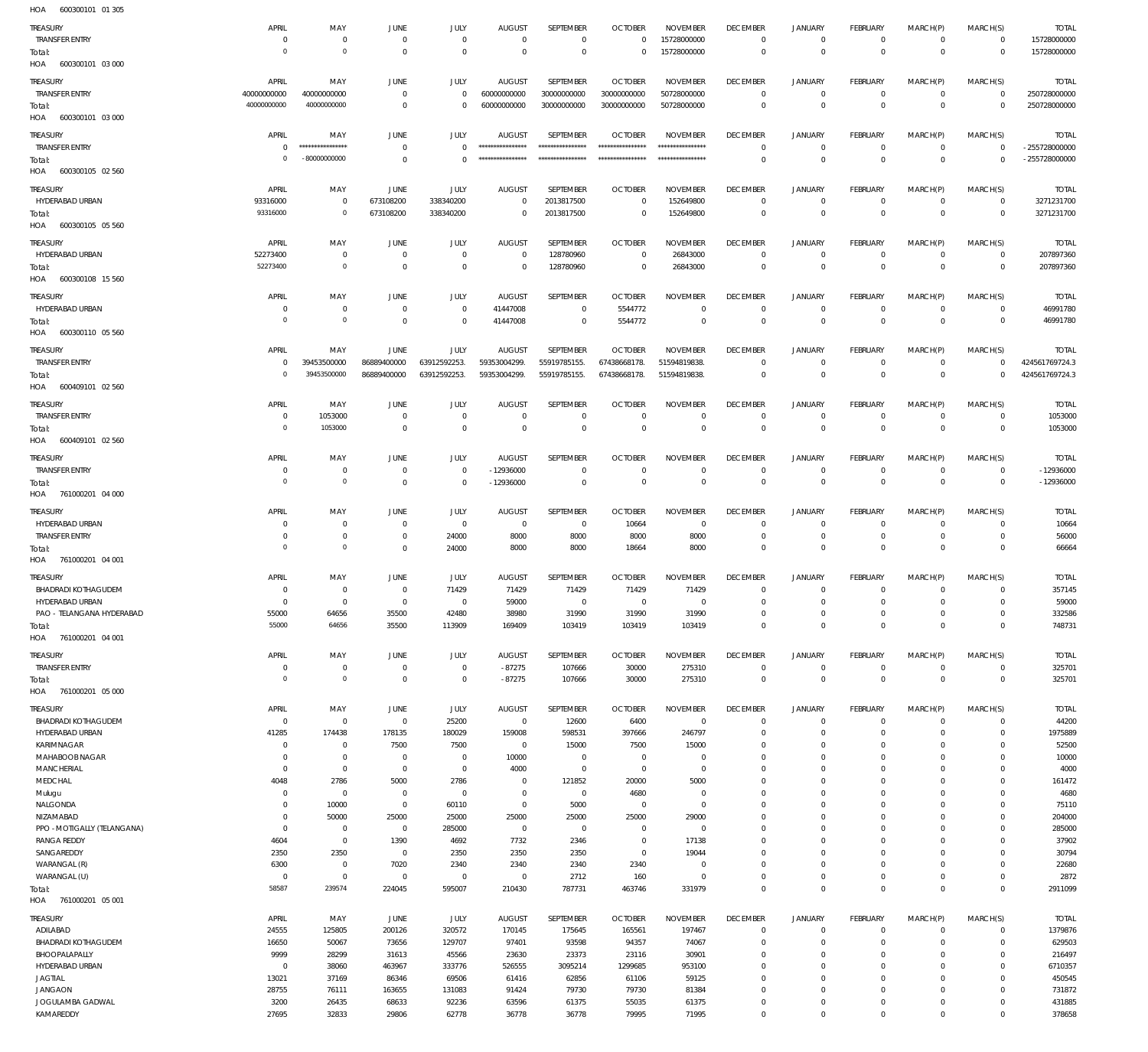600300101 01 305 HOA

| TREASURY                                     | APRIL                         | MAY                                | <b>JUNE</b>                      | JULY                               | <b>AUGUST</b>                | SEPTEMBER                  | <b>OCTOBER</b>                | <b>NOVEMBER</b>                | <b>DECEMBER</b>                | <b>JANUARY</b>                        | <b>FEBRUARY</b>               | MARCH(P)                   | MARCH(S)                      | <b>TOTAL</b>                 |
|----------------------------------------------|-------------------------------|------------------------------------|----------------------------------|------------------------------------|------------------------------|----------------------------|-------------------------------|--------------------------------|--------------------------------|---------------------------------------|-------------------------------|----------------------------|-------------------------------|------------------------------|
| <b>TRANSFER ENTRY</b>                        | $\mathbf 0$                   | $\mathsf{O}$                       | $\overline{0}$                   | $\mathbf 0$                        | $\mathbf 0$                  | $\mathbf 0$                | $\Omega$                      | 15728000000                    | $\mathbf 0$                    | $\mathbf 0$                           | $\overline{0}$                | $\mathbf 0$                | $\mathbf 0$                   | 15728000000                  |
| Total:<br>HOA<br>600300101 03 000            | $\circ$                       | $\mathbf 0$                        | $\overline{0}$                   | $\mathbf 0$                        | $\overline{0}$               | $\mathbf 0$                | $\overline{0}$                | 15728000000                    | $\mathbf 0$                    | $\mathbf 0$                           | $\overline{0}$                | $\mathbf 0$                | $\mathbf 0$                   | 15728000000                  |
|                                              |                               |                                    |                                  |                                    |                              |                            |                               |                                |                                |                                       |                               |                            |                               |                              |
| TREASURY                                     | <b>APRIL</b>                  | MAY<br>40000000000                 | <b>JUNE</b>                      | JULY                               | <b>AUGUST</b><br>60000000000 | SEPTEMBER                  | <b>OCTOBER</b>                | <b>NOVEMBER</b><br>50728000000 | <b>DECEMBER</b>                | <b>JANUARY</b>                        | FEBRUARY                      | MARCH(P)<br>$\mathbf 0$    | MARCH(S)<br>$\mathbf 0$       | <b>TOTAL</b>                 |
| <b>TRANSFER ENTRY</b><br>Total:              | 40000000000<br>40000000000    | 40000000000                        | $\mathbf 0$<br>$\overline{0}$    | $\mathbf 0$<br>$\mathbf 0$         | 60000000000                  | 30000000000<br>30000000000 | 30000000000<br>30000000000    | 50728000000                    | $\mathbf 0$<br>$\mathbf 0$     | 0<br>$\mathbf 0$                      | $\mathbf 0$<br>$\Omega$       | $\mathbf 0$                | $\mathbf 0$                   | 250728000000<br>250728000000 |
| 600300101 03 000<br>HOA                      |                               |                                    |                                  |                                    |                              |                            |                               |                                |                                |                                       |                               |                            |                               |                              |
| TREASURY                                     | APRIL                         | MAY                                | <b>JUNE</b>                      | JULY                               | <b>AUGUST</b>                | SEPTEMBER                  | <b>OCTOBER</b>                | <b>NOVEMBER</b>                | <b>DECEMBER</b>                | <b>JANUARY</b>                        | FEBRUARY                      | MARCH(P)                   | MARCH(S)                      | <b>TOTAL</b>                 |
| <b>TRANSFER ENTRY</b>                        | $\mathbf 0$                   | *****************                  | $\mathbf 0$                      | $\Omega$                           | *****************            | ****************           | *****************             | ****************               | $\mathbf 0$                    | $\mathbf 0$                           | $\overline{0}$                | $\mathbf 0$                | $\mathbf 0$                   | -255728000000                |
| Total:                                       | $\circ$                       | $-80000000000$                     | $\overline{0}$                   | $\mathbf 0$                        | ****************             | ****************           | *****************             | *****************              | $\mathbf 0$                    | $\mathbf 0$                           | $\overline{0}$                | $\mathbf 0$                | $\mathbf 0$                   | -255728000000                |
| HOA<br>600300105 02 560                      |                               |                                    |                                  |                                    |                              |                            |                               |                                |                                |                                       |                               |                            |                               |                              |
| TREASURY                                     | APRIL                         | MAY                                | <b>JUNE</b>                      | JULY                               | <b>AUGUST</b>                | SEPTEMBER                  | <b>OCTOBER</b>                | <b>NOVEMBER</b>                | <b>DECEMBER</b>                | <b>JANUARY</b>                        | FEBRUARY                      | MARCH(P)                   | MARCH(S)                      | <b>TOTAL</b>                 |
| HYDERABAD URBAN                              | 93316000                      | $\mathbf 0$                        | 673108200                        | 338340200                          | $\mathbf 0$                  | 2013817500                 | $\mathbf 0$                   | 152649800                      | $\mathbf 0$                    | $\mathbf 0$                           | $\mathbf 0$                   | $\Omega$                   | $\mathbf 0$                   | 3271231700                   |
| Total:                                       | 93316000                      | $\mathbf 0$                        | 673108200                        | 338340200                          | $\mathbf 0$                  | 2013817500                 | $\overline{0}$                | 152649800                      | $\mathbf 0$                    | $\mathbf 0$                           | $\overline{0}$                | $\mathbf 0$                | $\circ$                       | 3271231700                   |
| HOA<br>600300105 05 560                      |                               |                                    |                                  |                                    |                              |                            |                               |                                |                                |                                       |                               |                            |                               |                              |
| TREASURY                                     | APRIL                         | MAY                                | <b>JUNE</b>                      | JULY                               | <b>AUGUST</b>                | SEPTEMBER                  | <b>OCTOBER</b>                | <b>NOVEMBER</b>                | <b>DECEMBER</b>                | <b>JANUARY</b>                        | FEBRUARY                      | MARCH(P)                   | MARCH(S)                      | <b>TOTAL</b>                 |
| HYDERABAD URBAN                              | 52273400<br>52273400          | $\mathsf{O}$<br>$\circ$            | $\overline{0}$<br>$\overline{0}$ | $\mathbf 0$<br>$\mathbf 0$         | $\mathbf 0$<br>$^{\circ}$    | 128780960<br>128780960     | $\mathbf 0$<br>$\mathbf 0$    | 26843000<br>26843000           | $\mathbf 0$<br>$\mathbf 0$     | 0<br>$\mathsf{O}\xspace$              | $\overline{0}$<br>$\mathbf 0$ | $\mathbf 0$<br>$\mathbf 0$ | $\overline{0}$<br>$\mathbf 0$ | 207897360<br>207897360       |
| Total:<br>HOA<br>600300108 15 560            |                               |                                    |                                  |                                    |                              |                            |                               |                                |                                |                                       |                               |                            |                               |                              |
|                                              |                               |                                    |                                  |                                    |                              |                            |                               |                                |                                |                                       |                               |                            |                               |                              |
| TREASURY<br>HYDERABAD URBAN                  | APRIL<br>0                    | MAY<br>$\mathbf 0$                 | <b>JUNE</b><br>$\overline{0}$    | JULY<br>$\mathbf 0$                | <b>AUGUST</b><br>41447008    | SEPTEMBER<br>$\mathbf 0$   | <b>OCTOBER</b><br>5544772     | <b>NOVEMBER</b><br>$\mathbf 0$ | <b>DECEMBER</b><br>$\mathbf 0$ | <b>JANUARY</b><br>$\mathbf 0$         | FEBRUARY<br>$\overline{0}$    | MARCH(P)<br>$\mathbf 0$    | MARCH(S)<br>$\mathbf 0$       | <b>TOTAL</b><br>46991780     |
| Total:                                       | $\circ$                       | $\mathbb O$                        | $\overline{0}$                   | $\mathbf 0$                        | 41447008                     | $\mathbf 0$                | 5544772                       | $\mathbf 0$                    | $\mathbf 0$                    | $\mathbf 0$                           | $\Omega$                      | $\Omega$                   | $\mathbf 0$                   | 46991780                     |
| HOA<br>600300110 05 560                      |                               |                                    |                                  |                                    |                              |                            |                               |                                |                                |                                       |                               |                            |                               |                              |
| TREASURY                                     | APRIL                         | MAY                                | JUNE                             | JULY                               | <b>AUGUST</b>                | SEPTEMBER                  | <b>OCTOBER</b>                | <b>NOVEMBER</b>                | <b>DECEMBER</b>                | <b>JANUARY</b>                        | FEBRUARY                      | MARCH(P)                   | MARCH(S)                      | <b>TOTAL</b>                 |
| <b>TRANSFER ENTRY</b>                        | $\mathbf 0$                   | 39453500000                        | 86889400000                      | 63912592253.                       | 59353004299.                 | 55919785155.               | 67438668178.                  | 51594819838.                   | $\mathbf 0$                    | $\mathsf{O}\xspace$                   | $\overline{0}$                | $\mathbf 0$                | $\mathbf 0$                   | 424561769724.3               |
| Total:                                       | $\circ$                       | 39453500000                        | 86889400000                      | 63912592253.                       | 59353004299.                 | 55919785155.               | 67438668178.                  | 51594819838.                   | $\mathbf 0$                    | $\mathbf 0$                           | $\overline{0}$                | $\mathbf 0$                | $\mathbf 0$                   | 424561769724.3               |
| 600409101 02 560<br>HOA                      |                               |                                    |                                  |                                    |                              |                            |                               |                                |                                |                                       |                               |                            |                               |                              |
| TREASURY                                     | APRIL                         | MAY                                | <b>JUNE</b>                      | JULY                               | <b>AUGUST</b>                | SEPTEMBER                  | <b>OCTOBER</b>                | <b>NOVEMBER</b>                | <b>DECEMBER</b>                | <b>JANUARY</b>                        | FEBRUARY                      | MARCH(P)                   | MARCH(S)                      | <b>TOTAL</b>                 |
| <b>TRANSFER ENTRY</b>                        | $\mathbf 0$                   | 1053000                            | $\mathbf 0$                      | $\mathbf 0$                        | $\mathbf 0$                  | $\mathbf 0$                | $\mathbf 0$                   | $\mathbf 0$                    | $\mathbf 0$                    | $\mathbf 0$                           | $^{\circ}$                    | $\mathbf 0$                | $\mathbf 0$                   | 1053000                      |
| Total:<br>HOA 600409101 02 560               | $\overline{0}$                | 1053000                            | $\overline{0}$                   | $\mathbf 0$                        | $\overline{0}$               | $\mathbf 0$                | $\mathbf 0$                   | $\mathbf 0$                    | $\mathbf 0$                    | $\mathbf 0$                           | $\overline{0}$                | $\mathbf 0$                | $\mathbf 0$                   | 1053000                      |
|                                              |                               |                                    |                                  |                                    |                              |                            |                               |                                |                                |                                       |                               |                            |                               |                              |
| TREASURY                                     | APRIL                         | MAY                                | <b>JUNE</b>                      | JULY                               | <b>AUGUST</b>                | SEPTEMBER<br>$\mathbf 0$   | <b>OCTOBER</b><br>$\mathbf 0$ | <b>NOVEMBER</b><br>$\mathbf 0$ | <b>DECEMBER</b><br>$\mathbf 0$ | <b>JANUARY</b><br>$\mathsf{O}\xspace$ | FEBRUARY<br>$\overline{0}$    | MARCH(P)<br>$\mathbf 0$    | MARCH(S)<br>$\mathbf 0$       | <b>TOTAL</b>                 |
| <b>TRANSFER ENTRY</b><br>Total:              | $\mathbf 0$<br>$\overline{0}$ | $\mathsf{O}\xspace$<br>$\mathbf 0$ | $\overline{0}$<br>$\overline{0}$ | $\mathsf{O}\xspace$<br>$\mathbb O$ | -12936000<br>$-12936000$     | $\mathbf 0$                | $\mathbf 0$                   | $\mathbf 0$                    | $\mathbf 0$                    | $\mathbf 0$                           | $\overline{0}$                | $\mathbf 0$                | $\circ$                       | $-12936000$<br>$-12936000$   |
| HOA 761000201 04 000                         |                               |                                    |                                  |                                    |                              |                            |                               |                                |                                |                                       |                               |                            |                               |                              |
| TREASURY                                     | APRIL                         | MAY                                | <b>JUNE</b>                      | JULY                               | <b>AUGUST</b>                | SEPTEMBER                  | <b>OCTOBER</b>                | <b>NOVEMBER</b>                | <b>DECEMBER</b>                | <b>JANUARY</b>                        | FEBRUARY                      | MARCH(P)                   | MARCH(S)                      | <b>TOTAL</b>                 |
| HYDERABAD URBAN                              | $^{\circ}$                    | 0                                  | $\mathbf 0$                      | $\mathsf{O}\xspace$                | $\mathbf 0$                  | 0                          | 10664                         | $\Omega$                       | $\mathbf 0$                    | $\mathbf 0$                           | $\mathbf 0$                   | $\Omega$                   | $\mathbf 0$                   | 10664                        |
| <b>TRANSFER ENTRY</b>                        | $^{\circ}$                    | $\mathsf{O}$                       | $\mathsf{O}\xspace$              | 24000                              | 8000                         | 8000                       | 8000                          | 8000                           | $\mathbf 0$                    | $\mathbf 0$                           | $\overline{0}$                | $\Omega$                   | $\mathbf 0$                   | 56000                        |
| Total:                                       | $^{\circ}$                    | $\mathbf 0$                        | $\mathbf 0$                      | 24000                              | 8000                         | 8000                       | 18664                         | 8000                           | $\mathbf 0$                    | $\mathbf 0$                           | $\mathbf 0$                   | $\Omega$                   | $\mathbf 0$                   | 66664                        |
| HOA 761000201 04 001                         |                               |                                    |                                  |                                    |                              |                            |                               |                                |                                |                                       |                               |                            |                               |                              |
| TREASURY                                     | APRIL                         | MAY                                | <b>JUNE</b>                      | JULY                               | <b>AUGUST</b>                | SEPTEMBER                  | <b>OCTOBER</b>                | <b>NOVEMBER</b>                | <b>DECEMBER</b>                | <b>JANUARY</b>                        | FEBRUARY                      | MARCH(P)                   | MARCH(S)                      | <b>TOTAL</b>                 |
| <b>BHADRADI KOTHAGUDEM</b>                   | $^{\circ}$                    | 0                                  | $\overline{0}$                   | 71429                              | 71429                        | 71429                      | 71429                         | 71429                          | $\mathbf 0$                    | 0                                     | $^{\circ}$                    | $\mathbf 0$                | $^{\circ}$                    | 357145                       |
| HYDERABAD URBAN<br>PAO - TELANGANA HYDERABAD | $\Omega$<br>55000             | $\mathbf 0$<br>64656               | $\mathbf 0$<br>35500             | $\mathbf 0$<br>42480               | 59000<br>38980               | $\mathbf 0$<br>31990       | $\mathbf 0$<br>31990          | $\mathbf 0$<br>31990           | $\mathbf 0$<br>0               | $\mathbf 0$<br>$\mathsf{O}\xspace$    | $\mathbf 0$<br>$\mathbf 0$    | $\mathbf 0$<br>$\mathbf 0$ | $\mathbf 0$<br>$\mathbf 0$    | 59000<br>332586              |
| Total:                                       | 55000                         | 64656                              | 35500                            | 113909                             | 169409                       | 103419                     | 103419                        | 103419                         | $\mathbf 0$                    | $\mathbf 0$                           | $\mathbf 0$                   | $\mathbf 0$                | $\mathbf 0$                   | 748731                       |
| HOA<br>761000201 04 001                      |                               |                                    |                                  |                                    |                              |                            |                               |                                |                                |                                       |                               |                            |                               |                              |
| TREASURY                                     | APRIL                         | MAY                                | JUNE                             | JULY                               | <b>AUGUST</b>                | SEPTEMBER                  | <b>OCTOBER</b>                | <b>NOVEMBER</b>                | <b>DECEMBER</b>                | JANUARY                               | FEBRUARY                      | MARCH(P)                   | MARCH(S)                      | <b>TOTAL</b>                 |
| <b>TRANSFER ENTRY</b>                        | $\mathbf 0$                   | $\mathbf 0$                        | $\mathbf 0$                      | $\mathsf{O}$                       | $-87275$                     | 107666                     | 30000                         | 275310                         | $\mathbf 0$                    | $\mathbf 0$                           | $\overline{0}$                | $\mathbf 0$                | $\mathbf 0$                   | 325701                       |
| Total:                                       | $\circ$                       | $\mathbf 0$                        | $\mathbf 0$                      | $\mathbf 0$                        | $-87275$                     | 107666                     | 30000                         | 275310                         | $\mathbf 0$                    | $\mathbf 0$                           | $\overline{0}$                | $\Omega$                   | $\mathbf 0$                   | 325701                       |
| HOA<br>761000201 05 000                      |                               |                                    |                                  |                                    |                              |                            |                               |                                |                                |                                       |                               |                            |                               |                              |
| TREASURY                                     | APRIL                         | MAY                                | JUNE                             | JULY                               | <b>AUGUST</b>                | SEPTEMBER                  | <b>OCTOBER</b>                | <b>NOVEMBER</b>                | <b>DECEMBER</b>                | <b>JANUARY</b>                        | FEBRUARY                      | MARCH(P)                   | MARCH(S)                      | <b>TOTAL</b>                 |
| <b>BHADRADI KOTHAGUDEM</b>                   | $\circ$                       | $\mathsf{O}$                       | $\overline{0}$                   | 25200                              | $\overline{0}$               | 12600                      | 6400                          | $\mathbf 0$                    | $\overline{0}$                 | $\mathsf{O}\xspace$                   | $\overline{0}$                | $\mathbf 0$                | $\overline{0}$                | 44200                        |
| HYDERABAD URBAN<br>KARIMNAGAR                | 41285<br>$\overline{0}$       | 174438<br>$\mathsf{O}$             | 178135<br>7500                   | 180029<br>7500                     | 159008<br>$\overline{0}$     | 598531<br>15000            | 397666<br>7500                | 246797<br>15000                | $\mathbf 0$<br>$\mathbf 0$     | $\mathsf{O}\xspace$<br>$\mathbf 0$    | $\mathbf 0$<br>$\mathbf 0$    | $\mathbf 0$<br>$\mathbf 0$ | $\mathbf 0$<br>$\mathbf 0$    | 1975889<br>52500             |
| MAHABOOB NAGAR                               | $\mathbf 0$                   | $\mathbf 0$                        | $\overline{0}$                   | $\mathbf 0$                        | 10000                        | 0                          | $\overline{0}$                | $\mathbf 0$                    | 0                              | $\mathsf{O}\xspace$                   | $\mathbf 0$                   | $\Omega$                   | $\mathbf 0$                   | 10000                        |
| MANCHERIAL                                   | $\mathbf 0$                   | $\mathsf{O}$                       | $\overline{0}$                   | $\mathbf 0$                        | 4000                         | $\mathbf 0$                | $\overline{0}$                | $\mathbf 0$                    | $\mathbf 0$                    | $\mathbf 0$                           | $\mathbf 0$                   | $\mathbf 0$                | $\mathbf 0$                   | 4000                         |
| MEDCHAL                                      | 4048                          | 2786                               | 5000                             | 2786                               | $\mathbf 0$                  | 121852                     | 20000                         | 5000                           | 0                              | $\mathbf 0$                           | $\mathbf 0$                   | $\Omega$                   | $\mathbf 0$                   | 161472                       |
| Mulugu                                       | $\mathbf 0$<br>$^{\circ}$     | $\mathbf 0$                        | $\mathbf 0$<br>$\mathbf 0$       | $\mathbf 0$                        | $^{\circ}$<br>$\mathbf 0$    | $\mathsf{O}\xspace$        | 4680                          | $^{\circ}$<br>$\mathbf 0$      | $\mathbf 0$<br>$\mathbf 0$     | $\mathbf 0$<br>$\mathbf 0$            | $\mathbf 0$<br>$\mathbf 0$    | $\Omega$<br>$\Omega$       | $\mathbf 0$<br>$\mathbf 0$    | 4680                         |
| NALGONDA<br>NIZAMABAD                        | $^{\circ}$                    | 10000<br>50000                     | 25000                            | 60110<br>25000                     | 25000                        | 5000<br>25000              | $\overline{0}$<br>25000       | 29000                          | $\mathbf 0$                    | $\mathbf 0$                           | $\mathbf 0$                   | $\mathbf 0$                | $\mathbf 0$                   | 75110<br>204000              |
| PPO - MOTIGALLY (TELANGANA)                  | $\mathbf 0$                   | $\mathsf{O}\xspace$                | $\circ$                          | 285000                             | $\overline{0}$               | $\circ$                    | $\overline{0}$                | $\mathbf 0$                    | $\mathbf 0$                    | $\mathbf 0$                           | $\mathbf 0$                   | $\Omega$                   | $\mathbf 0$                   | 285000                       |
| <b>RANGA REDDY</b>                           | 4604                          | $\mathsf{O}$                       | 1390                             | 4692                               | 7732                         | 2346                       | $\overline{0}$                | 17138                          | $\mathbf 0$                    | $\mathbf 0$                           | $\mathbf 0$                   | $\mathbf 0$                | $\mathbf 0$                   | 37902                        |
| SANGAREDDY                                   | 2350                          | 2350                               | $\overline{0}$                   | 2350                               | 2350                         | 2350                       | $\overline{0}$                | 19044                          | $\mathbf 0$                    | $\mathbf 0$                           | $\mathbf 0$                   | $\Omega$                   | $\mathbf 0$                   | 30794                        |
| WARANGAL (R)<br>WARANGAL (U)                 | 6300<br>$\overline{0}$        | $\mathsf{O}$<br>$\mathsf{O}$       | 7020<br>$\mathbf 0$              | 2340<br>$\mathsf{O}$               | 2340<br>$\mathbf 0$          | 2340<br>2712               | 2340<br>160                   | $\mathbf 0$<br>$\mathbf 0$     | $\mathbf 0$<br>$\mathbf 0$     | $\mathbf 0$<br>$\mathsf{O}\xspace$    | $\mathbf 0$<br>$\mathbf 0$    | $\mathbf 0$<br>$\mathbf 0$ | $\mathbf 0$<br>$\mathbf 0$    | 22680<br>2872                |
| Total:                                       | 58587                         | 239574                             | 224045                           | 595007                             | 210430                       | 787731                     | 463746                        | 331979                         | $\mathbf 0$                    | $\mathbf 0$                           | $\mathbf 0$                   | $\mathbf 0$                | $\mathbf 0$                   | 2911099                      |
| HOA<br>761000201 05 001                      |                               |                                    |                                  |                                    |                              |                            |                               |                                |                                |                                       |                               |                            |                               |                              |
| TREASURY                                     | APRIL                         | MAY                                | JUNE                             | JULY                               | <b>AUGUST</b>                | SEPTEMBER                  | <b>OCTOBER</b>                | <b>NOVEMBER</b>                | <b>DECEMBER</b>                | JANUARY                               | FEBRUARY                      | MARCH(P)                   | MARCH(S)                      | <b>TOTAL</b>                 |
| ADILABAD                                     | 24555                         | 125805                             | 200126                           | 320572                             | 170145                       | 175645                     | 165561                        | 197467                         | $\mathbf 0$                    | $\mathbf 0$                           | $\mathbf 0$                   | $\Omega$                   | $\mathbf 0$                   | 1379876                      |
| <b>BHADRADI KOTHAGUDEM</b>                   | 16650                         | 50067                              | 73656                            | 129707                             | 97401                        | 93598                      | 94357                         | 74067                          | 0                              | $\mathbf 0$                           | $\mathbf 0$                   | $\mathbf 0$                | $\mathbf 0$                   | 629503                       |
| BHOOPALAPALLY                                | 9999                          | 28299                              | 31613                            | 45566                              | 23630                        | 23373                      | 23116                         | 30901                          | 0                              | $\mathbf 0$                           | $\mathbf 0$                   | $\Omega$                   | $\mathbf 0$                   | 216497                       |
| HYDERABAD URBAN<br><b>JAGTIAL</b>            | $^{\circ}$<br>13021           | 38060<br>37169                     | 463967<br>86346                  | 333776<br>69506                    | 526555<br>61416              | 3095214<br>62856           | 1299685<br>61106              | 953100<br>59125                | 0<br>0                         | $\mathbf 0$<br>$\mathbf 0$            | $\Omega$<br>$\mathbf 0$       | $\Omega$<br>$\Omega$       | 0<br>0                        | 6710357<br>450545            |
| <b>JANGAON</b>                               | 28755                         | 76111                              | 163655                           | 131083                             | 91424                        | 79730                      | 79730                         | 81384                          | 0                              | $\mathbf 0$                           | $\Omega$                      | $\Omega$                   | $\mathbf 0$                   | 731872                       |
| JOGULAMBA GADWAL                             | 3200                          | 26435                              | 68633                            | 92236                              | 63596                        | 61375                      | 55035                         | 61375                          | 0                              | $\mathsf{O}\xspace$                   | $\mathbf 0$                   | $\mathbf 0$                | $\mathbf 0$                   | 431885                       |
| KAMAREDDY                                    | 27695                         | 32833                              | 29806                            | 62778                              | 36778                        | 36778                      | 79995                         | 71995                          | $\mathbf 0$                    | $\mathbf 0$                           | $\mathbf 0$                   | $\mathbf 0$                | $\mathbf 0$                   | 378658                       |
|                                              |                               |                                    |                                  |                                    |                              |                            |                               |                                |                                |                                       |                               |                            |                               |                              |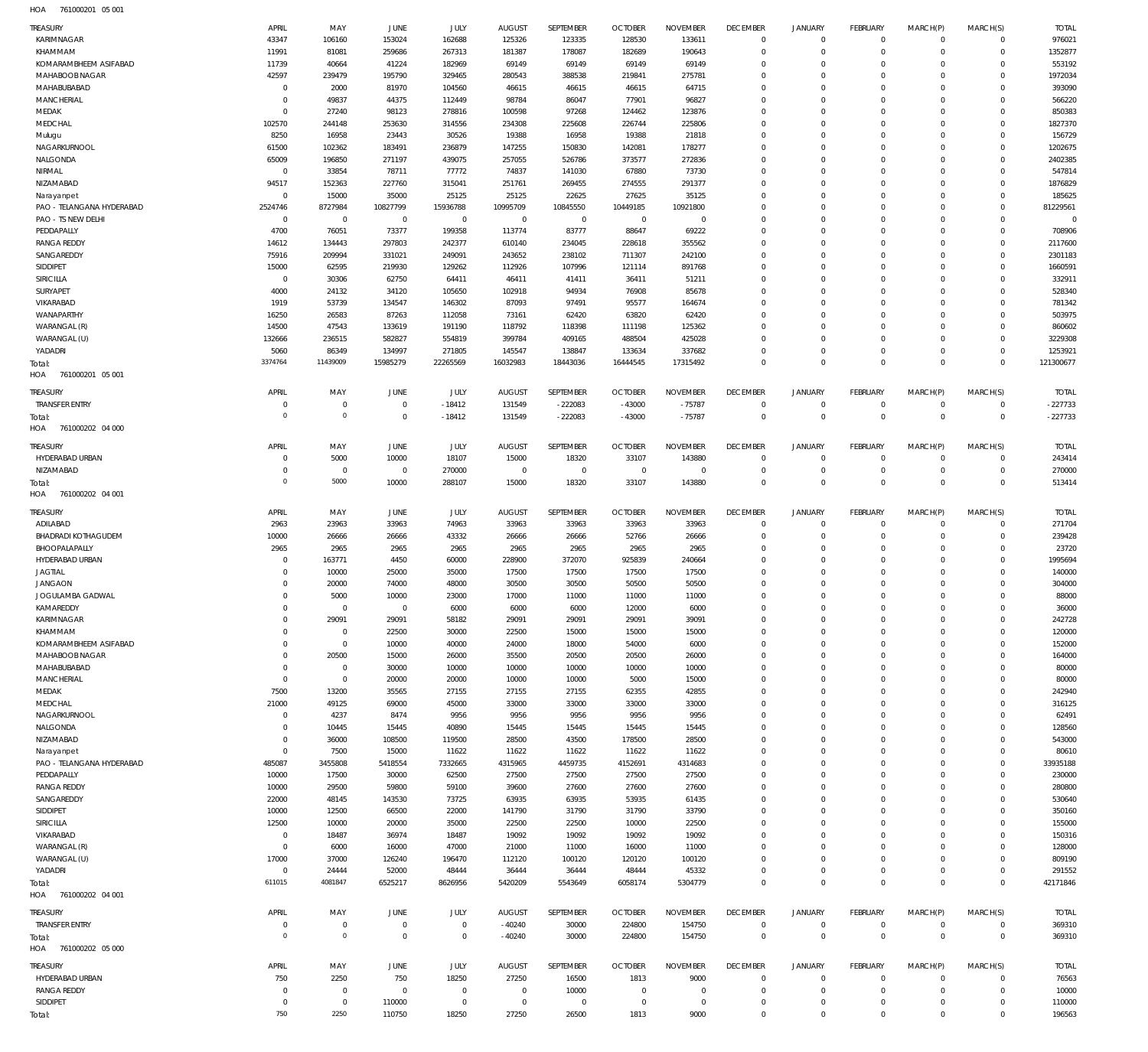761000201 05 001 HOA

| <b>TREASURY</b>                         | APRIL                            | MAY                  | <b>JUNE</b>       | JULY                    | <b>AUGUST</b>        | SEPTEMBER               | <b>OCTOBER</b>         | <b>NOVEMBER</b>    | <b>DECEMBER</b>                  | <b>JANUARY</b>             | <b>FEBRUARY</b>               | MARCH(P)             | MARCH(S)                   | <b>TOTAL</b>       |
|-----------------------------------------|----------------------------------|----------------------|-------------------|-------------------------|----------------------|-------------------------|------------------------|--------------------|----------------------------------|----------------------------|-------------------------------|----------------------|----------------------------|--------------------|
| KARIMNAGAR                              | 43347                            | 106160               | 153024            | 162688                  | 125326               | 123335                  | 128530                 | 133611             | $\overline{0}$                   | $^{\circ}$                 | $\mathbf 0$                   | $\Omega$             | $\mathbf 0$                | 976021             |
| KHAMMAM                                 | 11991<br>11739                   | 81081                | 259686            | 267313                  | 181387               | 178087                  | 182689<br>69149        | 190643<br>69149    | $\overline{0}$<br>$\overline{0}$ | $\mathbf{0}$<br>$^{\circ}$ | $\mathbf 0$<br>$\mathbf 0$    | $\Omega$<br>$\Omega$ | $\mathbf 0$<br>$\mathbf 0$ | 1352877<br>553192  |
| KOMARAMBHEEM ASIFABAD<br>MAHABOOB NAGAR | 42597                            | 40664<br>239479      | 41224<br>195790   | 182969<br>329465        | 69149<br>280543      | 69149<br>388538         | 219841                 | 275781             | $\overline{0}$                   | $^{\circ}$                 | $\Omega$                      | $\Omega$             | $\Omega$                   | 1972034            |
| MAHABUBABAD                             | $\overline{0}$                   | 2000                 | 81970             | 104560                  | 46615                | 46615                   | 46615                  | 64715              | $\overline{0}$                   | $^{\circ}$                 | $\mathbf 0$                   | $\Omega$             | $\Omega$                   | 393090             |
| MANCHERIAL                              | $\overline{0}$                   | 49837                | 44375             | 112449                  | 98784                | 86047                   | 77901                  | 96827              | $\overline{0}$                   | $\mathbf 0$                | $\mathbf 0$                   | $\Omega$             | $\Omega$                   | 566220             |
| MEDAK                                   | $\overline{0}$                   | 27240                | 98123             | 278816                  | 100598               | 97268                   | 124462                 | 123876             | $\overline{0}$                   | $^{\circ}$                 | $\Omega$                      | $\Omega$             | $\Omega$                   | 850383             |
| MEDCHAL                                 | 102570<br>8250                   | 244148<br>16958      | 253630<br>23443   | 314556<br>30526         | 234308<br>19388      | 225608<br>16958         | 226744<br>19388        | 225806<br>21818    | $\overline{0}$<br>$\overline{0}$ | $^{\circ}$<br>$\mathbf 0$  | $\Omega$<br>$\mathbf 0$       | $\Omega$             | $\Omega$<br>$\Omega$       | 1827370<br>156729  |
| Mulugu<br>NAGARKURNOOL                  | 61500                            | 102362               | 183491            | 236879                  | 147255               | 150830                  | 142081                 | 178277             | $\overline{0}$                   | $^{\circ}$                 | $\Omega$                      | $\Omega$             | $\Omega$                   | 1202675            |
| NALGONDA                                | 65009                            | 196850               | 271197            | 439075                  | 257055               | 526786                  | 373577                 | 272836             | $^{\circ}$                       | $\mathbf 0$                | $\mathbf 0$                   |                      | $\Omega$                   | 2402385            |
| NIRMAL                                  | $\overline{0}$                   | 33854                | 78711             | 77772                   | 74837                | 141030                  | 67880                  | 73730              | $\Omega$                         | $\Omega$                   | $\Omega$                      | $\Omega$             | $\Omega$                   | 547814             |
| NIZAMABAD                               | 94517                            | 152363               | 227760            | 315041                  | 251761               | 269455                  | 274555                 | 291377             | $\overline{0}$                   | 0                          | $\mathbf 0$                   | $\Omega$             | $\mathbf 0$                | 1876829            |
| Narayanpet<br>PAO - TELANGANA HYDERABAD | $\overline{0}$<br>2524746        | 15000<br>8727984     | 35000<br>10827799 | 25125<br>15936788       | 25125<br>10995709    | 22625<br>10845550       | 27625<br>10449185      | 35125<br>10921800  | $\overline{0}$<br>$^{\circ}$     | $\Omega$<br>$^{\circ}$     | $\Omega$<br>$\mathbf 0$       | $\Omega$<br>$\Omega$ | $\Omega$<br>$\mathbf 0$    | 185625<br>81229561 |
| PAO - TS NEW DELHI                      | $\overline{0}$                   | $\overline{0}$       | $\mathbf 0$       | $\overline{0}$          | $\,0\,$              | $\mathbf 0$             | $\overline{0}$         | $\overline{0}$     | $\overline{0}$                   | $\Omega$                   | $\Omega$                      | $\Omega$             | $\Omega$                   | $\overline{0}$     |
| PEDDAPALLY                              | 4700                             | 76051                | 73377             | 199358                  | 113774               | 83777                   | 88647                  | 69222              | $\overline{0}$                   | $^{\circ}$                 | $\mathbf 0$                   | $\Omega$             | $\Omega$                   | 708906             |
| <b>RANGA REDDY</b>                      | 14612                            | 134443               | 297803            | 242377                  | 610140               | 234045                  | 228618                 | 355562             | $\overline{0}$                   | $\mathbf 0$                | $\mathbf 0$                   | $\Omega$             | $\Omega$                   | 2117600            |
| SANGAREDDY<br>SIDDIPET                  | 75916<br>15000                   | 209994<br>62595      | 331021<br>219930  | 249091<br>129262        | 243652<br>112926     | 238102<br>107996        | 711307                 | 242100<br>891768   | $\overline{0}$<br>$\overline{0}$ | $^{\circ}$<br>$^{\circ}$   | $\Omega$<br>$\mathbf 0$       | $\Omega$<br>$\Omega$ | $\Omega$<br>$\Omega$       | 2301183<br>1660591 |
| SIRICILLA                               | $\overline{0}$                   | 30306                | 62750             | 64411                   | 46411                | 41411                   | 121114<br>36411        | 51211              | $\overline{0}$                   | $\mathbf 0$                | $\Omega$                      |                      | $\Omega$                   | 332911             |
| SURYAPET                                | 4000                             | 24132                | 34120             | 105650                  | 102918               | 94934                   | 76908                  | 85678              | $\overline{0}$                   | $^{\circ}$                 | $\Omega$                      | $\Omega$             | $\Omega$                   | 528340             |
| VIKARABAD                               | 1919                             | 53739                | 134547            | 146302                  | 87093                | 97491                   | 95577                  | 164674             | $^{\circ}$                       | $\mathbf 0$                | $\mathbf 0$                   |                      | $\Omega$                   | 781342             |
| WANAPARTHY                              | 16250                            | 26583                | 87263             | 112058                  | 73161                | 62420                   | 63820                  | 62420              | $\Omega$                         | $\Omega$                   | $\Omega$                      | $\Omega$             | $\Omega$                   | 503975             |
| WARANGAL (R)<br>WARANGAL (U)            | 14500<br>132666                  | 47543<br>236515      | 133619<br>582827  | 191190<br>554819        | 118792<br>399784     | 118398<br>409165        | 111198<br>488504       | 125362<br>425028   | $^{\circ}$<br>$\Omega$           | $\circ$<br>$^{\circ}$      | $\mathbf 0$<br>$\Omega$       | $\Omega$             | $\Omega$<br>$\Omega$       | 860602<br>3229308  |
| YADADRI                                 | 5060                             | 86349                | 134997            | 271805                  | 145547               | 138847                  | 133634                 | 337682             | $\overline{0}$                   | $^{\circ}$                 | $\mathbf 0$                   | $\Omega$             | $\mathbf 0$                | 1253921            |
| Total:                                  | 3374764                          | 11439009             | 15985279          | 22265569                | 16032983             | 18443036                | 16444545               | 17315492           | $\overline{0}$                   | $\overline{0}$             | $\Omega$                      | $\Omega$             | $\mathbb O$                | 121300677          |
| 761000201 05 001<br>HOA                 |                                  |                      |                   |                         |                      |                         |                        |                    |                                  |                            |                               |                      |                            |                    |
| TREASURY                                | APRIL                            | MAY                  | JUNE              | JULY                    | <b>AUGUST</b>        | SEPTEMBER               | <b>OCTOBER</b>         | <b>NOVEMBER</b>    | <b>DECEMBER</b>                  | <b>JANUARY</b>             | FEBRUARY                      | MARCH(P)             | MARCH(S)                   | <b>TOTAL</b>       |
| <b>TRANSFER ENTRY</b>                   | $\overline{0}$                   | $\mathbf 0$          | $\overline{0}$    | $-18412$                | 131549               | $-222083$               | $-43000$               | $-75787$           | $\overline{0}$                   | $^{\circ}$                 | $\mathbf 0$                   | $\mathbf 0$          | $\mathbf 0$                | $-227733$          |
| Total:<br>761000202 04 000<br>HOA       | $\overline{0}$                   | $\mathbf 0$          | $\mathbb O$       | $-18412$                | 131549               | $-222083$               | $-43000$               | $-75787$           | $\overline{0}$                   | $\overline{0}$             | $\overline{0}$                | $^{\circ}$           | $\mathbf 0$                | $-227733$          |
| <b>TREASURY</b>                         | APRIL                            | MAY                  | JUNE              | JULY                    | <b>AUGUST</b>        | SEPTEMBER               | <b>OCTOBER</b>         | <b>NOVEMBER</b>    | <b>DECEMBER</b>                  | JANUARY                    | <b>FEBRUARY</b>               | MARCH(P)             | MARCH(S)                   | <b>TOTAL</b>       |
| HYDERABAD URBAN                         | $\overline{0}$                   | 5000                 | 10000             | 18107                   | 15000                | 18320                   | 33107                  | 143880             | $\overline{0}$                   | $^{\circ}$                 | $\mathbf 0$                   | $\Omega$             | $\mathbf 0$                | 243414             |
| NIZAMABAD                               | $\overline{0}$<br>$\Omega$       | $\overline{0}$       | $\mathbf 0$       | 270000                  | $\,0\,$              | $\mathbf 0$             | $\,0\,$                | $\overline{0}$     | $\overline{0}$                   | $^{\circ}$                 | $\mathbf 0$                   | $\mathbf 0$          | $\mathbf 0$                | 270000             |
| Total:<br>HOA<br>761000202 04 001       |                                  | 5000                 | 10000             | 288107                  | 15000                | 18320                   | 33107                  | 143880             | $\overline{0}$                   | $\overline{0}$             | $\Omega$                      | $\Omega$             | $\mathbf{0}$               | 513414             |
| <b>TREASURY</b>                         | APRIL                            | MAY                  | JUNE              | JULY                    | <b>AUGUST</b>        | SEPTEMBER               | <b>OCTOBER</b>         | <b>NOVEMBER</b>    | <b>DECEMBER</b>                  | <b>JANUARY</b>             | FEBRUARY                      | MARCH(P)             | MARCH(S)                   | <b>TOTAL</b>       |
| ADILABAD                                | 2963                             | 23963                | 33963             | 74963                   | 33963                | 33963                   | 33963                  | 33963              | $\overline{0}$                   | $\circ$                    | $\mathbf 0$                   | $\circ$              | $\mathbf 0$                | 271704             |
| <b>BHADRADI KOTHAGUDEM</b>              | 10000                            | 26666                | 26666             | 43332                   | 26666                | 26666                   | 52766                  | 26666              | $\overline{0}$                   | $^{\circ}$                 | $\mathbf 0$                   |                      | $\Omega$                   | 239428             |
| BHOOPALAPALLY<br>HYDERABAD URBAN        | 2965<br>$\overline{0}$           | 2965<br>163771       | 2965<br>4450      | 2965<br>60000           | 2965<br>228900       | 2965<br>372070          | 2965<br>925839         | 2965<br>240664     | $^{\circ}$<br>$^{\circ}$         | 0<br>0                     | $\mathbf 0$<br>$\mathbf 0$    |                      | $\Omega$<br>$\Omega$       | 23720<br>1995694   |
| <b>JAGTIAL</b>                          | $\overline{0}$                   | 10000                | 25000             | 35000                   | 17500                | 17500                   | 17500                  | 17500              | $\Omega$                         | $\Omega$                   | $\Omega$                      |                      | $\Omega$                   | 140000             |
| <b>JANGAON</b>                          | $^{\circ}$                       | 20000                | 74000             | 48000                   | 30500                | 30500                   | 50500                  | 50500              | $^{\circ}$                       | 0                          | $\Omega$                      |                      | $\Omega$                   | 304000             |
| JOGULAMBA GADWAL                        | $\overline{0}$                   | 5000                 | 10000             | 23000                   | 17000                | 11000                   | 11000                  | 11000              | $\Omega$                         | $\Omega$                   | $\Omega$                      | $\Omega$             | $\Omega$                   | 88000              |
| KAMAREDDY                               | $\Omega$                         | $\Omega$             | $\Omega$          | 6000                    | 6000                 | 6000                    | 12000                  | 6000               | $\Omega$                         | $\Omega$                   | $\Omega$                      | $\Omega$             | $\Omega$<br>$\Omega$       | 36000              |
| KARIMNAGAR<br>KHAMMAM                   | $\overline{0}$<br>$\overline{0}$ | 29091<br>$\mathbf 0$ | 29091<br>22500    | 58182<br>30000          | 29091<br>22500       | 29091<br>15000          | 29091<br>15000         | 39091<br>15000     | $\overline{0}$<br>$^{\circ}$     | $^{\circ}$<br>$^{\circ}$   | $\mathbf 0$<br>$\mathbf 0$    | $\Omega$             | $\Omega$                   | 242728<br>120000   |
| KOMARAMBHEEM ASIFABAD                   | $\overline{0}$                   | $\mathbf 0$          | 10000             | 40000                   | 24000                | 18000                   | 54000                  | 6000               | $\overline{0}$                   | 0                          | $\mathbf 0$                   |                      | $\Omega$                   | 152000             |
| MAHABOOB NAGAR                          | $\overline{0}$                   | 20500                | 15000             | 26000                   | 35500                | 20500                   | 20500                  | 26000              | $\overline{0}$                   | $\circ$                    | $\Omega$                      |                      | $\Omega$                   | 164000             |
| MAHABUBABAD                             | $\overline{0}$                   | $\mathbf 0$          | 30000             | 10000                   | 10000                | 10000                   | 10000                  | 10000              | $\overline{0}$                   | 0                          | $\mathbf 0$                   |                      | $\Omega$                   | 80000              |
| MANCHERIAL<br>MEDAK                     | $\overline{0}$<br>7500           | $\mathbf 0$<br>13200 | 20000<br>35565    | 20000<br>27155          | 10000<br>27155       | 10000<br>27155          | 5000<br>62355          | 15000<br>42855     | $\overline{0}$<br>$\overline{0}$ | 0<br>$\Omega$              | $\Omega$<br>$\Omega$          |                      | $\Omega$<br>$\Omega$       | 80000<br>242940    |
| MEDCHAL                                 | 21000                            | 49125                | 69000             | 45000                   | 33000                | 33000                   | 33000                  | 33000              | $\overline{0}$                   | 0                          | $\mathbf 0$                   |                      | $\Omega$                   | 316125             |
| NAGARKURNOOL                            | $\overline{0}$                   | 4237                 | 8474              | 9956                    | 9956                 | 9956                    | 9956                   | 9956               | $\overline{0}$                   | 0                          | $\Omega$                      |                      | $\Omega$                   | 62491              |
| NALGONDA                                | $\overline{0}$                   | 10445                | 15445             | 40890                   | 15445                | 15445                   | 15445                  | 15445              | $\overline{0}$                   | 0                          | $\mathbf 0$                   |                      | $\Omega$                   | 128560             |
| NIZAMABAD                               | $\overline{0}$                   | 36000                | 108500            | 119500                  | 28500                | 43500                   | 178500                 | 28500              | $\overline{0}$                   | $\Omega$                   | $\Omega$                      |                      | $\Omega$                   | 543000             |
| Narayanpet<br>PAO - TELANGANA HYDERABAD | $\overline{0}$<br>485087         | 7500<br>3455808      | 15000<br>5418554  | 11622<br>7332665        | 11622<br>4315965     | 11622<br>4459735        | 11622<br>4152691       | 11622<br>4314683   | $\overline{0}$<br>$\overline{0}$ | 0<br>$\Omega$              | $\mathbf 0$<br>$\Omega$       |                      | $\Omega$<br>$\Omega$       | 80610<br>33935188  |
| PEDDAPALLY                              | 10000                            | 17500                | 30000             | 62500                   | 27500                | 27500                   | 27500                  | 27500              | $\overline{0}$                   | 0                          | $\Omega$                      |                      | $\Omega$                   | 230000             |
| <b>RANGA REDDY</b>                      | 10000                            | 29500                | 59800             | 59100                   | 39600                | 27600                   | 27600                  | 27600              | $\overline{0}$                   | $\Omega$                   | $\Omega$                      |                      | $\Omega$                   | 280800             |
| SANGAREDDY                              | 22000                            | 48145                | 143530            | 73725                   | 63935                | 63935                   | 53935                  | 61435              | $\overline{0}$                   | 0                          | $\Omega$                      |                      | $\Omega$                   | 530640             |
| SIDDIPET<br>SIRICILLA                   | 10000<br>12500                   | 12500<br>10000       | 66500<br>20000    | 22000<br>35000          | 141790<br>22500      | 31790<br>22500          | 31790<br>10000         | 33790<br>22500     | $\overline{0}$<br>$\overline{0}$ | 0<br>0                     | $\Omega$<br>$\Omega$          |                      | $\Omega$<br>$\Omega$       | 350160<br>155000   |
| VIKARABAD                               | $\overline{0}$                   | 18487                | 36974             | 18487                   | 19092                | 19092                   | 19092                  | 19092              | $\overline{0}$                   | $\Omega$                   | $\Omega$                      |                      | $\Omega$                   | 150316             |
| WARANGAL (R)                            | $\overline{0}$                   | 6000                 | 16000             | 47000                   | 21000                | 11000                   | 16000                  | 11000              | $\overline{0}$                   | 0                          | $\Omega$                      |                      | $\Omega$                   | 128000             |
| WARANGAL (U)                            | 17000                            | 37000                | 126240            | 196470                  | 112120               | 100120                  | 120120                 | 100120             | $\overline{0}$                   | 0                          | $\Omega$                      |                      | $\Omega$                   | 809190             |
| YADADRI                                 | $\overline{0}$<br>611015         | 24444<br>4081847     | 52000             | 48444                   | 36444                | 36444                   | 48444                  | 45332              | $\overline{0}$                   | $^{\circ}$                 | $\mathbf 0$<br>$\overline{0}$ | $\Omega$             | $\mathbf 0$<br>$\Omega$    | 291552             |
| Total:<br>HOA 761000202 04 001          |                                  |                      | 6525217           | 8626956                 | 5420209              | 5543649                 | 6058174                | 5304779            | $\overline{0}$                   | $\overline{0}$             |                               | $\Omega$             |                            | 42171846           |
| <b>TREASURY</b>                         | APRIL                            | MAY                  | JUNE              | JULY                    | <b>AUGUST</b>        | SEPTEMBER               | <b>OCTOBER</b>         | <b>NOVEMBER</b>    | <b>DECEMBER</b>                  | <b>JANUARY</b>             | <b>FEBRUARY</b>               | MARCH(P)             | MARCH(S)                   | <b>TOTAL</b>       |
| <b>TRANSFER ENTRY</b>                   | $\overline{0}$                   | $\mathbf 0$          | $\mathbf 0$       | $\mathbf 0$             | $-40240$             | 30000                   | 224800                 | 154750             | $\overline{0}$                   | $^{\circ}$                 | $\mathbf 0$                   | $\mathbf 0$          | $\mathbf 0$                | 369310             |
| Total:<br>HOA 761000202 05 000          | $\Omega$                         | $\mathbf 0$          | $\mathbb O$       | $\mathbf 0$             | $-40240$             | 30000                   | 224800                 | 154750             | $\overline{0}$                   | $\overline{0}$             | $\overline{0}$                | $\mathbf 0$          | $\mathbf 0$                | 369310             |
| <b>TREASURY</b>                         | APRIL                            | MAY                  | JUNE              | JULY                    | <b>AUGUST</b>        | SEPTEMBER               | <b>OCTOBER</b>         | <b>NOVEMBER</b>    | <b>DECEMBER</b>                  | JANUARY                    | <b>FEBRUARY</b>               | MARCH(P)             | MARCH(S)                   | <b>TOTAL</b>       |
| HYDERABAD URBAN                         | 750                              | 2250                 | 750               | 18250                   | 27250                | 16500                   | 1813                   | 9000               | $\overline{0}$                   | $\circ$                    | $\mathbf 0$                   | $\mathbf 0$          | $\mathbf 0$                | 76563              |
| <b>RANGA REDDY</b><br>SIDDIPET          | $\overline{0}$                   | $\mathbf 0$          | $\overline{0}$    | $\mathbf 0$             | $\overline{0}$       | 10000                   | $\overline{0}$         | $^{\circ}$         | $\overline{0}$                   | $^{\circ}$                 | $\mathbf 0$                   | $\Omega$             | $\mathbf 0$                | 10000              |
| Total:                                  | $\overline{0}$<br>750            | $\mathbf 0$<br>2250  | 110000<br>110750  | $\overline{0}$<br>18250 | $\mathbf 0$<br>27250 | $\overline{0}$<br>26500 | $\overline{0}$<br>1813 | $^{\circ}$<br>9000 | $^{\circ}$<br>$\mathbb O$        | $\circ$<br>$\mathbf 0$     | $\mathbf 0$<br>$\mathbf 0$    | $\Omega$<br>$\Omega$ | $\mathbf 0$<br>$\Omega$    | 110000<br>196563   |
|                                         |                                  |                      |                   |                         |                      |                         |                        |                    |                                  |                            |                               |                      |                            |                    |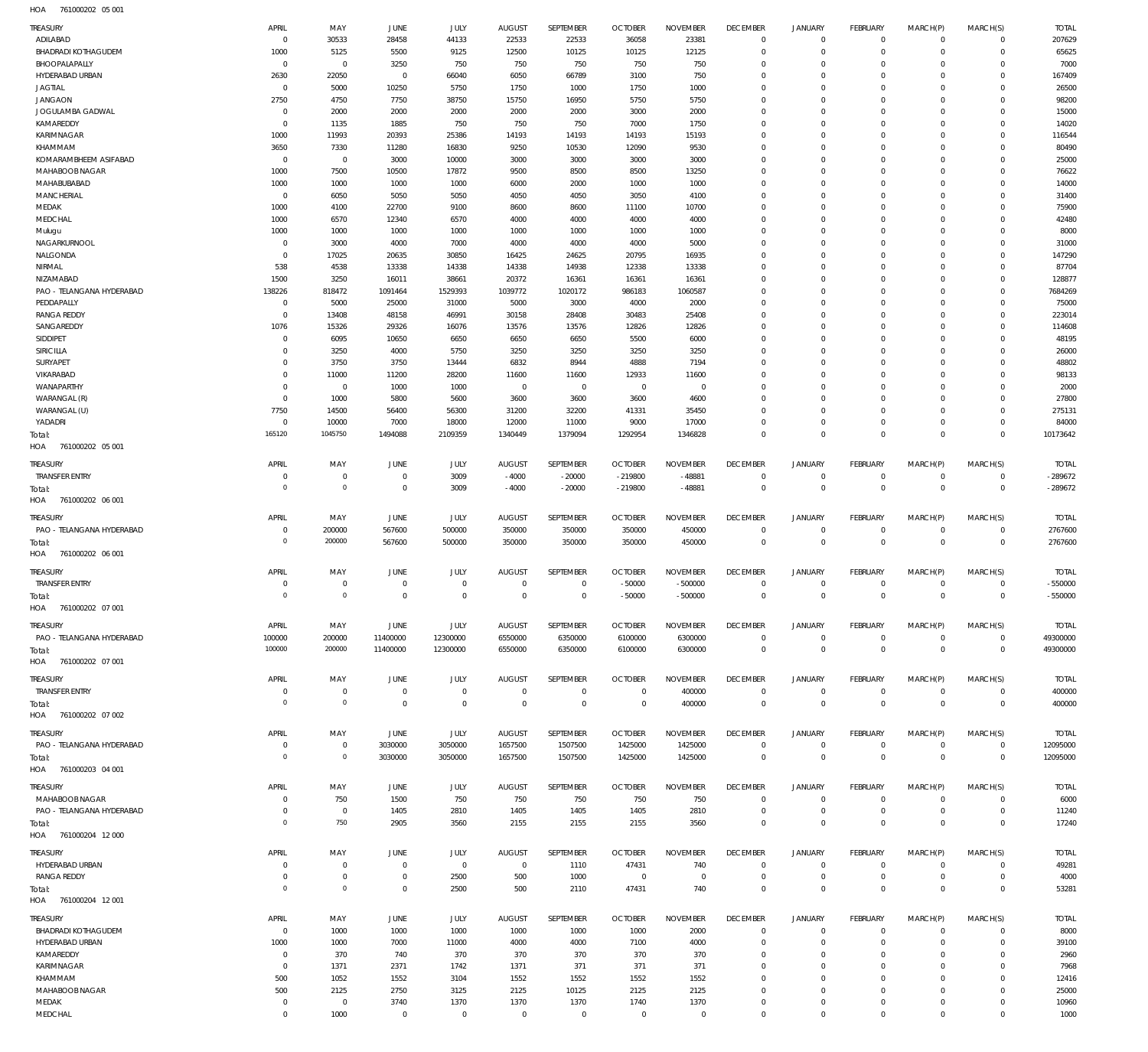761000202 05 001 HOA

| <b>TREASURY</b>                             | APRIL                            | MAY                 | <b>JUNE</b>           | JULY           | <b>AUGUST</b>  | SEPTEMBER      | <b>OCTOBER</b> | <b>NOVEMBER</b> | <b>DECEMBER</b>                   | <b>JANUARY</b>             | FEBRUARY                         | MARCH(P)                | MARCH(S)                     | <b>TOTAL</b>            |
|---------------------------------------------|----------------------------------|---------------------|-----------------------|----------------|----------------|----------------|----------------|-----------------|-----------------------------------|----------------------------|----------------------------------|-------------------------|------------------------------|-------------------------|
| ADILABAD                                    | $\overline{0}$                   | 30533               | 28458                 | 44133          | 22533          | 22533          | 36058          | 23381           | $\overline{0}$                    | $\circ$                    | $\overline{0}$                   | $\mathbf 0$             | $\mathbf{0}$                 | 207629                  |
| <b>BHADRADI KOTHAGUDEM</b><br>BHOOPALAPALLY | 1000<br>$\overline{0}$           | 5125<br>$\mathbf 0$ | 5500<br>3250          | 9125<br>750    | 12500<br>750   | 10125<br>750   | 10125<br>750   | 12125<br>750    | $\mathbf 0$<br>$\mathbf 0$        | $\mathbf 0$<br>0           | $\mathbf{0}$<br>$\overline{0}$   | 0<br>0                  | $\mathbf{0}$<br>$\mathbf{0}$ | 65625<br>7000           |
| HYDERABAD URBAN                             | 2630                             | 22050               | $\overline{0}$        | 66040          | 6050           | 66789          | 3100           | 750             | $\mathbf 0$                       | $\mathbf 0$                | $\overline{0}$                   | $\Omega$                | $\mathbf{0}$                 | 167409                  |
| <b>JAGTIAL</b>                              | $\overline{0}$                   | 5000                | 10250                 | 5750           | 1750           | 1000           | 1750           | 1000            | $\mathbf 0$                       | 0                          | $^{\circ}$                       | $\Omega$                | $\mathbf 0$                  | 26500                   |
| <b>JANGAON</b>                              | 2750                             | 4750                | 7750                  | 38750          | 15750          | 16950          | 5750           | 5750            | $\mathbf 0$                       | 0                          | $\mathbf 0$                      | $\Omega$                | $\mathbf 0$                  | 98200                   |
| JOGULAMBA GADWAL<br>KAMAREDDY               | $\overline{0}$<br>$\overline{0}$ | 2000<br>1135        | 2000<br>1885          | 2000<br>750    | 2000<br>750    | 2000<br>750    | 3000<br>7000   | 2000<br>1750    | $\mathbf 0$<br>$\mathbf 0$        | 0<br>0                     | $\mathbf 0$<br>$\overline{0}$    | $\Omega$<br>$\Omega$    | $\mathbf 0$<br>$\mathbf 0$   | 15000<br>14020          |
| KARIMNAGAR                                  | 1000                             | 11993               | 20393                 | 25386          | 14193          | 14193          | 14193          | 15193           | $\mathbf 0$                       | 0                          | $\mathbf 0$                      | $\Omega$                | $\mathbf 0$                  | 116544                  |
| KHAMMAM                                     | 3650                             | 7330                | 11280                 | 16830          | 9250           | 10530          | 12090          | 9530            | $\mathbf 0$                       | 0                          | $\overline{0}$                   | 0                       | $\mathbf 0$                  | 80490                   |
| KOMARAMBHEEM ASIFABAD                       | $\overline{0}$                   | $\overline{0}$      | 3000                  | 10000          | 3000           | 3000           | 3000           | 3000            | $\mathbf 0$                       | 0                          | $\mathbf 0$                      | $\Omega$                | $\mathbf 0$                  | 25000                   |
| MAHABOOB NAGAR                              | 1000                             | 7500                | 10500                 | 17872          | 9500           | 8500           | 8500           | 13250           | $\mathbf 0$                       | 0                          | $\overline{0}$                   | $\Omega$                | $\mathbf{0}$                 | 76622                   |
| MAHABUBABAD                                 | 1000<br>$\overline{0}$           | 1000                | 1000<br>5050          | 1000           | 6000           | 2000<br>4050   | 1000           | 1000            | $\mathbf 0$<br>$\mathbf 0$        | 0<br>0                     | $\mathbf 0$<br>$\overline{0}$    | $\Omega$<br>$\Omega$    | $\mathbf 0$<br>$\mathbf 0$   | 14000<br>31400          |
| <b>MANCHERIAL</b><br>MEDAK                  | 1000                             | 6050<br>4100        | 22700                 | 5050<br>9100   | 4050<br>8600   | 8600           | 3050<br>11100  | 4100<br>10700   | $\mathbf 0$                       | 0                          | $\mathbf 0$                      | $\Omega$                | $\mathbf 0$                  | 75900                   |
| MEDCHAL                                     | 1000                             | 6570                | 12340                 | 6570           | 4000           | 4000           | 4000           | 4000            | $\mathbf 0$                       | 0                          | $\mathbf 0$                      | $\Omega$                | $\mathbf 0$                  | 42480                   |
| Mulugu                                      | 1000                             | 1000                | 1000                  | 1000           | 1000           | 1000           | 1000           | 1000            | $\mathbf 0$                       | 0                          | $\mathbf 0$                      | $\Omega$                | $\mathbf 0$                  | 8000                    |
| NAGARKURNOOL                                | $\overline{0}$                   | 3000                | 4000                  | 7000           | 4000           | 4000           | 4000           | 5000            | $\mathbf 0$                       | 0                          | $\overline{0}$                   | 0                       | $\mathbf 0$                  | 31000                   |
| NALGONDA                                    | $\overline{0}$                   | 17025               | 20635                 | 30850          | 16425          | 24625          | 20795          | 16935           | $\mathbf 0$<br>$\mathbf 0$        | 0<br>0                     | $\mathbf 0$<br>$\overline{0}$    | $\Omega$<br>$\Omega$    | $\mathbf 0$<br>$\mathbf 0$   | 147290                  |
| NIRMAL<br>NIZAMABAD                         | 538<br>1500                      | 4538<br>3250        | 13338<br>16011        | 14338<br>38661 | 14338<br>20372 | 14938<br>16361 | 12338<br>16361 | 13338<br>16361  | $\mathbf 0$                       | 0                          | $\mathbf 0$                      | $\Omega$                | $\mathbf 0$                  | 87704<br>128877         |
| PAO - TELANGANA HYDERABAD                   | 138226                           | 818472              | 1091464               | 1529393        | 1039772        | 1020172        | 986183         | 1060587         | $\mathbf 0$                       | 0                          | $\mathbf{0}$                     | $\Omega$                | $\mathbf 0$                  | 7684269                 |
| PEDDAPALLY                                  | $\overline{0}$                   | 5000                | 25000                 | 31000          | 5000           | 3000           | 4000           | 2000            | $\mathbf 0$                       | 0                          | $\mathbf 0$                      | $\Omega$                | $\mathbf 0$                  | 75000                   |
| <b>RANGA REDDY</b>                          | $\overline{0}$                   | 13408               | 48158                 | 46991          | 30158          | 28408          | 30483          | 25408           | $\mathbf 0$                       | 0                          | $\overline{0}$                   | $\Omega$                | $\mathbf 0$                  | 223014                  |
| SANGAREDDY                                  | 1076                             | 15326               | 29326                 | 16076          | 13576          | 13576          | 12826          | 12826           | $\mathbf 0$                       | 0                          | $\mathbf 0$                      | $\Omega$                | $\mathbf 0$                  | 114608                  |
| SIDDIPET<br>SIRICILLA                       | $\mathbf 0$<br>$\mathbf 0$       | 6095<br>3250        | 10650<br>4000         | 6650<br>5750   | 6650<br>3250   | 6650<br>3250   | 5500<br>3250   | 6000<br>3250    | $\mathbf 0$<br>$\mathbf 0$        | 0<br>0                     | $\mathbf 0$<br>$\mathbf 0$       | $\Omega$<br>$\Omega$    | $\mathbf 0$<br>$\mathbf 0$   | 48195<br>26000          |
| SURYAPET                                    | $\mathbf 0$                      | 3750                | 3750                  | 13444          | 6832           | 8944           | 4888           | 7194            | $\mathbf 0$                       | 0                          | $\mathbf 0$                      | $\Omega$                | $\mathbf 0$                  | 48802                   |
| VIKARABAD                                   | $\mathbf 0$                      | 11000               | 11200                 | 28200          | 11600          | 11600          | 12933          | 11600           | $\mathbf 0$                       | 0                          | $\mathbf 0$                      | $\Omega$                | $\mathbf 0$                  | 98133                   |
| WANAPARTHY                                  | $\mathbf 0$                      | $\mathbf 0$         | 1000                  | 1000           | $\overline{0}$ | $\overline{0}$ | $\overline{0}$ | $\mathbf 0$     | $\mathbf 0$                       | 0                          | $\overline{0}$                   | 0                       | $\mathbf 0$                  | 2000                    |
| WARANGAL (R)                                | $\overline{0}$                   | 1000                | 5800                  | 5600           | 3600           | 3600           | 3600           | 4600            | $\mathbf 0$                       | 0                          | $\mathbf 0$                      | $\Omega$                | $\mathbf 0$                  | 27800                   |
| WARANGAL (U)<br>YADADRI                     | 7750<br>$\overline{0}$           | 14500<br>10000      | 56400<br>7000         | 56300<br>18000 | 31200<br>12000 | 32200<br>11000 | 41331<br>9000  | 35450<br>17000  | $\mathbf 0$<br>$\mathbf 0$        | 0<br>$\mathbf 0$           | $\mathbf{0}$<br>$\mathbf{0}$     | $\Omega$<br>0           | $\mathbf{0}$<br>$\mathbf{0}$ | 275131<br>84000         |
| Total:                                      | 165120                           | 1045750             | 1494088               | 2109359        | 1340449        | 1379094        | 1292954        | 1346828         | $\overline{0}$                    | $\overline{0}$             | $\Omega$                         | $\Omega$                | $\Omega$                     | 10173642                |
| 761000202 05 001<br>HOA                     |                                  |                     |                       |                |                |                |                |                 |                                   |                            |                                  |                         |                              |                         |
| <b>TREASURY</b>                             | APRIL                            | MAY                 | JUNE                  | JULY           | <b>AUGUST</b>  | SEPTEMBER      | <b>OCTOBER</b> | <b>NOVEMBER</b> | <b>DECEMBER</b>                   | <b>JANUARY</b>             | <b>FEBRUARY</b>                  | MARCH(P)                | MARCH(S)                     | <b>TOTAL</b>            |
| <b>TRANSFER ENTRY</b>                       | $^{\circ}$                       | $\mathbf 0$         | $\overline{0}$        | 3009           | $-4000$        | $-20000$       | $-219800$      | $-48881$        | $\overline{0}$                    | $\mathbf 0$                | $\mathbf{0}$                     | $\mathbf 0$             | $\overline{0}$               | $-289672$               |
| Total:<br>761000202 06 001<br>HOA           | $\mathbf 0$                      | $\mathbf 0$         | $\overline{0}$        | 3009           | $-4000$        | $-20000$       | $-219800$      | $-48881$        | $\overline{0}$                    | $\overline{0}$             | $\overline{0}$                   | $\mathbf 0$             | $\overline{0}$               | $-289672$               |
|                                             | APRIL                            |                     |                       | JULY           | <b>AUGUST</b>  | SEPTEMBER      | <b>OCTOBER</b> | <b>NOVEMBER</b> | <b>DECEMBER</b>                   |                            | FEBRUARY                         | MARCH(P)                | MARCH(S)                     |                         |
| TREASURY<br>PAO - TELANGANA HYDERABAD       | $\mathbf 0$                      | MAY<br>200000       | <b>JUNE</b><br>567600 | 500000         | 350000         | 350000         | 350000         | 450000          | $\overline{0}$                    | <b>JANUARY</b><br>0        | $\mathbf{0}$                     | $\mathbf 0$             | $\mathbf{0}$                 | <b>TOTAL</b><br>2767600 |
| Total:                                      | $\mathbf 0$                      | 200000              | 567600                | 500000         | 350000         | 350000         | 350000         | 450000          | $\overline{0}$                    | $\overline{0}$             | $\overline{0}$                   | $\mathbf 0$             | $\overline{0}$               | 2767600                 |
|                                             |                                  |                     |                       |                |                |                |                |                 |                                   |                            |                                  |                         |                              |                         |
| 761000202 06 001<br>HOA                     |                                  |                     |                       |                |                |                |                |                 |                                   |                            |                                  |                         |                              |                         |
| TREASURY                                    | APRIL                            | MAY                 | JUNE                  | JULY           | <b>AUGUST</b>  | SEPTEMBER      | <b>OCTOBER</b> | <b>NOVEMBER</b> | <b>DECEMBER</b>                   | <b>JANUARY</b>             | FEBRUARY                         | MARCH(P)                | MARCH(S)                     | <b>TOTAL</b>            |
| <b>TRANSFER ENTRY</b>                       | $^{\circ}$                       | $\mathbf 0$         | $\overline{0}$        | $\mathbf 0$    | $\mathbf 0$    | $\mathbf 0$    | $-50000$       | $-500000$       | $\mathbf 0$                       | $\mathbf 0$                | $\mathbf{0}$                     | $\mathbf 0$             | $\mathbf{0}$                 | $-550000$               |
| Total:                                      | $\Omega$                         | $\mathbf 0$         | $\overline{0}$        | $\mathbf 0$    | $\overline{0}$ | $\mathbf 0$    | $-50000$       | $-500000$       | $\overline{0}$                    | $\mathbf 0$                | $\overline{0}$                   | $\mathbf 0$             | $\overline{0}$               | $-550000$               |
| HOA<br>761000202 07 001                     |                                  |                     |                       |                |                |                |                |                 |                                   |                            |                                  |                         |                              |                         |
| TREASURY                                    | APRIL                            | MAY                 | <b>JUNE</b>           | JULY           | <b>AUGUST</b>  | SEPTEMBER      | <b>OCTOBER</b> | <b>NOVEMBER</b> | <b>DECEMBER</b>                   | <b>JANUARY</b>             | FEBRUARY                         | MARCH(P)                | MARCH(S)                     | <b>TOTAL</b>            |
| PAO - TELANGANA HYDERABAD                   | 100000<br>100000                 | 200000<br>200000    | 11400000              | 12300000       | 6550000        | 6350000        | 6100000        | 6300000         | $\overline{0}$<br>$\overline{0}$  | $\circ$<br>$\overline{0}$  | $\overline{0}$                   | $\circ$<br>$\mathbf 0$  | $\overline{0}$               | 49300000                |
| Total:<br>HOA 761000202 07 001              |                                  |                     | 11400000              | 12300000       | 6550000        | 6350000        | 6100000        | 6300000         |                                   |                            | $\overline{0}$                   |                         | $\overline{0}$               | 49300000                |
| TREASURY                                    | APRIL                            | MAY                 | JUNE                  | JULY           | <b>AUGUST</b>  | SEPTEMBER      | <b>OCTOBER</b> | <b>NOVEMBER</b> | <b>DECEMBER</b>                   | <b>JANUARY</b>             | <b>FEBRUARY</b>                  | MARCH(P)                | MARCH(S)                     | <b>TOTAL</b>            |
| <b>TRANSFER ENTRY</b>                       | $^{\circ}$                       | $\mathbf 0$         | $\overline{0}$        | $\mathbf 0$    | $\overline{0}$ | $\mathbf 0$    | $\overline{0}$ | 400000          | $\overline{0}$                    | $\circ$                    | $\overline{0}$                   | $\mathbf{0}$            | $\overline{0}$               | 400000                  |
| Total:                                      | $\mathbf 0$                      | $\mathbf 0$         | $\overline{0}$        | $\mathbf 0$    | $\overline{0}$ | $\mathbf 0$    | $\overline{0}$ | 400000          | $\overline{0}$                    | $\overline{0}$             | $\overline{0}$                   | $\mathbf 0$             | $\overline{0}$               | 400000                  |
| HOA 761000202 07 002                        |                                  |                     |                       |                |                |                |                |                 |                                   |                            |                                  |                         |                              |                         |
| TREASURY                                    | APRIL                            | MAY                 | JUNE                  | JULY           | <b>AUGUST</b>  | SEPTEMBER      | <b>OCTOBER</b> | <b>NOVEMBER</b> | <b>DECEMBER</b>                   | <b>JANUARY</b>             | FEBRUARY                         | MARCH(P)                | MARCH(S)                     | <b>TOTAL</b>            |
| PAO - TELANGANA HYDERABAD                   | $\mathbf 0$                      | $\mathbf 0$         | 3030000               | 3050000        | 1657500        | 1507500        | 1425000        | 1425000         | $\overline{0}$                    | $\mathbf 0$                | $\overline{0}$                   | $^{\circ}$              | $\overline{0}$               | 12095000                |
| Total:<br>HOA 761000203 04 001              | $\overline{0}$                   | $\mathbf 0$         | 3030000               | 3050000        | 1657500        | 1507500        | 1425000        | 1425000         | $\overline{0}$                    | $\mathbf 0$                | $\overline{0}$                   | $\mathbf 0$             | $\overline{0}$               | 12095000                |
|                                             |                                  |                     |                       |                |                |                |                |                 |                                   |                            |                                  |                         |                              |                         |
| TREASURY                                    | APRIL<br>$\mathbf 0$             | MAY                 | JUNE                  | JULY           | <b>AUGUST</b>  | SEPTEMBER      | <b>OCTOBER</b> | <b>NOVEMBER</b> | <b>DECEMBER</b><br>$\overline{0}$ | <b>JANUARY</b>             | FEBRUARY                         | MARCH(P)<br>$\mathbf 0$ | MARCH(S)<br>$\mathbf{0}$     | <b>TOTAL</b>            |
| MAHABOOB NAGAR<br>PAO - TELANGANA HYDERABAD | $^{\circ}$                       | 750<br>$\mathbf 0$  | 1500<br>1405          | 750<br>2810    | 750<br>1405    | 750<br>1405    | 750<br>1405    | 750<br>2810     | $\mathbf 0$                       | $\mathbf 0$<br>$\mathbf 0$ | $\overline{0}$<br>$\overline{0}$ | $\mathbf 0$             | $\overline{0}$               | 6000<br>11240           |
| Total:                                      | $\mathbf 0$                      | 750                 | 2905                  | 3560           | 2155           | 2155           | 2155           | 3560            | $\overline{0}$                    | $\overline{0}$             | $\overline{0}$                   | $\mathbf 0$             | $\overline{0}$               | 17240                   |
| HOA 761000204 12 000                        |                                  |                     |                       |                |                |                |                |                 |                                   |                            |                                  |                         |                              |                         |
| TREASURY                                    | APRIL                            | MAY                 | <b>JUNE</b>           | JULY           | <b>AUGUST</b>  | SEPTEMBER      | <b>OCTOBER</b> | <b>NOVEMBER</b> | <b>DECEMBER</b>                   | <b>JANUARY</b>             | FEBRUARY                         | MARCH(P)                | MARCH(S)                     | <b>TOTAL</b>            |
| HYDERABAD URBAN                             | $^{\circ}$                       | $\mathbf 0$         | $\overline{0}$        | $\overline{0}$ | $\overline{0}$ | 1110           | 47431          | 740             | $\overline{0}$                    | $\mathbf 0$                | $\overline{0}$                   | $^{\circ}$              | $\mathbf{0}$                 | 49281                   |
| RANGA REDDY                                 | $^{\circ}$                       | $\mathbf 0$         | $\overline{0}$        | 2500           | 500            | 1000           | $\overline{0}$ | $^{\circ}$      | $\overline{0}$                    | $\mathbf 0$                | $\overline{0}$                   | $\mathbf 0$             | $\circ$                      | 4000                    |
| Total:<br>HOA 761000204 12 001              | $\mathbf 0$                      | $\mathbf 0$         | $\overline{0}$        | 2500           | 500            | 2110           | 47431          | 740             | $\overline{0}$                    | $\overline{0}$             | $\overline{0}$                   | $\mathbf 0$             | $\overline{0}$               | 53281                   |
| TREASURY                                    | APRIL                            | MAY                 | JUNE                  | JULY           | <b>AUGUST</b>  | SEPTEMBER      | <b>OCTOBER</b> | <b>NOVEMBER</b> | <b>DECEMBER</b>                   | <b>JANUARY</b>             | <b>FEBRUARY</b>                  | MARCH(P)                | MARCH(S)                     | <b>TOTAL</b>            |
| <b>BHADRADI KOTHAGUDEM</b>                  | $\overline{0}$                   | 1000                | 1000                  | 1000           | 1000           | 1000           | 1000           | 2000            | $\overline{0}$                    | $\mathbf 0$                | $\mathbf{0}$                     | $\mathbf 0$             | $\mathbf{0}$                 | 8000                    |
| HYDERABAD URBAN                             | 1000                             | 1000                | 7000                  | 11000          | 4000           | 4000           | 7100           | 4000            | $\mathbf 0$                       | $\mathbf 0$                | $\overline{0}$                   | 0                       | $\mathbf{0}$                 | 39100                   |
| KAMAREDDY                                   | $\overline{0}$                   | 370                 | 740                   | 370            | 370            | 370            | 370            | 370             | $\overline{0}$                    | 0                          | $^{\circ}$                       | 0                       | $\mathbf 0$                  | 2960                    |
| KARIMNAGAR                                  | $^{\circ}$                       | 1371                | 2371                  | 1742           | 1371           | 371            | 371            | 371             | $\mathbf 0$                       | 0                          | $^{\circ}$                       | $\Omega$                | $\mathbf 0$                  | 7968                    |
| KHAMMAM<br>MAHABOOB NAGAR                   | 500<br>500                       | 1052<br>2125        | 1552<br>2750          | 3104<br>3125   | 1552<br>2125   | 1552<br>10125  | 1552<br>2125   | 1552<br>2125    | $\mathbf 0$<br>$^{\circ}$         | 0<br>0                     | $^{\circ}$<br>$^{\circ}$         | $\Omega$<br>$\Omega$    | $\mathbf{0}$<br>$\mathbf 0$  | 12416<br>25000          |
| MEDAK                                       | $\mathbf 0$                      | $\mathbf 0$         | 3740                  | 1370           | 1370           | 1370           | 1740           | 1370            | $\mathbf 0$                       | 0                          | $^{\circ}$                       | 0                       | $\mathbf 0$                  | 10960                   |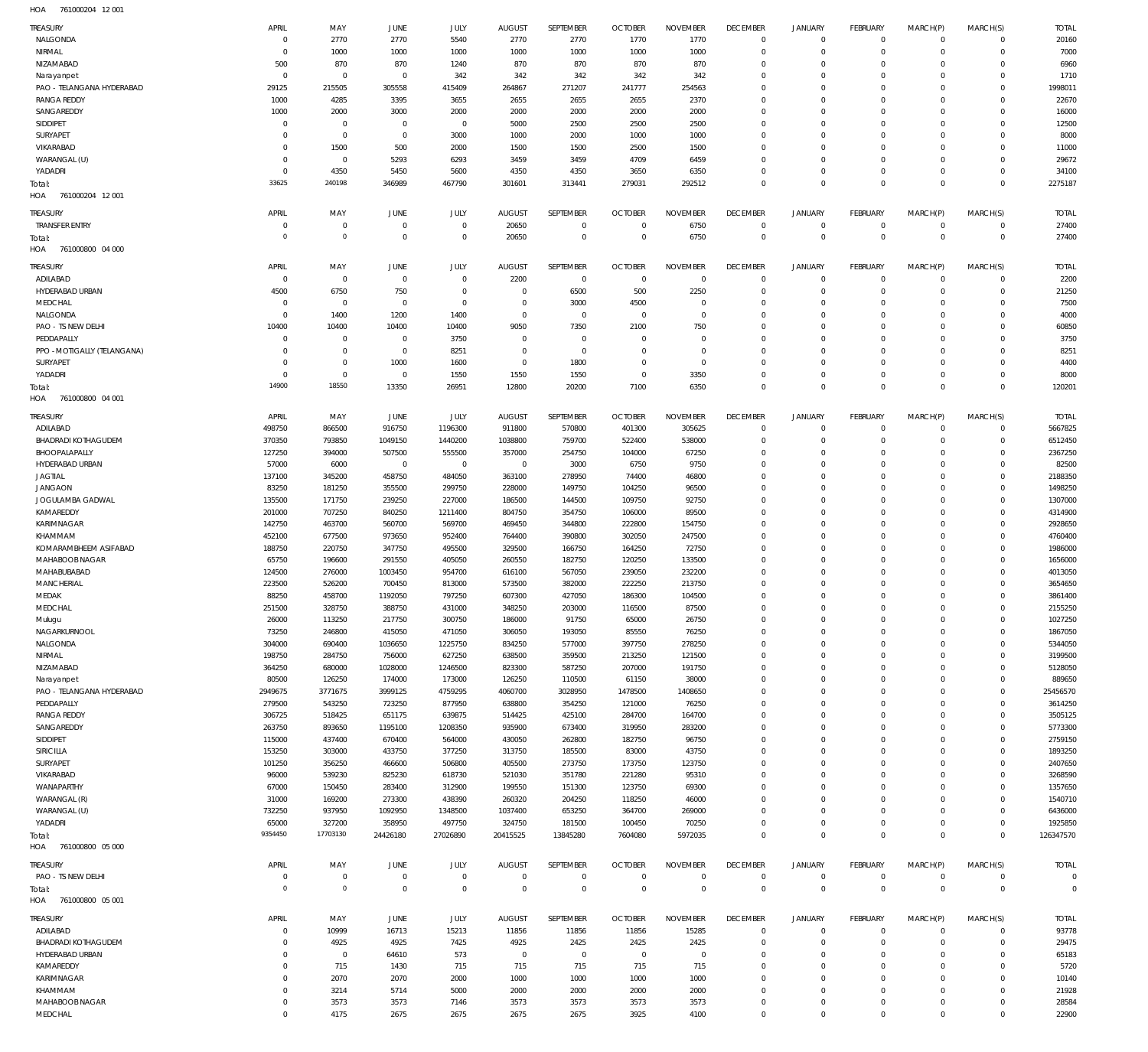761000204 12 001 HOA

| TREASURY                           | APRIL                         | MAY                        | JUNE                             | JULY                       | <b>AUGUST</b>          | SEPTEMBER              | <b>OCTOBER</b>                   | <b>NOVEMBER</b>     | <b>DECEMBER</b>               | <b>JANUARY</b>             | FEBRUARY                       | MARCH(P)                | MARCH(S)                       | <b>TOTAL</b>       |
|------------------------------------|-------------------------------|----------------------------|----------------------------------|----------------------------|------------------------|------------------------|----------------------------------|---------------------|-------------------------------|----------------------------|--------------------------------|-------------------------|--------------------------------|--------------------|
| NALGONDA                           | $\overline{0}$                | 2770                       | 2770                             | 5540                       | 2770                   | 2770                   | 1770                             | 1770                | $\overline{0}$                | $\circ$                    | $\overline{0}$                 | $\mathbf{0}$            | $\overline{0}$                 | 20160              |
| NIRMAL<br>NIZAMABAD                | $\overline{0}$<br>500         | 1000<br>870                | 1000<br>870                      | 1000<br>1240               | 1000<br>870            | 1000<br>870            | 1000<br>870                      | 1000<br>870         | $\mathbf 0$<br>$\overline{0}$ | 0<br>$\mathbf 0$           | $\overline{0}$<br>$\mathbf{0}$ | $\mathbf 0$<br>$\Omega$ | $\mathbf{0}$<br>$\mathbf{0}$   | 7000<br>6960       |
| Narayanpet                         | $\overline{0}$                | $\overline{0}$             | $\overline{0}$                   | 342                        | 342                    | 342                    | 342                              | 342                 | $\mathbf 0$                   | 0                          | $\mathbf{0}$                   | $\Omega$                | $\mathbf{0}$                   | 1710               |
| PAO - TELANGANA HYDERABAD          | 29125                         | 215505                     | 305558                           | 415409                     | 264867                 | 271207                 | 241777                           | 254563              | $\mathbf 0$                   | $\mathbf 0$                | $\mathbf{0}$                   | $\Omega$                | $\mathbf{0}$                   | 1998011            |
| <b>RANGA REDDY</b>                 | 1000                          | 4285                       | 3395                             | 3655                       | 2655                   | 2655                   | 2655                             | 2370                | $\mathbf 0$                   | 0                          | $\mathbf{0}$                   | $\Omega$                | $\mathbf{0}$                   | 22670              |
| SANGAREDDY                         | 1000                          | 2000                       | 3000                             | 2000                       | 2000                   | 2000                   | 2000                             | 2000                | $\mathbf 0$                   | $\mathbf 0$                | $\mathbf{0}$                   | $\Omega$                | $\mathbf{0}$                   | 16000              |
| SIDDIPET<br>SURYAPET               | $\overline{0}$<br>$\mathbf 0$ | $\mathbf 0$<br>$\mathbf 0$ | $\overline{0}$<br>$\overline{0}$ | $\mathbf 0$<br>3000        | 5000<br>1000           | 2500<br>2000           | 2500<br>1000                     | 2500<br>1000        | $\mathbf 0$<br>$\mathbf 0$    | $\mathbf 0$<br>$\mathbf 0$ | $\mathbf{0}$<br>$\mathbf{0}$   | $\Omega$<br>$\Omega$    | $\mathbf{0}$<br>$\mathbf{0}$   | 12500<br>8000      |
| VIKARABAD                          | $\mathbf 0$                   | 1500                       | 500                              | 2000                       | 1500                   | 1500                   | 2500                             | 1500                | $\mathbf 0$                   | $\mathbf 0$                | $\mathbf{0}$                   | $\Omega$                | $\mathbf{0}$                   | 11000              |
| WARANGAL (U)                       | $\overline{0}$                | $\overline{0}$             | 5293                             | 6293                       | 3459                   | 3459                   | 4709                             | 6459                | $\mathbf 0$                   | $\mathbf 0$                | $\mathbf{0}$                   | 0                       | $\mathbf{0}$                   | 29672              |
| YADADRI                            | $\overline{0}$                | 4350                       | 5450                             | 5600                       | 4350                   | 4350                   | 3650                             | 6350                | $\mathbf 0$                   | $\mathbf 0$                | $\mathbf{0}$                   | $\mathbf 0$             | $\mathbf{0}$                   | 34100              |
| Total:                             | 33625                         | 240198                     | 346989                           | 467790                     | 301601                 | 313441                 | 279031                           | 292512              | $\overline{0}$                | $\mathbf 0$                | $\overline{0}$                 | $\mathbf 0$             | $\overline{0}$                 | 2275187            |
| HOA<br>761000204 12 001            |                               |                            |                                  |                            |                        |                        |                                  |                     |                               |                            |                                |                         |                                |                    |
| TREASURY                           | APRIL                         | MAY                        | <b>JUNE</b>                      | JULY                       | <b>AUGUST</b>          | SEPTEMBER              | <b>OCTOBER</b>                   | <b>NOVEMBER</b>     | <b>DECEMBER</b>               | <b>JANUARY</b>             | FEBRUARY                       | MARCH(P)                | MARCH(S)                       | <b>TOTAL</b>       |
| <b>TRANSFER ENTRY</b>              | $^{\circ}$                    | $\mathbf 0$                | $\overline{0}$                   | $\mathbf 0$                | 20650                  | $\mathbf 0$            | $\overline{0}$                   | 6750                | $\overline{0}$                | $\mathbf{0}$               | $\overline{0}$                 | $\mathbf 0$             | $\overline{0}$                 | 27400              |
| Total:<br>761000800 04 000<br>HOA  | $\theta$                      | $\circ$                    | $\overline{0}$                   | $\mathbf 0$                | 20650                  | $\mathbf 0$            | $\overline{0}$                   | 6750                | $\mathbf 0$                   | $\overline{0}$             | $\overline{0}$                 | $\mathbf 0$             | $\overline{0}$                 | 27400              |
|                                    |                               |                            |                                  |                            |                        |                        |                                  |                     |                               |                            |                                |                         |                                |                    |
| TREASURY                           | APRIL                         | MAY                        | <b>JUNE</b>                      | <b>JULY</b>                | <b>AUGUST</b>          | SEPTEMBER              | <b>OCTOBER</b>                   | <b>NOVEMBER</b>     | <b>DECEMBER</b>               | <b>JANUARY</b>             | FEBRUARY                       | MARCH(P)                | MARCH(S)                       | <b>TOTAL</b>       |
| ADILABAD<br>HYDERABAD URBAN        | $\overline{0}$<br>4500        | $\overline{0}$<br>6750     | $\overline{0}$<br>750            | $\mathbf 0$<br>$\mathbf 0$ | 2200<br>$\overline{0}$ | $\overline{0}$<br>6500 | $\overline{0}$<br>500            | $\mathbf 0$<br>2250 | $\overline{0}$<br>$\mathbf 0$ | $\circ$<br>0               | $\overline{0}$<br>$\mathbf{0}$ | $\mathbf 0$<br>0        | $\overline{0}$<br>$\mathbf{0}$ | 2200<br>21250      |
| MEDCHAL                            | $\overline{0}$                | $\mathbf 0$                | $\overline{0}$                   | $\mathbf 0$                | $\overline{0}$         | 3000                   | 4500                             | $\mathbf 0$         | $\mathbf 0$                   | $\mathbf 0$                | $\mathbf{0}$                   | $\Omega$                | $\mathbf{0}$                   | 7500               |
| NALGONDA                           | $\overline{0}$                | 1400                       | 1200                             | 1400                       | $\overline{0}$         | $\overline{0}$         | $\overline{0}$                   | $\mathbf 0$         | $\mathbf 0$                   | 0                          | $\mathbf{0}$                   | $\Omega$                | $\mathbf{0}$                   | 4000               |
| PAO - TS NEW DELHI                 | 10400                         | 10400                      | 10400                            | 10400                      | 9050                   | 7350                   | 2100                             | 750                 | $\mathbf 0$                   | $\mathbf 0$                | $\mathbf{0}$                   | $\Omega$                | $\mathbf{0}$                   | 60850              |
| PEDDAPALLY                         | $\mathbf 0$                   | $\mathbf 0$                | $\overline{0}$                   | 3750                       | $\overline{0}$         | $\mathbf 0$            | $\overline{0}$                   | $\mathbf 0$         | $\mathbf 0$                   | 0                          | $\mathbf{0}$                   | $\Omega$                | $\mathbf{0}$                   | 3750               |
| PPO - MOTIGALLY (TELANGANA)        | $\mathbf 0$                   | $\mathbf 0$                | $\overline{0}$                   | 8251                       | $\overline{0}$         | $\mathbf 0$            | $\overline{0}$                   | $\mathbf 0$         | $\mathbf 0$                   | $\mathbf 0$                | $\mathbf{0}$                   | $\Omega$                | $\mathbf{0}$                   | 8251               |
| SURYAPET<br>YADADRI                | $\mathbf 0$<br>$\overline{0}$ | $\mathbf 0$<br>$\mathbf 0$ | 1000<br>$\overline{0}$           | 1600<br>1550               | $\overline{0}$<br>1550 | 1800<br>1550           | $\overline{0}$<br>$\overline{0}$ | $\mathbf 0$<br>3350 | $\mathbf 0$<br>$\overline{0}$ | $\mathbf 0$<br>0           | $\mathbf{0}$<br>$\mathbf{0}$   | $\Omega$<br>$\mathbf 0$ | $\mathbf{0}$<br>$\mathbf{0}$   | 4400<br>8000       |
| Total:                             | 14900                         | 18550                      | 13350                            | 26951                      | 12800                  | 20200                  | 7100                             | 6350                | $\overline{0}$                | $\overline{0}$             | $\Omega$                       | $\Omega$                | $\Omega$                       | 120201             |
| 761000800 04 001<br>HOA            |                               |                            |                                  |                            |                        |                        |                                  |                     |                               |                            |                                |                         |                                |                    |
| TREASURY                           | APRIL                         | MAY                        | JUNE                             | JULY                       | <b>AUGUST</b>          | SEPTEMBER              | <b>OCTOBER</b>                   | <b>NOVEMBER</b>     | <b>DECEMBER</b>               | <b>JANUARY</b>             | <b>FEBRUARY</b>                | MARCH(P)                | MARCH(S)                       | <b>TOTAL</b>       |
| ADILABAD                           | 498750                        | 866500                     | 916750                           | 1196300                    | 911800                 | 570800                 | 401300                           | 305625              | $\overline{0}$                | $\mathbf{0}$               | $\overline{0}$                 | $\mathbf 0$             | $\mathbf{0}$                   | 5667825            |
| <b>BHADRADI KOTHAGUDEM</b>         | 370350                        | 793850                     | 1049150                          | 1440200                    | 1038800                | 759700                 | 522400                           | 538000              | $\mathbf 0$                   | $\mathbf 0$                | $\mathbf{0}$                   | $\Omega$                | $\mathbf 0$                    | 6512450            |
| BHOOPALAPALLY                      | 127250                        | 394000                     | 507500                           | 555500                     | 357000                 | 254750                 | 104000                           | 67250               | $\mathbf 0$                   | $\mathbf 0$                | $\mathbf{0}$                   | $\Omega$                | $\Omega$                       | 2367250            |
| HYDERABAD URBAN                    | 57000                         | 6000                       | $\overline{0}$                   | $\mathbf 0$                | $\overline{0}$         | 3000                   | 6750                             | 9750                | $\mathbf 0$                   | $\mathbf 0$                | $\mathbf 0$                    | $\Omega$                | $\mathbf 0$                    | 82500              |
| <b>JAGTIAL</b>                     | 137100                        | 345200                     | 458750                           | 484050                     | 363100                 | 278950                 | 74400                            | 46800               | $\Omega$                      | $\Omega$                   | $\Omega$                       | $\Omega$                | $\Omega$                       | 2188350            |
| <b>JANGAON</b><br>JOGULAMBA GADWAL | 83250<br>135500               | 181250<br>171750           | 355500<br>239250                 | 299750<br>227000           | 228000<br>186500       | 149750<br>144500       | 104250<br>109750                 | 96500<br>92750      | $\mathbf 0$<br>$\Omega$       | $\mathbf 0$<br>$\Omega$    | $\mathbf 0$<br>$\Omega$        | $\Omega$<br>$\Omega$    | $\mathbf 0$<br>$\mathbf 0$     | 1498250<br>1307000 |
| KAMAREDDY                          | 201000                        | 707250                     | 840250                           | 1211400                    | 804750                 | 354750                 | 106000                           | 89500               | $\Omega$                      | $\mathbf 0$                | $\Omega$                       | $\Omega$                | $\mathbf 0$                    | 4314900            |
| KARIMNAGAR                         | 142750                        | 463700                     | 560700                           | 569700                     | 469450                 | 344800                 | 222800                           | 154750              | $\mathbf 0$                   | $\mathbf 0$                | $\mathbf{0}$                   | $\Omega$                | $\mathbf 0$                    | 2928650            |
| KHAMMAM                            | 452100                        | 677500                     | 973650                           | 952400                     | 764400                 | 390800                 | 302050                           | 247500              | $\mathbf 0$                   | $\mathbf 0$                | $\Omega$                       | $\Omega$                | $\mathbf 0$                    | 4760400            |
| KOMARAMBHEEM ASIFABAD              | 188750                        | 220750                     | 347750                           | 495500                     | 329500                 | 166750                 | 164250                           | 72750               | $\mathbf 0$                   | $\mathbf 0$                | $\mathbf{0}$                   | $\Omega$                | $\mathbf{0}$                   | 1986000            |
| MAHABOOB NAGAR                     | 65750                         | 196600                     | 291550                           | 405050                     | 260550                 | 182750                 | 120250                           | 133500              | $\mathbf 0$<br>$\Omega$       | $\mathbf 0$<br>$\Omega$    | $\mathbf 0$<br>$\Omega$        | $\Omega$<br>$\Omega$    | $\mathbf 0$<br>$\Omega$        | 1656000            |
| MAHABUBABAD<br>MANCHERIAL          | 124500<br>223500              | 276000<br>526200           | 1003450<br>700450                | 954700<br>813000           | 616100<br>573500       | 567050<br>382000       | 239050<br>222250                 | 232200<br>213750    | $\mathbf 0$                   | $\mathbf 0$                | $\mathbf 0$                    | $\Omega$                | $\mathbf 0$                    | 4013050<br>3654650 |
| MEDAK                              | 88250                         | 458700                     | 1192050                          | 797250                     | 607300                 | 427050                 | 186300                           | 104500              | $\Omega$                      | $\Omega$                   | $\Omega$                       | $\Omega$                | $\Omega$                       | 3861400            |
| MEDCHAL                            | 251500                        | 328750                     | 388750                           | 431000                     | 348250                 | 203000                 | 116500                           | 87500               | $\Omega$                      | $\Omega$                   | $\Omega$                       | $\Omega$                | $\Omega$                       | 2155250            |
| Mulugu                             | 26000                         | 113250                     | 217750                           | 300750                     | 186000                 | 91750                  | 65000                            | 26750               | $\mathbf 0$                   | $\mathbf 0$                | $\mathbf{0}$                   | $\mathbf 0$             | $\circ$                        | 1027250            |
| NAGARKURNOOL                       | 73250                         | 246800                     | 415050                           | 471050                     | 306050                 | 193050                 | 85550                            | 76250               | $\mathbf 0$                   | $\mathbf 0$                | $\mathbf{0}$                   | $\Omega$                | $\mathbf 0$                    | 1867050            |
| NALGONDA<br>NIRMAL                 | 304000<br>198750              | 690400<br>284750           | 1036650<br>756000                | 1225750<br>627250          | 834250<br>638500       | 577000<br>359500       | 397750<br>213250                 | 278250<br>121500    | $\mathbf 0$<br>$\mathbf 0$    | $\mathbf 0$<br>$\mathbf 0$ | $\mathbf{0}$<br>$\Omega$       | $\Omega$<br>$\Omega$    | $\mathbf{0}$<br>$\mathbf 0$    | 5344050<br>3199500 |
| NIZAMABAD                          | 364250                        | 680000                     | 1028000                          | 1246500                    | 823300                 | 587250                 | 207000                           | 191750              | $\mathbf 0$                   | $\mathbf 0$                | $\mathbf{0}$                   | $\Omega$                | $\mathbf{0}$                   | 5128050            |
| Narayanpet                         | 80500                         | 126250                     | 174000                           | 173000                     | 126250                 | 110500                 | 61150                            | 38000               | $\mathbf 0$                   | $\mathbf 0$                | $\mathbf 0$                    | $\Omega$                | $\mathbf 0$                    | 889650             |
| PAO - TELANGANA HYDERABAD          | 2949675                       | 3771675                    | 3999125                          | 4759295                    | 4060700                | 3028950                | 1478500                          | 1408650             | $\mathbf 0$                   | $\mathbf 0$                | $\Omega$                       | $\Omega$                | $\mathbf{0}$                   | 25456570           |
| PEDDAPALLY                         | 279500                        | 543250                     | 723250                           | 877950                     | 638800                 | 354250                 | 121000                           | 76250               | $\mathbf 0$                   | $\mathbf 0$                | $\mathbf 0$                    | $\Omega$                | $\mathbf 0$                    | 3614250            |
| <b>RANGA REDDY</b>                 | 306725                        | 518425                     | 651175                           | 639875                     | 514425                 | 425100                 | 284700                           | 164700              | $\mathbf 0$<br>$\mathbf 0$    | $\Omega$<br>$\mathbf 0$    | $\Omega$<br>$\mathbf 0$        | $\Omega$<br>$\Omega$    | $\Omega$<br>$\mathbf 0$        | 3505125            |
| SANGAREDDY<br>SIDDIPET             | 263750<br>115000              | 893650<br>437400           | 1195100<br>670400                | 1208350<br>564000          | 935900<br>430050       | 673400<br>262800       | 319950<br>182750                 | 283200<br>96750     | $\mathbf 0$                   | $\mathbf 0$                | $\Omega$                       | $\Omega$                | $\mathbf 0$                    | 5773300<br>2759150 |
| SIRICILLA                          | 153250                        | 303000                     | 433750                           | 377250                     | 313750                 | 185500                 | 83000                            | 43750               | $\mathbf 0$                   | $\mathbf 0$                | $\mathbf 0$                    | $\Omega$                | $\mathbf 0$                    | 1893250            |
| SURYAPET                           | 101250                        | 356250                     | 466600                           | 506800                     | 405500                 | 273750                 | 173750                           | 123750              | $\mathbf 0$                   | $\mathbf 0$                | $\mathbf 0$                    | $\Omega$                | $\mathbf 0$                    | 2407650            |
| VIKARABAD                          | 96000                         | 539230                     | 825230                           | 618730                     | 521030                 | 351780                 | 221280                           | 95310               | $\mathbf 0$                   | $\mathbf 0$                | $\Omega$                       | $\Omega$                | $\mathbf 0$                    | 3268590            |
| WANAPARTHY                         | 67000                         | 150450                     | 283400                           | 312900                     | 199550                 | 151300                 | 123750                           | 69300               | $\mathbf 0$                   | $\mathbf 0$                | $\mathbf{0}$                   | $\Omega$                | $\mathbf{0}$                   | 1357650            |
| WARANGAL (R)<br>WARANGAL (U)       | 31000<br>732250               | 169200<br>937950           | 273300<br>1092950                | 438390<br>1348500          | 260320<br>1037400      | 204250<br>653250       | 118250<br>364700                 | 46000<br>269000     | $\mathbf 0$<br>$\mathbf 0$    | $\mathbf 0$<br>$\mathbf 0$ | $\mathbf 0$<br>$\Omega$        | $\Omega$<br>$\Omega$    | $\mathbf 0$<br>$\mathbf 0$     | 1540710<br>6436000 |
| YADADRI                            | 65000                         | 327200                     | 358950                           | 497750                     | 324750                 | 181500                 | 100450                           | 70250               | $\mathbf 0$                   | $\mathbf 0$                | $\mathbf{0}$                   | $\Omega$                | $\mathbf{0}$                   | 1925850            |
| Total:                             | 9354450                       | 17703130                   | 24426180                         | 27026890                   | 20415525               | 13845280               | 7604080                          | 5972035             | $\mathbf 0$                   | $\mathbf 0$                | $\Omega$                       | $\Omega$                | $\Omega$                       | 126347570          |
| HOA 761000800 05 000               |                               |                            |                                  |                            |                        |                        |                                  |                     |                               |                            |                                |                         |                                |                    |
| TREASURY                           | APRIL                         | MAY                        | JUNE                             | JULY                       | <b>AUGUST</b>          | SEPTEMBER              | <b>OCTOBER</b>                   | <b>NOVEMBER</b>     | <b>DECEMBER</b>               | <b>JANUARY</b>             | FEBRUARY                       | MARCH(P)                | MARCH(S)                       | <b>TOTAL</b>       |
| PAO - TS NEW DELHI                 | $\overline{0}$                | $\mathbf 0$                | $\overline{0}$                   | $\mathbf 0$                | $\overline{0}$         | $\overline{0}$         | $\overline{0}$                   | $\overline{0}$      | $\overline{0}$                | $\overline{0}$             | $\overline{0}$                 | $\circ$                 | $\overline{0}$                 | $\mathbf 0$        |
| Total:                             | $\circ$                       | $\mathbf 0$                | $\overline{0}$                   | $\mathbf 0$                | $\overline{0}$         | $\mathbf 0$            | $\overline{0}$                   | $\overline{0}$      | $\overline{0}$                | $\mathbf 0$                | $\overline{0}$                 | $\mathbf 0$             | $\overline{0}$                 | $\mathbf{0}$       |
| 761000800 05 001<br>HOA            |                               |                            |                                  |                            |                        |                        |                                  |                     |                               |                            |                                |                         |                                |                    |
| TREASURY                           | APRIL                         | MAY                        | <b>JUNE</b>                      | JULY                       | <b>AUGUST</b>          | SEPTEMBER              | <b>OCTOBER</b>                   | <b>NOVEMBER</b>     | <b>DECEMBER</b>               | <b>JANUARY</b>             | FEBRUARY                       | MARCH(P)                | MARCH(S)                       | <b>TOTAL</b>       |
| ADILABAD                           | $\overline{0}$                | 10999                      | 16713                            | 15213                      | 11856                  | 11856                  | 11856                            | 15285               | $\overline{0}$                | $\circ$                    | $\overline{0}$                 | $\mathbf{0}$            | $\mathbf{0}$                   | 93778              |
| <b>BHADRADI KOTHAGUDEM</b>         | $\mathbf 0$                   | 4925                       | 4925                             | 7425                       | 4925                   | 2425                   | 2425                             | 2425                | $\mathbf 0$                   | $\mathbf 0$                | $\circ$                        | $\mathbf 0$             | $\mathbf{0}$                   | 29475              |
| HYDERABAD URBAN                    | $\mathbf 0$<br>$\mathbf 0$    | $\mathbf 0$                | 64610                            | 573                        | $\overline{0}$         | $\mathbf 0$            | $\overline{0}$                   | $\mathbf 0$         | $\mathbf 0$<br>$\mathbf 0$    | $\mathbf 0$<br>$\mathbf 0$ | $\mathbf{0}$<br>$\mathbf{0}$   | $\Omega$<br>$\Omega$    | $\mathbf 0$<br>$\mathbf 0$     | 65183              |
| KAMAREDDY<br>KARIMNAGAR            | $\mathbf 0$                   | 715<br>2070                | 1430<br>2070                     | 715<br>2000                | 715<br>1000            | 715<br>1000            | 715<br>1000                      | 715<br>1000         | $\mathbf 0$                   | $\mathbf 0$                | $\Omega$                       | $\Omega$                | $\mathbf{0}$                   | 5720<br>10140      |
| KHAMMAM                            | $\mathbf 0$                   | 3214                       | 5714                             | 5000                       | 2000                   | 2000                   | 2000                             | 2000                | $\mathbf 0$                   | $\mathbf 0$                | $\mathbf 0$                    | $\Omega$                | $\mathbf 0$                    | 21928              |
| MAHABOOB NAGAR                     | $\mathbf 0$                   | 3573                       | 3573                             | 7146                       | 3573                   | 3573                   | 3573                             | 3573                | $\mathbf 0$                   | $\mathbf 0$                | $\circ$                        | $\mathbf 0$             | $\mathbf{0}$                   | 28584              |
| MEDCHAL                            | $\mathbf 0$                   | 4175                       | 2675                             | 2675                       | 2675                   | 2675                   | 3925                             | 4100                | $\mathbf 0$                   | $\mathbf 0$                | $\mathbf 0$                    | $\mathbf 0$             | $\mathbf 0$                    | 22900              |